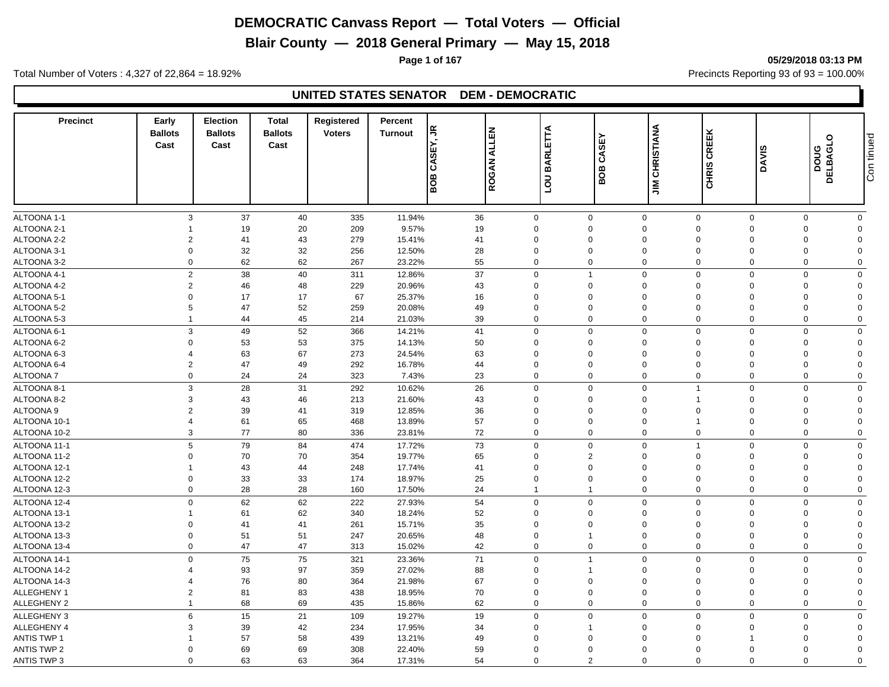**Blair County — 2018 General Primary — May 15, 2018**

**Page 1 of 167 05/29/2018 03:13 PM**

Total Number of Voters : 4,327 of 22,864 = 18.92% Precincts Reporting 93 of 93 = 100.00%

#### **UNITED STATES SENATOR DEM - DEMOCRATIC**

| <b>Precinct</b>    | Early<br><b>Ballots</b><br>Cast | <b>Election</b><br><b>Ballots</b><br>Cast | <b>Total</b><br><b>Ballots</b><br>Cast | <b>Registered</b><br><b>Voters</b> | Percent<br><b>Turnout</b> | SEY, JR<br>రే<br>80B | <b>ALLEN</b><br>ROGAN | BARLETTA<br>$\overline{a}$ | <b>SEY</b><br>Š<br>BOB | <b>CHRISTIANA</b><br>$\Xi$ | CREEK<br>CHRIS             | <b>DAVIS</b>               | DOUG<br>DELBAGLO | Con tinued |
|--------------------|---------------------------------|-------------------------------------------|----------------------------------------|------------------------------------|---------------------------|----------------------|-----------------------|----------------------------|------------------------|----------------------------|----------------------------|----------------------------|------------------|------------|
|                    |                                 |                                           |                                        |                                    |                           |                      |                       |                            |                        |                            |                            |                            |                  |            |
| ALTOONA 1-1        | 3                               | 37                                        | 40                                     | 335                                | 11.94%                    | 36                   | $\mathbf 0$           |                            | $\mathbf 0$            | $\mathbf 0$                | $\mathbf 0$                | $\mathbf 0$<br>$\mathbf 0$ | $\mathbf 0$      |            |
| ALTOONA 2-1        |                                 | 19                                        | 20                                     | 209                                | 9.57%                     | 19                   | $\Omega$              | $\Omega$                   |                        | $\Omega$                   | $\mathbf 0$<br>$\Omega$    | $\mathbf 0$                | $\Omega$         |            |
| ALTOONA 2-2        | $\overline{2}$                  | 41                                        | 43                                     | 279                                | 15.41%                    | 41                   | $\Omega$              | $\Omega$                   |                        | $\Omega$                   | $\mathbf 0$<br>$\Omega$    | $\mathbf 0$                | $\Omega$         |            |
| ALTOONA 3-1        | $\Omega$                        | 32                                        | 32                                     | 256                                | 12.50%                    | 28                   | $\mathbf 0$           | $\mathbf 0$                |                        | $\Omega$                   | $\mathbf 0$<br>$\Omega$    | $\mathbf 0$                | $\Omega$         |            |
| ALTOONA 3-2        | $\Omega$                        | 62                                        | 62                                     | 267                                | 23.22%                    | 55                   | $\mathbf 0$           |                            | $\mathbf 0$            | $\Omega$                   | $\mathbf 0$<br>$\Omega$    | $\mathbf 0$                | $\mathbf 0$      |            |
| ALTOONA 4-1        | $\overline{2}$                  | 38                                        | 40                                     | 311                                | 12.86%                    | 37                   | $\mathbf 0$           | $\mathbf{1}$               |                        | $\Omega$                   | $\mathbf 0$<br>$\Omega$    | $\mathsf 0$                | $\mathbf 0$      |            |
| ALTOONA 4-2        | $\overline{2}$                  | 46                                        | 48                                     | 229                                | 20.96%                    | 43                   | $\Omega$              | $\Omega$                   |                        | $\Omega$                   | $\mathbf 0$<br>$\Omega$    | $\mathbf 0$                | $\mathbf 0$      |            |
| ALTOONA 5-1        | $\Omega$                        | 17                                        | 17                                     | 67                                 | 25.37%                    | 16                   | $\mathbf 0$           | $\Omega$                   |                        | $\Omega$                   | $\Omega$<br>$\Omega$       | $\mathbf 0$                | $\Omega$         |            |
| ALTOONA 5-2        | 5                               | 47                                        | 52                                     | 259                                | 20.08%                    | 49                   | $\Omega$              | $\Omega$                   |                        | $\Omega$                   | $\mathbf 0$<br>$\Omega$    | $\mathbf 0$                | $\Omega$         |            |
| ALTOONA 5-3        | $\overline{1}$                  | 44                                        | 45                                     | 214                                | 21.03%                    | 39                   | $\mathbf{0}$          | $\overline{0}$             |                        | $\Omega$                   | $\mathbf 0$                | $\mathbf 0$<br>$\Omega$    | $\mathbf 0$      |            |
| ALTOONA 6-1        | 3                               | 49                                        | 52                                     | 366                                | 14.21%                    | 41                   | $\mathbf 0$           | $\Omega$                   |                        | $\mathbf 0$                | $\mathbf 0$<br>$\Omega$    | $\mathbf 0$                | $\mathbf 0$      |            |
| ALTOONA 6-2        | $\Omega$                        | 53                                        | 53                                     | 375                                | 14.13%                    | 50                   | $\mathbf 0$           | $\Omega$                   |                        | $\Omega$                   | $\mathbf 0$<br>$\Omega$    | $\mathbf 0$                | $\Omega$         |            |
| ALTOONA 6-3        | 4                               | 63                                        | 67                                     | 273                                | 24.54%                    | 63                   | $\mathbf 0$           | $\mathbf 0$                |                        | 0                          | $\overline{0}$<br>$\Omega$ | $\mathbf 0$                | $\mathbf 0$      |            |
| ALTOONA 6-4        | $\overline{2}$                  | 47                                        | 49                                     | 292                                | 16.78%                    | 44                   | $\mathbf 0$           | $\Omega$                   |                        | $\Omega$                   | $\mathbf 0$<br>$\Omega$    | $\mathbf 0$                | $\Omega$         |            |
| ALTOONA 7          | $\mathbf 0$                     | 24                                        | 24                                     | 323                                | 7.43%                     | 23                   | $\mathbf 0$           | $\overline{0}$             |                        | $\Omega$                   | $\mathbf 0$<br>$\Omega$    | $\mathbf 0$                | $\mathbf 0$      |            |
| ALTOONA 8-1        | 3                               | 28                                        | 31                                     | 292                                | 10.62%                    | 26                   | $\mathbf 0$           | $\Omega$                   |                        | $\Omega$                   | $\overline{1}$<br>$\Omega$ | $\mathbf 0$                | $\mathbf 0$      |            |
| ALTOONA 8-2        | 3                               | 43                                        | 46                                     | 213                                | 21.60%                    | 43                   | $\mathbf 0$           | $\mathbf 0$                |                        | $\overline{0}$             | $\Omega$<br>$\overline{1}$ | $\mathbf 0$                | $\mathbf 0$      |            |
| ALTOONA 9          | $\overline{2}$                  | 39                                        | 41                                     | 319                                | 12.85%                    | 36                   | $\Omega$              | $\Omega$                   |                        | $\Omega$                   | $\Omega$<br>$\Omega$       | $\mathbf 0$                | $\Omega$         |            |
| ALTOONA 10-1       | $\overline{4}$                  | 61                                        | 65                                     | 468                                | 13.89%                    | 57                   | $\mathbf 0$           | $\mathbf 0$                |                        | 0                          | $\overline{1}$<br>$\Omega$ | $\mathbf 0$                | $\mathbf 0$      |            |
| ALTOONA 10-2       | 3                               | 77                                        | 80                                     | 336                                | 23.81%                    | 72                   | $\mathbf 0$           | $\mathbf 0$                |                        | $\mathbf 0$                | $\mathbf 0$                | $\mathbf 0$<br>$\mathbf 0$ | $\mathbf 0$      |            |
| ALTOONA 11-1       | 5                               | 79                                        | 84                                     | 474                                | 17.72%                    | 73                   | $\mathbf 0$           | $\overline{0}$             |                        | $\Omega$                   | $\overline{1}$<br>$\Omega$ | $\mathbf 0$                | $\mathbf 0$      |            |
| ALTOONA 11-2       | $\Omega$                        | 70                                        | 70                                     | 354                                | 19.77%                    | 65                   | $\Omega$              | $\overline{2}$             |                        | $\Omega$                   | $\mathbf 0$<br>$\Omega$    | $\mathbf 0$                | $\Omega$         |            |
| ALTOONA 12-1       |                                 | 43                                        | 44                                     | 248                                | 17.74%                    | 41                   | $\Omega$              | $\Omega$                   |                        | $\Omega$                   | $\mathbf{0}$<br>$\Omega$   | $\mathbf 0$                | $\Omega$         |            |
| ALTOONA 12-2       | $\Omega$                        | 33                                        | 33                                     | 174                                | 18.97%                    | 25                   | $\Omega$              | $\Omega$                   |                        | $\Omega$                   | $\Omega$<br>$\Omega$       | $\mathbf 0$                | $\Omega$         |            |
| ALTOONA 12-3       | $\Omega$                        | 28                                        | 28                                     | 160                                | 17.50%                    | 24                   |                       | $\overline{1}$             |                        | $\Omega$                   | $\mathbf 0$<br>$\Omega$    | $\Omega$                   | $\mathbf 0$      |            |
|                    |                                 |                                           |                                        |                                    |                           |                      |                       |                            |                        |                            |                            |                            |                  |            |
| ALTOONA 12-4       | $\mathbf 0$                     | 62                                        | 62                                     | 222                                | 27.93%                    | 54                   | $\mathbf 0$           | $\mathbf 0$                |                        | $\mathbf 0$                | $\mathbf 0$                | $\mathbf 0$<br>$\mathbf 0$ | $\mathbf 0$      |            |
| ALTOONA 13-1       |                                 | 61                                        | 62                                     | 340                                | 18.24%                    | 52                   | $\Omega$              | $\Omega$                   |                        | $\Omega$                   | $\Omega$<br>$\Omega$       | $\mathbf 0$                | $\Omega$         |            |
| ALTOONA 13-2       | $\Omega$                        | 41                                        | 41                                     | 261                                | 15.71%                    | 35                   | $\Omega$              | $\Omega$                   |                        | $\Omega$                   | $\mathbf 0$<br>$\Omega$    | $\mathbf 0$                | $\Omega$         |            |
| ALTOONA 13-3       | $\mathbf 0$                     | 51                                        | 51                                     | 247                                | 20.65%                    | 48                   | $\mathbf 0$           | $\overline{1}$             |                        | $\Omega$                   | $\mathbf 0$<br>$\Omega$    | $\mathbf 0$                | $\mathbf 0$      |            |
| ALTOONA 13-4       | $\Omega$                        | 47                                        | 47                                     | 313                                | 15.02%                    | 42                   | $\mathbf 0$           | $\mathbf 0$                |                        | $\Omega$                   | $\mathbf 0$<br>$\Omega$    | $\mathbf 0$                | $\Omega$         |            |
| ALTOONA 14-1       | $\mathbf 0$                     | 75                                        | 75                                     | 321                                | 23.36%                    | 71                   | $\mathbf 0$           | $\overline{1}$             |                        | $\Omega$                   | $\mathbf 0$<br>$\Omega$    | $\mathbf 0$                | $\mathbf 0$      |            |
| ALTOONA 14-2       | 4                               | 93                                        | 97                                     | 359                                | 27.02%                    | 88                   | $\Omega$              |                            |                        | $\Omega$                   | $\mathbf 0$<br>$\Omega$    | $\mathbf 0$                | $\Omega$         |            |
| ALTOONA 14-3       | 4                               | 76                                        | 80                                     | 364                                | 21.98%                    | 67                   | $\mathbf 0$           | $\mathbf 0$                |                        | $\overline{0}$             | $\mathbf 0$<br>$\Omega$    | $\mathbf 0$                | $\mathbf 0$      |            |
| ALLEGHENY 1        | $\overline{2}$                  | 81                                        | 83                                     | 438                                | 18.95%                    | 70                   | $\mathbf 0$           | $\Omega$                   |                        | $\Omega$                   | $\mathbf 0$<br>$\Omega$    | $\mathbf 0$                | $\mathbf 0$      |            |
| <b>ALLEGHENY 2</b> | $\mathbf{1}$                    | 68                                        | 69                                     | 435                                | 15.86%                    | 62                   | $\mathbf 0$           | $\mathbf 0$                |                        | $\mathbf 0$                | $\mathbf 0$                | $\mathbf 0$<br>$\mathbf 0$ | $\mathbf 0$      |            |
| <b>ALLEGHENY 3</b> | 6                               | 15                                        | 21                                     | 109                                | 19.27%                    | 19                   | $\Omega$              | $\Omega$                   |                        | $\Omega$                   | $\mathbf 0$<br>$\Omega$    | $\mathbf 0$                | $\mathbf 0$      |            |
| ALLEGHENY 4        | 3                               | 39                                        | 42                                     | 234                                | 17.95%                    | 34                   | $\mathbf 0$           | $\overline{1}$             |                        | 0                          | $\mathbf 0$<br>$\Omega$    | $\mathbf 0$                | $\mathbf 0$      |            |
| <b>ANTIS TWP 1</b> |                                 | 57                                        | 58                                     | 439                                | 13.21%                    | 49                   | $\Omega$              | $\Omega$                   |                        | $\Omega$                   | $\mathbf 0$                | $\Omega$                   | $\Omega$         |            |
| ANTIS TWP 2        | $\Omega$                        | 69                                        | 69                                     | 308                                | 22.40%                    | 59                   | $\Omega$              | $\Omega$                   |                        | $\Omega$                   | $\Omega$<br>$\Omega$       | $\Omega$                   | $\Omega$         |            |
| <b>ANTIS TWP 3</b> | $\Omega$                        | 63                                        | 63                                     | 364                                | 17.31%                    | 54                   | $\Omega$              | $\overline{2}$             |                        | $\Omega$                   | $\mathbf 0$<br>$\Omega$    | $\Omega$                   | $\Omega$         |            |

# Con tinued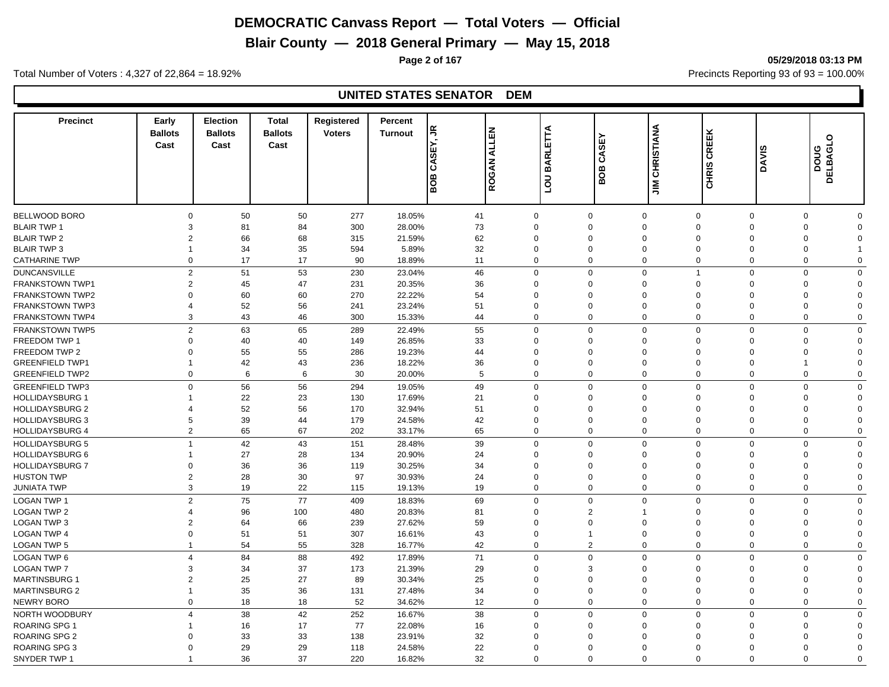**Blair County — 2018 General Primary — May 15, 2018**

**Page 2 of 167 05/29/2018 03:13 PM**

Total Number of Voters : 4,327 of 22,864 = 18.92% Precincts Reporting 93 of 93 = 100.00%

| <b>Precinct</b>        | Early<br><b>Ballots</b><br>Cast | <b>Election</b><br><b>Ballots</b><br>Cast | <b>Total</b><br><b>Ballots</b><br>Cast | <b>Registered</b><br><b>Voters</b> | Percent<br><b>Turnout</b> | £<br>ш<br><u>v</u><br>రే | <b>ALLEN</b><br>ROGAN | BARLETTA                           | <b>SEY</b><br>Š<br>BOB | <b>CHRISTIANA</b> | CREEK<br>CHRIS | <b>DAVIS</b> | $\circ$<br><b>DELBAGL</b><br>poug |             |
|------------------------|---------------------------------|-------------------------------------------|----------------------------------------|------------------------------------|---------------------------|--------------------------|-----------------------|------------------------------------|------------------------|-------------------|----------------|--------------|-----------------------------------|-------------|
|                        |                                 |                                           |                                        |                                    |                           | BOB                      |                       | $\overline{\overline{\mathsf{d}}}$ |                        | $\sum_{i=1}^{n}$  |                |              |                                   |             |
| BELLWOOD BORO          | $\Omega$                        | 50                                        | 50                                     | 277                                | 18.05%                    | 41                       | $\mathbf 0$           | $\mathbf 0$                        |                        | $\Omega$          | $\mathbf 0$    | $\mathbf 0$  | $\mathbf 0$                       | $\Omega$    |
| <b>BLAIR TWP 1</b>     | 3                               | 81                                        | 84                                     | 300                                | 28.00%                    | 73                       | $\Omega$              | $\Omega$                           |                        | $\Omega$          | $\mathbf 0$    | $\Omega$     | $\mathbf 0$                       | $\Omega$    |
| <b>BLAIR TWP 2</b>     | 2                               | 66                                        | 68                                     | 315                                | 21.59%                    | 62                       | $\Omega$              | $\Omega$                           |                        | $\Omega$          | $\Omega$       | $\Omega$     | $\mathbf 0$                       | $\Omega$    |
| <b>BLAIR TWP 3</b>     |                                 | 34                                        | 35                                     | 594                                | 5.89%                     | 32                       | $\mathbf 0$           | $\Omega$                           |                        | 0                 | $\mathbf 0$    | $\Omega$     | $\mathbf 0$                       | 1           |
| <b>CATHARINE TWP</b>   | $\Omega$                        | 17                                        | 17                                     | 90                                 | 18.89%                    | 11                       | $\mathbf 0$           | $\Omega$                           |                        | $\Omega$          | $\mathbf 0$    | $\Omega$     | $\mathbf 0$                       | $\Omega$    |
| <b>DUNCANSVILLE</b>    | $\overline{2}$                  | 51                                        | 53                                     | 230                                | 23.04%                    | 46                       | $\Omega$              | $\Omega$                           |                        | $\Omega$          | $\overline{1}$ | $\Omega$     | $\Omega$                          | $\Omega$    |
| FRANKSTOWN TWP1        | $\overline{2}$                  | 45                                        | 47                                     | 231                                | 20.35%                    | 36                       | $\Omega$              | $\Omega$                           |                        | 0                 | $\mathbf 0$    | $\Omega$     | $\mathbf 0$                       | $\Omega$    |
| <b>FRANKSTOWN TWP2</b> | $\Omega$                        | 60                                        | 60                                     | 270                                | 22.22%                    | 54                       | $\Omega$              | $\Omega$                           |                        | $\Omega$          | $\Omega$       | $\Omega$     | $\Omega$                          | $\Omega$    |
| <b>FRANKSTOWN TWP3</b> | 4                               | 52                                        | 56                                     | 241                                | 23.24%                    | 51                       | $\Omega$              | $\Omega$                           |                        | $\Omega$          | $\mathbf 0$    | $\Omega$     | $\Omega$                          | $\Omega$    |
| FRANKSTOWN TWP4        | 3                               | 43                                        | 46                                     | 300                                | 15.33%                    | 44                       | $\mathbf 0$           | $\Omega$                           |                        | $\Omega$          | $\mathbf 0$    | $\Omega$     | $\Omega$                          | $\Omega$    |
|                        |                                 |                                           |                                        |                                    |                           |                          |                       |                                    |                        |                   |                |              |                                   |             |
| <b>FRANKSTOWN TWP5</b> | 2                               | 63                                        | 65                                     | 289                                | 22.49%                    | 55                       | $\mathbf 0$           | $\Omega$                           |                        | $\Omega$          | $\mathbf 0$    | $\Omega$     | $\mathbf 0$                       | $\mathbf 0$ |
| FREEDOM TWP 1          | $\Omega$                        | 40                                        | 40                                     | 149                                | 26.85%                    | 33                       | $\Omega$              | $\Omega$                           |                        | $\Omega$          | $\mathbf 0$    | $\Omega$     | $\mathbf 0$                       | $\Omega$    |
| FREEDOM TWP 2          | $\Omega$                        | 55                                        | 55                                     | 286                                | 19.23%                    | 44                       | $\Omega$              | $\Omega$                           |                        | $\Omega$          | $\Omega$       | $\Omega$     | $\mathbf 0$                       | $\Omega$    |
| <b>GREENFIELD TWP1</b> |                                 | 42                                        | 43                                     | 236                                | 18.22%                    | 36                       | $\mathbf 0$           | $\overline{0}$                     |                        | $\overline{0}$    | $\mathbf 0$    | $\Omega$     | $\overline{1}$                    | $\Omega$    |
| <b>GREENFIELD TWP2</b> | $\mathbf 0$                     | 6                                         | 6                                      | 30                                 | 20.00%                    | 5                        | $\overline{0}$        | $\mathbf{0}$                       |                        | $\mathbf 0$       | $\mathbf 0$    | $\Omega$     | $\mathbf 0$                       | $\mathbf 0$ |
| <b>GREENFIELD TWP3</b> | $\Omega$                        | 56                                        | 56                                     | 294                                | 19.05%                    | 49                       | $\mathbf 0$           | $\Omega$                           |                        | $\Omega$          | $\mathbf{0}$   | $\Omega$     | $\mathbf 0$                       | $\mathbf 0$ |
| <b>HOLLIDAYSBURG 1</b> |                                 | 22                                        | 23                                     | 130                                | 17.69%                    | 21                       | $\mathbf 0$           | $\Omega$                           |                        | 0                 | $\mathbf 0$    | $\Omega$     | $\mathbf 0$                       | $\Omega$    |
| <b>HOLLIDAYSBURG 2</b> |                                 | 52                                        | 56                                     | 170                                | 32.94%                    | 51                       | $\Omega$              | $\Omega$                           |                        | $\Omega$          | $\Omega$       | $\Omega$     | $\mathbf 0$                       | $\Omega$    |
| <b>HOLLIDAYSBURG 3</b> | 5                               | 39                                        | 44                                     | 179                                | 24.58%                    | 42                       | $\mathbf 0$           | $\mathbf 0$                        |                        | $\Omega$          | $\mathbf{0}$   | $\Omega$     | $\mathbf 0$                       | $\Omega$    |
| <b>HOLLIDAYSBURG 4</b> | $\overline{2}$                  | 65                                        | 67                                     | 202                                | 33.17%                    | 65                       | $\mathbf 0$           | $\Omega$                           |                        | $\Omega$          | $\mathbf 0$    | $\Omega$     | $\mathbf 0$                       | $\Omega$    |
| <b>HOLLIDAYSBURG 5</b> |                                 | 42                                        | 43                                     | 151                                | 28.48%                    | 39                       | $\mathbf 0$           | $\Omega$                           |                        | $\Omega$          | $\mathbf{0}$   | $\Omega$     | $\mathbf 0$                       | $\mathbf 0$ |
| <b>HOLLIDAYSBURG 6</b> |                                 | 27                                        | 28                                     | 134                                | 20.90%                    | 24                       | $\Omega$              | $\Omega$                           |                        | $\Omega$          | $\Omega$       | $\Omega$     | $\mathbf 0$                       | $\Omega$    |
| <b>HOLLIDAYSBURG 7</b> | $\Omega$                        | 36                                        | 36                                     | 119                                | 30.25%                    | 34                       | $\Omega$              | $\Omega$                           |                        | $\Omega$          | $\Omega$       | $\Omega$     | $\mathbf 0$                       | $\Omega$    |
| <b>HUSTON TWP</b>      | $\overline{2}$                  | 28                                        | 30                                     | 97                                 | 30.93%                    | 24                       | $\Omega$              | $\Omega$                           |                        | $\Omega$          | $\Omega$       | $\Omega$     | $\mathbf 0$                       | $\Omega$    |
| <b>JUNIATA TWP</b>     | 3                               | 19                                        | 22                                     | 115                                | 19.13%                    | 19                       | $\mathbf 0$           | $\mathbf{0}$                       |                        | $\Omega$          | $\mathbf 0$    | $\Omega$     | $\Omega$                          | $\mathbf 0$ |
| <b>LOGAN TWP 1</b>     | $\overline{2}$                  | 75                                        | 77                                     | 409                                | 18.83%                    | 69                       | $\mathbf 0$           | $\mathbf{0}$                       |                        | $\mathbf 0$       | $\mathbf 0$    | $\Omega$     | $\mathbf 0$                       | $\mathbf 0$ |
| <b>LOGAN TWP 2</b>     | 4                               | 96                                        | 100                                    | 480                                | 20.83%                    | 81                       | $\mathbf 0$           | $\overline{2}$                     |                        |                   | $\mathbf 0$    | $\Omega$     | $\mathbf 0$                       | $\Omega$    |
| <b>LOGAN TWP 3</b>     | $\overline{2}$                  | 64                                        | 66                                     | 239                                | 27.62%                    | 59                       | $\Omega$              | $\Omega$                           |                        | $\Omega$          | $\mathbf{0}$   | $\Omega$     | $\mathbf 0$                       | $\Omega$    |
| <b>LOGAN TWP 4</b>     | $\Omega$                        | 51                                        | 51                                     | 307                                | 16.61%                    | 43                       | $\mathbf 0$           | $\overline{1}$                     |                        | $\mathbf 0$       | $\mathbf 0$    | $\Omega$     | $\mathbf 0$                       | $\Omega$    |
| <b>LOGAN TWP 5</b>     | $\mathbf{1}$                    | 54                                        | 55                                     | 328                                | 16.77%                    | 42                       | $\mathbf 0$           | $\overline{2}$                     |                        | $\Omega$          | $\mathbf 0$    | $\Omega$     | $\mathbf 0$                       | $\mathbf 0$ |
| LOGAN TWP 6            | $\overline{4}$                  | 84                                        | 88                                     | 492                                | 17.89%                    | 71                       | $\Omega$              | $\Omega$                           |                        | $\Omega$          | $\mathbf 0$    | $\Omega$     | $\mathbf 0$                       | $\mathbf 0$ |
| <b>LOGAN TWP 7</b>     | 3                               | 34                                        | 37                                     | 173                                | 21.39%                    | 29                       | $\mathbf 0$           | 3                                  |                        | $\Omega$          | $\mathbf 0$    | $\Omega$     | $\mathbf 0$                       | $\Omega$    |
| <b>MARTINSBURG 1</b>   | 2                               | 25                                        | 27                                     | 89                                 | 30.34%                    | 25                       | $\mathbf 0$           | $\Omega$                           |                        | $\Omega$          | $\Omega$       | $\Omega$     | $\Omega$                          | $\Omega$    |
| <b>MARTINSBURG 2</b>   |                                 | 35                                        | 36                                     | 131                                | 27.48%                    | 34                       | $\mathbf 0$           | $\overline{0}$                     |                        | 0                 | $\mathbf 0$    | $\Omega$     | $\mathbf 0$                       | $\mathbf 0$ |
| <b>NEWRY BORO</b>      | $\Omega$                        | 18                                        | 18                                     | 52                                 | 34.62%                    | 12                       | $\mathbf 0$           | $\Omega$                           |                        | $\Omega$          | $\mathbf 0$    | $\Omega$     | $\mathbf 0$                       | $\Omega$    |
|                        |                                 |                                           |                                        |                                    |                           |                          |                       |                                    |                        |                   |                |              |                                   |             |
| NORTH WOODBURY         | 4                               | 38                                        | 42                                     | 252                                | 16.67%                    | 38                       | $\Omega$              | $\Omega$                           |                        | $\Omega$          | $\mathbf 0$    | $\Omega$     | $\mathbf 0$                       | $\mathbf 0$ |
| <b>ROARING SPG 1</b>   |                                 | 16                                        | 17                                     | 77                                 | 22.08%                    | 16                       | $\Omega$              | $\Omega$                           |                        | 0                 | $\Omega$       | $\Omega$     | $\mathbf 0$                       | $\Omega$    |
| <b>ROARING SPG 2</b>   |                                 | 33                                        | 33                                     | 138                                | 23.91%                    | 32                       | $\Omega$              | $\Omega$                           |                        | $\Omega$          | $\Omega$       |              | $\Omega$                          | $\Omega$    |
| <b>ROARING SPG 3</b>   | $\Omega$                        | 29                                        | 29                                     | 118                                | 24.58%                    | 22                       | $\Omega$              | $\Omega$                           |                        | $\Omega$          | $\Omega$       | $\Omega$     | $\Omega$                          | $\Omega$    |
| SNYDER TWP 1           |                                 | 36                                        | 37                                     | 220                                | 16.82%                    | 32                       | $\Omega$              | $\Omega$                           |                        | $\Omega$          | $\Omega$       | $\Omega$     | $\Omega$                          | $\Omega$    |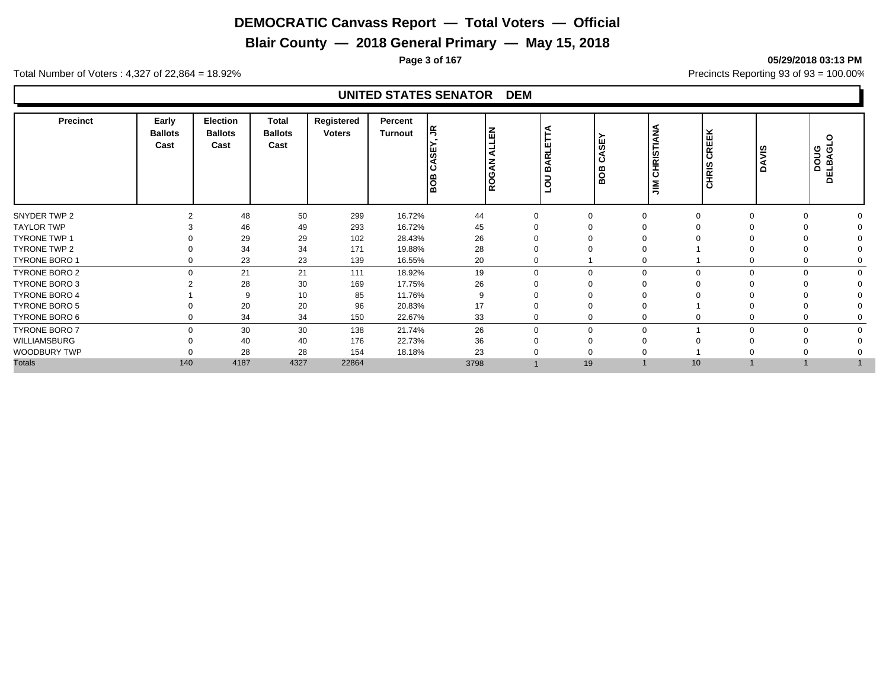**Blair County — 2018 General Primary — May 15, 2018**

**Page 3 of 167 05/29/2018 03:13 PM**

Total Number of Voters : 4,327 of 22,864 = 18.92% Precincts Reporting 93 of 93 = 100.00%

| <b>Precinct</b>      | Early<br><b>Ballots</b><br>Cast | Election<br><b>Ballots</b><br>Cast | <b>Total</b><br><b>Ballots</b><br>Cast | Registered<br><b>Voters</b> | Percent<br><b>Turnout</b> | lg.<br>1도<br>ш<br>ø<br>z<br>BOB<br> ĝ |          | ы<br><b>ARL</b><br>മ<br>$\overline{\mathbf{o}}$ | မ္တ<br>⋖<br>ن<br>BOB | <b>CHRISTIANA</b><br>$\sum_{i=1}^{n}$ | CREEK<br><b>CHRIS</b> | ξ<br>◀<br>≏ | $\circ$<br>DOUG<br>DELBAGL |
|----------------------|---------------------------------|------------------------------------|----------------------------------------|-----------------------------|---------------------------|---------------------------------------|----------|-------------------------------------------------|----------------------|---------------------------------------|-----------------------|-------------|----------------------------|
| SNYDER TWP 2         |                                 | 48                                 | 50                                     | 299                         | 16.72%                    | 44                                    |          | O                                               |                      | ∩                                     |                       | $\cap$      |                            |
| <b>TAYLOR TWP</b>    |                                 | 46                                 | 49                                     | 293                         | 16.72%                    | 45                                    |          |                                                 |                      |                                       |                       |             |                            |
| <b>TYRONE TWP 1</b>  |                                 | 29                                 | 29                                     | 102                         | 28.43%                    | 26                                    |          |                                                 |                      |                                       |                       |             |                            |
| TYRONE TWP 2         |                                 | 34                                 | 34                                     | 171                         | 19.88%                    | 28                                    |          |                                                 |                      |                                       |                       |             |                            |
| TYRONE BORO 1        |                                 | 23                                 | 23                                     | 139                         | 16.55%                    | 20                                    |          |                                                 |                      |                                       |                       | $\mathbf 0$ |                            |
| TYRONE BORO 2        | $\Omega$                        | 21                                 | 21                                     | 111                         | 18.92%                    | 19                                    | $\Omega$ | $\Omega$                                        |                      | $\Omega$                              | $\Omega$              | $\Omega$    | $\Omega$                   |
| TYRONE BORO 3        |                                 | 28                                 | 30                                     | 169                         | 17.75%                    | 26                                    |          |                                                 |                      |                                       |                       |             |                            |
| <b>TYRONE BORO 4</b> |                                 | 9                                  | 10                                     | 85                          | 11.76%                    | 9                                     |          |                                                 |                      |                                       |                       |             |                            |
| <b>TYRONE BORO 5</b> |                                 | 20                                 | 20                                     | 96                          | 20.83%                    | 17                                    |          |                                                 |                      |                                       |                       |             |                            |
| TYRONE BORO 6        |                                 | 34                                 | 34                                     | 150                         | 22.67%                    | 33                                    |          |                                                 |                      |                                       |                       | $\mathbf 0$ |                            |
| <b>TYRONE BORO 7</b> | $\Omega$                        | 30                                 | 30                                     | 138                         | 21.74%                    | 26                                    | $\Omega$ | $\Omega$                                        |                      |                                       | $\Omega$              | $\Omega$    | $\Omega$                   |
| WILLIAMSBURG         |                                 | 40                                 | 40                                     | 176                         | 22.73%                    | 36                                    |          |                                                 |                      |                                       |                       |             |                            |
| WOODBURY TWP         |                                 | 28                                 | 28                                     | 154                         | 18.18%                    | 23                                    |          |                                                 |                      |                                       |                       |             |                            |
| <b>Totals</b>        | 140                             | 4187                               | 4327                                   | 22864                       |                           | 3798                                  |          | 19                                              |                      | 10                                    |                       |             |                            |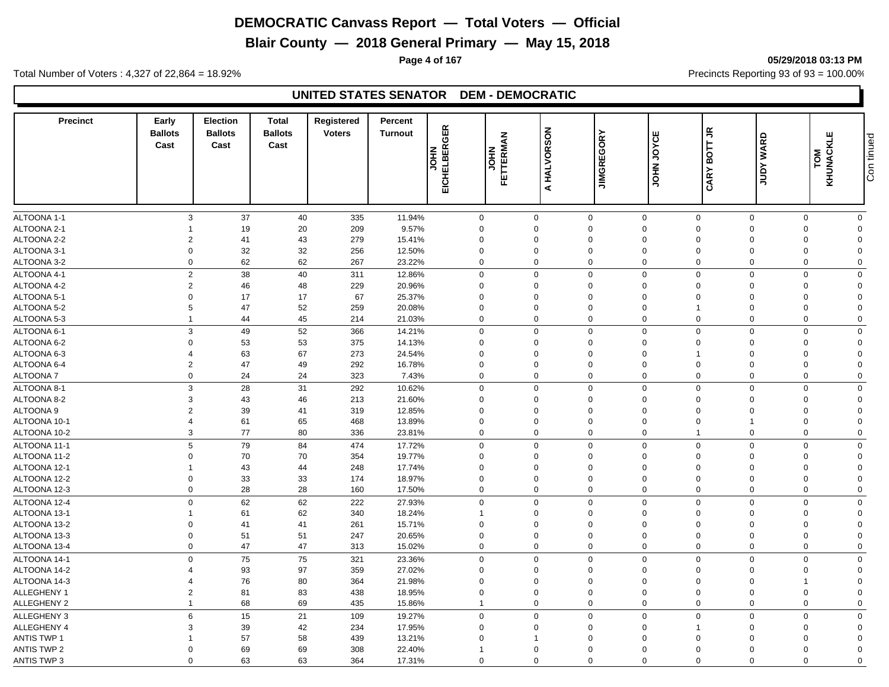**Blair County — 2018 General Primary — May 15, 2018**

**Page 4 of 167 05/29/2018 03:13 PM**

Total Number of Voters : 4,327 of 22,864 = 18.92% Precincts Reporting 93 of 93 = 100.00%

#### **UNITED STATES SENATOR DEM - DEMOCRATIC**

| <b>Precinct</b>    | Early<br><b>Ballots</b><br>Cast | <b>Election</b><br><b>Ballots</b><br>Cast | <b>Total</b><br><b>Ballots</b><br>Cast | Registered<br><b>Voters</b> | <b>Percent</b><br><b>Turnout</b> | <b>EICHELBERGER</b><br><b>NHOL</b> | FETTERMAN<br><b>NHOL</b> | A HALVORSON | <b>JIMGREGORY</b> | ш<br><b>DAOr</b><br>HOL | BOTT JR<br><b>CARY</b> | <b>WARD</b><br><b>Adnr</b> | KHUNACKLE<br>TOM | Con tinued |
|--------------------|---------------------------------|-------------------------------------------|----------------------------------------|-----------------------------|----------------------------------|------------------------------------|--------------------------|-------------|-------------------|-------------------------|------------------------|----------------------------|------------------|------------|
|                    |                                 |                                           |                                        |                             |                                  |                                    |                          |             |                   |                         |                        |                            |                  |            |
| ALTOONA 1-1        | 3                               | 37                                        | 40                                     | 335                         | 11.94%                           | $\mathsf 0$                        |                          | $\mathbf 0$ | $\mathbf 0$       | $\mathbf 0$             | $\mathbf 0$            | $\mathbf 0$<br>$\mathbf 0$ | $\mathbf 0$      |            |
| ALTOONA 2-1        | $\mathbf 1$                     | 19                                        | 20                                     | 209                         | 9.57%                            | $\Omega$                           |                          | $\Omega$    | $\Omega$          | $\Omega$                | $\Omega$               | $\mathbf 0$<br>$\Omega$    | $\mathbf 0$      |            |
| ALTOONA 2-2        | $\overline{2}$                  | 41                                        | 43                                     | 279                         | 15.41%                           | $\Omega$                           |                          | $\Omega$    | $\mathbf 0$       | $\Omega$                | $\Omega$               | $\Omega$<br>$\Omega$       | $\mathbf 0$      |            |
| ALTOONA 3-1        | $\mathbf 0$                     | 32                                        | 32                                     | 256                         | 12.50%                           | $\mathbf 0$                        |                          | $\Omega$    | $\mathbf 0$       | $\mathbf 0$             | $\mathbf 0$            | $\mathbf 0$<br>$\Omega$    | $\mathbf 0$      |            |
| ALTOONA 3-2        | $\Omega$                        | 62                                        | 62                                     | 267                         | 23.22%                           | $\Omega$                           |                          | $\Omega$    | $\mathbf 0$       | $\Omega$                | $\Omega$               | $\Omega$<br>$\Omega$       | $\mathbf 0$      |            |
| ALTOONA 4-1        | $\overline{2}$                  | 38                                        | 40                                     | 311                         | 12.86%                           | $\mathbf 0$                        |                          | $\Omega$    | $\Omega$          | $\mathbf 0$             | $\Omega$               | $\mathbf 0$<br>$\Omega$    | $\mathbf 0$      |            |
| ALTOONA 4-2        | $\overline{2}$                  | 46                                        | 48                                     | 229                         | 20.96%                           | $\Omega$                           |                          | $\Omega$    | $\mathbf 0$       | $\mathbf 0$             | $\Omega$               | $\mathbf 0$<br>$\Omega$    | $\mathbf 0$      |            |
| ALTOONA 5-1        | $\mathbf 0$                     | 17                                        | 17                                     | 67                          | 25.37%                           | $\mathbf 0$                        |                          | $\Omega$    | $\Omega$          | $\mathbf 0$             | $\Omega$               | $\mathbf 0$<br>$\Omega$    | $\mathbf 0$      |            |
| ALTOONA 5-2        | 5                               | 47                                        | 52                                     | 259                         | 20.08%                           | $\pmb{0}$                          |                          | $\Omega$    | $\mathbf 0$       | $\mathbf 0$             | $\overline{1}$         | $\mathbf 0$<br>$\Omega$    | $\mathbf 0$      |            |
| ALTOONA 5-3        | $\overline{1}$                  | 44                                        | 45                                     | 214                         | 21.03%                           | $\mathbf 0$                        |                          | $\mathbf 0$ | $\mathbf 0$       | $\mathbf 0$             | $\mathbf 0$            | $\mathbf 0$<br>$\mathbf 0$ | $\mathbf 0$      |            |
| ALTOONA 6-1        | 3                               | 49                                        | 52                                     | 366                         | 14.21%                           | $\mathbf 0$                        |                          | $\mathbf 0$ | $\mathbf 0$       | $\mathbf 0$             | $\Omega$               | $\mathbf 0$<br>$\Omega$    | $\mathbf 0$      |            |
| ALTOONA 6-2        | $\Omega$                        | 53                                        | 53                                     | 375                         | 14.13%                           | $\mathbf 0$                        |                          | $\Omega$    | $\Omega$          | $\mathbf 0$             | $\Omega$               | $\mathbf 0$<br>$\Omega$    | $\mathbf 0$      |            |
| ALTOONA 6-3        | $\overline{4}$                  | 63                                        | 67                                     | 273                         | 24.54%                           | 0                                  |                          | $\Omega$    | $\mathbf 0$       | 0                       | 1                      | $\mathbf 0$<br>$\Omega$    | $\mathbf 0$      |            |
| ALTOONA 6-4        | $\overline{2}$                  | 47                                        | 49                                     | 292                         | 16.78%                           | $\overline{0}$                     |                          | $\Omega$    | $\Omega$          | $\mathbf 0$             | $\Omega$               | $\Omega$<br>$\Omega$       | $\mathbf 0$      |            |
| <b>ALTOONA7</b>    | $\mathbf 0$                     | 24                                        | 24                                     | 323                         | 7.43%                            | $\mathbf 0$                        |                          | $\mathbf 0$ | $\mathbf 0$       | $\mathbf 0$             | $\Omega$               | $\mathbf 0$<br>$\mathbf 0$ | $\mathbf 0$      |            |
| ALTOONA 8-1        | 3                               | 28                                        | 31                                     | 292                         | 10.62%                           | $\Omega$                           |                          | $\Omega$    | $\mathbf 0$       | $\Omega$                | $\Omega$               | $\mathbf 0$<br>$\Omega$    | $\mathbf 0$      |            |
| ALTOONA 8-2        | 3                               | 43                                        | 46                                     | 213                         | 21.60%                           | $\mathbf 0$                        |                          | $\Omega$    | $\mathbf 0$       | $\mathbf 0$             | $\mathbf 0$            | $\mathbf 0$<br>$\Omega$    | $\mathbf 0$      |            |
| ALTOONA 9          | $\overline{2}$                  | 39                                        | 41                                     | 319                         | 12.85%                           | $\Omega$                           |                          | $\Omega$    | $\Omega$          | $\Omega$                | $\Omega$               | $\mathbf 0$<br>$\Omega$    | $\mathbf 0$      |            |
| ALTOONA 10-1       | $\overline{4}$                  | 61                                        | 65                                     | 468                         | 13.89%                           | 0                                  |                          | $\Omega$    | $\Omega$          | $\mathbf 0$             | $\mathbf 0$            | $\Omega$<br>-1             | $\mathbf 0$      |            |
| ALTOONA 10-2       | 3                               | 77                                        | 80                                     | 336                         | 23.81%                           | $\mathbf 0$                        |                          | $\mathbf 0$ | $\mathbf 0$       | $\mathbf 0$             | $\mathbf{1}$           | $\mathbf 0$<br>$\mathbf 0$ | $\mathbf 0$      |            |
| ALTOONA 11-1       | 5                               | 79                                        | 84                                     | 474                         | 17.72%                           | $\mathbf 0$                        |                          | $\Omega$    | $\mathbf 0$       | $\mathbf 0$             | $\mathbf 0$            | $\Omega$<br>$\mathbf 0$    | $\mathbf 0$      |            |
| ALTOONA 11-2       | $\mathbf{0}$                    | 70                                        | 70                                     | 354                         | 19.77%                           | $\Omega$                           |                          | $\Omega$    | $\Omega$          | $\Omega$                | $\Omega$               | $\Omega$<br>$\Omega$       | $\mathbf 0$      |            |
| ALTOONA 12-1       | -1                              | 43                                        | 44                                     | 248                         | 17.74%                           | $\Omega$                           |                          | $\Omega$    | $\Omega$          | $\Omega$                | $\Omega$               | $\Omega$<br>$\Omega$       | $\mathbf 0$      |            |
| ALTOONA 12-2       | $\Omega$                        | 33                                        | 33                                     | 174                         | 18.97%                           | $\Omega$                           |                          | $\Omega$    | $\Omega$          | $\Omega$                | $\Omega$               | $\mathbf 0$<br>$\Omega$    | $\mathbf 0$      |            |
| ALTOONA 12-3       | $\mathbf 0$                     | 28                                        | 28                                     | 160                         | 17.50%                           | $\Omega$                           |                          | $\Omega$    | $\mathbf 0$       | $\Omega$                | $\Omega$               | $\Omega$<br>$\mathbf 0$    | $\mathbf 0$      |            |
| ALTOONA 12-4       | $\mathbf 0$                     | 62                                        | 62                                     | 222                         | 27.93%                           | $\mathbf 0$                        |                          | $\mathbf 0$ | $\mathbf 0$       | $\mathbf 0$             | $\mathbf 0$            | $\mathbf 0$<br>$\mathbf 0$ | $\mathbf 0$      |            |
| ALTOONA 13-1       | $\overline{1}$                  | 61                                        | 62                                     | 340                         | 18.24%                           | $\mathbf{1}$                       |                          | $\Omega$    | $\Omega$          | $\mathbf 0$             | $\Omega$               | $\Omega$<br>$\Omega$       | $\mathbf 0$      |            |
| ALTOONA 13-2       | $\Omega$                        | 41                                        | 41                                     | 261                         | 15.71%                           | $\overline{0}$                     |                          | $\Omega$    | $\mathbf 0$       | $\mathbf 0$             | $\Omega$               | $\Omega$<br>$\Omega$       | $\mathbf 0$      |            |
| ALTOONA 13-3       | $\mathbf 0$                     | 51                                        | 51                                     | 247                         | 20.65%                           | $\mathbf 0$                        |                          | $\Omega$    | $\mathbf 0$       | $\mathbf 0$             | $\mathbf 0$            | $\mathbf 0$<br>$\Omega$    | $\mathbf 0$      |            |
| ALTOONA 13-4       | $\mathbf 0$                     | 47                                        | 47                                     | 313                         | 15.02%                           | $\mathbf 0$                        |                          | $\Omega$    | $\mathbf 0$       | $\mathbf 0$             | $\Omega$               | $\Omega$<br>$\Omega$       | $\mathbf 0$      |            |
| ALTOONA 14-1       | $\Omega$                        | 75                                        | 75                                     | 321                         | 23.36%                           | $\mathbf 0$                        |                          | $\Omega$    | $\mathbf 0$       | $\mathbf 0$             | $\Omega$               | $\mathbf 0$<br>$\Omega$    | $\mathbf 0$      |            |
| ALTOONA 14-2       | 4                               | 93                                        | 97                                     | 359                         | 27.02%                           | $\mathbf 0$                        |                          | $\Omega$    | $\mathbf 0$       | $\mathbf 0$             | $\Omega$               | $\mathbf 0$<br>$\Omega$    | $\mathbf 0$      |            |
| ALTOONA 14-3       | $\overline{4}$                  | 76                                        | 80                                     | 364                         | 21.98%                           | $\mathbf 0$                        |                          | $\Omega$    | $\Omega$          | $\mathbf 0$             | $\mathbf 0$            | $\mathbf 0$<br>-1          | $\mathbf 0$      |            |
| ALLEGHENY 1        | $\overline{2}$                  | 81                                        | 83                                     | 438                         | 18.95%                           | $\mathbf 0$                        |                          | $\Omega$    | $\mathbf 0$       | $\mathbf 0$             | $\Omega$               | $\mathbf 0$<br>$\Omega$    | $\mathbf 0$      |            |
| ALLEGHENY 2        | $\overline{1}$                  | 68                                        | 69                                     | 435                         | 15.86%                           | $\overline{1}$                     |                          | $\mathbf 0$ | $\mathbf 0$       | $\mathbf 0$             | $\mathbf 0$            | $\mathbf 0$<br>$\mathbf 0$ | $\mathbf 0$      |            |
|                    |                                 |                                           |                                        |                             |                                  |                                    |                          |             |                   |                         |                        |                            |                  |            |
| ALLEGHENY 3        | 6                               | 15                                        | 21                                     | 109                         | 19.27%                           | $\mathbf 0$                        |                          | $\mathbf 0$ | $\mathbf 0$       | $\mathbf 0$             | $\mathbf 0$            | $\mathbf 0$<br>$\mathbf 0$ | $\mathbf 0$      |            |
| ALLEGHENY 4        | 3                               | 39                                        | 42                                     | 234                         | 17.95%                           | $\overline{0}$                     |                          | $\Omega$    | $\Omega$          | $\mathbf 0$             | $\mathbf{1}$           | $\mathbf 0$<br>$\Omega$    | $\mathbf 0$      |            |
| <b>ANTIS TWP 1</b> |                                 | 57                                        | 58                                     | 439                         | 13.21%                           | $\Omega$                           |                          | -1          | $\Omega$          | $\Omega$                | $\Omega$               | $\Omega$<br>$\Omega$       | $\Omega$         |            |
| <b>ANTIS TWP 2</b> | $\Omega$                        | 69                                        | 69                                     | 308                         | 22.40%                           |                                    |                          | $\Omega$    | $\Omega$          | $\Omega$                | $\Omega$               | $\Omega$<br>$\Omega$       | $\Omega$         |            |
| <b>ANTIS TWP 3</b> | $\Omega$                        | 63                                        | 63                                     | 364                         | 17.31%                           | $\Omega$                           |                          | $\Omega$    | $\mathbf 0$       | $\mathbf 0$             | $\Omega$               | $\Omega$<br>$\Omega$       | $\mathbf 0$      |            |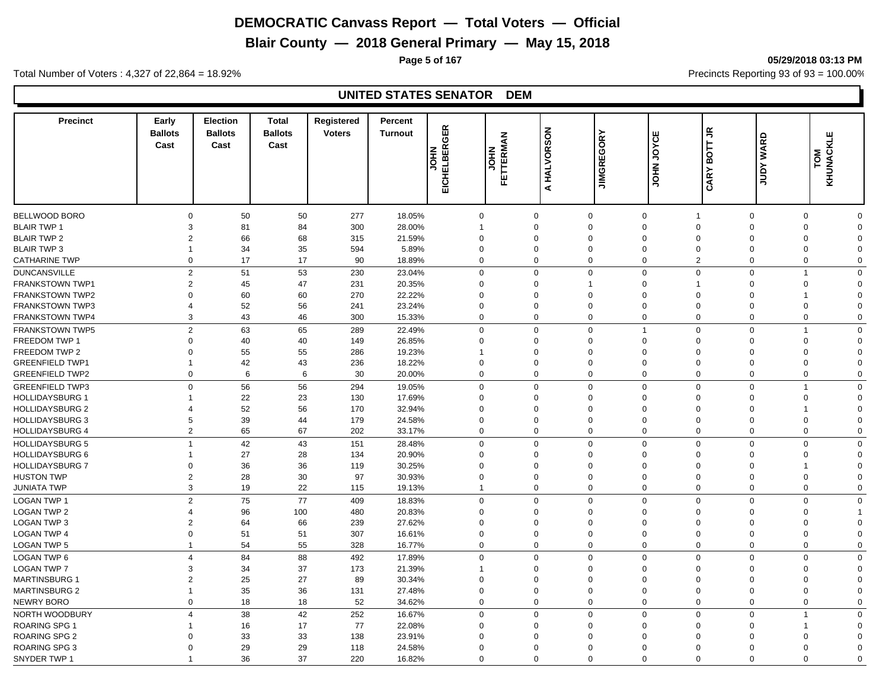**Blair County — 2018 General Primary — May 15, 2018**

**Page 5 of 167 05/29/2018 03:13 PM**

Total Number of Voters : 4,327 of 22,864 = 18.92% Precincts Reporting 93 of 93 = 100.00%

| 50<br>277<br>$\Omega$<br>50<br>18.05%<br>$\mathbf 0$<br>$\Omega$<br>$\mathbf 0$<br>$\mathbf 0$<br>$\mathbf 0$<br>$\mathbf 0$<br>$\mathbf 0$<br>$\overline{1}$<br>81<br>84<br>300<br>28.00%<br>3<br>$\Omega$<br>$\Omega$<br>$\Omega$<br>$\Omega$<br>$\mathbf 0$<br>$\mathbf 0$<br>$\Omega$<br>1<br>66<br>68<br>21.59%<br>$\overline{2}$<br>315<br>$\Omega$<br>$\Omega$<br>$\Omega$<br>$\Omega$<br>$\Omega$<br>$\mathbf 0$<br>$\Omega$<br>$\Omega$<br>34<br>35<br>594<br>5.89%<br>$\mathbf 0$<br>$\mathbf 0$<br>$\mathbf 0$<br>$\overline{1}$<br>$\Omega$<br>$\Omega$<br>$\mathbf 0$<br>0<br>$\Omega$<br>$\Omega$<br>17<br>17<br>90<br>18.89%<br>$\Omega$<br>$\mathbf 0$<br>$\mathbf 0$<br>$\overline{2}$<br>$\mathbf 0$<br>$\mathbf 0$<br>$\Omega$<br>$\Omega$<br>$\overline{2}$<br>51<br>53<br>$\Omega$<br>$\Omega$<br>$\Omega$<br>$\mathbf 0$<br>230<br>23.04%<br>$\Omega$<br>$\Omega$<br>$\Omega$<br>$\overline{1}$<br>$\overline{2}$<br>45<br>47<br>20.35%<br>$\Omega$<br>$\mathbf 0$<br>231<br>$\Omega$<br>$\Omega$<br>$\mathbf 0$<br>$\Omega$<br>$\mathbf{1}$<br>1<br>60<br>60<br>270<br>$\Omega$<br>22.22%<br>$\Omega$<br>$\Omega$<br>$\Omega$<br>$\Omega$<br>$\Omega$<br>$\Omega$<br>$\Omega$<br>52<br>56<br>241<br>23.24%<br>$\Omega$<br>$\Omega$<br>$\Omega$<br>$\Omega$<br>$\overline{4}$<br>$\Omega$<br>$\Omega$<br>$\Omega$<br>$\Omega$<br>43<br>3<br>46<br>15.33%<br>$\Omega$<br>$\mathbf 0$<br>$\mathbf 0$<br>$\Omega$<br>$\mathbf 0$<br>300<br>$\Omega$<br>$\Omega$<br>$\mathbf 0$<br>$\overline{2}$<br>63<br>$\mathbf 0$<br>65<br>289<br>22.49%<br>$\mathbf 0$<br>$\Omega$<br>$\mathbf 0$<br>$\overline{1}$<br>$\mathbf 0$<br>$\mathbf 0$<br>$\overline{1}$<br>FREEDOM TWP 1<br>$\mathbf 0$<br>40<br>40<br>26.85%<br>$\Omega$<br>$\mathbf 0$<br>149<br>$\Omega$<br>$\Omega$<br>$\mathbf 0$<br>$\Omega$<br>$\mathbf 0$<br>$\Omega$<br>55<br>FREEDOM TWP 2<br>$\Omega$<br>55<br>286<br>19.23%<br>$\Omega$<br>$\mathbf 0$<br>$\mathbf 0$<br>$\Omega$<br>$\Omega$<br>$\Omega$<br>$\Omega$<br>42<br><b>GREENFIELD TWP1</b><br>43<br>236<br>18.22%<br>$\mathbf 0$<br>$\Omega$<br>$\Omega$<br>$\mathbf 0$<br>$\mathbf 0$<br>$\mathbf 0$<br>$\mathbf 0$<br>$\overline{1}$<br>$\Omega$<br>$\mathbf 0$<br>6<br>30<br>20.00%<br>$\mathbf 0$<br>$\mathbf{0}$<br>$\mathbf 0$<br>$\mathbf 0$<br><b>GREENFIELD TWP2</b><br>6<br>$\mathbf 0$<br>$\Omega$<br>$\mathbf 0$<br>$\mathbf 0$<br><b>GREENFIELD TWP3</b><br>$\Omega$<br>56<br>56<br>294<br>19.05%<br>$\mathbf 0$<br>$\mathbf 0$<br>$\mathbf 0$<br>$\mathbf 0$<br>$\Omega$<br>$\Omega$<br>$\mathbf 0$<br>$\overline{1}$<br><b>HOLLIDAYSBURG 1</b><br>22<br>23<br>130<br>17.69%<br>$\mathbf 0$<br>$\mathbf 0$<br>$\Omega$<br>$\mathbf 0$<br>$\mathbf 0$<br>$\mathbf 0$<br>$\mathbf 0$<br>-1<br>$\Omega$<br>52<br>56<br><b>HOLLIDAYSBURG 2</b><br>170<br>32.94%<br>$\Omega$<br>$\Omega$<br>$\Omega$<br>$\Omega$<br>$\Omega$<br>$\Omega$<br>$\Omega$<br>39<br>44<br>179<br>$\mathbf 0$<br><b>HOLLIDAYSBURG 3</b><br>5<br>24.58%<br>0<br>$\Omega$<br>$\Omega$<br>$\mathbf 0$<br>$\Omega$<br>$\mathbf 0$<br>$\Omega$<br>$\overline{2}$<br>65<br>67<br>$\Omega$<br>$\mathbf 0$<br>$\mathbf 0$<br>$\Omega$<br>$\Omega$<br>$\mathbf 0$<br><b>HOLLIDAYSBURG 4</b><br>202<br>33.17%<br>$\Omega$<br>$\mathbf 0$<br>42<br><b>HOLLIDAYSBURG 5</b><br>$\overline{1}$<br>43<br>$\mathbf 0$<br>$\Omega$<br>$\mathbf 0$<br>$\Omega$<br>$\Omega$<br>$\mathbf 0$<br>151<br>28.48%<br>$\Omega$<br>$\Omega$<br><b>HOLLIDAYSBURG 6</b><br>27<br>28<br>134<br>20.90%<br>$\Omega$<br>$\Omega$<br>$\Omega$<br>$\mathbf 0$<br>$\Omega$<br>$\Omega$<br>$\Omega$<br>$\mathbf{1}$<br>$\Omega$<br>36<br>36<br>30.25%<br><b>HOLLIDAYSBURG 7</b><br>$\Omega$<br>119<br>$\Omega$<br>$\Omega$<br>$\Omega$<br>$\Omega$<br>$\mathbf 0$<br>$\Omega$<br>$\Omega$<br>$\overline{2}$<br>28<br>30<br>97<br><b>HUSTON TWP</b><br>30.93%<br>$\Omega$<br>$\Omega$<br>$\Omega$<br>$\Omega$<br>$\Omega$<br>$\mathbf 0$<br>$\mathbf 0$<br>$\Omega$<br>3<br>19<br>22<br>$\mathbf 0$<br>$\mathbf 0$<br>$\Omega$<br>$\Omega$<br>$\mathbf 0$<br><b>JUNIATA TWP</b><br>115<br>19.13%<br>$\Omega$<br>$\mathbf 0$<br>$\mathbf{1}$<br>2<br>75<br>77<br>409<br>$\mathbf 0$<br>$\mathbf 0$<br>18.83%<br>$\Omega$<br>$\mathbf 0$<br>$\Omega$<br>$\mathbf 0$<br>$\mathbf 0$<br>$\mathbf 0$<br>96<br>100<br>480<br>20.83%<br>$\mathbf 0$<br>$\Omega$<br>$\mathbf 0$<br>$\Omega$<br>$\Omega$<br>$\Omega$<br>$\Omega$<br>$\overline{4}$<br>$\mathbf{1}$<br>64<br>$\overline{2}$<br>66<br>239<br>27.62%<br>$\Omega$<br>$\Omega$<br>$\Omega$<br>$\Omega$<br>$\Omega$<br>$\Omega$<br>$\mathbf 0$<br>$\Omega$<br><b>LOGAN TWP 4</b><br>$\Omega$<br>51<br>51<br>307<br>16.61%<br>$\mathbf 0$<br>$\mathbf 0$<br>$\mathbf 0$<br>$\mathbf 0$<br>$\mathbf 0$<br>$\Omega$<br>$\mathbf 0$<br>$\Omega$<br>54<br>55<br>$\Omega$<br>328<br>16.77%<br>$\Omega$<br>$\Omega$<br>$\mathbf 0$<br>$\mathbf 0$<br>$\Omega$<br>$\Omega$<br>$\mathbf 0$<br>$\mathbf{1}$<br>84<br>88<br>$\Omega$<br>$\Omega$<br>$\overline{4}$<br>492<br>17.89%<br>$\Omega$<br>$\Omega$<br>$\Omega$<br>$\Omega$<br>$\mathbf 0$<br>$\Omega$<br>34<br>37<br>21.39%<br>$\mathbf 0$<br>3<br>173<br>$\Omega$<br>$\Omega$<br>$\mathbf 0$<br>$\Omega$<br>$\Omega$<br>$\Omega$<br>$\overline{2}$<br>25<br>27<br>89<br>$\mathbf 0$<br>30.34%<br>$\Omega$<br>$\Omega$<br>$\Omega$<br>$\mathbf 0$<br>$\Omega$<br>$\Omega$<br>$\Omega$<br>35<br>36<br>$\mathbf 0$<br>27.48%<br>$\mathbf 0$<br>$\Omega$<br>$\overline{0}$<br>$\mathbf 0$<br>$\Omega$<br>$\mathbf 0$<br>131<br>$\Omega$<br>$\mathbf 1$<br>$\Omega$<br>18<br>18<br>52<br>$\mathbf 0$<br>$\mathbf 0$<br>$\mathbf 0$<br>$\mathbf 0$<br>$\mathbf 0$<br>34.62%<br>$\Omega$<br>$\Omega$<br>$\mathbf 0$<br>38<br>42<br>$\Delta$<br>252<br>16.67%<br>$\mathbf 0$<br>$\mathbf 0$<br>$\mathbf 0$<br>$\Omega$<br>$\mathbf 0$<br>$\mathbf 0$<br>$\mathbf 0$<br>$\overline{1}$<br>16<br>17<br>77<br>22.08%<br>$\overline{0}$<br>$\mathbf 0$<br>$\Omega$<br>$\Omega$<br>$\mathbf 0$<br>$\mathbf 0$<br>$\mathbf 0$<br>33<br>33<br>138<br>23.91%<br>$\Omega$<br>$\Omega$<br>$\Omega$<br>$\Omega$<br>$\Omega$<br>$\Omega$<br>$\Omega$<br>$\Omega$<br>29<br>29<br>24.58%<br>$\Omega$<br>$\Omega$<br>$\mathbf 0$<br>$\mathbf 0$<br>$\Omega$<br>118<br>$\Omega$<br>$\Omega$<br>$\Omega$<br>$\Omega$<br>36<br>37<br>220<br>16.82%<br>$\Omega$<br>$\Omega$<br>$\Omega$<br>$\Omega$<br>$\Omega$<br>$\Omega$<br>$\Omega$<br>$\Omega$ | <b>Precinct</b>        | Early<br><b>Ballots</b><br>Cast | <b>Election</b><br><b>Ballots</b><br>Cast | <b>Total</b><br><b>Ballots</b><br>Cast | Registered<br><b>Voters</b> | Percent<br><b>Turnout</b> | EICHELBERGER<br><b>NHOL</b> | $\tilde{\mathbf{z}}$<br>FETTERM<br><b>NHOL</b> | HALVORSON<br>$\blacktriangleleft$ | <b>JIMGREGORY</b> | ш<br>JOYCI<br><b>NHOT</b> | BOTT JR<br><b>CARY</b> | <b>WARD</b><br><b>Adnr</b> | KLE<br>KHUNAC<br>TOM |  |
|-----------------------------------------------------------------------------------------------------------------------------------------------------------------------------------------------------------------------------------------------------------------------------------------------------------------------------------------------------------------------------------------------------------------------------------------------------------------------------------------------------------------------------------------------------------------------------------------------------------------------------------------------------------------------------------------------------------------------------------------------------------------------------------------------------------------------------------------------------------------------------------------------------------------------------------------------------------------------------------------------------------------------------------------------------------------------------------------------------------------------------------------------------------------------------------------------------------------------------------------------------------------------------------------------------------------------------------------------------------------------------------------------------------------------------------------------------------------------------------------------------------------------------------------------------------------------------------------------------------------------------------------------------------------------------------------------------------------------------------------------------------------------------------------------------------------------------------------------------------------------------------------------------------------------------------------------------------------------------------------------------------------------------------------------------------------------------------------------------------------------------------------------------------------------------------------------------------------------------------------------------------------------------------------------------------------------------------------------------------------------------------------------------------------------------------------------------------------------------------------------------------------------------------------------------------------------------------------------------------------------------------------------------------------------------------------------------------------------------------------------------------------------------------------------------------------------------------------------------------------------------------------------------------------------------------------------------------------------------------------------------------------------------------------------------------------------------------------------------------------------------------------------------------------------------------------------------------------------------------------------------------------------------------------------------------------------------------------------------------------------------------------------------------------------------------------------------------------------------------------------------------------------------------------------------------------------------------------------------------------------------------------------------------------------------------------------------------------------------------------------------------------------------------------------------------------------------------------------------------------------------------------------------------------------------------------------------------------------------------------------------------------------------------------------------------------------------------------------------------------------------------------------------------------------------------------------------------------------------------------------------------------------------------------------------------------------------------------------------------------------------------------------------------------------------------------------------------------------------------------------------------------------------------------------------------------------------------------------------------------------------------------------------------------------------------------------------------------------------------------------------------------------------------------------------------------------------------------------------------------------------------------------------------------------------------------------------------------------------------------------------------------------------------------------------------------------------------------------------------------------------------------------------------------------------------------------------------------------------------------------------------------------------------------------------------------------------------------------------------------------------------------------------------------------------------------------------------------------------------------------------------------------------------------------------------------------------------------------------------------------------------------------------------------------------------------------------------------------------------------------------------------------------------------------------------------------------------------------------------------------------------------------------------------------------------------------------------------------------------------------------------------------------------------------------------------------------------------------------------------------------------------------------------------------------------------------------------------------------------------------------------------------------------------------------------------------------------------------------------------------------------------------------------------|------------------------|---------------------------------|-------------------------------------------|----------------------------------------|-----------------------------|---------------------------|-----------------------------|------------------------------------------------|-----------------------------------|-------------------|---------------------------|------------------------|----------------------------|----------------------|--|
|                                                                                                                                                                                                                                                                                                                                                                                                                                                                                                                                                                                                                                                                                                                                                                                                                                                                                                                                                                                                                                                                                                                                                                                                                                                                                                                                                                                                                                                                                                                                                                                                                                                                                                                                                                                                                                                                                                                                                                                                                                                                                                                                                                                                                                                                                                                                                                                                                                                                                                                                                                                                                                                                                                                                                                                                                                                                                                                                                                                                                                                                                                                                                                                                                                                                                                                                                                                                                                                                                                                                                                                                                                                                                                                                                                                                                                                                                                                                                                                                                                                                                                                                                                                                                                                                                                                                                                                                                                                                                                                                                                                                                                                                                                                                                                                                                                                                                                                                                                                                                                                                                                                                                                                                                                                                                                                                                                                                                                                                                                                                                                                                                                                                                                                                                                                                                                                                                                                                                                                                                                                                                                                                                                                                                                                                                                                                                                                                                 |                        |                                 |                                           |                                        |                             |                           |                             |                                                |                                   |                   |                           |                        |                            |                      |  |
|                                                                                                                                                                                                                                                                                                                                                                                                                                                                                                                                                                                                                                                                                                                                                                                                                                                                                                                                                                                                                                                                                                                                                                                                                                                                                                                                                                                                                                                                                                                                                                                                                                                                                                                                                                                                                                                                                                                                                                                                                                                                                                                                                                                                                                                                                                                                                                                                                                                                                                                                                                                                                                                                                                                                                                                                                                                                                                                                                                                                                                                                                                                                                                                                                                                                                                                                                                                                                                                                                                                                                                                                                                                                                                                                                                                                                                                                                                                                                                                                                                                                                                                                                                                                                                                                                                                                                                                                                                                                                                                                                                                                                                                                                                                                                                                                                                                                                                                                                                                                                                                                                                                                                                                                                                                                                                                                                                                                                                                                                                                                                                                                                                                                                                                                                                                                                                                                                                                                                                                                                                                                                                                                                                                                                                                                                                                                                                                                                 | BELLWOOD BORO          |                                 |                                           |                                        |                             |                           |                             |                                                |                                   |                   |                           |                        |                            |                      |  |
|                                                                                                                                                                                                                                                                                                                                                                                                                                                                                                                                                                                                                                                                                                                                                                                                                                                                                                                                                                                                                                                                                                                                                                                                                                                                                                                                                                                                                                                                                                                                                                                                                                                                                                                                                                                                                                                                                                                                                                                                                                                                                                                                                                                                                                                                                                                                                                                                                                                                                                                                                                                                                                                                                                                                                                                                                                                                                                                                                                                                                                                                                                                                                                                                                                                                                                                                                                                                                                                                                                                                                                                                                                                                                                                                                                                                                                                                                                                                                                                                                                                                                                                                                                                                                                                                                                                                                                                                                                                                                                                                                                                                                                                                                                                                                                                                                                                                                                                                                                                                                                                                                                                                                                                                                                                                                                                                                                                                                                                                                                                                                                                                                                                                                                                                                                                                                                                                                                                                                                                                                                                                                                                                                                                                                                                                                                                                                                                                                 | <b>BLAIR TWP 1</b>     |                                 |                                           |                                        |                             |                           |                             |                                                |                                   |                   |                           |                        |                            |                      |  |
|                                                                                                                                                                                                                                                                                                                                                                                                                                                                                                                                                                                                                                                                                                                                                                                                                                                                                                                                                                                                                                                                                                                                                                                                                                                                                                                                                                                                                                                                                                                                                                                                                                                                                                                                                                                                                                                                                                                                                                                                                                                                                                                                                                                                                                                                                                                                                                                                                                                                                                                                                                                                                                                                                                                                                                                                                                                                                                                                                                                                                                                                                                                                                                                                                                                                                                                                                                                                                                                                                                                                                                                                                                                                                                                                                                                                                                                                                                                                                                                                                                                                                                                                                                                                                                                                                                                                                                                                                                                                                                                                                                                                                                                                                                                                                                                                                                                                                                                                                                                                                                                                                                                                                                                                                                                                                                                                                                                                                                                                                                                                                                                                                                                                                                                                                                                                                                                                                                                                                                                                                                                                                                                                                                                                                                                                                                                                                                                                                 | <b>BLAIR TWP 2</b>     |                                 |                                           |                                        |                             |                           |                             |                                                |                                   |                   |                           |                        |                            |                      |  |
|                                                                                                                                                                                                                                                                                                                                                                                                                                                                                                                                                                                                                                                                                                                                                                                                                                                                                                                                                                                                                                                                                                                                                                                                                                                                                                                                                                                                                                                                                                                                                                                                                                                                                                                                                                                                                                                                                                                                                                                                                                                                                                                                                                                                                                                                                                                                                                                                                                                                                                                                                                                                                                                                                                                                                                                                                                                                                                                                                                                                                                                                                                                                                                                                                                                                                                                                                                                                                                                                                                                                                                                                                                                                                                                                                                                                                                                                                                                                                                                                                                                                                                                                                                                                                                                                                                                                                                                                                                                                                                                                                                                                                                                                                                                                                                                                                                                                                                                                                                                                                                                                                                                                                                                                                                                                                                                                                                                                                                                                                                                                                                                                                                                                                                                                                                                                                                                                                                                                                                                                                                                                                                                                                                                                                                                                                                                                                                                                                 | <b>BLAIR TWP 3</b>     |                                 |                                           |                                        |                             |                           |                             |                                                |                                   |                   |                           |                        |                            |                      |  |
|                                                                                                                                                                                                                                                                                                                                                                                                                                                                                                                                                                                                                                                                                                                                                                                                                                                                                                                                                                                                                                                                                                                                                                                                                                                                                                                                                                                                                                                                                                                                                                                                                                                                                                                                                                                                                                                                                                                                                                                                                                                                                                                                                                                                                                                                                                                                                                                                                                                                                                                                                                                                                                                                                                                                                                                                                                                                                                                                                                                                                                                                                                                                                                                                                                                                                                                                                                                                                                                                                                                                                                                                                                                                                                                                                                                                                                                                                                                                                                                                                                                                                                                                                                                                                                                                                                                                                                                                                                                                                                                                                                                                                                                                                                                                                                                                                                                                                                                                                                                                                                                                                                                                                                                                                                                                                                                                                                                                                                                                                                                                                                                                                                                                                                                                                                                                                                                                                                                                                                                                                                                                                                                                                                                                                                                                                                                                                                                                                 | <b>CATHARINE TWP</b>   |                                 |                                           |                                        |                             |                           |                             |                                                |                                   |                   |                           |                        |                            |                      |  |
|                                                                                                                                                                                                                                                                                                                                                                                                                                                                                                                                                                                                                                                                                                                                                                                                                                                                                                                                                                                                                                                                                                                                                                                                                                                                                                                                                                                                                                                                                                                                                                                                                                                                                                                                                                                                                                                                                                                                                                                                                                                                                                                                                                                                                                                                                                                                                                                                                                                                                                                                                                                                                                                                                                                                                                                                                                                                                                                                                                                                                                                                                                                                                                                                                                                                                                                                                                                                                                                                                                                                                                                                                                                                                                                                                                                                                                                                                                                                                                                                                                                                                                                                                                                                                                                                                                                                                                                                                                                                                                                                                                                                                                                                                                                                                                                                                                                                                                                                                                                                                                                                                                                                                                                                                                                                                                                                                                                                                                                                                                                                                                                                                                                                                                                                                                                                                                                                                                                                                                                                                                                                                                                                                                                                                                                                                                                                                                                                                 | <b>DUNCANSVILLE</b>    |                                 |                                           |                                        |                             |                           |                             |                                                |                                   |                   |                           |                        |                            |                      |  |
|                                                                                                                                                                                                                                                                                                                                                                                                                                                                                                                                                                                                                                                                                                                                                                                                                                                                                                                                                                                                                                                                                                                                                                                                                                                                                                                                                                                                                                                                                                                                                                                                                                                                                                                                                                                                                                                                                                                                                                                                                                                                                                                                                                                                                                                                                                                                                                                                                                                                                                                                                                                                                                                                                                                                                                                                                                                                                                                                                                                                                                                                                                                                                                                                                                                                                                                                                                                                                                                                                                                                                                                                                                                                                                                                                                                                                                                                                                                                                                                                                                                                                                                                                                                                                                                                                                                                                                                                                                                                                                                                                                                                                                                                                                                                                                                                                                                                                                                                                                                                                                                                                                                                                                                                                                                                                                                                                                                                                                                                                                                                                                                                                                                                                                                                                                                                                                                                                                                                                                                                                                                                                                                                                                                                                                                                                                                                                                                                                 | <b>FRANKSTOWN TWP1</b> |                                 |                                           |                                        |                             |                           |                             |                                                |                                   |                   |                           |                        |                            |                      |  |
|                                                                                                                                                                                                                                                                                                                                                                                                                                                                                                                                                                                                                                                                                                                                                                                                                                                                                                                                                                                                                                                                                                                                                                                                                                                                                                                                                                                                                                                                                                                                                                                                                                                                                                                                                                                                                                                                                                                                                                                                                                                                                                                                                                                                                                                                                                                                                                                                                                                                                                                                                                                                                                                                                                                                                                                                                                                                                                                                                                                                                                                                                                                                                                                                                                                                                                                                                                                                                                                                                                                                                                                                                                                                                                                                                                                                                                                                                                                                                                                                                                                                                                                                                                                                                                                                                                                                                                                                                                                                                                                                                                                                                                                                                                                                                                                                                                                                                                                                                                                                                                                                                                                                                                                                                                                                                                                                                                                                                                                                                                                                                                                                                                                                                                                                                                                                                                                                                                                                                                                                                                                                                                                                                                                                                                                                                                                                                                                                                 | <b>FRANKSTOWN TWP2</b> |                                 |                                           |                                        |                             |                           |                             |                                                |                                   |                   |                           |                        |                            |                      |  |
|                                                                                                                                                                                                                                                                                                                                                                                                                                                                                                                                                                                                                                                                                                                                                                                                                                                                                                                                                                                                                                                                                                                                                                                                                                                                                                                                                                                                                                                                                                                                                                                                                                                                                                                                                                                                                                                                                                                                                                                                                                                                                                                                                                                                                                                                                                                                                                                                                                                                                                                                                                                                                                                                                                                                                                                                                                                                                                                                                                                                                                                                                                                                                                                                                                                                                                                                                                                                                                                                                                                                                                                                                                                                                                                                                                                                                                                                                                                                                                                                                                                                                                                                                                                                                                                                                                                                                                                                                                                                                                                                                                                                                                                                                                                                                                                                                                                                                                                                                                                                                                                                                                                                                                                                                                                                                                                                                                                                                                                                                                                                                                                                                                                                                                                                                                                                                                                                                                                                                                                                                                                                                                                                                                                                                                                                                                                                                                                                                 | <b>FRANKSTOWN TWP3</b> |                                 |                                           |                                        |                             |                           |                             |                                                |                                   |                   |                           |                        |                            |                      |  |
|                                                                                                                                                                                                                                                                                                                                                                                                                                                                                                                                                                                                                                                                                                                                                                                                                                                                                                                                                                                                                                                                                                                                                                                                                                                                                                                                                                                                                                                                                                                                                                                                                                                                                                                                                                                                                                                                                                                                                                                                                                                                                                                                                                                                                                                                                                                                                                                                                                                                                                                                                                                                                                                                                                                                                                                                                                                                                                                                                                                                                                                                                                                                                                                                                                                                                                                                                                                                                                                                                                                                                                                                                                                                                                                                                                                                                                                                                                                                                                                                                                                                                                                                                                                                                                                                                                                                                                                                                                                                                                                                                                                                                                                                                                                                                                                                                                                                                                                                                                                                                                                                                                                                                                                                                                                                                                                                                                                                                                                                                                                                                                                                                                                                                                                                                                                                                                                                                                                                                                                                                                                                                                                                                                                                                                                                                                                                                                                                                 | FRANKSTOWN TWP4        |                                 |                                           |                                        |                             |                           |                             |                                                |                                   |                   |                           |                        |                            |                      |  |
|                                                                                                                                                                                                                                                                                                                                                                                                                                                                                                                                                                                                                                                                                                                                                                                                                                                                                                                                                                                                                                                                                                                                                                                                                                                                                                                                                                                                                                                                                                                                                                                                                                                                                                                                                                                                                                                                                                                                                                                                                                                                                                                                                                                                                                                                                                                                                                                                                                                                                                                                                                                                                                                                                                                                                                                                                                                                                                                                                                                                                                                                                                                                                                                                                                                                                                                                                                                                                                                                                                                                                                                                                                                                                                                                                                                                                                                                                                                                                                                                                                                                                                                                                                                                                                                                                                                                                                                                                                                                                                                                                                                                                                                                                                                                                                                                                                                                                                                                                                                                                                                                                                                                                                                                                                                                                                                                                                                                                                                                                                                                                                                                                                                                                                                                                                                                                                                                                                                                                                                                                                                                                                                                                                                                                                                                                                                                                                                                                 | <b>FRANKSTOWN TWP5</b> |                                 |                                           |                                        |                             |                           |                             |                                                |                                   |                   |                           |                        |                            |                      |  |
|                                                                                                                                                                                                                                                                                                                                                                                                                                                                                                                                                                                                                                                                                                                                                                                                                                                                                                                                                                                                                                                                                                                                                                                                                                                                                                                                                                                                                                                                                                                                                                                                                                                                                                                                                                                                                                                                                                                                                                                                                                                                                                                                                                                                                                                                                                                                                                                                                                                                                                                                                                                                                                                                                                                                                                                                                                                                                                                                                                                                                                                                                                                                                                                                                                                                                                                                                                                                                                                                                                                                                                                                                                                                                                                                                                                                                                                                                                                                                                                                                                                                                                                                                                                                                                                                                                                                                                                                                                                                                                                                                                                                                                                                                                                                                                                                                                                                                                                                                                                                                                                                                                                                                                                                                                                                                                                                                                                                                                                                                                                                                                                                                                                                                                                                                                                                                                                                                                                                                                                                                                                                                                                                                                                                                                                                                                                                                                                                                 |                        |                                 |                                           |                                        |                             |                           |                             |                                                |                                   |                   |                           |                        |                            |                      |  |
|                                                                                                                                                                                                                                                                                                                                                                                                                                                                                                                                                                                                                                                                                                                                                                                                                                                                                                                                                                                                                                                                                                                                                                                                                                                                                                                                                                                                                                                                                                                                                                                                                                                                                                                                                                                                                                                                                                                                                                                                                                                                                                                                                                                                                                                                                                                                                                                                                                                                                                                                                                                                                                                                                                                                                                                                                                                                                                                                                                                                                                                                                                                                                                                                                                                                                                                                                                                                                                                                                                                                                                                                                                                                                                                                                                                                                                                                                                                                                                                                                                                                                                                                                                                                                                                                                                                                                                                                                                                                                                                                                                                                                                                                                                                                                                                                                                                                                                                                                                                                                                                                                                                                                                                                                                                                                                                                                                                                                                                                                                                                                                                                                                                                                                                                                                                                                                                                                                                                                                                                                                                                                                                                                                                                                                                                                                                                                                                                                 |                        |                                 |                                           |                                        |                             |                           |                             |                                                |                                   |                   |                           |                        |                            |                      |  |
|                                                                                                                                                                                                                                                                                                                                                                                                                                                                                                                                                                                                                                                                                                                                                                                                                                                                                                                                                                                                                                                                                                                                                                                                                                                                                                                                                                                                                                                                                                                                                                                                                                                                                                                                                                                                                                                                                                                                                                                                                                                                                                                                                                                                                                                                                                                                                                                                                                                                                                                                                                                                                                                                                                                                                                                                                                                                                                                                                                                                                                                                                                                                                                                                                                                                                                                                                                                                                                                                                                                                                                                                                                                                                                                                                                                                                                                                                                                                                                                                                                                                                                                                                                                                                                                                                                                                                                                                                                                                                                                                                                                                                                                                                                                                                                                                                                                                                                                                                                                                                                                                                                                                                                                                                                                                                                                                                                                                                                                                                                                                                                                                                                                                                                                                                                                                                                                                                                                                                                                                                                                                                                                                                                                                                                                                                                                                                                                                                 |                        |                                 |                                           |                                        |                             |                           |                             |                                                |                                   |                   |                           |                        |                            |                      |  |
|                                                                                                                                                                                                                                                                                                                                                                                                                                                                                                                                                                                                                                                                                                                                                                                                                                                                                                                                                                                                                                                                                                                                                                                                                                                                                                                                                                                                                                                                                                                                                                                                                                                                                                                                                                                                                                                                                                                                                                                                                                                                                                                                                                                                                                                                                                                                                                                                                                                                                                                                                                                                                                                                                                                                                                                                                                                                                                                                                                                                                                                                                                                                                                                                                                                                                                                                                                                                                                                                                                                                                                                                                                                                                                                                                                                                                                                                                                                                                                                                                                                                                                                                                                                                                                                                                                                                                                                                                                                                                                                                                                                                                                                                                                                                                                                                                                                                                                                                                                                                                                                                                                                                                                                                                                                                                                                                                                                                                                                                                                                                                                                                                                                                                                                                                                                                                                                                                                                                                                                                                                                                                                                                                                                                                                                                                                                                                                                                                 |                        |                                 |                                           |                                        |                             |                           |                             |                                                |                                   |                   |                           |                        |                            |                      |  |
|                                                                                                                                                                                                                                                                                                                                                                                                                                                                                                                                                                                                                                                                                                                                                                                                                                                                                                                                                                                                                                                                                                                                                                                                                                                                                                                                                                                                                                                                                                                                                                                                                                                                                                                                                                                                                                                                                                                                                                                                                                                                                                                                                                                                                                                                                                                                                                                                                                                                                                                                                                                                                                                                                                                                                                                                                                                                                                                                                                                                                                                                                                                                                                                                                                                                                                                                                                                                                                                                                                                                                                                                                                                                                                                                                                                                                                                                                                                                                                                                                                                                                                                                                                                                                                                                                                                                                                                                                                                                                                                                                                                                                                                                                                                                                                                                                                                                                                                                                                                                                                                                                                                                                                                                                                                                                                                                                                                                                                                                                                                                                                                                                                                                                                                                                                                                                                                                                                                                                                                                                                                                                                                                                                                                                                                                                                                                                                                                                 |                        |                                 |                                           |                                        |                             |                           |                             |                                                |                                   |                   |                           |                        |                            |                      |  |
|                                                                                                                                                                                                                                                                                                                                                                                                                                                                                                                                                                                                                                                                                                                                                                                                                                                                                                                                                                                                                                                                                                                                                                                                                                                                                                                                                                                                                                                                                                                                                                                                                                                                                                                                                                                                                                                                                                                                                                                                                                                                                                                                                                                                                                                                                                                                                                                                                                                                                                                                                                                                                                                                                                                                                                                                                                                                                                                                                                                                                                                                                                                                                                                                                                                                                                                                                                                                                                                                                                                                                                                                                                                                                                                                                                                                                                                                                                                                                                                                                                                                                                                                                                                                                                                                                                                                                                                                                                                                                                                                                                                                                                                                                                                                                                                                                                                                                                                                                                                                                                                                                                                                                                                                                                                                                                                                                                                                                                                                                                                                                                                                                                                                                                                                                                                                                                                                                                                                                                                                                                                                                                                                                                                                                                                                                                                                                                                                                 |                        |                                 |                                           |                                        |                             |                           |                             |                                                |                                   |                   |                           |                        |                            |                      |  |
|                                                                                                                                                                                                                                                                                                                                                                                                                                                                                                                                                                                                                                                                                                                                                                                                                                                                                                                                                                                                                                                                                                                                                                                                                                                                                                                                                                                                                                                                                                                                                                                                                                                                                                                                                                                                                                                                                                                                                                                                                                                                                                                                                                                                                                                                                                                                                                                                                                                                                                                                                                                                                                                                                                                                                                                                                                                                                                                                                                                                                                                                                                                                                                                                                                                                                                                                                                                                                                                                                                                                                                                                                                                                                                                                                                                                                                                                                                                                                                                                                                                                                                                                                                                                                                                                                                                                                                                                                                                                                                                                                                                                                                                                                                                                                                                                                                                                                                                                                                                                                                                                                                                                                                                                                                                                                                                                                                                                                                                                                                                                                                                                                                                                                                                                                                                                                                                                                                                                                                                                                                                                                                                                                                                                                                                                                                                                                                                                                 |                        |                                 |                                           |                                        |                             |                           |                             |                                                |                                   |                   |                           |                        |                            |                      |  |
|                                                                                                                                                                                                                                                                                                                                                                                                                                                                                                                                                                                                                                                                                                                                                                                                                                                                                                                                                                                                                                                                                                                                                                                                                                                                                                                                                                                                                                                                                                                                                                                                                                                                                                                                                                                                                                                                                                                                                                                                                                                                                                                                                                                                                                                                                                                                                                                                                                                                                                                                                                                                                                                                                                                                                                                                                                                                                                                                                                                                                                                                                                                                                                                                                                                                                                                                                                                                                                                                                                                                                                                                                                                                                                                                                                                                                                                                                                                                                                                                                                                                                                                                                                                                                                                                                                                                                                                                                                                                                                                                                                                                                                                                                                                                                                                                                                                                                                                                                                                                                                                                                                                                                                                                                                                                                                                                                                                                                                                                                                                                                                                                                                                                                                                                                                                                                                                                                                                                                                                                                                                                                                                                                                                                                                                                                                                                                                                                                 |                        |                                 |                                           |                                        |                             |                           |                             |                                                |                                   |                   |                           |                        |                            |                      |  |
|                                                                                                                                                                                                                                                                                                                                                                                                                                                                                                                                                                                                                                                                                                                                                                                                                                                                                                                                                                                                                                                                                                                                                                                                                                                                                                                                                                                                                                                                                                                                                                                                                                                                                                                                                                                                                                                                                                                                                                                                                                                                                                                                                                                                                                                                                                                                                                                                                                                                                                                                                                                                                                                                                                                                                                                                                                                                                                                                                                                                                                                                                                                                                                                                                                                                                                                                                                                                                                                                                                                                                                                                                                                                                                                                                                                                                                                                                                                                                                                                                                                                                                                                                                                                                                                                                                                                                                                                                                                                                                                                                                                                                                                                                                                                                                                                                                                                                                                                                                                                                                                                                                                                                                                                                                                                                                                                                                                                                                                                                                                                                                                                                                                                                                                                                                                                                                                                                                                                                                                                                                                                                                                                                                                                                                                                                                                                                                                                                 |                        |                                 |                                           |                                        |                             |                           |                             |                                                |                                   |                   |                           |                        |                            |                      |  |
|                                                                                                                                                                                                                                                                                                                                                                                                                                                                                                                                                                                                                                                                                                                                                                                                                                                                                                                                                                                                                                                                                                                                                                                                                                                                                                                                                                                                                                                                                                                                                                                                                                                                                                                                                                                                                                                                                                                                                                                                                                                                                                                                                                                                                                                                                                                                                                                                                                                                                                                                                                                                                                                                                                                                                                                                                                                                                                                                                                                                                                                                                                                                                                                                                                                                                                                                                                                                                                                                                                                                                                                                                                                                                                                                                                                                                                                                                                                                                                                                                                                                                                                                                                                                                                                                                                                                                                                                                                                                                                                                                                                                                                                                                                                                                                                                                                                                                                                                                                                                                                                                                                                                                                                                                                                                                                                                                                                                                                                                                                                                                                                                                                                                                                                                                                                                                                                                                                                                                                                                                                                                                                                                                                                                                                                                                                                                                                                                                 |                        |                                 |                                           |                                        |                             |                           |                             |                                                |                                   |                   |                           |                        |                            |                      |  |
|                                                                                                                                                                                                                                                                                                                                                                                                                                                                                                                                                                                                                                                                                                                                                                                                                                                                                                                                                                                                                                                                                                                                                                                                                                                                                                                                                                                                                                                                                                                                                                                                                                                                                                                                                                                                                                                                                                                                                                                                                                                                                                                                                                                                                                                                                                                                                                                                                                                                                                                                                                                                                                                                                                                                                                                                                                                                                                                                                                                                                                                                                                                                                                                                                                                                                                                                                                                                                                                                                                                                                                                                                                                                                                                                                                                                                                                                                                                                                                                                                                                                                                                                                                                                                                                                                                                                                                                                                                                                                                                                                                                                                                                                                                                                                                                                                                                                                                                                                                                                                                                                                                                                                                                                                                                                                                                                                                                                                                                                                                                                                                                                                                                                                                                                                                                                                                                                                                                                                                                                                                                                                                                                                                                                                                                                                                                                                                                                                 |                        |                                 |                                           |                                        |                             |                           |                             |                                                |                                   |                   |                           |                        |                            |                      |  |
|                                                                                                                                                                                                                                                                                                                                                                                                                                                                                                                                                                                                                                                                                                                                                                                                                                                                                                                                                                                                                                                                                                                                                                                                                                                                                                                                                                                                                                                                                                                                                                                                                                                                                                                                                                                                                                                                                                                                                                                                                                                                                                                                                                                                                                                                                                                                                                                                                                                                                                                                                                                                                                                                                                                                                                                                                                                                                                                                                                                                                                                                                                                                                                                                                                                                                                                                                                                                                                                                                                                                                                                                                                                                                                                                                                                                                                                                                                                                                                                                                                                                                                                                                                                                                                                                                                                                                                                                                                                                                                                                                                                                                                                                                                                                                                                                                                                                                                                                                                                                                                                                                                                                                                                                                                                                                                                                                                                                                                                                                                                                                                                                                                                                                                                                                                                                                                                                                                                                                                                                                                                                                                                                                                                                                                                                                                                                                                                                                 |                        |                                 |                                           |                                        |                             |                           |                             |                                                |                                   |                   |                           |                        |                            |                      |  |
|                                                                                                                                                                                                                                                                                                                                                                                                                                                                                                                                                                                                                                                                                                                                                                                                                                                                                                                                                                                                                                                                                                                                                                                                                                                                                                                                                                                                                                                                                                                                                                                                                                                                                                                                                                                                                                                                                                                                                                                                                                                                                                                                                                                                                                                                                                                                                                                                                                                                                                                                                                                                                                                                                                                                                                                                                                                                                                                                                                                                                                                                                                                                                                                                                                                                                                                                                                                                                                                                                                                                                                                                                                                                                                                                                                                                                                                                                                                                                                                                                                                                                                                                                                                                                                                                                                                                                                                                                                                                                                                                                                                                                                                                                                                                                                                                                                                                                                                                                                                                                                                                                                                                                                                                                                                                                                                                                                                                                                                                                                                                                                                                                                                                                                                                                                                                                                                                                                                                                                                                                                                                                                                                                                                                                                                                                                                                                                                                                 |                        |                                 |                                           |                                        |                             |                           |                             |                                                |                                   |                   |                           |                        |                            |                      |  |
|                                                                                                                                                                                                                                                                                                                                                                                                                                                                                                                                                                                                                                                                                                                                                                                                                                                                                                                                                                                                                                                                                                                                                                                                                                                                                                                                                                                                                                                                                                                                                                                                                                                                                                                                                                                                                                                                                                                                                                                                                                                                                                                                                                                                                                                                                                                                                                                                                                                                                                                                                                                                                                                                                                                                                                                                                                                                                                                                                                                                                                                                                                                                                                                                                                                                                                                                                                                                                                                                                                                                                                                                                                                                                                                                                                                                                                                                                                                                                                                                                                                                                                                                                                                                                                                                                                                                                                                                                                                                                                                                                                                                                                                                                                                                                                                                                                                                                                                                                                                                                                                                                                                                                                                                                                                                                                                                                                                                                                                                                                                                                                                                                                                                                                                                                                                                                                                                                                                                                                                                                                                                                                                                                                                                                                                                                                                                                                                                                 |                        |                                 |                                           |                                        |                             |                           |                             |                                                |                                   |                   |                           |                        |                            |                      |  |
|                                                                                                                                                                                                                                                                                                                                                                                                                                                                                                                                                                                                                                                                                                                                                                                                                                                                                                                                                                                                                                                                                                                                                                                                                                                                                                                                                                                                                                                                                                                                                                                                                                                                                                                                                                                                                                                                                                                                                                                                                                                                                                                                                                                                                                                                                                                                                                                                                                                                                                                                                                                                                                                                                                                                                                                                                                                                                                                                                                                                                                                                                                                                                                                                                                                                                                                                                                                                                                                                                                                                                                                                                                                                                                                                                                                                                                                                                                                                                                                                                                                                                                                                                                                                                                                                                                                                                                                                                                                                                                                                                                                                                                                                                                                                                                                                                                                                                                                                                                                                                                                                                                                                                                                                                                                                                                                                                                                                                                                                                                                                                                                                                                                                                                                                                                                                                                                                                                                                                                                                                                                                                                                                                                                                                                                                                                                                                                                                                 |                        |                                 |                                           |                                        |                             |                           |                             |                                                |                                   |                   |                           |                        |                            |                      |  |
|                                                                                                                                                                                                                                                                                                                                                                                                                                                                                                                                                                                                                                                                                                                                                                                                                                                                                                                                                                                                                                                                                                                                                                                                                                                                                                                                                                                                                                                                                                                                                                                                                                                                                                                                                                                                                                                                                                                                                                                                                                                                                                                                                                                                                                                                                                                                                                                                                                                                                                                                                                                                                                                                                                                                                                                                                                                                                                                                                                                                                                                                                                                                                                                                                                                                                                                                                                                                                                                                                                                                                                                                                                                                                                                                                                                                                                                                                                                                                                                                                                                                                                                                                                                                                                                                                                                                                                                                                                                                                                                                                                                                                                                                                                                                                                                                                                                                                                                                                                                                                                                                                                                                                                                                                                                                                                                                                                                                                                                                                                                                                                                                                                                                                                                                                                                                                                                                                                                                                                                                                                                                                                                                                                                                                                                                                                                                                                                                                 | <b>LOGAN TWP 1</b>     |                                 |                                           |                                        |                             |                           |                             |                                                |                                   |                   |                           |                        |                            |                      |  |
|                                                                                                                                                                                                                                                                                                                                                                                                                                                                                                                                                                                                                                                                                                                                                                                                                                                                                                                                                                                                                                                                                                                                                                                                                                                                                                                                                                                                                                                                                                                                                                                                                                                                                                                                                                                                                                                                                                                                                                                                                                                                                                                                                                                                                                                                                                                                                                                                                                                                                                                                                                                                                                                                                                                                                                                                                                                                                                                                                                                                                                                                                                                                                                                                                                                                                                                                                                                                                                                                                                                                                                                                                                                                                                                                                                                                                                                                                                                                                                                                                                                                                                                                                                                                                                                                                                                                                                                                                                                                                                                                                                                                                                                                                                                                                                                                                                                                                                                                                                                                                                                                                                                                                                                                                                                                                                                                                                                                                                                                                                                                                                                                                                                                                                                                                                                                                                                                                                                                                                                                                                                                                                                                                                                                                                                                                                                                                                                                                 | <b>LOGAN TWP 2</b>     |                                 |                                           |                                        |                             |                           |                             |                                                |                                   |                   |                           |                        |                            |                      |  |
|                                                                                                                                                                                                                                                                                                                                                                                                                                                                                                                                                                                                                                                                                                                                                                                                                                                                                                                                                                                                                                                                                                                                                                                                                                                                                                                                                                                                                                                                                                                                                                                                                                                                                                                                                                                                                                                                                                                                                                                                                                                                                                                                                                                                                                                                                                                                                                                                                                                                                                                                                                                                                                                                                                                                                                                                                                                                                                                                                                                                                                                                                                                                                                                                                                                                                                                                                                                                                                                                                                                                                                                                                                                                                                                                                                                                                                                                                                                                                                                                                                                                                                                                                                                                                                                                                                                                                                                                                                                                                                                                                                                                                                                                                                                                                                                                                                                                                                                                                                                                                                                                                                                                                                                                                                                                                                                                                                                                                                                                                                                                                                                                                                                                                                                                                                                                                                                                                                                                                                                                                                                                                                                                                                                                                                                                                                                                                                                                                 | <b>LOGAN TWP 3</b>     |                                 |                                           |                                        |                             |                           |                             |                                                |                                   |                   |                           |                        |                            |                      |  |
|                                                                                                                                                                                                                                                                                                                                                                                                                                                                                                                                                                                                                                                                                                                                                                                                                                                                                                                                                                                                                                                                                                                                                                                                                                                                                                                                                                                                                                                                                                                                                                                                                                                                                                                                                                                                                                                                                                                                                                                                                                                                                                                                                                                                                                                                                                                                                                                                                                                                                                                                                                                                                                                                                                                                                                                                                                                                                                                                                                                                                                                                                                                                                                                                                                                                                                                                                                                                                                                                                                                                                                                                                                                                                                                                                                                                                                                                                                                                                                                                                                                                                                                                                                                                                                                                                                                                                                                                                                                                                                                                                                                                                                                                                                                                                                                                                                                                                                                                                                                                                                                                                                                                                                                                                                                                                                                                                                                                                                                                                                                                                                                                                                                                                                                                                                                                                                                                                                                                                                                                                                                                                                                                                                                                                                                                                                                                                                                                                 |                        |                                 |                                           |                                        |                             |                           |                             |                                                |                                   |                   |                           |                        |                            |                      |  |
|                                                                                                                                                                                                                                                                                                                                                                                                                                                                                                                                                                                                                                                                                                                                                                                                                                                                                                                                                                                                                                                                                                                                                                                                                                                                                                                                                                                                                                                                                                                                                                                                                                                                                                                                                                                                                                                                                                                                                                                                                                                                                                                                                                                                                                                                                                                                                                                                                                                                                                                                                                                                                                                                                                                                                                                                                                                                                                                                                                                                                                                                                                                                                                                                                                                                                                                                                                                                                                                                                                                                                                                                                                                                                                                                                                                                                                                                                                                                                                                                                                                                                                                                                                                                                                                                                                                                                                                                                                                                                                                                                                                                                                                                                                                                                                                                                                                                                                                                                                                                                                                                                                                                                                                                                                                                                                                                                                                                                                                                                                                                                                                                                                                                                                                                                                                                                                                                                                                                                                                                                                                                                                                                                                                                                                                                                                                                                                                                                 | <b>LOGAN TWP 5</b>     |                                 |                                           |                                        |                             |                           |                             |                                                |                                   |                   |                           |                        |                            |                      |  |
|                                                                                                                                                                                                                                                                                                                                                                                                                                                                                                                                                                                                                                                                                                                                                                                                                                                                                                                                                                                                                                                                                                                                                                                                                                                                                                                                                                                                                                                                                                                                                                                                                                                                                                                                                                                                                                                                                                                                                                                                                                                                                                                                                                                                                                                                                                                                                                                                                                                                                                                                                                                                                                                                                                                                                                                                                                                                                                                                                                                                                                                                                                                                                                                                                                                                                                                                                                                                                                                                                                                                                                                                                                                                                                                                                                                                                                                                                                                                                                                                                                                                                                                                                                                                                                                                                                                                                                                                                                                                                                                                                                                                                                                                                                                                                                                                                                                                                                                                                                                                                                                                                                                                                                                                                                                                                                                                                                                                                                                                                                                                                                                                                                                                                                                                                                                                                                                                                                                                                                                                                                                                                                                                                                                                                                                                                                                                                                                                                 | LOGAN TWP 6            |                                 |                                           |                                        |                             |                           |                             |                                                |                                   |                   |                           |                        |                            |                      |  |
|                                                                                                                                                                                                                                                                                                                                                                                                                                                                                                                                                                                                                                                                                                                                                                                                                                                                                                                                                                                                                                                                                                                                                                                                                                                                                                                                                                                                                                                                                                                                                                                                                                                                                                                                                                                                                                                                                                                                                                                                                                                                                                                                                                                                                                                                                                                                                                                                                                                                                                                                                                                                                                                                                                                                                                                                                                                                                                                                                                                                                                                                                                                                                                                                                                                                                                                                                                                                                                                                                                                                                                                                                                                                                                                                                                                                                                                                                                                                                                                                                                                                                                                                                                                                                                                                                                                                                                                                                                                                                                                                                                                                                                                                                                                                                                                                                                                                                                                                                                                                                                                                                                                                                                                                                                                                                                                                                                                                                                                                                                                                                                                                                                                                                                                                                                                                                                                                                                                                                                                                                                                                                                                                                                                                                                                                                                                                                                                                                 | <b>LOGAN TWP 7</b>     |                                 |                                           |                                        |                             |                           |                             |                                                |                                   |                   |                           |                        |                            |                      |  |
|                                                                                                                                                                                                                                                                                                                                                                                                                                                                                                                                                                                                                                                                                                                                                                                                                                                                                                                                                                                                                                                                                                                                                                                                                                                                                                                                                                                                                                                                                                                                                                                                                                                                                                                                                                                                                                                                                                                                                                                                                                                                                                                                                                                                                                                                                                                                                                                                                                                                                                                                                                                                                                                                                                                                                                                                                                                                                                                                                                                                                                                                                                                                                                                                                                                                                                                                                                                                                                                                                                                                                                                                                                                                                                                                                                                                                                                                                                                                                                                                                                                                                                                                                                                                                                                                                                                                                                                                                                                                                                                                                                                                                                                                                                                                                                                                                                                                                                                                                                                                                                                                                                                                                                                                                                                                                                                                                                                                                                                                                                                                                                                                                                                                                                                                                                                                                                                                                                                                                                                                                                                                                                                                                                                                                                                                                                                                                                                                                 | <b>MARTINSBURG 1</b>   |                                 |                                           |                                        |                             |                           |                             |                                                |                                   |                   |                           |                        |                            |                      |  |
|                                                                                                                                                                                                                                                                                                                                                                                                                                                                                                                                                                                                                                                                                                                                                                                                                                                                                                                                                                                                                                                                                                                                                                                                                                                                                                                                                                                                                                                                                                                                                                                                                                                                                                                                                                                                                                                                                                                                                                                                                                                                                                                                                                                                                                                                                                                                                                                                                                                                                                                                                                                                                                                                                                                                                                                                                                                                                                                                                                                                                                                                                                                                                                                                                                                                                                                                                                                                                                                                                                                                                                                                                                                                                                                                                                                                                                                                                                                                                                                                                                                                                                                                                                                                                                                                                                                                                                                                                                                                                                                                                                                                                                                                                                                                                                                                                                                                                                                                                                                                                                                                                                                                                                                                                                                                                                                                                                                                                                                                                                                                                                                                                                                                                                                                                                                                                                                                                                                                                                                                                                                                                                                                                                                                                                                                                                                                                                                                                 | <b>MARTINSBURG 2</b>   |                                 |                                           |                                        |                             |                           |                             |                                                |                                   |                   |                           |                        |                            |                      |  |
|                                                                                                                                                                                                                                                                                                                                                                                                                                                                                                                                                                                                                                                                                                                                                                                                                                                                                                                                                                                                                                                                                                                                                                                                                                                                                                                                                                                                                                                                                                                                                                                                                                                                                                                                                                                                                                                                                                                                                                                                                                                                                                                                                                                                                                                                                                                                                                                                                                                                                                                                                                                                                                                                                                                                                                                                                                                                                                                                                                                                                                                                                                                                                                                                                                                                                                                                                                                                                                                                                                                                                                                                                                                                                                                                                                                                                                                                                                                                                                                                                                                                                                                                                                                                                                                                                                                                                                                                                                                                                                                                                                                                                                                                                                                                                                                                                                                                                                                                                                                                                                                                                                                                                                                                                                                                                                                                                                                                                                                                                                                                                                                                                                                                                                                                                                                                                                                                                                                                                                                                                                                                                                                                                                                                                                                                                                                                                                                                                 | NEWRY BORO             |                                 |                                           |                                        |                             |                           |                             |                                                |                                   |                   |                           |                        |                            |                      |  |
|                                                                                                                                                                                                                                                                                                                                                                                                                                                                                                                                                                                                                                                                                                                                                                                                                                                                                                                                                                                                                                                                                                                                                                                                                                                                                                                                                                                                                                                                                                                                                                                                                                                                                                                                                                                                                                                                                                                                                                                                                                                                                                                                                                                                                                                                                                                                                                                                                                                                                                                                                                                                                                                                                                                                                                                                                                                                                                                                                                                                                                                                                                                                                                                                                                                                                                                                                                                                                                                                                                                                                                                                                                                                                                                                                                                                                                                                                                                                                                                                                                                                                                                                                                                                                                                                                                                                                                                                                                                                                                                                                                                                                                                                                                                                                                                                                                                                                                                                                                                                                                                                                                                                                                                                                                                                                                                                                                                                                                                                                                                                                                                                                                                                                                                                                                                                                                                                                                                                                                                                                                                                                                                                                                                                                                                                                                                                                                                                                 | NORTH WOODBURY         |                                 |                                           |                                        |                             |                           |                             |                                                |                                   |                   |                           |                        |                            |                      |  |
|                                                                                                                                                                                                                                                                                                                                                                                                                                                                                                                                                                                                                                                                                                                                                                                                                                                                                                                                                                                                                                                                                                                                                                                                                                                                                                                                                                                                                                                                                                                                                                                                                                                                                                                                                                                                                                                                                                                                                                                                                                                                                                                                                                                                                                                                                                                                                                                                                                                                                                                                                                                                                                                                                                                                                                                                                                                                                                                                                                                                                                                                                                                                                                                                                                                                                                                                                                                                                                                                                                                                                                                                                                                                                                                                                                                                                                                                                                                                                                                                                                                                                                                                                                                                                                                                                                                                                                                                                                                                                                                                                                                                                                                                                                                                                                                                                                                                                                                                                                                                                                                                                                                                                                                                                                                                                                                                                                                                                                                                                                                                                                                                                                                                                                                                                                                                                                                                                                                                                                                                                                                                                                                                                                                                                                                                                                                                                                                                                 | <b>ROARING SPG 1</b>   |                                 |                                           |                                        |                             |                           |                             |                                                |                                   |                   |                           |                        |                            |                      |  |
|                                                                                                                                                                                                                                                                                                                                                                                                                                                                                                                                                                                                                                                                                                                                                                                                                                                                                                                                                                                                                                                                                                                                                                                                                                                                                                                                                                                                                                                                                                                                                                                                                                                                                                                                                                                                                                                                                                                                                                                                                                                                                                                                                                                                                                                                                                                                                                                                                                                                                                                                                                                                                                                                                                                                                                                                                                                                                                                                                                                                                                                                                                                                                                                                                                                                                                                                                                                                                                                                                                                                                                                                                                                                                                                                                                                                                                                                                                                                                                                                                                                                                                                                                                                                                                                                                                                                                                                                                                                                                                                                                                                                                                                                                                                                                                                                                                                                                                                                                                                                                                                                                                                                                                                                                                                                                                                                                                                                                                                                                                                                                                                                                                                                                                                                                                                                                                                                                                                                                                                                                                                                                                                                                                                                                                                                                                                                                                                                                 | <b>ROARING SPG 2</b>   |                                 |                                           |                                        |                             |                           |                             |                                                |                                   |                   |                           |                        |                            |                      |  |
|                                                                                                                                                                                                                                                                                                                                                                                                                                                                                                                                                                                                                                                                                                                                                                                                                                                                                                                                                                                                                                                                                                                                                                                                                                                                                                                                                                                                                                                                                                                                                                                                                                                                                                                                                                                                                                                                                                                                                                                                                                                                                                                                                                                                                                                                                                                                                                                                                                                                                                                                                                                                                                                                                                                                                                                                                                                                                                                                                                                                                                                                                                                                                                                                                                                                                                                                                                                                                                                                                                                                                                                                                                                                                                                                                                                                                                                                                                                                                                                                                                                                                                                                                                                                                                                                                                                                                                                                                                                                                                                                                                                                                                                                                                                                                                                                                                                                                                                                                                                                                                                                                                                                                                                                                                                                                                                                                                                                                                                                                                                                                                                                                                                                                                                                                                                                                                                                                                                                                                                                                                                                                                                                                                                                                                                                                                                                                                                                                 | <b>ROARING SPG 3</b>   |                                 |                                           |                                        |                             |                           |                             |                                                |                                   |                   |                           |                        |                            |                      |  |
|                                                                                                                                                                                                                                                                                                                                                                                                                                                                                                                                                                                                                                                                                                                                                                                                                                                                                                                                                                                                                                                                                                                                                                                                                                                                                                                                                                                                                                                                                                                                                                                                                                                                                                                                                                                                                                                                                                                                                                                                                                                                                                                                                                                                                                                                                                                                                                                                                                                                                                                                                                                                                                                                                                                                                                                                                                                                                                                                                                                                                                                                                                                                                                                                                                                                                                                                                                                                                                                                                                                                                                                                                                                                                                                                                                                                                                                                                                                                                                                                                                                                                                                                                                                                                                                                                                                                                                                                                                                                                                                                                                                                                                                                                                                                                                                                                                                                                                                                                                                                                                                                                                                                                                                                                                                                                                                                                                                                                                                                                                                                                                                                                                                                                                                                                                                                                                                                                                                                                                                                                                                                                                                                                                                                                                                                                                                                                                                                                 | SNYDER TWP 1           |                                 |                                           |                                        |                             |                           |                             |                                                |                                   |                   |                           |                        |                            |                      |  |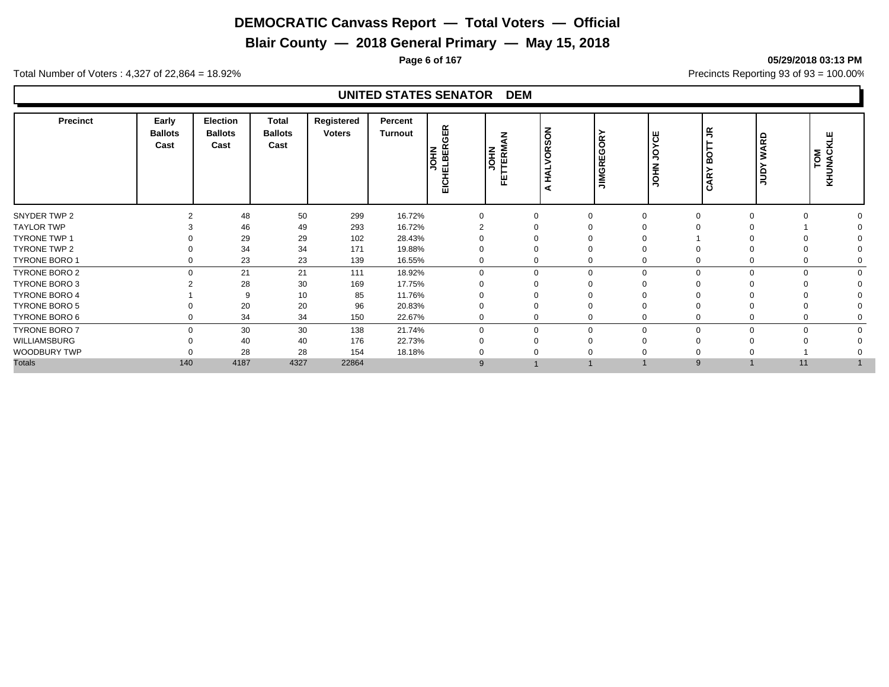**Blair County — 2018 General Primary — May 15, 2018**

**Page 6 of 167 05/29/2018 03:13 PM**

Total Number of Voters : 4,327 of 22,864 = 18.92% Precincts Reporting 93 of 93 = 100.00%

| <b>Precinct</b>      | Early<br><b>Ballots</b><br>Cast | <b>Election</b><br><b>Ballots</b><br>Cast | <b>Total</b><br><b>Ballots</b><br>Cast | Registered<br><b>Voters</b> | Percent<br>Turnout | GER<br>EICHELBER( | <b>JOHN</b><br>TERM<br>뿐 | $\epsilon$<br>ທ<br>õ<br>◀<br>ᆂ<br>₫ | ≻<br>GOR <sup>®</sup><br><b>JIMGRE</b> | ш<br>ں ا<br>줖 | $\tilde{z}$<br>бÖ<br>≻<br>CAR <sup>®</sup> | <b>WARD</b><br><b>Aanr</b> | ш<br>TOM<br>UNACI<br>× |  |
|----------------------|---------------------------------|-------------------------------------------|----------------------------------------|-----------------------------|--------------------|-------------------|--------------------------|-------------------------------------|----------------------------------------|---------------|--------------------------------------------|----------------------------|------------------------|--|
| SNYDER TWP 2         |                                 | 48                                        | 50                                     | 299                         | 16.72%             | $\Omega$          |                          |                                     | $\Omega$                               | 0             | $\Omega$<br>$\Omega$                       |                            |                        |  |
| <b>TAYLOR TWP</b>    |                                 | 46                                        | 49                                     | 293                         | 16.72%             |                   |                          |                                     |                                        |               |                                            |                            |                        |  |
| <b>TYRONE TWP 1</b>  |                                 | 29                                        | 29                                     | 102                         | 28.43%             |                   |                          |                                     |                                        |               |                                            |                            |                        |  |
| TYRONE TWP 2         |                                 | 34                                        | 34                                     | 171                         | 19.88%             |                   |                          |                                     |                                        |               |                                            |                            |                        |  |
| <b>TYRONE BORO 1</b> | 0                               | 23                                        | 23                                     | 139                         | 16.55%             |                   |                          |                                     | 0                                      | 0             | $\Omega$                                   |                            |                        |  |
| TYRONE BORO 2        | $\Omega$                        | 21                                        | 21                                     | 111                         | 18.92%             | $\Omega$          |                          |                                     | $\Omega$                               | $\Omega$      | $\Omega$<br>$\Omega$                       |                            |                        |  |
| TYRONE BORO 3        |                                 | 28                                        | 30                                     | 169                         | 17.75%             |                   |                          |                                     |                                        |               |                                            |                            |                        |  |
| TYRONE BORO 4        |                                 | 9                                         | 10                                     | 85                          | 11.76%             |                   |                          |                                     |                                        |               |                                            |                            |                        |  |
| <b>TYRONE BORO 5</b> |                                 | 20                                        | 20                                     | 96                          | 20.83%             |                   |                          |                                     |                                        |               |                                            |                            |                        |  |
| TYRONE BORO 6        | 0                               | 34                                        | 34                                     | 150                         | 22.67%             | 0                 |                          |                                     | 0                                      | 0             | $\Omega$                                   |                            |                        |  |
| <b>TYRONE BORO 7</b> | $\Omega$                        | 30                                        | 30                                     | 138                         | 21.74%             | $\Omega$          |                          |                                     | $\mathbf 0$                            | $\Omega$      | $\Omega$                                   | $\Omega$<br>$\Omega$       |                        |  |
| WILLIAMSBURG         |                                 | 40                                        | 40                                     | 176                         | 22.73%             |                   |                          |                                     |                                        |               |                                            |                            |                        |  |
| WOODBURY TWP         |                                 | 28                                        | 28                                     | 154                         | 18.18%             |                   |                          |                                     |                                        |               |                                            |                            |                        |  |
| <b>Totals</b>        | 140                             | 4187                                      | 4327                                   | 22864                       |                    | 9                 |                          |                                     |                                        |               | 9                                          | 11                         |                        |  |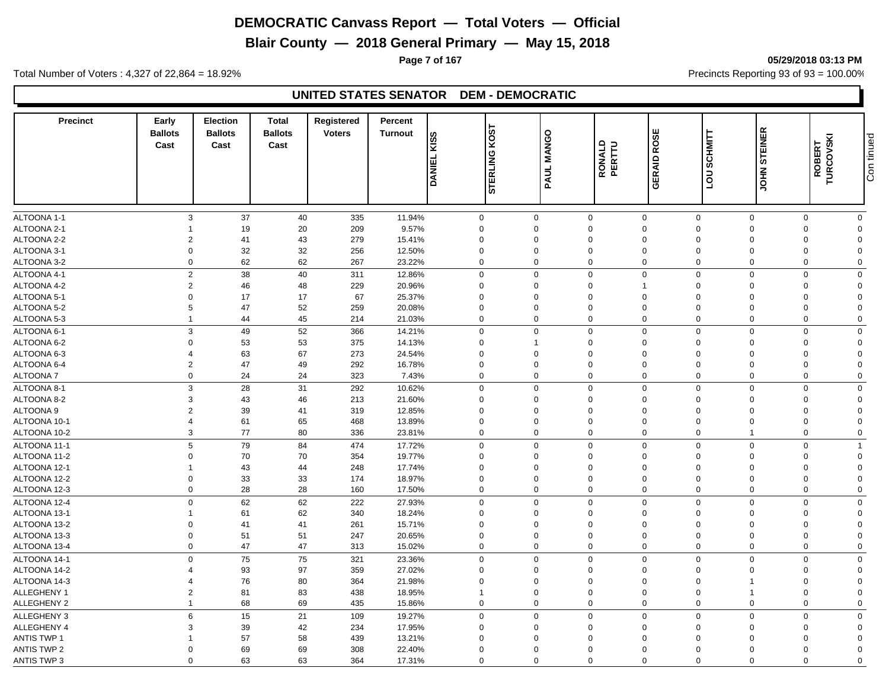**Blair County — 2018 General Primary — May 15, 2018**

Total Number of Voters : 4,327 of 22,864 = 18.92% Precincts Reporting 93 of 93 = 100.00%

#### **UNITED STATES SENATOR DEM - DEMOCRATIC**

| <b>Precinct</b>            | Early<br><b>Ballots</b><br>Cast | <b>Election</b><br><b>Ballots</b><br>Cast | <b>Total</b><br><b>Ballots</b><br>Cast | Registered<br><b>Voters</b> | Percent<br><b>Turnout</b> | <b>KISS</b><br><b>DANIEL</b> | <b>ROST</b><br><b>STERLING</b> | PAUL MANGO                                      | RONALD<br>PERTTU | ROSE<br><b>GERAID</b>                                 | <b>SCHMITT</b><br><b>DOT</b> | <b>STEINER</b><br>S<br>NHOL | <b>ROBERT<br/>TURCOVSKI</b> | Con tinued |
|----------------------------|---------------------------------|-------------------------------------------|----------------------------------------|-----------------------------|---------------------------|------------------------------|--------------------------------|-------------------------------------------------|------------------|-------------------------------------------------------|------------------------------|-----------------------------|-----------------------------|------------|
|                            |                                 |                                           |                                        |                             |                           |                              |                                |                                                 |                  |                                                       |                              |                             |                             |            |
| ALTOONA 1-1                |                                 | 3<br>37                                   | 40                                     | 335                         | 11.94%                    | $\mathbf 0$                  |                                | $\mathbf 0$                                     | $\mathbf 0$      | $\mathbf 0$<br>$\mathbf 0$                            | $\mathbf 0$                  | $\mathbf 0$                 | $\mathbf 0$                 |            |
| ALTOONA 2-1<br>ALTOONA 2-2 | $\overline{2}$                  | 19<br>41                                  | 20<br>43                               | 209<br>279                  | 9.57%                     | $\mathbf 0$<br>$\mathbf 0$   |                                | $\Omega$<br>$\Omega$<br>$\Omega$<br>$\mathbf 0$ |                  | $\mathbf 0$<br>$\mathbf 0$<br>$\mathbf 0$<br>$\Omega$ | $\Omega$<br>$\mathbf 0$      | 0<br>0                      | $\Omega$<br>$\Omega$        |            |
| ALTOONA 3-1                | $\Omega$                        | 32                                        | 32                                     | 256                         | 15.41%<br>12.50%          | $\mathbf 0$                  |                                | $\Omega$<br>$\Omega$                            |                  | $\mathbf 0$<br>$\Omega$                               | $\Omega$                     | $\mathbf 0$                 | $\Omega$                    |            |
| ALTOONA 3-2                | $\mathbf 0$                     | 62                                        | 62                                     | 267                         | 23.22%                    | $\mathbf 0$                  |                                | $\Omega$<br>0                                   |                  | $\mathbf 0$<br>$\Omega$                               | $\mathbf 0$                  | 0                           | $\Omega$                    |            |
|                            |                                 |                                           |                                        |                             |                           |                              |                                |                                                 |                  |                                                       |                              |                             |                             |            |
| ALTOONA 4-1                | $\overline{2}$                  | 38                                        | 40                                     | 311                         | 12.86%                    | $\mathbf 0$                  | $\Omega$                       |                                                 | $\mathbf 0$      | $\mathbf 0$<br>$\mathbf 0$                            | $\mathbf 0$                  | $\mathbf 0$                 | $\Omega$                    |            |
| ALTOONA 4-2                | $\overline{2}$                  | 46                                        | 48                                     | 229                         | 20.96%                    | $\mathbf 0$                  |                                | $\mathbf 0$<br>$\mathbf 0$                      |                  | $\mathbf 0$<br>$\mathbf{1}$                           | $\overline{0}$               | $\mathbf 0$                 | $\Omega$                    |            |
| ALTOONA 5-1                | $\Omega$                        | 17                                        | 17                                     | 67                          | 25.37%                    | $\mathbf 0$                  | $\Omega$                       | $\Omega$                                        |                  | $\mathbf 0$<br>$\Omega$                               | $\Omega$                     | $\mathbf 0$                 | $\Omega$                    |            |
| ALTOONA 5-2                | 5                               | 47                                        | 52                                     | 259                         | 20.08%                    | $\mathbf 0$                  | $\Omega$                       | $\mathbf 0$                                     |                  | $\mathbf 0$<br>$\Omega$                               | $\mathbf 0$                  | 0                           | $\Omega$                    |            |
| ALTOONA 5-3                | $\mathbf{1}$                    | 44                                        | 45                                     | 214                         | 21.03%                    | $\mathbf 0$                  | $\mathbf 0$                    |                                                 | $\mathbf 0$      | $\mathbf 0$<br>$\mathbf 0$                            | $\mathbf 0$                  | $\mathbf 0$                 | $\Omega$                    |            |
| ALTOONA 6-1                | 3                               | 49                                        | 52                                     | 366                         | 14.21%                    | $\mathbf 0$                  | $\overline{0}$                 |                                                 | $\mathbf 0$      | $\mathbf 0$<br>$\mathbf 0$                            | $\overline{0}$               | $\mathbf 0$                 | $\Omega$                    |            |
| ALTOONA 6-2                | $\Omega$                        | 53                                        | 53                                     | 375                         | 14.13%                    | $\mathbf 0$                  |                                | $\Omega$                                        |                  | $\mathbf 0$<br>$\Omega$                               | $\Omega$                     | 0                           | $\Omega$                    |            |
| ALTOONA 6-3                | 4                               | 63                                        | 67                                     | 273                         | 24.54%                    | $\mathbf 0$                  |                                | $\Omega$<br>$\mathbf 0$                         |                  | $\mathbf 0$<br>$\Omega$                               | $\mathbf 0$                  | 0                           | $\Omega$                    |            |
| ALTOONA 6-4                | $\overline{2}$                  | 47                                        | 49                                     | 292                         | 16.78%                    | $\mathbf 0$                  | $\mathbf 0$                    | $\mathbf 0$                                     |                  | $\mathbf 0$<br>$\mathbf 0$                            | $\mathbf 0$                  | $\mathbf 0$                 | $\Omega$                    |            |
| <b>ALTOONA7</b>            | $\mathbf 0$                     | 24                                        | 24                                     | 323                         | 7.43%                     | $\mathbf 0$                  | $\Omega$                       |                                                 | $\mathbf 0$      | $\mathbf 0$<br>$\mathbf 0$                            | $\mathbf 0$                  | $\mathbf 0$                 | $\Omega$                    |            |
| ALTOONA 8-1                | 3                               | 28                                        | 31                                     | 292                         | 10.62%                    | $\mathbf 0$                  | $\Omega$                       |                                                 | $\mathbf 0$      | $\mathbf 0$<br>$\mathbf 0$                            | $\mathbf 0$                  | $\mathbf 0$                 | $\Omega$                    |            |
| ALTOONA 8-2                | 3                               | 43                                        | 46                                     | 213                         | 21.60%                    | $\mathbf 0$                  |                                | $\Omega$<br>$\mathbf 0$                         |                  | $\mathbf 0$<br>$\Omega$                               | $\Omega$                     | 0                           | $\Omega$                    |            |
| ALTOONA <sub>9</sub>       | $\overline{2}$                  | 39                                        | 41                                     | 319                         | 12.85%                    | $\mathbf 0$                  |                                | $\mathbf 0$<br>$\mathbf 0$                      |                  | $\mathbf 0$<br>$\Omega$                               | $\mathbf 0$                  | $\mathbf 0$                 | $\Omega$                    |            |
| ALTOONA 10-1               | $\overline{4}$                  | 61                                        | 65                                     | 468                         | 13.89%                    | $\mathbf 0$                  |                                | $\Omega$<br>$\mathbf 0$                         |                  | $\mathbf 0$<br>$\Omega$                               | $\Omega$                     | 0                           | $\Omega$                    |            |
| ALTOONA 10-2               | 3                               | 77                                        | 80                                     | 336                         | 23.81%                    | $\mathbf 0$                  |                                | $\mathbf 0$                                     | 0                | $\mathbf 0$<br>$\mathbf 0$                            | $\overline{1}$               | 0                           | $\mathbf 0$                 |            |
| ALTOONA 11-1               | 5                               | 79                                        | 84                                     | 474                         | 17.72%                    | $\mathbf 0$                  |                                | $\Omega$<br>$\mathbf 0$                         |                  | $\mathbf 0$<br>$\Omega$                               | $\mathbf 0$                  | $\mathbf 0$                 |                             |            |
| ALTOONA 11-2               | $\Omega$                        | 70                                        | 70                                     | 354                         | 19.77%                    | $\mathbf 0$                  |                                | $\Omega$<br>$\mathbf 0$                         |                  | $\mathbf 0$<br>$\Omega$                               | $\Omega$                     | $\mathbf 0$                 | $\Omega$                    |            |
| ALTOONA 12-1               |                                 | 43                                        | 44                                     | 248                         | 17.74%                    | $\mathbf 0$                  |                                | $\Omega$<br>$\Omega$                            |                  | $\mathbf 0$<br>$\Omega$                               | $\Omega$                     | $\Omega$                    | $\Omega$                    |            |
| ALTOONA 12-2               | $\Omega$                        | 33                                        | 33                                     | 174                         | 18.97%                    | $\mathbf 0$                  |                                | $\Omega$<br>$\Omega$                            |                  | $\mathbf 0$<br>$\Omega$                               | $\Omega$                     | $\mathbf 0$                 | $\Omega$                    |            |
| ALTOONA 12-3               | $\mathbf 0$                     | 28                                        | 28                                     | 160                         | 17.50%                    | $\mathbf 0$                  | $\mathbf 0$                    |                                                 | $\mathbf 0$      | $\mathbf 0$<br>$\mathbf 0$                            | $\mathbf 0$                  | $\mathbf 0$                 | $\Omega$                    |            |
| ALTOONA 12-4               | $\mathbf 0$                     | 62                                        | 62                                     | 222                         | 27.93%                    | $\mathbf 0$                  | $\Omega$                       |                                                 | $\mathbf 0$      | $\mathbf 0$<br>$\mathbf 0$                            | $\mathbf 0$                  | $\mathbf 0$                 | $\mathbf 0$                 |            |
| ALTOONA 13-1               | -1                              | 61                                        | 62                                     | 340                         | 18.24%                    | $\mathbf 0$                  |                                | $\mathbf 0$<br>$\mathbf 0$                      |                  | $\mathbf 0$<br>$\mathbf 0$                            | $\mathbf 0$                  | 0                           | $\Omega$                    |            |
| ALTOONA 13-2               | $\Omega$                        | 41                                        | 41                                     | 261                         | 15.71%                    | $\mathbf 0$                  |                                | $\Omega$<br>$\Omega$                            |                  | $\mathbf 0$<br>$\Omega$                               | $\Omega$                     | 0                           | $\Omega$                    |            |
| ALTOONA 13-3               | $\mathbf 0$                     | 51                                        | 51                                     | 247                         | 20.65%                    | $\mathbf 0$                  |                                | $\Omega$<br>$\mathbf 0$                         |                  | $\mathbf 0$<br>$\Omega$                               | $\mathbf 0$                  | $\mathbf 0$                 | $\Omega$                    |            |
| ALTOONA 13-4               | $\mathbf 0$                     | 47                                        | 47                                     | 313                         | 15.02%                    | $\mathbf 0$                  | $\Omega$                       |                                                 | $\mathbf 0$      | $\mathbf 0$<br>$\Omega$                               | $\mathbf 0$                  | $\mathbf 0$                 | $\Omega$                    |            |
| ALTOONA 14-1               | $\mathbf 0$                     | 75                                        | 75                                     | 321                         | 23.36%                    | $\mathbf 0$                  | $\mathbf 0$                    |                                                 | $\mathbf 0$      | $\mathbf 0$<br>$\mathbf 0$                            | $\mathbf 0$                  | $\mathbf 0$                 | $\Omega$                    |            |
| ALTOONA 14-2               | $\Delta$                        | 93                                        | 97                                     | 359                         | 27.02%                    | $\mathbf 0$                  |                                | $\Omega$<br>$\Omega$                            |                  | $\mathbf 0$<br>$\Omega$                               | $\Omega$                     | $\mathbf 0$                 | $\Omega$                    |            |
| ALTOONA 14-3               | $\overline{4}$                  | 76                                        | 80                                     | 364                         | 21.98%                    | $\mathbf 0$                  | $\mathbf 0$                    | $\mathbf 0$                                     |                  | $\mathbf 0$<br>$\Omega$                               | $\overline{1}$               | $\mathbf 0$                 | $\Omega$                    |            |
| <b>ALLEGHENY 1</b>         | $\overline{2}$                  | 81                                        | 83                                     | 438                         | 18.95%                    | $\mathbf{1}$                 | $\Omega$                       | $\Omega$                                        |                  | $\mathbf 0$<br>$\Omega$                               | $\overline{\mathbf{1}}$      | 0                           | $\Omega$                    |            |
| <b>ALLEGHENY 2</b>         | $\overline{1}$                  | 68                                        | 69                                     | 435                         | 15.86%                    | $\mathbf 0$                  | $\Omega$                       |                                                 | $\mathbf 0$      | $\mathbf 0$<br>$\mathbf 0$                            | $\mathbf 0$                  | 0                           | $\Omega$                    |            |
|                            |                                 |                                           |                                        |                             |                           |                              |                                |                                                 |                  |                                                       |                              |                             |                             |            |
| ALLEGHENY 3                | 6                               | 15                                        | 21                                     | 109                         | 19.27%                    | $\mathbf 0$                  | $\Omega$                       |                                                 | 0                | $\mathbf 0$<br>$\Omega$                               | $\Omega$                     | 0                           | $\mathbf 0$                 |            |
| ALLEGHENY 4                | 3                               | 39                                        | 42                                     | 234                         | 17.95%                    | $\mathbf 0$                  |                                | $\Omega$<br>$\mathbf 0$                         |                  | $\mathbf 0$<br>$\Omega$                               | $\mathbf 0$                  | 0                           | $\Omega$                    |            |
| <b>ANTIS TWP 1</b>         |                                 | 57                                        | 58                                     | 439                         | 13.21%                    | $\mathbf 0$                  |                                | $\Omega$<br>$\mathbf 0$                         |                  | $\mathbf 0$<br>$\Omega$                               | $\mathbf 0$                  | 0                           | $\Omega$                    |            |
| <b>ANTIS TWP 2</b>         | $\Omega$                        | 69                                        | 69                                     | 308                         | 22.40%                    | $\mathbf 0$                  |                                | $\Omega$<br>$\Omega$                            |                  | $\Omega$<br>$\Omega$                                  | $\Omega$                     | $\mathbf 0$                 | $\Omega$                    |            |
| <b>ANTIS TWP 3</b>         | $\Omega$                        | 63                                        | 63                                     | 364                         | 17.31%                    | $\mathbf 0$                  | $\Omega$                       |                                                 | $\mathbf 0$      | $\mathbf 0$<br>$\mathbf 0$                            | $\mathbf 0$                  | $\mathbf 0$                 | $\Omega$                    |            |

**Page 7 of 167 05/29/2018 03:13 PM**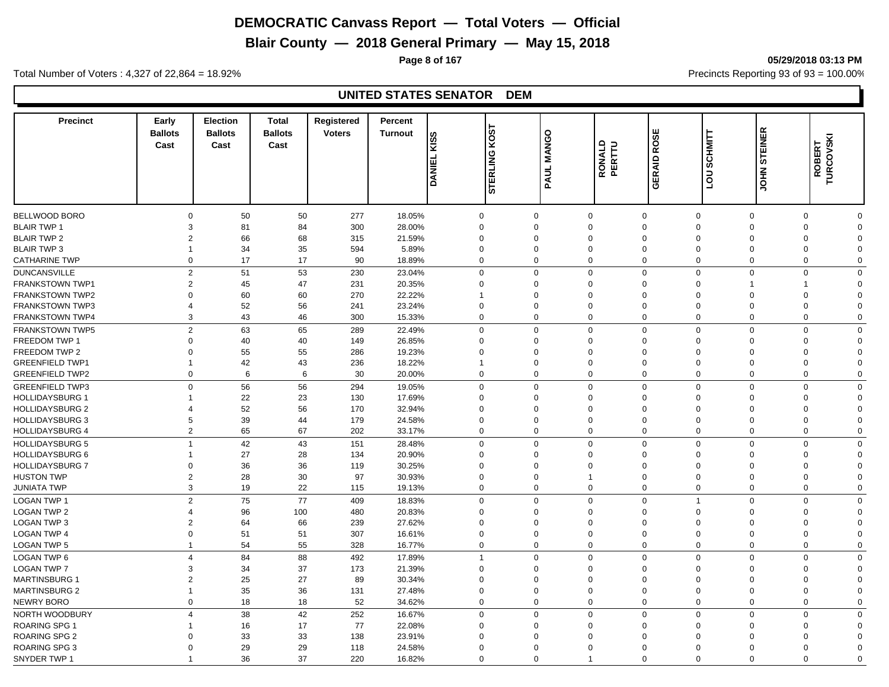**Blair County — 2018 General Primary — May 15, 2018**

**Page 8 of 167 05/29/2018 03:13 PM**

Total Number of Voters : 4,327 of 22,864 = 18.92% Precincts Reporting 93 of 93 = 100.00%

| <b>Precinct</b>        | Early<br><b>Ballots</b><br>Cast  | Election<br><b>Ballots</b><br>Cast | <b>Total</b><br><b>Ballots</b><br>Cast | Registered<br><b>Voters</b> | Percent<br><b>Turnout</b> | KISS<br><b>DANIEL</b> | <b>ROST</b><br><b>STERLING</b> | <b>MANGO</b><br>PAUL | RONALD<br>PERTTU | ROSE<br><b>GERAID</b>                  | <b>SCHMITT</b><br>non | <b>STEINER</b><br><b>JOHN:</b> | TURCOVSKI<br>ROBERT  |  |
|------------------------|----------------------------------|------------------------------------|----------------------------------------|-----------------------------|---------------------------|-----------------------|--------------------------------|----------------------|------------------|----------------------------------------|-----------------------|--------------------------------|----------------------|--|
| BELLWOOD BORO          | $\Omega$                         | 50                                 | 50                                     | 277                         | 18.05%                    |                       | $\mathbf 0$                    | $\Omega$             | $\mathbf 0$      | $\mathbf 0$<br>$\mathbf 0$             | $\mathbf 0$           | $\mathbf 0$                    | $\Omega$             |  |
| <b>BLAIR TWP 1</b>     | 3                                | 81                                 | 84                                     | 300                         | 28.00%                    |                       | $\mathbf 0$                    | $\Omega$             | $\Omega$         | $\mathbf 0$<br>$\Omega$                | $\Omega$              | $\mathbf 0$                    | $\Omega$             |  |
| <b>BLAIR TWP 2</b>     | $\overline{2}$                   | 66                                 | 68                                     | 315                         | 21.59%                    |                       | $\mathbf 0$                    | $\Omega$             | $\Omega$         | $\mathbf 0$<br>$\Omega$                | $\Omega$              | $\mathbf 0$                    | $\Omega$             |  |
| <b>BLAIR TWP 3</b>     | $\mathbf 1$                      | 34                                 | 35                                     | 594                         | 5.89%                     |                       | $\mathbf 0$                    | $\Omega$             | $\Omega$         | $\mathbf 0$<br>$\Omega$                | $\Omega$              | 0                              | $\Omega$             |  |
| <b>CATHARINE TWP</b>   | $\mathbf 0$                      | 17                                 | 17                                     | 90                          | 18.89%                    |                       | $\mathbf 0$                    | $\Omega$             | $\mathbf 0$      | $\mathbf 0$<br>$\Omega$                | $\mathbf 0$           | $\mathbf 0$                    | $\Omega$             |  |
|                        |                                  |                                    |                                        |                             |                           |                       |                                |                      |                  |                                        |                       |                                |                      |  |
| <b>DUNCANSVILLE</b>    | $\overline{2}$<br>$\overline{2}$ | 51                                 | 53                                     | 230                         | 23.04%                    |                       | $\mathbf 0$                    | $\Omega$<br>$\Omega$ | $\mathbf 0$      | $\mathbf 0$<br>$\mathbf 0$<br>$\Omega$ | $\mathbf 0$<br>-1     | $\mathbf 0$<br>$\overline{1}$  | $\Omega$<br>$\Omega$ |  |
| <b>FRANKSTOWN TWP1</b> |                                  | 45                                 | 47                                     | 231                         | 20.35%                    |                       | $\mathbf 0$                    |                      | $\Omega$         | $\mathbf 0$                            |                       |                                |                      |  |
| <b>FRANKSTOWN TWP2</b> | $\Omega$                         | 60                                 | 60                                     | 270                         | 22.22%                    | $\overline{1}$        |                                | $\Omega$             | $\mathbf 0$      | $\mathbf 0$<br>$\Omega$                | $\Omega$              | $\mathbf 0$                    | $\Omega$             |  |
| <b>FRANKSTOWN TWP3</b> | $\Delta$                         | 52                                 | 56                                     | 241                         | 23.24%                    |                       | $\mathbf 0$                    | $\Omega$             | $\Omega$         | $\mathbf 0$<br>$\Omega$                | $\Omega$              | $\mathbf 0$                    | $\Omega$             |  |
| <b>FRANKSTOWN TWP4</b> | 3                                | 43                                 | 46                                     | 300                         | 15.33%                    |                       | $\mathbf 0$                    | $\Omega$             | 0                | $\mathbf 0$<br>$\Omega$                | 0                     | $\mathbf 0$                    | $\Omega$             |  |
| <b>FRANKSTOWN TWP5</b> | $\overline{2}$                   | 63                                 | 65                                     | 289                         | 22.49%                    |                       | $\mathbf 0$                    | $\Omega$             | $\mathbf 0$      | $\mathbf 0$<br>$\mathbf 0$             | $\mathbf 0$           | $\mathbf 0$                    | $\Omega$             |  |
| <b>FREEDOM TWP 1</b>   | $\Omega$                         | 40                                 | 40                                     | 149                         | 26.85%                    |                       | $\mathbf 0$                    | $\Omega$             | $\Omega$         | $\mathbf 0$<br>$\Omega$                | $\Omega$              | $\mathbf 0$                    | $\Omega$             |  |
| FREEDOM TWP 2          | $\Omega$                         | 55                                 | 55                                     | 286                         | 19.23%                    |                       | $\mathbf 0$                    | $\Omega$             | 0                | $\mathbf 0$<br>$\Omega$                | $\mathbf 0$           | 0                              | $\Omega$             |  |
| <b>GREENFIELD TWP1</b> | $\overline{1}$                   | 42                                 | 43                                     | 236                         | 18.22%                    | $\overline{1}$        |                                | $\Omega$             | $\Omega$         | $\mathbf 0$<br>$\mathbf 0$             | $\Omega$              | $\mathbf 0$                    | $\Omega$             |  |
| <b>GREENFIELD TWP2</b> | $\mathbf 0$                      | 6                                  | 6                                      | 30                          | 20.00%                    |                       | $\mathbf 0$                    | $\Omega$             | $\mathbf 0$      | $\mathbf 0$<br>$\mathbf 0$             | $\mathbf 0$           | $\mathbf 0$                    | $\Omega$             |  |
| <b>GREENFIELD TWP3</b> | $\Omega$                         | 56                                 | 56                                     | 294                         | 19.05%                    |                       | $\mathbf 0$                    | $\Omega$             | $\mathbf 0$      | $\mathbf 0$<br>$\mathbf 0$             | $\mathbf 0$           | $\mathbf 0$                    | $\mathbf 0$          |  |
| <b>HOLLIDAYSBURG 1</b> | -1                               | 22                                 | 23                                     | 130                         | 17.69%                    |                       | $\mathbf 0$                    | $\Omega$             | $\Omega$         | $\mathbf 0$<br>$\Omega$                | $\Omega$              | 0                              | $\Omega$             |  |
| <b>HOLLIDAYSBURG 2</b> | 4                                | 52                                 | 56                                     | 170                         | 32.94%                    |                       | $\mathbf 0$                    | $\Omega$             | 0                | $\mathbf 0$<br>$\Omega$                | $\Omega$              | 0                              | $\Omega$             |  |
| <b>HOLLIDAYSBURG 3</b> | 5                                | 39                                 | 44                                     | 179                         | 24.58%                    |                       | $\mathbf 0$                    | $\Omega$             | $\Omega$         | $\mathbf 0$<br>$\Omega$                | $\Omega$              | 0                              | $\Omega$             |  |
| <b>HOLLIDAYSBURG 4</b> | $\overline{2}$                   | 65                                 | 67                                     | 202                         | 33.17%                    |                       | $\mathbf 0$                    | $\mathbf 0$          | 0                | $\mathbf 0$<br>$\mathbf 0$             | $\mathbf 0$           | 0                              | $\Omega$             |  |
| <b>HOLLIDAYSBURG 5</b> | $\overline{1}$                   | 42                                 | 43                                     | 151                         | 28.48%                    |                       | $\mathbf 0$                    | $\Omega$             | $\mathbf 0$      | $\mathbf 0$<br>$\Omega$                | $\mathbf 0$           | $\mathbf 0$                    | $\Omega$             |  |
| HOLLIDAYSBURG 6        |                                  | 27                                 | 28                                     | 134                         | 20.90%                    |                       | $\mathbf 0$                    | $\Omega$             | $\Omega$         | $\mathbf 0$<br>$\Omega$                | $\Omega$              | $\Omega$                       | $\Omega$             |  |
| <b>HOLLIDAYSBURG 7</b> | $\Omega$                         | 36                                 | 36                                     | 119                         | 30.25%                    |                       | $\mathbf 0$                    | $\Omega$             | $\Omega$         | $\mathbf 0$<br>$\Omega$                | $\Omega$              | $\Omega$                       | $\Omega$             |  |
| <b>HUSTON TWP</b>      | $\overline{2}$                   | 28                                 | 30                                     | 97                          | 30.93%                    |                       | $\mathbf 0$                    | $\Omega$             | $\overline{1}$   | $\mathbf 0$<br>$\Omega$                | $\Omega$              | $\mathbf 0$                    | $\Omega$             |  |
| <b>JUNIATA TWP</b>     | 3                                | 19                                 | 22                                     | 115                         | 19.13%                    |                       | $\mathbf 0$                    | $\Omega$             | $\mathbf 0$      | $\mathbf 0$<br>$\mathbf 0$             | $\mathbf 0$           | $\mathbf 0$                    | $\Omega$             |  |
| <b>LOGAN TWP 1</b>     | $\overline{2}$                   | 75                                 | 77                                     | 409                         | 18.83%                    |                       | $\mathbf 0$                    | $\Omega$             | $\mathbf 0$      | $\mathbf 0$<br>$\overline{1}$          | $\mathbf 0$           | $\mathbf 0$                    | $\Omega$             |  |
| <b>LOGAN TWP 2</b>     | 4                                | 96                                 | 100                                    | 480                         | 20.83%                    |                       | $\mathbf 0$                    | $\Omega$             | $\Omega$         | $\mathbf 0$<br>$\Omega$                | $\Omega$              | $\mathbf 0$                    | $\Omega$             |  |
| <b>LOGAN TWP 3</b>     | $\overline{2}$                   | 64                                 | 66                                     | 239                         | 27.62%                    |                       | $\mathbf 0$                    | $\Omega$             | $\mathbf 0$      | $\mathbf 0$<br>$\Omega$                | $\Omega$              | 0                              | $\Omega$             |  |
| <b>LOGAN TWP 4</b>     | $\Omega$                         | 51                                 | 51                                     | 307                         | 16.61%                    |                       | $\mathbf 0$                    | $\Omega$             | $\Omega$         | $\mathbf 0$<br>$\mathbf 0$             | $\mathbf 0$           | $\mathbf 0$                    | $\Omega$             |  |
| <b>LOGAN TWP 5</b>     | -1                               | 54                                 | 55                                     | 328                         | 16.77%                    |                       | $\mathbf 0$                    | $\Omega$             | 0                | $\mathbf 0$<br>$\mathbf 0$             | $\mathbf 0$           | 0                              | $\Omega$             |  |
| <b>LOGAN TWP 6</b>     | $\overline{4}$                   | 84                                 | 88                                     | 492                         | 17.89%                    |                       | $\mathbf{1}$                   | $\Omega$             | $\mathbf 0$      | $\mathbf 0$<br>$\mathbf 0$             | $\Omega$              | 0                              | $\mathbf 0$          |  |
| <b>LOGAN TWP 7</b>     | 3                                | 34                                 | 37                                     | 173                         | 21.39%                    |                       | $\mathbf 0$                    | $\Omega$             | $\Omega$         | $\mathbf 0$<br>$\Omega$                | $\Omega$              | 0                              | $\Omega$             |  |
| <b>MARTINSBURG 1</b>   | $\overline{2}$                   | 25                                 | 27                                     | 89                          | 30.34%                    |                       | $\mathbf 0$                    | $\Omega$             | $\Omega$         | $\mathbf 0$<br>$\Omega$                | $\Omega$              | 0                              | $\Omega$             |  |
| <b>MARTINSBURG 2</b>   |                                  |                                    |                                        |                             |                           |                       |                                | $\mathbf 0$          | $\mathbf 0$      | $\mathbf 0$                            | $\mathbf 0$           |                                | $\Omega$             |  |
|                        | $\Omega$                         | $35\,$                             | 36                                     | 131                         | 27.48%                    |                       | $\mathbf 0$                    | $\Omega$             |                  | $\mathbf 0$                            |                       | 0                              |                      |  |
| NEWRY BORO             |                                  | 18                                 | 18                                     | 52                          | 34.62%                    |                       | $\mathbf 0$                    |                      | $\mathbf 0$      | $\mathbf 0$<br>$\mathbf 0$             | $\mathbf 0$           | $\mathbf 0$                    | $\mathbf 0$          |  |
| NORTH WOODBURY         | $\overline{4}$                   | 38                                 | 42                                     | 252                         | 16.67%                    |                       | $\mathbf 0$                    | $\Omega$             | $\mathbf{0}$     | $\mathbf 0$<br>$\mathbf 0$             | $\mathbf 0$           | $\mathbf 0$                    | $\mathbf 0$          |  |
| <b>ROARING SPG 1</b>   |                                  | 16                                 | 17                                     | 77                          | 22.08%                    |                       | $\mathbf 0$                    | $\Omega$             | $\mathbf 0$      | $\mathbf 0$<br>$\Omega$                | $\mathbf 0$           | 0                              | $\Omega$             |  |
| <b>ROARING SPG 2</b>   |                                  | 33                                 | 33                                     | 138                         | 23.91%                    |                       | $\mathbf 0$                    | $\Omega$             | $\Omega$         | $\Omega$<br>$\Omega$                   | $\Omega$              | $\Omega$                       | $\Omega$             |  |
| <b>ROARING SPG 3</b>   | $\Omega$                         | 29                                 | 29                                     | 118                         | 24.58%                    |                       | $\mathbf 0$                    | $\Omega$             | $\Omega$         | $\Omega$<br>$\Omega$                   | $\Omega$              | $\mathbf 0$                    | $\Omega$             |  |
| SNYDER TWP 1           |                                  | 36                                 | 37                                     | 220                         | 16.82%                    |                       | $\Omega$                       | $\Omega$             | $\overline{1}$   | $\Omega$<br>$\Omega$                   | $\Omega$              | $\Omega$                       | $\Omega$             |  |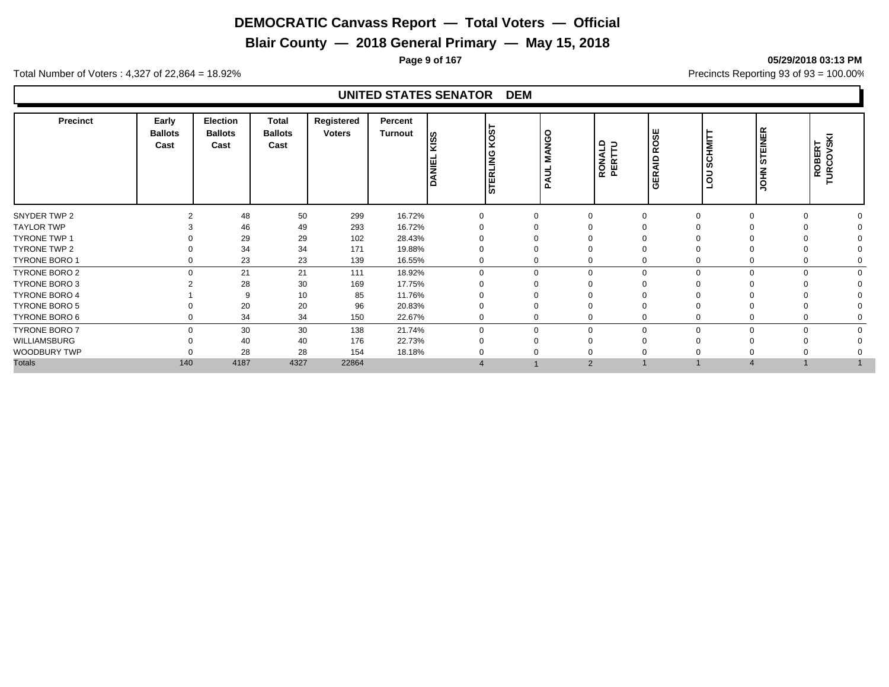**Blair County — 2018 General Primary — May 15, 2018**

**Page 9 of 167 05/29/2018 03:13 PM**

Total Number of Voters : 4,327 of 22,864 = 18.92% Precincts Reporting 93 of 93 = 100.00%

| <b>Precinct</b>      | Early<br><b>Ballots</b><br>Cast | Election<br><b>Ballots</b><br>Cast | Total<br><b>Ballots</b><br>Cast | Registered<br><b>Voters</b> | Percent<br><b>Turnout</b> | SSI<br>ANIEI | <b>LSON</b><br><b>STERLING</b> | <b>MANGO</b><br>∣ 5<br>$\overline{\mathbf{z}}$ | RONALD<br>PERTTU | OSE<br>ıά<br><b>GERAID</b> | CHMIT<br>Ø<br>$\circ$ | <b>STEINER</b><br><b>NHOL</b> | <b>SKI</b><br><b>ROBERT</b><br>TURCOVSK |  |
|----------------------|---------------------------------|------------------------------------|---------------------------------|-----------------------------|---------------------------|--------------|--------------------------------|------------------------------------------------|------------------|----------------------------|-----------------------|-------------------------------|-----------------------------------------|--|
| SNYDER TWP 2         |                                 | 48                                 | 50                              | 299                         | 16.72%                    |              |                                | $\Omega$                                       |                  |                            |                       | $\Omega$                      |                                         |  |
| <b>TAYLOR TWP</b>    |                                 | 46                                 | 49                              | 293                         | 16.72%                    |              |                                |                                                |                  |                            |                       |                               |                                         |  |
| <b>TYRONE TWP 1</b>  |                                 | 29                                 | 29                              | 102                         | 28.43%                    |              |                                |                                                |                  |                            |                       |                               |                                         |  |
| TYRONE TWP 2         |                                 | 34                                 | 34                              | 171                         | 19.88%                    |              |                                |                                                |                  |                            |                       |                               |                                         |  |
| TYRONE BORO 1        |                                 | 23                                 | 23                              | 139                         | 16.55%                    |              |                                | 0                                              |                  |                            |                       | $\Omega$                      |                                         |  |
| TYRONE BORO 2        | $\Omega$                        | 21                                 | 21                              | 111                         | 18.92%                    | $\Omega$     | $\Omega$                       | $\mathbf 0$                                    | $\Omega$         | $\Omega$                   | $\Omega$              | $\Omega$                      |                                         |  |
| TYRONE BORO 3        |                                 | 28                                 | 30                              | 169                         | 17.75%                    |              |                                |                                                |                  |                            |                       |                               |                                         |  |
| TYRONE BORO 4        |                                 | 9                                  | 10                              | 85                          | 11.76%                    |              |                                |                                                |                  |                            |                       |                               |                                         |  |
| <b>TYRONE BORO 5</b> |                                 | 20                                 | 20                              | 96                          | 20.83%                    |              |                                |                                                |                  |                            |                       |                               |                                         |  |
| TYRONE BORO 6        |                                 | 34                                 | 34                              | 150                         | 22.67%                    |              |                                | 0                                              |                  |                            |                       | $\Omega$                      |                                         |  |
| TYRONE BORO 7        | $\Omega$                        | 30                                 | 30                              | 138                         | 21.74%                    | $\Omega$     | $\Omega$                       | $\mathbf 0$                                    | $\Omega$         | $\Omega$                   | $\Omega$              | $\Omega$                      |                                         |  |
| WILLIAMSBURG         |                                 | 40                                 | 40                              | 176                         | 22.73%                    |              |                                | $\Omega$                                       |                  |                            |                       |                               |                                         |  |
| WOODBURY TWP         |                                 | 28                                 | 28                              | 154                         | 18.18%                    |              |                                |                                                |                  |                            |                       |                               |                                         |  |
| <b>Totals</b>        | 140                             | 4187                               | 4327                            | 22864                       |                           |              |                                | $\overline{2}$                                 |                  |                            |                       |                               |                                         |  |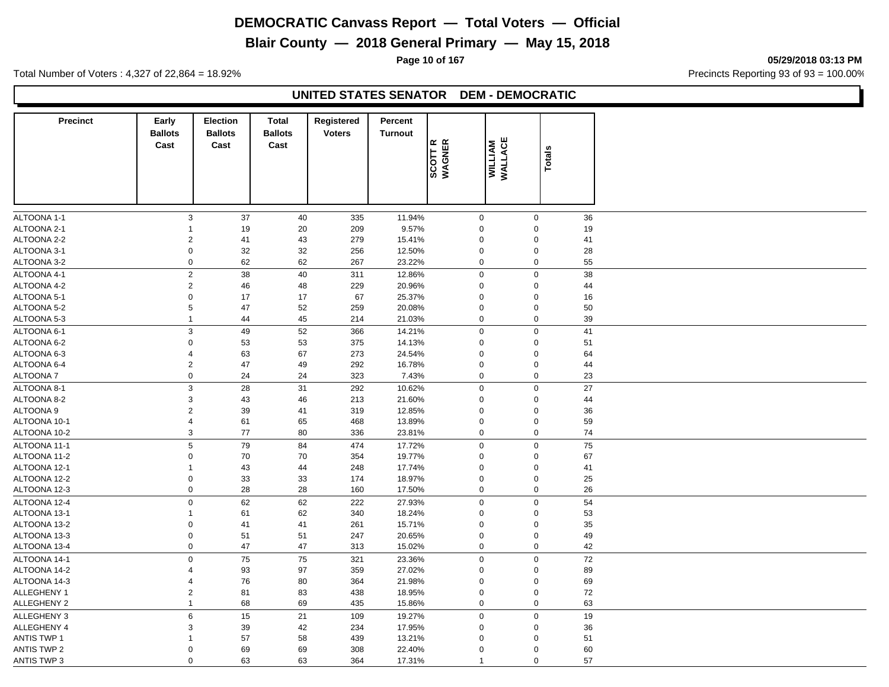# **Blair County — 2018 General Primary — May 15, 2018**

**Page 10 of 167 05/29/2018 03:13 PM**

Total Number of Voters : 4,327 of 22,864 = 18.92% Precincts Reporting 93 of 93 = 100.00%

#### **UNITED STATES SENATOR DEM - DEMOCRATIC**

| <b>Precinct</b>             | Early<br><b>Ballots</b>                | <b>Election</b><br><b>Ballots</b> | <b>Total</b><br><b>Ballots</b> | Registered<br><b>Voters</b> | <b>Percent</b><br><b>Turnout</b> |                            |                            |               |  |
|-----------------------------|----------------------------------------|-----------------------------------|--------------------------------|-----------------------------|----------------------------------|----------------------------|----------------------------|---------------|--|
|                             | Cast                                   | Cast                              | Cast                           |                             |                                  | SCOTT R<br>WAGNER          | <b>WILLIAM</b><br>WALLACE  |               |  |
|                             |                                        |                                   |                                |                             |                                  |                            |                            | <b>Totals</b> |  |
|                             |                                        |                                   |                                |                             |                                  |                            |                            |               |  |
|                             |                                        |                                   |                                |                             |                                  |                            |                            |               |  |
|                             |                                        |                                   |                                |                             |                                  |                            |                            |               |  |
| ALTOONA 1-1                 | $\mathbf{3}$                           | 37                                | 40                             | 335                         | 11.94%                           | $\mathsf{O}\xspace$        | $\mathbf 0$                | 36            |  |
| ALTOONA 2-1                 | 1                                      | 19                                | 20                             | 209                         | 9.57%                            | $\mathbf 0$                | $\Omega$                   | 19            |  |
| ALTOONA 2-2                 | $\sqrt{2}$                             | 41                                | 43                             | 279                         | 15.41%                           | $\mathbf 0$                | $\Omega$                   | 41            |  |
| ALTOONA 3-1                 | $\boldsymbol{0}$                       | 32                                | 32                             | 256                         | 12.50%                           | $\boldsymbol{0}$           | $\mathbf 0$                | 28            |  |
| ALTOONA 3-2                 | $\mathbf 0$                            | 62                                | 62                             | 267                         | 23.22%                           | $\mathbf 0$                | $\mathbf 0$                | 55            |  |
| ALTOONA 4-1                 | $\overline{2}$                         | 38                                | 40                             | 311                         | 12.86%                           | $\mathbf 0$                | $\mathbf 0$                | 38            |  |
| ALTOONA 4-2                 | $\overline{2}$                         | 46                                | 48                             | 229                         | 20.96%                           | $\mathbf 0$                | $\mathbf 0$                | 44            |  |
| ALTOONA 5-1                 | $\mathbf 0$                            | 17                                | 17                             | 67                          | 25.37%                           | $\mathbf 0$                | $\mathbf 0$                | 16            |  |
| ALTOONA 5-2                 | 5                                      | 47                                | 52                             | 259                         | 20.08%                           | $\mathbf 0$                | $\mathbf 0$                | 50            |  |
| ALTOONA 5-3                 | $\mathbf{1}$                           | 44                                | 45                             | 214                         | 21.03%                           | $\mathbf 0$                | $\mathbf 0$                | 39            |  |
| ALTOONA 6-1                 | $\mathbf{3}$                           | 49                                | 52                             | 366                         | 14.21%                           | $\mathbf 0$                | $\mathbf 0$                | 41            |  |
| ALTOONA 6-2                 | $\mathsf 0$                            | 53                                | 53                             | 375                         | 14.13%                           | $\mathbf 0$                | $\mathbf 0$                | 51            |  |
| ALTOONA 6-3                 | 4                                      | 63                                | 67                             | 273                         | 24.54%                           | $\boldsymbol{0}$           | $\Omega$                   | 64            |  |
| ALTOONA 6-4                 | $\sqrt{2}$                             | 47                                | 49                             | 292                         | 16.78%                           | $\mathbf 0$                | $\mathbf 0$                | 44            |  |
| ALTOONA 7                   | $\mathbf 0$                            | 24                                | 24                             | 323                         | 7.43%                            | $\mathbf 0$                | $\mathbf 0$                | 23            |  |
| ALTOONA 8-1                 | 3                                      | 28                                | 31                             | 292                         | 10.62%                           | $\mathbf 0$                | $\mathbf 0$                | 27            |  |
| ALTOONA 8-2                 | 3                                      | 43                                | 46                             | 213                         | 21.60%                           | $\boldsymbol{0}$           | $\Omega$                   | 44            |  |
| ALTOONA 9                   | $\sqrt{2}$                             | 39                                | 41                             | 319                         | 12.85%                           | $\mathbf 0$                | $\Omega$                   | 36            |  |
| ALTOONA 10-1                | 4                                      | 61                                | 65                             | 468                         | 13.89%                           | $\pmb{0}$                  | $\Omega$                   | 59            |  |
| ALTOONA 10-2                | $\mathsf 3$                            | 77                                | 80                             | 336                         | 23.81%                           | $\mathbf 0$                | $\mathbf 0$                | 74            |  |
| ALTOONA 11-1                | 5                                      | 79                                | 84                             | 474                         | 17.72%                           | $\mathbf 0$                | $\mathbf 0$                | 75            |  |
| ALTOONA 11-2                | 0                                      | 70                                | 70                             | 354                         | 19.77%                           | $\mathbf 0$                | $\Omega$                   | 67            |  |
| ALTOONA 12-1                | 1                                      | 43                                | 44                             | 248                         | 17.74%                           | $\mathbf 0$                | $\mathbf 0$                | 41            |  |
| ALTOONA 12-2                | $\pmb{0}$                              | 33                                | 33                             | 174                         | 18.97%                           | $\mathbf 0$                | $\mathbf 0$                | 25            |  |
| ALTOONA 12-3                | $\mathbf 0$                            | 28                                | 28                             | 160                         | 17.50%                           | $\mathbf 0$                | $\mathbf 0$                | 26            |  |
| ALTOONA 12-4                | $\mathbf 0$                            | 62                                | 62                             | 222                         | 27.93%                           | $\mathbf 0$                | $\mathbf 0$                | 54            |  |
| ALTOONA 13-1                | 1                                      | 61                                | 62                             | 340                         | 18.24%                           | $\boldsymbol{0}$           | $\Omega$                   | 53            |  |
| ALTOONA 13-2                | $\mathbf 0$                            | 41                                | 41                             | 261                         | 15.71%                           | $\boldsymbol{0}$           | $\Omega$                   | 35            |  |
| ALTOONA 13-3                | $\pmb{0}$                              | 51                                | 51                             | 247                         | 20.65%                           | $\boldsymbol{0}$           | $\mathbf 0$                | 49            |  |
| ALTOONA 13-4                | $\mathbf 0$                            | 47                                | 47                             | 313                         | 15.02%                           | $\mathbf 0$                | $\mathbf 0$                | 42            |  |
|                             |                                        |                                   |                                |                             |                                  |                            |                            |               |  |
| ALTOONA 14-1                | $\mathbf 0$<br>$\overline{\mathbf{4}}$ | 75                                | 75                             | 321                         | 23.36%                           | $\mathbf 0$                | $\mathbf 0$                | 72            |  |
| ALTOONA 14-2                | $\overline{\mathbf{4}}$                | 93                                | 97                             | 359                         | 27.02%                           | $\mathbf 0$<br>$\mathbf 0$ | $\mathbf 0$                | 89            |  |
| ALTOONA 14-3<br>ALLEGHENY 1 | $\sqrt{2}$                             | 76                                | 80                             | 364                         | 21.98%                           | $\boldsymbol{0}$           | $\mathbf 0$<br>$\mathbf 0$ | 69<br>72      |  |
|                             | $\mathbf{1}$                           | 81                                | 83                             | 438                         | 18.95%                           | $\boldsymbol{0}$           | $\mathbf 0$                |               |  |
| <b>ALLEGHENY 2</b>          |                                        | 68                                | 69                             | 435                         | 15.86%                           |                            |                            | 63            |  |
| <b>ALLEGHENY 3</b>          | $\,6$                                  | 15                                | 21                             | 109                         | 19.27%                           | $\mathbf 0$                | $\mathbf 0$                | 19            |  |
| ALLEGHENY 4                 | 3                                      | 39                                | 42                             | 234                         | 17.95%                           | $\mathbf 0$                | $\mathbf 0$                | 36            |  |
| <b>ANTIS TWP 1</b>          |                                        | 57                                | 58                             | 439                         | 13.21%                           | $\mathbf 0$                | $\Omega$                   | 51            |  |
| <b>ANTIS TWP 2</b>          | $\Omega$                               | 69                                | 69                             | 308                         | 22.40%                           | $\mathbf 0$                | $\Omega$                   | 60            |  |
| <b>ANTIS TWP 3</b>          | $\mathbf 0$                            | 63                                | 63                             | 364                         | 17.31%                           | $\mathbf{1}$               | $\mathbf 0$                | 57            |  |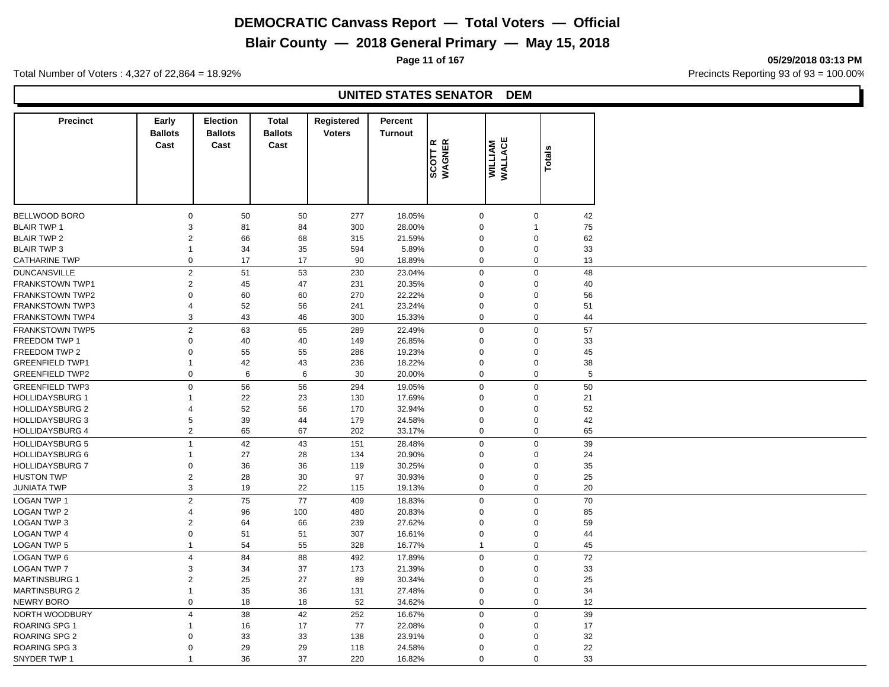# **Blair County — 2018 General Primary — May 15, 2018**

**Page 11 of 167 05/29/2018 03:13 PM**

Total Number of Voters : 4,327 of 22,864 = 18.92% Precincts Reporting 93 of 93 = 100.00%

| <b>Precinct</b>        | Early<br><b>Ballots</b><br>Cast | <b>Election</b><br><b>Ballots</b><br>Cast | <b>Total</b><br><b>Ballots</b><br>Cast | Registered<br><b>Voters</b> | Percent<br><b>Turnout</b> | SCOTT R<br>WAGNER | WILLIAM<br>WALLACE | <b>Totals</b>            |    |
|------------------------|---------------------------------|-------------------------------------------|----------------------------------------|-----------------------------|---------------------------|-------------------|--------------------|--------------------------|----|
|                        |                                 |                                           |                                        |                             |                           |                   |                    |                          |    |
| <b>BELLWOOD BORO</b>   | $\mathbf 0$                     | 50                                        | 50                                     | 277                         | 18.05%                    | $\mathbf 0$       |                    | $\mathbf 0$              | 42 |
| <b>BLAIR TWP 1</b>     | 3                               | 81                                        | 84                                     | 300                         | 28.00%                    | $\mathbf 0$       |                    | $\overline{\phantom{a}}$ | 75 |
| <b>BLAIR TWP 2</b>     | $\overline{2}$                  | 66                                        | 68                                     | 315                         | 21.59%                    | $\mathbf 0$       |                    | $\Omega$                 | 62 |
| <b>BLAIR TWP 3</b>     | $\mathbf{1}$                    | 34                                        | 35                                     | 594                         | 5.89%                     | $\mathbf 0$       |                    | $\mathbf 0$              | 33 |
| <b>CATHARINE TWP</b>   | $\mathbf 0$                     | 17                                        | 17                                     | 90                          | 18.89%                    |                   | $\mathbf 0$        | $\mathbf 0$              | 13 |
| <b>DUNCANSVILLE</b>    | $\overline{2}$                  | 51                                        | 53                                     | 230                         | 23.04%                    | $\mathbf 0$       |                    | $\mathbf 0$              | 48 |
| <b>FRANKSTOWN TWP1</b> | $\sqrt{2}$                      | 45                                        | 47                                     | 231                         | 20.35%                    | $\mathbf 0$       |                    | $\Omega$                 | 40 |
| <b>FRANKSTOWN TWP2</b> | $\Omega$                        | 60                                        | 60                                     | 270                         | 22.22%                    | $\mathbf 0$       |                    | $\Omega$                 | 56 |
| <b>FRANKSTOWN TWP3</b> | $\overline{4}$                  | 52                                        | 56                                     | 241                         | 23.24%                    | $\boldsymbol{0}$  |                    | $\mathbf 0$              | 51 |
| <b>FRANKSTOWN TWP4</b> | 3                               | 43                                        | 46                                     | 300                         | 15.33%                    | $\mathbf 0$       |                    | $\Omega$                 | 44 |
| <b>FRANKSTOWN TWP5</b> | $\overline{2}$                  | 63                                        | 65                                     | 289                         | 22.49%                    | $\mathbf 0$       |                    | $\Omega$                 | 57 |
| FREEDOM TWP 1          | $\Omega$                        | 40                                        | 40                                     | 149                         | 26.85%                    | $\mathbf 0$       |                    | $\Omega$                 | 33 |
| FREEDOM TWP 2          | $\Omega$                        | 55                                        | 55                                     | 286                         | 19.23%                    | $\mathbf 0$       |                    | $\Omega$                 | 45 |
| <b>GREENFIELD TWP1</b> | $\overline{1}$                  | 42                                        | 43                                     | 236                         | 18.22%                    | $\mathbf 0$       |                    | $\Omega$                 | 38 |
| <b>GREENFIELD TWP2</b> | $\mathbf 0$                     | 6                                         | 6                                      | 30                          | 20.00%                    | $\mathbf 0$       |                    | $\mathbf 0$              | 5  |
| <b>GREENFIELD TWP3</b> | $\mathbf 0$                     | 56                                        | 56                                     | 294                         | 19.05%                    |                   | $\mathbf 0$        | $\mathbf 0$              | 50 |
| <b>HOLLIDAYSBURG 1</b> | $\mathbf{1}$                    | 22                                        | 23                                     | 130                         | 17.69%                    | $\mathbf 0$       |                    | $\Omega$                 | 21 |
| <b>HOLLIDAYSBURG 2</b> | $\overline{4}$                  | 52                                        | 56                                     | 170                         | 32.94%                    | $\mathbf 0$       |                    | $\Omega$                 | 52 |
| <b>HOLLIDAYSBURG 3</b> | 5                               | 39                                        | 44                                     | 179                         | 24.58%                    | $\mathbf 0$       |                    | $\Omega$                 | 42 |
| <b>HOLLIDAYSBURG 4</b> | $\overline{2}$                  | 65                                        | 67                                     | 202                         | 33.17%                    |                   | $\mathbf 0$        | $\Omega$                 | 65 |
| <b>HOLLIDAYSBURG 5</b> | $\overline{1}$                  | 42                                        | 43                                     | 151                         | 28.48%                    | $\pmb{0}$         |                    | $\mathbf 0$              | 39 |
| <b>HOLLIDAYSBURG 6</b> | $\mathbf{1}$                    | 27                                        | 28                                     | 134                         | 20.90%                    | $\boldsymbol{0}$  |                    | $\Omega$                 | 24 |
| <b>HOLLIDAYSBURG 7</b> | $\mathsf 0$                     | 36                                        | 36                                     | 119                         | 30.25%                    | $\mathbf 0$       |                    | $\mathbf 0$              | 35 |
| <b>HUSTON TWP</b>      | $\sqrt{2}$                      | 28                                        | 30                                     | 97                          | 30.93%                    | $\boldsymbol{0}$  |                    | $\Omega$                 | 25 |
| <b>JUNIATA TWP</b>     | $\mathsf 3$                     | 19                                        | 22                                     | 115                         | 19.13%                    |                   | $\mathbf 0$        | $\Omega$                 | 20 |
|                        |                                 |                                           |                                        |                             |                           |                   |                    | $\Omega$                 |    |
| <b>LOGAN TWP 1</b>     | $\overline{2}$                  | 75                                        | 77                                     | 409                         | 18.83%                    | $\boldsymbol{0}$  |                    |                          | 70 |
| <b>LOGAN TWP 2</b>     | $\overline{4}$                  | 96                                        | 100                                    | 480                         | 20.83%                    | $\mathbf 0$       |                    | $\Omega$                 | 85 |
| <b>LOGAN TWP 3</b>     | $\overline{2}$                  | 64                                        | 66                                     | 239                         | 27.62%                    | $\mathbf 0$       |                    | $\Omega$                 | 59 |
| <b>LOGAN TWP 4</b>     | $\mathbf 0$                     | 51                                        | 51                                     | 307                         | 16.61%                    | $\boldsymbol{0}$  |                    | $\Omega$                 | 44 |
| <b>LOGAN TWP 5</b>     | $\mathbf{1}$                    | 54                                        | 55                                     | 328                         | 16.77%                    | $\mathbf{1}$      |                    | 0                        | 45 |
| LOGAN TWP 6            | $\overline{4}$                  | 84                                        | 88                                     | 492                         | 17.89%                    |                   | $\mathbf 0$        | $\mathbf 0$              | 72 |
| <b>LOGAN TWP 7</b>     | 3                               | 34                                        | 37                                     | 173                         | 21.39%                    | $\mathbf 0$       |                    | $\Omega$                 | 33 |
| <b>MARTINSBURG 1</b>   | $\overline{2}$                  | 25                                        | 27                                     | 89                          | 30.34%                    | $\mathbf 0$       |                    | $\Omega$                 | 25 |
| <b>MARTINSBURG 2</b>   | $\mathbf{1}$                    | 35                                        | 36                                     | 131                         | 27.48%                    | $\mathbf 0$       |                    | $\Omega$                 | 34 |
| NEWRY BORO             | $\mathsf 0$                     | 18                                        | 18                                     | 52                          | 34.62%                    | $\mathbf 0$       |                    | $\Omega$                 | 12 |
| NORTH WOODBURY         | $\overline{4}$                  | 38                                        | 42                                     | 252                         | 16.67%                    | $\boldsymbol{0}$  |                    | $\mathbf 0$              | 39 |
| <b>ROARING SPG 1</b>   | $\mathbf 1$                     | 16                                        | 17                                     | 77                          | 22.08%                    | $\mathbf 0$       |                    | $\Omega$                 | 17 |
| ROARING SPG 2          | $\Omega$                        | 33                                        | 33                                     | 138                         | 23.91%                    | $\mathbf 0$       |                    | $\Omega$                 | 32 |
| <b>ROARING SPG 3</b>   | $\Omega$                        | 29                                        | 29                                     | 118                         | 24.58%                    | $\mathbf 0$       |                    | $\Omega$                 | 22 |
| SNYDER TWP 1           | $\mathbf{1}$                    | 36                                        | 37                                     | 220                         | 16.82%                    | $\mathbf 0$       |                    | $\Omega$                 | 33 |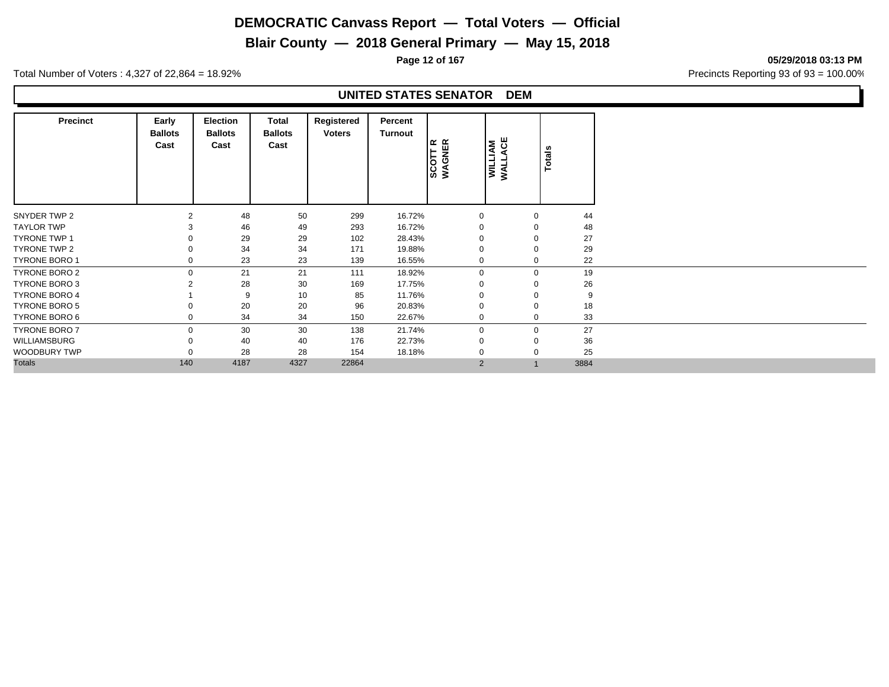# **Blair County — 2018 General Primary — May 15, 2018**

**Page 12 of 167 05/29/2018 03:13 PM**

Total Number of Voters : 4,327 of 22,864 = 18.92% Precincts Reporting 93 of 93 = 100.00%

| <b>Precinct</b>      | Early<br><b>Ballots</b><br>Cast | <b>Election</b><br><b>Ballots</b><br>Cast | Total<br><b>Ballots</b><br>Cast | Registered<br><b>Voters</b> | Percent<br>Turnout | SCOTT R<br>WAGNER | WILLIAM<br>WALLACE | Totals |      |
|----------------------|---------------------------------|-------------------------------------------|---------------------------------|-----------------------------|--------------------|-------------------|--------------------|--------|------|
| SNYDER TWP 2         | $\overline{2}$                  | 48                                        | 50                              | 299                         | 16.72%             | $\mathbf 0$       | $\Omega$           |        | 44   |
| <b>TAYLOR TWP</b>    |                                 | 46                                        | 49                              | 293                         | 16.72%             | $\Omega$          | $\Omega$           |        | 48   |
| <b>TYRONE TWP 1</b>  |                                 | 29                                        | 29                              | 102                         | 28.43%             | O                 | O                  |        | 27   |
| TYRONE TWP 2         |                                 | 34                                        | 34                              | 171                         | 19.88%             | 0                 |                    |        | 29   |
| <b>TYRONE BORO 1</b> |                                 | 23                                        | 23                              | 139                         | 16.55%             | 0                 | $\Omega$           |        | 22   |
| TYRONE BORO 2        | $\Omega$                        | 21                                        | 21                              | 111                         | 18.92%             | 0                 | $\mathbf 0$        |        | 19   |
| TYRONE BORO 3        |                                 | 28                                        | 30                              | 169                         | 17.75%             | $\Omega$          | $\Omega$           |        | 26   |
| <b>TYRONE BORO 4</b> |                                 | 9                                         | 10                              | 85                          | 11.76%             | $\Omega$          | $\Omega$           |        | 9    |
| TYRONE BORO 5        |                                 | 20                                        | 20                              | 96                          | 20.83%             | $\Omega$          | $\Omega$           |        | 18   |
| TYRONE BORO 6        |                                 | 34                                        | 34                              | 150                         | 22.67%             | 0                 | $\mathbf 0$        |        | 33   |
| <b>TYRONE BORO 7</b> | $\Omega$                        | 30                                        | 30                              | 138                         | 21.74%             | $\mathbf 0$       | $\mathbf 0$        |        | 27   |
| WILLIAMSBURG         |                                 | 40                                        | 40                              | 176                         | 22.73%             | 0                 | $\Omega$           |        | 36   |
| WOODBURY TWP         |                                 | 28                                        | 28                              | 154                         | 18.18%             | $\Omega$          | $\Omega$           |        | 25   |
| <b>Totals</b>        | 140                             | 4187                                      | 4327                            | 22864                       |                    | 2                 |                    |        | 3884 |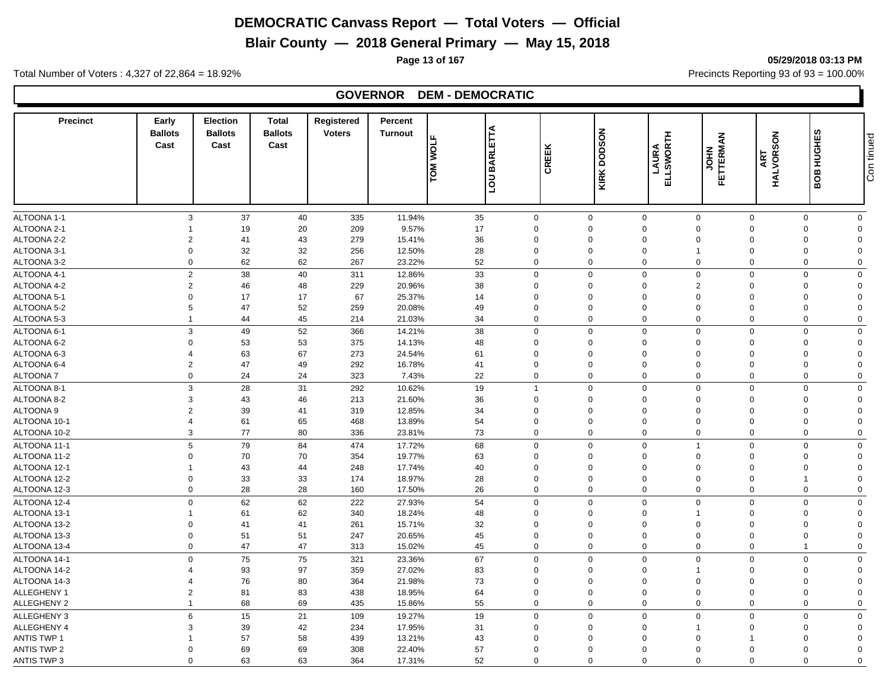**Blair County — 2018 General Primary — May 15, 2018**

Total Number of Voters : 4,327 of 22,864 = 18.92% Precincts Reporting 93 of 93 = 100.00%

# **GOVERNOR DEM - DEMOCRATIC**

| <b>Precinct</b>    | Early<br><b>Ballots</b><br>Cast | <b>Election</b><br><b>Ballots</b><br>Cast | <b>Total</b><br><b>Ballots</b><br>Cast | Registered<br><b>Voters</b> | Percent<br><b>Turnout</b> | <b>BARLETTA</b><br><b>TOM WOLF</b> | CREEK                   | <b>DODSON</b><br>KIRK | ELLSWORTH<br>LAURA | <b>FETTERMAN</b><br>FETTERMAN | HALVORSON<br>ART | <b>BOB HUGHES</b> | Con tinued           |
|--------------------|---------------------------------|-------------------------------------------|----------------------------------------|-----------------------------|---------------------------|------------------------------------|-------------------------|-----------------------|--------------------|-------------------------------|------------------|-------------------|----------------------|
|                    |                                 |                                           |                                        |                             |                           |                                    |                         |                       |                    |                               |                  |                   |                      |
| ALTOONA 1-1        | 3                               | 37                                        | 40                                     | 335                         | 11.94%                    | 35                                 | $\mathbf 0$             | $\mathbf 0$           | $\mathbf 0$        | $\mathbf 0$                   | $\mathbf 0$      | $\mathbf 0$       | $\mathbf 0$          |
| ALTOONA 2-1        |                                 | 19                                        | 20                                     | 209                         | 9.57%                     | 17                                 | $\Omega$                | $\Omega$              | $\mathbf 0$        | $\mathbf{0}$                  | $\Omega$         | 0                 | $\Omega$             |
| ALTOONA 2-2        | $\overline{2}$                  | 41                                        | 43                                     | 279                         | 15.41%                    | 36                                 | $\Omega$                | $\mathbf 0$           | $\mathbf 0$        | $\Omega$                      | $\Omega$         | $\mathbf 0$       | $\Omega$             |
| ALTOONA 3-1        | $\mathbf 0$                     | 32                                        | 32                                     | 256                         | 12.50%                    | 28                                 | $\Omega$                | $\Omega$              | $\mathbf 0$        |                               | $\Omega$         | $\Omega$          | $\Omega$             |
| ALTOONA 3-2        | $\overline{0}$                  | 62                                        | 62                                     | 267                         | 23.22%                    | 52                                 | $\mathbf 0$             | $\mathbf 0$           | $\mathbf 0$        | $\Omega$                      | $\mathbf 0$      | $\mathbf 0$       | $\Omega$             |
| ALTOONA 4-1        | $\overline{2}$                  | 38                                        | 40                                     | 311                         | 12.86%                    | 33                                 | $\mathbf 0$             | $\mathbf 0$           | $\mathbf 0$        | $\mathbf 0$                   | $\mathbf 0$      | $\mathbf 0$       | $\Omega$             |
| ALTOONA 4-2        | $\overline{2}$                  | 46                                        | 48                                     | 229                         | 20.96%                    | 38                                 | $\Omega$                | $\Omega$              | $\mathbf 0$        | $\overline{2}$                | $\Omega$         | $\mathbf 0$       | $\Omega$             |
| ALTOONA 5-1        | $\Omega$                        | 17                                        | 17                                     | 67                          | 25.37%                    | 14                                 | $\Omega$                | $\Omega$              | $\mathbf 0$        | $\Omega$                      | $\Omega$         | $\mathbf 0$       | $\Omega$             |
| ALTOONA 5-2        | 5                               | 47                                        | 52                                     | 259                         | 20.08%                    | 49                                 | $\mathbf 0$             | $\mathbf 0$           | $\mathbf 0$        | $\mathbf 0$                   | $\overline{0}$   | $\mathbf 0$       | $\Omega$             |
| ALTOONA 5-3        | $\overline{1}$                  | 44                                        | 45                                     | 214                         | 21.03%                    | 34                                 | $\mathbf 0$             | $\mathbf 0$           | $\mathbf 0$        | $\mathbf{0}$                  | $\overline{0}$   | 0                 | $\Omega$             |
| ALTOONA 6-1        | 3                               | 49                                        | 52                                     | 366                         | 14.21%                    | 38                                 | $\mathbf 0$             | $\mathbf 0$           | $\mathbf 0$        | $\mathbf{0}$                  | $\Omega$         | 0                 | $\Omega$             |
| ALTOONA 6-2        | $\Omega$                        | 53                                        | 53                                     | 375                         | 14.13%                    | 48                                 | $\mathbf 0$             | $\mathbf 0$           | $\mathbf 0$        | $\Omega$                      | $\Omega$         | $\mathbf 0$       | $\Omega$             |
| ALTOONA 6-3        | $\overline{4}$                  | 63                                        | 67                                     | 273                         | 24.54%                    | 61                                 | $\Omega$                | $\Omega$              | $\mathbf 0$        | $\Omega$                      | $\Omega$         | 0                 | $\Omega$             |
| ALTOONA 6-4        | $\overline{2}$                  | 47                                        | 49                                     | 292                         | 16.78%                    | 41                                 | $\mathbf 0$             | $\Omega$              | $\mathbf 0$        | $\Omega$                      | $\mathbf 0$      | $\mathbf 0$       | $\Omega$             |
| ALTOONA 7          | $\pmb{0}$                       | 24                                        | 24                                     | 323                         | 7.43%                     | 22                                 | $\mathbf 0$             | $\Omega$              | $\mathbf 0$        | $\mathbf 0$                   | $\Omega$         | $\mathbf 0$       | $\mathbf 0$          |
| ALTOONA 8-1        | 3                               | 28                                        | 31                                     | 292                         | 10.62%                    | 19                                 |                         | $\mathbf 0$           | $\mathbf 0$        | $\mathbf 0$                   | $\overline{0}$   | $\mathbf 0$       | $\Omega$             |
| ALTOONA 8-2        | 3                               | 43                                        | 46                                     | 213                         | 21.60%                    | 36                                 | $\mathbf 0$             | $\Omega$              | $\mathbf 0$        | $\Omega$                      | $\Omega$         | $\mathbf 0$       | $\Omega$             |
| ALTOONA 9          | $\overline{2}$                  | 39                                        | 41                                     | 319                         | 12.85%                    | 34                                 | $\mathbf 0$             | $\mathbf 0$           | $\mathbf 0$        | $\Omega$                      | $\mathbf 0$      | $\mathbf 0$       | $\Omega$             |
| ALTOONA 10-1       | $\overline{4}$                  | 61                                        | 65                                     | 468                         | 13.89%                    | 54                                 | $\Omega$                | $\mathbf 0$           | $\mathbf 0$        | $\Omega$                      | $\Omega$         | 0                 | $\Omega$             |
| ALTOONA 10-2       | 3                               | 77                                        | 80                                     | 336                         | 23.81%                    | 73                                 | $\mathbf 0$             | 0                     | $\mathbf 0$        | $\mathbf 0$                   | $\mathbf 0$      | $\mathbf 0$       | $\Omega$             |
| ALTOONA 11-1       | 5                               | 79                                        | 84                                     | 474                         | 17.72%                    | 68                                 | $\mathbf 0$             | 0                     | $\mathbf 0$        | $\overline{1}$                | $\mathbf 0$      | $\mathbf 0$       | $\mathbf 0$          |
| ALTOONA 11-2       | $\Omega$                        | 70                                        | 70                                     | 354                         | 19.77%                    | 63                                 | $\Omega$                | $\Omega$              | $\mathbf 0$        | $\Omega$                      | $\Omega$         | $\mathbf 0$       | $\Omega$             |
| ALTOONA 12-1       | -1                              | 43                                        | 44                                     | 248                         | 17.74%                    | 40                                 | $\Omega$                | $\Omega$              | $\mathbf 0$        | $\Omega$                      | $\Omega$         | 0                 | $\Omega$             |
| ALTOONA 12-2       | $\Omega$                        | 33                                        | 33                                     | 174                         | 18.97%                    | 28                                 | $\Omega$                | $\Omega$              | $\mathbf 0$        | $\Omega$                      | $\Omega$         | 1                 | $\Omega$             |
| ALTOONA 12-3       | $\mathbf 0$                     | 28                                        | 28                                     | 160                         | 17.50%                    | 26                                 | $\mathbf 0$             | $\Omega$              | $\mathbf 0$        | $\mathbf 0$                   | $\mathbf 0$      | $\mathbf 0$       | $\Omega$             |
| ALTOONA 12-4       | $\mathbf 0$                     | 62                                        | 62                                     | 222                         | 27.93%                    | 54                                 | $\mathbf 0$             | $\mathbf 0$           | $\mathbf{0}$       | $\mathbf 0$                   | $\mathbf 0$      | $\mathbf 0$       | $\Omega$             |
|                    |                                 |                                           |                                        |                             |                           |                                    |                         | $\Omega$              |                    |                               |                  |                   |                      |
| ALTOONA 13-1       | $\overline{1}$                  | 61                                        | 62                                     | 340                         | 18.24%                    | 48                                 | $\mathbf 0$<br>$\Omega$ |                       | $\mathbf 0$        |                               | $\mathbf 0$      | $\mathbf 0$       | $\Omega$             |
| ALTOONA 13-2       | $\Omega$                        | 41                                        | 41                                     | 261                         | 15.71%                    | 32                                 |                         | $\Omega$              | $\mathbf 0$        | $\Omega$                      | $\Omega$         | $\mathbf 0$       | $\Omega$<br>$\Omega$ |
| ALTOONA 13-3       | $\mathbf 0$                     | 51                                        | 51                                     | 247                         | 20.65%                    | 45                                 | $\mathbf 0$             | $\mathbf 0$           | $\mathbf 0$        | $\mathbf 0$                   | $\mathbf 0$      | $\mathbf 0$       |                      |
| ALTOONA 13-4       | $\mathbf 0$                     | 47                                        | 47                                     | 313                         | 15.02%                    | 45                                 | $\mathbf 0$             | 0                     | $\mathbf 0$        | $\mathbf 0$                   | $\mathbf 0$      | $\overline{1}$    | $\Omega$             |
| ALTOONA 14-1       | $\Omega$                        | 75                                        | 75                                     | 321                         | 23.36%                    | 67                                 | $\mathbf 0$             | $\Omega$              | $\mathbf 0$        | $\mathbf 0$                   | $\Omega$         | $\mathbf 0$       | $\mathbf 0$          |
| ALTOONA 14-2       | 4                               | 93                                        | 97                                     | 359                         | 27.02%                    | 83                                 | $\mathbf 0$             | 0                     | $\mathbf 0$        |                               | $\Omega$         | 0                 | $\Omega$             |
| ALTOONA 14-3       |                                 | 76                                        | 80                                     | 364                         | 21.98%                    | 73                                 | $\mathbf 0$             | $\mathbf 0$           | $\mathbf 0$        | $\Omega$                      | $\mathbf 0$      | 0                 | $\Omega$             |
| ALLEGHENY 1        | $\overline{2}$                  | 81                                        | 83                                     | 438                         | 18.95%                    | 64                                 | $\mathbf 0$             | $\mathbf 0$           | $\mathbf 0$        | $\mathbf 0$                   | $\mathbf 0$      | 0                 | $\Omega$             |
| <b>ALLEGHENY 2</b> | $\overline{1}$                  | 68                                        | 69                                     | 435                         | 15.86%                    | 55                                 | $\mathbf 0$             | $\mathbf 0$           | $\mathbf 0$        | $\mathbf 0$                   | $\mathbf 0$      | $\mathbf 0$       | $\mathbf 0$          |
| ALLEGHENY 3        | 6                               | 15                                        | 21                                     | 109                         | 19.27%                    | 19                                 | $\mathbf 0$             | $\Omega$              | $\mathbf 0$        | $\mathbf 0$                   | $\mathbf 0$      | $\mathbf 0$       | $\Omega$             |
| <b>ALLEGHENY 4</b> | 3                               | 39                                        | 42                                     | 234                         | 17.95%                    | 31                                 | $\Omega$                | $\Omega$              | $\mathbf 0$        |                               | $\Omega$         | $\mathbf 0$       | $\Omega$             |
| <b>ANTIS TWP 1</b> |                                 | 57                                        | 58                                     | 439                         | 13.21%                    | 43                                 | $\Omega$                | $\Omega$              | $\mathbf 0$        | $\Omega$                      |                  | $\Omega$          | $\Omega$             |
| <b>ANTIS TWP 2</b> | $\Omega$                        | 69                                        | 69                                     | 308                         | 22.40%                    | 57                                 | $\mathbf 0$             | $\Omega$              | $\mathbf 0$        | $\Omega$                      | $\Omega$         | $\mathbf 0$       | $\Omega$             |
| <b>ANTIS TWP 3</b> | $\Omega$                        | 63                                        | 63                                     | 364                         | 17.31%                    | 52                                 | $\Omega$                | $\Omega$              | $\Omega$           | $\Omega$                      | $\Omega$         | $\Omega$          | $\Omega$             |

**Page 13 of 167 05/29/2018 03:13 PM**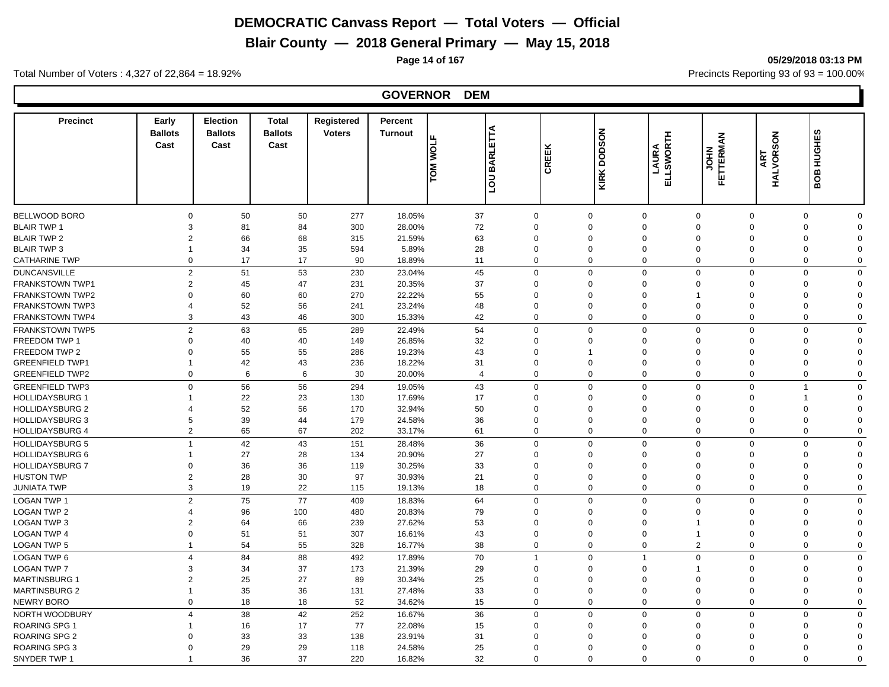**Blair County — 2018 General Primary — May 15, 2018**

**Page 14 of 167 05/29/2018 03:13 PM**

Total Number of Voters : 4,327 of 22,864 = 18.92% Precincts Reporting 93 of 93 = 100.00%

#### **GOVERNOR DEM**

| <b>BELLWOOD BORO</b><br>50<br>50<br>277<br>18.05%<br>37<br>$\Omega$<br>$\mathbf 0$<br>$\Omega$<br>$\mathbf 0$<br>$\Omega$<br>$\mathbf 0$<br>$\Omega$<br>$\Omega$<br><b>BLAIR TWP 1</b><br>3<br>81<br>84<br>300<br>28.00%<br>72<br>$\Omega$<br>$\Omega$<br>$\Omega$<br>$\mathbf 0$<br>$\Omega$<br>$\Omega$<br>$\Omega$<br>66<br><b>BLAIR TWP 2</b><br>$\overline{2}$<br>68<br>315<br>21.59%<br>63<br>$\Omega$<br>$\Omega$<br>$\Omega$<br>$\mathbf 0$<br>$\Omega$<br>$\Omega$<br>$\Omega$<br>34<br>35<br>5.89%<br>28<br><b>BLAIR TWP 3</b><br>594<br>$\Omega$<br>$\Omega$<br>$\mathbf 0$<br>$\Omega$<br>$\Omega$<br>0<br>$\Omega$<br>$\mathbf 1$<br>17<br>17<br>$\mathbf 0$<br><b>CATHARINE TWP</b><br>$\Omega$<br>90<br>18.89%<br>11<br>$\Omega$<br>0<br>$\Omega$<br>$\Omega$<br>0<br>$\Omega$<br>$\overline{2}$<br>51<br>53<br>230<br>45<br>$\Omega$<br>23.04%<br>$\Omega$<br>0<br>$\mathbf 0$<br>$\Omega$<br>0<br>$\Omega$<br>45<br>20.35%<br>37<br>$\overline{2}$<br>47<br>231<br>$\Omega$<br>$\mathbf 0$<br>$\Omega$<br>$\Omega$<br>$\Omega$<br>0<br>$\Omega$<br>60<br>60<br>270<br>22.22%<br>55<br>$\mathbf 0$<br>$\Omega$<br>$\Omega$<br>$\Omega$<br>$\Omega$<br>$\Omega$<br>$\Omega$<br>52<br>56<br>23.24%<br>$\Omega$<br>241<br>48<br>$\Omega$<br>$\mathbf 0$<br>$\Omega$<br>$\Omega$<br>0<br>$\Omega$<br>$\boldsymbol{\Delta}$<br>43<br>3<br>42<br><b>FRANKSTOWN TWP4</b><br>46<br>300<br>15.33%<br>$\Omega$<br>$\mathbf 0$<br>$\mathbf 0$<br>$\Omega$<br>$\mathbf 0$<br>$\Omega$<br>$\mathbf 0$<br>$\overline{2}$<br>63<br>54<br>65<br>289<br>22.49%<br>$\Omega$<br>$\mathbf 0$<br>$\mathbf 0$<br>$\mathbf 0$<br>$\Omega$<br>$\mathbf 0$<br>$\Omega$<br>40<br>$\Omega$<br>40<br>149<br>26.85%<br>32<br>$\mathbf 0$<br>$\Omega$<br>$\Omega$<br>$\mathbf 0$<br>$\Omega$<br>$\Omega$<br>$\Omega$<br>55<br>55<br>286<br>19.23%<br>43<br>$\Omega$<br>$\Omega$<br>$\Omega$<br>$\Omega$<br>$\mathbf 0$<br>$\Omega$<br>$\Omega$<br>$\overline{1}$<br>42<br>43<br>236<br>18.22%<br>31<br>$\mathbf 0$<br>$\mathbf 0$<br>$\mathbf 0$<br>$\mathbf 0$<br>$\mathbf 0$<br>$\mathbf 0$<br>$\mathbf{1}$<br>$\Omega$<br>20.00%<br>$\Omega$<br>$\mathbf 0$<br>$\mathbf 0$<br>$\mathbf 0$<br>$\mathbf 0$<br>6<br>6<br>30<br>$\overline{4}$<br>$\mathbf 0$<br>$\Omega$<br>$\Omega$<br>56<br>56<br>294<br>19.05%<br>43<br>$\Omega$<br>$\Omega$<br>$\mathbf 0$<br>$\mathbf 0$<br>$\Omega$<br>$\Omega$<br>$\overline{1}$<br>$\mathbf 0$<br>22<br><b>HOLLIDAYSBURG 1</b><br>23<br>130<br>17.69%<br>17<br>$\mathbf 0$<br>0<br>$\mathbf 0$<br>$\Omega$<br>$\mathbf 0$<br>$\overline{1}$<br>1<br>$\Omega$<br>52<br>56<br><b>HOLLIDAYSBURG 2</b><br>170<br>32.94%<br>50<br>$\Omega$<br>$\Omega$<br>$\Omega$<br>0<br>$\Omega$<br>$\Omega$<br>$\Omega$<br>4<br>39<br>44<br>179<br>24.58%<br>36<br>$\mathbf 0$<br>$\mathbf 0$<br><b>HOLLIDAYSBURG 3</b><br>5<br>0<br>0<br>$\Omega$<br>$\mathbf 0$<br>$\Omega$<br>$\overline{2}$<br>65<br>67<br>202<br>33.17%<br>$\mathbf 0$<br>$\mathbf 0$<br>$\mathbf 0$<br>$\mathbf 0$<br><b>HOLLIDAYSBURG 4</b><br>61<br>0<br>$\mathbf 0$<br>$\mathbf 0$<br>42<br>36<br><b>HOLLIDAYSBURG 5</b><br>$\overline{1}$<br>43<br>151<br>28.48%<br>$\Omega$<br>$\mathbf 0$<br>$\mathbf 0$<br>$\Omega$<br>$\Omega$<br>$\mathbf 0$<br>$\Omega$<br><b>HOLLIDAYSBURG 6</b><br>27<br>28<br>20.90%<br>27<br>134<br>$\Omega$<br>$\Omega$<br>$\Omega$<br>$\mathbf 0$<br>$\Omega$<br>$\Omega$<br>$\Omega$<br>1<br>36<br><b>HOLLIDAYSBURG 7</b><br>36<br>30.25%<br>33<br>$\Omega$<br>119<br>$\Omega$<br>$\Omega$<br>0<br>$\Omega$<br>$\Omega$<br>$\Omega$<br>$\Omega$<br>28<br>30<br>97<br>30.93%<br>21<br>$\Omega$<br><b>HUSTON TWP</b><br>$\overline{2}$<br>$\Omega$<br>$\Omega$<br>$\Omega$<br>$\Omega$<br>$\mathbf 0$<br>$\Omega$<br><b>JUNIATA TWP</b><br>3<br>19<br>22<br>19.13%<br>18<br>$\Omega$<br>$\mathbf 0$<br>$\mathbf 0$<br>$\mathbf 0$<br>$\mathbf 0$<br>$\mathbf 0$<br>115<br>$\Omega$<br>75<br><b>LOGAN TWP 1</b><br>$\overline{2}$<br>77<br>409<br>18.83%<br>64<br>$\mathbf 0$<br>$\mathbf 0$<br>$\mathbf 0$<br>$\mathbf 0$<br>0<br>$\mathbf 0$<br>$\Omega$<br><b>LOGAN TWP 2</b><br>96<br>100<br>480<br>20.83%<br>79<br>$\Omega$<br>$\Omega$<br>$\Omega$<br>$\mathbf 0$<br>$\Omega$<br>$\Omega$<br>$\Omega$<br>$\overline{4}$<br><b>LOGAN TWP 3</b><br>64<br>66<br>239<br>27.62%<br>53<br>$\overline{2}$<br>$\Omega$<br>$\mathbf 0$<br>$\mathbf 0$<br>$\Omega$<br>0<br>$\Omega$<br>51<br><b>LOGAN TWP 4</b><br>51<br>307<br>16.61%<br>43<br>$\Omega$<br>$\mathbf 0$<br>$\mathbf 0$<br>$\Omega$<br>0<br>$\Omega$<br>$\Omega$<br>54<br>$\overline{2}$<br>LOGAN TWP 5<br>55<br>328<br>16.77%<br>38<br>$\Omega$<br>$\mathbf 0$<br>$\mathbf 0$<br>0<br>$\mathbf 0$<br>$\Omega$<br>$\mathbf{1}$<br>88<br>LOGAN TWP 6<br>84<br>492<br>17.89%<br>70<br>$\Omega$<br>$\mathbf 0$<br>$\mathbf 0$<br>$\overline{4}$<br>$\overline{1}$<br>$\mathbf 0$<br>$\mathbf{1}$<br>$\Omega$<br>34<br>37<br>21.39%<br>29<br><b>LOGAN TWP 7</b><br>3<br>173<br>$\Omega$<br>$\mathbf 0$<br>0<br>$\Omega$<br>$\Omega$<br>$\Omega$<br>25<br>27<br>$\overline{2}$<br>89<br>30.34%<br>25<br>$\mathbf 0$<br>$\Omega$<br>$\Omega$<br>$\Omega$<br>$\mathbf 0$<br>$\Omega$<br>$\Omega$<br>35<br>36<br>131<br>27.48%<br>33<br>$\Omega$<br>$\mathbf 0$<br>$\Omega$<br>$\mathbf 0$<br>$\mathbf{1}$<br>$\mathbf 0$<br>$\Omega$<br>$\Omega$<br>18<br>18<br>52<br>$\Omega$<br>$\mathbf 0$<br>$\mathbf 0$<br>$\mathbf 0$<br>$\mathbf 0$<br>$\Omega$<br>34.62%<br>15<br>$\Omega$<br>$\Omega$<br>38<br>42<br>252<br>$\overline{4}$<br>16.67%<br>36<br>$\Omega$<br>$\mathbf 0$<br>$\mathbf 0$<br>$\mathbf 0$<br>$\mathbf 0$<br>$\mathbf 0$<br>$\mathbf 0$<br>ROARING SPG 1<br>17<br>77<br>22.08%<br>16<br>15<br>$\Omega$<br>$\Omega$<br>$\Omega$<br>$\Omega$<br>$\mathbf 0$<br>$\Omega$<br>$\Omega$<br>1<br><b>ROARING SPG 2</b><br>33<br>33<br>138<br>23.91%<br>31<br>0<br>0<br>$\Omega$<br>$\Omega$<br>$\Omega$<br>$\Omega$<br>$\Omega$<br>O<br>ROARING SPG 3<br>29<br>29<br>24.58%<br>118<br>25<br>$\Omega$<br>$\Omega$<br>$\Omega$<br>$\Omega$<br>$\Omega$<br>0<br>$\Omega$<br>$\Omega$<br>36<br>37<br>$\Omega$<br>$\Omega$<br>$\Omega$<br>$\Omega$<br>$\Omega$<br>$\Omega$<br>$\Omega$<br>$\mathbf 1$ | <b>Precinct</b>        | Early<br><b>Ballots</b><br>Cast | <b>Election</b><br><b>Ballots</b><br>Cast | <b>Total</b><br><b>Ballots</b><br>Cast | Registered<br><b>Voters</b> | Percent<br><b>Turnout</b> | ⋖<br>툐<br><b>LOM MOLE</b><br><b>BARL</b><br>non | CREEK | <b>NOSOOD</b><br>KIRK I | ELLSWORTH<br>LAURA | <b>FETTERMAN</b><br>FETTERMAN | HALVORSON<br>눉<br>⋖ | BOB HUGHES |  |
|-----------------------------------------------------------------------------------------------------------------------------------------------------------------------------------------------------------------------------------------------------------------------------------------------------------------------------------------------------------------------------------------------------------------------------------------------------------------------------------------------------------------------------------------------------------------------------------------------------------------------------------------------------------------------------------------------------------------------------------------------------------------------------------------------------------------------------------------------------------------------------------------------------------------------------------------------------------------------------------------------------------------------------------------------------------------------------------------------------------------------------------------------------------------------------------------------------------------------------------------------------------------------------------------------------------------------------------------------------------------------------------------------------------------------------------------------------------------------------------------------------------------------------------------------------------------------------------------------------------------------------------------------------------------------------------------------------------------------------------------------------------------------------------------------------------------------------------------------------------------------------------------------------------------------------------------------------------------------------------------------------------------------------------------------------------------------------------------------------------------------------------------------------------------------------------------------------------------------------------------------------------------------------------------------------------------------------------------------------------------------------------------------------------------------------------------------------------------------------------------------------------------------------------------------------------------------------------------------------------------------------------------------------------------------------------------------------------------------------------------------------------------------------------------------------------------------------------------------------------------------------------------------------------------------------------------------------------------------------------------------------------------------------------------------------------------------------------------------------------------------------------------------------------------------------------------------------------------------------------------------------------------------------------------------------------------------------------------------------------------------------------------------------------------------------------------------------------------------------------------------------------------------------------------------------------------------------------------------------------------------------------------------------------------------------------------------------------------------------------------------------------------------------------------------------------------------------------------------------------------------------------------------------------------------------------------------------------------------------------------------------------------------------------------------------------------------------------------------------------------------------------------------------------------------------------------------------------------------------------------------------------------------------------------------------------------------------------------------------------------------------------------------------------------------------------------------------------------------------------------------------------------------------------------------------------------------------------------------------------------------------------------------------------------------------------------------------------------------------------------------------------------------------------------------------------------------------------------------------------------------------------------------------------------------------------------------------------------------------------------------------------------------------------------------------------------------------------------------------------------------------------------------------------------------------------------------------------------------------------------------------------------------------------------------------------------------------------------------------------------------------------------------------------------------------------------------------------------------------------------------------------------------------------------------------------------------------------------------------------------------------------------------------------------------------------------------------------------------------------------------------------------------------------------------------------------------------------------------------------------------------------------------------------------------------------------------------------------------------------------------------------------------------------------------------------------------------------------------------------------------------------------------------------------------------|------------------------|---------------------------------|-------------------------------------------|----------------------------------------|-----------------------------|---------------------------|-------------------------------------------------|-------|-------------------------|--------------------|-------------------------------|---------------------|------------|--|
|                                                                                                                                                                                                                                                                                                                                                                                                                                                                                                                                                                                                                                                                                                                                                                                                                                                                                                                                                                                                                                                                                                                                                                                                                                                                                                                                                                                                                                                                                                                                                                                                                                                                                                                                                                                                                                                                                                                                                                                                                                                                                                                                                                                                                                                                                                                                                                                                                                                                                                                                                                                                                                                                                                                                                                                                                                                                                                                                                                                                                                                                                                                                                                                                                                                                                                                                                                                                                                                                                                                                                                                                                                                                                                                                                                                                                                                                                                                                                                                                                                                                                                                                                                                                                                                                                                                                                                                                                                                                                                                                                                                                                                                                                                                                                                                                                                                                                                                                                                                                                                                                                                                                                                                                                                                                                                                                                                                                                                                                                                                                                                                                                                                                                                                                                                                                                                                                                                                                                                                                                                                                                                                                                                             |                        |                                 |                                           |                                        |                             |                           |                                                 |       |                         |                    |                               |                     |            |  |
|                                                                                                                                                                                                                                                                                                                                                                                                                                                                                                                                                                                                                                                                                                                                                                                                                                                                                                                                                                                                                                                                                                                                                                                                                                                                                                                                                                                                                                                                                                                                                                                                                                                                                                                                                                                                                                                                                                                                                                                                                                                                                                                                                                                                                                                                                                                                                                                                                                                                                                                                                                                                                                                                                                                                                                                                                                                                                                                                                                                                                                                                                                                                                                                                                                                                                                                                                                                                                                                                                                                                                                                                                                                                                                                                                                                                                                                                                                                                                                                                                                                                                                                                                                                                                                                                                                                                                                                                                                                                                                                                                                                                                                                                                                                                                                                                                                                                                                                                                                                                                                                                                                                                                                                                                                                                                                                                                                                                                                                                                                                                                                                                                                                                                                                                                                                                                                                                                                                                                                                                                                                                                                                                                                             |                        |                                 |                                           |                                        |                             |                           |                                                 |       |                         |                    |                               |                     |            |  |
|                                                                                                                                                                                                                                                                                                                                                                                                                                                                                                                                                                                                                                                                                                                                                                                                                                                                                                                                                                                                                                                                                                                                                                                                                                                                                                                                                                                                                                                                                                                                                                                                                                                                                                                                                                                                                                                                                                                                                                                                                                                                                                                                                                                                                                                                                                                                                                                                                                                                                                                                                                                                                                                                                                                                                                                                                                                                                                                                                                                                                                                                                                                                                                                                                                                                                                                                                                                                                                                                                                                                                                                                                                                                                                                                                                                                                                                                                                                                                                                                                                                                                                                                                                                                                                                                                                                                                                                                                                                                                                                                                                                                                                                                                                                                                                                                                                                                                                                                                                                                                                                                                                                                                                                                                                                                                                                                                                                                                                                                                                                                                                                                                                                                                                                                                                                                                                                                                                                                                                                                                                                                                                                                                                             |                        |                                 |                                           |                                        |                             |                           |                                                 |       |                         |                    |                               |                     |            |  |
|                                                                                                                                                                                                                                                                                                                                                                                                                                                                                                                                                                                                                                                                                                                                                                                                                                                                                                                                                                                                                                                                                                                                                                                                                                                                                                                                                                                                                                                                                                                                                                                                                                                                                                                                                                                                                                                                                                                                                                                                                                                                                                                                                                                                                                                                                                                                                                                                                                                                                                                                                                                                                                                                                                                                                                                                                                                                                                                                                                                                                                                                                                                                                                                                                                                                                                                                                                                                                                                                                                                                                                                                                                                                                                                                                                                                                                                                                                                                                                                                                                                                                                                                                                                                                                                                                                                                                                                                                                                                                                                                                                                                                                                                                                                                                                                                                                                                                                                                                                                                                                                                                                                                                                                                                                                                                                                                                                                                                                                                                                                                                                                                                                                                                                                                                                                                                                                                                                                                                                                                                                                                                                                                                                             |                        |                                 |                                           |                                        |                             |                           |                                                 |       |                         |                    |                               |                     |            |  |
|                                                                                                                                                                                                                                                                                                                                                                                                                                                                                                                                                                                                                                                                                                                                                                                                                                                                                                                                                                                                                                                                                                                                                                                                                                                                                                                                                                                                                                                                                                                                                                                                                                                                                                                                                                                                                                                                                                                                                                                                                                                                                                                                                                                                                                                                                                                                                                                                                                                                                                                                                                                                                                                                                                                                                                                                                                                                                                                                                                                                                                                                                                                                                                                                                                                                                                                                                                                                                                                                                                                                                                                                                                                                                                                                                                                                                                                                                                                                                                                                                                                                                                                                                                                                                                                                                                                                                                                                                                                                                                                                                                                                                                                                                                                                                                                                                                                                                                                                                                                                                                                                                                                                                                                                                                                                                                                                                                                                                                                                                                                                                                                                                                                                                                                                                                                                                                                                                                                                                                                                                                                                                                                                                                             |                        |                                 |                                           |                                        |                             |                           |                                                 |       |                         |                    |                               |                     |            |  |
|                                                                                                                                                                                                                                                                                                                                                                                                                                                                                                                                                                                                                                                                                                                                                                                                                                                                                                                                                                                                                                                                                                                                                                                                                                                                                                                                                                                                                                                                                                                                                                                                                                                                                                                                                                                                                                                                                                                                                                                                                                                                                                                                                                                                                                                                                                                                                                                                                                                                                                                                                                                                                                                                                                                                                                                                                                                                                                                                                                                                                                                                                                                                                                                                                                                                                                                                                                                                                                                                                                                                                                                                                                                                                                                                                                                                                                                                                                                                                                                                                                                                                                                                                                                                                                                                                                                                                                                                                                                                                                                                                                                                                                                                                                                                                                                                                                                                                                                                                                                                                                                                                                                                                                                                                                                                                                                                                                                                                                                                                                                                                                                                                                                                                                                                                                                                                                                                                                                                                                                                                                                                                                                                                                             |                        |                                 |                                           |                                        |                             |                           |                                                 |       |                         |                    |                               |                     |            |  |
|                                                                                                                                                                                                                                                                                                                                                                                                                                                                                                                                                                                                                                                                                                                                                                                                                                                                                                                                                                                                                                                                                                                                                                                                                                                                                                                                                                                                                                                                                                                                                                                                                                                                                                                                                                                                                                                                                                                                                                                                                                                                                                                                                                                                                                                                                                                                                                                                                                                                                                                                                                                                                                                                                                                                                                                                                                                                                                                                                                                                                                                                                                                                                                                                                                                                                                                                                                                                                                                                                                                                                                                                                                                                                                                                                                                                                                                                                                                                                                                                                                                                                                                                                                                                                                                                                                                                                                                                                                                                                                                                                                                                                                                                                                                                                                                                                                                                                                                                                                                                                                                                                                                                                                                                                                                                                                                                                                                                                                                                                                                                                                                                                                                                                                                                                                                                                                                                                                                                                                                                                                                                                                                                                                             | <b>DUNCANSVILLE</b>    |                                 |                                           |                                        |                             |                           |                                                 |       |                         |                    |                               |                     |            |  |
|                                                                                                                                                                                                                                                                                                                                                                                                                                                                                                                                                                                                                                                                                                                                                                                                                                                                                                                                                                                                                                                                                                                                                                                                                                                                                                                                                                                                                                                                                                                                                                                                                                                                                                                                                                                                                                                                                                                                                                                                                                                                                                                                                                                                                                                                                                                                                                                                                                                                                                                                                                                                                                                                                                                                                                                                                                                                                                                                                                                                                                                                                                                                                                                                                                                                                                                                                                                                                                                                                                                                                                                                                                                                                                                                                                                                                                                                                                                                                                                                                                                                                                                                                                                                                                                                                                                                                                                                                                                                                                                                                                                                                                                                                                                                                                                                                                                                                                                                                                                                                                                                                                                                                                                                                                                                                                                                                                                                                                                                                                                                                                                                                                                                                                                                                                                                                                                                                                                                                                                                                                                                                                                                                                             | <b>FRANKSTOWN TWP1</b> |                                 |                                           |                                        |                             |                           |                                                 |       |                         |                    |                               |                     |            |  |
|                                                                                                                                                                                                                                                                                                                                                                                                                                                                                                                                                                                                                                                                                                                                                                                                                                                                                                                                                                                                                                                                                                                                                                                                                                                                                                                                                                                                                                                                                                                                                                                                                                                                                                                                                                                                                                                                                                                                                                                                                                                                                                                                                                                                                                                                                                                                                                                                                                                                                                                                                                                                                                                                                                                                                                                                                                                                                                                                                                                                                                                                                                                                                                                                                                                                                                                                                                                                                                                                                                                                                                                                                                                                                                                                                                                                                                                                                                                                                                                                                                                                                                                                                                                                                                                                                                                                                                                                                                                                                                                                                                                                                                                                                                                                                                                                                                                                                                                                                                                                                                                                                                                                                                                                                                                                                                                                                                                                                                                                                                                                                                                                                                                                                                                                                                                                                                                                                                                                                                                                                                                                                                                                                                             | <b>FRANKSTOWN TWP2</b> |                                 |                                           |                                        |                             |                           |                                                 |       |                         |                    |                               |                     |            |  |
|                                                                                                                                                                                                                                                                                                                                                                                                                                                                                                                                                                                                                                                                                                                                                                                                                                                                                                                                                                                                                                                                                                                                                                                                                                                                                                                                                                                                                                                                                                                                                                                                                                                                                                                                                                                                                                                                                                                                                                                                                                                                                                                                                                                                                                                                                                                                                                                                                                                                                                                                                                                                                                                                                                                                                                                                                                                                                                                                                                                                                                                                                                                                                                                                                                                                                                                                                                                                                                                                                                                                                                                                                                                                                                                                                                                                                                                                                                                                                                                                                                                                                                                                                                                                                                                                                                                                                                                                                                                                                                                                                                                                                                                                                                                                                                                                                                                                                                                                                                                                                                                                                                                                                                                                                                                                                                                                                                                                                                                                                                                                                                                                                                                                                                                                                                                                                                                                                                                                                                                                                                                                                                                                                                             | <b>FRANKSTOWN TWP3</b> |                                 |                                           |                                        |                             |                           |                                                 |       |                         |                    |                               |                     |            |  |
|                                                                                                                                                                                                                                                                                                                                                                                                                                                                                                                                                                                                                                                                                                                                                                                                                                                                                                                                                                                                                                                                                                                                                                                                                                                                                                                                                                                                                                                                                                                                                                                                                                                                                                                                                                                                                                                                                                                                                                                                                                                                                                                                                                                                                                                                                                                                                                                                                                                                                                                                                                                                                                                                                                                                                                                                                                                                                                                                                                                                                                                                                                                                                                                                                                                                                                                                                                                                                                                                                                                                                                                                                                                                                                                                                                                                                                                                                                                                                                                                                                                                                                                                                                                                                                                                                                                                                                                                                                                                                                                                                                                                                                                                                                                                                                                                                                                                                                                                                                                                                                                                                                                                                                                                                                                                                                                                                                                                                                                                                                                                                                                                                                                                                                                                                                                                                                                                                                                                                                                                                                                                                                                                                                             |                        |                                 |                                           |                                        |                             |                           |                                                 |       |                         |                    |                               |                     |            |  |
|                                                                                                                                                                                                                                                                                                                                                                                                                                                                                                                                                                                                                                                                                                                                                                                                                                                                                                                                                                                                                                                                                                                                                                                                                                                                                                                                                                                                                                                                                                                                                                                                                                                                                                                                                                                                                                                                                                                                                                                                                                                                                                                                                                                                                                                                                                                                                                                                                                                                                                                                                                                                                                                                                                                                                                                                                                                                                                                                                                                                                                                                                                                                                                                                                                                                                                                                                                                                                                                                                                                                                                                                                                                                                                                                                                                                                                                                                                                                                                                                                                                                                                                                                                                                                                                                                                                                                                                                                                                                                                                                                                                                                                                                                                                                                                                                                                                                                                                                                                                                                                                                                                                                                                                                                                                                                                                                                                                                                                                                                                                                                                                                                                                                                                                                                                                                                                                                                                                                                                                                                                                                                                                                                                             | <b>FRANKSTOWN TWP5</b> |                                 |                                           |                                        |                             |                           |                                                 |       |                         |                    |                               |                     |            |  |
|                                                                                                                                                                                                                                                                                                                                                                                                                                                                                                                                                                                                                                                                                                                                                                                                                                                                                                                                                                                                                                                                                                                                                                                                                                                                                                                                                                                                                                                                                                                                                                                                                                                                                                                                                                                                                                                                                                                                                                                                                                                                                                                                                                                                                                                                                                                                                                                                                                                                                                                                                                                                                                                                                                                                                                                                                                                                                                                                                                                                                                                                                                                                                                                                                                                                                                                                                                                                                                                                                                                                                                                                                                                                                                                                                                                                                                                                                                                                                                                                                                                                                                                                                                                                                                                                                                                                                                                                                                                                                                                                                                                                                                                                                                                                                                                                                                                                                                                                                                                                                                                                                                                                                                                                                                                                                                                                                                                                                                                                                                                                                                                                                                                                                                                                                                                                                                                                                                                                                                                                                                                                                                                                                                             | FREEDOM TWP 1          |                                 |                                           |                                        |                             |                           |                                                 |       |                         |                    |                               |                     |            |  |
|                                                                                                                                                                                                                                                                                                                                                                                                                                                                                                                                                                                                                                                                                                                                                                                                                                                                                                                                                                                                                                                                                                                                                                                                                                                                                                                                                                                                                                                                                                                                                                                                                                                                                                                                                                                                                                                                                                                                                                                                                                                                                                                                                                                                                                                                                                                                                                                                                                                                                                                                                                                                                                                                                                                                                                                                                                                                                                                                                                                                                                                                                                                                                                                                                                                                                                                                                                                                                                                                                                                                                                                                                                                                                                                                                                                                                                                                                                                                                                                                                                                                                                                                                                                                                                                                                                                                                                                                                                                                                                                                                                                                                                                                                                                                                                                                                                                                                                                                                                                                                                                                                                                                                                                                                                                                                                                                                                                                                                                                                                                                                                                                                                                                                                                                                                                                                                                                                                                                                                                                                                                                                                                                                                             | FREEDOM TWP 2          |                                 |                                           |                                        |                             |                           |                                                 |       |                         |                    |                               |                     |            |  |
|                                                                                                                                                                                                                                                                                                                                                                                                                                                                                                                                                                                                                                                                                                                                                                                                                                                                                                                                                                                                                                                                                                                                                                                                                                                                                                                                                                                                                                                                                                                                                                                                                                                                                                                                                                                                                                                                                                                                                                                                                                                                                                                                                                                                                                                                                                                                                                                                                                                                                                                                                                                                                                                                                                                                                                                                                                                                                                                                                                                                                                                                                                                                                                                                                                                                                                                                                                                                                                                                                                                                                                                                                                                                                                                                                                                                                                                                                                                                                                                                                                                                                                                                                                                                                                                                                                                                                                                                                                                                                                                                                                                                                                                                                                                                                                                                                                                                                                                                                                                                                                                                                                                                                                                                                                                                                                                                                                                                                                                                                                                                                                                                                                                                                                                                                                                                                                                                                                                                                                                                                                                                                                                                                                             | <b>GREENFIELD TWP1</b> |                                 |                                           |                                        |                             |                           |                                                 |       |                         |                    |                               |                     |            |  |
|                                                                                                                                                                                                                                                                                                                                                                                                                                                                                                                                                                                                                                                                                                                                                                                                                                                                                                                                                                                                                                                                                                                                                                                                                                                                                                                                                                                                                                                                                                                                                                                                                                                                                                                                                                                                                                                                                                                                                                                                                                                                                                                                                                                                                                                                                                                                                                                                                                                                                                                                                                                                                                                                                                                                                                                                                                                                                                                                                                                                                                                                                                                                                                                                                                                                                                                                                                                                                                                                                                                                                                                                                                                                                                                                                                                                                                                                                                                                                                                                                                                                                                                                                                                                                                                                                                                                                                                                                                                                                                                                                                                                                                                                                                                                                                                                                                                                                                                                                                                                                                                                                                                                                                                                                                                                                                                                                                                                                                                                                                                                                                                                                                                                                                                                                                                                                                                                                                                                                                                                                                                                                                                                                                             | <b>GREENFIELD TWP2</b> |                                 |                                           |                                        |                             |                           |                                                 |       |                         |                    |                               |                     |            |  |
|                                                                                                                                                                                                                                                                                                                                                                                                                                                                                                                                                                                                                                                                                                                                                                                                                                                                                                                                                                                                                                                                                                                                                                                                                                                                                                                                                                                                                                                                                                                                                                                                                                                                                                                                                                                                                                                                                                                                                                                                                                                                                                                                                                                                                                                                                                                                                                                                                                                                                                                                                                                                                                                                                                                                                                                                                                                                                                                                                                                                                                                                                                                                                                                                                                                                                                                                                                                                                                                                                                                                                                                                                                                                                                                                                                                                                                                                                                                                                                                                                                                                                                                                                                                                                                                                                                                                                                                                                                                                                                                                                                                                                                                                                                                                                                                                                                                                                                                                                                                                                                                                                                                                                                                                                                                                                                                                                                                                                                                                                                                                                                                                                                                                                                                                                                                                                                                                                                                                                                                                                                                                                                                                                                             | <b>GREENFIELD TWP3</b> |                                 |                                           |                                        |                             |                           |                                                 |       |                         |                    |                               |                     |            |  |
|                                                                                                                                                                                                                                                                                                                                                                                                                                                                                                                                                                                                                                                                                                                                                                                                                                                                                                                                                                                                                                                                                                                                                                                                                                                                                                                                                                                                                                                                                                                                                                                                                                                                                                                                                                                                                                                                                                                                                                                                                                                                                                                                                                                                                                                                                                                                                                                                                                                                                                                                                                                                                                                                                                                                                                                                                                                                                                                                                                                                                                                                                                                                                                                                                                                                                                                                                                                                                                                                                                                                                                                                                                                                                                                                                                                                                                                                                                                                                                                                                                                                                                                                                                                                                                                                                                                                                                                                                                                                                                                                                                                                                                                                                                                                                                                                                                                                                                                                                                                                                                                                                                                                                                                                                                                                                                                                                                                                                                                                                                                                                                                                                                                                                                                                                                                                                                                                                                                                                                                                                                                                                                                                                                             |                        |                                 |                                           |                                        |                             |                           |                                                 |       |                         |                    |                               |                     |            |  |
|                                                                                                                                                                                                                                                                                                                                                                                                                                                                                                                                                                                                                                                                                                                                                                                                                                                                                                                                                                                                                                                                                                                                                                                                                                                                                                                                                                                                                                                                                                                                                                                                                                                                                                                                                                                                                                                                                                                                                                                                                                                                                                                                                                                                                                                                                                                                                                                                                                                                                                                                                                                                                                                                                                                                                                                                                                                                                                                                                                                                                                                                                                                                                                                                                                                                                                                                                                                                                                                                                                                                                                                                                                                                                                                                                                                                                                                                                                                                                                                                                                                                                                                                                                                                                                                                                                                                                                                                                                                                                                                                                                                                                                                                                                                                                                                                                                                                                                                                                                                                                                                                                                                                                                                                                                                                                                                                                                                                                                                                                                                                                                                                                                                                                                                                                                                                                                                                                                                                                                                                                                                                                                                                                                             |                        |                                 |                                           |                                        |                             |                           |                                                 |       |                         |                    |                               |                     |            |  |
|                                                                                                                                                                                                                                                                                                                                                                                                                                                                                                                                                                                                                                                                                                                                                                                                                                                                                                                                                                                                                                                                                                                                                                                                                                                                                                                                                                                                                                                                                                                                                                                                                                                                                                                                                                                                                                                                                                                                                                                                                                                                                                                                                                                                                                                                                                                                                                                                                                                                                                                                                                                                                                                                                                                                                                                                                                                                                                                                                                                                                                                                                                                                                                                                                                                                                                                                                                                                                                                                                                                                                                                                                                                                                                                                                                                                                                                                                                                                                                                                                                                                                                                                                                                                                                                                                                                                                                                                                                                                                                                                                                                                                                                                                                                                                                                                                                                                                                                                                                                                                                                                                                                                                                                                                                                                                                                                                                                                                                                                                                                                                                                                                                                                                                                                                                                                                                                                                                                                                                                                                                                                                                                                                                             |                        |                                 |                                           |                                        |                             |                           |                                                 |       |                         |                    |                               |                     |            |  |
|                                                                                                                                                                                                                                                                                                                                                                                                                                                                                                                                                                                                                                                                                                                                                                                                                                                                                                                                                                                                                                                                                                                                                                                                                                                                                                                                                                                                                                                                                                                                                                                                                                                                                                                                                                                                                                                                                                                                                                                                                                                                                                                                                                                                                                                                                                                                                                                                                                                                                                                                                                                                                                                                                                                                                                                                                                                                                                                                                                                                                                                                                                                                                                                                                                                                                                                                                                                                                                                                                                                                                                                                                                                                                                                                                                                                                                                                                                                                                                                                                                                                                                                                                                                                                                                                                                                                                                                                                                                                                                                                                                                                                                                                                                                                                                                                                                                                                                                                                                                                                                                                                                                                                                                                                                                                                                                                                                                                                                                                                                                                                                                                                                                                                                                                                                                                                                                                                                                                                                                                                                                                                                                                                                             |                        |                                 |                                           |                                        |                             |                           |                                                 |       |                         |                    |                               |                     |            |  |
|                                                                                                                                                                                                                                                                                                                                                                                                                                                                                                                                                                                                                                                                                                                                                                                                                                                                                                                                                                                                                                                                                                                                                                                                                                                                                                                                                                                                                                                                                                                                                                                                                                                                                                                                                                                                                                                                                                                                                                                                                                                                                                                                                                                                                                                                                                                                                                                                                                                                                                                                                                                                                                                                                                                                                                                                                                                                                                                                                                                                                                                                                                                                                                                                                                                                                                                                                                                                                                                                                                                                                                                                                                                                                                                                                                                                                                                                                                                                                                                                                                                                                                                                                                                                                                                                                                                                                                                                                                                                                                                                                                                                                                                                                                                                                                                                                                                                                                                                                                                                                                                                                                                                                                                                                                                                                                                                                                                                                                                                                                                                                                                                                                                                                                                                                                                                                                                                                                                                                                                                                                                                                                                                                                             |                        |                                 |                                           |                                        |                             |                           |                                                 |       |                         |                    |                               |                     |            |  |
|                                                                                                                                                                                                                                                                                                                                                                                                                                                                                                                                                                                                                                                                                                                                                                                                                                                                                                                                                                                                                                                                                                                                                                                                                                                                                                                                                                                                                                                                                                                                                                                                                                                                                                                                                                                                                                                                                                                                                                                                                                                                                                                                                                                                                                                                                                                                                                                                                                                                                                                                                                                                                                                                                                                                                                                                                                                                                                                                                                                                                                                                                                                                                                                                                                                                                                                                                                                                                                                                                                                                                                                                                                                                                                                                                                                                                                                                                                                                                                                                                                                                                                                                                                                                                                                                                                                                                                                                                                                                                                                                                                                                                                                                                                                                                                                                                                                                                                                                                                                                                                                                                                                                                                                                                                                                                                                                                                                                                                                                                                                                                                                                                                                                                                                                                                                                                                                                                                                                                                                                                                                                                                                                                                             |                        |                                 |                                           |                                        |                             |                           |                                                 |       |                         |                    |                               |                     |            |  |
|                                                                                                                                                                                                                                                                                                                                                                                                                                                                                                                                                                                                                                                                                                                                                                                                                                                                                                                                                                                                                                                                                                                                                                                                                                                                                                                                                                                                                                                                                                                                                                                                                                                                                                                                                                                                                                                                                                                                                                                                                                                                                                                                                                                                                                                                                                                                                                                                                                                                                                                                                                                                                                                                                                                                                                                                                                                                                                                                                                                                                                                                                                                                                                                                                                                                                                                                                                                                                                                                                                                                                                                                                                                                                                                                                                                                                                                                                                                                                                                                                                                                                                                                                                                                                                                                                                                                                                                                                                                                                                                                                                                                                                                                                                                                                                                                                                                                                                                                                                                                                                                                                                                                                                                                                                                                                                                                                                                                                                                                                                                                                                                                                                                                                                                                                                                                                                                                                                                                                                                                                                                                                                                                                                             |                        |                                 |                                           |                                        |                             |                           |                                                 |       |                         |                    |                               |                     |            |  |
|                                                                                                                                                                                                                                                                                                                                                                                                                                                                                                                                                                                                                                                                                                                                                                                                                                                                                                                                                                                                                                                                                                                                                                                                                                                                                                                                                                                                                                                                                                                                                                                                                                                                                                                                                                                                                                                                                                                                                                                                                                                                                                                                                                                                                                                                                                                                                                                                                                                                                                                                                                                                                                                                                                                                                                                                                                                                                                                                                                                                                                                                                                                                                                                                                                                                                                                                                                                                                                                                                                                                                                                                                                                                                                                                                                                                                                                                                                                                                                                                                                                                                                                                                                                                                                                                                                                                                                                                                                                                                                                                                                                                                                                                                                                                                                                                                                                                                                                                                                                                                                                                                                                                                                                                                                                                                                                                                                                                                                                                                                                                                                                                                                                                                                                                                                                                                                                                                                                                                                                                                                                                                                                                                                             |                        |                                 |                                           |                                        |                             |                           |                                                 |       |                         |                    |                               |                     |            |  |
|                                                                                                                                                                                                                                                                                                                                                                                                                                                                                                                                                                                                                                                                                                                                                                                                                                                                                                                                                                                                                                                                                                                                                                                                                                                                                                                                                                                                                                                                                                                                                                                                                                                                                                                                                                                                                                                                                                                                                                                                                                                                                                                                                                                                                                                                                                                                                                                                                                                                                                                                                                                                                                                                                                                                                                                                                                                                                                                                                                                                                                                                                                                                                                                                                                                                                                                                                                                                                                                                                                                                                                                                                                                                                                                                                                                                                                                                                                                                                                                                                                                                                                                                                                                                                                                                                                                                                                                                                                                                                                                                                                                                                                                                                                                                                                                                                                                                                                                                                                                                                                                                                                                                                                                                                                                                                                                                                                                                                                                                                                                                                                                                                                                                                                                                                                                                                                                                                                                                                                                                                                                                                                                                                                             |                        |                                 |                                           |                                        |                             |                           |                                                 |       |                         |                    |                               |                     |            |  |
|                                                                                                                                                                                                                                                                                                                                                                                                                                                                                                                                                                                                                                                                                                                                                                                                                                                                                                                                                                                                                                                                                                                                                                                                                                                                                                                                                                                                                                                                                                                                                                                                                                                                                                                                                                                                                                                                                                                                                                                                                                                                                                                                                                                                                                                                                                                                                                                                                                                                                                                                                                                                                                                                                                                                                                                                                                                                                                                                                                                                                                                                                                                                                                                                                                                                                                                                                                                                                                                                                                                                                                                                                                                                                                                                                                                                                                                                                                                                                                                                                                                                                                                                                                                                                                                                                                                                                                                                                                                                                                                                                                                                                                                                                                                                                                                                                                                                                                                                                                                                                                                                                                                                                                                                                                                                                                                                                                                                                                                                                                                                                                                                                                                                                                                                                                                                                                                                                                                                                                                                                                                                                                                                                                             |                        |                                 |                                           |                                        |                             |                           |                                                 |       |                         |                    |                               |                     |            |  |
|                                                                                                                                                                                                                                                                                                                                                                                                                                                                                                                                                                                                                                                                                                                                                                                                                                                                                                                                                                                                                                                                                                                                                                                                                                                                                                                                                                                                                                                                                                                                                                                                                                                                                                                                                                                                                                                                                                                                                                                                                                                                                                                                                                                                                                                                                                                                                                                                                                                                                                                                                                                                                                                                                                                                                                                                                                                                                                                                                                                                                                                                                                                                                                                                                                                                                                                                                                                                                                                                                                                                                                                                                                                                                                                                                                                                                                                                                                                                                                                                                                                                                                                                                                                                                                                                                                                                                                                                                                                                                                                                                                                                                                                                                                                                                                                                                                                                                                                                                                                                                                                                                                                                                                                                                                                                                                                                                                                                                                                                                                                                                                                                                                                                                                                                                                                                                                                                                                                                                                                                                                                                                                                                                                             |                        |                                 |                                           |                                        |                             |                           |                                                 |       |                         |                    |                               |                     |            |  |
|                                                                                                                                                                                                                                                                                                                                                                                                                                                                                                                                                                                                                                                                                                                                                                                                                                                                                                                                                                                                                                                                                                                                                                                                                                                                                                                                                                                                                                                                                                                                                                                                                                                                                                                                                                                                                                                                                                                                                                                                                                                                                                                                                                                                                                                                                                                                                                                                                                                                                                                                                                                                                                                                                                                                                                                                                                                                                                                                                                                                                                                                                                                                                                                                                                                                                                                                                                                                                                                                                                                                                                                                                                                                                                                                                                                                                                                                                                                                                                                                                                                                                                                                                                                                                                                                                                                                                                                                                                                                                                                                                                                                                                                                                                                                                                                                                                                                                                                                                                                                                                                                                                                                                                                                                                                                                                                                                                                                                                                                                                                                                                                                                                                                                                                                                                                                                                                                                                                                                                                                                                                                                                                                                                             |                        |                                 |                                           |                                        |                             |                           |                                                 |       |                         |                    |                               |                     |            |  |
|                                                                                                                                                                                                                                                                                                                                                                                                                                                                                                                                                                                                                                                                                                                                                                                                                                                                                                                                                                                                                                                                                                                                                                                                                                                                                                                                                                                                                                                                                                                                                                                                                                                                                                                                                                                                                                                                                                                                                                                                                                                                                                                                                                                                                                                                                                                                                                                                                                                                                                                                                                                                                                                                                                                                                                                                                                                                                                                                                                                                                                                                                                                                                                                                                                                                                                                                                                                                                                                                                                                                                                                                                                                                                                                                                                                                                                                                                                                                                                                                                                                                                                                                                                                                                                                                                                                                                                                                                                                                                                                                                                                                                                                                                                                                                                                                                                                                                                                                                                                                                                                                                                                                                                                                                                                                                                                                                                                                                                                                                                                                                                                                                                                                                                                                                                                                                                                                                                                                                                                                                                                                                                                                                                             |                        |                                 |                                           |                                        |                             |                           |                                                 |       |                         |                    |                               |                     |            |  |
|                                                                                                                                                                                                                                                                                                                                                                                                                                                                                                                                                                                                                                                                                                                                                                                                                                                                                                                                                                                                                                                                                                                                                                                                                                                                                                                                                                                                                                                                                                                                                                                                                                                                                                                                                                                                                                                                                                                                                                                                                                                                                                                                                                                                                                                                                                                                                                                                                                                                                                                                                                                                                                                                                                                                                                                                                                                                                                                                                                                                                                                                                                                                                                                                                                                                                                                                                                                                                                                                                                                                                                                                                                                                                                                                                                                                                                                                                                                                                                                                                                                                                                                                                                                                                                                                                                                                                                                                                                                                                                                                                                                                                                                                                                                                                                                                                                                                                                                                                                                                                                                                                                                                                                                                                                                                                                                                                                                                                                                                                                                                                                                                                                                                                                                                                                                                                                                                                                                                                                                                                                                                                                                                                                             |                        |                                 |                                           |                                        |                             |                           |                                                 |       |                         |                    |                               |                     |            |  |
|                                                                                                                                                                                                                                                                                                                                                                                                                                                                                                                                                                                                                                                                                                                                                                                                                                                                                                                                                                                                                                                                                                                                                                                                                                                                                                                                                                                                                                                                                                                                                                                                                                                                                                                                                                                                                                                                                                                                                                                                                                                                                                                                                                                                                                                                                                                                                                                                                                                                                                                                                                                                                                                                                                                                                                                                                                                                                                                                                                                                                                                                                                                                                                                                                                                                                                                                                                                                                                                                                                                                                                                                                                                                                                                                                                                                                                                                                                                                                                                                                                                                                                                                                                                                                                                                                                                                                                                                                                                                                                                                                                                                                                                                                                                                                                                                                                                                                                                                                                                                                                                                                                                                                                                                                                                                                                                                                                                                                                                                                                                                                                                                                                                                                                                                                                                                                                                                                                                                                                                                                                                                                                                                                                             |                        |                                 |                                           |                                        |                             |                           |                                                 |       |                         |                    |                               |                     |            |  |
|                                                                                                                                                                                                                                                                                                                                                                                                                                                                                                                                                                                                                                                                                                                                                                                                                                                                                                                                                                                                                                                                                                                                                                                                                                                                                                                                                                                                                                                                                                                                                                                                                                                                                                                                                                                                                                                                                                                                                                                                                                                                                                                                                                                                                                                                                                                                                                                                                                                                                                                                                                                                                                                                                                                                                                                                                                                                                                                                                                                                                                                                                                                                                                                                                                                                                                                                                                                                                                                                                                                                                                                                                                                                                                                                                                                                                                                                                                                                                                                                                                                                                                                                                                                                                                                                                                                                                                                                                                                                                                                                                                                                                                                                                                                                                                                                                                                                                                                                                                                                                                                                                                                                                                                                                                                                                                                                                                                                                                                                                                                                                                                                                                                                                                                                                                                                                                                                                                                                                                                                                                                                                                                                                                             |                        |                                 |                                           |                                        |                             |                           |                                                 |       |                         |                    |                               |                     |            |  |
|                                                                                                                                                                                                                                                                                                                                                                                                                                                                                                                                                                                                                                                                                                                                                                                                                                                                                                                                                                                                                                                                                                                                                                                                                                                                                                                                                                                                                                                                                                                                                                                                                                                                                                                                                                                                                                                                                                                                                                                                                                                                                                                                                                                                                                                                                                                                                                                                                                                                                                                                                                                                                                                                                                                                                                                                                                                                                                                                                                                                                                                                                                                                                                                                                                                                                                                                                                                                                                                                                                                                                                                                                                                                                                                                                                                                                                                                                                                                                                                                                                                                                                                                                                                                                                                                                                                                                                                                                                                                                                                                                                                                                                                                                                                                                                                                                                                                                                                                                                                                                                                                                                                                                                                                                                                                                                                                                                                                                                                                                                                                                                                                                                                                                                                                                                                                                                                                                                                                                                                                                                                                                                                                                                             |                        |                                 |                                           |                                        |                             |                           |                                                 |       |                         |                    |                               |                     |            |  |
|                                                                                                                                                                                                                                                                                                                                                                                                                                                                                                                                                                                                                                                                                                                                                                                                                                                                                                                                                                                                                                                                                                                                                                                                                                                                                                                                                                                                                                                                                                                                                                                                                                                                                                                                                                                                                                                                                                                                                                                                                                                                                                                                                                                                                                                                                                                                                                                                                                                                                                                                                                                                                                                                                                                                                                                                                                                                                                                                                                                                                                                                                                                                                                                                                                                                                                                                                                                                                                                                                                                                                                                                                                                                                                                                                                                                                                                                                                                                                                                                                                                                                                                                                                                                                                                                                                                                                                                                                                                                                                                                                                                                                                                                                                                                                                                                                                                                                                                                                                                                                                                                                                                                                                                                                                                                                                                                                                                                                                                                                                                                                                                                                                                                                                                                                                                                                                                                                                                                                                                                                                                                                                                                                                             | <b>MARTINSBURG 1</b>   |                                 |                                           |                                        |                             |                           |                                                 |       |                         |                    |                               |                     |            |  |
|                                                                                                                                                                                                                                                                                                                                                                                                                                                                                                                                                                                                                                                                                                                                                                                                                                                                                                                                                                                                                                                                                                                                                                                                                                                                                                                                                                                                                                                                                                                                                                                                                                                                                                                                                                                                                                                                                                                                                                                                                                                                                                                                                                                                                                                                                                                                                                                                                                                                                                                                                                                                                                                                                                                                                                                                                                                                                                                                                                                                                                                                                                                                                                                                                                                                                                                                                                                                                                                                                                                                                                                                                                                                                                                                                                                                                                                                                                                                                                                                                                                                                                                                                                                                                                                                                                                                                                                                                                                                                                                                                                                                                                                                                                                                                                                                                                                                                                                                                                                                                                                                                                                                                                                                                                                                                                                                                                                                                                                                                                                                                                                                                                                                                                                                                                                                                                                                                                                                                                                                                                                                                                                                                                             | <b>MARTINSBURG 2</b>   |                                 |                                           |                                        |                             |                           |                                                 |       |                         |                    |                               |                     |            |  |
|                                                                                                                                                                                                                                                                                                                                                                                                                                                                                                                                                                                                                                                                                                                                                                                                                                                                                                                                                                                                                                                                                                                                                                                                                                                                                                                                                                                                                                                                                                                                                                                                                                                                                                                                                                                                                                                                                                                                                                                                                                                                                                                                                                                                                                                                                                                                                                                                                                                                                                                                                                                                                                                                                                                                                                                                                                                                                                                                                                                                                                                                                                                                                                                                                                                                                                                                                                                                                                                                                                                                                                                                                                                                                                                                                                                                                                                                                                                                                                                                                                                                                                                                                                                                                                                                                                                                                                                                                                                                                                                                                                                                                                                                                                                                                                                                                                                                                                                                                                                                                                                                                                                                                                                                                                                                                                                                                                                                                                                                                                                                                                                                                                                                                                                                                                                                                                                                                                                                                                                                                                                                                                                                                                             | <b>NEWRY BORO</b>      |                                 |                                           |                                        |                             |                           |                                                 |       |                         |                    |                               |                     |            |  |
|                                                                                                                                                                                                                                                                                                                                                                                                                                                                                                                                                                                                                                                                                                                                                                                                                                                                                                                                                                                                                                                                                                                                                                                                                                                                                                                                                                                                                                                                                                                                                                                                                                                                                                                                                                                                                                                                                                                                                                                                                                                                                                                                                                                                                                                                                                                                                                                                                                                                                                                                                                                                                                                                                                                                                                                                                                                                                                                                                                                                                                                                                                                                                                                                                                                                                                                                                                                                                                                                                                                                                                                                                                                                                                                                                                                                                                                                                                                                                                                                                                                                                                                                                                                                                                                                                                                                                                                                                                                                                                                                                                                                                                                                                                                                                                                                                                                                                                                                                                                                                                                                                                                                                                                                                                                                                                                                                                                                                                                                                                                                                                                                                                                                                                                                                                                                                                                                                                                                                                                                                                                                                                                                                                             | NORTH WOODBURY         |                                 |                                           |                                        |                             |                           |                                                 |       |                         |                    |                               |                     |            |  |
|                                                                                                                                                                                                                                                                                                                                                                                                                                                                                                                                                                                                                                                                                                                                                                                                                                                                                                                                                                                                                                                                                                                                                                                                                                                                                                                                                                                                                                                                                                                                                                                                                                                                                                                                                                                                                                                                                                                                                                                                                                                                                                                                                                                                                                                                                                                                                                                                                                                                                                                                                                                                                                                                                                                                                                                                                                                                                                                                                                                                                                                                                                                                                                                                                                                                                                                                                                                                                                                                                                                                                                                                                                                                                                                                                                                                                                                                                                                                                                                                                                                                                                                                                                                                                                                                                                                                                                                                                                                                                                                                                                                                                                                                                                                                                                                                                                                                                                                                                                                                                                                                                                                                                                                                                                                                                                                                                                                                                                                                                                                                                                                                                                                                                                                                                                                                                                                                                                                                                                                                                                                                                                                                                                             |                        |                                 |                                           |                                        |                             |                           |                                                 |       |                         |                    |                               |                     |            |  |
|                                                                                                                                                                                                                                                                                                                                                                                                                                                                                                                                                                                                                                                                                                                                                                                                                                                                                                                                                                                                                                                                                                                                                                                                                                                                                                                                                                                                                                                                                                                                                                                                                                                                                                                                                                                                                                                                                                                                                                                                                                                                                                                                                                                                                                                                                                                                                                                                                                                                                                                                                                                                                                                                                                                                                                                                                                                                                                                                                                                                                                                                                                                                                                                                                                                                                                                                                                                                                                                                                                                                                                                                                                                                                                                                                                                                                                                                                                                                                                                                                                                                                                                                                                                                                                                                                                                                                                                                                                                                                                                                                                                                                                                                                                                                                                                                                                                                                                                                                                                                                                                                                                                                                                                                                                                                                                                                                                                                                                                                                                                                                                                                                                                                                                                                                                                                                                                                                                                                                                                                                                                                                                                                                                             |                        |                                 |                                           |                                        |                             |                           |                                                 |       |                         |                    |                               |                     |            |  |
|                                                                                                                                                                                                                                                                                                                                                                                                                                                                                                                                                                                                                                                                                                                                                                                                                                                                                                                                                                                                                                                                                                                                                                                                                                                                                                                                                                                                                                                                                                                                                                                                                                                                                                                                                                                                                                                                                                                                                                                                                                                                                                                                                                                                                                                                                                                                                                                                                                                                                                                                                                                                                                                                                                                                                                                                                                                                                                                                                                                                                                                                                                                                                                                                                                                                                                                                                                                                                                                                                                                                                                                                                                                                                                                                                                                                                                                                                                                                                                                                                                                                                                                                                                                                                                                                                                                                                                                                                                                                                                                                                                                                                                                                                                                                                                                                                                                                                                                                                                                                                                                                                                                                                                                                                                                                                                                                                                                                                                                                                                                                                                                                                                                                                                                                                                                                                                                                                                                                                                                                                                                                                                                                                                             |                        |                                 |                                           |                                        |                             |                           |                                                 |       |                         |                    |                               |                     |            |  |
|                                                                                                                                                                                                                                                                                                                                                                                                                                                                                                                                                                                                                                                                                                                                                                                                                                                                                                                                                                                                                                                                                                                                                                                                                                                                                                                                                                                                                                                                                                                                                                                                                                                                                                                                                                                                                                                                                                                                                                                                                                                                                                                                                                                                                                                                                                                                                                                                                                                                                                                                                                                                                                                                                                                                                                                                                                                                                                                                                                                                                                                                                                                                                                                                                                                                                                                                                                                                                                                                                                                                                                                                                                                                                                                                                                                                                                                                                                                                                                                                                                                                                                                                                                                                                                                                                                                                                                                                                                                                                                                                                                                                                                                                                                                                                                                                                                                                                                                                                                                                                                                                                                                                                                                                                                                                                                                                                                                                                                                                                                                                                                                                                                                                                                                                                                                                                                                                                                                                                                                                                                                                                                                                                                             | SNYDER TWP 1           |                                 |                                           |                                        | 220                         | 16.82%                    | 32                                              |       |                         |                    |                               |                     |            |  |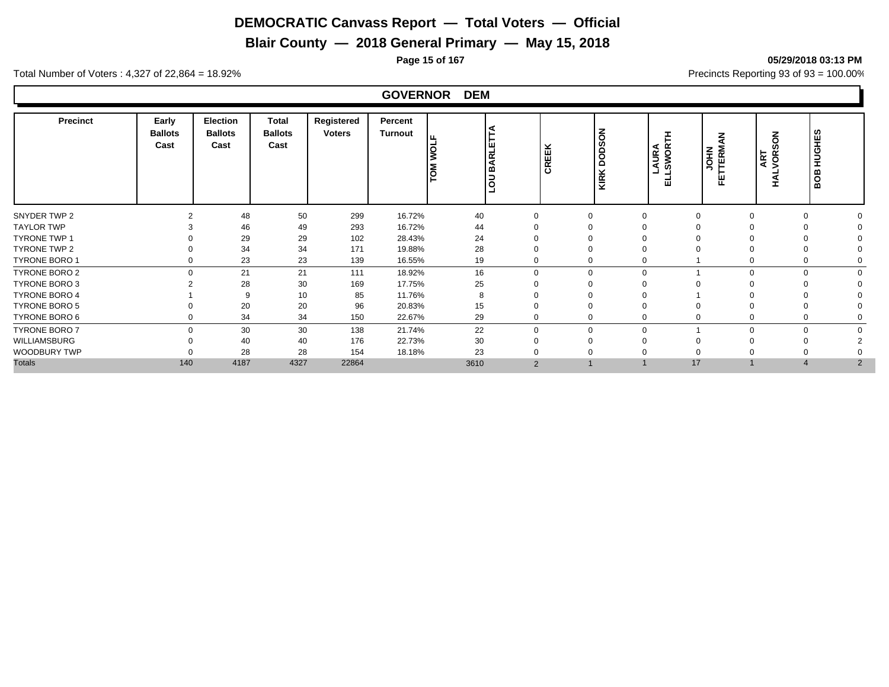**Blair County — 2018 General Primary — May 15, 2018**

**Page 15 of 167 05/29/2018 03:13 PM**

Total Number of Voters : 4,327 of 22,864 = 18.92% Precincts Reporting 93 of 93 = 100.00%

#### **GOVERNOR DEM**

| <b>Precinct</b>      | Early<br><b>Ballots</b><br>Cast | <b>Election</b><br><b>Ballots</b><br>Cast | Total<br><b>Ballots</b><br>Cast | Registered<br><b>Voters</b> | Percent<br>Turnout | ட<br>Ιō | LOU BARLET     | CREEK       | <b>DODSON</b><br>KIRK | <b>AURA<br/>SWORTH</b><br>⊐<br>긊 | <b>JOHN</b><br>TTERM<br>ш<br>ட | $\overline{6}$<br>ART<br>VOR:<br>◀<br><b>I</b> | ທ<br><b>HUGHES</b><br>BOB |  |
|----------------------|---------------------------------|-------------------------------------------|---------------------------------|-----------------------------|--------------------|---------|----------------|-------------|-----------------------|----------------------------------|--------------------------------|------------------------------------------------|---------------------------|--|
| SNYDER TWP 2         | $\Omega$                        | 48                                        | 50                              | 299                         | 16.72%             | 40      |                | $\Omega$    | $\Omega$              | $\Omega$                         |                                |                                                | $\Omega$                  |  |
| <b>TAYLOR TWP</b>    |                                 | 46                                        | 49                              | 293                         | 16.72%             | 44      |                |             |                       |                                  |                                |                                                |                           |  |
| <b>TYRONE TWP 1</b>  |                                 | 29                                        | 29                              | 102                         | 28.43%             | 24      |                |             |                       |                                  |                                |                                                |                           |  |
| <b>TYRONE TWP 2</b>  |                                 | 34                                        | 34                              | 171                         | 19.88%             | 28      |                |             |                       |                                  |                                |                                                |                           |  |
| TYRONE BORO 1        |                                 | 23                                        | 23                              | 139                         | 16.55%             | 19      |                | $\Omega$    |                       |                                  |                                |                                                | $\Omega$                  |  |
| TYRONE BORO 2        | $\Omega$                        | 21                                        | 21                              | 111                         | 18.92%             | 16      | $\Omega$       | $\mathbf 0$ | $\Omega$              |                                  | $\Omega$                       |                                                | $\Omega$                  |  |
| TYRONE BORO 3        |                                 | 28                                        | 30                              | 169                         | 17.75%             | 25      |                | $\Omega$    |                       |                                  |                                |                                                |                           |  |
| <b>TYRONE BORO 4</b> |                                 | 9                                         | 10                              | 85                          | 11.76%             | 8       |                |             |                       |                                  |                                |                                                |                           |  |
| <b>TYRONE BORO 5</b> |                                 | 20                                        | 20                              | 96                          | 20.83%             | 15      |                | $\Omega$    |                       |                                  |                                |                                                | $\Omega$                  |  |
| TYRONE BORO 6        |                                 | 34                                        | 34                              | 150                         | 22.67%             | 29      |                | 0           |                       |                                  |                                |                                                | $\Omega$                  |  |
| <b>TYRONE BORO 7</b> | $\Omega$                        | 30                                        | 30                              | 138                         | 21.74%             | 22      | $\Omega$       | $\mathbf 0$ | $\Omega$              |                                  | $\Omega$                       |                                                | $\Omega$<br>∩             |  |
| WILLIAMSBURG         |                                 | 40                                        | 40                              | 176                         | 22.73%             | 30      |                | $\Omega$    |                       |                                  |                                |                                                |                           |  |
| WOODBURY TWP         |                                 | 28                                        | 28                              | 154                         | 18.18%             | 23      |                |             |                       |                                  |                                |                                                |                           |  |
| <b>Totals</b>        | 140                             | 4187                                      | 4327                            | 22864                       |                    | 3610    | $\overline{2}$ |             |                       | 17                               |                                | $\overline{\mathcal{L}}$                       | $\overline{2}$            |  |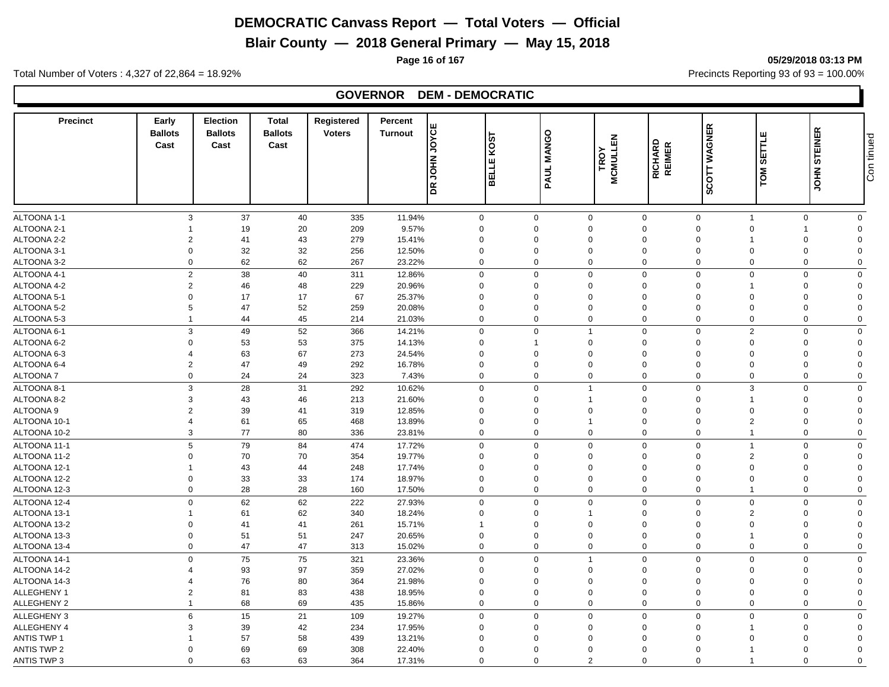**Blair County — 2018 General Primary — May 15, 2018**

Total Number of Voters : 4,327 of 22,864 = 18.92% Precincts Reporting 93 of 93 = 100.00%

# **GOVERNOR DEM - DEMOCRATIC**

| <b>Precinct</b>    | Early<br><b>Ballots</b><br>Cast | <b>Election</b><br><b>Ballots</b><br>Cast | <b>Total</b><br><b>Ballots</b><br>Cast | <b>Registered</b><br><b>Voters</b> | Percent<br><b>Turnout</b> | <b>DR JOHN JOYCE</b> | $\frac{1}{20}$<br>Iш<br><b>TTER</b> | <b>MANGO</b><br>PAUL I      | <b>MCMULLEN</b><br>TROY | RICHARD<br>REIMER       | <b>WAGNER</b><br>SCOTT                 | SETTLE<br>TOM                 | <b>STEINER</b><br><b>NHOL</b> | Con tinued |
|--------------------|---------------------------------|-------------------------------------------|----------------------------------------|------------------------------------|---------------------------|----------------------|-------------------------------------|-----------------------------|-------------------------|-------------------------|----------------------------------------|-------------------------------|-------------------------------|------------|
|                    |                                 |                                           |                                        |                                    |                           |                      |                                     |                             |                         |                         |                                        |                               |                               |            |
| ALTOONA 1-1        | 3                               | 37                                        | 40                                     | 335                                | 11.94%                    | 0                    |                                     | $\mathbf 0$                 | $\mathbf 0$             | $\mathbf 0$             | $\mathbf 0$<br>$\overline{1}$          | $\mathbf 0$                   | $\mathbf 0$                   |            |
| ALTOONA 2-1        | $\overline{1}$                  | 19                                        | 20                                     | 209                                | 9.57%                     | 0                    |                                     | $\mathbf 0$<br>$\Omega$     |                         | $\mathbf 0$             | $\mathbf 0$<br>$\Omega$                | $\overline{1}$                | $\Omega$                      |            |
| ALTOONA 2-2        | $\overline{2}$                  | 41                                        | 43                                     | 279                                | 15.41%                    | $\Omega$             |                                     | $\Omega$<br>0               |                         | $\mathbf 0$             | $\Omega$                               | 0<br>1                        | $\Omega$<br>$\Omega$          |            |
| ALTOONA 3-1        | $\mathbf 0$                     | 32                                        | 32                                     | 256                                | 12.50%                    | $\mathbf 0$          |                                     | $\mathbf 0$<br>$\mathbf 0$  |                         | $\mathbf 0$             | $\mathbf 0$<br>$\mathbf 0$<br>$\Omega$ | 0                             | $\Omega$                      |            |
| ALTOONA 3-2        | $\mathbf 0$                     | 62                                        | 62                                     | 267                                | 23.22%                    | $\Omega$             |                                     | $\Omega$                    | $\mathbf 0$             | $\mathbf 0$             | $\Omega$                               | 0                             |                               |            |
| ALTOONA 4-1        | $\overline{2}$                  | 38                                        | 40                                     | 311                                | 12.86%                    | $\mathbf 0$          |                                     | $\mathbf 0$                 | $\Omega$                | $\mathbf 0$             | $\Omega$<br>$\mathbf 0$                | $\mathbf 0$                   | $\Omega$                      |            |
| ALTOONA 4-2        | $\overline{2}$                  | 46                                        | 48                                     | 229                                | 20.96%                    | 0                    | $\Omega$                            | $\mathbf 0$                 |                         | $\mathbf 0$             | $\Omega$<br>$\overline{1}$             | $\mathbf 0$                   | $\Omega$                      |            |
| ALTOONA 5-1        | $\Omega$                        | 17                                        | 17                                     | 67                                 | 25.37%                    | $\Omega$             | $\Omega$                            | $\Omega$                    |                         | $\mathbf 0$             | $\Omega$<br>$\Omega$                   | $\Omega$                      | $\Omega$                      |            |
| ALTOONA 5-2        | 5                               | 47                                        | 52                                     | 259                                | 20.08%                    | 0                    | $\Omega$                            | $\Omega$                    |                         | $\mathbf 0$             | $\Omega$<br>$\Omega$                   | 0                             | $\Omega$                      |            |
| ALTOONA 5-3        | $\overline{1}$                  | 44                                        | 45                                     | 214                                | 21.03%                    | 0                    |                                     | $\mathbf 0$                 | $\mathbf 0$             | $\mathbf 0$             | $\mathbf 0$                            | $\mathbf 0$<br>$\mathbf 0$    | $\Omega$                      |            |
| ALTOONA 6-1        | 3                               | 49                                        | 52                                     | 366                                | 14.21%                    | 0                    |                                     | $\mathbf 0$<br>$\mathbf{1}$ |                         | $\mathbf 0$             | $\overline{2}$<br>$\Omega$             | $\mathbf 0$                   | $\Omega$                      |            |
| ALTOONA 6-2        | $\mathbf 0$                     | 53                                        | 53                                     | 375                                | 14.13%                    | $\mathbf 0$          |                                     | $\Omega$                    |                         | $\mathbf 0$             | $\Omega$<br>$\Omega$                   | 0                             | $\Omega$                      |            |
| ALTOONA 6-3        | $\overline{4}$                  | 63                                        | 67                                     | 273                                | 24.54%                    | 0                    | $\Omega$                            | $\mathbf 0$                 |                         | $\mathbf 0$             | $\Omega$<br>$\mathbf 0$                | 0                             | $\Omega$                      |            |
| ALTOONA 6-4        | $\overline{2}$                  | 47                                        | 49                                     | 292                                | 16.78%                    | $\mathbf 0$          | $\Omega$                            | $\mathbf 0$                 |                         | $\mathbf 0$             | $\mathbf 0$                            | $\Omega$<br>0                 | $\Omega$                      |            |
| <b>ALTOONA7</b>    | $\mathbf 0$                     | 24                                        | 24                                     | 323                                | 7.43%                     | $\Omega$             |                                     | $\mathbf 0$<br>$\Omega$     |                         | $\mathbf 0$             | $\overline{0}$<br>$\mathbf 0$          | 0                             | $\mathbf 0$                   |            |
| ALTOONA 8-1        | 3                               | 28                                        | 31                                     | 292                                | 10.62%                    | $\Omega$             |                                     | $\Omega$<br>$\mathbf{1}$    |                         | $\mathbf 0$             | 3<br>$\Omega$                          | $\mathbf 0$                   | $\Omega$                      |            |
| ALTOONA 8-2        | 3                               | 43                                        | 46                                     | 213                                | 21.60%                    | $\mathbf 0$          | $\Omega$                            | $\mathbf{1}$                |                         | $\mathbf 0$             | $\Omega$                               | $\Omega$<br>1                 | $\Omega$                      |            |
| ALTOONA 9          | $\overline{2}$                  | 39                                        | 41                                     | 319                                | 12.85%                    | $\Omega$             | $\Omega$                            | $\Omega$                    |                         | $\mathbf 0$             | $\Omega$                               | $\Omega$<br>$\Omega$          | $\Omega$                      |            |
| ALTOONA 10-1       | $\overline{4}$                  | 61                                        | 65                                     | 468                                | 13.89%                    | $\mathbf 0$          | $\Omega$                            | $\mathbf{1}$                |                         | $\mathbf 0$             | $\Omega$                               | $\overline{2}$<br>$\mathbf 0$ | $\Omega$                      |            |
| ALTOONA 10-2       | 3                               | 77                                        | 80                                     | 336                                | 23.81%                    | 0                    |                                     | $\Omega$                    | $\Omega$                | $\mathbf 0$             | $\mathbf 0$<br>$\overline{1}$          | $\mathbf 0$                   | $\Omega$                      |            |
| ALTOONA 11-1       | 5                               | 79                                        | 84                                     | 474                                | 17.72%                    | 0                    |                                     | $\mathbf 0$                 | $\Omega$                | $\mathbf 0$             | $\Omega$                               | $\mathbf 0$<br>$\mathbf{1}$   | $\mathbf 0$                   |            |
| ALTOONA 11-2       | $\Omega$                        | 70                                        | 70                                     | 354                                | 19.77%                    | $\Omega$             |                                     | $\Omega$<br>$\mathbf 0$     |                         | $\mathbf 0$             | $\overline{2}$<br>$\Omega$             | 0                             | $\Omega$                      |            |
| ALTOONA 12-1       | $\overline{\mathbf{1}}$         | 43                                        | 44                                     | 248                                | 17.74%                    | $\mathbf 0$          | $\Omega$                            | $\mathbf 0$                 |                         | $\mathbf 0$             | $\Omega$                               | $\Omega$<br>$\mathbf 0$       | $\Omega$                      |            |
| ALTOONA 12-2       | $\Omega$                        | 33                                        | 33                                     | 174                                | 18.97%                    | $\Omega$             | $\Omega$                            | $\Omega$                    |                         | $\mathbf 0$             | $\Omega$                               | $\Omega$<br>$\mathbf 0$       | $\Omega$                      |            |
| ALTOONA 12-3       | $\mathbf 0$                     | 28                                        | 28                                     | 160                                | 17.50%                    | $\mathbf 0$          |                                     | $\Omega$<br>$\mathbf 0$     |                         | $\mathbf 0$             | $\mathbf 0$<br>-1                      | $\mathbf 0$                   | $\Omega$                      |            |
| ALTOONA 12-4       | $\mathbf 0$                     | 62                                        | 62                                     | 222                                | 27.93%                    | $\mathbf 0$          |                                     | $\mathbf 0$                 | $\Omega$                | $\mathbf 0$             | $\mathbf 0$<br>$\overline{0}$          | $\mathbf 0$                   | $\Omega$                      |            |
| ALTOONA 13-1       | $\overline{1}$                  | 61                                        | 62                                     | 340                                | 18.24%                    | $\mathbf 0$          | $\mathbf 0$                         | $\mathbf{1}$                |                         | $\mathbf 0$             | $\Omega$                               | $\overline{2}$<br>$\mathbf 0$ | $\Omega$                      |            |
| ALTOONA 13-2       | $\mathbf 0$                     | 41                                        | 41                                     | 261                                | 15.71%                    | $\mathbf{1}$         | $\Omega$                            | $\Omega$                    |                         | $\mathbf 0$             | $\Omega$<br>$\Omega$                   | 0                             | $\Omega$                      |            |
| ALTOONA 13-3       | $\mathbf 0$                     | 51                                        | 51                                     | 247                                | 20.65%                    | 0                    |                                     | $\mathbf 0$<br>$\mathbf 0$  |                         | $\mathbf 0$             | $\mathbf 0$<br>$\overline{1}$          | $\mathbf 0$                   | $\Omega$                      |            |
| ALTOONA 13-4       | $\mathbf 0$                     | 47                                        | 47                                     | 313                                | 15.02%                    | $\mathbf 0$          |                                     | $\mathbf 0$                 | $\Omega$                | $\mathbf 0$             | $\mathbf 0$<br>$\Omega$                | $\mathbf 0$                   | $\Omega$                      |            |
| ALTOONA 14-1       | $\mathbf 0$                     | 75                                        | 75                                     | 321                                | 23.36%                    | $\mathbf 0$          |                                     | $\mathbf 0$<br>$\mathbf{1}$ |                         | $\mathbf 0$             | $\Omega$<br>$\mathbf 0$                | $\mathbf 0$                   | $\mathbf 0$                   |            |
| ALTOONA 14-2       | $\boldsymbol{\Delta}$           | 93                                        | 97                                     | 359                                | 27.02%                    | 0                    | $\Omega$                            | $\mathbf 0$                 |                         | $\mathbf 0$             | $\Omega$                               | $\Omega$<br>0                 | $\Omega$                      |            |
| ALTOONA 14-3       | $\overline{4}$                  | 76                                        | 80                                     | 364                                | 21.98%                    | $\Omega$             | $\Omega$                            | $\Omega$                    |                         | $\mathbf 0$             | $\Omega$                               | $\Omega$<br>0                 | $\Omega$                      |            |
| ALLEGHENY 1        | $\overline{2}$                  | 81                                        | 83                                     | 438                                | 18.95%                    | 0                    | $\Omega$                            | $\mathbf 0$                 |                         | $\mathbf 0$<br>$\Omega$ | $\mathbf 0$                            | 0                             | $\Omega$                      |            |
| <b>ALLEGHENY 2</b> | $\overline{1}$                  | 68                                        | 69                                     | 435                                | 15.86%                    | 0                    |                                     | $\mathbf 0$<br>$\mathbf 0$  |                         | $\mathbf 0$             | $\overline{0}$<br>$\mathbf 0$          | $\mathbf 0$                   | $\mathbf 0$                   |            |
| <b>ALLEGHENY 3</b> | 6                               | 15                                        | 21                                     | 109                                | 19.27%                    | 0                    |                                     | $\Omega$                    | $\mathbf 0$             | $\mathbf 0$             | $\Omega$<br>$\mathbf 0$                | $\mathbf 0$                   | $\Omega$                      |            |
| ALLEGHENY 4        | 3                               | 39                                        | 42                                     | 234                                | 17.95%                    | $\Omega$             | $\Omega$                            | $\Omega$                    |                         | $\mathbf 0$             | $\Omega$                               | $\mathbf 0$                   | $\Omega$                      |            |
| <b>ANTIS TWP 1</b> |                                 | 57                                        | 58                                     | 439                                | 13.21%                    | $\Omega$             | $\Omega$                            | $\Omega$                    |                         | $\mathbf 0$             | $\Omega$<br>$\Omega$                   | $\Omega$                      | $\Omega$                      |            |
| <b>ANTIS TWP 2</b> | $\Omega$                        | 69                                        | 69                                     | 308                                | 22.40%                    | $\mathbf 0$          | $\Omega$                            | $\Omega$                    |                         | $\mathbf 0$             | $\Omega$                               | $\mathbf 0$<br>1              | $\Omega$                      |            |
| ANTIS TWP 3        | $\Omega$                        | 63                                        | 63                                     | 364                                | 17.31%                    | $\Omega$             |                                     | $\overline{2}$<br>$\Omega$  |                         | $\Omega$                | $\Omega$<br>$\overline{\mathbf{1}}$    | $\Omega$                      | $\Omega$                      |            |
|                    |                                 |                                           |                                        |                                    |                           |                      |                                     |                             |                         |                         |                                        |                               |                               |            |

#### **Page 16 of 167 05/29/2018 03:13 PM**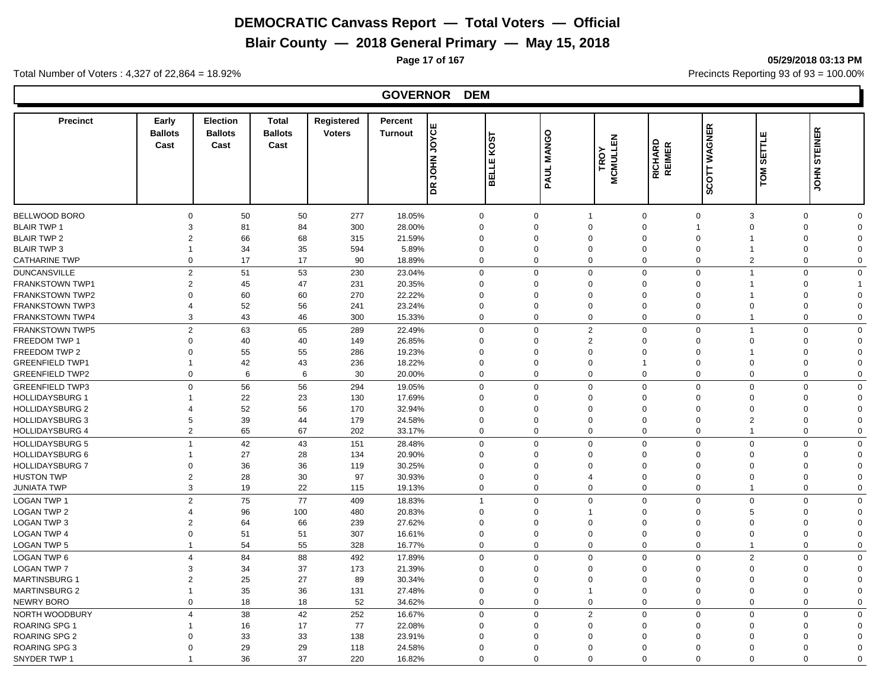**Blair County — 2018 General Primary — May 15, 2018**

**Page 17 of 167 05/29/2018 03:13 PM**

Total Number of Voters : 4,327 of 22,864 = 18.92% Precincts Reporting 93 of 93 = 100.00%

#### **GOVERNOR DEM**

| <b>Precinct</b>                            | Early<br><b>Ballots</b><br>Cast | <b>Election</b><br><b>Ballots</b><br>Cast | <b>Total</b><br><b>Ballots</b><br>Cast | Registered<br><b>Voters</b> | Percent<br><b>Turnout</b> | <b>JOYCE</b><br><b>NHOL RD</b> | 5<br>Š<br>ш<br>⊐<br>ᇚ<br>≃ | <b>MANGO</b><br><b>PAUL</b> | <b>MCMULLEN</b><br>TROY | <b>RICHARD</b><br><b>REIMER</b> | SCOTT WAGNER                  | ш<br><b>SETTL</b><br>TOM | <b>STEINER</b><br>S<br>NHOL                           |  |
|--------------------------------------------|---------------------------------|-------------------------------------------|----------------------------------------|-----------------------------|---------------------------|--------------------------------|----------------------------|-----------------------------|-------------------------|---------------------------------|-------------------------------|--------------------------|-------------------------------------------------------|--|
|                                            |                                 |                                           |                                        |                             |                           |                                |                            | $\Omega$                    |                         |                                 | $\Omega$                      |                          |                                                       |  |
| <b>BELLWOOD BORO</b><br><b>BLAIR TWP 1</b> | $\Omega$<br>3                   | 50<br>81                                  | 50<br>84                               | 277<br>300                  | 18.05%<br>28.00%          |                                | $\mathbf 0$<br>$\mathbf 0$ | $\mathbf 1$<br>$\Omega$     | $\Omega$                | $\mathbf 0$<br>$\Omega$         | 3                             | $\Omega$                 | $\mathbf 0$<br>$\mathbf 0$<br>$\mathbf 0$<br>$\Omega$ |  |
| <b>BLAIR TWP 2</b>                         | $\overline{2}$                  | 66                                        | 68                                     | 315                         | 21.59%                    |                                | $\mathbf 0$                | $\Omega$                    | $\Omega$                | $\Omega$                        | $\Omega$                      |                          | $\mathbf 0$<br>$\Omega$                               |  |
| <b>BLAIR TWP 3</b>                         | $\mathbf 1$                     | 34                                        | 35                                     | 594                         | 5.89%                     |                                | $\mathbf 0$                | $\Omega$                    | $\Omega$                | $\mathbf 0$                     | $\Omega$<br>1                 |                          | 0<br>$\Omega$                                         |  |
| <b>CATHARINE TWP</b>                       | $\Omega$                        | 17                                        | 17                                     | 90                          | 18.89%                    |                                | $\mathbf 0$                | $\Omega$                    | 0                       | $\mathbf 0$                     | $\Omega$                      | $\overline{2}$           | 0<br>$\Omega$                                         |  |
|                                            |                                 |                                           |                                        |                             |                           |                                |                            |                             |                         |                                 |                               |                          |                                                       |  |
| <b>DUNCANSVILLE</b>                        | $\overline{2}$                  | 51                                        | 53                                     | 230                         | 23.04%                    |                                | $\mathbf 0$                | $\Omega$                    | 0                       | $\mathbf 0$                     | $\Omega$<br>1                 |                          | $\mathbf 0$<br>$\Omega$                               |  |
| <b>FRANKSTOWN TWP1</b>                     | $\overline{2}$                  | 45                                        | 47                                     | 231                         | 20.35%                    |                                | $\mathbf 0$                | $\Omega$                    | $\mathbf 0$             | $\mathbf 0$                     | $\Omega$                      |                          | 0                                                     |  |
| <b>FRANKSTOWN TWP2</b>                     | $\Omega$                        | 60                                        | 60                                     | 270                         | 22.22%                    |                                | $\mathbf 0$                | $\Omega$                    | $\Omega$                | $\Omega$                        | $\Omega$<br>1                 |                          | $\mathbf 0$<br>$\Omega$                               |  |
| <b>FRANKSTOWN TWP3</b>                     | $\boldsymbol{\Delta}$           | 52                                        | 56                                     | 241                         | 23.24%                    |                                | $\mathbf 0$                | $\Omega$                    | $\Omega$                | $\Omega$                        | $\Omega$                      | $\Omega$                 | 0<br>$\Omega$                                         |  |
| <b>FRANKSTOWN TWP4</b>                     | 3                               | 43                                        | 46                                     | 300                         | 15.33%                    |                                | $\mathbf 0$                | $\Omega$                    | $\mathbf 0$             | $\mathbf 0$                     | $\Omega$<br>$\mathbf 1$       |                          | $\mathbf 0$<br>$\mathbf 0$                            |  |
| FRANKSTOWN TWP5                            | $\overline{2}$                  | 63                                        | 65                                     | 289                         | 22.49%                    |                                | $\mathbf 0$                | $\Omega$                    | 2                       | $\mathbf 0$                     | $\mathbf 0$<br>1              |                          | $\mathbf 0$<br>$\Omega$                               |  |
| FREEDOM TWP 1                              | $\Omega$                        | 40                                        | 40                                     | 149                         | 26.85%                    |                                | $\mathbf 0$                | $\Omega$                    | $\overline{2}$          | $\Omega$                        | $\Omega$                      | $\Omega$                 | $\mathbf 0$<br>$\Omega$                               |  |
| FREEDOM TWP 2                              | $\Omega$                        | 55                                        | 55                                     | 286                         | 19.23%                    |                                | $\mathbf 0$                | $\Omega$                    | $\Omega$                | $\Omega$                        | $\Omega$<br>$\overline{1}$    |                          | $\mathbf 0$<br>$\Omega$                               |  |
| <b>GREENFIELD TWP1</b>                     | $\mathbf{1}$                    | 42                                        | 43                                     | 236                         | 18.22%                    |                                | $\mathbf 0$                | $\mathbf 0$                 | $\mathbf 0$             | $\mathbf{1}$                    | $\mathbf 0$<br>$\mathbf 0$    |                          | $\mathbf 0$<br>$\Omega$                               |  |
| <b>GREENFIELD TWP2</b>                     | $\mathbf 0$                     | 6                                         | 6                                      | 30                          | 20.00%                    |                                | $\mathbf 0$                | $\Omega$                    | $\mathbf 0$             | $\mathbf 0$                     | $\mathbf 0$<br>$\Omega$       |                          | $\mathbf 0$<br>$\Omega$                               |  |
| <b>GREENFIELD TWP3</b>                     | $\Omega$                        | 56                                        | 56                                     | 294                         | 19.05%                    |                                | $\mathbf 0$                | $\Omega$                    | $\mathbf 0$             | $\mathbf 0$                     | $\Omega$<br>$\Omega$          |                          | $\mathbf 0$<br>$\mathbf 0$                            |  |
| <b>HOLLIDAYSBURG 1</b>                     | 1                               | 22                                        | 23                                     | 130                         | 17.69%                    |                                | $\mathbf 0$                | $\Omega$                    | $\mathbf 0$             | $\mathbf 0$                     | $\Omega$<br>$\mathbf 0$       |                          | $\mathbf 0$<br>$\Omega$                               |  |
| <b>HOLLIDAYSBURG 2</b>                     | 4                               | 52                                        | 56                                     | 170                         | 32.94%                    |                                | $\mathbf 0$                | $\Omega$                    | $\Omega$                | $\Omega$                        | $\Omega$                      | $\Omega$                 | $\mathbf 0$<br>$\Omega$                               |  |
| <b>HOLLIDAYSBURG 3</b>                     | 5                               | 39                                        | 44                                     | 179                         | 24.58%                    |                                | $\mathbf 0$                | 0                           | 0                       | $\mathbf 0$                     | $\Omega$                      | $\overline{2}$           | $\mathbf 0$<br>$\Omega$                               |  |
| <b>HOLLIDAYSBURG 4</b>                     | $\overline{2}$                  | 65                                        | 67                                     | 202                         | 33.17%                    |                                | $\mathbf 0$                | $\overline{0}$              | 0                       | $\mathbf 0$                     | $\mathbf 0$<br>$\overline{1}$ |                          | $\mathbf 0$<br>$\mathbf 0$                            |  |
| <b>HOLLIDAYSBURG 5</b>                     | $\overline{1}$                  | 42                                        | 43                                     | 151                         | 28.48%                    |                                | $\mathbf 0$                | $\Omega$                    | $\mathbf 0$             | $\mathbf 0$                     | $\Omega$<br>$\Omega$          |                          | $\mathbf 0$<br>$\Omega$                               |  |
| <b>HOLLIDAYSBURG 6</b>                     | 1                               | 27                                        | 28                                     | 134                         | 20.90%                    |                                | $\mathbf 0$                | $\Omega$                    | $\Omega$                | $\Omega$                        | $\Omega$                      | $\Omega$                 | $\mathbf 0$<br>$\Omega$                               |  |
| <b>HOLLIDAYSBURG 7</b>                     | $\Omega$                        | 36                                        | 36                                     | 119                         | 30.25%                    |                                | $\mathbf 0$                | $\Omega$                    | $\Omega$                | $\Omega$                        | $\Omega$                      | $\Omega$                 | 0<br>$\Omega$                                         |  |
| <b>HUSTON TWP</b>                          | $\overline{2}$                  | 28                                        | 30                                     | 97                          | 30.93%                    |                                | $\mathbf 0$                | $\Omega$                    | 4                       | $\Omega$                        | $\Omega$<br>$\Omega$          |                          | $\mathbf 0$<br>$\Omega$                               |  |
| <b>JUNIATA TWP</b>                         | 3                               | 19                                        | 22                                     | 115                         | 19.13%                    |                                | $\mathbf 0$                | $\Omega$                    | $\mathbf 0$             | $\mathbf 0$                     | $\mathbf 0$<br>1              |                          | $\mathbf 0$<br>$\mathbf 0$                            |  |
| <b>LOGAN TWP 1</b>                         | $\overline{2}$                  | 75                                        | 77                                     |                             |                           |                                | $\overline{1}$             | $\Omega$                    | $\mathbf 0$             | $\mathbf 0$                     | $\mathbf 0$<br>$\mathbf 0$    |                          | $\mathbf 0$<br>$\Omega$                               |  |
|                                            |                                 |                                           |                                        | 409                         | 18.83%                    |                                |                            |                             |                         |                                 |                               |                          |                                                       |  |
| <b>LOGAN TWP 2</b>                         | $\overline{4}$                  | 96                                        | 100                                    | 480                         | 20.83%                    |                                | $\mathbf 0$                | $\Omega$<br>$\mathbf 1$     |                         | $\Omega$                        | $\Omega$                      | 5                        | $\mathbf 0$<br>$\Omega$                               |  |
| <b>LOGAN TWP 3</b>                         | $\overline{2}$                  | 64                                        | 66                                     | 239                         | 27.62%                    |                                | $\mathbf 0$                | $\Omega$<br>$\Omega$        | $\mathbf 0$             | $\mathbf 0$                     | $\Omega$<br>$\Omega$          | $\Omega$                 | 0<br>$\Omega$                                         |  |
| <b>LOGAN TWP 4</b>                         | $\Omega$                        | 51                                        | 51                                     | 307                         | 16.61%                    |                                | $\mathbf 0$                | $\Omega$                    | $\mathbf 0$             | $\mathbf 0$                     | $\Omega$<br>$\Omega$          |                          | 0<br>$\Omega$<br>$\Omega$                             |  |
| LOGAN TWP 5                                | $\mathbf{1}$                    | 54                                        | 55                                     | 328                         | 16.77%                    |                                | $\mathbf 0$                |                             | $\mathbf 0$             | $\mathbf 0$                     | 1                             |                          | $\mathbf 0$                                           |  |
| LOGAN TWP 6                                | $\overline{4}$                  | 84                                        | 88                                     | 492                         | 17.89%                    |                                | $\mathbf 0$                | $\Omega$                    | $\mathbf 0$             | $\mathbf 0$                     | $\Omega$                      | $\overline{2}$           | $\mathbf 0$<br>$\Omega$                               |  |
| <b>LOGAN TWP 7</b>                         | 3                               | 34                                        | 37                                     | 173                         | 21.39%                    |                                | $\mathbf 0$                | $\Omega$                    | $\Omega$                | $\mathbf 0$                     | $\Omega$                      | $\Omega$                 | 0<br>$\Omega$                                         |  |
| <b>MARTINSBURG 1</b>                       | $\overline{2}$                  | 25                                        | 27                                     | 89                          | 30.34%                    |                                | $\mathbf 0$                | $\Omega$                    | $\Omega$                | $\Omega$                        | $\Omega$                      | $\Omega$                 | $\mathbf 0$<br>$\Omega$                               |  |
| <b>MARTINSBURG 2</b>                       | $\overline{1}$                  | 35                                        | 36                                     | 131                         | 27.48%                    |                                | $\mathbf 0$                | $\Omega$<br>$\overline{1}$  |                         | $\mathbf 0$                     | $\Omega$<br>$\Omega$          |                          | $\mathbf 0$<br>$\Omega$                               |  |
| <b>NEWRY BORO</b>                          | $\Omega$                        | 18                                        | 18                                     | 52                          | 34.62%                    |                                | $\mathbf 0$                | $\Omega$                    | $\mathbf 0$             | $\mathbf 0$                     | $\mathbf 0$<br>$\Omega$       |                          | $\mathbf 0$<br>$\Omega$                               |  |
| NORTH WOODBURY                             | $\overline{4}$                  | 38                                        | 42                                     | 252                         | 16.67%                    |                                | $\mathbf 0$                | $\Omega$                    | $\overline{2}$          | $\mathbf 0$                     | $\mathbf 0$<br>$\mathbf 0$    |                          | $\mathbf 0$<br>$\mathbf 0$                            |  |
| ROARING SPG 1                              | 1                               | 16                                        | 17                                     | 77                          | 22.08%                    |                                | $\mathbf 0$                | $\Omega$                    | $\Omega$                | $\Omega$                        | $\Omega$<br>$\Omega$          |                          | $\mathbf 0$<br>$\Omega$                               |  |
| <b>ROARING SPG 2</b>                       | O                               | 33                                        | 33                                     | 138                         | 23.91%                    |                                | $\mathbf 0$                | $\Omega$                    | $\Omega$                | $\Omega$                        | $\Omega$                      | $\Omega$                 | 0<br>$\Omega$                                         |  |
| ROARING SPG 3                              | $\Omega$                        | 29                                        | 29                                     | 118                         | 24.58%                    |                                | $\mathbf 0$                | $\Omega$                    | $\Omega$                | $\Omega$                        | $\Omega$<br>$\Omega$          |                          | 0<br>$\Omega$                                         |  |
| SNYDER TWP 1                               | $\mathbf 1$                     | 36                                        | 37                                     | 220                         | 16.82%                    |                                | $\Omega$                   | $\Omega$                    | $\Omega$                | $\Omega$                        | $\Omega$<br>$\Omega$          |                          | $\Omega$<br>$\Omega$                                  |  |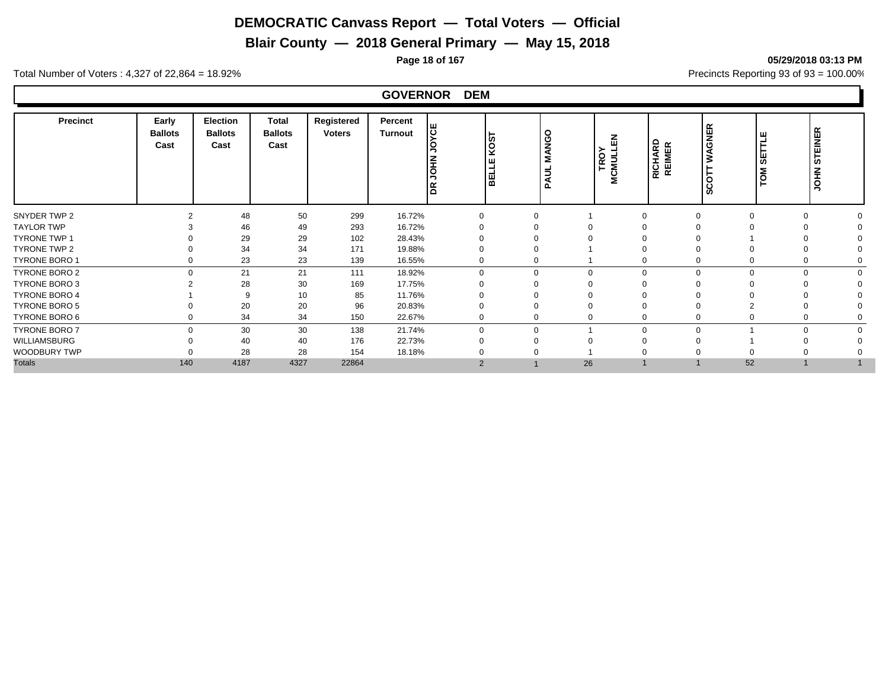**Blair County — 2018 General Primary — May 15, 2018**

Total Number of Voters : 4,327 of 22,864 = 18.92% Precincts Reporting 93 of 93 = 100.00%

#### **GOVERNOR DEM**

| Precinct             | Early<br><b>Ballots</b><br>Cast | <b>Election</b><br><b>Ballots</b><br>Cast | Total<br><b>Ballots</b><br>Cast | Registered<br><b>Voters</b> | Percent<br><b>Turnout</b> | ပြီ<br>$\circ$<br>Ιg | <b>LSON</b><br><b>BELLE</b> | O<br><b>MANG</b><br>Ξ<br>₹ | る<br>דופס<br>MCMULI | <b>RICHARD<br/>REIMER</b> | <b>WAGNER</b><br>$\Omega$<br>ပ<br>ഗ | ш<br>ш<br>စ<br>TOM | $\propto$<br><b>STEINER</b><br><b>NHOL</b> |
|----------------------|---------------------------------|-------------------------------------------|---------------------------------|-----------------------------|---------------------------|----------------------|-----------------------------|----------------------------|---------------------|---------------------------|-------------------------------------|--------------------|--------------------------------------------|
| SNYDER TWP 2         |                                 | 48                                        | 50                              | 299                         | 16.72%                    |                      |                             |                            |                     |                           |                                     | $\Omega$           |                                            |
| <b>TAYLOR TWP</b>    |                                 | 46                                        | 49                              | 293                         | 16.72%                    |                      |                             |                            |                     |                           |                                     |                    |                                            |
| <b>TYRONE TWP 1</b>  |                                 | 29                                        | 29                              | 102                         | 28.43%                    |                      |                             |                            |                     |                           |                                     |                    |                                            |
| TYRONE TWP 2         |                                 | 34                                        | 34                              | 171                         | 19.88%                    |                      |                             |                            |                     |                           |                                     |                    |                                            |
| <b>TYRONE BORO 1</b> |                                 | 23                                        | 23                              | 139                         | 16.55%                    |                      |                             |                            |                     |                           |                                     | $\Omega$           |                                            |
| TYRONE BORO 2        | $\cap$                          | 21                                        | 21                              | 111                         | 18.92%                    | $\Omega$             |                             | $\mathbf 0$                | $\Omega$            | $\Omega$                  | 0                                   | $\Omega$           |                                            |
| TYRONE BORO 3        |                                 | 28                                        | 30                              | 169                         | 17.75%                    |                      |                             |                            |                     |                           |                                     |                    |                                            |
| <b>TYRONE BORO 4</b> |                                 | 9                                         | 10                              | 85                          | 11.76%                    |                      |                             |                            |                     |                           |                                     |                    |                                            |
| <b>TYRONE BORO 5</b> |                                 | 20                                        | 20                              | 96                          | 20.83%                    |                      |                             |                            |                     |                           |                                     |                    |                                            |
| TYRONE BORO 6        |                                 | 34                                        | 34                              | 150                         | 22.67%                    |                      |                             | 0                          |                     |                           |                                     | $\Omega$           |                                            |
| <b>TYRONE BORO 7</b> | $\Omega$                        | 30                                        | 30                              | 138                         | 21.74%                    | $\Omega$             |                             |                            | $\Omega$            | $\Omega$                  |                                     | $\Omega$           |                                            |
| WILLIAMSBURG         |                                 | 40                                        | 40                              | 176                         | 22.73%                    |                      |                             |                            |                     |                           |                                     |                    |                                            |
| WOODBURY TWP         |                                 | 28                                        | 28                              | 154                         | 18.18%                    |                      |                             |                            |                     |                           |                                     |                    |                                            |
| <b>Totals</b>        | 140                             | 4187                                      | 4327                            | 22864                       |                           | $\overline{2}$       |                             | 26                         |                     |                           | 52                                  |                    |                                            |

**Page 18 of 167 05/29/2018 03:13 PM**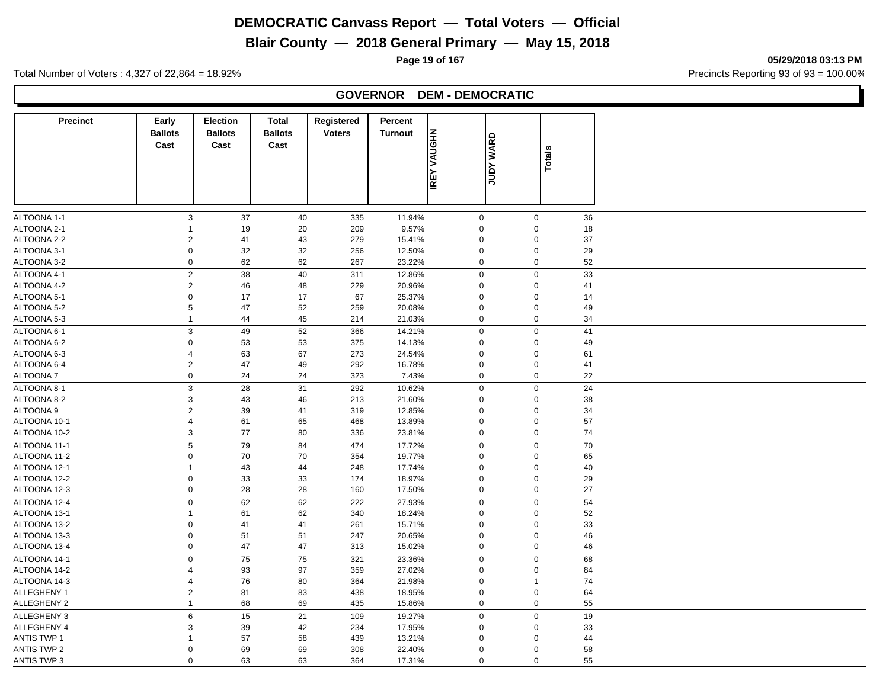# **Blair County — 2018 General Primary — May 15, 2018**

**Page 19 of 167 05/29/2018 03:13 PM**

Total Number of Voters : 4,327 of 22,864 = 18.92% Precincts Reporting 93 of 93 = 100.00%

#### **GOVERNOR DEM - DEMOCRATIC**

| <b>Precinct</b>    | Early<br><b>Ballots</b> | <b>Election</b><br><b>Ballots</b> | <b>Total</b><br><b>Ballots</b> | Registered<br><b>Voters</b> | Percent<br><b>Turnout</b> |                     |                  |                |    |
|--------------------|-------------------------|-----------------------------------|--------------------------------|-----------------------------|---------------------------|---------------------|------------------|----------------|----|
|                    | Cast                    | Cast                              | Cast                           |                             |                           | VAUGHN              | <b>JUDY WARD</b> | <b>Totals</b>  |    |
|                    |                         |                                   |                                |                             |                           |                     |                  |                |    |
|                    |                         |                                   |                                |                             |                           | <b>IREY</b>         |                  |                |    |
|                    |                         |                                   |                                |                             |                           |                     |                  |                |    |
| ALTOONA 1-1        | 3                       | 37                                | 40                             | 335                         | 11.94%                    | $\mathsf{O}\xspace$ |                  | $\mathbf 0$    | 36 |
| ALTOONA 2-1        | $\mathbf{1}$            | 19                                | 20                             | 209                         | 9.57%                     | $\mathbf 0$         |                  | $\Omega$       | 18 |
| ALTOONA 2-2        | $\boldsymbol{2}$        | 41                                | 43                             | 279                         | 15.41%                    | $\mathbf 0$         |                  | $\mathbf 0$    | 37 |
| ALTOONA 3-1        | $\pmb{0}$               | 32                                | 32                             | 256                         | 12.50%                    | $\mathbf 0$         |                  | $\mathbf 0$    | 29 |
| ALTOONA 3-2        | $\pmb{0}$               | 62                                | 62                             | 267                         | 23.22%                    | $\pmb{0}$           |                  | 0              | 52 |
| ALTOONA 4-1        | $\overline{2}$          | 38                                | 40                             | 311                         | 12.86%                    | $\pmb{0}$           |                  | $\mathbf 0$    | 33 |
| ALTOONA 4-2        | $\overline{2}$          | 46                                | 48                             | 229                         | 20.96%                    | $\mathbf 0$         |                  | $\Omega$       | 41 |
| ALTOONA 5-1        | $\mathbf 0$             | 17                                | 17                             | 67                          | 25.37%                    | $\mathbf 0$         |                  | $\mathbf 0$    | 14 |
| ALTOONA 5-2        | 5                       | 47                                | 52                             | 259                         | 20.08%                    | $\pmb{0}$           |                  | $\mathbf 0$    | 49 |
| ALTOONA 5-3        | $\mathbf{1}$            | 44                                | 45                             | 214                         | 21.03%                    | $\pmb{0}$           |                  | $\mathbf 0$    | 34 |
| ALTOONA 6-1        | $\mathsf 3$             | 49                                | 52                             | 366                         | 14.21%                    | $\pmb{0}$           |                  | $\mathbf 0$    | 41 |
| ALTOONA 6-2        | $\boldsymbol{0}$        | 53                                | 53                             | 375                         | 14.13%                    | $\mathbf 0$         |                  | $\mathbf 0$    | 49 |
| ALTOONA 6-3        | $\overline{4}$          | 63                                | 67                             | 273                         | 24.54%                    | $\pmb{0}$           |                  | 0              | 61 |
| ALTOONA 6-4        | $\sqrt{2}$              | 47                                | 49                             | 292                         | 16.78%                    | $\pmb{0}$           |                  | 0              | 41 |
| <b>ALTOONA7</b>    | $\mathbf 0$             | 24                                | 24                             | 323                         | 7.43%                     | $\mathbf 0$         |                  | $\mathbf 0$    | 22 |
| ALTOONA 8-1        | $\mathsf 3$             | 28                                | 31                             | 292                         | 10.62%                    | $\pmb{0}$           |                  | $\mathbf 0$    | 24 |
| ALTOONA 8-2        | $\mathsf 3$             | 43                                | 46                             | 213                         | 21.60%                    | $\mathbf 0$         |                  | 0              | 38 |
| ALTOONA 9          | $\boldsymbol{2}$        | 39                                | 41                             | 319                         | 12.85%                    | $\pmb{0}$           |                  | $\mathbf 0$    | 34 |
| ALTOONA 10-1       | $\sqrt{4}$              | 61                                | 65                             | 468                         | 13.89%                    | $\pmb{0}$           |                  | $\mathbf 0$    | 57 |
| ALTOONA 10-2       | 3                       | 77                                | 80                             | 336                         | 23.81%                    | $\mathbf 0$         |                  | 0              | 74 |
| ALTOONA 11-1       | 5                       | 79                                | 84                             | 474                         | 17.72%                    | $\mathbf 0$         |                  | $\mathbf 0$    | 70 |
| ALTOONA 11-2       | $\boldsymbol{0}$        | 70                                | 70                             | 354                         | 19.77%                    | $\mathbf 0$         |                  | $\overline{0}$ | 65 |
| ALTOONA 12-1       | $\mathbf{1}$            | 43                                | 44                             | 248                         | 17.74%                    | $\mathbf 0$         |                  | $\mathbf 0$    | 40 |
| ALTOONA 12-2       | $\mathbf 0$             | 33                                | 33                             | 174                         | 18.97%                    | $\pmb{0}$           |                  | 0              | 29 |
| ALTOONA 12-3       | $\boldsymbol{0}$        | 28                                | 28                             | 160                         | 17.50%                    | $\mathbf 0$         |                  | 0              | 27 |
| ALTOONA 12-4       | $\pmb{0}$               | 62                                | 62                             | 222                         | 27.93%                    | $\mathbf 0$         |                  | 0              | 54 |
| ALTOONA 13-1       | $\mathbf{1}$            | 61                                | 62                             | 340                         | 18.24%                    | $\mathbf 0$         |                  | $\overline{0}$ | 52 |
| ALTOONA 13-2       | $\Omega$                | 41                                | 41                             | 261                         | 15.71%                    | $\pmb{0}$           |                  | $\Omega$       | 33 |
| ALTOONA 13-3       | $\mathbf 0$             | 51                                | 51                             | 247                         | 20.65%                    | $\mathbf 0$         |                  | $\mathbf 0$    | 46 |
| ALTOONA 13-4       | $\pmb{0}$               | 47                                | 47                             | 313                         | 15.02%                    | $\mathbf 0$         |                  | 0              | 46 |
|                    |                         |                                   |                                |                             |                           |                     |                  |                |    |
| ALTOONA 14-1       | $\mathbf 0$             | 75                                | 75                             | 321                         | 23.36%                    | $\mathbf 0$         |                  | 0              | 68 |
| ALTOONA 14-2       | $\overline{4}$          | 93                                | 97                             | 359                         | 27.02%                    | $\pmb{0}$           |                  | $\mathbf 0$    | 84 |
| ALTOONA 14-3       | $\overline{4}$          | 76                                | 80                             | 364                         | 21.98%                    | $\mathbf 0$         |                  | $\mathbf 1$    | 74 |
| ALLEGHENY 1        | $\boldsymbol{2}$        | 81                                | 83                             | 438                         | 18.95%                    | $\mathbf 0$         |                  | $\mathbf 0$    | 64 |
| ALLEGHENY 2        | $\mathbf{1}$            | 68                                | 69                             | 435                         | 15.86%                    | $\mathbf 0$         |                  | 0              | 55 |
| ALLEGHENY 3        | $\,6\,$                 | 15                                | 21                             | 109                         | 19.27%                    | $\pmb{0}$           |                  | $\mathbf 0$    | 19 |
| <b>ALLEGHENY 4</b> | 3                       | 39                                | 42                             | 234                         | 17.95%                    | $\mathbf 0$         |                  | 0              | 33 |
| <b>ANTIS TWP 1</b> | $\mathbf{1}$            | 57                                | 58                             | 439                         | 13.21%                    | $\mathbf 0$         |                  | $\Omega$       | 44 |
| <b>ANTIS TWP 2</b> | $\mathbf 0$             | 69                                | 69                             | 308                         | 22.40%                    | $\mathbf 0$         |                  | 0              | 58 |
| ANTIS TWP 3        | $\mathbf 0$             | 63                                | 63                             | 364                         | 17.31%                    | $\mathbf 0$         |                  | 0              | 55 |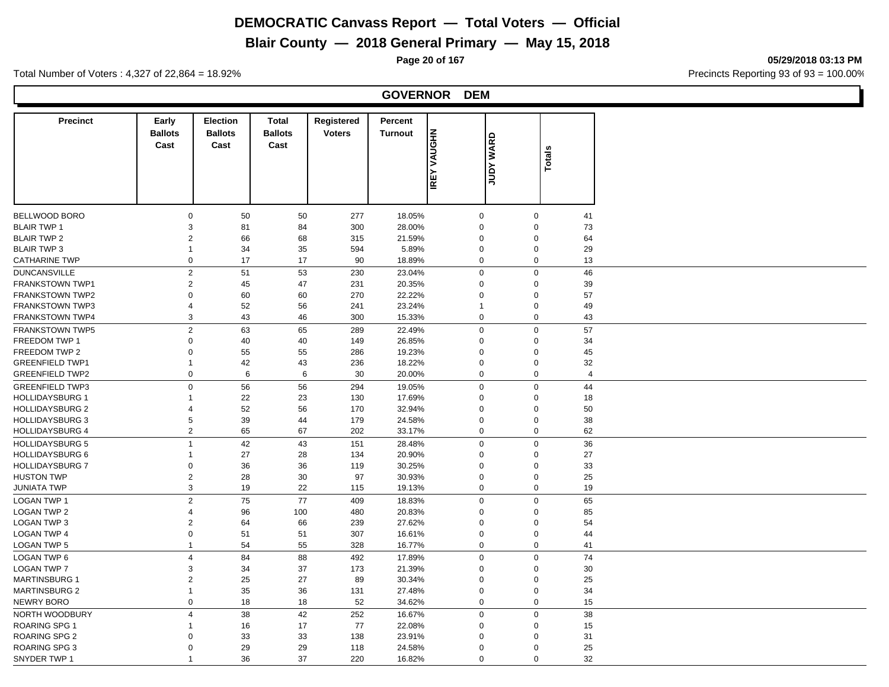# **Blair County — 2018 General Primary — May 15, 2018**

**Page 20 of 167 05/29/2018 03:13 PM**

Total Number of Voters : 4,327 of 22,864 = 18.92% Precincts Reporting 93 of 93 = 100.00%

#### **GOVERNOR DEM**

| <b>Precinct</b>        | Early            | <b>Election</b> | <b>Total</b>   | Registered    | Percent        |                     |             |        |                |
|------------------------|------------------|-----------------|----------------|---------------|----------------|---------------------|-------------|--------|----------------|
|                        | <b>Ballots</b>   | <b>Ballots</b>  | <b>Ballots</b> | <b>Voters</b> | <b>Turnout</b> | <b>NHOUAV</b>       | WARD        |        |                |
|                        | Cast             | Cast            | Cast           |               |                |                     |             | Totals |                |
|                        |                  |                 |                |               |                |                     |             |        |                |
|                        |                  |                 |                |               |                | <b>IREY</b>         | <b>Adnr</b> |        |                |
|                        |                  |                 |                |               |                |                     |             |        |                |
|                        |                  |                 |                |               |                |                     |             |        |                |
| <b>BELLWOOD BORO</b>   | $\mathbf 0$      | 50              | 50             | 277           | 18.05%         | $\mathsf{O}\xspace$ | $\mathbf 0$ |        | 41             |
| <b>BLAIR TWP 1</b>     | $\mathsf 3$      | 81              | 84             | 300           | 28.00%         | $\mathbf 0$         | $\Omega$    |        | 73             |
| <b>BLAIR TWP 2</b>     | $\overline{2}$   | 66              | 68             | 315           | 21.59%         | $\mathbf 0$         | $\Omega$    |        | 64             |
| <b>BLAIR TWP 3</b>     | $\mathbf{1}$     | 34              | 35             | 594           | 5.89%          | $\mathbf 0$         | $\mathbf 0$ |        | 29             |
| <b>CATHARINE TWP</b>   | $\mathbf 0$      | 17              | 17             | 90            | 18.89%         | $\mathbf 0$         | $\mathbf 0$ |        | 13             |
| <b>DUNCANSVILLE</b>    | $\overline{2}$   | 51              | 53             | 230           | 23.04%         | $\mathbf 0$         | $\mathbf 0$ |        | 46             |
| FRANKSTOWN TWP1        | $\overline{2}$   | 45              | 47             | 231           | 20.35%         | $\mathbf 0$         | $\Omega$    |        | 39             |
| FRANKSTOWN TWP2        | $\Omega$         | 60              | 60             | 270           | 22.22%         | $\mathbf 0$         | $\Omega$    |        | 57             |
| <b>FRANKSTOWN TWP3</b> | $\overline{4}$   | 52              | 56             | 241           | 23.24%         | $\mathbf{1}$        | $\mathbf 0$ |        | 49             |
| FRANKSTOWN TWP4        | 3                | 43              | 46             | 300           | 15.33%         | $\mathbf 0$         | $\mathbf 0$ |        | 43             |
| <b>FRANKSTOWN TWP5</b> | $\sqrt{2}$       | 63              | 65             | 289           | 22.49%         | $\pmb{0}$           | $\Omega$    |        | 57             |
| FREEDOM TWP 1          | $\mathbf 0$      | 40              | 40             | 149           | 26.85%         | $\mathbf 0$         | $\mathbf 0$ |        | 34             |
| FREEDOM TWP 2          | $\Omega$         | 55              | 55             | 286           | 19.23%         | $\Omega$            | $\Omega$    |        | 45             |
| <b>GREENFIELD TWP1</b> | $\mathbf 1$      | 42              | 43             | 236           | 18.22%         | $\mathsf 0$         | $\Omega$    |        | 32             |
| <b>GREENFIELD TWP2</b> | $\pmb{0}$        | $\,6\,$         | 6              | 30            | 20.00%         | $\mathbf 0$         | $\mathbf 0$ |        | $\overline{4}$ |
| <b>GREENFIELD TWP3</b> | $\mathbf 0$      | 56              | 56             | 294           | 19.05%         | $\mathbf 0$         | $\mathbf 0$ |        | 44             |
| <b>HOLLIDAYSBURG 1</b> | $\mathbf{1}$     | 22              | 23             | 130           | 17.69%         | $\mathbf 0$         | $\Omega$    |        | 18             |
| <b>HOLLIDAYSBURG 2</b> | $\overline{4}$   | 52              | 56             | 170           | 32.94%         | $\mathbf 0$         | $\Omega$    |        | 50             |
| <b>HOLLIDAYSBURG 3</b> | 5                | 39              | 44             | 179           | 24.58%         | $\mathbf 0$         | $\Omega$    |        | 38             |
| <b>HOLLIDAYSBURG 4</b> | $\overline{2}$   | 65              | 67             | 202           | 33.17%         | $\mathbf 0$         | $\mathbf 0$ |        | 62             |
| <b>HOLLIDAYSBURG 5</b> | $\overline{1}$   | 42              | 43             | 151           | 28.48%         | $\mathbf 0$         | $\mathbf 0$ |        | 36             |
| <b>HOLLIDAYSBURG 6</b> | $\mathbf{1}$     | 27              | 28             | 134           | 20.90%         | $\mathbf 0$         | $\mathbf 0$ |        | 27             |
| <b>HOLLIDAYSBURG 7</b> | $\pmb{0}$        | 36              | 36             | 119           | 30.25%         | $\mathbf 0$         | $\mathbf 0$ |        | 33             |
| <b>HUSTON TWP</b>      | $\overline{2}$   | 28              | 30             | 97            | 30.93%         | $\mathbf 0$         | $\mathbf 0$ |        | 25             |
| <b>JUNIATA TWP</b>     | 3                | 19              | 22             | 115           | 19.13%         | $\mathbf 0$         | $\mathbf 0$ |        | 19             |
| <b>LOGAN TWP 1</b>     | $\overline{c}$   | 75              | 77             | 409           | 18.83%         | $\mathbf 0$         | $\Omega$    |        | 65             |
| <b>LOGAN TWP 2</b>     | $\overline{4}$   | 96              | 100            | 480           | 20.83%         | $\mathsf 0$         | $\mathbf 0$ |        | 85             |
| <b>LOGAN TWP 3</b>     | $\sqrt{2}$       | 64              | 66             | 239           | 27.62%         | $\mathsf 0$         | $\Omega$    |        | 54             |
| <b>LOGAN TWP 4</b>     | $\pmb{0}$        | 51              | 51             | 307           | 16.61%         | $\mathbf 0$         | $\mathbf 0$ |        | 44             |
| <b>LOGAN TWP 5</b>     | $\mathbf{1}$     | 54              | 55             | 328           | 16.77%         | $\pmb{0}$           | $\mathbf 0$ |        | 41             |
| <b>LOGAN TWP 6</b>     | $\overline{4}$   | 84              | 88             | 492           | 17.89%         | $\pmb{0}$           | $\mathbf 0$ |        | 74             |
| <b>LOGAN TWP 7</b>     | 3                | 34              | 37             | 173           | 21.39%         | $\mathbf 0$         | $\Omega$    |        | 30             |
| <b>MARTINSBURG 1</b>   | $\boldsymbol{2}$ | 25              | 27             | 89            | 30.34%         | $\mathbf 0$         | $\Omega$    |        | 25             |
| <b>MARTINSBURG 2</b>   | $\mathbf{1}$     | 35              | 36             | 131           | 27.48%         | $\mathbf 0$         | $\mathbf 0$ |        | 34             |
| NEWRY BORO             | $\boldsymbol{0}$ | 18              | 18             | 52            | 34.62%         | $\mathbf 0$         | $\mathbf 0$ |        | 15             |
| NORTH WOODBURY         | $\overline{4}$   | 38              | 42             | 252           | 16.67%         | $\mathbf 0$         | $\Omega$    |        | 38             |
| <b>ROARING SPG 1</b>   | $\mathbf{1}$     | 16              | 17             | 77            | 22.08%         | $\mathbf 0$         | $\Omega$    |        | 15             |
| ROARING SPG 2          | $\Omega$         | 33              | 33             | 138           | 23.91%         | $\Omega$            | $\Omega$    |        | 31             |
| ROARING SPG 3          | $\Omega$         | 29              | 29             | 118           | 24.58%         | $\mathbf 0$         | $\Omega$    |        | 25             |
| SNYDER TWP 1           | $\overline{1}$   | 36              | 37             | 220           | 16.82%         | $\Omega$            | $\Omega$    |        | 32             |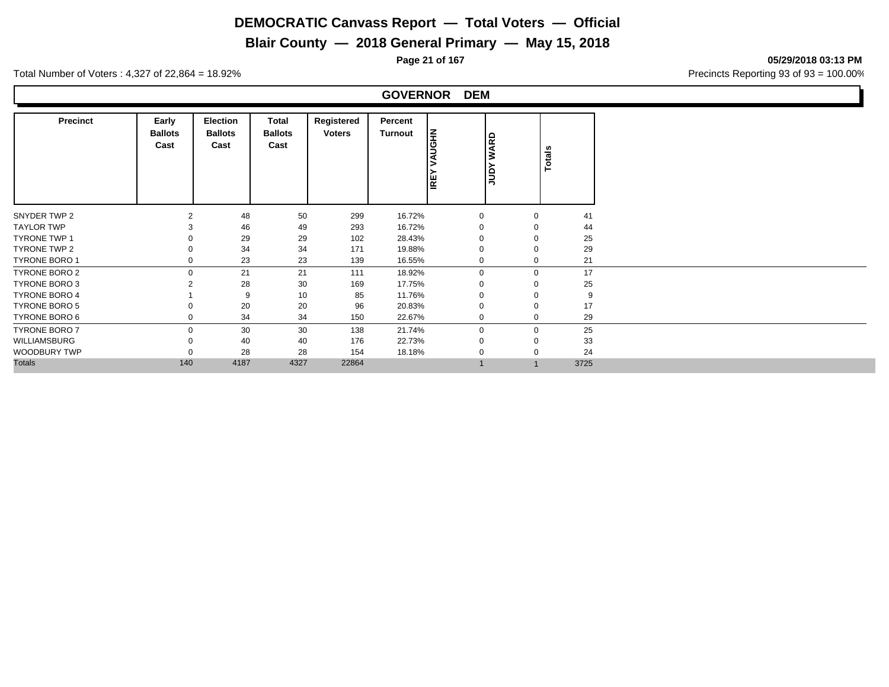# **Blair County — 2018 General Primary — May 15, 2018**

**Page 21 of 167 05/29/2018 03:13 PM**

Total Number of Voters : 4,327 of 22,864 = 18.92% Precincts Reporting 93 of 93 = 100.00%

#### **GOVERNOR DEM**

| <b>Precinct</b>      | Early<br><b>Ballots</b><br>Cast | Election<br><b>Ballots</b><br>Cast | Total<br><b>Ballots</b><br>Cast | Registered<br><b>Voters</b> | Percent<br>Turnout | <b>NB</b><br>IS<br><b>IREY</b> | <b>WARD</b><br>JΒ | Totals      |      |
|----------------------|---------------------------------|------------------------------------|---------------------------------|-----------------------------|--------------------|--------------------------------|-------------------|-------------|------|
| SNYDER TWP 2         | $\mathfrak{p}$                  | 48                                 | 50                              | 299                         | 16.72%             | $\mathbf 0$                    |                   | $\Omega$    | 41   |
| <b>TAYLOR TWP</b>    |                                 | 46                                 | 49                              | 293                         | 16.72%             |                                |                   |             | 44   |
| <b>TYRONE TWP 1</b>  |                                 | 29                                 | 29                              | 102                         | 28.43%             |                                |                   |             | 25   |
| TYRONE TWP 2         |                                 | 34                                 | 34                              | 171                         | 19.88%             | $\mathbf 0$                    |                   |             | 29   |
| TYRONE BORO 1        | $\Omega$                        | 23                                 | 23                              | 139                         | 16.55%             | $\mathbf 0$                    |                   | $\Omega$    | 21   |
| TYRONE BORO 2        | $\mathbf 0$                     | 21                                 | 21                              | 111                         | 18.92%             | $\mathbf{0}$                   |                   | $\mathbf 0$ | 17   |
| TYRONE BORO 3        |                                 | 28                                 | 30                              | 169                         | 17.75%             | $\Omega$                       |                   |             | 25   |
| <b>TYRONE BORO 4</b> |                                 | 9                                  | 10                              | 85                          | 11.76%             | $\Omega$                       |                   |             | 9    |
| TYRONE BORO 5        |                                 | 20                                 | 20                              | 96                          | 20.83%             | $\mathbf 0$                    |                   |             | 17   |
| TYRONE BORO 6        | $\Omega$                        | 34                                 | 34                              | 150                         | 22.67%             | $\mathbf 0$                    |                   | $\Omega$    | 29   |
| <b>TYRONE BORO 7</b> | $\Omega$                        | 30                                 | 30                              | 138                         | 21.74%             | $\mathbf 0$                    |                   | $\Omega$    | 25   |
| WILLIAMSBURG         |                                 | 40                                 | 40                              | 176                         | 22.73%             | -0                             |                   |             | 33   |
| WOODBURY TWP         |                                 | 28                                 | 28                              | 154                         | 18.18%             | $\Omega$                       |                   |             | 24   |
| <b>Totals</b>        | 140                             | 4187                               | 4327                            | 22864                       |                    |                                |                   |             | 3725 |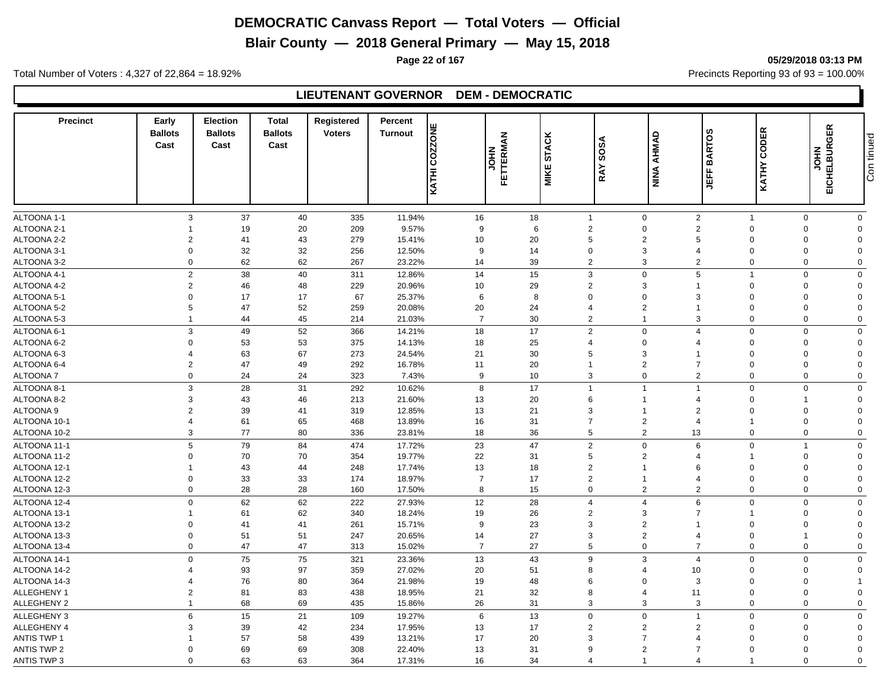**Blair County — 2018 General Primary — May 15, 2018**

**Page 22 of 167 05/29/2018 03:13 PM**

Total Number of Voters : 4,327 of 22,864 = 18.92% Precincts Reporting 93 of 93 = 100.00%

#### **LIEUTENANT GOVERNOR DEM - DEMOCRATIC**

| <b>Precinct</b>    | Early<br><b>Ballots</b><br>Cast | <b>Election</b><br><b>Ballots</b><br>Cast | <b>Total</b><br><b>Ballots</b><br>Cast | Registered<br><b>Voters</b> | Percent<br><b>COZZONE</b><br><b>Turnout</b> | <b>FETTERMAN</b><br>FETTERMAN | <b>STACK</b><br>MIKE | RAY SOSA                | <b>AHMAD</b><br><b>NINA</b> | <b>BARTOS</b><br>出               | CODER<br><b>KATHY</b> | EICHELBURGER<br><b>NHOL</b> | Con tinued              |
|--------------------|---------------------------------|-------------------------------------------|----------------------------------------|-----------------------------|---------------------------------------------|-------------------------------|----------------------|-------------------------|-----------------------------|----------------------------------|-----------------------|-----------------------------|-------------------------|
|                    |                                 |                                           |                                        |                             | KATHI                                       |                               |                      |                         |                             |                                  |                       |                             |                         |
|                    |                                 |                                           |                                        |                             |                                             |                               |                      |                         |                             |                                  |                       |                             |                         |
| ALTOONA 1-1        | 3                               | 37                                        | 40                                     | 335                         | 11.94%                                      | 16                            | 18                   | $\overline{1}$          | $\mathbf 0$                 | $\overline{2}$                   | $\overline{1}$        | $\mathbf{0}$                | $\mathbf{0}$            |
| ALTOONA 2-1        |                                 | 19                                        | 20                                     | 209                         | 9.57%                                       | 9                             | 6                    | $\overline{2}$          | $\mathbf 0$                 | $\overline{2}$                   | $\mathbf 0$           | $\Omega$                    | 0                       |
| ALTOONA 2-2        | $\overline{2}$<br>$\mathbf 0$   | 41                                        | 43                                     | 279                         | 15.41%                                      | 10                            | 20                   | 5<br>$\mathbf 0$        | $\overline{2}$<br>3         | 5<br>$\overline{4}$              | $\Omega$<br>0         | $\Omega$<br>$\mathbf 0$     | $\Omega$<br>$\mathbf 0$ |
| ALTOONA 3-1        |                                 | 32                                        | 32                                     | 256                         | 12.50%                                      | 9                             | 14                   |                         | 3                           |                                  |                       | $\Omega$                    | $\Omega$                |
| ALTOONA 3-2        | $\mathbf 0$                     | 62                                        | 62                                     | 267                         | 23.22%                                      | 14                            | 39                   | $\overline{2}$          |                             | $\overline{2}$                   | 0                     |                             |                         |
| ALTOONA 4-1        | $\overline{c}$                  | 38                                        | 40                                     | 311                         | 12.86%                                      | 14                            | 15                   | $\mathbf{3}$            | $\Omega$                    | 5                                | $\mathbf{1}$          | $\Omega$                    | $\Omega$                |
| ALTOONA 4-2        | $\overline{2}$                  | 46                                        | 48                                     | 229                         | 20.96%                                      | 10                            | 29                   | $\overline{2}$          | 3                           | 1                                | 0                     | $\Omega$                    | $\Omega$                |
| ALTOONA 5-1        | $\Omega$                        | 17                                        | 17                                     | 67                          | 25.37%                                      | 6                             | 8                    | $\mathbf 0$             | $\Omega$                    | 3                                | $\overline{0}$        | $\Omega$                    | $\Omega$                |
| ALTOONA 5-2        | 5                               | 47                                        | 52                                     | 259                         | 20.08%                                      | 20                            | 24                   | $\overline{4}$          | $\overline{2}$              | 1                                | $\Omega$              | $\Omega$                    | $\Omega$                |
| ALTOONA 5-3        | $\overline{1}$                  | 44                                        | 45                                     | 214                         | 21.03%                                      | $\overline{7}$                | 30                   | $\overline{2}$          |                             | 3                                | $\mathbf 0$           | $\Omega$                    | $\Omega$                |
| ALTOONA 6-1        | 3                               | 49                                        | 52                                     | 366                         | 14.21%                                      | 18                            | 17                   | $\overline{2}$          | $\mathbf 0$                 | $\overline{4}$                   | $\mathbf 0$           | $\Omega$                    | $\Omega$                |
| ALTOONA 6-2        | $\mathbf 0$                     | 53                                        | 53                                     | 375                         | 14.13%                                      | 18                            | 25                   | $\overline{4}$          | $\mathbf 0$                 | $\overline{4}$                   | $\mathbf 0$           | $\Omega$                    | $\Omega$                |
| ALTOONA 6-3        | $\overline{4}$                  | 63                                        | 67                                     | 273                         | 24.54%                                      | 21                            | 30                   | 5                       | 3                           | $\overline{1}$                   | $\Omega$              | $\Omega$                    | $\Omega$                |
| ALTOONA 6-4        | $\overline{2}$                  | 47                                        | 49                                     | 292                         | 16.78%                                      | 11                            | 20                   | $\overline{\mathbf{1}}$ | $\overline{2}$              | $\overline{7}$                   | $\mathbf 0$           | 0                           | $\Omega$                |
| <b>ALTOONA7</b>    | $\mathbf 0$                     | 24                                        | 24                                     | 323                         | 7.43%                                       | 9                             | 10                   | $\mathbf{3}$            | $\mathbf 0$                 | $\overline{2}$                   | $\mathbf 0$           | $\pmb{0}$                   | $\Omega$                |
| ALTOONA 8-1        | 3                               | 28                                        | 31                                     | 292                         | 10.62%                                      | 8                             | 17                   | $\overline{1}$          | 1                           | $\mathbf{1}$                     | $\mathbf 0$           | $\mathbf 0$                 | $\mathbf 0$             |
| ALTOONA 8-2        | 3                               | 43                                        | 46                                     | 213                         | 21.60%                                      | 13                            | 20                   | 6                       | 1                           | $\overline{4}$                   | 0                     | 1                           | $\mathbf 0$             |
| ALTOONA 9          | $\overline{2}$                  | 39                                        | 41                                     | 319                         | 12.85%                                      | 13                            | 21                   | $\mathbf{3}$            | 1                           | $\overline{2}$                   | $\mathbf 0$           | $\Omega$                    | $\Omega$                |
| ALTOONA 10-1       | $\overline{4}$                  | 61                                        | 65                                     | 468                         | 13.89%                                      | 16                            | 31                   | $\overline{7}$          | $\overline{2}$              | $\overline{4}$                   | 1                     | $\mathbf 0$                 | $\mathbf 0$             |
| ALTOONA 10-2       | 3                               | 77                                        | 80                                     | 336                         | 23.81%                                      | 18                            | 36                   | 5                       | $\overline{2}$              | 13                               | $\mathbf 0$           | $\Omega$                    | $\Omega$                |
| ALTOONA 11-1       | 5                               | 79                                        | 84                                     | 474                         | 17.72%                                      | 23                            | 47                   | $\overline{2}$          | $\Omega$                    | 6                                | $\mathbf 0$           | $\overline{1}$              | $\Omega$                |
| ALTOONA 11-2       | 0                               | 70                                        | 70                                     | 354                         | 19.77%                                      | 22                            | 31                   | 5                       | $\overline{2}$              | $\overline{4}$                   | 1                     | $\mathbf 0$                 | $\mathbf 0$             |
| ALTOONA 12-1       | 1                               | 43                                        | 44                                     | 248                         | 17.74%                                      | 13                            | 18                   | $\overline{2}$          | 1                           | 6                                | 0                     | $\mathbf 0$                 | $\mathbf 0$             |
| ALTOONA 12-2       | 0                               | 33                                        | 33                                     | 174                         | 18.97%                                      | $\overline{7}$                | 17                   | $\overline{2}$          | 1                           | $\overline{4}$                   | 0                     | $\Omega$                    | $\Omega$                |
| ALTOONA 12-3       | $\mathbf 0$                     | 28                                        | 28                                     | 160                         | 17.50%                                      | 8                             | 15                   | $\mathbf 0$             | $\overline{2}$              | $\overline{2}$                   | 0                     | $\mathbf 0$                 | $\Omega$                |
| ALTOONA 12-4       | $\mathbf{0}$                    | 62                                        | 62                                     | 222                         | 27.93%                                      | 12                            | 28                   | $\overline{4}$          | $\overline{4}$              | 6                                | $\Omega$              | $\Omega$                    | $\Omega$                |
| ALTOONA 13-1       |                                 | 61                                        | 62                                     | 340                         | 18.24%                                      | 19                            | 26                   | $\overline{c}$          | 3                           | $\overline{7}$                   | 1                     | $\Omega$                    | $\Omega$                |
| ALTOONA 13-2       | $\Omega$                        | 41                                        | 41                                     | 261                         | 15.71%                                      | 9                             | 23                   | 3                       | $\overline{2}$              | $\overline{1}$                   | $\Omega$              | $\Omega$                    | $\Omega$                |
| ALTOONA 13-3       | $\mathbf 0$                     | 51                                        | 51                                     | 247                         | 20.65%                                      | 14                            | 27                   | 3                       | $\overline{2}$              | $\overline{4}$                   | 0                     |                             | $\mathbf 0$             |
| ALTOONA 13-4       | $\mathbf 0$                     | 47                                        | 47                                     | 313                         | 15.02%                                      | $\overline{7}$                | 27                   | 5                       | $\Omega$                    | $\overline{7}$                   | 0                     | $\Omega$                    | $\Omega$                |
| ALTOONA 14-1       | $\mathbf 0$                     | 75                                        | 75                                     | 321                         | 23.36%                                      | 13                            | 43                   | 9                       | 3                           | $\overline{4}$                   | $\mathbf 0$           | $\Omega$                    | 0                       |
| ALTOONA 14-2       | 4                               | 93                                        | 97                                     | 359                         | 27.02%                                      | 20                            | 51                   | 8                       | $\overline{4}$              | 10                               | $\Omega$              | $\Omega$                    | $\Omega$                |
| ALTOONA 14-3       | $\overline{4}$                  | 76                                        | 80                                     | 364                         | 21.98%                                      | 19                            | 48                   | 6                       | $\Omega$                    | 3                                | 0                     | $\Omega$                    |                         |
| ALLEGHENY 1        | $\overline{c}$                  | 81                                        | 83                                     | 438                         | 18.95%                                      | 21                            | 32                   | 8                       | $\overline{4}$              | 11                               | 0                     | $\Omega$                    | $\Omega$                |
| <b>ALLEGHENY 2</b> | $\overline{1}$                  | 68                                        | 69                                     | 435                         | 15.86%                                      | 26                            | 31                   | $\mathbf{3}$            | 3                           | $\sqrt{3}$                       | $\mathbf 0$           | $\mathbf 0$                 | $\mathbf 0$             |
| ALLEGHENY 3        | 6                               | 15                                        | 21                                     | 109                         | 19.27%                                      | 6                             | 13                   | $\mathbf 0$             | $\mathbf 0$                 | $\overline{1}$                   | $\mathbf 0$           | $\Omega$                    | $\mathbf{0}$            |
|                    | 3                               |                                           |                                        | 234                         | 17.95%                                      |                               | 17                   |                         | $\overline{2}$              | $\overline{2}$                   | 0                     | $\Omega$                    | $\mathbf 0$             |
| ALLEGHENY 4        |                                 | 39                                        | 42                                     |                             |                                             | 13                            |                      | $\overline{2}$          | $\overline{7}$              |                                  |                       |                             |                         |
| <b>ANTIS TWP 1</b> |                                 | 57                                        | 58                                     | 439                         | 13.21%                                      | 17                            | 20                   | 3                       |                             | $\overline{4}$<br>$\overline{7}$ | $\Omega$<br>$\Omega$  | $\Omega$                    | $\Omega$<br>$\Omega$    |
| <b>ANTIS TWP 2</b> | $\Omega$                        | 69                                        | 69                                     | 308                         | 22.40%                                      | 13                            | 31                   | 9                       | $\overline{2}$              |                                  |                       | $\Omega$                    |                         |
| <b>ANTIS TWP 3</b> | $\mathbf 0$                     | 63                                        | 63                                     | 364                         | 17.31%                                      | 16                            | 34                   | $\boldsymbol{\Delta}$   | $\mathbf{1}$                | $\Delta$                         | 1                     | $\Omega$                    | $\mathbf 0$             |

# Con tinued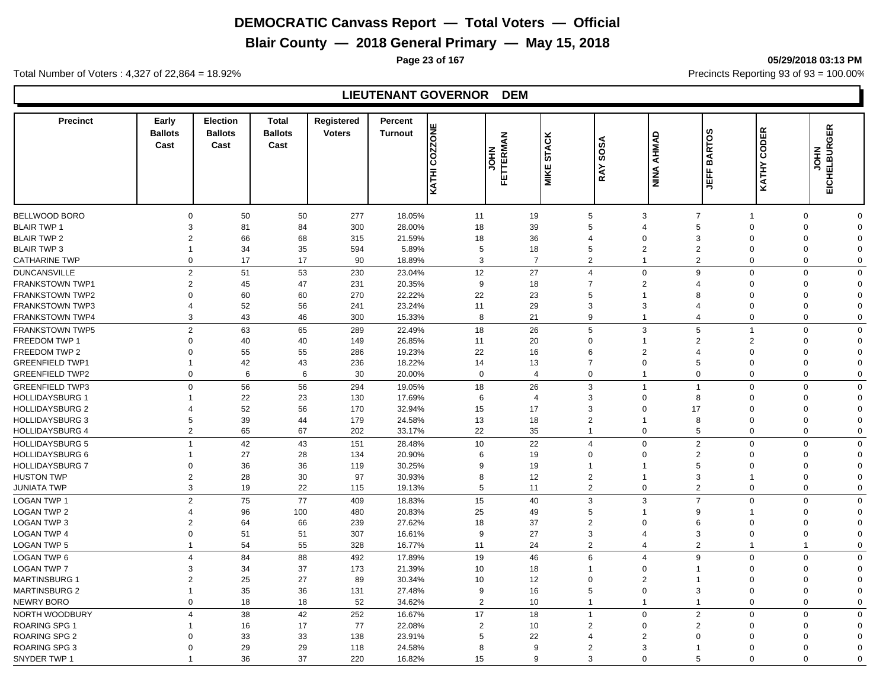**Blair County — 2018 General Primary — May 15, 2018**

**Page 23 of 167 05/29/2018 03:13 PM**

Total Number of Voters : 4,327 of 22,864 = 18.92% Precincts Reporting 93 of 93 = 100.00%

# **LIEUTENANT GOVERNOR DEM**

| <b>Precinct</b>        | Early<br><b>Ballots</b><br>Cast  | <b>Election</b><br><b>Ballots</b><br>Cast | <b>Total</b><br><b>Ballots</b><br>Cast | <b>Registered</b><br><b>Voters</b> | Percent<br><b>COZZONE</b><br><b>Turnout</b><br>KATHI | FETTERMAN<br><b>MEN</b> | <b>STACK</b><br><b>MIKE</b> | SOSA<br><b>RAY</b>      | AHMAD<br>NINA              | <b>BARTOS</b><br>щ<br>岛 | CODER<br>KATHY       | EICHELBURGER<br><b>NHOL</b> |             |
|------------------------|----------------------------------|-------------------------------------------|----------------------------------------|------------------------------------|------------------------------------------------------|-------------------------|-----------------------------|-------------------------|----------------------------|-------------------------|----------------------|-----------------------------|-------------|
| BELLWOOD BORO          | $\mathbf 0$                      |                                           | 50                                     | 277                                |                                                      | 11                      | 19                          | 5                       | 3                          | $\overline{7}$          | $\mathbf{1}$         | $\mathbf 0$                 | $\mathbf 0$ |
| <b>BLAIR TWP 1</b>     | 3                                | 50<br>81                                  | 84                                     | 300                                | 18.05%<br>28.00%                                     | 18                      | 39                          | 5                       | $\overline{4}$             | 5                       | $\Omega$             | $\Omega$                    | $\Omega$    |
| <b>BLAIR TWP 2</b>     | $\overline{2}$                   | 66                                        | 68                                     | 315                                | 21.59%                                               | 18                      | 36                          | $\overline{4}$          | $\Omega$                   | 3                       | $\Omega$             | $\Omega$                    | $\Omega$    |
| <b>BLAIR TWP 3</b>     | $\mathbf{1}$                     | 34                                        | 35                                     | 594                                | 5.89%                                                | 5                       | 18                          | 5                       | $\overline{2}$             | $\overline{2}$          | 0                    | $\Omega$                    | $\mathbf 0$ |
| <b>CATHARINE TWP</b>   | $\mathbf 0$                      | 17                                        | 17                                     | 90                                 | 18.89%                                               | 3                       | $\overline{7}$              | $\overline{2}$          | 1                          | $\overline{2}$          | $\Omega$             | $\Omega$                    | $\mathbf 0$ |
|                        |                                  |                                           |                                        |                                    |                                                      |                         |                             | $\overline{4}$          |                            |                         |                      |                             |             |
| <b>DUNCANSVILLE</b>    | $\overline{2}$<br>$\overline{2}$ | 51                                        | 53                                     | 230                                | 23.04%                                               | 12                      | 27                          | $\overline{7}$          | $\Omega$<br>$\overline{2}$ | 9                       | $\Omega$             | $\Omega$                    | $\mathbf 0$ |
| <b>FRANKSTOWN TWP1</b> |                                  | 45                                        | 47                                     | 231                                | 20.35%                                               | 9                       | 18                          |                         |                            | 4                       | $\Omega$             | $\Omega$                    | $\Omega$    |
| <b>FRANKSTOWN TWP2</b> | $\Omega$                         | 60                                        | 60                                     | 270                                | 22.22%                                               | 22                      | 23                          | 5                       |                            | 8                       | $\Omega$             | $\Omega$                    | $\Omega$    |
| <b>FRANKSTOWN TWP3</b> | $\overline{4}$                   | 52                                        | 56                                     | 241                                | 23.24%                                               | 11                      | 29                          | 3                       | 3                          | $\overline{4}$          | $\Omega$<br>$\Omega$ | $\Omega$                    | $\Omega$    |
| <b>FRANKSTOWN TWP4</b> | 3                                | 43                                        | 46                                     | 300                                | 15.33%                                               | 8                       | 21                          | 9                       | 1                          | $\overline{4}$          |                      | $\Omega$                    | $\Omega$    |
| <b>FRANKSTOWN TWP5</b> | $\overline{2}$                   | 63                                        | 65                                     | 289                                | 22.49%                                               | 18                      | 26                          | 5                       | 3                          | 5                       | $\mathbf{1}$         | $\Omega$                    | $\mathbf 0$ |
| FREEDOM TWP 1          | $\Omega$                         | 40                                        | 40                                     | 149                                | 26.85%                                               | 11                      | 20                          | $\overline{0}$          | 1                          | $\overline{2}$          | $\overline{2}$       | $\Omega$                    | $\Omega$    |
| FREEDOM TWP 2          | $\Omega$                         | 55                                        | 55                                     | 286                                | 19.23%                                               | 22                      | 16                          | 6                       | $\overline{2}$             | $\overline{4}$          | $\Omega$             | $\Omega$                    | $\Omega$    |
| <b>GREENFIELD TWP1</b> | $\mathbf{1}$                     | 42                                        | 43                                     | 236                                | 18.22%                                               | 14                      | 13                          | $\overline{7}$          | $\mathbf 0$                | 5                       | $\mathbf 0$          | $\Omega$                    | $\Omega$    |
| <b>GREENFIELD TWP2</b> | $\mathbf 0$                      | 6                                         | 6                                      | 30                                 | 20.00%                                               | $\mathbf 0$             | $\overline{4}$              | $\mathbf 0$             | 1                          | $\Omega$                | $\mathbf{0}$         | $\Omega$                    | $\mathbf 0$ |
| <b>GREENFIELD TWP3</b> | $\Omega$                         | 56                                        | 56                                     | 294                                | 19.05%                                               | 18                      | 26                          | 3                       | 1                          | $\mathbf 1$             | $\Omega$             | $\Omega$                    | $\mathbf 0$ |
| <b>HOLLIDAYSBURG 1</b> | -1                               | 22                                        | 23                                     | 130                                | 17.69%                                               | 6                       | $\overline{4}$              | 3                       | $\mathbf 0$                | 8                       | $\mathbf 0$          | $\mathbf 0$                 | $\mathbf 0$ |
| <b>HOLLIDAYSBURG 2</b> | $\overline{4}$                   | 52                                        | 56                                     | 170                                | 32.94%                                               | 15                      | 17                          | 3                       | $\Omega$                   | 17                      | $\Omega$             | $\Omega$                    | $\Omega$    |
| <b>HOLLIDAYSBURG 3</b> | 5                                | 39                                        | 44                                     | 179                                | 24.58%                                               | 13                      | 18                          | $\overline{2}$          |                            | 8                       | $\mathbf 0$          | $\Omega$                    | $\mathbf 0$ |
| <b>HOLLIDAYSBURG 4</b> |                                  | $\overline{2}$<br>65                      | 67                                     | 202                                | 33.17%                                               | 22                      | 35                          | $\overline{1}$          | $\Omega$                   | 5                       | $\mathbf 0$          | $\mathbf 0$                 | 0           |
| <b>HOLLIDAYSBURG 5</b> | $\mathbf{1}$                     | 42                                        | 43                                     | 151                                | 28.48%                                               | 10                      | 22                          | $\overline{4}$          | $\Omega$                   | $\overline{2}$          | $\Omega$             | $\Omega$                    | $\Omega$    |
| <b>HOLLIDAYSBURG 6</b> |                                  | 27                                        | 28                                     | 134                                | 20.90%                                               | 6                       | 19                          | $\Omega$                | $\Omega$                   | $\overline{2}$          | $\Omega$             | $\Omega$                    | $\Omega$    |
| <b>HOLLIDAYSBURG 7</b> | $\Omega$                         | 36                                        | 36                                     | 119                                | 30.25%                                               | 9                       | 19                          | 1                       |                            | 5                       | $\Omega$             | $\Omega$                    | $\Omega$    |
| <b>HUSTON TWP</b>      | $\overline{2}$                   | 28                                        | 30                                     | 97                                 | 30.93%                                               | 8                       | 12                          | $\overline{2}$          |                            | 3                       |                      | $\Omega$                    | $\Omega$    |
| <b>JUNIATA TWP</b>     | 3                                | 19                                        | 22                                     | 115                                | 19.13%                                               | 5                       | 11                          | $\overline{2}$          | $\Omega$                   | $\overline{2}$          | $\Omega$             | $\Omega$                    | $\Omega$    |
| <b>LOGAN TWP 1</b>     | $\overline{2}$                   | 75                                        | 77                                     | 409                                | 18.83%                                               | 15                      | 40                          | 3                       | 3                          | $\overline{7}$          | $\mathbf{0}$         | $\Omega$                    | $\mathbf 0$ |
| <b>LOGAN TWP 2</b>     | $\overline{4}$                   | 96                                        | 100                                    | 480                                | 20.83%                                               | 25                      | 49                          | 5                       | 1                          | 9                       | $\mathbf 1$          | $\Omega$                    | $\Omega$    |
| LOGAN TWP 3            | $\overline{2}$                   | 64                                        | 66                                     | 239                                | 27.62%                                               | 18                      | 37                          | $\overline{2}$          | $\Omega$                   | 6                       | $\Omega$             | $\Omega$                    | $\Omega$    |
| <b>LOGAN TWP 4</b>     | $\Omega$                         | 51                                        | 51                                     | 307                                | 16.61%                                               | 9                       | 27                          | 3                       | $\overline{4}$             | 3                       | $\mathbf 0$          | $\mathbf 0$                 | $\mathbf 0$ |
| <b>LOGAN TWP 5</b>     | $\mathbf{1}$                     | 54                                        | 55                                     | 328                                | 16.77%                                               | 11                      | 24                          | $\overline{2}$          | $\overline{4}$             | $\overline{2}$          | $\mathbf 1$          | -1                          | $\mathbf 0$ |
| LOGAN TWP 6            | $\overline{4}$                   | 84                                        | 88                                     | 492                                | 17.89%                                               | 19                      | 46                          | 6                       | $\overline{4}$             | 9                       | $\mathbf 0$          | $\Omega$                    | $\mathbf 0$ |
| <b>LOGAN TWP 7</b>     | 3                                | 34                                        | 37                                     | 173                                | 21.39%                                               | 10                      | 18                          | $\overline{1}$          | $\mathbf 0$                | $\mathbf{1}$            | $\mathbf 0$          | $\Omega$                    | $\mathbf 0$ |
| <b>MARTINSBURG 1</b>   | $\overline{2}$                   | 25                                        | 27                                     | 89                                 | 30.34%                                               | 10                      | 12                          | $\overline{0}$          | $\overline{2}$             | 1                       | $\Omega$             | $\Omega$                    | $\mathbf 0$ |
| <b>MARTINSBURG 2</b>   | $\overline{1}$                   | 35                                        | 36                                     | 131                                | 27.48%                                               | 9                       | 16                          | 5                       | $\mathbf 0$                | 3                       | $\mathbf 0$          | $\Omega$                    | $\mathbf 0$ |
| <b>NEWRY BORO</b>      | $\Omega$                         | 18                                        | 18                                     | 52                                 | 34.62%                                               | 2                       | 10                          | $\overline{\mathbf{1}}$ | 1                          | $\mathbf{1}$            | $\Omega$             | $\Omega$                    | $\mathbf 0$ |
| NORTH WOODBURY         | $\overline{4}$                   | 38                                        | 42                                     | 252                                | 16.67%                                               | 17                      | 18                          | $\overline{1}$          | $\Omega$                   | $\overline{2}$          | $\Omega$             | $\Omega$                    | $\mathbf 0$ |
| <b>ROARING SPG 1</b>   |                                  | 16                                        | 17                                     | 77                                 | 22.08%                                               | $\overline{2}$          | 10                          | $\overline{2}$          | $\Omega$                   | $\overline{2}$          | $\Omega$             | $\Omega$                    | $\mathbf 0$ |
| <b>ROARING SPG 2</b>   | $\Omega$                         | 33                                        | 33                                     | 138                                | 23.91%                                               | 5                       | 22                          | $\overline{4}$          | $\overline{2}$             | $\Omega$                | 0                    | $\Omega$                    | $\Omega$    |
| <b>ROARING SPG 3</b>   | $\Omega$                         | 29                                        | 29                                     | 118                                | 24.58%                                               | 8                       | 9                           | $\overline{2}$          | 3                          | $\overline{1}$          | $\Omega$             | $\Omega$                    | $\Omega$    |
| SNYDER TWP 1           | $\overline{\mathbf{1}}$          | 36                                        | 37                                     | 220                                | 16.82%                                               | 15                      | 9                           | 3                       | $\Omega$                   | 5                       | $\Omega$             | $\Omega$                    | $\Omega$    |
|                        |                                  |                                           |                                        |                                    |                                                      |                         |                             |                         |                            |                         |                      |                             |             |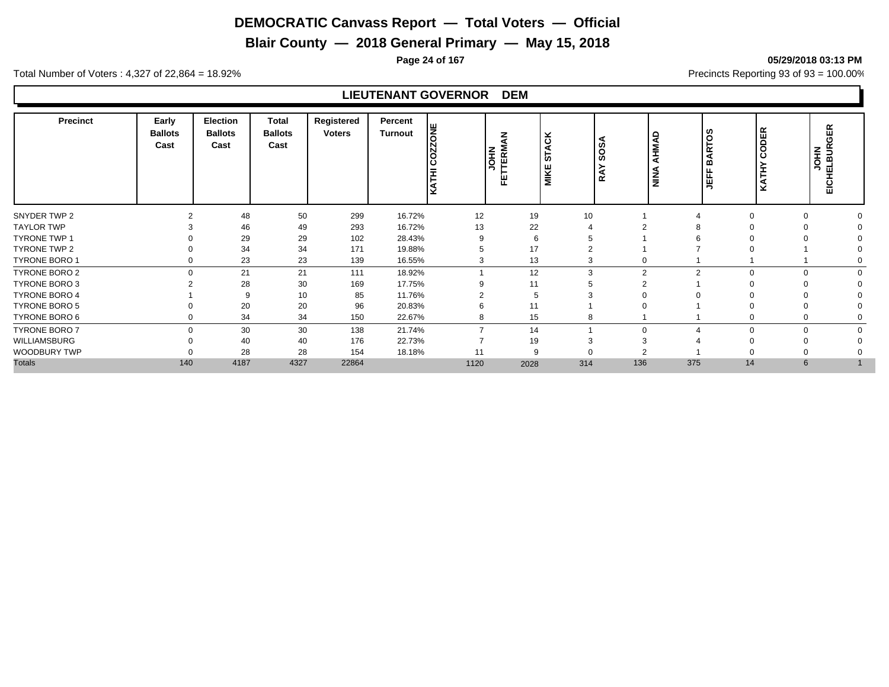**Blair County — 2018 General Primary — May 15, 2018**

**Page 24 of 167 05/29/2018 03:13 PM**

Total Number of Voters : 4,327 of 22,864 = 18.92% Precincts Reporting 93 of 93 = 100.00%

# **LIEUTENANT GOVERNOR DEM**

| <b>Precinct</b>      | Early<br><b>Ballots</b><br>Cast | <b>Election</b><br><b>Ballots</b><br>Cast | <b>Total</b><br><b>Ballots</b><br>Cast | Registered<br><b>Voters</b> | Percent<br>Turnout | Iш<br>ΙĒ<br>د ا<br>ΙΞ | z<br>FETTERM<br><b>ME</b><br>S | <b>ACK</b><br><b>in</b><br><b>MIKE</b> | <b>SOSA</b><br>≻<br>Ř | <b>AHMAD</b><br><b>NINA</b> | ທ<br>$\circ$<br>≃<br>ന<br>ட<br>ш<br>∍ | ≃<br>ш<br>$\Omega$ | 岛<br>ပ<br><b>JOHN<br/>ELBURO</b><br>EICHELI |  |
|----------------------|---------------------------------|-------------------------------------------|----------------------------------------|-----------------------------|--------------------|-----------------------|--------------------------------|----------------------------------------|-----------------------|-----------------------------|---------------------------------------|--------------------|---------------------------------------------|--|
| SNYDER TWP 2         |                                 | 48                                        | 50                                     | 299                         | 16.72%             | 12                    | 19                             | 10                                     |                       |                             | $\Omega$                              |                    |                                             |  |
| <b>TAYLOR TWP</b>    |                                 | 46                                        | 49                                     | 293                         | 16.72%             | 13                    | 22                             |                                        |                       |                             |                                       |                    |                                             |  |
| <b>TYRONE TWP 1</b>  |                                 | 29                                        | 29                                     | 102                         | 28.43%             |                       |                                |                                        |                       |                             |                                       |                    |                                             |  |
| <b>TYRONE TWP 2</b>  |                                 | 34                                        | 34                                     | 171                         | 19.88%             |                       | 17                             |                                        |                       |                             |                                       |                    |                                             |  |
| TYRONE BORO 1        |                                 | 23                                        | 23                                     | 139                         | 16.55%             |                       | 13                             | 3                                      |                       |                             |                                       |                    |                                             |  |
| TYRONE BORO 2        | $\Omega$                        | 21                                        | 21                                     | 111                         | 18.92%             |                       | 12                             | 3                                      | $\overline{2}$        | 2                           | $\Omega$                              | $\Omega$           |                                             |  |
| TYRONE BORO 3        |                                 | 28                                        | 30                                     | 169                         | 17.75%             |                       | 11                             |                                        |                       |                             |                                       |                    |                                             |  |
| <b>TYRONE BORO 4</b> |                                 | 9                                         | 10                                     | 85                          | 11.76%             |                       |                                |                                        |                       |                             |                                       |                    |                                             |  |
| <b>TYRONE BORO 5</b> |                                 | 20                                        | 20                                     | 96                          | 20.83%             |                       |                                |                                        |                       |                             |                                       |                    |                                             |  |
| TYRONE BORO 6        |                                 | 34                                        | 34                                     | 150                         | 22.67%             |                       | 15                             | 8                                      |                       |                             |                                       |                    |                                             |  |
| <b>TYRONE BORO 7</b> | $\Omega$                        | 30                                        | 30                                     | 138                         | 21.74%             |                       | 14                             |                                        |                       |                             | $\Omega$                              |                    |                                             |  |
| WILLIAMSBURG         |                                 | 40                                        | 40                                     | 176                         | 22.73%             |                       | 19                             |                                        |                       |                             |                                       |                    |                                             |  |
| WOODBURY TWP         |                                 | 28                                        | 28                                     | 154                         | 18.18%             | 11                    |                                |                                        |                       |                             |                                       |                    |                                             |  |
| <b>Totals</b>        | 140                             | 4187                                      | 4327                                   | 22864                       |                    | 1120                  | 2028                           | 314                                    | 136                   | 375                         | 14                                    | 6                  |                                             |  |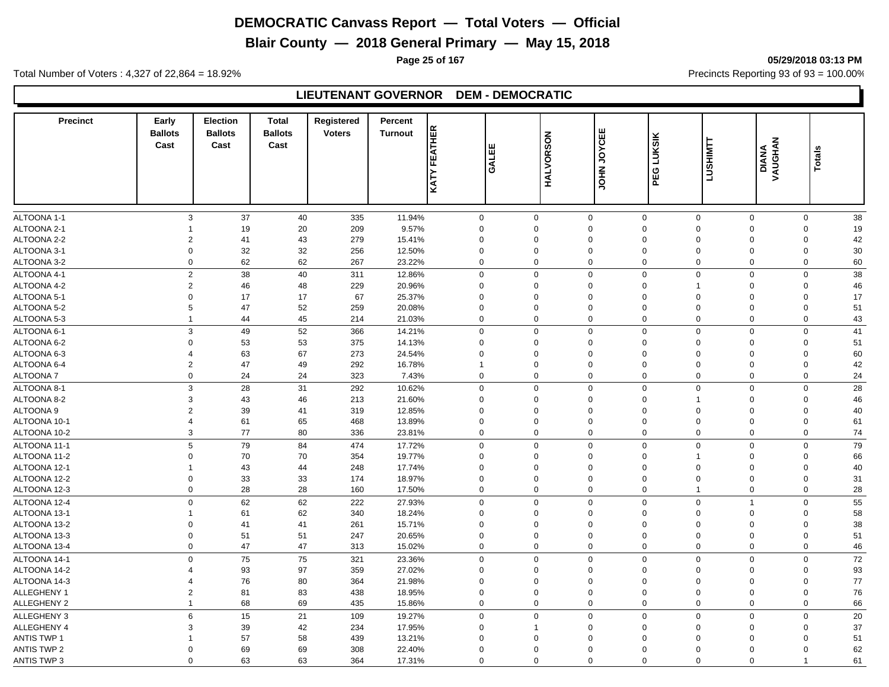**Blair County — 2018 General Primary — May 15, 2018**

**Page 25 of 167 05/29/2018 03:13 PM**

Total Number of Voters : 4,327 of 22,864 = 18.92% Precincts Reporting 93 of 93 = 100.00%

#### **LIEUTENANT GOVERNOR DEM - DEMOCRATIC**

| <b>Precinct</b>            | Early<br><b>Ballots</b><br>Cast | <b>Election</b><br><b>Ballots</b><br>Cast | <b>Total</b><br><b>Ballots</b><br>Cast | Registered<br><b>Voters</b> | Percent<br><b>Turnout</b> | <b>KATY FEATHER</b>        | ш<br>GALEI                 | HALVORSON   | <b>JOYCEE</b><br>Š | LUKSIK<br>PEG                                            | <b>LUSHIMTT</b>         | <b>DIANA</b><br>VAUGHAN | <b>Totals</b>                          |
|----------------------------|---------------------------------|-------------------------------------------|----------------------------------------|-----------------------------|---------------------------|----------------------------|----------------------------|-------------|--------------------|----------------------------------------------------------|-------------------------|-------------------------|----------------------------------------|
|                            |                                 |                                           |                                        |                             |                           |                            |                            |             |                    |                                                          |                         |                         |                                        |
| ALTOONA 1-1<br>ALTOONA 2-1 | $\mathbf{3}$                    | 37<br>19                                  | 40<br>20                               | 335<br>209                  | 11.94%<br>9.57%           | $\mathbf 0$<br>$\mathbf 0$ | $\mathbf 0$<br>$\mathbf 0$ | $\Omega$    | $\mathbf 0$        | $\mathbf 0$<br>$\mathbf 0$<br>$\mathbf 0$<br>$\mathbf 0$ | $\mathbf 0$<br>$\Omega$ |                         | 38<br>$\mathbf 0$<br>$\mathbf 0$<br>19 |
| ALTOONA 2-2                | $\overline{2}$                  | 41                                        | 43                                     | 279                         | 15.41%                    | $\mathbf 0$                | $\Omega$                   | $\mathbf 0$ |                    | $\mathbf 0$<br>$\Omega$                                  | $\mathbf 0$             |                         | 42<br>$\mathbf 0$                      |
| ALTOONA 3-1                | $\overline{0}$                  | 32                                        | 32                                     | 256                         | 12.50%                    | 0                          | $\Omega$                   | $\Omega$    |                    | $\mathbf 0$<br>$\Omega$                                  | $\Omega$                |                         | 30<br>$\Omega$                         |
| ALTOONA 3-2                | $\overline{0}$                  | 62                                        | 62                                     | 267                         | 23.22%                    | $\mathbf 0$                | $\Omega$                   | $\Omega$    |                    | $\mathbf 0$<br>$\Omega$                                  | $\mathbf 0$             |                         | 60<br>$\mathbf 0$                      |
| ALTOONA 4-1                | $\overline{2}$                  | 38                                        | 40                                     | 311                         | 12.86%                    | $\mathbf 0$                | $\mathbf 0$                |             | $\mathbf 0$        | $\mathbf{0}$<br>$\mathbf 0$                              | $\mathbf 0$             |                         | $\mathbf 0$<br>38                      |
| ALTOONA 4-2                | $\overline{2}$                  | 46                                        | 48                                     | 229                         | 20.96%                    | $\mathbf 0$                | $\mathbf 0$                | $\mathbf 0$ |                    | $\mathbf 0$<br>$\overline{1}$                            | $\overline{0}$          |                         | $\mathbf 0$<br>46                      |
| ALTOONA 5-1                | $\Omega$                        | 17                                        | 17                                     | 67                          | 25.37%                    | $\mathbf 0$                | $\Omega$                   | $\Omega$    |                    | $\mathbf 0$<br>$\mathbf 0$                               | $\Omega$                |                         | $\mathbf 0$<br>17                      |
| ALTOONA 5-2                | 5                               | 47                                        | 52                                     | 259                         | 20.08%                    | $\mathbf 0$                | $\Omega$                   | $\mathbf 0$ |                    | $\mathbf 0$<br>$\mathbf 0$                               | $\mathbf 0$             |                         | 51<br>0                                |
| ALTOONA 5-3                | $\overline{1}$                  | 44                                        | 45                                     | 214                         | 21.03%                    | $\mathbf 0$                | $\mathbf 0$                |             | 0                  | $\mathbf 0$<br>$\mathbf 0$                               | $\mathbf 0$             |                         | $\mathbf 0$<br>43                      |
| ALTOONA 6-1                | 3                               | 49                                        | 52                                     | 366                         | 14.21%                    | $\mathsf{O}\xspace$        | $\Omega$                   | $\mathbf 0$ |                    | $\mathsf 0$<br>$\mathbf 0$                               | $\overline{0}$          |                         | 41<br>$\mathbf 0$                      |
| ALTOONA 6-2                | $\Omega$                        | 53                                        | 53                                     | 375                         | 14.13%                    | $\mathbf 0$                | $\Omega$                   | $\Omega$    |                    | $\mathbf 0$<br>$\mathbf 0$                               | $\Omega$                |                         | 51<br>0                                |
| ALTOONA 6-3                | $\overline{4}$                  | 63                                        | 67                                     | 273                         | 24.54%                    | $\mathbf 0$                | $\Omega$                   | $\Omega$    |                    | $\mathbf 0$<br>$\Omega$                                  | $\mathbf 0$             |                         | 60<br>0                                |
| ALTOONA 6-4                | $\overline{2}$                  | 47                                        | 49                                     | 292                         | 16.78%                    | $\overline{1}$             | $\mathbf 0$                | $\mathbf 0$ |                    | $\mathbf 0$<br>$\mathbf 0$                               | $\overline{0}$          |                         | 42<br>$\mathbf 0$                      |
| ALTOONA 7                  | $\mathbf 0$                     | 24                                        | 24                                     | 323                         | 7.43%                     | $\mathbf 0$                | $\mathbf 0$                |             | $\mathbf 0$        | $\mathbf 0$<br>$\mathbf 0$                               | $\mathbf{0}$            |                         | $\mathbf 0$<br>24                      |
| ALTOONA 8-1                | 3                               | 28                                        | 31                                     | 292                         | 10.62%                    | $\mathbf 0$                | $\mathbf 0$                | $\Omega$    |                    | $\mathbf 0$<br>$\mathbf 0$                               | $\Omega$                |                         | 28<br>$\mathbf 0$                      |
| ALTOONA 8-2                | 3                               | 43                                        | 46                                     | 213                         | 21.60%                    | $\mathbf 0$                | $\mathbf 0$                | $\mathbf 0$ |                    | $\mathbf 0$                                              | $\mathbf 0$             |                         | 0<br>46                                |
| ALTOONA 9                  | $\overline{2}$                  | 39                                        | 41                                     | 319                         | 12.85%                    | $\mathbf 0$                | $\mathbf 0$                | $\mathbf 0$ |                    | $\mathbf 0$<br>$\Omega$                                  | $\mathbf 0$             |                         | 40<br>0                                |
| ALTOONA 10-1               | $\overline{4}$                  | 61                                        | 65                                     | 468                         | 13.89%                    | 0                          | $\Omega$                   | $\Omega$    |                    | $\mathbf 0$<br>$\Omega$                                  | $\Omega$                |                         | 0<br>61                                |
| ALTOONA 10-2               | 3                               | 77                                        | 80                                     | 336                         | 23.81%                    | $\mathbf 0$                | $\mathbf 0$                | $\Omega$    |                    | $\mathbf 0$<br>$\mathbf 0$                               | $\Omega$                |                         | 0<br>74                                |
| ALTOONA 11-1               | $\overline{5}$                  | 79                                        | 84                                     | 474                         | 17.72%                    | $\mathbf 0$                | $\Omega$                   | $\mathbf 0$ |                    | $\mathbf 0$<br>$\Omega$                                  | $\Omega$                |                         | 79<br>$\mathbf 0$                      |
| ALTOONA 11-2               | $\Omega$                        | 70                                        | 70                                     | 354                         | 19.77%                    | $\mathbf 0$                | $\Omega$                   | $\mathbf 0$ |                    | $\mathbf 0$                                              | $\Omega$                |                         | 66<br>$\Omega$                         |
| ALTOONA 12-1               | 1                               | 43                                        | 44                                     | 248                         | 17.74%                    | $\mathbf 0$                | $\Omega$                   | $\Omega$    |                    | $\mathbf 0$<br>$\Omega$                                  | $\Omega$                |                         | 40<br>$\Omega$                         |
| ALTOONA 12-2               | $\Omega$                        | 33                                        | 33                                     | 174                         | 18.97%                    | $\mathbf 0$                | $\Omega$                   | $\Omega$    |                    | $\mathbf 0$<br>$\Omega$                                  | $\Omega$                |                         | $\mathbf 0$<br>31                      |
| ALTOONA 12-3               | $\mathbf 0$                     | 28                                        | 28                                     | 160                         | 17.50%                    | $\mathbf 0$                | $\mathbf 0$                |             | 0                  | $\mathbf 0$                                              | $\overline{0}$          |                         | $\mathbf 0$<br>28                      |
| ALTOONA 12-4               | $\mathsf 0$                     | 62                                        | 62                                     | 222                         | 27.93%                    | $\mathbf 0$                | $\mathbf 0$                |             | 0                  | $\mathbf 0$<br>$\mathbf 0$                               | $\overline{1}$          |                         | 55<br>$\mathbf 0$                      |
| ALTOONA 13-1               | $\overline{1}$                  | 61                                        | 62                                     | 340                         | 18.24%                    | $\mathbf 0$                | $\mathbf 0$                | $\mathbf 0$ |                    | $\mathbf 0$<br>$\Omega$                                  | $\mathbf 0$             |                         | 58<br>0                                |
| ALTOONA 13-2               | $\Omega$                        | 41                                        | 41                                     | 261                         | 15.71%                    | $\mathbf 0$                | $\Omega$                   | $\Omega$    |                    | $\mathbf 0$<br>$\Omega$                                  | $\Omega$                |                         | 38<br>0                                |
| ALTOONA 13-3               | $\overline{0}$                  | 51                                        | 51                                     | 247                         | 20.65%                    | $\mathbf 0$                | $\mathbf 0$                | $\Omega$    |                    | $\mathbf 0$<br>$\mathbf 0$                               | $\overline{0}$          |                         | $\mathbf 0$<br>51                      |
| ALTOONA 13-4               | $\overline{0}$                  | 47                                        | 47                                     | 313                         | 15.02%                    | $\mathbf 0$                | $\Omega$                   |             | $\mathbf 0$        | $\mathbf 0$<br>$\Omega$                                  | $\mathbf 0$             |                         | $\mathbf 0$<br>46                      |
| ALTOONA 14-1               | $\mathsf 0$                     | 75                                        | 75                                     | 321                         | 23.36%                    | $\mathbf 0$                | $\mathbf 0$                |             | $\mathbf 0$        | $\mathbf 0$<br>$\mathbf 0$                               | $\mathsf 0$             |                         | $\mathbf 0$<br>72                      |
| ALTOONA 14-2               | $\overline{4}$                  | 93                                        | 97                                     | 359                         | 27.02%                    | $\mathbf 0$                | $\Omega$                   | $\Omega$    |                    | $\mathbf 0$<br>$\mathbf 0$                               | $\Omega$                |                         | $\mathbf 0$<br>93                      |
| ALTOONA 14-3               | $\overline{4}$                  | 76                                        | 80                                     | 364                         | 21.98%                    | $\mathbf 0$                | $\mathbf 0$                | $\Omega$    |                    | $\mathbf 0$<br>$\mathbf 0$                               | $\overline{0}$          |                         | 77<br>$\mathbf 0$                      |
| ALLEGHENY 1                | $\overline{2}$                  | 81                                        | 83                                     | 438                         | 18.95%                    | 0                          | $\mathbf 0$                | $\Omega$    |                    | $\mathbf 0$<br>$\mathbf 0$                               | $\Omega$                |                         | 76<br>0                                |
| ALLEGHENY 2                | $\overline{1}$                  | 68                                        | 69                                     | 435                         | 15.86%                    | $\mathbf 0$                | $\mathbf 0$                |             | $\mathbf 0$        | $\mathbf 0$<br>$\mathbf 0$                               | $\mathbf 0$             |                         | 66<br>0                                |
| <b>ALLEGHENY 3</b>         | 6                               | 15                                        | 21                                     |                             | 19.27%                    | $\mathbf 0$                | $\mathbf 0$                | $\mathbf 0$ |                    | $\mathbf 0$<br>$\mathbf{0}$                              | $\Omega$                |                         | 20<br>$\mathbf 0$                      |
| <b>ALLEGHENY 4</b>         | 3                               | 39                                        | 42                                     | 109<br>234                  | 17.95%                    | $\mathbf 0$                |                            | $\Omega$    |                    | $\mathbf 0$<br>$\mathbf{0}$                              | $\mathbf 0$             |                         | 37<br>0                                |
| <b>ANTIS TWP 1</b>         |                                 |                                           | 58                                     |                             |                           |                            | $\mathbf 0$                | $\mathbf 0$ |                    | $\Omega$                                                 | $\mathbf 0$             |                         | 51                                     |
| <b>ANTIS TWP 2</b>         | $\Omega$                        | 57<br>69                                  | 69                                     | 439<br>308                  | 13.21%<br>22.40%          | 0<br>$\mathbf 0$           | $\Omega$                   | $\Omega$    |                    | $\mathbf 0$<br>$\Omega$<br>$\Omega$                      | $\Omega$                |                         | 0<br>62<br>$\Omega$                    |
| <b>ANTIS TWP 3</b>         | $\Omega$                        | 63                                        | 63                                     | 364                         | 17.31%                    | $\mathbf 0$                | $\Omega$                   | $\Omega$    |                    | $\mathbf 0$<br>$\mathbf 0$                               | $\Omega$                | $\overline{1}$          | 61                                     |
|                            |                                 |                                           |                                        |                             |                           |                            |                            |             |                    |                                                          |                         |                         |                                        |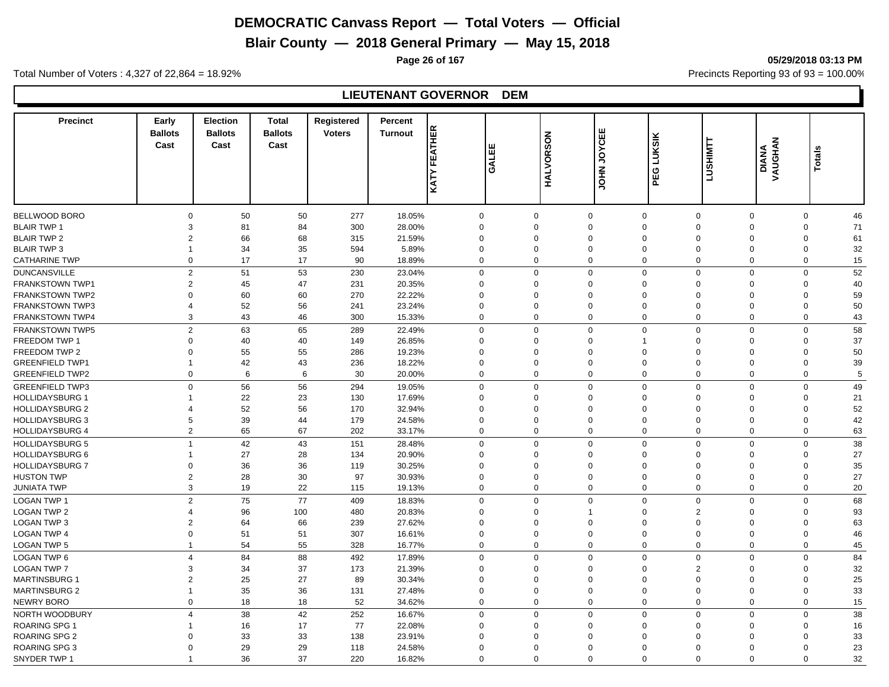**Blair County — 2018 General Primary — May 15, 2018**

**Page 26 of 167 05/29/2018 03:13 PM**

Total Number of Voters : 4,327 of 22,864 = 18.92% Precincts Reporting 93 of 93 = 100.00%

# **LIEUTENANT GOVERNOR DEM**

| <b>Precinct</b>                                  | Early<br><b>Ballots</b><br>Cast | <b>Election</b><br><b>Ballots</b><br>Cast | <b>Total</b><br><b>Ballots</b><br>Cast | Registered<br><b>Voters</b> | Percent<br><b>Turnout</b> | KATY FEATHER | 出<br><b>LIVO</b>     | <b>HALVORSON</b> | <b>JOYCEE</b><br>$rac{2}{5}$ | <b>LUKSIK</b><br>PEG                         | <b>LUSHIMTT</b>            | DIANA<br>VAUGHAN | Total             |  |
|--------------------------------------------------|---------------------------------|-------------------------------------------|----------------------------------------|-----------------------------|---------------------------|--------------|----------------------|------------------|------------------------------|----------------------------------------------|----------------------------|------------------|-------------------|--|
| BELLWOOD BORO                                    | $\Omega$                        | 50                                        | 50                                     | 277                         | 18.05%                    | $\mathbf 0$  | $\Omega$             |                  | 0                            | $\mathbf 0$<br>$\mathbf 0$                   | $\mathbf 0$                |                  | 0<br>46           |  |
| <b>BLAIR TWP 1</b>                               | 3                               | 81                                        | 84                                     | 300                         | 28.00%                    | $\mathbf 0$  | $\Omega$             |                  | $\Omega$                     | $\mathbf 0$<br>$\Omega$                      | $\Omega$                   |                  | 71<br>$\mathbf 0$ |  |
| <b>BLAIR TWP 2</b>                               | $\overline{2}$                  | 66                                        | 68                                     | 315                         | 21.59%                    | $\mathbf 0$  | $\Omega$             |                  | $\Omega$                     | $\mathbf{0}$<br>$\Omega$                     | $\Omega$                   |                  | 61<br>$\mathbf 0$ |  |
| <b>BLAIR TWP 3</b>                               | $\mathbf 1$                     | 34                                        | 35                                     | 594                         | 5.89%                     | $\mathbf 0$  | $\mathbf 0$          |                  | $\mathbf 0$                  | $\mathbf 0$<br>$\mathbf 0$                   | $\mathbf 0$                |                  | 32<br>$\mathbf 0$ |  |
| <b>CATHARINE TWP</b>                             | $\Omega$                        | 17                                        | 17                                     | 90                          | 18.89%                    | $\mathbf 0$  | $\Omega$             |                  | $\mathbf 0$                  | $\mathbf 0$<br>$\Omega$                      | $\mathbf{0}$               |                  | $\mathbf 0$<br>15 |  |
| <b>DUNCANSVILLE</b>                              | $\overline{2}$                  | 51                                        | 53                                     | 230                         | 23.04%                    | $\mathbf 0$  | $\Omega$             |                  | $\mathbf 0$                  | $\mathbf 0$<br>$\mathbf{0}$                  | $\mathbf 0$                |                  | $\mathbf 0$<br>52 |  |
| <b>FRANKSTOWN TWP1</b>                           | $\overline{2}$                  | 45                                        | 47                                     | 231                         | 20.35%                    | $\mathbf 0$  | $\Omega$             |                  | 0                            | $\mathbf 0$<br>$\Omega$                      | $\Omega$                   |                  | 40<br>0           |  |
|                                                  | $\Omega$                        | 60                                        | 60                                     | 270                         | 22.22%                    | $\mathbf 0$  | $\Omega$             |                  | $\Omega$                     | $\mathbf{0}$<br>$\Omega$                     | $\Omega$                   |                  | 59<br>$\mathbf 0$ |  |
| <b>FRANKSTOWN TWP2</b><br><b>FRANKSTOWN TWP3</b> | $\overline{4}$                  | 52                                        | 56                                     | 241                         | 23.24%                    | $\mathbf 0$  | $\Omega$             |                  | $\mathbf 0$                  | $\mathbf 0$<br>$\mathbf 0$                   | $\Omega$                   |                  | 50<br>$\mathbf 0$ |  |
| <b>FRANKSTOWN TWP4</b>                           | 3                               | 43                                        | 46                                     | 300                         | 15.33%                    | $\mathbf 0$  | $\Omega$             |                  | $\mathbf 0$                  | $\mathbf 0$<br>$\mathbf{0}$                  | $\mathbf{0}$               |                  | $\mathbf 0$<br>43 |  |
|                                                  |                                 |                                           |                                        |                             |                           |              |                      |                  |                              |                                              |                            |                  |                   |  |
| <b>FRANKSTOWN TWP5</b>                           | $\overline{2}$                  | 63                                        | 65                                     | 289                         | 22.49%                    | $\mathbf 0$  | $\Omega$             |                  | $\Omega$                     | $\mathbf 0$<br>$\Omega$                      | $\Omega$                   |                  | 58<br>$\mathbf 0$ |  |
| FREEDOM TWP 1                                    | $\overline{0}$                  | 40                                        | 40                                     | 149                         | 26.85%                    | $\mathbf 0$  | $\Omega$             |                  | $\Omega$                     | $\mathbf{1}$<br>$\mathbf{0}$                 | $\mathbf 0$                |                  | 37<br>0           |  |
| <b>FREEDOM TWP 2</b>                             | $\Omega$                        | 55                                        | 55                                     | 286                         | 19.23%                    | $\mathbf 0$  | $\Omega$             |                  | $\Omega$                     | $\mathbf 0$<br>$\Omega$                      | $\Omega$                   |                  | 50<br>$\mathbf 0$ |  |
| <b>GREENFIELD TWP1</b>                           | 1                               | 42                                        | 43                                     | 236                         | 18.22%                    | $\mathbf 0$  | $\Omega$             |                  | $\Omega$                     | $\mathbf 0$<br>$\mathbf 0$                   | $\Omega$                   |                  | 39<br>$\mathbf 0$ |  |
| <b>GREENFIELD TWP2</b>                           | $\mathbf 0$                     | 6                                         | 6                                      | 30                          | 20.00%                    | $\mathbf 0$  | $\Omega$             |                  | $\mathbf 0$                  | $\mathbf 0$<br>$\mathbf 0$                   | $\mathbf 0$                |                  | $\mathbf 0$<br>5  |  |
| <b>GREENFIELD TWP3</b>                           | $\Omega$                        | 56                                        | 56                                     | 294                         | 19.05%                    | $\mathbf 0$  | $\Omega$             |                  | $\mathbf 0$                  | $\mathbf 0$<br>$\mathbf 0$                   | $\mathbf 0$                |                  | 49<br>$\mathbf 0$ |  |
| <b>HOLLIDAYSBURG 1</b>                           |                                 | 22                                        | 23                                     | 130                         | 17.69%                    | $\mathbf 0$  | $\Omega$             |                  | $\mathbf 0$                  | $\mathbf 0$<br>$\Omega$                      | $\Omega$                   |                  | $\mathbf 0$<br>21 |  |
| <b>HOLLIDAYSBURG 2</b>                           | $\overline{4}$                  | 52                                        | 56                                     | 170                         | 32.94%                    | $\mathbf 0$  | $\Omega$             |                  | $\Omega$                     | $\mathbf 0$<br>$\Omega$                      | $\Omega$                   |                  | 52<br>0           |  |
| <b>HOLLIDAYSBURG 3</b>                           | 5                               | 39                                        | 44                                     | 179                         | 24.58%                    | $\mathbf 0$  | $\Omega$             |                  | 0                            | $\mathbf 0$<br>$\Omega$                      | $\mathbf 0$                |                  | 42<br>0           |  |
| <b>HOLLIDAYSBURG 4</b>                           | $\mathbf{2}$                    | 65                                        | 67                                     | 202                         | 33.17%                    | $\mathbf 0$  | $\mathbf 0$          |                  | $\mathbf 0$                  | $\mathbf 0$<br>$\mathbf 0$                   | $\mathbf 0$                |                  | $\mathbf 0$<br>63 |  |
| <b>HOLLIDAYSBURG 5</b>                           | $\overline{1}$                  | 42                                        | 43                                     | 151                         | 28.48%                    | $\mathbf 0$  | $\Omega$             |                  | $\mathbf 0$                  | $\mathbf 0$<br>$\mathbf 0$                   | $\mathbf 0$                |                  | 38<br>$\mathbf 0$ |  |
| <b>HOLLIDAYSBURG 6</b>                           |                                 | 27                                        | 28                                     | 134                         | 20.90%                    | $\mathbf 0$  | $\Omega$             |                  | $\Omega$                     | $\mathbf 0$<br>$\Omega$                      | $\Omega$                   |                  | 27<br>$\Omega$    |  |
| <b>HOLLIDAYSBURG 7</b>                           | $\mathbf 0$                     | 36                                        | 36                                     | 119                         | 30.25%                    | $\mathbf 0$  | $\Omega$             |                  | $\Omega$                     | $\mathbf 0$<br>$\Omega$                      | $\Omega$                   |                  | 35<br>0           |  |
| <b>HUSTON TWP</b>                                | $\overline{2}$                  | 28                                        | 30                                     | 97                          | 30.93%                    | $\mathbf 0$  | $\Omega$             |                  | $\Omega$                     | $\mathbf 0$<br>$\Omega$                      | $\Omega$                   |                  | 27<br>$\mathbf 0$ |  |
| <b>JUNIATA TWP</b>                               | 3                               | 19                                        | 22                                     | 115                         | 19.13%                    | $\mathbf 0$  | $\Omega$             |                  | $\mathbf 0$                  | $\mathbf 0$<br>$\mathbf 0$                   | $\mathbf 0$                |                  | 20<br>$\mathbf 0$ |  |
| <b>LOGAN TWP 1</b>                               | $\overline{2}$                  | 75                                        | 77                                     | 409                         | 18.83%                    | $\mathbf 0$  | $\mathbf 0$          |                  | $\mathbf 0$                  | $\mathbf 0$                                  | $\mathsf 0$<br>$\mathbf 0$ |                  | $\mathbf 0$<br>68 |  |
| <b>LOGAN TWP 2</b>                               | 4                               | 96                                        | 100                                    | 480                         | 20.83%                    | $\mathbf 0$  | $\Omega$             |                  | $\mathbf 1$                  | $\mathbf 0$<br>$\overline{2}$                | $\Omega$                   |                  | 93<br>$\mathbf 0$ |  |
| <b>LOGAN TWP 3</b>                               | $\overline{2}$                  | 64                                        | 66                                     | 239                         | 27.62%                    | $\mathbf 0$  | $\Omega$             |                  | $\mathbf 0$                  | $\mathbf 0$<br>$\Omega$                      | $\mathbf 0$                |                  | $\mathbf 0$<br>63 |  |
| <b>LOGAN TWP 4</b>                               | $\Omega$                        | 51                                        | 51                                     | 307                         | 16.61%                    | $\mathbf 0$  | $\Omega$             |                  | $\Omega$                     | $\mathbf 0$<br>$\mathbf 0$                   | $\mathbf 0$                |                  | 46<br>0           |  |
| <b>LOGAN TWP 5</b>                               | -1                              | 54                                        | 55                                     | 328                         | 16.77%                    | $\mathbf 0$  | $\Omega$             |                  | $\mathbf 0$                  | $\mathbf 0$                                  | $\mathbf 0$<br>$\mathbf 0$ |                  | $\mathbf 0$<br>45 |  |
| <b>LOGAN TWP 6</b>                               | $\overline{4}$                  | 84                                        | 88                                     | 492                         | 17.89%                    | $\mathbf 0$  | $\Omega$             |                  | $\mathbf 0$                  | $\mathbf 0$<br>$\mathbf 0$                   | $\Omega$                   |                  | 84<br>$\mathbf 0$ |  |
| <b>LOGAN TWP 7</b>                               | 3                               | 34                                        | 37                                     | 173                         | 21.39%                    | $\mathbf 0$  | $\Omega$             |                  | $\Omega$                     | $\mathbf 0$                                  | $\overline{2}$<br>$\Omega$ |                  | 32<br>0           |  |
| <b>MARTINSBURG 1</b>                             | $\overline{2}$                  | 25                                        | 27                                     | 89                          | 30.34%                    | $\mathbf 0$  | $\Omega$             |                  | $\Omega$                     | $\mathbf 0$<br>$\Omega$                      | $\mathbf 0$                |                  | 25<br>0           |  |
| <b>MARTINSBURG 2</b>                             | 1                               | $35\,$                                    | 36                                     | 131                         | 27.48%                    | $\mathbf 0$  | $\Omega$             |                  | $\Omega$                     | $\mathbf 0$<br>$\Omega$                      | $\Omega$                   |                  | 33<br>$\mathbf 0$ |  |
| <b>NEWRY BORO</b>                                | $\mathbf 0$                     | 18                                        | 18                                     | 52                          | 34.62%                    | $\mathbf 0$  | $\Omega$             |                  | $\mathbf 0$                  | $\mathbf 0$<br>$\mathbf 0$                   | $\mathbf 0$                |                  | 15<br>$\mathbf 0$ |  |
| NORTH WOODBURY                                   | $\overline{4}$                  | 38                                        | 42                                     | 252                         | 16.67%                    | $\mathbf 0$  | $\Omega$             |                  | $\mathbf 0$                  | $\mathbf 0$<br>$\mathbf 0$                   | $\mathbf 0$                |                  | 38<br>$\mathbf 0$ |  |
| <b>ROARING SPG 1</b>                             |                                 | 16                                        | 17                                     | 77                          | 22.08%                    | $\mathbf 0$  | $\Omega$             |                  | $\Omega$                     | $\mathbf 0$<br>$\Omega$                      | $\Omega$                   |                  | 16<br>0           |  |
|                                                  |                                 |                                           |                                        |                             |                           |              |                      |                  |                              |                                              |                            |                  |                   |  |
| <b>ROARING SPG 2</b>                             | $\Omega$                        | 33                                        | 33                                     | 138                         | 23.91%                    | $\mathbf 0$  | $\Omega$<br>$\Omega$ |                  | $\Omega$<br>$\Omega$         | $\Omega$<br>$\Omega$<br>$\Omega$<br>$\Omega$ | $\Omega$<br>$\Omega$       |                  | 33<br>$\Omega$    |  |
| <b>ROARING SPG 3</b>                             |                                 | 29                                        | 29                                     | 118                         | 24.58%                    | $\mathbf 0$  |                      |                  |                              |                                              |                            |                  | 23<br>$\mathbf 0$ |  |
| SNYDER TWP 1                                     |                                 | 36                                        | 37                                     | 220                         | 16.82%                    | $\Omega$     | $\Omega$             |                  | $\Omega$                     | $\Omega$<br>$\Omega$                         | $\Omega$                   |                  | 32<br>$\Omega$    |  |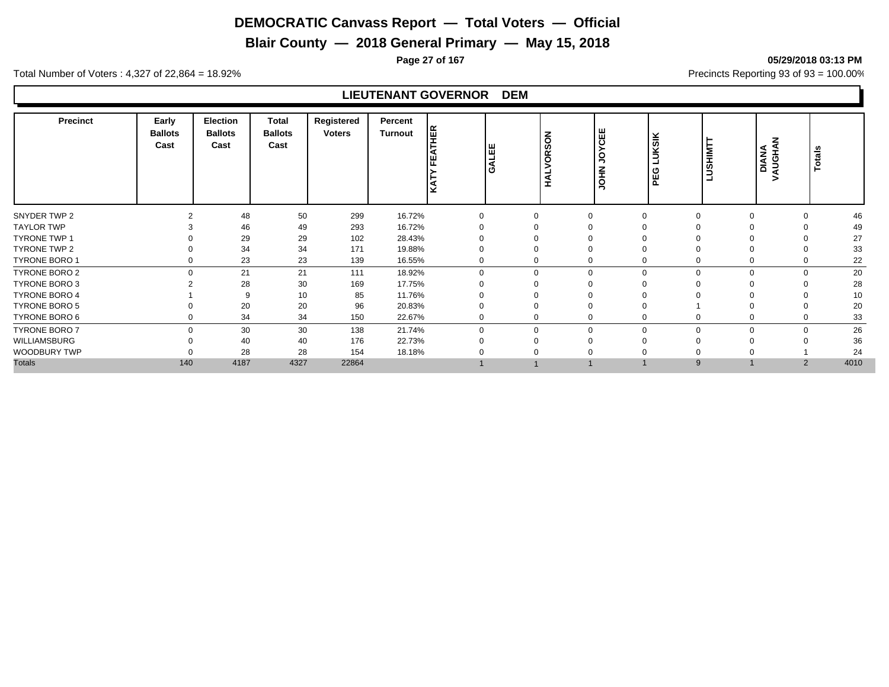**Blair County — 2018 General Primary — May 15, 2018**

**Page 27 of 167 05/29/2018 03:13 PM**

Total Number of Voters : 4,327 of 22,864 = 18.92% Precincts Reporting 93 of 93 = 100.00%

# **LIEUTENANT GOVERNOR DEM**

| 48<br>50<br>299<br>16.72%<br>46<br>$\Omega$<br>$\Omega$<br>$\Omega$<br>293<br>16.72%<br>49<br>46<br>49<br>29<br>29<br>102<br>27<br>28.43%<br>34<br>33<br>34<br>171<br>19.88%<br>$\Omega$<br>23<br>23<br>22<br>139<br>16.55%<br>$\mathbf 0$<br>$\Omega$<br>$\mathbf 0$<br>0<br>21<br>21<br>20<br>$\Omega$<br>111<br>18.92%<br>$\Omega$<br>$\mathbf 0$<br>$\Omega$<br>$\Omega$<br>30<br>28<br>28<br>169<br>17.75%<br>10<br>85<br>11.76%<br>10<br>9<br>20<br>20<br>96<br>20.83%<br>20<br>$\Omega$<br>$\Omega$<br>33<br>34<br>34<br>150<br>22.67%<br>$\mathbf 0$<br>0<br>$\mathbf 0$<br>$\Omega$<br>26<br>$\mathbf 0$<br>30<br>30<br>138<br>21.74%<br>$\Omega$<br>$\mathbf 0$<br>$\Omega$<br>$\Omega$<br>36<br>40<br>40<br>176<br>22.73%<br>∩<br>28<br>28<br>24<br>154<br>18.18%<br>140<br>4187<br>4327<br>4010<br>22864<br>2<br>9 | <b>Precinct</b>      | Early<br><b>Ballots</b><br>Cast | <b>Election</b><br><b>Ballots</b><br>Cast | <b>Total</b><br><b>Ballots</b><br>Cast | Registered<br><b>Voters</b> | Percent<br><b>Turnout</b> | <b>HER</b> | GALEE | z<br>C<br>Ø<br>õ<br>><br>₹ | YCEE<br>g<br>HOL | KSIK<br>ும<br>ഁ൨ | <b>TMIHSU</b><br>ᆜ | z<br>AUGHA<br><b>DIANA</b><br>> | otals |
|--------------------------------------------------------------------------------------------------------------------------------------------------------------------------------------------------------------------------------------------------------------------------------------------------------------------------------------------------------------------------------------------------------------------------------------------------------------------------------------------------------------------------------------------------------------------------------------------------------------------------------------------------------------------------------------------------------------------------------------------------------------------------------------------------------------------------------|----------------------|---------------------------------|-------------------------------------------|----------------------------------------|-----------------------------|---------------------------|------------|-------|----------------------------|------------------|------------------|--------------------|---------------------------------|-------|
|                                                                                                                                                                                                                                                                                                                                                                                                                                                                                                                                                                                                                                                                                                                                                                                                                                | SNYDER TWP 2         |                                 |                                           |                                        |                             |                           |            |       |                            |                  |                  |                    |                                 |       |
|                                                                                                                                                                                                                                                                                                                                                                                                                                                                                                                                                                                                                                                                                                                                                                                                                                | <b>TAYLOR TWP</b>    |                                 |                                           |                                        |                             |                           |            |       |                            |                  |                  |                    |                                 |       |
|                                                                                                                                                                                                                                                                                                                                                                                                                                                                                                                                                                                                                                                                                                                                                                                                                                | <b>TYRONE TWP 1</b>  |                                 |                                           |                                        |                             |                           |            |       |                            |                  |                  |                    |                                 |       |
|                                                                                                                                                                                                                                                                                                                                                                                                                                                                                                                                                                                                                                                                                                                                                                                                                                | TYRONE TWP 2         |                                 |                                           |                                        |                             |                           |            |       |                            |                  |                  |                    |                                 |       |
|                                                                                                                                                                                                                                                                                                                                                                                                                                                                                                                                                                                                                                                                                                                                                                                                                                | <b>TYRONE BORO 1</b> |                                 |                                           |                                        |                             |                           |            |       |                            |                  |                  |                    |                                 |       |
|                                                                                                                                                                                                                                                                                                                                                                                                                                                                                                                                                                                                                                                                                                                                                                                                                                | TYRONE BORO 2        |                                 |                                           |                                        |                             |                           |            |       |                            |                  |                  |                    |                                 |       |
|                                                                                                                                                                                                                                                                                                                                                                                                                                                                                                                                                                                                                                                                                                                                                                                                                                | <b>TYRONE BORO 3</b> |                                 |                                           |                                        |                             |                           |            |       |                            |                  |                  |                    |                                 |       |
|                                                                                                                                                                                                                                                                                                                                                                                                                                                                                                                                                                                                                                                                                                                                                                                                                                | <b>TYRONE BORO 4</b> |                                 |                                           |                                        |                             |                           |            |       |                            |                  |                  |                    |                                 |       |
|                                                                                                                                                                                                                                                                                                                                                                                                                                                                                                                                                                                                                                                                                                                                                                                                                                | TYRONE BORO 5        |                                 |                                           |                                        |                             |                           |            |       |                            |                  |                  |                    |                                 |       |
|                                                                                                                                                                                                                                                                                                                                                                                                                                                                                                                                                                                                                                                                                                                                                                                                                                | TYRONE BORO 6        |                                 |                                           |                                        |                             |                           |            |       |                            |                  |                  |                    |                                 |       |
|                                                                                                                                                                                                                                                                                                                                                                                                                                                                                                                                                                                                                                                                                                                                                                                                                                | <b>TYRONE BORO 7</b> |                                 |                                           |                                        |                             |                           |            |       |                            |                  |                  |                    |                                 |       |
|                                                                                                                                                                                                                                                                                                                                                                                                                                                                                                                                                                                                                                                                                                                                                                                                                                | WILLIAMSBURG         |                                 |                                           |                                        |                             |                           |            |       |                            |                  |                  |                    |                                 |       |
|                                                                                                                                                                                                                                                                                                                                                                                                                                                                                                                                                                                                                                                                                                                                                                                                                                | WOODBURY TWP         |                                 |                                           |                                        |                             |                           |            |       |                            |                  |                  |                    |                                 |       |
|                                                                                                                                                                                                                                                                                                                                                                                                                                                                                                                                                                                                                                                                                                                                                                                                                                | <b>Totals</b>        |                                 |                                           |                                        |                             |                           |            |       |                            |                  |                  |                    |                                 |       |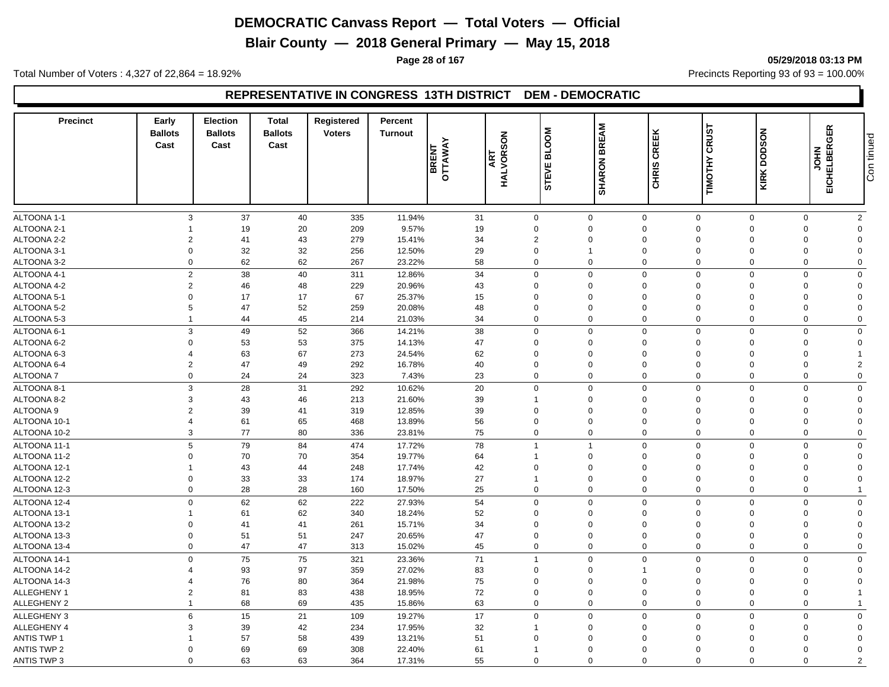**Blair County — 2018 General Primary — May 15, 2018**

**Page 28 of 167 05/29/2018 03:13 PM**

Total Number of Voters : 4,327 of 22,864 = 18.92% Precincts Reporting 93 of 93 = 100.00%

# **REPRESENTATIVE IN CONGRESS 13TH DISTRICT DEM - DEMOCRATIC**

| <b>Precinct</b>              | Early<br><b>Ballots</b><br>Cast | Election<br><b>Ballots</b><br>Cast | <b>Total</b><br><b>Ballots</b><br>Cast | Registered<br><b>Voters</b> | Percent<br><b>Turnout</b> | BRENT<br>OTTAWAY | <b>ART<br/>HALVORSON</b> | <b>BLOOM</b><br><b>STEVE</b> | <b>SHARON BREAM</b>        | CREEK<br>CHRIS       | <b>CRUST</b><br>TIMOTHY    | <b>DODSON</b><br>KIRK | EICHELBERGER<br><b>NHOL</b> | Con tinued           |
|------------------------------|---------------------------------|------------------------------------|----------------------------------------|-----------------------------|---------------------------|------------------|--------------------------|------------------------------|----------------------------|----------------------|----------------------------|-----------------------|-----------------------------|----------------------|
|                              |                                 |                                    |                                        |                             |                           |                  |                          |                              |                            |                      |                            |                       |                             |                      |
| ALTOONA 1-1                  | 3                               | 37                                 | 40                                     | 335                         | 11.94%                    |                  | 31                       | $\mathsf{O}\xspace$          | $\mathbf 0$                | $\mathbf 0$          | $\mathbf 0$                | $\mathbf 0$           | $\mathbf 0$                 | $\overline{c}$       |
| ALTOONA 2-1                  |                                 | 19                                 | 20                                     | 209                         | 9.57%                     |                  | 19                       | $\Omega$                     | $\mathbf 0$                | $\Omega$             | $\Omega$                   | $\Omega$              | $\Omega$                    | 0                    |
| ALTOONA 2-2                  | $\overline{2}$                  | 41                                 | 43                                     | 279                         | 15.41%                    |                  | 34                       | $\overline{2}$               | $\mathbf 0$                | $\Omega$             | $\mathbf 0$                | 0                     | $\Omega$                    | $\Omega$             |
| ALTOONA 3-1                  | $\mathbf 0$                     | 32                                 | 32                                     | 256                         | 12.50%                    |                  | 29                       | $\Omega$                     | $\overline{1}$             | $\Omega$             | $\Omega$                   | 0                     | $\Omega$                    | $\Omega$             |
| ALTOONA 3-2                  | $\mathbf 0$                     | 62                                 | 62                                     | 267                         | 23.22%                    |                  | 58                       | $\mathbf 0$                  | $\mathbf 0$                | $\Omega$             | $\Omega$                   | 0                     | $\Omega$                    | $\Omega$             |
| ALTOONA 4-1                  | 2                               | 38                                 | 40                                     | 311                         | 12.86%                    |                  | 34                       | $\mathbf 0$                  | $\mathbf 0$                | $\Omega$             | $\mathbf 0$                | $\mathbf 0$           | $\Omega$                    | $\mathbf 0$          |
| ALTOONA 4-2                  | 2                               | 46                                 | 48                                     | 229                         | 20.96%                    |                  | 43                       | $\Omega$                     | $\mathbf 0$                | $\Omega$             | $\mathbf 0$                | 0                     | $\Omega$                    | $\Omega$             |
| ALTOONA 5-1                  | $\mathbf 0$                     | 17                                 | 17                                     | 67                          | 25.37%                    |                  | 15                       | $\Omega$                     | $\mathbf 0$                | $\mathbf 0$          | $\mathbf 0$                | 0                     | $\Omega$                    | $\mathbf 0$          |
| ALTOONA 5-2                  | 5                               | 47                                 | 52                                     | 259                         | 20.08%                    |                  | 48                       | $\Omega$                     | $\mathbf 0$                | $\Omega$             | $\Omega$                   | 0                     | $\Omega$                    | $\Omega$             |
| ALTOONA 5-3                  | $\overline{1}$                  | 44                                 | 45                                     | 214                         | 21.03%                    |                  | 34                       | $\mathbf 0$                  | $\mathbf 0$                | $\mathbf 0$          | $\mathbf 0$                | $\mathbf 0$           | $\mathbf 0$                 | $\Omega$             |
| ALTOONA 6-1                  | 3                               | 49                                 | 52                                     | 366                         | 14.21%                    |                  | 38                       | $\mathbf 0$                  | $\mathbf 0$                | $\Omega$             | $\mathbf 0$                | $\mathsf 0$           | $\Omega$                    | $\mathbf 0$          |
| ALTOONA 6-2                  | $\mathbf 0$                     | 53                                 | 53                                     | 375                         | 14.13%                    |                  | 47                       | $\mathbf 0$                  | $\mathbf 0$                | $\mathbf 0$          | $\mathbf 0$                | $\mathbf 0$           | $\Omega$                    | $\mathbf 0$          |
| ALTOONA 6-3                  | $\overline{4}$                  | 63                                 | 67                                     | 273                         | 24.54%                    |                  | 62                       | $\Omega$                     | $\mathbf 0$                | $\Omega$             | $\Omega$                   | $\Omega$              | $\Omega$                    | 1                    |
| ALTOONA 6-4                  | $\overline{2}$                  | 47                                 | 49                                     | 292                         | 16.78%                    |                  | 40                       | $\Omega$                     | $\mathbf 0$                | $\mathbf 0$          | $\mathbf 0$                | 0                     | $\overline{0}$              | $\overline{2}$       |
| ALTOONA 7                    | $\mathbf 0$                     | 24                                 | 24                                     | 323                         | 7.43%                     |                  | 23                       | $\mathbf 0$                  | $\mathbf 0$                | $\mathbf 0$          | $\mathbf 0$                | $\mathbf 0$           | $\mathbf 0$                 | $\mathbf 0$          |
| ALTOONA 8-1                  | 3                               | 28                                 | 31                                     | 292                         | 10.62%                    |                  | 20                       | $\mathbf 0$                  | $\mathbf 0$                | $\Omega$             | $\mathbf 0$                | $\mathbf 0$           | $\mathbf 0$                 | $\mathbf 0$          |
| ALTOONA 8-2                  | 3                               | 43                                 | 46                                     | 213                         | 21.60%                    |                  | 39                       | $\mathbf{1}$                 | $\mathbf 0$                | $\Omega$             | $\mathbf 0$                | 0                     | $\Omega$                    | $\Omega$             |
| <b>ALTOONA 9</b>             | $\overline{2}$                  | 39                                 | 41                                     | 319                         | 12.85%                    |                  | 39                       | $\Omega$                     | $\overline{0}$             | $\mathbf 0$          | $\mathbf 0$                | 0                     | $\Omega$                    | $\Omega$             |
| ALTOONA 10-1                 | $\overline{\mathbf{4}}$         | 61                                 | 65                                     | 468                         | 13.89%                    |                  | 56                       | $\mathbf 0$                  | $\mathbf 0$                | $\mathbf 0$          | $\mathbf 0$                | $\mathbf 0$           | $\Omega$                    | $\mathbf 0$          |
| ALTOONA 10-2                 | 3                               | 77                                 | 80                                     | 336                         | 23.81%                    |                  | 75                       | $\mathbf 0$                  | $\mathbf 0$                | $\mathbf 0$          | $\mathbf 0$                | 0                     | $\mathbf 0$                 | $\mathbf 0$          |
| ALTOONA 11-1                 | 5                               | 79                                 | 84                                     | 474                         | 17.72%                    |                  | 78                       | $\overline{1}$               | $\overline{1}$             | $\mathbf 0$          | $\mathbf 0$                | $\mathbf 0$           | $\mathbf 0$                 | $\mathbf 0$          |
| ALTOONA 11-2                 | 0                               | 70                                 | 70                                     | 354                         | 19.77%                    |                  | 64                       |                              | $\mathbf 0$                | $\Omega$             | $\mathbf 0$                | 0                     | $\Omega$                    | $\Omega$             |
| ALTOONA 12-1                 | 1                               | 43                                 | 44                                     | 248                         | 17.74%                    |                  | 42                       | $\Omega$                     | $\mathbf 0$                | $\mathbf 0$          | $\overline{0}$             | $\mathbf 0$           | $\Omega$                    | $\Omega$             |
| ALTOONA 12-2                 | $\mathbf 0$                     | 33                                 | 33                                     | 174                         | 18.97%                    |                  | 27                       | $\overline{1}$               | $\mathbf 0$                | $\mathbf 0$          | $\mathbf 0$                | 0                     | $\mathbf 0$                 | $\mathbf 0$          |
| ALTOONA 12-3                 | $\mathbf 0$                     | 28                                 | 28                                     | 160                         | 17.50%                    |                  | 25                       | $\mathbf 0$                  | $\mathbf 0$                | $\Omega$             | $\mathbf 0$                | 0                     | $\mathbf 0$                 | $\mathbf{1}$         |
|                              | $\mathbf{0}$                    |                                    |                                        |                             |                           |                  | 54                       | $\mathbf 0$                  | $\mathbf 0$                | $\Omega$             | $\Omega$                   | $\mathbf 0$           | $\Omega$                    | $\Omega$             |
| ALTOONA 12-4                 |                                 | 62                                 | 62                                     | 222                         | 27.93%                    |                  |                          |                              |                            |                      |                            |                       |                             |                      |
| ALTOONA 13-1<br>ALTOONA 13-2 | $\Omega$                        | 61<br>41                           | 62<br>41                               | 340<br>261                  | 18.24%<br>15.71%          |                  | 52<br>34                 | $\Omega$<br>$\Omega$         | $\mathbf 0$<br>$\mathbf 0$ | $\Omega$<br>$\Omega$ | $\mathbf 0$<br>$\mathbf 0$ | 0<br>$\Omega$         | $\Omega$<br>$\Omega$        | 0<br>$\Omega$        |
| ALTOONA 13-3                 | $\mathbf 0$                     | 51                                 | 51                                     | 247                         | 20.65%                    |                  | 47                       | $\Omega$                     | $\mathbf 0$                | $\Omega$             | $\Omega$                   | $\Omega$              | $\Omega$                    | $\Omega$             |
| ALTOONA 13-4                 | $\mathbf 0$                     | 47                                 | 47                                     | 313                         | 15.02%                    |                  | 45                       | $\mathbf 0$                  | $\mathbf 0$                | $\mathbf 0$          | $\mathbf 0$                | 0                     | $\mathbf 0$                 | $\mathbf 0$          |
|                              |                                 |                                    |                                        |                             |                           |                  |                          |                              |                            |                      |                            |                       |                             |                      |
| ALTOONA 14-1                 | $\mathbf 0$                     | 75                                 | 75                                     | 321                         | 23.36%                    |                  | 71                       | $\overline{1}$               | $\mathbf 0$                | $\Omega$             | $\mathbf 0$                | $\mathbf 0$           | $\Omega$                    | $\mathbf 0$          |
| ALTOONA 14-2                 | $\Delta$                        | 93                                 | 97                                     | 359                         | 27.02%                    |                  | 83                       | $\Omega$                     | $\mathbf 0$                | $\Omega$             | $\mathbf 0$                | 0                     | $\Omega$                    | $\Omega$<br>$\Omega$ |
| ALTOONA 14-3<br>ALLEGHENY 1  | $\overline{4}$                  | 76<br>81                           | 80                                     | 364                         | 21.98%                    |                  | 75<br>72                 | $\Omega$                     | $\mathbf 0$                | $\Omega$             | $\Omega$                   | $\Omega$              | $\Omega$<br>$\Omega$        |                      |
|                              | $\overline{2}$                  |                                    | 83                                     | 438                         | 18.95%                    |                  |                          | $\mathbf 0$                  | $\mathbf 0$                |                      | $\mathbf 0$                | 0                     |                             | 1                    |
| <b>ALLEGHENY 2</b>           | $\overline{1}$                  | 68                                 | 69                                     | 435                         | 15.86%                    |                  | 63                       | $\mathbf 0$                  | $\mathbf 0$                | $\mathbf 0$          | $\mathbf 0$                | $\mathbf 0$           | $\mathbf 0$                 | -1                   |
| <b>ALLEGHENY 3</b>           | 6                               | 15                                 | 21                                     | 109                         | 19.27%                    |                  | 17                       | $\mathbf 0$                  | $\mathbf 0$                | $\Omega$             | $\mathbf 0$                | $\mathbf 0$           | $\Omega$                    | $\mathbf 0$          |
| ALLEGHENY 4                  | 3                               | 39                                 | 42                                     | 234                         | 17.95%                    |                  | 32                       | $\overline{1}$               | $\mathbf 0$                | $\mathbf 0$          | $\overline{0}$             | 0                     | $\Omega$                    | $\mathbf 0$          |
| <b>ANTIS TWP 1</b>           |                                 | 57                                 | 58                                     | 439                         | 13.21%                    |                  | 51                       | $\Omega$                     | $\Omega$                   | $\Omega$             | $\Omega$                   | $\Omega$              | $\Omega$                    | $\Omega$             |
| <b>ANTIS TWP 2</b>           | $\Omega$                        | 69                                 | 69                                     | 308                         | 22.40%                    |                  | 61                       | -1                           | $\mathbf 0$                | $\mathbf 0$          | $\Omega$                   | $\Omega$              | $\Omega$                    | $\Omega$             |
| <b>ANTIS TWP 3</b>           | $\mathbf 0$                     | 63                                 | 63                                     | 364                         | 17.31%                    |                  | 55                       | $\mathbf 0$                  | $\mathbf 0$                | $\Omega$             | $\mathbf 0$                | 0                     | $\Omega$                    | 2                    |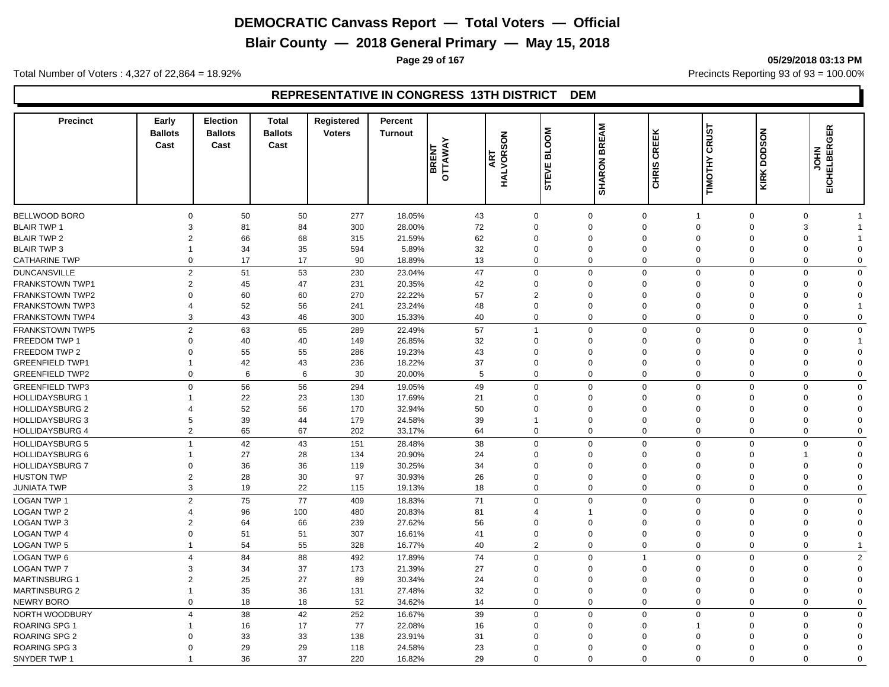**Blair County — 2018 General Primary — May 15, 2018**

**Page 29 of 167 05/29/2018 03:13 PM**

Total Number of Voters : 4,327 of 22,864 = 18.92% Precincts Reporting 93 of 93 = 100.00%

#### **REPRESENTATIVE IN CONGRESS 13TH DISTRICT DEM**

| <b>Precinct</b>        | Early<br><b>Ballots</b><br>Cast | Election<br><b>Ballots</b><br>Cast | <b>Total</b><br><b>Ballots</b><br>Cast | Registered<br><b>Voters</b> | <b>Percent</b><br><b>Turnout</b> | BRENT<br>OTTAWAY | <b>ART<br/>HALVORSON</b> | MOO<br>긂<br><b>STEVE</b> | <b>BREAM</b><br><b>SHARON</b> | CREEK<br><b>CHRIS</b> | <b>CRUST</b><br>TIMOTHY | <b>DODSON</b><br>KIRK | <b>EICHELBERGER</b><br><b>NHOL</b> |                |
|------------------------|---------------------------------|------------------------------------|----------------------------------------|-----------------------------|----------------------------------|------------------|--------------------------|--------------------------|-------------------------------|-----------------------|-------------------------|-----------------------|------------------------------------|----------------|
|                        |                                 |                                    |                                        |                             |                                  |                  |                          |                          |                               |                       |                         |                       |                                    |                |
| <b>BELLWOOD BORO</b>   | $\mathbf 0$                     | 50                                 | 50                                     | 277                         | 18.05%                           |                  | 43                       | $\mathbf 0$              | $\mathbf 0$                   | $\mathbf 0$           | $\overline{1}$          | $\mathbf 0$           | $\mathbf 0$                        | 1              |
| <b>BLAIR TWP 1</b>     | 3                               | 81                                 | 84                                     | 300                         | 28.00%                           |                  | 72                       | $\Omega$                 | $\mathbf 0$                   | $\Omega$              | $\Omega$                | $\Omega$              | 3                                  |                |
| <b>BLAIR TWP 2</b>     | $\overline{2}$                  | 66                                 | 68                                     | 315                         | 21.59%                           |                  | 62                       | $\Omega$                 | $\overline{0}$                | $\Omega$              | $\Omega$                | $\Omega$              | $\Omega$                           |                |
| <b>BLAIR TWP 3</b>     | 1                               | 34                                 | 35                                     | 594                         | 5.89%                            |                  | 32                       | $\Omega$                 | $\mathbf 0$                   | $\Omega$              | $\mathbf 0$             | 0                     | $\Omega$                           | $\Omega$       |
| <b>CATHARINE TWP</b>   | $\mathbf 0$                     | 17                                 | 17                                     | 90                          | 18.89%                           |                  | 13                       | $\mathbf 0$              | $\mathbf 0$                   | $\Omega$              | $\mathbf 0$             | 0                     | $\Omega$                           | $\Omega$       |
| <b>DUNCANSVILLE</b>    | $\overline{2}$                  | 51                                 | 53                                     | 230                         | 23.04%                           |                  | 47                       | $\mathbf 0$              | $\mathbf 0$                   | $\Omega$              | $\mathbf 0$             | $\mathbf 0$           | $\Omega$                           | $\Omega$       |
| <b>FRANKSTOWN TWP1</b> | $\overline{2}$                  | 45                                 | 47                                     | 231                         | 20.35%                           |                  | 42                       | $\mathbf 0$              | $\mathbf 0$                   | $\Omega$              | $\mathbf 0$             | 0                     | $\mathbf 0$                        | $\Omega$       |
| <b>FRANKSTOWN TWP2</b> | $\Omega$                        | 60                                 | 60                                     | 270                         | 22.22%                           |                  | 57                       | $\overline{2}$           | $\Omega$                      | $\Omega$              | $\Omega$                | $\Omega$              | $\Omega$                           | $\Omega$       |
| <b>FRANKSTOWN TWP3</b> | $\Delta$                        | 52                                 | 56                                     | 241                         | 23.24%                           |                  | 48                       | $\Omega$                 | $\mathbf 0$                   | $\Omega$              | $\mathbf 0$             | 0                     | $\Omega$                           | 1              |
| <b>FRANKSTOWN TWP4</b> | 3                               | 43                                 | 46                                     | 300                         | 15.33%                           |                  | 40                       | $\mathbf 0$              | $\mathbf 0$                   | $\Omega$              | $\mathbf 0$             | $\mathbf 0$           | $\Omega$                           | $\Omega$       |
| <b>FRANKSTOWN TWP5</b> | $\overline{2}$                  | 63                                 | 65                                     | 289                         | 22.49%                           |                  | 57                       | $\overline{1}$           | $\mathbf 0$                   | $\Omega$              | $\mathbf 0$             | $\mathbf 0$           | $\Omega$                           | $\mathbf 0$    |
| FREEDOM TWP 1          | $\mathbf 0$                     | 40                                 | 40                                     | 149                         | 26.85%                           |                  | 32                       | $\Omega$                 | $\mathbf 0$                   | $\Omega$              | $\overline{0}$          | 0                     | $\Omega$                           | 1              |
| FREEDOM TWP 2          | $\mathbf 0$                     | 55                                 | 55                                     | 286                         | 19.23%                           |                  | 43                       | $\Omega$                 | $\mathbf 0$                   | $\Omega$              | $\Omega$                | $\Omega$              | $\Omega$                           | $\Omega$       |
| <b>GREENFIELD TWP1</b> | $\overline{1}$                  | 42                                 | 43                                     | 236                         | 18.22%                           |                  | 37                       | $\Omega$                 | $\mathbf 0$                   | $\mathbf 0$           | $\mathbf 0$             | $\mathbf 0$           | $\Omega$                           | $\Omega$       |
| <b>GREENFIELD TWP2</b> | $\mathbf 0$                     | 6                                  | 6                                      | 30                          | 20.00%                           |                  | 5                        | $\mathbf 0$              | $\mathbf 0$                   | $\Omega$              | $\mathbf 0$             | $\mathbf 0$           | $\Omega$                           | $\Omega$       |
| <b>GREENFIELD TWP3</b> | $\mathbf 0$                     | 56                                 | 56                                     | 294                         | 19.05%                           |                  | 49                       | $\mathbf 0$              | $\mathbf{0}$                  | $\Omega$              | $\mathbf 0$             | $\mathbf 0$           | $\Omega$                           | $\Omega$       |
| <b>HOLLIDAYSBURG 1</b> |                                 | 22                                 | 23                                     | 130                         | 17.69%                           |                  | 21                       | $\Omega$                 | $\mathbf 0$                   | $\Omega$              | $\overline{0}$          | 0                     | $\mathbf 0$                        | $\mathbf 0$    |
| <b>HOLLIDAYSBURG 2</b> | $\overline{4}$                  | 52                                 | 56                                     | 170                         | 32.94%                           |                  | 50                       | $\Omega$                 | $\Omega$                      | $\Omega$              | $\Omega$                | $\Omega$              | $\Omega$                           | $\Omega$       |
| <b>HOLLIDAYSBURG 3</b> | 5                               | 39                                 | 44                                     | 179                         | 24.58%                           |                  | 39                       | -1                       | $\mathbf 0$                   | 0                     | $\overline{0}$          | 0                     | $\Omega$                           | $\Omega$       |
| <b>HOLLIDAYSBURG 4</b> | $\overline{2}$                  | 65                                 | 67                                     | 202                         | 33.17%                           |                  | 64                       | $\mathbf 0$              | $\mathbf 0$                   | $\mathbf 0$           | $\mathbf 0$             | $\mathbf 0$           | 0                                  | 0              |
| <b>HOLLIDAYSBURG 5</b> | $\overline{1}$                  | 42                                 | 43                                     | 151                         | 28.48%                           |                  | 38                       | $\mathbf 0$              | $\mathbf 0$                   | $\Omega$              | $\mathbf 0$             | $\mathbf 0$           | $\Omega$                           | $\Omega$       |
| <b>HOLLIDAYSBURG 6</b> | 1                               | 27                                 | 28                                     | 134                         | 20.90%                           |                  | 24                       | $\Omega$                 | $\Omega$                      | $\Omega$              | $\Omega$                | $\Omega$              |                                    | $\Omega$       |
| <b>HOLLIDAYSBURG 7</b> | $\Omega$                        | 36                                 | 36                                     | 119                         | 30.25%                           |                  | 34                       | $\Omega$                 | $\Omega$                      | $\Omega$              | $\mathbf 0$             | $\mathbf 0$           | $\Omega$                           | $\Omega$       |
| <b>HUSTON TWP</b>      | $\overline{2}$                  | 28                                 | 30                                     | 97                          | 30.93%                           |                  | 26                       | $\Omega$                 | $\mathbf 0$                   | $\Omega$              | $\Omega$                | $\Omega$              | $\Omega$                           | $\Omega$       |
| <b>JUNIATA TWP</b>     | 3                               | 19                                 | 22                                     | 115                         | 19.13%                           |                  | 18                       | $\mathbf 0$              | $\mathbf 0$                   | $\mathbf 0$           | $\mathbf 0$             | 0                     | $\mathbf 0$                        | $\mathbf 0$    |
|                        |                                 |                                    |                                        |                             |                                  |                  |                          |                          |                               |                       |                         |                       |                                    |                |
| <b>LOGAN TWP 1</b>     | $\overline{2}$                  | 75                                 | 77                                     | 409                         | 18.83%                           |                  | 71                       | $\mathbf 0$              | $\mathbf 0$                   | $\Omega$              | $\mathbf 0$             | $\mathbf 0$           | $\mathbf 0$                        | 0              |
| <b>LOGAN TWP 2</b>     | 4                               | 96                                 | 100                                    | 480                         | 20.83%                           |                  | 81                       | 4                        | -1                            | $\Omega$              | $\Omega$                | $\Omega$              | $\Omega$                           | $\Omega$       |
| <b>LOGAN TWP 3</b>     | $\overline{2}$                  | 64                                 | 66                                     | 239                         | 27.62%                           |                  | 56                       | $\Omega$                 | $\mathbf 0$                   | $\Omega$              | $\mathbf 0$             | 0                     | $\Omega$                           | $\mathbf 0$    |
| <b>LOGAN TWP 4</b>     | $\mathbf 0$                     | 51                                 | 51                                     | 307                         | 16.61%                           |                  | 41                       | $\mathbf 0$              | $\mathbf 0$                   | $\Omega$              | $\mathbf 0$             | 0                     | $\Omega$                           | $\Omega$       |
| LOGAN TWP 5            | $\overline{1}$                  | 54                                 | 55                                     | 328                         | 16.77%                           |                  | 40                       | $\overline{2}$           | $\mathbf 0$                   | $\mathbf 0$           | $\mathbf 0$             | $\mathbf 0$           | $\mathbf 0$                        | $\mathbf{1}$   |
| LOGAN TWP 6            | $\overline{4}$                  | 84                                 | 88                                     | 492                         | 17.89%                           |                  | 74                       | $\mathbf 0$              | $\mathbf 0$                   | 1                     | $\mathbf 0$             | $\mathbf 0$           | $\mathbf 0$                        | $\overline{2}$ |
| <b>LOGAN TWP 7</b>     | 3                               | 34                                 | 37                                     | 173                         | 21.39%                           |                  | 27                       | $\Omega$                 | $\Omega$                      | $\Omega$              | $\mathbf 0$             | 0                     | $\Omega$                           | $\Omega$       |
| <b>MARTINSBURG 1</b>   | $\overline{2}$                  | 25                                 | 27                                     | 89                          | 30.34%                           |                  | 24                       | $\Omega$                 | $\Omega$                      | $\mathbf 0$           | $\mathbf 0$             | 0                     | $\Omega$                           | $\mathbf 0$    |
| <b>MARTINSBURG 2</b>   | $\overline{1}$                  | 35                                 | 36                                     | 131                         | 27.48%                           |                  | 32                       | $\mathbf 0$              | $\mathbf 0$                   | $\Omega$              | $\overline{0}$          | $\mathbf 0$           | $\Omega$                           | $\Omega$       |
| <b>NEWRY BORO</b>      | $\mathbf 0$                     | 18                                 | 18                                     | 52                          | 34.62%                           |                  | 14                       | $\mathbf 0$              | $\mathbf 0$                   | $\Omega$              | $\mathbf 0$             | $\mathbf 0$           | $\Omega$                           | $\Omega$       |
| NORTH WOODBURY         | $\overline{4}$                  | 38                                 | 42                                     | 252                         | 16.67%                           |                  | 39                       | $\mathbf 0$              | $\mathbf 0$                   | $\Omega$              | $\mathbf 0$             | $\mathbf 0$           | $\Omega$                           | $\mathbf 0$    |
| ROARING SPG 1          |                                 | 16                                 | 17                                     | 77                          | 22.08%                           |                  | 16                       | $\Omega$                 | $\mathbf 0$                   | $\Omega$              | -1                      | $\Omega$              | $\Omega$                           | $\Omega$       |
| <b>ROARING SPG 2</b>   | 0                               | 33                                 | 33                                     | 138                         | 23.91%                           |                  | 31                       | $\Omega$                 | $\Omega$                      | $\Omega$              | $\Omega$                | $\Omega$              | $\Omega$                           | 0              |
| ROARING SPG 3          | $\Omega$                        | 29                                 | 29                                     | 118                         | 24.58%                           |                  | 23                       | $\Omega$                 | $\Omega$                      | $\Omega$              | $\Omega$                | $\Omega$              | $\Omega$                           | $\Omega$       |
| SNYDER TWP 1           |                                 | 36                                 | 37                                     | 220                         | 16.82%                           |                  | 29                       | $\Omega$                 | $\Omega$                      | $\Omega$              | $\Omega$                | $\Omega$              | $\Omega$                           | $\Omega$       |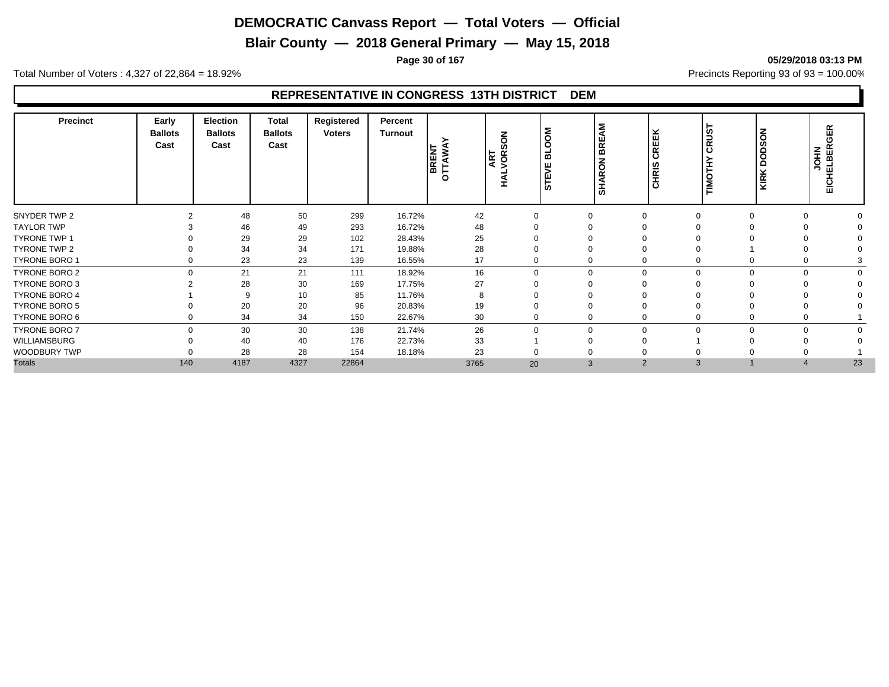**Blair County — 2018 General Primary — May 15, 2018**

**Page 30 of 167 05/29/2018 03:13 PM**

Total Number of Voters : 4,327 of 22,864 = 18.92% Precincts Reporting 93 of 93 = 100.00%

#### **REPRESENTATIVE IN CONGRESS 13TH DISTRICT DEM**

| 분<br>$\overline{\alpha}$<br>Ō<br>ш<br>ഗ<br>Cast<br>Cast<br>Cast<br>ဖာ<br>BRENT<br>OTTAWA<br>$\propto$<br>$\mathbf c$<br>≏<br>⋒<br>∣ฮ<br><b>ART</b><br>VOR:<br>ပ<br>SHARON<br>≏<br>ш<br>I<br><b>CHRIS</b><br>⋝<br>⊻<br>STE<br>o<br>KIRI<br>ź<br>I | JOHN<br>ELBER<br>EICHELI |
|--------------------------------------------------------------------------------------------------------------------------------------------------------------------------------------------------------------------------------------------------|--------------------------|
| SNYDER TWP 2<br>299<br>48<br>50<br>16.72%<br>42                                                                                                                                                                                                  |                          |
| <b>TAYLOR TWP</b><br>46<br>49<br>293<br>16.72%<br>48                                                                                                                                                                                             |                          |
| <b>TYRONE TWP 1</b><br>29<br>29<br>28.43%<br>25<br>102                                                                                                                                                                                           |                          |
| TYRONE TWP 2<br>34<br>34<br>19.88%<br>28<br>171                                                                                                                                                                                                  |                          |
| <b>TYRONE BORO 1</b><br>23<br>23<br>16.55%<br>139<br>17<br>0                                                                                                                                                                                     |                          |
| TYRONE BORO 2<br>21<br>21<br>16<br>$\Omega$<br>18.92%<br>$\mathbf 0$<br>111<br>$\Omega$<br>$\Omega$<br>$\Omega$<br>$\Omega$                                                                                                                      |                          |
| 28<br>27<br>TYRONE BORO 3<br>30<br>169<br>17.75%                                                                                                                                                                                                 |                          |
| <b>TYRONE BORO 4</b><br>11.76%<br>9<br>10<br>85                                                                                                                                                                                                  |                          |
| TYRONE BORO 5<br>20<br>20<br>96<br>20.83%<br>19                                                                                                                                                                                                  |                          |
| TYRONE BORO 6<br>34<br>34<br>22.67%<br>30<br>150<br>0                                                                                                                                                                                            |                          |
| 30<br>30<br>26<br><b>TYRONE BORO 7</b><br>$\Omega$<br>138<br>21.74%<br>$\mathbf 0$<br>$\Omega$<br>$\Omega$<br>0<br>$\Omega$                                                                                                                      |                          |
| WILLIAMSBURG<br>33<br>40<br>176<br>22.73%<br>40                                                                                                                                                                                                  |                          |
| WOODBURY TWP<br>28<br>28<br>18.18%<br>23<br>154                                                                                                                                                                                                  |                          |
| <b>Totals</b><br>4187<br>4327<br>140<br>22864<br>3<br>3765<br>20<br>2<br>3                                                                                                                                                                       | 23                       |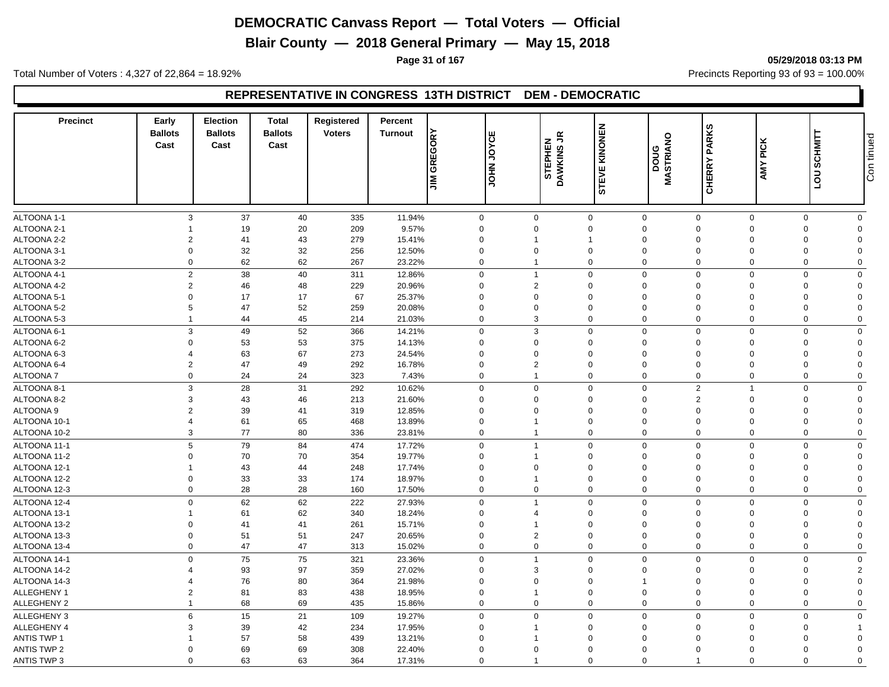**Blair County — 2018 General Primary — May 15, 2018**

**Page 31 of 167 05/29/2018 03:13 PM**

Total Number of Voters : 4,327 of 22,864 = 18.92% Precincts Reporting 93 of 93 = 100.00%

#### **REPRESENTATIVE IN CONGRESS 13TH DISTRICT DEM - DEMOCRATIC**

| <b>Precinct</b>    | Early<br><b>Ballots</b><br>Cast | <b>Election</b><br><b>Ballots</b><br>Cast | <b>Total</b><br><b>Ballots</b><br>Cast | Registered<br><b>Voters</b> | Percent<br><b>Turnout</b> | <b>JIM GREGORY</b> | ш<br><b>JOHN JOYC</b> | $\tilde{\vec{r}}$<br>STEPHEN<br>DAWKINS JF<br>o | KINONEN<br>STEVE | MASTRIANO<br>poug           | <b>CHERRY PARKS</b>            | <b>PICK</b><br>AMY I | LOU SCHMITT                   | Con tinued |
|--------------------|---------------------------------|-------------------------------------------|----------------------------------------|-----------------------------|---------------------------|--------------------|-----------------------|-------------------------------------------------|------------------|-----------------------------|--------------------------------|----------------------|-------------------------------|------------|
|                    |                                 |                                           |                                        |                             |                           |                    |                       |                                                 |                  |                             |                                |                      |                               |            |
| ALTOONA 1-1        |                                 | 3<br>37                                   | 40                                     | 335                         | 11.94%                    | $\mathbf 0$        | $\mathbf 0$           |                                                 | $\mathbf 0$      | $\mathbf 0$                 | $\mathsf 0$                    | $\mathbf 0$          | $\mathbf 0$<br>$\mathbf 0$    |            |
| ALTOONA 2-1        |                                 | 19                                        | 20                                     | 209                         | 9.57%                     | $\mathbf 0$        | $\Omega$              |                                                 | $\Omega$         | $\mathbf 0$                 | $\Omega$<br>$\Omega$           |                      | $\mathbf 0$<br>$\Omega$       |            |
| ALTOONA 2-2        | $\overline{2}$                  | 41                                        | 43                                     | 279                         | 15.41%                    | $\mathbf 0$        |                       |                                                 | 1                | $\mathbf 0$                 | $\Omega$<br>$\Omega$           |                      | $\mathbf 0$<br>$\Omega$       |            |
| ALTOONA 3-1        | $\mathbf 0$                     | 32                                        | 32                                     | 256                         | 12.50%                    | $\mathbf 0$        | $\mathbf 0$           |                                                 | $\mathbf 0$      | $\mathbf 0$                 | $\mathbf 0$<br>$\mathbf 0$     |                      | $\mathbf 0$<br>$\Omega$       |            |
| ALTOONA 3-2        | $\Omega$                        | 62                                        | 62                                     | 267                         | 23.22%                    | $\mathbf 0$        |                       |                                                 | $\mathbf 0$      | $\mathbf 0$                 | $\Omega$                       | $\mathbf 0$          | $\mathbf 0$<br>$\Omega$       |            |
| ALTOONA 4-1        |                                 | $\overline{2}$<br>38                      | 40                                     | 311                         | 12.86%                    | $\mathbf 0$        | $\overline{1}$        |                                                 | $\mathbf 0$      | $\mathbf 0$                 | $\mathbf 0$                    | $\mathbf 0$          | $\mathbf 0$<br>$\Omega$       |            |
| ALTOONA 4-2        | $\overline{2}$                  | 46                                        | 48                                     | 229                         | 20.96%                    | $\mathbf 0$        | $\overline{2}$        |                                                 | 0                | $\mathbf 0$                 | $\Omega$<br>$\mathbf 0$        |                      | $\mathbf 0$<br>$\Omega$       |            |
| ALTOONA 5-1        | $\mathbf 0$                     | 17                                        | 17                                     | 67                          | 25.37%                    | $\mathbf 0$        | $\Omega$              |                                                 | $\mathbf 0$      | $\mathbf 0$                 | $\Omega$<br>$\mathbf 0$        |                      | 0<br>$\Omega$                 |            |
| ALTOONA 5-2        | 5                               | 47                                        | 52                                     | 259                         | 20.08%                    | $\mathbf 0$        | $\Omega$              |                                                 | $\Omega$         | $\mathbf 0$                 | $\Omega$<br>$\Omega$           |                      | 0<br>$\Omega$                 |            |
| ALTOONA 5-3        | $\overline{1}$                  | 44                                        | 45                                     | 214                         | 21.03%                    | $\mathbf 0$        | 3                     |                                                 | 0                | $\mathbf 0$                 | $\Omega$                       | $\mathbf 0$          | 0<br>$\mathbf 0$              |            |
| ALTOONA 6-1        | 3                               | 49                                        | 52                                     | 366                         | 14.21%                    | $\mathbf 0$        | 3                     |                                                 | $\mathbf 0$      | $\mathbf 0$                 | $\mathbf 0$                    | $\mathbf 0$          | $\mathbf 0$<br>$\Omega$       |            |
| ALTOONA 6-2        | $\Omega$                        | 53                                        | 53                                     | 375                         | 14.13%                    | $\mathbf 0$        | $\Omega$              |                                                 | $\Omega$         | $\mathbf 0$                 | $\Omega$<br>$\Omega$           |                      | 0<br>$\Omega$                 |            |
| ALTOONA 6-3        | 4                               | 63                                        | 67                                     | 273                         | 24.54%                    | $\mathbf 0$        | $\Omega$              |                                                 | $\Omega$         | $\mathbf 0$                 | $\Omega$<br>$\Omega$           |                      | 0<br>$\Omega$                 |            |
| ALTOONA 6-4        | $\overline{2}$                  | 47                                        | 49                                     | 292                         | 16.78%                    | $\mathbf 0$        | $\overline{2}$        |                                                 | $\mathbf 0$      | $\mathbf 0$                 | $\mathbf 0$<br>$\overline{0}$  |                      | $\mathbf 0$<br>$\Omega$       |            |
| <b>ALTOONA7</b>    |                                 | 24<br>$\mathbf 0$                         | 24                                     | 323                         | 7.43%                     | $\mathbf 0$        | $\overline{1}$        |                                                 | $\mathbf 0$      | $\mathbf 0$                 | $\mathbf 0$                    | $\mathbf 0$          | $\mathbf 0$<br>$\mathbf 0$    |            |
| ALTOONA 8-1        | 3                               | 28                                        | 31                                     | 292                         | 10.62%                    | $\mathbf 0$        | $\Omega$              |                                                 | $\mathbf 0$      | $\mathbf 0$                 | $\overline{2}$<br>$\mathbf{1}$ |                      | $\mathbf 0$<br>$\mathbf 0$    |            |
| ALTOONA 8-2        | 3                               | 43                                        | 46                                     | 213                         | 21.60%                    | $\mathbf 0$        | $\mathbf 0$           |                                                 | 0                | $\mathbf 0$                 | $\overline{2}$<br>$\mathbf 0$  |                      | $\mathbf 0$<br>$\Omega$       |            |
| ALTOONA 9          | $\overline{2}$                  | 39                                        | 41                                     | 319                         | 12.85%                    | $\mathbf 0$        | $\mathbf 0$           |                                                 | $\mathbf 0$      | $\mathbf 0$                 | $\mathbf 0$<br>$\mathbf 0$     |                      | 0<br>$\Omega$                 |            |
| ALTOONA 10-1       | $\overline{4}$                  | 61                                        | 65                                     | 468                         | 13.89%                    | $\mathbf 0$        |                       |                                                 | $\mathbf 0$      | $\mathbf 0$                 | $\Omega$<br>$\mathbf 0$        |                      | 0<br>$\Omega$                 |            |
| ALTOONA 10-2       | 3                               | 77                                        | 80                                     | 336                         | 23.81%                    | $\mathbf 0$        | -1                    |                                                 | $\mathbf 0$      | $\mathbf 0$                 | $\mathbf 0$<br>$\overline{0}$  |                      | $\mathbf 0$<br>$\mathbf 0$    |            |
|                    |                                 |                                           |                                        |                             |                           |                    |                       |                                                 |                  |                             |                                |                      |                               |            |
| ALTOONA 11-1       |                                 | 5<br>79                                   | 84                                     | 474                         | 17.72%                    | $\mathbf 0$        | $\overline{1}$        |                                                 | $\mathbf 0$      | $\mathbf 0$                 | $\Omega$                       | $\mathbf 0$          | $\mathbf 0$<br>$\mathbf 0$    |            |
| ALTOONA 11-2       | $\Omega$                        | 70                                        | 70                                     | 354                         | 19.77%                    | $\mathbf 0$        |                       |                                                 | $\Omega$         | $\mathbf 0$                 | $\Omega$<br>$\Omega$           |                      | $\mathbf 0$<br>$\Omega$       |            |
| ALTOONA 12-1       | 1                               | 43                                        | 44                                     | 248                         | 17.74%                    | $\mathbf 0$        | $\Omega$              |                                                 | $\Omega$         | $\mathbf 0$                 | $\Omega$<br>$\Omega$           |                      | $\mathbf 0$<br>$\Omega$       |            |
| ALTOONA 12-2       | $\Omega$                        | 33                                        | 33                                     | 174                         | 18.97%                    | $\mathbf 0$        |                       |                                                 | $\mathbf 0$      | $\mathbf 0$                 | $\mathbf 0$<br>$\overline{0}$  |                      | $\mathbf 0$<br>$\Omega$       |            |
| ALTOONA 12-3       |                                 | 28<br>0                                   | 28                                     | 160                         | 17.50%                    | $\mathbf 0$        | $\Omega$              |                                                 | $\mathbf 0$      | $\mathbf 0$                 | $\Omega$                       | $\mathbf{0}$         | $\mathbf 0$<br>$\Omega$       |            |
| ALTOONA 12-4       |                                 | 62<br>$\Omega$                            | 62                                     | 222                         | 27.93%                    | $\mathbf 0$        |                       |                                                 | $\mathbf 0$      | $\mathbf 0$                 | $\Omega$                       | $\Omega$             | $\mathbf 0$<br>$\Omega$       |            |
| ALTOONA 13-1       | -1                              | 61                                        | 62                                     | 340                         | 18.24%                    | $\mathbf 0$        | 4                     |                                                 | 0                | $\mathbf 0$                 | $\Omega$<br>$\Omega$           |                      | $\mathbf 0$<br>$\Omega$       |            |
| ALTOONA 13-2       | $\mathbf 0$                     | 41                                        | 41                                     | 261                         | 15.71%                    | $\mathbf 0$        | -1                    |                                                 | $\mathbf 0$      | $\mathbf 0$                 | $\Omega$<br>$\mathbf 0$        |                      | 0<br>$\Omega$                 |            |
| ALTOONA 13-3       | $\Omega$                        | 51                                        | 51                                     | 247                         | 20.65%                    | $\mathbf 0$        | $\overline{2}$        |                                                 | $\Omega$         | $\mathbf 0$                 | $\Omega$<br>$\Omega$           |                      | $\mathbf 0$<br>$\Omega$       |            |
| ALTOONA 13-4       | $\mathbf 0$                     | 47                                        | 47                                     | 313                         | 15.02%                    | $\mathbf 0$        | $\Omega$              |                                                 | $\mathbf 0$      | $\mathbf 0$                 | $\Omega$                       | $\mathbf 0$          | $\mathbf 0$<br>$\Omega$       |            |
| ALTOONA 14-1       |                                 | 75<br>$\Omega$                            | 75                                     | 321                         | 23.36%                    | $\mathbf 0$        |                       |                                                 | $\mathbf 0$      | $\mathbf 0$                 | $\mathbf 0$                    | $\Omega$             | $\mathbf 0$<br>$\Omega$       |            |
| ALTOONA 14-2       | $\Delta$                        | 93                                        | 97                                     | 359                         | 27.02%                    | $\mathbf 0$        | 3                     |                                                 | $\Omega$         | $\mathbf 0$                 | $\Omega$<br>$\Omega$           |                      | $\mathbf 0$<br>$\overline{2}$ |            |
| ALTOONA 14-3       | 4                               | 76                                        | 80                                     | 364                         | 21.98%                    | $\mathbf 0$        | $\Omega$              |                                                 | $\Omega$         | $\mathbf{1}$                | $\Omega$<br>$\Omega$           |                      | 0<br>$\Omega$                 |            |
| ALLEGHENY 1        | $\overline{2}$                  | 81                                        | 83                                     | 438                         | 18.95%                    | $\mathbf 0$        | $\overline{1}$        |                                                 | $\mathbf 0$      | $\mathbf 0$                 | $\Omega$<br>$\mathbf 0$        |                      | $\mathbf 0$<br>$\Omega$       |            |
| ALLEGHENY 2        | $\mathbf{1}$                    | 68                                        | 69                                     | 435                         | 15.86%                    | $\mathbf 0$        | $\Omega$              |                                                 | $\mathbf 0$      | $\mathbf 0$                 | $\mathbf 0$                    | $\mathbf 0$          | $\mathbf 0$<br>$\Omega$       |            |
| ALLEGHENY 3        | 6                               | 15                                        | 21                                     | 109                         | 19.27%                    | $\mathbf 0$        | $\Omega$              |                                                 | $\mathbf 0$      | $\mathsf{O}\xspace$         | $\mathbf 0$<br>$\Omega$        |                      | $\mathbf 0$<br>$\mathbf 0$    |            |
| ALLEGHENY 4        | 3                               | 39                                        | 42                                     | 234                         | 17.95%                    | $\mathbf 0$        |                       |                                                 | $\mathbf 0$      | $\mathbf 0$                 | $\Omega$<br>$\mathbf 0$        |                      | 0                             |            |
| <b>ANTIS TWP 1</b> |                                 | 57                                        | 58                                     | 439                         | 13.21%                    | $\mathbf 0$        |                       |                                                 | $\mathbf 0$      | $\mathbf 0$                 | $\mathbf 0$<br>$\Omega$        |                      | 0<br>$\mathbf 0$              |            |
| <b>ANTIS TWP 2</b> | $\Omega$                        | 69                                        | 69                                     | 308                         | 22.40%                    | $\mathbf 0$        | $\Omega$              |                                                 | $\Omega$         | $\Omega$                    | $\Omega$<br>$\Omega$           |                      | $\mathbf 0$<br>$\Omega$       |            |
| <b>ANTIS TWP 3</b> | $\Omega$                        | 63                                        | 63                                     | 364                         | 17.31%                    | $\mathbf 0$        | -1                    |                                                 | $\mathbf 0$      | $\mathbf 0$<br>$\mathbf{1}$ |                                | $\mathbf 0$          | $\mathbf 0$<br>$\Omega$       |            |
|                    |                                 |                                           |                                        |                             |                           |                    |                       |                                                 |                  |                             |                                |                      |                               |            |

# Con tinued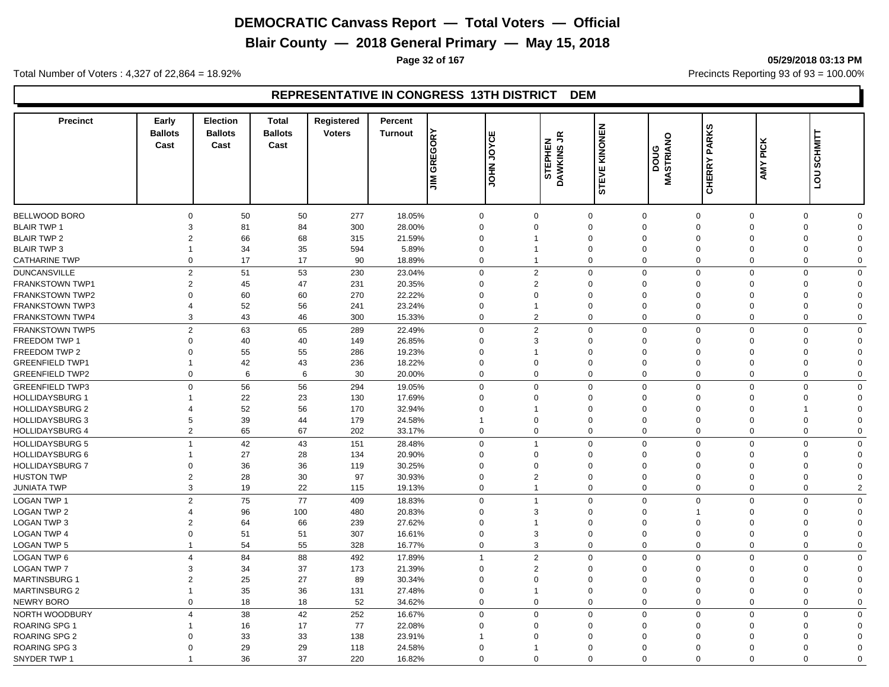**Blair County — 2018 General Primary — May 15, 2018**

**Page 32 of 167 05/29/2018 03:13 PM**

Total Number of Voters : 4,327 of 22,864 = 18.92% Precincts Reporting 93 of 93 = 100.00%

#### **REPRESENTATIVE IN CONGRESS 13TH DISTRICT DEM**

| <b>Precinct</b>                          | Early<br><b>Ballots</b><br>Cast | <b>Election</b><br><b>Ballots</b><br>Cast | <b>Total</b><br><b>Ballots</b><br>Cast | Registered<br><b>Voters</b> | Percent<br><b>Turnout</b> | <b>GREGORY</b><br>$\leq$ | Iш<br><b>SAGE</b><br><b>NHOL</b>       | $\tilde{\vec{r}}$<br>STEPHEN<br>DAWKINS | KINONEN<br>STEVE                       | MASTRIANO<br>poug           | <b>CHERRY PARKS</b>  | <b>AMY PICK</b> | <b>SCHMITT</b><br>$\overline{5}$       |  |
|------------------------------------------|---------------------------------|-------------------------------------------|----------------------------------------|-----------------------------|---------------------------|--------------------------|----------------------------------------|-----------------------------------------|----------------------------------------|-----------------------------|----------------------|-----------------|----------------------------------------|--|
|                                          |                                 |                                           |                                        |                             |                           |                          |                                        |                                         |                                        |                             |                      |                 |                                        |  |
| <b>BELLWOOD BORO</b>                     | $\Omega$<br>3                   | 50                                        | 50                                     | 277                         | 18.05%                    |                          | $\mathbf 0$<br>$\mathbf 0$             |                                         | $\Omega$<br>$\Omega$                   | $\mathbf{0}$<br>$\mathbf 0$ | $\Omega$             |                 | $\mathbf 0$<br>$\Omega$<br>$\Omega$    |  |
| <b>BLAIR TWP 1</b><br><b>BLAIR TWP 2</b> | $\overline{c}$                  | 81<br>66                                  | 84<br>68                               | 300<br>315                  | 28.00%<br>21.59%          |                          | $\mathbf 0$<br>$\Omega$<br>$\mathbf 0$ |                                         | $\mathbf 0$<br>$\mathbf 0$<br>$\Omega$ | $\Omega$<br>$\Omega$        | $\Omega$<br>$\Omega$ |                 | $\mathbf 0$<br>$\mathbf 0$<br>$\Omega$ |  |
|                                          | $\overline{\mathbf{1}}$         |                                           |                                        |                             |                           |                          |                                        |                                         | $\mathbf 0$<br>$\Omega$                | $\Omega$                    | $\Omega$             |                 | $\Omega$                               |  |
| <b>BLAIR TWP 3</b>                       |                                 | 34                                        | 35                                     | 594                         | 5.89%                     |                          | 0                                      |                                         |                                        |                             |                      |                 | 0                                      |  |
| <b>CATHARINE TWP</b>                     | $\Omega$                        | 17                                        | 17                                     | 90                          | 18.89%                    |                          | $\mathbf 0$                            |                                         | $\mathbf 0$                            | $\mathbf 0$<br>$\Omega$     | $\Omega$             |                 | 0<br>$\Omega$                          |  |
| <b>DUNCANSVILLE</b>                      | $\overline{2}$                  | 51                                        | 53                                     | 230                         | 23.04%                    |                          | $\overline{2}$<br>$\mathbf 0$          |                                         | $\mathbf 0$                            | $\mathbf 0$<br>$\mathbf 0$  | $\mathbf 0$          |                 | 0<br>$\Omega$                          |  |
| <b>FRANKSTOWN TWP1</b>                   | $\overline{2}$                  | 45                                        | 47                                     | 231                         | 20.35%                    |                          | $\overline{2}$<br>$\mathbf 0$          |                                         | $\mathbf 0$<br>$\mathbf 0$             | $\Omega$                    | $\Omega$             |                 | 0<br>$\Omega$                          |  |
| <b>FRANKSTOWN TWP2</b>                   | $\Omega$                        | 60                                        | 60                                     | 270                         | 22.22%                    |                          | $\mathbf 0$<br>$\Omega$                |                                         | $\mathbf 0$<br>$\Omega$                | $\Omega$                    | $\Omega$             |                 | $\mathbf 0$<br>$\Omega$                |  |
| <b>FRANKSTOWN TWP3</b>                   | $\Delta$                        | 52                                        | 56                                     | 241                         | 23.24%                    |                          | $\mathbf 0$                            |                                         | $\mathbf 0$<br>$\Omega$                | $\Omega$                    | $\Omega$             |                 | $\mathbf 0$<br>$\Omega$                |  |
| <b>FRANKSTOWN TWP4</b>                   | 3                               | 43                                        | 46                                     | 300                         | 15.33%                    |                          | $\overline{2}$<br>$\mathbf 0$          |                                         | $\mathbf 0$<br>$\Omega$                | $\mathbf 0$                 | $\mathbf 0$          |                 | $\mathbf 0$<br>$\Omega$                |  |
| FRANKSTOWN TWP5                          | $\overline{2}$                  | 63                                        | 65                                     | 289                         | 22.49%                    |                          | $\mathbf 0$<br>$\overline{2}$          |                                         | $\mathbf 0$                            | $\mathbf{0}$<br>$\mathbf 0$ | $\mathbf 0$          |                 | $\mathbf 0$<br>$\Omega$                |  |
| FREEDOM TWP 1                            | $\Omega$                        | 40                                        | 40                                     | 149                         | 26.85%                    |                          | $\mathbf 0$<br>3                       |                                         | $\Omega$<br>$\mathbf 0$                | $\mathbf 0$                 | $\Omega$             |                 | $\mathbf 0$<br>$\Omega$                |  |
| FREEDOM TWP 2                            | $\Omega$                        | 55                                        | 55                                     | 286                         | 19.23%                    |                          | $\mathbf 0$                            |                                         | $\mathbf 0$<br>$\Omega$                | $\Omega$                    | $\Omega$             |                 | $\mathbf 0$<br>$\Omega$                |  |
| <b>GREENFIELD TWP1</b>                   | $\overline{1}$                  | 42                                        | 43                                     | 236                         | 18.22%                    |                          | $\mathbf 0$<br>$\mathbf 0$             |                                         | $\Omega$<br>$\mathbf 0$                | $\mathbf 0$                 | $\overline{0}$       |                 | $\mathbf 0$<br>$\Omega$                |  |
| <b>GREENFIELD TWP2</b>                   | $\mathbf 0$                     | 6                                         | 6                                      | 30                          | 20.00%                    |                          | $\mathbf 0$<br>$\mathbf 0$             |                                         | $\mathbf 0$                            | $\mathbf 0$<br>$\mathbf 0$  | $\mathbf 0$          |                 | $\mathbf 0$<br>$\Omega$                |  |
| <b>GREENFIELD TWP3</b>                   | $\Omega$                        | 56                                        | 56                                     | 294                         | 19.05%                    |                          | $\mathbf 0$<br>$\Omega$                |                                         | $\Omega$                               | $\mathbf 0$<br>$\mathbf 0$  | $\Omega$             |                 | $\mathbf 0$<br>$\Omega$                |  |
| <b>HOLLIDAYSBURG 1</b>                   | -1                              | 22                                        | 23                                     | 130                         | 17.69%                    |                          | $\mathbf 0$<br>$\mathbf 0$             |                                         | $\mathbf 0$<br>$\mathbf 0$             | $\Omega$                    | $\Omega$             |                 | $\mathbf 0$<br>$\Omega$                |  |
| <b>HOLLIDAYSBURG 2</b>                   | $\overline{4}$                  | 52                                        | 56                                     | 170                         | 32.94%                    |                          | 0                                      |                                         | $\Omega$<br>$\mathbf 0$                | $\Omega$                    | $\Omega$             | 1               | $\Omega$                               |  |
| <b>HOLLIDAYSBURG 3</b>                   | 5                               | 39                                        | 44                                     | 179                         | 24.58%                    | $\overline{1}$           | $\Omega$                               |                                         | $\mathbf 0$<br>$\Omega$                | $\Omega$                    | $\overline{0}$       |                 | 0<br>$\Omega$                          |  |
| <b>HOLLIDAYSBURG 4</b>                   | $\overline{2}$                  | 65                                        | 67                                     | 202                         | 33.17%                    |                          | $\mathbf 0$<br>$\mathbf 0$             |                                         | $\mathbf 0$<br>$\mathbf 0$             | $\mathbf 0$                 | $\overline{0}$       |                 | 0<br>$\mathbf 0$                       |  |
| <b>HOLLIDAYSBURG 5</b>                   | $\overline{1}$                  | 42                                        | 43                                     | 151                         | 28.48%                    |                          | $\mathbf 0$                            |                                         | $\mathbf 0$<br>$\Omega$                | $\Omega$                    | $\Omega$             |                 | $\mathbf 0$<br>$\Omega$                |  |
| <b>HOLLIDAYSBURG 6</b>                   |                                 | 27                                        | 28                                     | 134                         | 20.90%                    |                          | $\mathbf 0$<br>$\Omega$                |                                         | $\mathbf 0$<br>$\Omega$                | $\Omega$                    | $\Omega$             |                 | $\mathbf 0$<br>$\Omega$                |  |
| <b>HOLLIDAYSBURG 7</b>                   | $\mathbf 0$                     | 36                                        | 36                                     | 119                         | 30.25%                    |                          | $\mathbf 0$<br>$\Omega$                |                                         | $\mathbf 0$<br>$\Omega$                | $\Omega$                    | $\Omega$             |                 | $\mathbf 0$<br>$\Omega$                |  |
| <b>HUSTON TWP</b>                        | $\overline{2}$                  | 28                                        | 30                                     | 97                          | 30.93%                    |                          | $\mathbf 0$<br>$\overline{2}$          |                                         | $\mathbf 0$<br>$\Omega$                | $\Omega$                    | $\Omega$             |                 | $\mathbf 0$<br>$\Omega$                |  |
| <b>JUNIATA TWP</b>                       | 3                               | 19                                        | 22                                     | 115                         | 19.13%                    |                          | $\mathbf 0$                            |                                         | 0<br>$\mathbf 0$                       | $\mathbf 0$                 | $\mathbf 0$          |                 | $\mathbf 0$<br>$\overline{2}$          |  |
| <b>LOGAN TWP 1</b>                       | $\overline{2}$                  | 75                                        | 77                                     | 409                         | 18.83%                    |                          | $\mathbf 0$<br>$\overline{1}$          |                                         | 0                                      | $\mathbf 0$<br>$\mathbf 0$  | $\mathbf 0$          |                 | $\mathbf 0$<br>$\Omega$                |  |
| <b>LOGAN TWP 2</b>                       | 4                               | 96                                        | 100                                    | 480                         | 20.83%                    |                          | $\mathbf 0$<br>3                       |                                         | $\Omega$<br>$\mathbf 0$                |                             | $\Omega$             |                 | $\mathbf 0$<br>$\Omega$                |  |
| <b>LOGAN TWP 3</b>                       | $\overline{2}$                  | 64                                        | 66                                     | 239                         | 27.62%                    |                          | $\mathbf 0$                            |                                         | $\mathbf 0$<br>$\mathbf 0$             | $\Omega$                    | $\Omega$             |                 | 0<br>$\Omega$                          |  |
| <b>LOGAN TWP 4</b>                       | $\Omega$                        | 51                                        | 51                                     | 307                         | 16.61%                    |                          | $\mathbf 0$<br>3                       |                                         | $\Omega$                               | $\mathbf 0$<br>$\mathbf{0}$ | $\Omega$             |                 | 0<br>$\Omega$                          |  |
| <b>LOGAN TWP 5</b>                       | $\mathbf{1}$                    | 54                                        | 55                                     | 328                         | 16.77%                    |                          | $\mathbf 0$<br>3                       |                                         | $\mathbf 0$<br>$\Omega$                | $\Omega$                    | $\mathbf 0$          |                 | 0<br>$\Omega$                          |  |
|                                          |                                 |                                           |                                        |                             |                           |                          |                                        |                                         |                                        |                             |                      |                 |                                        |  |
| <b>LOGAN TWP 6</b>                       | $\overline{4}$                  | 84                                        | 88                                     | 492                         | 17.89%                    | $\overline{1}$           | $\overline{2}$                         |                                         | $\mathbf 0$<br>$\Omega$                | $\mathbf 0$                 | $\overline{0}$       |                 | $\mathbf 0$<br>$\Omega$                |  |
| <b>LOGAN TWP 7</b>                       | 3                               | 34                                        | 37                                     | 173                         | 21.39%                    |                          | $\overline{2}$<br>$\mathbf 0$          |                                         | $\mathbf 0$<br>$\Omega$                | $\Omega$                    | $\Omega$             |                 | 0<br>$\Omega$                          |  |
| <b>MARTINSBURG 1</b>                     | $\overline{2}$                  | 25                                        | 27                                     | 89                          | 30.34%                    |                          | $\mathbf 0$<br>$\Omega$                |                                         | $\mathbf 0$<br>$\Omega$                | $\mathbf{0}$                | $\Omega$             |                 | $\mathbf 0$<br>$\Omega$                |  |
| <b>MARTINSBURG 2</b>                     | $\overline{1}$                  | 35                                        | 36                                     | 131                         | 27.48%                    |                          | $\mathbf 0$                            |                                         | $\mathbf 0$<br>$\Omega$                | $\mathbf{0}$                | $\Omega$             |                 | $\mathbf 0$<br>$\Omega$                |  |
| <b>NEWRY BORO</b>                        | $\Omega$                        | 18                                        | 18                                     | 52                          | 34.62%                    |                          | $\mathbf 0$<br>$\mathbf 0$             |                                         | $\mathbf 0$                            | $\mathbf{0}$<br>$\mathbf 0$ | $\mathbf 0$          |                 | $\mathbf 0$<br>$\Omega$                |  |
| NORTH WOODBURY                           | $\overline{4}$                  | 38                                        | 42                                     | 252                         | 16.67%                    |                          | $\mathbf 0$<br>$\Omega$                |                                         | 0                                      | $\mathbf 0$<br>$\Omega$     | $\overline{0}$       |                 | $\mathbf 0$<br>$\mathbf 0$             |  |
| ROARING SPG 1                            |                                 | 16                                        | 17                                     | 77                          | 22.08%                    |                          | $\mathbf 0$<br>$\Omega$                |                                         | $\Omega$<br>$\mathbf 0$                | $\Omega$                    | $\Omega$             |                 | $\mathbf 0$<br>$\Omega$                |  |
| <b>ROARING SPG 2</b>                     | $\Omega$                        | 33                                        | 33                                     | 138                         | 23.91%                    | $\overline{1}$           | $\Omega$                               |                                         | $\mathbf 0$<br>$\Omega$                | $\Omega$                    | $\Omega$             |                 | 0<br>$\Omega$                          |  |
| ROARING SPG 3                            | $\Omega$                        | 29                                        | 29                                     | 118                         | 24.58%                    |                          | $\mathbf 0$                            |                                         | $\Omega$<br>$\Omega$                   | $\Omega$                    | $\Omega$             |                 | 0<br>$\Omega$                          |  |
| SNYDER TWP 1                             |                                 | 36                                        | 37                                     | 220                         | 16.82%                    |                          | $\Omega$<br>$\Omega$                   |                                         | $\Omega$<br>$\Omega$                   | $\Omega$                    | $\Omega$             |                 | $\Omega$<br>$\Omega$                   |  |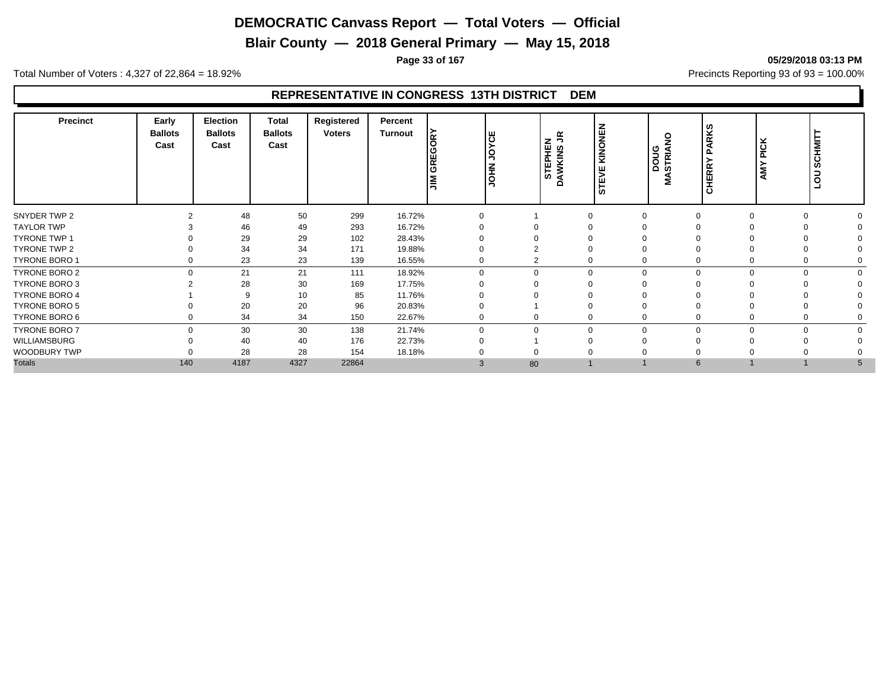**Blair County — 2018 General Primary — May 15, 2018**

**Page 33 of 167 05/29/2018 03:13 PM**

Total Number of Voters : 4,327 of 22,864 = 18.92% Precincts Reporting 93 of 93 = 100.00%

#### **REPRESENTATIVE IN CONGRESS 13TH DISTRICT DEM**

| <b>Precinct</b>      | Early<br><b>Ballots</b><br>Cast | <b>Election</b><br><b>Ballots</b><br>Cast | <b>Total</b><br><b>Ballots</b><br>Cast | Registered<br><b>Voters</b> | Percent<br><b>Turnout</b> | ΚY<br>$\epsilon$<br>ပ<br>∝<br>$\overline{c}$<br>I≧ | ဗ<br>><br>ļŚ<br>N<br>To<br>∍ | z<br>っ<br>S<br>SHE<br>ш<br>ဖာ<br>ৰ<br>◠ | KINONEN<br>ш<br><b>STEV</b> | $\frac{8}{1}$<br><b>DOUA</b><br>STRIA<br>Š | <b>PARKS</b><br><b>CHERRY</b> | <b>PICK</b><br><b>AMY</b> | <b>SCHMIT</b><br>$\overline{c}$<br>⊐ |  |
|----------------------|---------------------------------|-------------------------------------------|----------------------------------------|-----------------------------|---------------------------|----------------------------------------------------|------------------------------|-----------------------------------------|-----------------------------|--------------------------------------------|-------------------------------|---------------------------|--------------------------------------|--|
| SNYDER TWP 2         |                                 | 48                                        | 50                                     | 299                         | 16.72%                    | $\Omega$                                           |                              | $\Omega$                                |                             |                                            |                               | $\Omega$                  |                                      |  |
| <b>TAYLOR TWP</b>    |                                 | 46                                        | 49                                     | 293                         | 16.72%                    |                                                    |                              |                                         |                             |                                            |                               |                           |                                      |  |
| TYRONE TWP 1         |                                 | 29                                        | 29                                     | 102                         | 28.43%                    |                                                    |                              |                                         |                             |                                            |                               |                           |                                      |  |
| TYRONE TWP 2         |                                 | 34                                        | 34                                     | 171                         | 19.88%                    | $\Omega$                                           |                              |                                         |                             |                                            |                               |                           |                                      |  |
| TYRONE BORO 1        | 0                               | 23                                        | 23                                     | 139                         | 16.55%                    | $\mathbf 0$                                        | $\sim$<br>۷                  |                                         | 0                           |                                            |                               | $\mathbf 0$               |                                      |  |
| <b>TYRONE BORO 2</b> | $\Omega$                        | 21                                        | 21                                     | 111                         | 18.92%                    | $\Omega$                                           | $\Omega$                     |                                         | $\mathbf 0$<br>$\Omega$     |                                            |                               | $\Omega$                  |                                      |  |
| <b>TYRONE BORO 3</b> |                                 | 28                                        | 30                                     | 169                         | 17.75%                    | $\Omega$                                           |                              |                                         |                             |                                            |                               |                           |                                      |  |
| <b>TYRONE BORO 4</b> |                                 | 9                                         | 10                                     | 85                          | 11.76%                    |                                                    |                              |                                         |                             |                                            |                               |                           |                                      |  |
| <b>TYRONE BORO 5</b> |                                 | 20                                        | 20                                     | 96                          | 20.83%                    | $\Omega$                                           |                              |                                         |                             |                                            |                               |                           |                                      |  |
| TYRONE BORO 6        | $\Omega$                        | 34                                        | 34                                     | 150                         | 22.67%                    | $\Omega$                                           |                              |                                         | 0                           |                                            |                               | $\Omega$                  |                                      |  |
| TYRONE BORO 7        | $\Omega$                        | 30                                        | 30                                     | 138                         | 21.74%                    | $\Omega$                                           | $\Omega$                     |                                         | $\Omega$                    |                                            |                               | $\Omega$                  |                                      |  |
| WILLIAMSBURG         |                                 | 40                                        | 40                                     | 176                         | 22.73%                    | $\Omega$                                           |                              |                                         |                             |                                            |                               |                           |                                      |  |
| WOODBURY TWP         |                                 | 28                                        | 28                                     | 154                         | 18.18%                    |                                                    |                              |                                         |                             |                                            |                               |                           |                                      |  |
| <b>Totals</b>        | 140                             | 4187                                      | 4327                                   | 22864                       |                           | 3                                                  | 80                           |                                         |                             |                                            | 6                             |                           |                                      |  |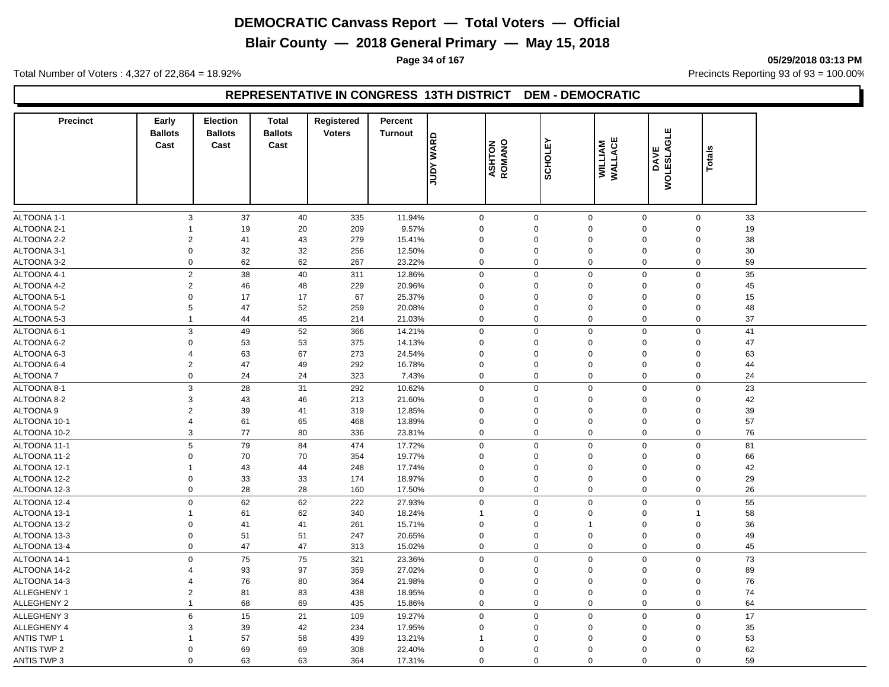**Blair County — 2018 General Primary — May 15, 2018**

**Page 34 of 167 05/29/2018 03:13 PM**

Total Number of Voters : 4,327 of 22,864 = 18.92% Precincts Reporting 93 of 93 = 100.00%

#### **REPRESENTATIVE IN CONGRESS 13TH DISTRICT DEM - DEMOCRATIC**

| <b>Precinct</b>    | Early<br><b>Ballots</b><br>Cast | <b>Election</b><br><b>Ballots</b><br>Cast | <b>Total</b><br><b>Ballots</b><br>Cast | Registered<br><b>Voters</b> | Percent<br><b>Turnout</b> | <b>GAVM AGNC</b> | ASHTON<br>ROMANO | <b>SCHOLEY</b> | WILLIAM<br>WALLACE              | <b>WOLESLAGLE</b><br>DAVE | <b>Totals</b>     |  |
|--------------------|---------------------------------|-------------------------------------------|----------------------------------------|-----------------------------|---------------------------|------------------|------------------|----------------|---------------------------------|---------------------------|-------------------|--|
|                    |                                 |                                           |                                        |                             |                           |                  |                  |                |                                 |                           |                   |  |
| ALTOONA 1-1        | $\mathbf{3}$                    | 37                                        | 40                                     | 335                         | 11.94%                    | $\mathbf 0$      | $\pmb{0}$        |                | $\mathbf 0$<br>$\mathbf 0$      |                           | 33<br>$\mathbf 0$ |  |
| ALTOONA 2-1        | 1                               | 19                                        | 20                                     | 209                         | 9.57%                     | $\mathbf 0$      | $\Omega$         |                | $\mathbf 0$<br>$\mathbf 0$      |                           | 19<br>$\Omega$    |  |
| ALTOONA 2-2        | 2                               | 41                                        | 43                                     | 279                         | 15.41%                    | $\mathbf 0$      | $\overline{0}$   |                | $\boldsymbol{0}$<br>$\mathbf 0$ |                           | $\Omega$<br>38    |  |
| ALTOONA 3-1        | 0                               | 32                                        | 32                                     | 256                         | 12.50%                    | $\mathbf 0$      | $\mathbf 0$      |                | $\mathbf 0$<br>$\mathbf 0$      |                           | 30<br>$\mathbf 0$ |  |
| ALTOONA 3-2        | 0                               | 62                                        | 62                                     | 267                         | 23.22%                    | $\mathbf 0$      | $\overline{0}$   |                | $\pmb{0}$<br>$\mathbf 0$        |                           | 59<br>$\mathbf 0$ |  |
| ALTOONA 4-1        | $\overline{c}$                  | 38                                        | 40                                     | 311                         | 12.86%                    | $\mathbf 0$      | $\Omega$         |                | $\mathbf 0$<br>$\mathbf 0$      |                           | 35<br>$\Omega$    |  |
| ALTOONA 4-2        | $\overline{c}$                  | 46                                        | 48                                     | 229                         | 20.96%                    | $\mathbf 0$      | $\overline{0}$   |                | $\mathbf 0$<br>$\mathbf 0$      |                           | $\Omega$<br>45    |  |
| ALTOONA 5-1        | $\mathbf 0$                     | 17                                        | 17                                     | 67                          | 25.37%                    | $\mathbf 0$      | $\overline{0}$   |                | $\mathbf 0$<br>$\mathbf 0$      |                           | 15<br>$\Omega$    |  |
| ALTOONA 5-2        | 5                               | 47                                        | 52                                     | 259                         | 20.08%                    | $\mathbf 0$      | $\overline{0}$   |                | $\boldsymbol{0}$<br>$\mathbf 0$ |                           | 48<br>$\Omega$    |  |
| ALTOONA 5-3        | $\mathbf 1$                     | 44                                        | 45                                     | 214                         | 21.03%                    | $\mathbf 0$      | $\Omega$         |                | $\mathbf 0$<br>$\mathbf 0$      |                           | 37<br>$\mathbf 0$ |  |
| ALTOONA 6-1        | 3                               | 49                                        | 52                                     | 366                         | 14.21%                    | $\mathbf 0$      | $\mathbf 0$      |                | $\mathbf 0$<br>$\mathbf 0$      |                           | 41<br>$\Omega$    |  |
| ALTOONA 6-2        | 0                               | 53                                        | 53                                     | 375                         | 14.13%                    | $\mathbf 0$      | $\overline{0}$   |                | $\pmb{0}$<br>$\mathbf 0$        |                           | $\mathbf 0$<br>47 |  |
| ALTOONA 6-3        | $\overline{4}$                  | 63                                        | 67                                     | 273                         | 24.54%                    | $\mathbf 0$      | $\overline{0}$   |                | $\pmb{0}$<br>$\mathbf 0$        |                           | 63<br>$\mathbf 0$ |  |
| ALTOONA 6-4        | $\overline{2}$                  | 47                                        | 49                                     | 292                         | 16.78%                    | $\mathbf 0$      | $\overline{0}$   |                | $\mathbf 0$<br>$\mathbf 0$      |                           | $\Omega$<br>44    |  |
| ALTOONA 7          | 0                               | 24                                        | 24                                     | 323                         | 7.43%                     | $\mathbf 0$      | $\overline{0}$   |                | $\mathbf 0$<br>$\mathbf 0$      |                           | $\mathbf 0$<br>24 |  |
| ALTOONA 8-1        | 3                               | 28                                        | 31                                     | 292                         | 10.62%                    | $\mathbf 0$      | $\overline{0}$   |                | $\mathbf 0$<br>$\mathbf 0$      |                           | 23<br>$\mathbf 0$ |  |
| ALTOONA 8-2        | 3                               | 43                                        | 46                                     | 213                         | 21.60%                    | $\mathbf 0$      | $\overline{0}$   |                | $\pmb{0}$<br>$\mathbf 0$        |                           | 42<br>$\Omega$    |  |
| ALTOONA 9          | $\overline{2}$                  | 39                                        | 41                                     | 319                         | 12.85%                    | $\mathbf 0$      | $\overline{0}$   |                | $\pmb{0}$<br>$\mathbf 0$        |                           | 39<br>$\mathbf 0$ |  |
| ALTOONA 10-1       | $\overline{4}$                  | 61                                        | 65                                     | 468                         | 13.89%                    | $\mathbf 0$      | $\mathbf 0$      |                | $\mathbf 0$<br>$\mathbf 0$      |                           | 57<br>$\Omega$    |  |
| ALTOONA 10-2       | 3                               | 77                                        | 80                                     | 336                         | 23.81%                    | $\mathbf 0$      | $\mathbf 0$      |                | $\mathbf 0$<br>$\mathbf 0$      |                           | $\mathbf 0$<br>76 |  |
| ALTOONA 11-1       | 5                               | 79                                        | 84                                     | 474                         | 17.72%                    | $\mathbf 0$      | $\overline{0}$   |                | $\mathbf 0$<br>$\mathbf 0$      |                           | 81<br>$\mathbf 0$ |  |
| ALTOONA 11-2       | 0                               | 70                                        | 70                                     | 354                         | 19.77%                    | $\mathbf 0$      | $\mathbf 0$      |                | $\mathbf 0$<br>$\mathbf 0$      |                           | 66<br>$\Omega$    |  |
| ALTOONA 12-1       | $\mathbf 1$                     | 43                                        | 44                                     | 248                         | 17.74%                    | $\mathbf 0$      | $\mathbf 0$      |                | $\mathbf 0$<br>$\pmb{0}$        |                           | 42<br>$\Omega$    |  |
| ALTOONA 12-2       | 0                               | 33                                        | 33                                     | 174                         | 18.97%                    | $\mathbf 0$      | $\overline{0}$   |                | $\pmb{0}$<br>$\mathbf 0$        |                           | 29<br>$\Omega$    |  |
| ALTOONA 12-3       | 0                               | $28\,$                                    | 28                                     | 160                         | 17.50%                    | $\mathbf 0$      | $\overline{0}$   |                | $\mathbf 0$<br>$\mathbf 0$      |                           | 26<br>$\mathbf 0$ |  |
| ALTOONA 12-4       | 0                               | 62                                        | 62                                     | 222                         | 27.93%                    | $\mathbf 0$      | $\overline{0}$   |                | $\mathbf 0$<br>$\mathbf 0$      |                           | $\mathbf 0$<br>55 |  |
| ALTOONA 13-1       | 1                               | 61                                        | 62                                     | 340                         | 18.24%                    |                  | $\overline{0}$   |                | $\pmb{0}$<br>$\mathbf 0$        |                           | 58                |  |
| ALTOONA 13-2       | $\mathbf 0$                     | 41                                        | 41                                     | 261                         | 15.71%                    | $\mathbf 0$      | $\mathbf 0$      | $\mathbf 1$    | $\mathbf 0$                     |                           | 36<br>$\Omega$    |  |
| ALTOONA 13-3       | 0                               | 51                                        | 51                                     | 247                         | 20.65%                    | $\mathbf 0$      | $\overline{0}$   |                | $\mathbf 0$<br>$\mathbf 0$      |                           | 49<br>$\mathbf 0$ |  |
| ALTOONA 13-4       | 0                               | 47                                        | 47                                     | 313                         | 15.02%                    | $\mathbf 0$      | $\mathbf 0$      |                | $\mathbf 0$<br>$\mathbf 0$      |                           | $\mathbf 0$<br>45 |  |
| ALTOONA 14-1       | 0                               | 75                                        | 75                                     | 321                         | 23.36%                    | $\mathbf 0$      | $\overline{0}$   |                | $\pmb{0}$<br>$\mathbf 0$        |                           | 73<br>$\mathbf 0$ |  |
| ALTOONA 14-2       | 4                               | 93                                        | 97                                     | 359                         | 27.02%                    | $\mathbf 0$      | $\Omega$         |                | $\mathbf 0$<br>$\mathbf 0$      |                           | 89<br>$\Omega$    |  |
| ALTOONA 14-3       | $\overline{4}$                  | 76                                        | 80                                     | 364                         | 21.98%                    | $\mathbf 0$      | $\mathbf 0$      |                | $\mathbf 0$<br>$\mathbf 0$      |                           | 76<br>$\Omega$    |  |
| ALLEGHENY 1        | $\overline{2}$                  | 81                                        | 83                                     | 438                         | 18.95%                    | $\mathbf 0$      | $\overline{0}$   |                | $\pmb{0}$<br>$\mathbf 0$        |                           | $\mathbf 0$<br>74 |  |
| <b>ALLEGHENY 2</b> | $\overline{1}$                  | 68                                        | 69                                     | 435                         | 15.86%                    | $\mathbf 0$      | $\overline{0}$   |                | $\mathbf 0$<br>$\mathbf 0$      |                           | $\mathbf 0$<br>64 |  |
| <b>ALLEGHENY 3</b> | 6                               | 15                                        | 21                                     | 109                         | 19.27%                    | $\mathbf 0$      | $\mathbf 0$      |                | $\mathbf 0$<br>$\mathbf 0$      |                           | 17<br>$\mathbf 0$ |  |
| <b>ALLEGHENY 4</b> | 3                               | 39                                        | 42                                     | 234                         | 17.95%                    | $\mathbf 0$      | $\Omega$         |                | $\mathbf 0$<br>$\mathbf 0$      |                           | 35<br>$\Omega$    |  |
| <b>ANTIS TWP 1</b> | 1                               | 57                                        | 58                                     | 439                         | 13.21%                    | -1               | $\Omega$         | $\Omega$       | $\mathbf 0$                     |                           | 53<br>$\Omega$    |  |
| <b>ANTIS TWP 2</b> | $\Omega$                        | 69                                        | 69                                     | 308                         | 22.40%                    | $\Omega$         | $\mathbf 0$      |                | $\Omega$<br>$\mathbf 0$         |                           | 62<br>$\Omega$    |  |
| ANTIS TWP 3        | $\Omega$                        | 63                                        | 63                                     | 364                         | 17.31%                    | $\mathbf 0$      | $\Omega$         |                | $\mathbf 0$<br>$\mathbf 0$      |                           | 59<br>$\mathbf 0$ |  |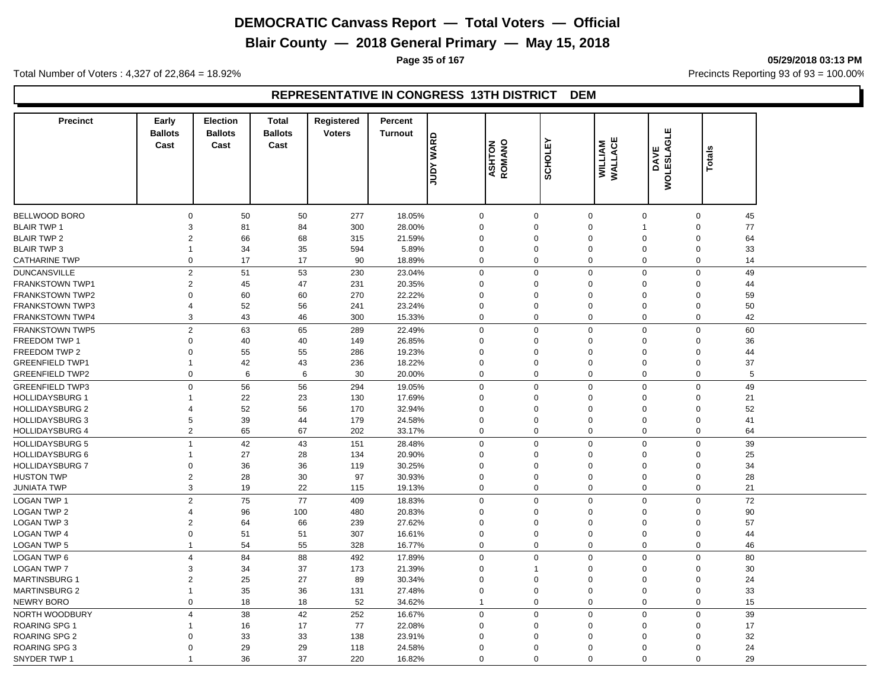**Blair County — 2018 General Primary — May 15, 2018**

**Page 35 of 167 05/29/2018 03:13 PM**

Total Number of Voters : 4,327 of 22,864 = 18.92% Precincts Reporting 93 of 93 = 100.00%

#### **REPRESENTATIVE IN CONGRESS 13TH DISTRICT DEM**

| <b>Precinct</b>                            | Early<br><b>Ballots</b> | <b>Election</b><br><b>Ballots</b> | <b>Total</b><br><b>Ballots</b> | Registered<br><b>Voters</b> | Percent<br><b>Turnout</b> |                         |                         |                            |                           |                    |                                     |  |
|--------------------------------------------|-------------------------|-----------------------------------|--------------------------------|-----------------------------|---------------------------|-------------------------|-------------------------|----------------------------|---------------------------|--------------------|-------------------------------------|--|
|                                            | Cast                    | Cast                              | Cast                           |                             |                           | <b>JUDY WARD</b>        | <b>ASHTON</b><br>ROMANO | <b>SCHOLEY</b>             | <b>WILLIAM</b><br>WALLACE | DAVE<br>WOLESLAGLE |                                     |  |
|                                            |                         |                                   |                                |                             |                           |                         |                         |                            |                           |                    | <b>Totals</b>                       |  |
|                                            |                         |                                   |                                |                             |                           |                         |                         |                            |                           |                    |                                     |  |
|                                            |                         |                                   |                                |                             |                           |                         |                         |                            |                           |                    |                                     |  |
|                                            |                         |                                   |                                |                             |                           |                         |                         |                            |                           |                    |                                     |  |
| <b>BELLWOOD BORO</b><br><b>BLAIR TWP 1</b> | $\mathbf 0$<br>3        | 50<br>81                          | 50<br>84                       | 277<br>300                  | 18.05%<br>28.00%          | $\mathbf 0$<br>$\Omega$ | $\mathbf 0$<br>$\Omega$ | $\mathbf 0$<br>$\mathbf 0$ | $\mathbf 0$<br>1          |                    | $\mathbf 0$<br>45<br>77<br>$\Omega$ |  |
| <b>BLAIR TWP 2</b>                         | 2                       | 66                                | 68                             | 315                         | 21.59%                    | $\Omega$                | $\Omega$                | $\Omega$                   | $\Omega$                  |                    | 64<br>$\Omega$                      |  |
| <b>BLAIR TWP 3</b>                         | $\overline{1}$          | 34                                | 35                             | 594                         | 5.89%                     | $\mathbf 0$             | $\mathbf 0$             | $\mathbf 0$                | $\mathbf 0$               |                    | $\Omega$<br>33                      |  |
| <b>CATHARINE TWP</b>                       | 0                       | 17                                | 17                             | 90                          | 18.89%                    | $\Omega$                | $\mathbf 0$             | $\pmb{0}$                  | 0                         |                    | $\mathsf 0$<br>14                   |  |
|                                            |                         |                                   |                                |                             |                           |                         |                         |                            |                           |                    |                                     |  |
| <b>DUNCANSVILLE</b>                        | $\overline{2}$          | 51                                | 53                             | 230                         | 23.04%                    | $\Omega$                | $\mathbf 0$             | $\mathbf 0$                | $\mathbf 0$               |                    | 49<br>$\mathbf 0$                   |  |
| FRANKSTOWN TWP1                            | 2                       | 45                                | 47                             | 231                         | 20.35%                    | $\mathbf 0$             | $\mathbf 0$             | $\mathbf 0$                | $\mathbf 0$               |                    | 44<br>$\mathbf 0$                   |  |
| <b>FRANKSTOWN TWP2</b>                     | 0                       | 60                                | 60                             | 270                         | 22.22%                    | $\mathbf 0$             | $\mathbf 0$             | $\mathbf 0$                | $\mathbf 0$               |                    | 0<br>59                             |  |
| <b>FRANKSTOWN TWP3</b>                     | 4                       | 52                                | 56                             | 241                         | 23.24%                    | $\Omega$<br>$\mathbf 0$ | $\mathbf 0$             | $\Omega$<br>$\mathbf 0$    | $\Omega$                  |                    | $\mathbf 0$<br>50                   |  |
| <b>FRANKSTOWN TWP4</b>                     | 3                       | 43                                | 46                             | 300                         | 15.33%                    |                         | $\mathbf 0$             |                            | 0                         |                    | 42<br>$\mathbf 0$                   |  |
| <b>FRANKSTOWN TWP5</b>                     | $\overline{2}$          | 63                                | 65                             | 289                         | 22.49%                    | $\mathbf 0$             | $\mathbf 0$             | $\mathbf 0$                | $\mathbf 0$               |                    | 60<br>$\mathbf 0$                   |  |
| FREEDOM TWP 1                              | $\mathbf 0$             | 40                                | 40                             | 149                         | 26.85%                    | $\mathbf 0$             | $\mathbf 0$             | $\mathbf 0$                | $\Omega$                  |                    | 36<br>$\Omega$                      |  |
| FREEDOM TWP 2                              | 0                       | 55                                | 55                             | 286                         | 19.23%                    | $\Omega$                | $\mathbf 0$             | $\mathbf 0$                | $\mathbf 0$               |                    | $\Omega$<br>44                      |  |
| <b>GREENFIELD TWP1</b>                     | $\mathbf{1}$            | 42                                | 43                             | 236                         | 18.22%                    | $\mathbf 0$             | $\mathbf 0$             | $\mathbf 0$                | $\Omega$                  |                    | $\Omega$<br>37                      |  |
| <b>GREENFIELD TWP2</b>                     | $\mathbf 0$             | 6                                 | 6                              | 30                          | 20.00%                    | $\mathbf 0$             | $\mathbf 0$             | $\mathbf 0$                | $\mathbf 0$               |                    | $\mathbf 0$<br>5                    |  |
| <b>GREENFIELD TWP3</b>                     | $\mathbf 0$             | 56                                | 56                             | 294                         | 19.05%                    | $\mathbf 0$             | $\mathbf 0$             | $\mathbf 0$                | $\mathbf 0$               |                    | 49<br>$\mathbf 0$                   |  |
| <b>HOLLIDAYSBURG 1</b>                     | $\mathbf{1}$            | 22                                | 23                             | 130                         | 17.69%                    | $\mathbf 0$             | $\Omega$                | $\mathbf 0$                | $\Omega$                  |                    | 21<br>$\Omega$                      |  |
| <b>HOLLIDAYSBURG 2</b>                     | 4                       | 52                                | 56                             | 170                         | 32.94%                    | $\Omega$                | $\Omega$                | $\Omega$                   | $\mathbf 0$               |                    | 52<br>$\Omega$                      |  |
| <b>HOLLIDAYSBURG 3</b>                     | 5                       | 39                                | 44                             | 179                         | 24.58%                    | $\Omega$                | $\Omega$                | $\mathbf 0$                | $\Omega$                  |                    | 41<br>$\Omega$                      |  |
| <b>HOLLIDAYSBURG 4</b>                     | 2                       | 65                                | 67                             | 202                         | 33.17%                    | $\mathbf 0$             | $\mathbf 0$             | $\boldsymbol{0}$           | $\mathbf 0$               |                    | 64<br>$\mathbf 0$                   |  |
| <b>HOLLIDAYSBURG 5</b>                     | $\overline{1}$          | 42                                | 43                             | 151                         | 28.48%                    | $\Omega$                | $\mathbf 0$             | $\mathbf 0$                | $\Omega$                  |                    | $\mathbf 0$<br>39                   |  |
| <b>HOLLIDAYSBURG 6</b>                     | $\mathbf{1}$            | 27                                | 28                             | 134                         | 20.90%                    | $\Omega$                | $\Omega$                | $\mathbf 0$                | $\Omega$                  |                    | 25<br>$\Omega$                      |  |
| <b>HOLLIDAYSBURG 7</b>                     | $\mathbf 0$             | 36                                | 36                             | 119                         | 30.25%                    | $\Omega$                | $\Omega$                | $\Omega$                   | $\Omega$                  |                    | 34<br>$\Omega$                      |  |
| <b>HUSTON TWP</b>                          | $\overline{c}$          | 28                                | 30                             | 97                          | 30.93%                    | $\Omega$                | $\Omega$                | $\mathbf 0$                | $\Omega$                  |                    | 28<br>$\Omega$                      |  |
| <b>JUNIATA TWP</b>                         | 3                       | 19                                | 22                             | 115                         | 19.13%                    | $\mathbf 0$             | $\mathbf 0$             | $\mathbf 0$                | $\mathbf 0$               |                    | 21<br>$\Omega$                      |  |
| <b>LOGAN TWP 1</b>                         | $\overline{2}$          | 75                                | 77                             | 409                         | 18.83%                    | $\mathbf 0$             | $\mathbf 0$             | $\mathbf 0$                | $\mathbf 0$               |                    | 72<br>$\mathbf 0$                   |  |
| <b>LOGAN TWP 2</b>                         | 4                       | 96                                | 100                            | 480                         | 20.83%                    | $\mathbf 0$             | $\Omega$                | $\Omega$                   | $\Omega$                  |                    | 90<br>$\Omega$                      |  |
| LOGAN TWP 3                                | $\overline{2}$          | 64                                | 66                             | 239                         | 27.62%                    | $\Omega$                | $\mathbf 0$             | $\Omega$                   | $\Omega$                  |                    | 57<br>0                             |  |
| <b>LOGAN TWP 4</b>                         | $\mathbf{0}$            | 51                                | 51                             | 307                         | 16.61%                    | $\mathbf 0$             | $\mathbf 0$             | $\mathbf 0$                | $\mathbf 0$               |                    | $\mathbf 0$<br>44                   |  |
| <b>LOGAN TWP 5</b>                         | $\mathbf{1}$            | 54                                | 55                             | 328                         | 16.77%                    | $\mathbf 0$             | $\mathbf 0$             | $\mathbf 0$                | 0                         |                    | 46<br>0                             |  |
| <b>LOGAN TWP 6</b>                         | $\overline{4}$          | 84                                | 88                             | 492                         | 17.89%                    | $\mathbf 0$             | $\mathbf 0$             | $\mathbf 0$                | $\mathbf 0$               |                    | 80<br>$\mathbf 0$                   |  |
| <b>LOGAN TWP 7</b>                         | 3                       | 34                                | 37                             | 173                         | 21.39%                    | $\Omega$                | $\overline{1}$          | $\mathbf 0$                | $\mathbf 0$               |                    | 30<br>$\Omega$                      |  |
| <b>MARTINSBURG 1</b>                       | $\overline{2}$          | 25                                | 27                             | 89                          | 30.34%                    | $\Omega$                | $\mathbf 0$             | $\mathbf 0$                | $\mathbf 0$               |                    | $\Omega$<br>24                      |  |
| <b>MARTINSBURG 2</b>                       | $\overline{1}$          | 35                                | 36                             | 131                         | 27.48%                    | $\mathbf 0$             | $\mathbf 0$             | $\mathbf 0$                | $\mathbf 0$               |                    | $\mathbf 0$<br>33                   |  |
| <b>NEWRY BORO</b>                          | $\mathbf 0$             | 18                                | 18                             | 52                          | 34.62%                    | $\mathbf{1}$            | $\mathbf 0$             | $\mathbf 0$                | $\mathbf 0$               |                    | 15<br>$\mathbf 0$                   |  |
| NORTH WOODBURY                             | $\overline{4}$          | 38                                | 42                             | 252                         | 16.67%                    | $\mathbf 0$             | $\mathbf 0$             | $\mathbf 0$                | $\mathbf 0$               |                    | 39<br>$\mathbf 0$                   |  |
| ROARING SPG 1                              |                         | 16                                | 17                             | 77                          | 22.08%                    | $\Omega$                | $\Omega$                | $\Omega$                   | $\Omega$                  |                    | $\Omega$<br>17                      |  |
| <b>ROARING SPG 2</b>                       | 0                       | 33                                | 33                             | 138                         | 23.91%                    | $\Omega$                | $\Omega$                | $\Omega$                   | $\Omega$                  |                    | 32<br>$\Omega$                      |  |
| ROARING SPG 3                              | 0                       | 29                                | 29                             | 118                         | 24.58%                    | $\Omega$                | $\Omega$                | $\Omega$                   | $\Omega$                  |                    | 24<br>$\Omega$                      |  |
| SNYDER TWP 1                               |                         | 36                                | 37                             | 220                         | 16.82%                    | $\Omega$                | $\Omega$                | $\Omega$                   | $\Omega$                  |                    | 29<br>$\Omega$                      |  |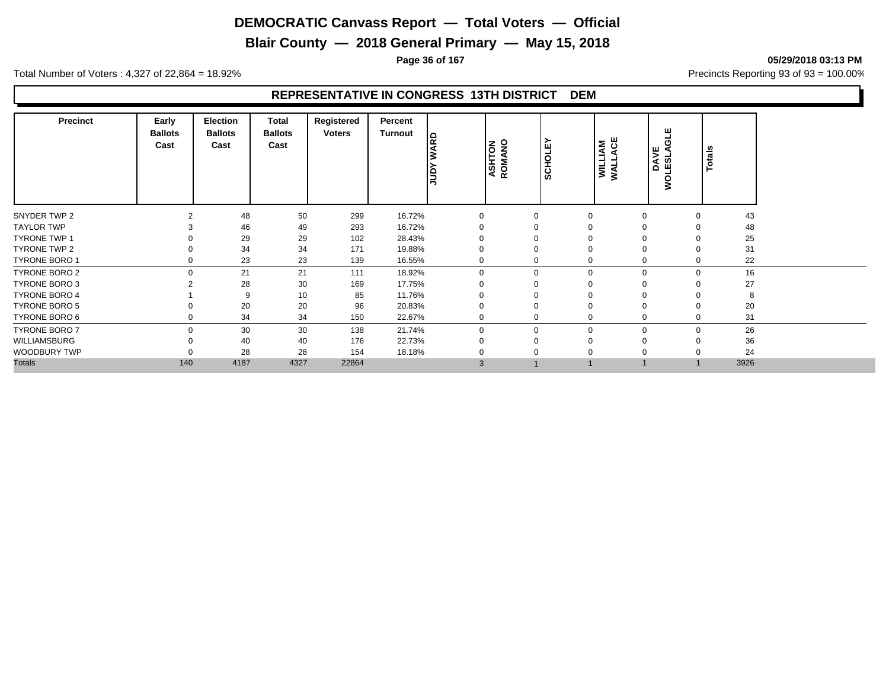**Blair County — 2018 General Primary — May 15, 2018**

**Page 36 of 167 05/29/2018 03:13 PM**

Total Number of Voters : 4,327 of 22,864 = 18.92% Precincts Reporting 93 of 93 = 100.00%

#### **REPRESENTATIVE IN CONGRESS 13TH DISTRICT DEM**

| <b>Precinct</b>      | Early<br><b>Ballots</b><br>Cast | <b>Election</b><br><b>Ballots</b><br>Cast | Total<br><b>Ballots</b><br>Cast | Registered<br><b>Voters</b> | Percent<br><b>Turnout</b> | <b>ARD</b><br>el, | <b>ASHTON</b><br>ROMANO | <b>SCHOLE</b> | ACE<br>WILLIAM<br>WALLACE | ш<br>O<br>ي <u>پ</u> ر<br><b>LESL</b><br>Ã<br>ş | Totals |
|----------------------|---------------------------------|-------------------------------------------|---------------------------------|-----------------------------|---------------------------|-------------------|-------------------------|---------------|---------------------------|-------------------------------------------------|--------|
| SNYDER TWP 2         |                                 | 48                                        | 50                              | 299                         | 16.72%                    | $\Omega$          | $\Omega$                | 0             |                           | $\Omega$                                        | 43     |
| <b>TAYLOR TWP</b>    |                                 | 46                                        | 49                              | 293                         | 16.72%                    | $\Omega$          |                         |               |                           |                                                 | 48     |
| TYRONE TWP 1         |                                 | 29                                        | 29                              | 102                         | 28.43%                    |                   |                         |               |                           |                                                 | 25     |
| TYRONE TWP 2         |                                 | 34                                        | 34                              | 171                         | 19.88%                    | $\mathbf 0$       | $\Omega$                | 0             |                           | $\Omega$                                        | 31     |
| TYRONE BORO 1        | 0                               | 23                                        | 23                              | 139                         | 16.55%                    | $\mathbf 0$       | 0                       |               | 0                         | 0                                               | 22     |
| <b>TYRONE BORO 2</b> | $\Omega$                        | 21                                        | 21                              | 111                         | 18.92%                    | $\Omega$          | $\Omega$                |               | $\Omega$                  | $\Omega$                                        | 16     |
| <b>TYRONE BORO 3</b> |                                 | 28                                        | 30                              | 169                         | 17.75%                    | $\Omega$          |                         |               |                           |                                                 | 27     |
| <b>TYRONE BORO 4</b> |                                 | 9                                         | 10                              | 85                          | 11.76%                    |                   |                         |               |                           |                                                 | 8      |
| <b>TYRONE BORO 5</b> |                                 | 20                                        | 20                              | 96                          | 20.83%                    | $\mathbf 0$       |                         | 0             | $\Omega$                  |                                                 | 20     |
| TYRONE BORO 6        | 0                               | 34                                        | 34                              | 150                         | 22.67%                    | $\mathbf 0$       | $\Omega$                |               | 0                         | 0                                               | 31     |
| <b>TYRONE BORO 7</b> |                                 | 30                                        | 30                              | 138                         | 21.74%                    | $\Omega$          | $\Omega$                |               | $\Omega$                  | $\Omega$                                        | 26     |
| WILLIAMSBURG         |                                 | 40                                        | 40                              | 176                         | 22.73%                    | $\Omega$          | $\Omega$                |               |                           |                                                 | 36     |
| WOODBURY TWP         |                                 | 28                                        | 28                              | 154                         | 18.18%                    |                   |                         |               |                           |                                                 | 24     |
| <b>Totals</b>        | 140                             | 4187                                      | 4327                            | 22864                       |                           | 3                 |                         |               |                           |                                                 | 3926   |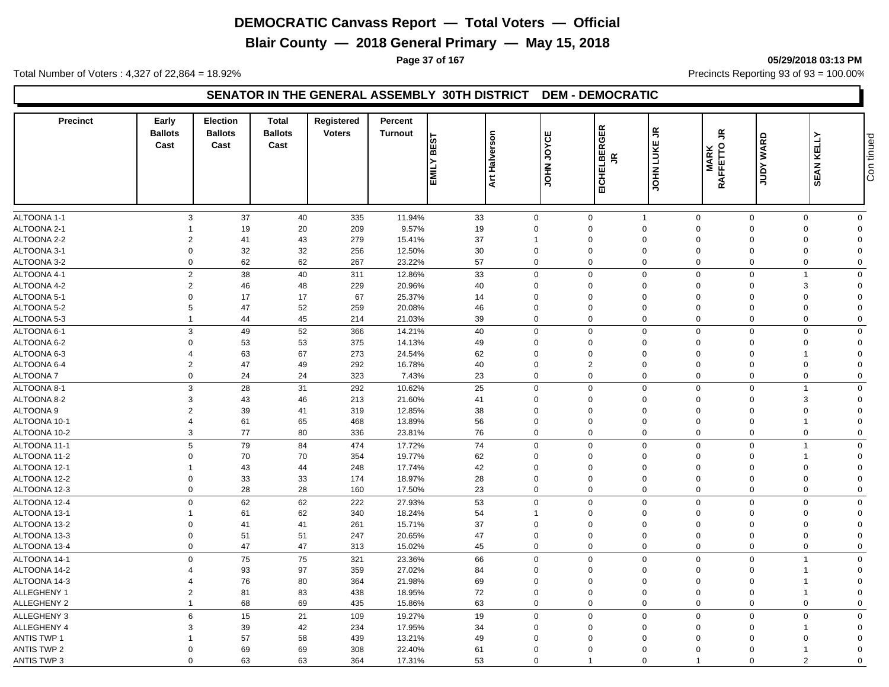**Blair County — 2018 General Primary — May 15, 2018**

**Page 37 of 167 05/29/2018 03:13 PM**

Total Number of Voters : 4,327 of 22,864 = 18.92% Precincts Reporting 93 of 93 = 100.00%

## **SENATOR IN THE GENERAL ASSEMBLY 30TH DISTRICT DEM - DEMOCRATIC**

| ALTOONA 1-1<br>3<br>37<br>335<br>11.94%<br>33<br>$\mathbf 0$<br>$\mathbf 0$<br>$\mathbf 0$<br>$\mathbf 0$<br>$\mathbf 0$<br>40<br>$\overline{1}$<br>$\mathbf 0$<br>ALTOONA 2-1<br>19<br>20<br>209<br>9.57%<br>19<br>$\mathbf 0$<br>$\mathbf 0$<br>$\mathbf 0$<br>$\mathbf 0$<br>$\Omega$<br>$\Omega$<br>$\Omega$<br>$\overline{1}$<br>$\overline{2}$<br>43<br>279<br>37<br>ALTOONA 2-2<br>41<br>15.41%<br>$\Omega$<br>$\mathbf 0$<br>$\Omega$<br>$\Omega$<br>$\Omega$<br>$\mathbf 0$<br>$\mathbf{1}$<br>32<br>256<br>ALTOONA 3-1<br>$\mathbf 0$<br>32<br>12.50%<br>30<br>$\mathbf 0$<br>$\mathbf 0$<br>$\mathbf 0$<br>$\mathbf{0}$<br>$\mathbf 0$<br>$\Omega$<br>$\Omega$<br>$\mathbf 0$<br>62<br>62<br>$\mathbf 0$<br>$\mathsf 0$<br>ALTOONA 3-2<br>267<br>23.22%<br>57<br>0<br>$\mathbf 0$<br>$\mathbf 0$<br>$\Omega$<br>$\mathbf 0$<br>ALTOONA 4-1<br>$\overline{2}$<br>38<br>40<br>311<br>12.86%<br>33<br>$\mathbf{0}$<br>$\mathbf 0$<br>$\mathsf 0$<br>$\mathbf 0$<br>$\mathbf 0$<br>$\mathbf 0$<br>$\mathbf{1}$<br>$\overline{2}$<br>ALTOONA 4-2<br>46<br>48<br>229<br>20.96%<br>40<br>0<br>$\mathbf 0$<br>$\mathbf 0$<br>$\mathbf 0$<br>$\Omega$<br>3<br>$\mathbf 0$<br>ALTOONA 5-1<br>$\mathbf 0$<br>17<br>17<br>67<br>25.37%<br>$\Omega$<br>$\Omega$<br>$\mathbf 0$<br>$\mathbf 0$<br>14<br>$\Omega$<br>$\Omega$<br>$\Omega$<br>$5\phantom{.0}$<br>47<br>52<br>259<br>46<br>$\mathsf 0$<br>ALTOONA 5-2<br>20.08%<br>$\mathbf 0$<br>$\mathbf 0$<br>$\mathbf 0$<br>$\Omega$<br>$\Omega$<br>$\mathbf 0$<br>ALTOONA 5-3<br>44<br>45<br>214<br>21.03%<br>39<br>0<br>$\mathbf 0$<br>$\mathbf 0$<br>$\mathbf 0$<br>$\mathbf 0$<br>$\mathbf 0$<br>$\overline{1}$<br>$\mathbf 0$<br>$\mathbf{3}$<br>52<br>$\mathbf 0$<br>$\mathbf 0$<br>49<br>366<br>40<br>$\mathbf 0$<br>$\mathbf 0$<br>$\Omega$<br>$\Omega$<br>$\mathbf 0$<br>ALTOONA 6-1<br>14.21%<br>53<br>ALTOONA 6-2<br>$\mathbf 0$<br>53<br>375<br>14.13%<br>49<br>$\mathbf 0$<br>$\mathbf 0$<br>$\mathbf 0$<br>$\mathbf 0$<br>$\mathbf 0$<br>$\Omega$<br>$\Omega$<br>ALTOONA 6-3<br>63<br>67<br>273<br>$\overline{4}$<br>24.54%<br>62<br>$\mathbf 0$<br>$\mathbf 0$<br>$\Omega$<br>$\mathbf{0}$<br>$\Omega$<br>$\Omega$<br>1<br>$\overline{2}$<br>47<br>49<br>292<br>40<br>$\overline{2}$<br>$\mathsf 0$<br>ALTOONA 6-4<br>16.78%<br>$\mathbf 0$<br>$\mathbf 0$<br>$\Omega$<br>$\Omega$<br>$\Omega$<br>$\mathbf 0$<br>$\mathbf 0$<br>ALTOONA 7<br>24<br>24<br>323<br>7.43%<br>23<br>0<br>$\mathbf 0$<br>$\mathbf 0$<br>$\mathbf 0$<br>$\mathbf 0$<br>$\mathbf 0$<br>$\mathbf{3}$<br>28<br>31<br>292<br>10.62%<br>25<br>$\mathbf 0$<br>$\mathbf 0$<br>$\mathsf 0$<br>$\mathbf 0$<br>$\mathbf 0$<br>ALTOONA 8-1<br>$\mathbf 0$<br>1<br>ALTOONA 8-2<br>$\mathbf{3}$<br>43<br>46<br>213<br>21.60%<br>$\mathbf 0$<br>$\mathbf 0$<br>3<br>$\mathbf 0$<br>41<br>$\mathbf 0$<br>$\overline{0}$<br>$\Omega$<br>$\overline{2}$<br>ALTOONA 9<br>39<br>41<br>319<br>12.85%<br>38<br>$\Omega$<br>$\mathbf 0$<br>$\mathbf 0$<br>$\Omega$<br>$\Omega$<br>$\mathbf 0$<br>$\Omega$<br>$\overline{4}$<br>61<br>65<br>468<br>56<br>$\mathbf 0$<br>$\mathbf 0$<br>$\overline{0}$<br>$\mathbf 0$<br>ALTOONA 10-1<br>13.89%<br>$\mathbf 0$<br>$\Omega$<br>1<br>3<br>77<br>80<br>$\mathbf 0$<br>ALTOONA 10-2<br>336<br>76<br>$\mathbf 0$<br>$\mathbf 0$<br>$\mathbf 0$<br>$\mathbf 0$<br>$\mathbf 0$<br>$\mathbf 0$<br>23.81%<br>ALTOONA 11-1<br>$5\phantom{.0}$<br>79<br>84<br>474<br>74<br>$\mathbf 0$<br>$\mathbf 0$<br>$\mathbf 0$<br>$\mathbf 0$<br>$\mathbf 0$<br>17.72%<br>0<br>$\overline{1}$<br>ALTOONA 11-2<br>$\mathbf 0$<br>70<br>70<br>354<br>19.77%<br>62<br>$\mathbf 0$<br>$\mathbf 0$<br>$\mathbf 0$<br>$\mathbf 0$<br>$\mathbf 0$<br>$\Omega$<br>ALTOONA 12-1<br>43<br>44<br>248<br>17.74%<br>42<br>$\Omega$<br>$\mathbf 0$<br>$\Omega$<br>$\overline{1}$<br>$\Omega$<br>$\Omega$<br>$\Omega$<br>$\Omega$<br>$\mathbf 0$<br>33<br>$\mathbf 0$<br>ALTOONA 12-2<br>33<br>174<br>18.97%<br>28<br>$\mathbf 0$<br>$\mathbf 0$<br>$\mathbf 0$<br>$\Omega$<br>$\Omega$<br>$\mathbf 0$<br>ALTOONA 12-3<br>$\mathbf 0$<br>28<br>28<br>160<br>23<br>0<br>$\boldsymbol{0}$<br>$\mathbf 0$<br>$\mathbf 0$<br>$\mathbf 0$<br>17.50%<br>$\mathbf 0$<br>$\mathbf 0$<br>$\mathbf 0$<br>62<br>62<br>222<br>53<br>$\mathbf 0$<br>$\mathbf 0$<br>$\mathbf 0$<br>$\mathbf 0$<br>$\mathbf 0$<br>$\Omega$<br>$\Omega$<br>ALTOONA 12-4<br>27.93%<br>62<br>ALTOONA 13-1<br>340<br>18.24%<br>54<br>$\mathbf 0$<br>61<br>$\mathbf 0$<br>$\mathbf 0$<br>$\mathbf 0$<br>$\mathbf{1}$<br>$\Omega$<br>$\Omega$<br>37<br>$\mathbf 0$<br>ALTOONA 13-2<br>$\mathbf 0$<br>41<br>41<br>261<br>15.71%<br>$\Omega$<br>$\Omega$<br>$\mathbf 0$<br>$\Omega$<br>$\Omega$<br>$\Omega$<br>$\mathbf 0$<br>51<br>247<br>47<br>$\mathbf 0$<br>$\mathsf 0$<br>ALTOONA 13-3<br>51<br>20.65%<br>$\mathbf 0$<br>$\mathbf 0$<br>$\Omega$<br>$\mathbf 0$<br>$\Omega$<br>ALTOONA 13-4<br>$\mathbf 0$<br>47<br>47<br>313<br>15.02%<br>45<br>0<br>$\mathbf 0$<br>$\mathbf 0$<br>$\mathbf 0$<br>$\mathbf 0$<br>$\mathbf 0$<br>$\mathbf 0$<br>$\mathbf 0$<br>75<br>75<br>321<br>66<br>$\mathbf 0$<br>$\mathbf 0$<br>$\mathsf 0$<br>$\mathbf 0$<br>$\mathbf 0$<br>ALTOONA 14-1<br>23.36%<br>$\Omega$<br>1<br>ALTOONA 14-2<br>93<br>97<br>359<br>27.02%<br>84<br>$\mathbf 0$<br>$\boldsymbol{\Delta}$<br>$\mathbf 0$<br>$\mathbf 0$<br>$\mathbf 0$<br>$\Omega$<br>$\mathbf 0$<br>80<br>ALTOONA 14-3<br>76<br>364<br>21.98%<br>69<br>$\Omega$<br>$\Omega$<br>$\mathbf 0$<br>$\mathbf 0$<br>$\overline{4}$<br>$\Omega$<br>$\Omega$<br>$\overline{2}$<br>81<br>83<br>72<br>ALLEGHENY 1<br>438<br>18.95%<br>$\mathbf 0$<br>$\mathbf 0$<br>$\mathbf 0$<br>$\mathbf 0$<br>$\mathbf 0$<br>$\Omega$<br>69<br>$\mathsf 0$<br>ALLEGHENY 2<br>68<br>435<br>63<br>0<br>$\mathbf 0$<br>$\mathbf 0$<br>$\mathbf 0$<br>15.86%<br>$\Omega$<br>$\Omega$<br>$\overline{1}$<br>6<br>15<br>21<br>109<br>19<br>$\mathbf 0$<br>$\mathbf 0$<br>$\mathsf 0$<br>$\mathbf 0$<br>$\mathbf 0$<br>ALLEGHENY 3<br>19.27%<br>$\mathbf 0$<br>$\mathbf 0$<br>ALLEGHENY 4<br>3<br>39<br>42<br>234<br>17.95%<br>34<br>$\Omega$<br>$\Omega$<br>$\mathbf 0$<br>$\mathbf 0$<br>$\Omega$<br>$\Omega$<br>1<br><b>ANTIS TWP 1</b><br>57<br>58<br>439<br>49<br>13.21%<br>$\Omega$<br>$\mathbf 0$<br>$\mathbf 0$<br>$\Omega$<br>$\mathbf 0$<br>$\Omega$<br>$\Omega$<br><b>ANTIS TWP 2</b><br>$\mathbf 0$<br>69<br>69<br>308<br>22.40%<br>61<br>$\Omega$<br>$\mathbf 0$<br>$\mathbf 0$<br>$\Omega$<br>$\mathbf 0$<br>$\Omega$<br>1<br>$\mathbf 0$<br>0<br>$\overline{1}$ | <b>Precinct</b>    | Early<br><b>Ballots</b><br>Cast | <b>Election</b><br><b>Ballots</b><br>Cast | <b>Total</b><br><b>Ballots</b><br>Cast | Registered<br><b>Voters</b> | Percent<br><b>Turnout</b> | <b>BEST</b><br>EMILY | <b>Art Halverson</b> | JOYCE<br>JOHN. | EICHELBERGER<br>$\leq$ | $\tilde{\vec{r}}$<br>LUKE<br><b>NHOL</b> | $\tilde{\mathbf{r}}$<br>MARK<br>RAFFETTO | <b>JUDY WARD</b> | <b>SEAN KELLY</b> | Con tinued  |
|----------------------------------------------------------------------------------------------------------------------------------------------------------------------------------------------------------------------------------------------------------------------------------------------------------------------------------------------------------------------------------------------------------------------------------------------------------------------------------------------------------------------------------------------------------------------------------------------------------------------------------------------------------------------------------------------------------------------------------------------------------------------------------------------------------------------------------------------------------------------------------------------------------------------------------------------------------------------------------------------------------------------------------------------------------------------------------------------------------------------------------------------------------------------------------------------------------------------------------------------------------------------------------------------------------------------------------------------------------------------------------------------------------------------------------------------------------------------------------------------------------------------------------------------------------------------------------------------------------------------------------------------------------------------------------------------------------------------------------------------------------------------------------------------------------------------------------------------------------------------------------------------------------------------------------------------------------------------------------------------------------------------------------------------------------------------------------------------------------------------------------------------------------------------------------------------------------------------------------------------------------------------------------------------------------------------------------------------------------------------------------------------------------------------------------------------------------------------------------------------------------------------------------------------------------------------------------------------------------------------------------------------------------------------------------------------------------------------------------------------------------------------------------------------------------------------------------------------------------------------------------------------------------------------------------------------------------------------------------------------------------------------------------------------------------------------------------------------------------------------------------------------------------------------------------------------------------------------------------------------------------------------------------------------------------------------------------------------------------------------------------------------------------------------------------------------------------------------------------------------------------------------------------------------------------------------------------------------------------------------------------------------------------------------------------------------------------------------------------------------------------------------------------------------------------------------------------------------------------------------------------------------------------------------------------------------------------------------------------------------------------------------------------------------------------------------------------------------------------------------------------------------------------------------------------------------------------------------------------------------------------------------------------------------------------------------------------------------------------------------------------------------------------------------------------------------------------------------------------------------------------------------------------------------------------------------------------------------------------------------------------------------------------------------------------------------------------------------------------------------------------------------------------------------------------------------------------------------------------------------------------------------------------------------------------------------------------------------------------------------------------------------------------------------------------------------------------------------------------------------------------------------------------------------------------------------------------------------------------------------------------------------------------------------------------------------------------------------------------------------------------------------------------------------------------------------------------------------------------------------------------------------------------------------------------------------------------------------------------------------------------------------------------------------------------------------------------------------------------------------------------------------------------------------------------------------------------------------------------------------------------------------------------------------------------------------------------------------------------------------------------------------------------------------------------------------------------------------------------------------------------------------------------------------------------------------------------------------------------------------------------------------------------------------------------------------------------------------------------------------------------------------------------------------------------------------------------------------------------------------------------------------|--------------------|---------------------------------|-------------------------------------------|----------------------------------------|-----------------------------|---------------------------|----------------------|----------------------|----------------|------------------------|------------------------------------------|------------------------------------------|------------------|-------------------|-------------|
|                                                                                                                                                                                                                                                                                                                                                                                                                                                                                                                                                                                                                                                                                                                                                                                                                                                                                                                                                                                                                                                                                                                                                                                                                                                                                                                                                                                                                                                                                                                                                                                                                                                                                                                                                                                                                                                                                                                                                                                                                                                                                                                                                                                                                                                                                                                                                                                                                                                                                                                                                                                                                                                                                                                                                                                                                                                                                                                                                                                                                                                                                                                                                                                                                                                                                                                                                                                                                                                                                                                                                                                                                                                                                                                                                                                                                                                                                                                                                                                                                                                                                                                                                                                                                                                                                                                                                                                                                                                                                                                                                                                                                                                                                                                                                                                                                                                                                                                                                                                                                                                                                                                                                                                                                                                                                                                                                                                                                                                                                                                                                                                                                                                                                                                                                                                                                                                                                                                                                                                                                                                                                                                                                                                                                                                                                                                                                                                                                                                                                                                      |                    |                                 |                                           |                                        |                             |                           |                      |                      |                |                        |                                          |                                          |                  |                   |             |
|                                                                                                                                                                                                                                                                                                                                                                                                                                                                                                                                                                                                                                                                                                                                                                                                                                                                                                                                                                                                                                                                                                                                                                                                                                                                                                                                                                                                                                                                                                                                                                                                                                                                                                                                                                                                                                                                                                                                                                                                                                                                                                                                                                                                                                                                                                                                                                                                                                                                                                                                                                                                                                                                                                                                                                                                                                                                                                                                                                                                                                                                                                                                                                                                                                                                                                                                                                                                                                                                                                                                                                                                                                                                                                                                                                                                                                                                                                                                                                                                                                                                                                                                                                                                                                                                                                                                                                                                                                                                                                                                                                                                                                                                                                                                                                                                                                                                                                                                                                                                                                                                                                                                                                                                                                                                                                                                                                                                                                                                                                                                                                                                                                                                                                                                                                                                                                                                                                                                                                                                                                                                                                                                                                                                                                                                                                                                                                                                                                                                                                                      |                    |                                 |                                           |                                        |                             |                           |                      |                      |                |                        |                                          |                                          |                  |                   |             |
|                                                                                                                                                                                                                                                                                                                                                                                                                                                                                                                                                                                                                                                                                                                                                                                                                                                                                                                                                                                                                                                                                                                                                                                                                                                                                                                                                                                                                                                                                                                                                                                                                                                                                                                                                                                                                                                                                                                                                                                                                                                                                                                                                                                                                                                                                                                                                                                                                                                                                                                                                                                                                                                                                                                                                                                                                                                                                                                                                                                                                                                                                                                                                                                                                                                                                                                                                                                                                                                                                                                                                                                                                                                                                                                                                                                                                                                                                                                                                                                                                                                                                                                                                                                                                                                                                                                                                                                                                                                                                                                                                                                                                                                                                                                                                                                                                                                                                                                                                                                                                                                                                                                                                                                                                                                                                                                                                                                                                                                                                                                                                                                                                                                                                                                                                                                                                                                                                                                                                                                                                                                                                                                                                                                                                                                                                                                                                                                                                                                                                                                      |                    |                                 |                                           |                                        |                             |                           |                      |                      |                |                        |                                          |                                          |                  |                   |             |
|                                                                                                                                                                                                                                                                                                                                                                                                                                                                                                                                                                                                                                                                                                                                                                                                                                                                                                                                                                                                                                                                                                                                                                                                                                                                                                                                                                                                                                                                                                                                                                                                                                                                                                                                                                                                                                                                                                                                                                                                                                                                                                                                                                                                                                                                                                                                                                                                                                                                                                                                                                                                                                                                                                                                                                                                                                                                                                                                                                                                                                                                                                                                                                                                                                                                                                                                                                                                                                                                                                                                                                                                                                                                                                                                                                                                                                                                                                                                                                                                                                                                                                                                                                                                                                                                                                                                                                                                                                                                                                                                                                                                                                                                                                                                                                                                                                                                                                                                                                                                                                                                                                                                                                                                                                                                                                                                                                                                                                                                                                                                                                                                                                                                                                                                                                                                                                                                                                                                                                                                                                                                                                                                                                                                                                                                                                                                                                                                                                                                                                                      |                    |                                 |                                           |                                        |                             |                           |                      |                      |                |                        |                                          |                                          |                  |                   |             |
|                                                                                                                                                                                                                                                                                                                                                                                                                                                                                                                                                                                                                                                                                                                                                                                                                                                                                                                                                                                                                                                                                                                                                                                                                                                                                                                                                                                                                                                                                                                                                                                                                                                                                                                                                                                                                                                                                                                                                                                                                                                                                                                                                                                                                                                                                                                                                                                                                                                                                                                                                                                                                                                                                                                                                                                                                                                                                                                                                                                                                                                                                                                                                                                                                                                                                                                                                                                                                                                                                                                                                                                                                                                                                                                                                                                                                                                                                                                                                                                                                                                                                                                                                                                                                                                                                                                                                                                                                                                                                                                                                                                                                                                                                                                                                                                                                                                                                                                                                                                                                                                                                                                                                                                                                                                                                                                                                                                                                                                                                                                                                                                                                                                                                                                                                                                                                                                                                                                                                                                                                                                                                                                                                                                                                                                                                                                                                                                                                                                                                                                      |                    |                                 |                                           |                                        |                             |                           |                      |                      |                |                        |                                          |                                          |                  |                   |             |
|                                                                                                                                                                                                                                                                                                                                                                                                                                                                                                                                                                                                                                                                                                                                                                                                                                                                                                                                                                                                                                                                                                                                                                                                                                                                                                                                                                                                                                                                                                                                                                                                                                                                                                                                                                                                                                                                                                                                                                                                                                                                                                                                                                                                                                                                                                                                                                                                                                                                                                                                                                                                                                                                                                                                                                                                                                                                                                                                                                                                                                                                                                                                                                                                                                                                                                                                                                                                                                                                                                                                                                                                                                                                                                                                                                                                                                                                                                                                                                                                                                                                                                                                                                                                                                                                                                                                                                                                                                                                                                                                                                                                                                                                                                                                                                                                                                                                                                                                                                                                                                                                                                                                                                                                                                                                                                                                                                                                                                                                                                                                                                                                                                                                                                                                                                                                                                                                                                                                                                                                                                                                                                                                                                                                                                                                                                                                                                                                                                                                                                                      |                    |                                 |                                           |                                        |                             |                           |                      |                      |                |                        |                                          |                                          |                  |                   |             |
|                                                                                                                                                                                                                                                                                                                                                                                                                                                                                                                                                                                                                                                                                                                                                                                                                                                                                                                                                                                                                                                                                                                                                                                                                                                                                                                                                                                                                                                                                                                                                                                                                                                                                                                                                                                                                                                                                                                                                                                                                                                                                                                                                                                                                                                                                                                                                                                                                                                                                                                                                                                                                                                                                                                                                                                                                                                                                                                                                                                                                                                                                                                                                                                                                                                                                                                                                                                                                                                                                                                                                                                                                                                                                                                                                                                                                                                                                                                                                                                                                                                                                                                                                                                                                                                                                                                                                                                                                                                                                                                                                                                                                                                                                                                                                                                                                                                                                                                                                                                                                                                                                                                                                                                                                                                                                                                                                                                                                                                                                                                                                                                                                                                                                                                                                                                                                                                                                                                                                                                                                                                                                                                                                                                                                                                                                                                                                                                                                                                                                                                      |                    |                                 |                                           |                                        |                             |                           |                      |                      |                |                        |                                          |                                          |                  |                   |             |
|                                                                                                                                                                                                                                                                                                                                                                                                                                                                                                                                                                                                                                                                                                                                                                                                                                                                                                                                                                                                                                                                                                                                                                                                                                                                                                                                                                                                                                                                                                                                                                                                                                                                                                                                                                                                                                                                                                                                                                                                                                                                                                                                                                                                                                                                                                                                                                                                                                                                                                                                                                                                                                                                                                                                                                                                                                                                                                                                                                                                                                                                                                                                                                                                                                                                                                                                                                                                                                                                                                                                                                                                                                                                                                                                                                                                                                                                                                                                                                                                                                                                                                                                                                                                                                                                                                                                                                                                                                                                                                                                                                                                                                                                                                                                                                                                                                                                                                                                                                                                                                                                                                                                                                                                                                                                                                                                                                                                                                                                                                                                                                                                                                                                                                                                                                                                                                                                                                                                                                                                                                                                                                                                                                                                                                                                                                                                                                                                                                                                                                                      |                    |                                 |                                           |                                        |                             |                           |                      |                      |                |                        |                                          |                                          |                  |                   |             |
|                                                                                                                                                                                                                                                                                                                                                                                                                                                                                                                                                                                                                                                                                                                                                                                                                                                                                                                                                                                                                                                                                                                                                                                                                                                                                                                                                                                                                                                                                                                                                                                                                                                                                                                                                                                                                                                                                                                                                                                                                                                                                                                                                                                                                                                                                                                                                                                                                                                                                                                                                                                                                                                                                                                                                                                                                                                                                                                                                                                                                                                                                                                                                                                                                                                                                                                                                                                                                                                                                                                                                                                                                                                                                                                                                                                                                                                                                                                                                                                                                                                                                                                                                                                                                                                                                                                                                                                                                                                                                                                                                                                                                                                                                                                                                                                                                                                                                                                                                                                                                                                                                                                                                                                                                                                                                                                                                                                                                                                                                                                                                                                                                                                                                                                                                                                                                                                                                                                                                                                                                                                                                                                                                                                                                                                                                                                                                                                                                                                                                                                      |                    |                                 |                                           |                                        |                             |                           |                      |                      |                |                        |                                          |                                          |                  |                   |             |
|                                                                                                                                                                                                                                                                                                                                                                                                                                                                                                                                                                                                                                                                                                                                                                                                                                                                                                                                                                                                                                                                                                                                                                                                                                                                                                                                                                                                                                                                                                                                                                                                                                                                                                                                                                                                                                                                                                                                                                                                                                                                                                                                                                                                                                                                                                                                                                                                                                                                                                                                                                                                                                                                                                                                                                                                                                                                                                                                                                                                                                                                                                                                                                                                                                                                                                                                                                                                                                                                                                                                                                                                                                                                                                                                                                                                                                                                                                                                                                                                                                                                                                                                                                                                                                                                                                                                                                                                                                                                                                                                                                                                                                                                                                                                                                                                                                                                                                                                                                                                                                                                                                                                                                                                                                                                                                                                                                                                                                                                                                                                                                                                                                                                                                                                                                                                                                                                                                                                                                                                                                                                                                                                                                                                                                                                                                                                                                                                                                                                                                                      |                    |                                 |                                           |                                        |                             |                           |                      |                      |                |                        |                                          |                                          |                  |                   |             |
|                                                                                                                                                                                                                                                                                                                                                                                                                                                                                                                                                                                                                                                                                                                                                                                                                                                                                                                                                                                                                                                                                                                                                                                                                                                                                                                                                                                                                                                                                                                                                                                                                                                                                                                                                                                                                                                                                                                                                                                                                                                                                                                                                                                                                                                                                                                                                                                                                                                                                                                                                                                                                                                                                                                                                                                                                                                                                                                                                                                                                                                                                                                                                                                                                                                                                                                                                                                                                                                                                                                                                                                                                                                                                                                                                                                                                                                                                                                                                                                                                                                                                                                                                                                                                                                                                                                                                                                                                                                                                                                                                                                                                                                                                                                                                                                                                                                                                                                                                                                                                                                                                                                                                                                                                                                                                                                                                                                                                                                                                                                                                                                                                                                                                                                                                                                                                                                                                                                                                                                                                                                                                                                                                                                                                                                                                                                                                                                                                                                                                                                      |                    |                                 |                                           |                                        |                             |                           |                      |                      |                |                        |                                          |                                          |                  |                   |             |
|                                                                                                                                                                                                                                                                                                                                                                                                                                                                                                                                                                                                                                                                                                                                                                                                                                                                                                                                                                                                                                                                                                                                                                                                                                                                                                                                                                                                                                                                                                                                                                                                                                                                                                                                                                                                                                                                                                                                                                                                                                                                                                                                                                                                                                                                                                                                                                                                                                                                                                                                                                                                                                                                                                                                                                                                                                                                                                                                                                                                                                                                                                                                                                                                                                                                                                                                                                                                                                                                                                                                                                                                                                                                                                                                                                                                                                                                                                                                                                                                                                                                                                                                                                                                                                                                                                                                                                                                                                                                                                                                                                                                                                                                                                                                                                                                                                                                                                                                                                                                                                                                                                                                                                                                                                                                                                                                                                                                                                                                                                                                                                                                                                                                                                                                                                                                                                                                                                                                                                                                                                                                                                                                                                                                                                                                                                                                                                                                                                                                                                                      |                    |                                 |                                           |                                        |                             |                           |                      |                      |                |                        |                                          |                                          |                  |                   |             |
|                                                                                                                                                                                                                                                                                                                                                                                                                                                                                                                                                                                                                                                                                                                                                                                                                                                                                                                                                                                                                                                                                                                                                                                                                                                                                                                                                                                                                                                                                                                                                                                                                                                                                                                                                                                                                                                                                                                                                                                                                                                                                                                                                                                                                                                                                                                                                                                                                                                                                                                                                                                                                                                                                                                                                                                                                                                                                                                                                                                                                                                                                                                                                                                                                                                                                                                                                                                                                                                                                                                                                                                                                                                                                                                                                                                                                                                                                                                                                                                                                                                                                                                                                                                                                                                                                                                                                                                                                                                                                                                                                                                                                                                                                                                                                                                                                                                                                                                                                                                                                                                                                                                                                                                                                                                                                                                                                                                                                                                                                                                                                                                                                                                                                                                                                                                                                                                                                                                                                                                                                                                                                                                                                                                                                                                                                                                                                                                                                                                                                                                      |                    |                                 |                                           |                                        |                             |                           |                      |                      |                |                        |                                          |                                          |                  |                   |             |
|                                                                                                                                                                                                                                                                                                                                                                                                                                                                                                                                                                                                                                                                                                                                                                                                                                                                                                                                                                                                                                                                                                                                                                                                                                                                                                                                                                                                                                                                                                                                                                                                                                                                                                                                                                                                                                                                                                                                                                                                                                                                                                                                                                                                                                                                                                                                                                                                                                                                                                                                                                                                                                                                                                                                                                                                                                                                                                                                                                                                                                                                                                                                                                                                                                                                                                                                                                                                                                                                                                                                                                                                                                                                                                                                                                                                                                                                                                                                                                                                                                                                                                                                                                                                                                                                                                                                                                                                                                                                                                                                                                                                                                                                                                                                                                                                                                                                                                                                                                                                                                                                                                                                                                                                                                                                                                                                                                                                                                                                                                                                                                                                                                                                                                                                                                                                                                                                                                                                                                                                                                                                                                                                                                                                                                                                                                                                                                                                                                                                                                                      |                    |                                 |                                           |                                        |                             |                           |                      |                      |                |                        |                                          |                                          |                  |                   |             |
|                                                                                                                                                                                                                                                                                                                                                                                                                                                                                                                                                                                                                                                                                                                                                                                                                                                                                                                                                                                                                                                                                                                                                                                                                                                                                                                                                                                                                                                                                                                                                                                                                                                                                                                                                                                                                                                                                                                                                                                                                                                                                                                                                                                                                                                                                                                                                                                                                                                                                                                                                                                                                                                                                                                                                                                                                                                                                                                                                                                                                                                                                                                                                                                                                                                                                                                                                                                                                                                                                                                                                                                                                                                                                                                                                                                                                                                                                                                                                                                                                                                                                                                                                                                                                                                                                                                                                                                                                                                                                                                                                                                                                                                                                                                                                                                                                                                                                                                                                                                                                                                                                                                                                                                                                                                                                                                                                                                                                                                                                                                                                                                                                                                                                                                                                                                                                                                                                                                                                                                                                                                                                                                                                                                                                                                                                                                                                                                                                                                                                                                      |                    |                                 |                                           |                                        |                             |                           |                      |                      |                |                        |                                          |                                          |                  |                   |             |
|                                                                                                                                                                                                                                                                                                                                                                                                                                                                                                                                                                                                                                                                                                                                                                                                                                                                                                                                                                                                                                                                                                                                                                                                                                                                                                                                                                                                                                                                                                                                                                                                                                                                                                                                                                                                                                                                                                                                                                                                                                                                                                                                                                                                                                                                                                                                                                                                                                                                                                                                                                                                                                                                                                                                                                                                                                                                                                                                                                                                                                                                                                                                                                                                                                                                                                                                                                                                                                                                                                                                                                                                                                                                                                                                                                                                                                                                                                                                                                                                                                                                                                                                                                                                                                                                                                                                                                                                                                                                                                                                                                                                                                                                                                                                                                                                                                                                                                                                                                                                                                                                                                                                                                                                                                                                                                                                                                                                                                                                                                                                                                                                                                                                                                                                                                                                                                                                                                                                                                                                                                                                                                                                                                                                                                                                                                                                                                                                                                                                                                                      |                    |                                 |                                           |                                        |                             |                           |                      |                      |                |                        |                                          |                                          |                  |                   |             |
|                                                                                                                                                                                                                                                                                                                                                                                                                                                                                                                                                                                                                                                                                                                                                                                                                                                                                                                                                                                                                                                                                                                                                                                                                                                                                                                                                                                                                                                                                                                                                                                                                                                                                                                                                                                                                                                                                                                                                                                                                                                                                                                                                                                                                                                                                                                                                                                                                                                                                                                                                                                                                                                                                                                                                                                                                                                                                                                                                                                                                                                                                                                                                                                                                                                                                                                                                                                                                                                                                                                                                                                                                                                                                                                                                                                                                                                                                                                                                                                                                                                                                                                                                                                                                                                                                                                                                                                                                                                                                                                                                                                                                                                                                                                                                                                                                                                                                                                                                                                                                                                                                                                                                                                                                                                                                                                                                                                                                                                                                                                                                                                                                                                                                                                                                                                                                                                                                                                                                                                                                                                                                                                                                                                                                                                                                                                                                                                                                                                                                                                      |                    |                                 |                                           |                                        |                             |                           |                      |                      |                |                        |                                          |                                          |                  |                   |             |
|                                                                                                                                                                                                                                                                                                                                                                                                                                                                                                                                                                                                                                                                                                                                                                                                                                                                                                                                                                                                                                                                                                                                                                                                                                                                                                                                                                                                                                                                                                                                                                                                                                                                                                                                                                                                                                                                                                                                                                                                                                                                                                                                                                                                                                                                                                                                                                                                                                                                                                                                                                                                                                                                                                                                                                                                                                                                                                                                                                                                                                                                                                                                                                                                                                                                                                                                                                                                                                                                                                                                                                                                                                                                                                                                                                                                                                                                                                                                                                                                                                                                                                                                                                                                                                                                                                                                                                                                                                                                                                                                                                                                                                                                                                                                                                                                                                                                                                                                                                                                                                                                                                                                                                                                                                                                                                                                                                                                                                                                                                                                                                                                                                                                                                                                                                                                                                                                                                                                                                                                                                                                                                                                                                                                                                                                                                                                                                                                                                                                                                                      |                    |                                 |                                           |                                        |                             |                           |                      |                      |                |                        |                                          |                                          |                  |                   |             |
|                                                                                                                                                                                                                                                                                                                                                                                                                                                                                                                                                                                                                                                                                                                                                                                                                                                                                                                                                                                                                                                                                                                                                                                                                                                                                                                                                                                                                                                                                                                                                                                                                                                                                                                                                                                                                                                                                                                                                                                                                                                                                                                                                                                                                                                                                                                                                                                                                                                                                                                                                                                                                                                                                                                                                                                                                                                                                                                                                                                                                                                                                                                                                                                                                                                                                                                                                                                                                                                                                                                                                                                                                                                                                                                                                                                                                                                                                                                                                                                                                                                                                                                                                                                                                                                                                                                                                                                                                                                                                                                                                                                                                                                                                                                                                                                                                                                                                                                                                                                                                                                                                                                                                                                                                                                                                                                                                                                                                                                                                                                                                                                                                                                                                                                                                                                                                                                                                                                                                                                                                                                                                                                                                                                                                                                                                                                                                                                                                                                                                                                      |                    |                                 |                                           |                                        |                             |                           |                      |                      |                |                        |                                          |                                          |                  |                   |             |
|                                                                                                                                                                                                                                                                                                                                                                                                                                                                                                                                                                                                                                                                                                                                                                                                                                                                                                                                                                                                                                                                                                                                                                                                                                                                                                                                                                                                                                                                                                                                                                                                                                                                                                                                                                                                                                                                                                                                                                                                                                                                                                                                                                                                                                                                                                                                                                                                                                                                                                                                                                                                                                                                                                                                                                                                                                                                                                                                                                                                                                                                                                                                                                                                                                                                                                                                                                                                                                                                                                                                                                                                                                                                                                                                                                                                                                                                                                                                                                                                                                                                                                                                                                                                                                                                                                                                                                                                                                                                                                                                                                                                                                                                                                                                                                                                                                                                                                                                                                                                                                                                                                                                                                                                                                                                                                                                                                                                                                                                                                                                                                                                                                                                                                                                                                                                                                                                                                                                                                                                                                                                                                                                                                                                                                                                                                                                                                                                                                                                                                                      |                    |                                 |                                           |                                        |                             |                           |                      |                      |                |                        |                                          |                                          |                  |                   |             |
|                                                                                                                                                                                                                                                                                                                                                                                                                                                                                                                                                                                                                                                                                                                                                                                                                                                                                                                                                                                                                                                                                                                                                                                                                                                                                                                                                                                                                                                                                                                                                                                                                                                                                                                                                                                                                                                                                                                                                                                                                                                                                                                                                                                                                                                                                                                                                                                                                                                                                                                                                                                                                                                                                                                                                                                                                                                                                                                                                                                                                                                                                                                                                                                                                                                                                                                                                                                                                                                                                                                                                                                                                                                                                                                                                                                                                                                                                                                                                                                                                                                                                                                                                                                                                                                                                                                                                                                                                                                                                                                                                                                                                                                                                                                                                                                                                                                                                                                                                                                                                                                                                                                                                                                                                                                                                                                                                                                                                                                                                                                                                                                                                                                                                                                                                                                                                                                                                                                                                                                                                                                                                                                                                                                                                                                                                                                                                                                                                                                                                                                      |                    |                                 |                                           |                                        |                             |                           |                      |                      |                |                        |                                          |                                          |                  |                   |             |
|                                                                                                                                                                                                                                                                                                                                                                                                                                                                                                                                                                                                                                                                                                                                                                                                                                                                                                                                                                                                                                                                                                                                                                                                                                                                                                                                                                                                                                                                                                                                                                                                                                                                                                                                                                                                                                                                                                                                                                                                                                                                                                                                                                                                                                                                                                                                                                                                                                                                                                                                                                                                                                                                                                                                                                                                                                                                                                                                                                                                                                                                                                                                                                                                                                                                                                                                                                                                                                                                                                                                                                                                                                                                                                                                                                                                                                                                                                                                                                                                                                                                                                                                                                                                                                                                                                                                                                                                                                                                                                                                                                                                                                                                                                                                                                                                                                                                                                                                                                                                                                                                                                                                                                                                                                                                                                                                                                                                                                                                                                                                                                                                                                                                                                                                                                                                                                                                                                                                                                                                                                                                                                                                                                                                                                                                                                                                                                                                                                                                                                                      |                    |                                 |                                           |                                        |                             |                           |                      |                      |                |                        |                                          |                                          |                  |                   |             |
|                                                                                                                                                                                                                                                                                                                                                                                                                                                                                                                                                                                                                                                                                                                                                                                                                                                                                                                                                                                                                                                                                                                                                                                                                                                                                                                                                                                                                                                                                                                                                                                                                                                                                                                                                                                                                                                                                                                                                                                                                                                                                                                                                                                                                                                                                                                                                                                                                                                                                                                                                                                                                                                                                                                                                                                                                                                                                                                                                                                                                                                                                                                                                                                                                                                                                                                                                                                                                                                                                                                                                                                                                                                                                                                                                                                                                                                                                                                                                                                                                                                                                                                                                                                                                                                                                                                                                                                                                                                                                                                                                                                                                                                                                                                                                                                                                                                                                                                                                                                                                                                                                                                                                                                                                                                                                                                                                                                                                                                                                                                                                                                                                                                                                                                                                                                                                                                                                                                                                                                                                                                                                                                                                                                                                                                                                                                                                                                                                                                                                                                      |                    |                                 |                                           |                                        |                             |                           |                      |                      |                |                        |                                          |                                          |                  |                   |             |
|                                                                                                                                                                                                                                                                                                                                                                                                                                                                                                                                                                                                                                                                                                                                                                                                                                                                                                                                                                                                                                                                                                                                                                                                                                                                                                                                                                                                                                                                                                                                                                                                                                                                                                                                                                                                                                                                                                                                                                                                                                                                                                                                                                                                                                                                                                                                                                                                                                                                                                                                                                                                                                                                                                                                                                                                                                                                                                                                                                                                                                                                                                                                                                                                                                                                                                                                                                                                                                                                                                                                                                                                                                                                                                                                                                                                                                                                                                                                                                                                                                                                                                                                                                                                                                                                                                                                                                                                                                                                                                                                                                                                                                                                                                                                                                                                                                                                                                                                                                                                                                                                                                                                                                                                                                                                                                                                                                                                                                                                                                                                                                                                                                                                                                                                                                                                                                                                                                                                                                                                                                                                                                                                                                                                                                                                                                                                                                                                                                                                                                                      |                    |                                 |                                           |                                        |                             |                           |                      |                      |                |                        |                                          |                                          |                  |                   |             |
|                                                                                                                                                                                                                                                                                                                                                                                                                                                                                                                                                                                                                                                                                                                                                                                                                                                                                                                                                                                                                                                                                                                                                                                                                                                                                                                                                                                                                                                                                                                                                                                                                                                                                                                                                                                                                                                                                                                                                                                                                                                                                                                                                                                                                                                                                                                                                                                                                                                                                                                                                                                                                                                                                                                                                                                                                                                                                                                                                                                                                                                                                                                                                                                                                                                                                                                                                                                                                                                                                                                                                                                                                                                                                                                                                                                                                                                                                                                                                                                                                                                                                                                                                                                                                                                                                                                                                                                                                                                                                                                                                                                                                                                                                                                                                                                                                                                                                                                                                                                                                                                                                                                                                                                                                                                                                                                                                                                                                                                                                                                                                                                                                                                                                                                                                                                                                                                                                                                                                                                                                                                                                                                                                                                                                                                                                                                                                                                                                                                                                                                      |                    |                                 |                                           |                                        |                             |                           |                      |                      |                |                        |                                          |                                          |                  |                   |             |
|                                                                                                                                                                                                                                                                                                                                                                                                                                                                                                                                                                                                                                                                                                                                                                                                                                                                                                                                                                                                                                                                                                                                                                                                                                                                                                                                                                                                                                                                                                                                                                                                                                                                                                                                                                                                                                                                                                                                                                                                                                                                                                                                                                                                                                                                                                                                                                                                                                                                                                                                                                                                                                                                                                                                                                                                                                                                                                                                                                                                                                                                                                                                                                                                                                                                                                                                                                                                                                                                                                                                                                                                                                                                                                                                                                                                                                                                                                                                                                                                                                                                                                                                                                                                                                                                                                                                                                                                                                                                                                                                                                                                                                                                                                                                                                                                                                                                                                                                                                                                                                                                                                                                                                                                                                                                                                                                                                                                                                                                                                                                                                                                                                                                                                                                                                                                                                                                                                                                                                                                                                                                                                                                                                                                                                                                                                                                                                                                                                                                                                                      |                    |                                 |                                           |                                        |                             |                           |                      |                      |                |                        |                                          |                                          |                  |                   |             |
|                                                                                                                                                                                                                                                                                                                                                                                                                                                                                                                                                                                                                                                                                                                                                                                                                                                                                                                                                                                                                                                                                                                                                                                                                                                                                                                                                                                                                                                                                                                                                                                                                                                                                                                                                                                                                                                                                                                                                                                                                                                                                                                                                                                                                                                                                                                                                                                                                                                                                                                                                                                                                                                                                                                                                                                                                                                                                                                                                                                                                                                                                                                                                                                                                                                                                                                                                                                                                                                                                                                                                                                                                                                                                                                                                                                                                                                                                                                                                                                                                                                                                                                                                                                                                                                                                                                                                                                                                                                                                                                                                                                                                                                                                                                                                                                                                                                                                                                                                                                                                                                                                                                                                                                                                                                                                                                                                                                                                                                                                                                                                                                                                                                                                                                                                                                                                                                                                                                                                                                                                                                                                                                                                                                                                                                                                                                                                                                                                                                                                                                      |                    |                                 |                                           |                                        |                             |                           |                      |                      |                |                        |                                          |                                          |                  |                   |             |
|                                                                                                                                                                                                                                                                                                                                                                                                                                                                                                                                                                                                                                                                                                                                                                                                                                                                                                                                                                                                                                                                                                                                                                                                                                                                                                                                                                                                                                                                                                                                                                                                                                                                                                                                                                                                                                                                                                                                                                                                                                                                                                                                                                                                                                                                                                                                                                                                                                                                                                                                                                                                                                                                                                                                                                                                                                                                                                                                                                                                                                                                                                                                                                                                                                                                                                                                                                                                                                                                                                                                                                                                                                                                                                                                                                                                                                                                                                                                                                                                                                                                                                                                                                                                                                                                                                                                                                                                                                                                                                                                                                                                                                                                                                                                                                                                                                                                                                                                                                                                                                                                                                                                                                                                                                                                                                                                                                                                                                                                                                                                                                                                                                                                                                                                                                                                                                                                                                                                                                                                                                                                                                                                                                                                                                                                                                                                                                                                                                                                                                                      |                    |                                 |                                           |                                        |                             |                           |                      |                      |                |                        |                                          |                                          |                  |                   |             |
|                                                                                                                                                                                                                                                                                                                                                                                                                                                                                                                                                                                                                                                                                                                                                                                                                                                                                                                                                                                                                                                                                                                                                                                                                                                                                                                                                                                                                                                                                                                                                                                                                                                                                                                                                                                                                                                                                                                                                                                                                                                                                                                                                                                                                                                                                                                                                                                                                                                                                                                                                                                                                                                                                                                                                                                                                                                                                                                                                                                                                                                                                                                                                                                                                                                                                                                                                                                                                                                                                                                                                                                                                                                                                                                                                                                                                                                                                                                                                                                                                                                                                                                                                                                                                                                                                                                                                                                                                                                                                                                                                                                                                                                                                                                                                                                                                                                                                                                                                                                                                                                                                                                                                                                                                                                                                                                                                                                                                                                                                                                                                                                                                                                                                                                                                                                                                                                                                                                                                                                                                                                                                                                                                                                                                                                                                                                                                                                                                                                                                                                      |                    |                                 |                                           |                                        |                             |                           |                      |                      |                |                        |                                          |                                          |                  |                   |             |
|                                                                                                                                                                                                                                                                                                                                                                                                                                                                                                                                                                                                                                                                                                                                                                                                                                                                                                                                                                                                                                                                                                                                                                                                                                                                                                                                                                                                                                                                                                                                                                                                                                                                                                                                                                                                                                                                                                                                                                                                                                                                                                                                                                                                                                                                                                                                                                                                                                                                                                                                                                                                                                                                                                                                                                                                                                                                                                                                                                                                                                                                                                                                                                                                                                                                                                                                                                                                                                                                                                                                                                                                                                                                                                                                                                                                                                                                                                                                                                                                                                                                                                                                                                                                                                                                                                                                                                                                                                                                                                                                                                                                                                                                                                                                                                                                                                                                                                                                                                                                                                                                                                                                                                                                                                                                                                                                                                                                                                                                                                                                                                                                                                                                                                                                                                                                                                                                                                                                                                                                                                                                                                                                                                                                                                                                                                                                                                                                                                                                                                                      |                    |                                 |                                           |                                        |                             |                           |                      |                      |                |                        |                                          |                                          |                  |                   |             |
|                                                                                                                                                                                                                                                                                                                                                                                                                                                                                                                                                                                                                                                                                                                                                                                                                                                                                                                                                                                                                                                                                                                                                                                                                                                                                                                                                                                                                                                                                                                                                                                                                                                                                                                                                                                                                                                                                                                                                                                                                                                                                                                                                                                                                                                                                                                                                                                                                                                                                                                                                                                                                                                                                                                                                                                                                                                                                                                                                                                                                                                                                                                                                                                                                                                                                                                                                                                                                                                                                                                                                                                                                                                                                                                                                                                                                                                                                                                                                                                                                                                                                                                                                                                                                                                                                                                                                                                                                                                                                                                                                                                                                                                                                                                                                                                                                                                                                                                                                                                                                                                                                                                                                                                                                                                                                                                                                                                                                                                                                                                                                                                                                                                                                                                                                                                                                                                                                                                                                                                                                                                                                                                                                                                                                                                                                                                                                                                                                                                                                                                      |                    |                                 |                                           |                                        |                             |                           |                      |                      |                |                        |                                          |                                          |                  |                   |             |
|                                                                                                                                                                                                                                                                                                                                                                                                                                                                                                                                                                                                                                                                                                                                                                                                                                                                                                                                                                                                                                                                                                                                                                                                                                                                                                                                                                                                                                                                                                                                                                                                                                                                                                                                                                                                                                                                                                                                                                                                                                                                                                                                                                                                                                                                                                                                                                                                                                                                                                                                                                                                                                                                                                                                                                                                                                                                                                                                                                                                                                                                                                                                                                                                                                                                                                                                                                                                                                                                                                                                                                                                                                                                                                                                                                                                                                                                                                                                                                                                                                                                                                                                                                                                                                                                                                                                                                                                                                                                                                                                                                                                                                                                                                                                                                                                                                                                                                                                                                                                                                                                                                                                                                                                                                                                                                                                                                                                                                                                                                                                                                                                                                                                                                                                                                                                                                                                                                                                                                                                                                                                                                                                                                                                                                                                                                                                                                                                                                                                                                                      |                    |                                 |                                           |                                        |                             |                           |                      |                      |                |                        |                                          |                                          |                  |                   |             |
|                                                                                                                                                                                                                                                                                                                                                                                                                                                                                                                                                                                                                                                                                                                                                                                                                                                                                                                                                                                                                                                                                                                                                                                                                                                                                                                                                                                                                                                                                                                                                                                                                                                                                                                                                                                                                                                                                                                                                                                                                                                                                                                                                                                                                                                                                                                                                                                                                                                                                                                                                                                                                                                                                                                                                                                                                                                                                                                                                                                                                                                                                                                                                                                                                                                                                                                                                                                                                                                                                                                                                                                                                                                                                                                                                                                                                                                                                                                                                                                                                                                                                                                                                                                                                                                                                                                                                                                                                                                                                                                                                                                                                                                                                                                                                                                                                                                                                                                                                                                                                                                                                                                                                                                                                                                                                                                                                                                                                                                                                                                                                                                                                                                                                                                                                                                                                                                                                                                                                                                                                                                                                                                                                                                                                                                                                                                                                                                                                                                                                                                      |                    |                                 |                                           |                                        |                             |                           |                      |                      |                |                        |                                          |                                          |                  |                   |             |
|                                                                                                                                                                                                                                                                                                                                                                                                                                                                                                                                                                                                                                                                                                                                                                                                                                                                                                                                                                                                                                                                                                                                                                                                                                                                                                                                                                                                                                                                                                                                                                                                                                                                                                                                                                                                                                                                                                                                                                                                                                                                                                                                                                                                                                                                                                                                                                                                                                                                                                                                                                                                                                                                                                                                                                                                                                                                                                                                                                                                                                                                                                                                                                                                                                                                                                                                                                                                                                                                                                                                                                                                                                                                                                                                                                                                                                                                                                                                                                                                                                                                                                                                                                                                                                                                                                                                                                                                                                                                                                                                                                                                                                                                                                                                                                                                                                                                                                                                                                                                                                                                                                                                                                                                                                                                                                                                                                                                                                                                                                                                                                                                                                                                                                                                                                                                                                                                                                                                                                                                                                                                                                                                                                                                                                                                                                                                                                                                                                                                                                                      |                    |                                 |                                           |                                        |                             |                           |                      |                      |                |                        |                                          |                                          |                  |                   |             |
|                                                                                                                                                                                                                                                                                                                                                                                                                                                                                                                                                                                                                                                                                                                                                                                                                                                                                                                                                                                                                                                                                                                                                                                                                                                                                                                                                                                                                                                                                                                                                                                                                                                                                                                                                                                                                                                                                                                                                                                                                                                                                                                                                                                                                                                                                                                                                                                                                                                                                                                                                                                                                                                                                                                                                                                                                                                                                                                                                                                                                                                                                                                                                                                                                                                                                                                                                                                                                                                                                                                                                                                                                                                                                                                                                                                                                                                                                                                                                                                                                                                                                                                                                                                                                                                                                                                                                                                                                                                                                                                                                                                                                                                                                                                                                                                                                                                                                                                                                                                                                                                                                                                                                                                                                                                                                                                                                                                                                                                                                                                                                                                                                                                                                                                                                                                                                                                                                                                                                                                                                                                                                                                                                                                                                                                                                                                                                                                                                                                                                                                      |                    |                                 |                                           |                                        |                             |                           |                      |                      |                |                        |                                          |                                          |                  |                   |             |
|                                                                                                                                                                                                                                                                                                                                                                                                                                                                                                                                                                                                                                                                                                                                                                                                                                                                                                                                                                                                                                                                                                                                                                                                                                                                                                                                                                                                                                                                                                                                                                                                                                                                                                                                                                                                                                                                                                                                                                                                                                                                                                                                                                                                                                                                                                                                                                                                                                                                                                                                                                                                                                                                                                                                                                                                                                                                                                                                                                                                                                                                                                                                                                                                                                                                                                                                                                                                                                                                                                                                                                                                                                                                                                                                                                                                                                                                                                                                                                                                                                                                                                                                                                                                                                                                                                                                                                                                                                                                                                                                                                                                                                                                                                                                                                                                                                                                                                                                                                                                                                                                                                                                                                                                                                                                                                                                                                                                                                                                                                                                                                                                                                                                                                                                                                                                                                                                                                                                                                                                                                                                                                                                                                                                                                                                                                                                                                                                                                                                                                                      |                    |                                 |                                           |                                        |                             |                           |                      |                      |                |                        |                                          |                                          |                  |                   |             |
|                                                                                                                                                                                                                                                                                                                                                                                                                                                                                                                                                                                                                                                                                                                                                                                                                                                                                                                                                                                                                                                                                                                                                                                                                                                                                                                                                                                                                                                                                                                                                                                                                                                                                                                                                                                                                                                                                                                                                                                                                                                                                                                                                                                                                                                                                                                                                                                                                                                                                                                                                                                                                                                                                                                                                                                                                                                                                                                                                                                                                                                                                                                                                                                                                                                                                                                                                                                                                                                                                                                                                                                                                                                                                                                                                                                                                                                                                                                                                                                                                                                                                                                                                                                                                                                                                                                                                                                                                                                                                                                                                                                                                                                                                                                                                                                                                                                                                                                                                                                                                                                                                                                                                                                                                                                                                                                                                                                                                                                                                                                                                                                                                                                                                                                                                                                                                                                                                                                                                                                                                                                                                                                                                                                                                                                                                                                                                                                                                                                                                                                      |                    |                                 |                                           |                                        |                             |                           |                      |                      |                |                        |                                          |                                          |                  |                   |             |
|                                                                                                                                                                                                                                                                                                                                                                                                                                                                                                                                                                                                                                                                                                                                                                                                                                                                                                                                                                                                                                                                                                                                                                                                                                                                                                                                                                                                                                                                                                                                                                                                                                                                                                                                                                                                                                                                                                                                                                                                                                                                                                                                                                                                                                                                                                                                                                                                                                                                                                                                                                                                                                                                                                                                                                                                                                                                                                                                                                                                                                                                                                                                                                                                                                                                                                                                                                                                                                                                                                                                                                                                                                                                                                                                                                                                                                                                                                                                                                                                                                                                                                                                                                                                                                                                                                                                                                                                                                                                                                                                                                                                                                                                                                                                                                                                                                                                                                                                                                                                                                                                                                                                                                                                                                                                                                                                                                                                                                                                                                                                                                                                                                                                                                                                                                                                                                                                                                                                                                                                                                                                                                                                                                                                                                                                                                                                                                                                                                                                                                                      |                    |                                 |                                           |                                        |                             |                           |                      |                      |                |                        |                                          |                                          |                  |                   |             |
|                                                                                                                                                                                                                                                                                                                                                                                                                                                                                                                                                                                                                                                                                                                                                                                                                                                                                                                                                                                                                                                                                                                                                                                                                                                                                                                                                                                                                                                                                                                                                                                                                                                                                                                                                                                                                                                                                                                                                                                                                                                                                                                                                                                                                                                                                                                                                                                                                                                                                                                                                                                                                                                                                                                                                                                                                                                                                                                                                                                                                                                                                                                                                                                                                                                                                                                                                                                                                                                                                                                                                                                                                                                                                                                                                                                                                                                                                                                                                                                                                                                                                                                                                                                                                                                                                                                                                                                                                                                                                                                                                                                                                                                                                                                                                                                                                                                                                                                                                                                                                                                                                                                                                                                                                                                                                                                                                                                                                                                                                                                                                                                                                                                                                                                                                                                                                                                                                                                                                                                                                                                                                                                                                                                                                                                                                                                                                                                                                                                                                                                      |                    |                                 |                                           |                                        |                             |                           |                      |                      |                |                        |                                          |                                          |                  |                   |             |
|                                                                                                                                                                                                                                                                                                                                                                                                                                                                                                                                                                                                                                                                                                                                                                                                                                                                                                                                                                                                                                                                                                                                                                                                                                                                                                                                                                                                                                                                                                                                                                                                                                                                                                                                                                                                                                                                                                                                                                                                                                                                                                                                                                                                                                                                                                                                                                                                                                                                                                                                                                                                                                                                                                                                                                                                                                                                                                                                                                                                                                                                                                                                                                                                                                                                                                                                                                                                                                                                                                                                                                                                                                                                                                                                                                                                                                                                                                                                                                                                                                                                                                                                                                                                                                                                                                                                                                                                                                                                                                                                                                                                                                                                                                                                                                                                                                                                                                                                                                                                                                                                                                                                                                                                                                                                                                                                                                                                                                                                                                                                                                                                                                                                                                                                                                                                                                                                                                                                                                                                                                                                                                                                                                                                                                                                                                                                                                                                                                                                                                                      |                    |                                 |                                           |                                        |                             |                           |                      |                      |                |                        |                                          |                                          |                  |                   |             |
|                                                                                                                                                                                                                                                                                                                                                                                                                                                                                                                                                                                                                                                                                                                                                                                                                                                                                                                                                                                                                                                                                                                                                                                                                                                                                                                                                                                                                                                                                                                                                                                                                                                                                                                                                                                                                                                                                                                                                                                                                                                                                                                                                                                                                                                                                                                                                                                                                                                                                                                                                                                                                                                                                                                                                                                                                                                                                                                                                                                                                                                                                                                                                                                                                                                                                                                                                                                                                                                                                                                                                                                                                                                                                                                                                                                                                                                                                                                                                                                                                                                                                                                                                                                                                                                                                                                                                                                                                                                                                                                                                                                                                                                                                                                                                                                                                                                                                                                                                                                                                                                                                                                                                                                                                                                                                                                                                                                                                                                                                                                                                                                                                                                                                                                                                                                                                                                                                                                                                                                                                                                                                                                                                                                                                                                                                                                                                                                                                                                                                                                      | <b>ANTIS TWP 3</b> |                                 | 63                                        | 63                                     | 364                         | 17.31%                    | 53                   |                      |                |                        | $\Omega$                                 | $\overline{\mathbf{1}}$                  | $\Omega$         | $\overline{2}$    | $\mathbf 0$ |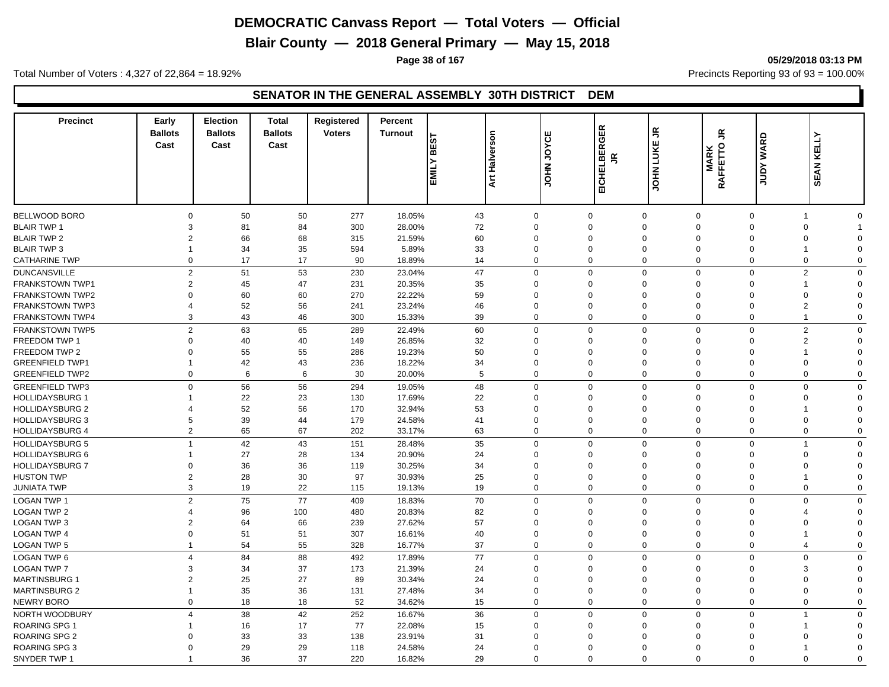**Blair County — 2018 General Primary — May 15, 2018**

**Page 38 of 167 05/29/2018 03:13 PM**

Total Number of Voters : 4,327 of 22,864 = 18.92% Precincts Reporting 93 of 93 = 100.00%

#### **SENATOR IN THE GENERAL ASSEMBLY 30TH DISTRICT DEM**

| <b>Precinct</b>        | Early<br><b>Ballots</b><br>Cast | <b>Election</b><br><b>Ballots</b><br>Cast | <b>Total</b><br><b>Ballots</b><br>Cast | Registered<br><b>Voters</b> | Percent<br><b>Turnout</b> | <b>BEST</b><br><b>EMILY</b> | <b>Art Halverson</b> | JOYCE<br><b>UPIOL</b> | EICHELBERGER<br>$\leq$ | £,<br>JOHN LUKE             | $\tilde{\vec{r}}$<br><b>MARK</b><br>RAFFETTO | JUDY WARD      | <b>SEAN KELLY</b> |  |
|------------------------|---------------------------------|-------------------------------------------|----------------------------------------|-----------------------------|---------------------------|-----------------------------|----------------------|-----------------------|------------------------|-----------------------------|----------------------------------------------|----------------|-------------------|--|
|                        |                                 |                                           |                                        |                             |                           |                             |                      |                       |                        |                             |                                              |                |                   |  |
| BELLWOOD BORO          | $\Omega$                        | 50                                        | 50                                     | 277                         | 18.05%                    | 43                          | $\Omega$             |                       | $\mathbf 0$            | $\mathbf 0$<br>$\mathbf 0$  | $\mathbf 0$                                  | $\mathbf 1$    | $\Omega$          |  |
| <b>BLAIR TWP 1</b>     | 3                               | 81                                        | 84                                     | 300                         | 28.00%                    | 72                          | $\mathbf 0$          |                       | $\Omega$               | $\mathbf 0$<br>$\Omega$     | $\mathbf 0$                                  | $\mathbf 0$    |                   |  |
| <b>BLAIR TWP 2</b>     | $\overline{2}$                  | 66                                        | 68                                     | 315                         | 21.59%                    | 60                          | $\Omega$             |                       | $\Omega$               | $\mathbf 0$<br>$\Omega$     | $\Omega$                                     | 0              | $\Omega$          |  |
| <b>BLAIR TWP 3</b>     | $\mathbf{1}$                    | 34                                        | 35                                     | 594                         | 5.89%                     | 33                          | $\mathbf 0$          |                       | $\mathbf 0$            | $\mathbf 0$<br>$\mathbf 0$  | $\mathbf 0$                                  | $\overline{1}$ | $\Omega$          |  |
| <b>CATHARINE TWP</b>   | $\Omega$                        | 17                                        | 17                                     | 90                          | 18.89%                    | 14                          | $\Omega$             |                       | $\mathbf 0$            | $\mathbf 0$<br>$\Omega$     | $\mathbf 0$                                  | $\mathbf 0$    | $\Omega$          |  |
| <b>DUNCANSVILLE</b>    | $\overline{2}$                  | 51                                        | 53                                     | 230                         | 23.04%                    | 47                          | $\Omega$             |                       | $\mathbf 0$            | $\mathbf 0$<br>$\mathbf 0$  | $\mathbf 0$                                  | $\overline{2}$ | $\Omega$          |  |
| <b>FRANKSTOWN TWP1</b> | $\overline{2}$                  | 45                                        | 47                                     | 231                         | 20.35%                    | 35                          | $\Omega$             |                       | $\Omega$               | $\mathbf 0$<br>$\Omega$     | $\Omega$                                     | -1             | $\Omega$          |  |
| FRANKSTOWN TWP2        | $\Omega$                        | 60                                        | 60                                     | 270                         | 22.22%                    | 59                          | $\Omega$             |                       | $\Omega$               | $\mathbf 0$<br>$\Omega$     | $\Omega$                                     | 0              | $\Omega$          |  |
| <b>FRANKSTOWN TWP3</b> | 4                               | 52                                        | 56                                     | 241                         | 23.24%                    | 46                          | $\Omega$             |                       | $\Omega$               | $\mathbf 0$<br>$\Omega$     | $\Omega$                                     | $\overline{2}$ | $\Omega$          |  |
| FRANKSTOWN TWP4        | 3                               | 43                                        | 46                                     | 300                         | 15.33%                    | 39                          | $\Omega$             |                       | 0                      | $\mathbf 0$<br>$\mathbf 0$  | $\mathbf 0$                                  | $\overline{1}$ | $\Omega$          |  |
| <b>FRANKSTOWN TWP5</b> | $\overline{2}$                  | 63                                        | 65                                     | 289                         | 22.49%                    | 60                          | $\mathbf 0$          |                       | $\mathbf 0$            | $\mathbf 0$<br>$\mathbf 0$  | $\mathbf 0$                                  | $\overline{2}$ | $\Omega$          |  |
| <b>FREEDOM TWP 1</b>   | $\Omega$                        | 40                                        | 40                                     | 149                         | 26.85%                    | 32                          | $\Omega$             |                       | $\Omega$               | $\mathbf 0$<br>$\mathbf{0}$ | $\Omega$                                     | 2              | $\Omega$          |  |
| FREEDOM TWP 2          | $\Omega$                        | 55                                        | 55                                     | 286                         | 19.23%                    | 50                          | $\mathbf 0$          |                       | $\mathbf 0$            | $\mathbf 0$<br>$\mathbf 0$  | $\mathbf 0$                                  | $\mathbf 1$    | $\Omega$          |  |
| <b>GREENFIELD TWP1</b> | $\mathbf{1}$                    | 42                                        | 43                                     | 236                         | 18.22%                    | 34                          | $\Omega$             |                       | $\Omega$               | $\mathbf 0$<br>$\mathbf{0}$ | $\Omega$                                     | 0              | $\Omega$          |  |
| <b>GREENFIELD TWP2</b> | $\mathbf 0$                     | 6                                         | 6                                      | 30                          | 20.00%                    | 5                           | $\Omega$             |                       | $\mathbf 0$            | $\mathbf 0$<br>$\mathbf 0$  | $\mathbf 0$                                  | $\mathbf 0$    | $\Omega$          |  |
| <b>GREENFIELD TWP3</b> | $\mathbf 0$                     | 56                                        | 56                                     | 294                         | 19.05%                    | 48                          | $\Omega$             |                       | $\mathbf 0$            | $\mathbf 0$<br>$\mathbf 0$  | $\overline{0}$                               | $\mathbf 0$    | $\mathbf 0$       |  |
| <b>HOLLIDAYSBURG 1</b> | -1                              | 22                                        | 23                                     | 130                         | 17.69%                    | 22                          | $\Omega$             |                       | $\Omega$               | $\mathbf 0$<br>$\Omega$     | $\Omega$                                     | 0              | $\Omega$          |  |
| <b>HOLLIDAYSBURG 2</b> | 4                               | 52                                        | 56                                     | 170                         | 32.94%                    | 53                          | $\Omega$             |                       | $\Omega$               | $\mathbf 0$<br>$\Omega$     | $\Omega$                                     | 1              | $\Omega$          |  |
| <b>HOLLIDAYSBURG 3</b> | 5                               | 39                                        | 44                                     | 179                         | 24.58%                    | 41                          | $\Omega$             |                       | $\Omega$               | $\mathbf 0$<br>$\Omega$     | $\Omega$                                     | 0              | $\Omega$          |  |
| <b>HOLLIDAYSBURG 4</b> | $\overline{2}$                  | 65                                        | 67                                     | 202                         | 33.17%                    | 63                          | $\overline{0}$       |                       | $\mathbf 0$            | $\mathbf 0$<br>$\mathbf 0$  | $\mathbf 0$                                  | 0              | $\mathbf 0$       |  |
| <b>HOLLIDAYSBURG 5</b> | $\overline{1}$                  | 42                                        | 43                                     | 151                         | 28.48%                    | 35                          | $\Omega$             |                       | $\mathbf 0$            | $\mathbf 0$<br>$\mathbf 0$  | $\mathbf 0$                                  | $\overline{1}$ | $\Omega$          |  |
| <b>HOLLIDAYSBURG 6</b> | 1                               | 27                                        | 28                                     | 134                         | 20.90%                    | 24                          | $\mathbf 0$          |                       | $\mathbf 0$            | $\mathbf 0$<br>$\mathbf 0$  | $\mathbf 0$                                  | 0              | $\Omega$          |  |
| <b>HOLLIDAYSBURG 7</b> | $\Omega$                        | 36                                        | 36                                     | 119                         | 30.25%                    | 34                          | $\Omega$             |                       | $\Omega$               | $\mathbf 0$<br>$\Omega$     | $\Omega$                                     | $\mathbf 0$    | $\Omega$          |  |
| <b>HUSTON TWP</b>      | $\overline{2}$                  | 28                                        | 30                                     | 97                          | 30.93%                    | 25                          | $\mathbf 0$          |                       | $\mathbf 0$            | $\mathbf 0$<br>$\mathbf 0$  | $\mathbf 0$                                  | 1              | $\Omega$          |  |
| JUNIATA TWP            | 3                               | 19                                        | 22                                     | 115                         | 19.13%                    | 19                          | $\Omega$             |                       | $\mathbf 0$            | $\mathbf 0$<br>$\Omega$     | $\mathbf 0$                                  | $\mathbf 0$    | $\Omega$          |  |
|                        | $\overline{2}$                  | 75                                        | 77                                     |                             |                           |                             | $\Omega$             |                       |                        |                             |                                              | $\mathbf 0$    | $\Omega$          |  |
| <b>LOGAN TWP 1</b>     |                                 |                                           |                                        | 409                         | 18.83%                    | 70                          |                      |                       | $\mathbf 0$            | $\mathbf 0$<br>$\mathbf{0}$ | $\mathbf 0$                                  |                |                   |  |
| <b>LOGAN TWP 2</b>     | 4                               | 96                                        | 100                                    | 480                         | 20.83%                    | 82                          | $\Omega$             |                       | $\mathbf 0$            | $\mathbf 0$<br>$\Omega$     | $\Omega$                                     | 4              | $\Omega$          |  |
| LOGAN TWP 3            | $\overline{2}$                  | 64                                        | 66                                     | 239                         | 27.62%                    | 57                          | $\Omega$             |                       | $\Omega$               | $\mathbf{0}$<br>$\Omega$    | $\Omega$                                     | $\mathbf 0$    | $\Omega$          |  |
| <b>LOGAN TWP 4</b>     | 0                               | 51                                        | 51                                     | 307                         | 16.61%                    | 40                          | $\Omega$<br>$\Omega$ |                       | 0                      | $\mathbf 0$<br>$\Omega$     | $\mathbf 0$                                  | 1              | $\Omega$          |  |
| <b>LOGAN TWP 5</b>     | $\mathbf 1$                     | 54                                        | 55                                     | 328                         | 16.77%                    | 37                          |                      |                       | 0                      | $\mathbf 0$<br>$\Omega$     | $\mathbf 0$                                  | $\overline{4}$ | $\Omega$          |  |
| <b>LOGAN TWP 6</b>     | $\overline{4}$                  | 84                                        | 88                                     | 492                         | 17.89%                    | 77                          | $\Omega$             |                       | $\mathbf 0$            | $\mathbf 0$<br>$\mathbf 0$  | $\mathbf 0$                                  | $\mathbf 0$    | $\Omega$          |  |
| <b>LOGAN TWP 7</b>     | 3                               | 34                                        | 37                                     | 173                         | 21.39%                    | 24                          | $\Omega$             |                       | $\Omega$               | $\mathbf 0$<br>$\Omega$     | $\Omega$                                     | 3              | $\Omega$          |  |
| <b>MARTINSBURG 1</b>   | $\overline{2}$                  | 25                                        | 27                                     | 89                          | 30.34%                    | 24                          | $\mathbf 0$          |                       | $\mathbf 0$            | $\mathbf 0$<br>$\mathbf 0$  | $\mathbf 0$                                  | $\mathbf 0$    | $\Omega$          |  |
| <b>MARTINSBURG 2</b>   | $\overline{1}$                  | 35                                        | 36                                     | 131                         | 27.48%                    | 34                          | $\Omega$             |                       | $\mathbf 0$            | $\mathbf 0$<br>$\mathbf{0}$ | $\mathbf 0$                                  | 0              | $\Omega$          |  |
| NEWRY BORO             | $\mathbf 0$                     | 18                                        | 18                                     | 52                          | 34.62%                    | 15                          | $\Omega$             |                       | $\mathbf 0$            | $\mathbf 0$<br>$\mathbf 0$  | $\mathbf 0$                                  | $\mathbf 0$    | $\Omega$          |  |
| NORTH WOODBURY         | $\overline{4}$                  | 38                                        | 42                                     | 252                         | 16.67%                    | 36                          | $\mathbf 0$          |                       | $\mathbf 0$            | $\mathbf 0$<br>$\mathbf 0$  | $\overline{0}$                               | $\overline{1}$ | $\Omega$          |  |
| <b>ROARING SPG 1</b>   |                                 | 16                                        | 17                                     | 77                          | 22.08%                    | 15                          | $\Omega$             |                       | $\Omega$               | $\mathbf 0$<br>$\Omega$     | $\Omega$                                     | $\overline{1}$ | $\Omega$          |  |
| <b>ROARING SPG 2</b>   | C                               | 33                                        | 33                                     | 138                         | 23.91%                    | 31                          | $\Omega$             |                       | $\Omega$               | $\mathbf 0$<br>$\Omega$     | $\Omega$                                     | 0              | $\Omega$          |  |
| ROARING SPG 3          | $\Omega$                        | 29                                        | 29                                     | 118                         | 24.58%                    | 24                          | $\Omega$             |                       | $\Omega$               | $\Omega$<br>$\Omega$        | $\Omega$                                     | 1              | $\Omega$          |  |
| SNYDER TWP 1           | 1                               | 36                                        | 37                                     | 220                         | 16.82%                    | 29                          | $\Omega$             |                       | $\Omega$               | $\Omega$<br>$\Omega$        | $\Omega$                                     | $\Omega$       | $\Omega$          |  |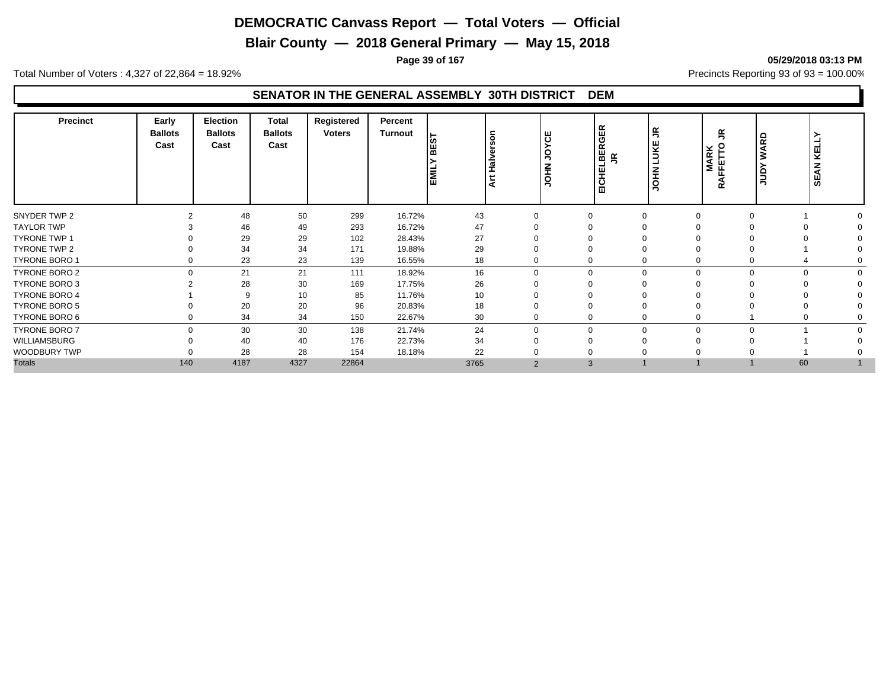**Blair County — 2018 General Primary — May 15, 2018**

**Page 39 of 167 05/29/2018 03:13 PM**

Total Number of Voters : 4,327 of 22,864 = 18.92% Precincts Reporting 93 of 93 = 100.00%

#### **SENATOR IN THE GENERAL ASSEMBLY 30TH DISTRICT DEM**

| <b>Precinct</b>      | Early<br><b>Ballots</b><br>Cast | <b>Election</b><br><b>Ballots</b><br>Cast | <b>Total</b><br><b>Ballots</b><br>Cast | Registered<br><b>Voters</b> | Percent<br><b>Turnout</b> | <u>ທ</u><br>EMIL | Halverson<br>Į | ш<br>ठ<br>ぅ<br>NHO | 띥<br>ত<br>LBER<br>鸟<br>뿦<br>듭 | L<br>보<br>∍<br>ᆂ<br>٥ | ≃<br>∍<br>ဥ<br>MARK<br>FFETTO<br>⊲<br>œ | 5<br>ৰ<br>š<br>≻<br>ğ | ⊐<br>ᆜ<br>뀢<br><b>SEAN</b> |
|----------------------|---------------------------------|-------------------------------------------|----------------------------------------|-----------------------------|---------------------------|------------------|----------------|--------------------|-------------------------------|-----------------------|-----------------------------------------|-----------------------|----------------------------|
| SNYDER TWP 2         |                                 | 48                                        | 50                                     | 299                         | 16.72%                    | 43               |                | $\Omega$           |                               |                       |                                         |                       |                            |
| <b>TAYLOR TWP</b>    |                                 | 46                                        | 49                                     | 293                         | 16.72%                    | 47               |                |                    |                               |                       |                                         |                       |                            |
| <b>TYRONE TWP 1</b>  |                                 | 29                                        | 29                                     | 102                         | 28.43%                    | 27               |                |                    |                               |                       |                                         |                       |                            |
| TYRONE TWP 2         |                                 | 34                                        | 34                                     | 171                         | 19.88%                    | 29               |                |                    |                               |                       |                                         |                       |                            |
| <b>TYRONE BORO 1</b> | 0                               | 23                                        | 23                                     | 139                         | 16.55%                    | 18               |                | 0                  | 0                             |                       |                                         |                       |                            |
| TYRONE BORO 2        | $\Omega$                        | 21                                        | 21                                     | 111                         | 18.92%                    | 16               |                | $\Omega$           | $\Omega$<br>0                 |                       |                                         | $\Omega$              |                            |
| <b>TYRONE BORO 3</b> |                                 | 28                                        | 30                                     | 169                         | 17.75%                    | 26               |                |                    |                               |                       |                                         |                       |                            |
| <b>TYRONE BORO 4</b> |                                 | 9                                         | 10                                     | 85                          | 11.76%                    | 10               |                |                    |                               |                       |                                         |                       |                            |
| <b>TYRONE BORO 5</b> |                                 | 20                                        | 20                                     | 96                          | 20.83%                    | 18               |                |                    |                               |                       |                                         |                       |                            |
| TYRONE BORO 6        | 0                               | 34                                        | 34                                     | 150                         | 22.67%                    | 30               |                | 0                  | 0                             |                       |                                         | 0                     |                            |
| <b>TYRONE BORO 7</b> | $\Omega$                        | 30                                        | 30                                     | 138                         | 21.74%                    | 24               |                | $\Omega$           | $\Omega$<br>$\Omega$          |                       | $\Omega$                                |                       |                            |
| <b>WILLIAMSBURG</b>  |                                 | 40                                        | 40                                     | 176                         | 22.73%                    | 34               |                | ∩                  |                               |                       |                                         |                       |                            |
| WOODBURY TWP         |                                 | 28                                        | 28                                     | 154                         | 18.18%                    | 22               |                |                    |                               |                       |                                         |                       |                            |
| <b>Totals</b>        | 140                             | 4187                                      | 4327                                   | 22864                       |                           | 3765             |                | $\overline{2}$     | 3                             |                       |                                         | 60                    |                            |
|                      |                                 |                                           |                                        |                             |                           |                  |                |                    |                               |                       |                                         |                       |                            |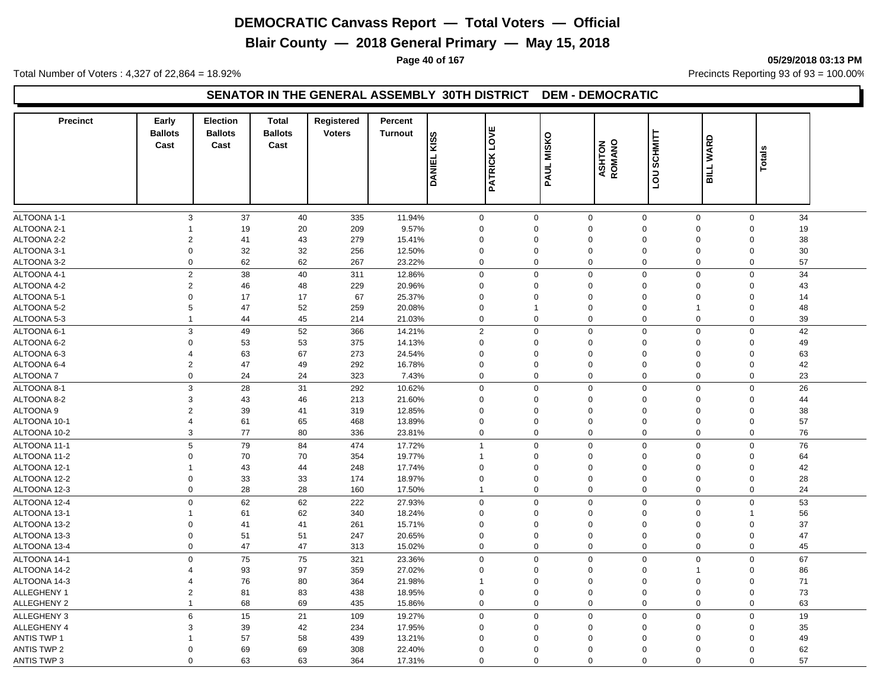**Blair County — 2018 General Primary — May 15, 2018**

**Page 40 of 167 05/29/2018 03:13 PM**

Total Number of Voters : 4,327 of 22,864 = 18.92% Precincts Reporting 93 of 93 = 100.00%

#### **SENATOR IN THE GENERAL ASSEMBLY 30TH DISTRICT DEM - DEMOCRATIC**

| <b>Precinct</b>                   | Early<br><b>Ballots</b><br>Cast           | <b>Election</b><br><b>Ballots</b><br>Cast | <b>Total</b><br><b>Ballots</b><br>Cast | Registered<br><b>Voters</b> | Percent<br><b>Turnout</b> | <b>KISS</b><br><b>DANIEL</b>    | <b>PATRICK LOVE</b>             | <b>MISKO</b><br>PAUL            | <b>ASHTON</b><br>ROMANO | <b>SCHMITT</b><br><b>DOT</b> | <b>WARD</b><br><b>TTIE</b> | <b>Totals</b> |  |
|-----------------------------------|-------------------------------------------|-------------------------------------------|----------------------------------------|-----------------------------|---------------------------|---------------------------------|---------------------------------|---------------------------------|-------------------------|------------------------------|----------------------------|---------------|--|
|                                   |                                           |                                           |                                        |                             |                           |                                 |                                 |                                 |                         |                              |                            |               |  |
|                                   |                                           |                                           |                                        |                             |                           |                                 |                                 |                                 |                         |                              |                            |               |  |
| ALTOONA 1-1<br><b>ALTOONA 2-1</b> | $\ensuremath{\mathsf{3}}$<br>$\mathbf{1}$ | 37<br>19                                  | 40                                     | 335                         | 11.94%<br>9.57%           | $\mathsf{O}\xspace$<br>$\Omega$ | $\mathsf{O}\xspace$<br>$\Omega$ | $\mathsf{O}\xspace$<br>$\Omega$ | $\mathbf 0$<br>$\Omega$ | $\mathbf 0$<br>$\Omega$      | $\mathbf 0$<br>$\Omega$    | 34<br>19      |  |
| ALTOONA 2-2                       | $\overline{2}$                            | 41                                        | 20<br>43                               | 209<br>279                  | 15.41%                    | $\Omega$                        | $\mathbf 0$                     | $\mathbf 0$                     | $\mathbf 0$             | $\Omega$                     | $\Omega$                   | 38            |  |
| ALTOONA 3-1                       | $\mathsf 0$                               | 32                                        | 32                                     | 256                         | 12.50%                    | $\mathbf 0$                     | $\mathbf 0$                     | $\mathbf 0$                     | $\mathbf 0$             | $\mathbf 0$                  | $\mathbf 0$                | 30            |  |
| ALTOONA 3-2                       | $\mathbf 0$                               | 62                                        | 62                                     | 267                         | 23.22%                    | $\Omega$                        | $\mathbf 0$                     | $\mathbf 0$                     | $\mathbf 0$             | 0                            | $\mathbf 0$                | 57            |  |
| ALTOONA 4-1                       | 2                                         | 38                                        | 40                                     | 311                         | 12.86%                    | $\mathbf 0$                     | $\mathbf 0$                     | $\mathbf 0$                     | $\mathbf 0$             | 0                            | $\mathbf 0$                | 34            |  |
| ALTOONA 4-2                       | 2                                         | 46                                        | 48                                     | 229                         | 20.96%                    | $\Omega$                        | 0                               | $\mathbf 0$                     | $\mathbf 0$             | 0                            | $\Omega$                   | 43            |  |
| ALTOONA 5-1                       | $\mathbf 0$                               | 17                                        | 17                                     | 67                          | 25.37%                    | $\Omega$                        | $\Omega$                        | $\mathbf 0$                     | $\mathbf 0$             | $\Omega$                     | $\Omega$                   | 14            |  |
| ALTOONA 5-2                       | 5                                         | 47                                        | 52                                     | 259                         | 20.08%                    | $\mathbf 0$                     | 1                               | $\mathbf 0$                     | $\mathbf 0$             | $\overline{1}$               | $\mathbf 0$                | 48            |  |
| ALTOONA 5-3                       | $\mathbf{1}$                              | 44                                        | 45                                     | 214                         | 21.03%                    | $\Omega$                        | $\mathbf 0$                     | $\mathbf 0$                     | $\mathbf 0$             | 0                            | 0                          | 39            |  |
| ALTOONA 6-1                       | 3                                         | 49                                        | 52                                     | 366                         | 14.21%                    | $\overline{2}$                  | $\mathbf 0$                     | $\mathbf 0$                     | $\mathbf 0$             | 0                            | $\mathbf 0$                | 42            |  |
| ALTOONA 6-2                       | $\Omega$                                  | 53                                        | 53                                     | 375                         | 14.13%                    | $\mathbf 0$                     | $\Omega$                        | $\mathbf 0$                     | $\mathbf 0$             | $\Omega$                     | $\Omega$                   | 49            |  |
| ALTOONA 6-3                       | $\overline{4}$                            | 63                                        | 67                                     | 273                         | 24.54%                    | $\Omega$                        | 0                               | $\mathbf 0$                     | $\mathbf 0$             | $\Omega$                     | $\Omega$                   | 63            |  |
| ALTOONA 6-4                       | $\overline{2}$                            | 47                                        | 49                                     | 292                         | 16.78%                    | $\mathbf 0$                     | $\mathbf 0$                     | $\mathbf 0$                     | $\mathbf 0$             | $\mathbf 0$                  | $\mathbf 0$                | 42            |  |
| ALTOONA 7                         | 0                                         | 24                                        | 24                                     | 323                         | 7.43%                     | $\Omega$                        | 0                               | $\mathbf 0$                     | $\mathbf 0$             | 0                            | $\Omega$                   | 23            |  |
| ALTOONA 8-1                       | 3                                         | 28                                        | 31                                     | 292                         | 10.62%                    | $\Omega$                        | $\mathbf 0$                     | $\Omega$                        | $\mathbf 0$             | $\mathbf 0$                  | $\mathsf 0$                | 26            |  |
| ALTOONA 8-2                       | 3                                         | 43                                        | 46                                     | 213                         | 21.60%                    | $\Omega$                        | $\Omega$                        | $\Omega$                        | $\mathbf 0$             | $\Omega$                     | $\Omega$                   | 44            |  |
| ALTOONA <sub>9</sub>              | $\overline{2}$                            | 39                                        | 41                                     | 319                         | 12.85%                    | $\mathbf 0$                     | $\Omega$                        | $\mathbf 0$                     | $\mathbf 0$             | $\Omega$                     | $\Omega$                   | 38            |  |
| ALTOONA 10-1                      | $\overline{4}$                            | 61                                        | 65                                     | 468                         | 13.89%                    | $\mathbf 0$                     | $\mathbf 0$                     | $\mathbf 0$                     | $\mathbf 0$             | 0                            | $\mathbf 0$                | 57            |  |
| ALTOONA 10-2                      | 3                                         | 77                                        | 80                                     | 336                         | 23.81%                    | $\mathbf 0$                     | $\mathbf 0$                     | $\mathbf 0$                     | $\mathbf 0$             | 0                            | $\mathbf 0$                | 76            |  |
| ALTOONA 11-1                      | 5                                         | 79                                        | 84                                     | 474                         | 17.72%                    | $\overline{1}$                  | $\mathbf 0$                     | $\mathbf 0$                     | $\mathbf 0$             | 0                            | $\mathbf 0$                | 76            |  |
| ALTOONA 11-2                      | $\Omega$                                  | 70                                        | 70                                     | 354                         | 19.77%                    | $\overline{\mathbf{1}}$         | $\Omega$                        | $\Omega$                        | $\Omega$                | 0                            | $\Omega$                   | 64            |  |
| ALTOONA 12-1                      | -1                                        | 43                                        | 44                                     | 248                         | 17.74%                    | $\mathbf 0$                     | $\Omega$                        | $\mathbf 0$                     | $\mathbf 0$             | $\mathbf 0$                  | $\mathbf 0$                | 42            |  |
| ALTOONA 12-2                      | $\mathbf 0$                               | 33                                        | 33                                     | 174                         | 18.97%                    | $\Omega$                        | $\mathbf 0$                     | $\Omega$                        | $\mathbf 0$             | $\Omega$                     | $\Omega$                   | 28            |  |
| ALTOONA 12-3                      | $\mathsf 0$                               | 28                                        | 28                                     | 160                         | 17.50%                    | 1                               | $\mathbf 0$                     | $\mathbf 0$                     | $\mathbf 0$             | 0                            | $\mathbf 0$                | 24            |  |
| ALTOONA 12-4                      | $\mathbf 0$                               | 62                                        | 62                                     | 222                         | 27.93%                    | $\mathbf 0$                     | $\mathbf 0$                     | $\mathbf 0$                     | $\mathbf 0$             | 0                            | $\mathbf 0$                | 53            |  |
| ALTOONA 13-1                      | $\mathbf{1}$                              | 61                                        | 62                                     | 340                         | 18.24%                    | $\mathbf 0$                     | $\mathbf 0$                     | $\mathsf 0$                     | $\mathbf 0$             | $\mathbf 0$                  | $\overline{\mathbf{1}}$    | 56            |  |
| ALTOONA 13-2                      | $\Omega$                                  | 41                                        | 41                                     | 261                         | 15.71%                    | $\Omega$                        | $\Omega$                        | $\mathbf 0$                     | $\mathbf 0$             | $\Omega$                     | $\mathbf 0$                | 37            |  |
| ALTOONA 13-3                      | $\mathbf 0$                               | 51                                        | 51                                     | 247                         | 20.65%                    | $\mathbf 0$                     | $\mathbf 0$                     | $\mathbf 0$                     | $\mathbf 0$             | 0                            | $\mathbf 0$                | 47            |  |
| ALTOONA 13-4                      | 0                                         | 47                                        | 47                                     | 313                         | 15.02%                    | $\mathbf 0$                     | 0                               | $\mathbf 0$                     | $\mathbf 0$             | 0                            | 0                          | 45            |  |
| ALTOONA 14-1                      | $\mathbf 0$                               | 75                                        | 75                                     | 321                         | 23.36%                    | $\Omega$                        | $\mathbf 0$                     | $\mathbf 0$                     | $\mathbf 0$             | $\mathbf 0$                  | $\mathbf 0$                | 67            |  |
| ALTOONA 14-2                      | $\overline{\mathcal{A}}$                  | 93                                        | 97                                     | 359                         | 27.02%                    | $\mathbf 0$                     | $\mathbf 0$                     | $\mathbf 0$                     | $\mathbf 0$             | 1                            | $\mathbf 0$                | 86            |  |
| ALTOONA 14-3                      | $\overline{4}$                            | 76                                        | 80                                     | 364                         | 21.98%                    | $\overline{\mathbf{1}}$         | $\Omega$                        | $\mathbf 0$                     | $\mathbf 0$             | $\Omega$                     | $\mathbf 0$                | 71            |  |
| ALLEGHENY 1                       | $\overline{2}$                            | 81                                        | 83                                     | 438                         | 18.95%                    | $\mathbf 0$                     | $\mathbf 0$                     | $\mathbf 0$                     | $\mathbf 0$             | 0                            | $\mathbf 0$                | 73            |  |
| <b>ALLEGHENY 2</b>                | $\mathbf{1}$                              | 68                                        | 69                                     | 435                         | 15.86%                    | $\mathbf 0$                     | $\mathbf 0$                     | $\mathbf 0$                     | $\mathbf 0$             | 0                            | $\mathbf 0$                | 63            |  |
| ALLEGHENY 3                       | 6                                         | 15                                        | 21                                     | 109                         | 19.27%                    | $\mathbf 0$                     | $\mathbf 0$                     | $\mathbf 0$                     | $\mathbf 0$             | 0                            | $\mathsf 0$                | 19            |  |
| ALLEGHENY 4                       | 3                                         | 39                                        | 42                                     | 234                         | 17.95%                    | $\Omega$                        | $\mathbf 0$                     | $\mathbf 0$                     | $\mathbf 0$             | $\Omega$                     | $\mathbf 0$                | 35            |  |
| <b>ANTIS TWP 1</b>                | -1                                        | 57                                        | 58                                     | 439                         | 13.21%                    | $\Omega$                        | $\Omega$                        | $\Omega$                        | $\Omega$                | $\Omega$                     | $\Omega$                   | 49            |  |
| <b>ANTIS TWP 2</b>                | $\Omega$                                  | 69                                        | 69                                     | 308                         | 22.40%                    | $\Omega$                        | $\Omega$                        | $\Omega$                        | $\Omega$                | $\Omega$                     | $\Omega$                   | 62            |  |
| <b>ANTIS TWP 3</b>                | $\Omega$                                  | 63                                        | 63                                     | 364                         | 17.31%                    | $\Omega$                        | $\Omega$                        | $\Omega$                        | $\Omega$                | $\mathbf 0$                  | $\Omega$                   | 57            |  |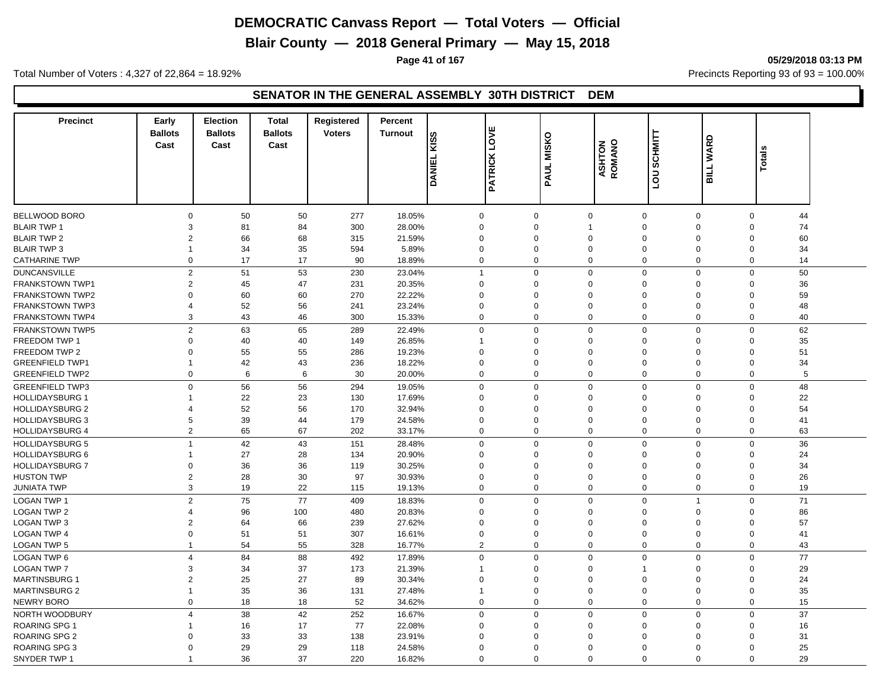**Blair County — 2018 General Primary — May 15, 2018**

**Page 41 of 167 05/29/2018 03:13 PM**

Total Number of Voters : 4,327 of 22,864 = 18.92% Precincts Reporting 93 of 93 = 100.00%

#### **SENATOR IN THE GENERAL ASSEMBLY 30TH DISTRICT DEM**

| <b>Precinct</b>        | Early<br><b>Ballots</b><br>Cast | <b>Election</b><br><b>Ballots</b><br>Cast | <b>Total</b><br><b>Ballots</b><br>Cast | Registered<br><b>Voters</b> | Percent<br><b>Turnout</b> | <b>KISS</b><br><b>DANIEL</b> | <b>PATRICK LOVE</b> | <b>MISKO</b><br>PAUL       | <b>ASHTON</b><br>ROMANO | <b>SCHMITT</b><br><b>DOT</b> | <b>WARD</b><br><b>BILL</b> | <b>Totals</b>     |  |
|------------------------|---------------------------------|-------------------------------------------|----------------------------------------|-----------------------------|---------------------------|------------------------------|---------------------|----------------------------|-------------------------|------------------------------|----------------------------|-------------------|--|
|                        |                                 |                                           |                                        |                             |                           |                              |                     |                            |                         |                              |                            |                   |  |
| BELLWOOD BORO          | $\mathbf 0$                     | 50                                        | 50                                     | 277                         | 18.05%                    | $\mathbf 0$                  | $\mathbf 0$         | $\mathbf 0$                | $\pmb{0}$               | 0                            |                            | $\mathbf 0$<br>44 |  |
| <b>BLAIR TWP 1</b>     | 3                               | 81                                        | 84                                     | 300                         | 28.00%                    | $\Omega$                     | $\Omega$            | $\mathbf{1}$               | $\mathbf 0$             | $\Omega$                     |                            | 74<br>$\Omega$    |  |
| <b>BLAIR TWP 2</b>     | $\overline{2}$                  | 66                                        | 68                                     | 315                         | 21.59%                    | $\Omega$                     | $\mathbf 0$         | $\mathbf 0$                | $\Omega$                | $\Omega$                     |                            | 60<br>$\mathbf 0$ |  |
| <b>BLAIR TWP 3</b>     | $\mathbf{1}$                    | 34                                        | 35                                     | 594                         | 5.89%                     | $\Omega$                     | $\mathbf 0$         | $\mathbf 0$                | $\Omega$                | $\Omega$                     |                            | 34<br>$\Omega$    |  |
| <b>CATHARINE TWP</b>   | $\mathbf 0$                     | 17                                        | 17                                     | 90                          | 18.89%                    | $\mathbf 0$                  | $\mathbf 0$         | $\mathbf 0$                | $\mathbf 0$             | 0                            |                            | 14<br>$\mathbf 0$ |  |
| <b>DUNCANSVILLE</b>    | 2                               | 51                                        | 53                                     | 230                         | 23.04%                    | $\overline{1}$               | $\mathbf 0$         | $\Omega$                   | $\mathbf 0$             | $\Omega$                     |                            | 50<br>$\Omega$    |  |
| FRANKSTOWN TWP1        | $\overline{2}$                  | 45                                        | 47                                     | 231                         | 20.35%                    | $\Omega$                     | $\Omega$            | $\Omega$                   | $\mathbf 0$             | $\Omega$                     |                            | 36<br>$\Omega$    |  |
| <b>FRANKSTOWN TWP2</b> | $\Omega$                        | 60                                        | 60                                     | 270                         | 22.22%                    | $\Omega$                     | $\mathbf 0$         | $\Omega$                   | $\Omega$                | $\Omega$                     |                            | 59<br>$\Omega$    |  |
| <b>FRANKSTOWN TWP3</b> | $\overline{4}$                  | 52                                        | 56                                     | 241                         | 23.24%                    | $\Omega$                     | $\Omega$            | $\mathbf 0$                | $\mathbf 0$             | $\Omega$                     |                            | $\Omega$<br>48    |  |
| <b>FRANKSTOWN TWP4</b> | 3                               | 43                                        | 46                                     | 300                         | 15.33%                    | $\Omega$                     | $\mathbf 0$         | $\mathbf 0$                | $\mathbf 0$             | $\mathbf 0$                  |                            | 40<br>$\Omega$    |  |
| <b>FRANKSTOWN TWP5</b> | $\overline{2}$                  | 63                                        | 65                                     | 289                         | 22.49%                    | $\mathbf 0$                  | $\mathbf 0$         | $\mathbf 0$                | $\mathbf 0$             | 0                            |                            | $\mathbf 0$<br>62 |  |
| FREEDOM TWP 1          | $\Omega$                        | 40                                        | 40                                     | 149                         | 26.85%                    | -1                           | $\Omega$            | $\mathbf 0$                | $\mathbf 0$             | $\Omega$                     |                            | 35<br>$\mathbf 0$ |  |
| FREEDOM TWP 2          | $\mathbf 0$                     | 55                                        | 55                                     | 286                         | 19.23%                    | $\Omega$                     | $\mathbf 0$         | $\mathbf 0$                | $\mathbf 0$             | $\mathbf 0$                  |                            | 51<br>$\Omega$    |  |
| <b>GREENFIELD TWP1</b> | $\mathbf 1$                     | 42                                        | 43                                     | 236                         | 18.22%                    | $\Omega$                     | $\Omega$            | $\Omega$                   | $\mathbf 0$             | $\mathbf 0$                  |                            | 34<br>$\mathbf 0$ |  |
| <b>GREENFIELD TWP2</b> | 0                               | 6                                         | 6                                      | 30                          | 20.00%                    | $\Omega$                     | $\mathbf 0$         | $\mathbf 0$                | $\mathbf 0$             | 0                            |                            | 5<br>0            |  |
| <b>GREENFIELD TWP3</b> | $\mathbf 0$                     | 56                                        | 56                                     | 294                         | 19.05%                    | $\Omega$                     | $\mathbf 0$         | $\mathbf 0$                | $\mathbf 0$             | $\Omega$                     |                            | 48<br>$\Omega$    |  |
| <b>HOLLIDAYSBURG 1</b> | $\mathbf{1}$                    | 22                                        |                                        | 130                         | 17.69%                    | $\Omega$                     | $\mathbf 0$         | $\Omega$                   | $\Omega$                | $\Omega$                     |                            | 22<br>$\Omega$    |  |
| <b>HOLLIDAYSBURG 2</b> | $\overline{4}$                  | 52                                        | 23<br>56                               | 170                         | 32.94%                    | $\Omega$                     | $\Omega$            | $\Omega$                   | $\Omega$                | $\Omega$                     |                            | 54<br>$\Omega$    |  |
| <b>HOLLIDAYSBURG 3</b> | 5                               | 39                                        | 44                                     | 179                         | 24.58%                    | $\Omega$                     | $\Omega$            | $\Omega$                   | $\mathbf 0$             | $\Omega$                     |                            | $\Omega$<br>41    |  |
| <b>HOLLIDAYSBURG 4</b> | $\overline{2}$                  | 65                                        | 67                                     | 202                         | 33.17%                    | $\Omega$                     |                     | $\mathbf 0$<br>$\mathbf 0$ | $\mathbf 0$             | $\mathbf 0$                  |                            | $\mathbf 0$<br>63 |  |
|                        |                                 |                                           |                                        |                             |                           |                              |                     |                            |                         |                              |                            |                   |  |
| <b>HOLLIDAYSBURG 5</b> | $\mathbf{1}$                    | 42                                        | 43                                     | 151                         | 28.48%                    | $\mathbf 0$                  | $\mathbf 0$         | $\mathbf 0$                | $\mathbf 0$             | 0                            |                            | 36<br>$\mathsf 0$ |  |
| <b>HOLLIDAYSBURG 6</b> | $\mathbf{1}$                    | 27                                        | 28                                     | 134                         | 20.90%                    | $\Omega$                     | $\Omega$            | $\Omega$                   | $\mathbf 0$             | $\Omega$                     |                            | 24<br>$\Omega$    |  |
| <b>HOLLIDAYSBURG 7</b> | $\mathsf 0$                     | 36                                        | 36                                     | 119                         | 30.25%                    | $\Omega$                     | $\Omega$            | $\mathbf 0$                | $\mathbf 0$             | $\Omega$                     |                            | 34<br>$\Omega$    |  |
| <b>HUSTON TWP</b>      | $\overline{2}$                  | 28                                        | 30                                     | 97                          | 30.93%                    | $\Omega$                     | $\Omega$            | $\mathbf 0$                | $\mathbf 0$             | $\Omega$                     |                            | 26<br>$\Omega$    |  |
| <b>JUNIATA TWP</b>     | 3                               | 19                                        | 22                                     | 115                         | 19.13%                    | $\Omega$                     | $\mathbf 0$         | $\mathbf 0$                | $\mathbf 0$             | 0                            |                            | 19<br>$\mathbf 0$ |  |
| <b>LOGAN TWP 1</b>     | $\overline{2}$                  | 75                                        | 77                                     | 409                         | 18.83%                    | $\Omega$                     | $\mathbf 0$         | $\Omega$                   | $\mathbf 0$             | $\overline{1}$               |                            | 71<br>$\Omega$    |  |
| <b>LOGAN TWP 2</b>     | $\overline{\mathcal{A}}$        | 96                                        | 100                                    | 480                         | 20.83%                    | $\Omega$                     | $\Omega$            | $\Omega$                   | $\Omega$                | $\Omega$                     |                            | 86<br>$\mathbf 0$ |  |
| <b>LOGAN TWP 3</b>     | $\overline{2}$                  | 64                                        | 66                                     | 239                         | 27.62%                    | $\Omega$                     | $\Omega$            | $\Omega$                   | $\mathbf 0$             | $\Omega$                     |                            | 57<br>$\Omega$    |  |
| <b>LOGAN TWP 4</b>     | $\Omega$                        | 51                                        | 51                                     | 307                         | 16.61%                    | $\Omega$                     | $\Omega$            | $\Omega$                   | $\Omega$                | $\Omega$                     |                            | $\Omega$<br>41    |  |
| <b>LOGAN TWP 5</b>     | $\mathbf{1}$                    | 54                                        | 55                                     | 328                         | 16.77%                    | $\overline{2}$               | $\mathbf 0$         | $\mathbf 0$                | $\mathbf 0$             | $\mathbf 0$                  |                            | $\Omega$<br>43    |  |
| <b>LOGAN TWP 6</b>     | $\overline{4}$                  | 84                                        | 88                                     | 492                         | 17.89%                    | $\Omega$                     | $\mathbf 0$         | $\mathbf 0$                | $\mathbf 0$             | $\mathbf 0$                  |                            | $\mathbf 0$<br>77 |  |
| <b>LOGAN TWP 7</b>     | 3                               | 34                                        | 37                                     | 173                         | 21.39%                    | 1                            | $\Omega$            | $\mathbf 0$                | $\overline{1}$          | $\Omega$                     |                            | 29<br>$\Omega$    |  |
| <b>MARTINSBURG 1</b>   | $\overline{2}$                  | 25                                        | 27                                     | 89                          | 30.34%                    | $\Omega$                     | $\Omega$            | $\mathsf 0$                | $\mathbf 0$             | $\Omega$                     |                            | $\mathsf 0$<br>24 |  |
| <b>MARTINSBURG 2</b>   | $\mathbf{1}$                    | 35                                        | 36                                     | 131                         | 27.48%                    | $\overline{\mathbf{1}}$      | $\mathbf 0$         | $\mathbf 0$                | $\mathbf 0$             | $\mathbf 0$                  |                            | 35<br>$\mathbf 0$ |  |
| NEWRY BORO             | $\mathbf 0$                     | 18                                        | 18                                     | 52                          | 34.62%                    | $\mathbf 0$                  | $\mathbf 0$         | $\mathbf 0$                | $\mathbf 0$             | $\mathbf 0$                  |                            | $\mathbf 0$<br>15 |  |
| NORTH WOODBURY         | $\overline{4}$                  | 38                                        | 42                                     | 252                         | 16.67%                    | $\mathbf 0$                  | $\mathbf 0$         | $\mathbf 0$                | $\mathbf 0$             | 0                            |                            | 37<br>$\mathsf 0$ |  |
| ROARING SPG 1          | $\mathbf{1}$                    | 16                                        | 17                                     | 77                          | 22.08%                    | $\Omega$                     | $\Omega$            | $\Omega$                   | $\Omega$                | $\Omega$                     |                            | 16<br>$\Omega$    |  |
| <b>ROARING SPG 2</b>   | $\Omega$                        | 33                                        | 33                                     | 138                         | 23.91%                    | $\Omega$                     | $\Omega$            | $\Omega$                   | $\Omega$                | $\Omega$                     |                            | 31<br>$\Omega$    |  |
| ROARING SPG 3          | $\Omega$                        | 29                                        | 29                                     | 118                         | 24.58%                    | $\Omega$                     | $\Omega$            | $\Omega$                   | $\Omega$                | $\Omega$                     |                            | 25<br>$\Omega$    |  |
| SNYDER TWP 1           | $\overline{1}$                  | 36                                        | 37                                     | 220                         | 16.82%                    | $\Omega$                     | $\Omega$            | $\Omega$                   | $\Omega$                | $\Omega$                     |                            | 29<br>$\Omega$    |  |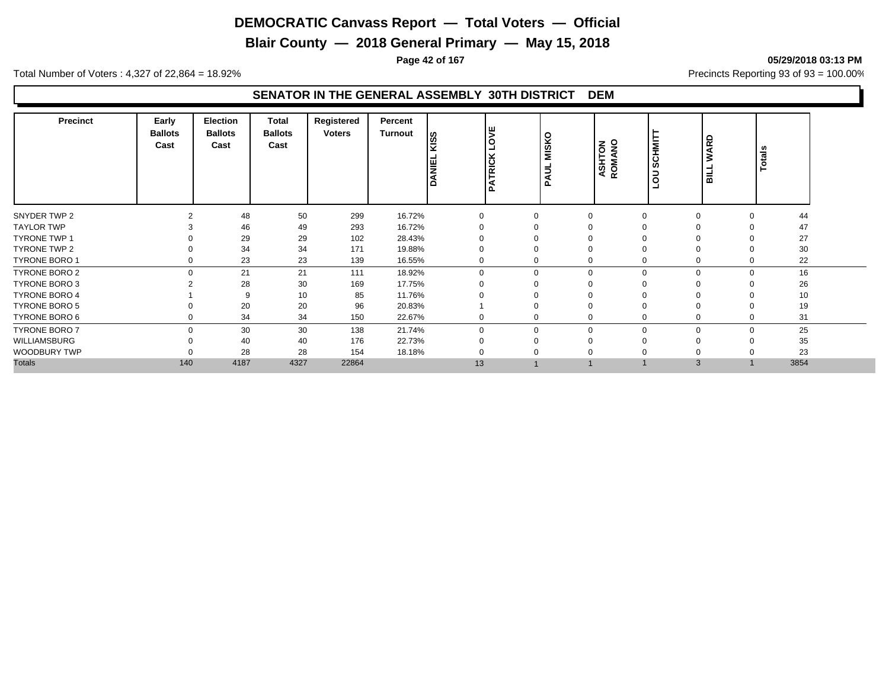**Blair County — 2018 General Primary — May 15, 2018**

**Page 42 of 167 05/29/2018 03:13 PM**

Total Number of Voters : 4,327 of 22,864 = 18.92% Precincts Reporting 93 of 93 = 100.00%

#### **SENATOR IN THE GENERAL ASSEMBLY 30TH DISTRICT DEM**

| <b>Precinct</b>      | Early<br><b>Ballots</b><br>Cast | Election<br><b>Ballots</b><br>Cast | Total<br><b>Ballots</b><br>Cast | Registered<br><b>Voters</b> | Percent<br>Turnout | <b>SSIN</b><br>DANEI | ۱ш<br>lδ<br><b>PATRICK</b> | <b>MISKO</b><br>∍<br>◀<br>Ω | <b>ASHTON</b><br>ROMANO | SCHMITT<br>$\overline{5}$<br>⊐ | WARD<br>$\overline{\phantom{0}}$<br>륿 | otals<br>⊢ |  |
|----------------------|---------------------------------|------------------------------------|---------------------------------|-----------------------------|--------------------|----------------------|----------------------------|-----------------------------|-------------------------|--------------------------------|---------------------------------------|------------|--|
| SNYDER TWP 2         |                                 | 48                                 | 50                              | 299                         | 16.72%             |                      | $\Omega$                   |                             | $\Omega$                | $\Omega$                       |                                       | 44         |  |
| <b>TAYLOR TWP</b>    |                                 | 46                                 | 49                              | 293                         | 16.72%             |                      |                            |                             |                         |                                |                                       | 47         |  |
| <b>TYRONE TWP 1</b>  |                                 | 29                                 | 29                              | 102                         | 28.43%             |                      |                            |                             |                         |                                |                                       | 27         |  |
| TYRONE TWP 2         |                                 | 34                                 | 34                              | 171                         | 19.88%             |                      | 0                          |                             |                         | 0                              |                                       | 30         |  |
| TYRONE BORO 1        |                                 | 23                                 | 23                              | 139                         | 16.55%             | 0                    | 0                          |                             | 0                       | 0                              |                                       | 22         |  |
| TYRONE BORO 2        | $\Omega$                        | 21                                 | 21                              | 111                         | 18.92%             | $\Omega$             | $\mathbf 0$                |                             | $\Omega$                | $\Omega$                       | $\Omega$                              | 16         |  |
| TYRONE BORO 3        |                                 | 28                                 | 30                              | 169                         | 17.75%             |                      | 0                          |                             |                         | O                              |                                       | 26         |  |
| <b>TYRONE BORO 4</b> |                                 | 9                                  | 10                              | 85                          | 11.76%             |                      | $\Omega$                   |                             |                         |                                |                                       | 10         |  |
| <b>TYRONE BORO 5</b> |                                 | 20                                 | 20                              | 96                          | 20.83%             |                      | 0                          |                             |                         | $\mathbf 0$                    |                                       | 19         |  |
| TYRONE BORO 6        |                                 | 34                                 | 34                              | 150                         | 22.67%             | 0                    | 0                          |                             | $\mathbf 0$             | $\mathbf 0$                    |                                       | 31         |  |
| <b>TYRONE BORO 7</b> | $\Omega$                        | 30                                 | 30                              | 138                         | 21.74%             | $\Omega$             | $\mathbf 0$                |                             | $\Omega$                | $\Omega$                       | $\Omega$                              | 25         |  |
| WILLIAMSBURG         |                                 | 40                                 | 40                              | 176                         | 22.73%             |                      | 0                          |                             |                         | $\Omega$                       |                                       | 35         |  |
| <b>WOODBURY TWP</b>  |                                 | 28                                 | 28                              | 154                         | 18.18%             |                      | 0                          |                             |                         | 0                              |                                       | 23         |  |
| <b>Totals</b>        | 140                             | 4187                               | 4327                            | 22864                       |                    | 13                   |                            |                             |                         | 3                              |                                       | 3854       |  |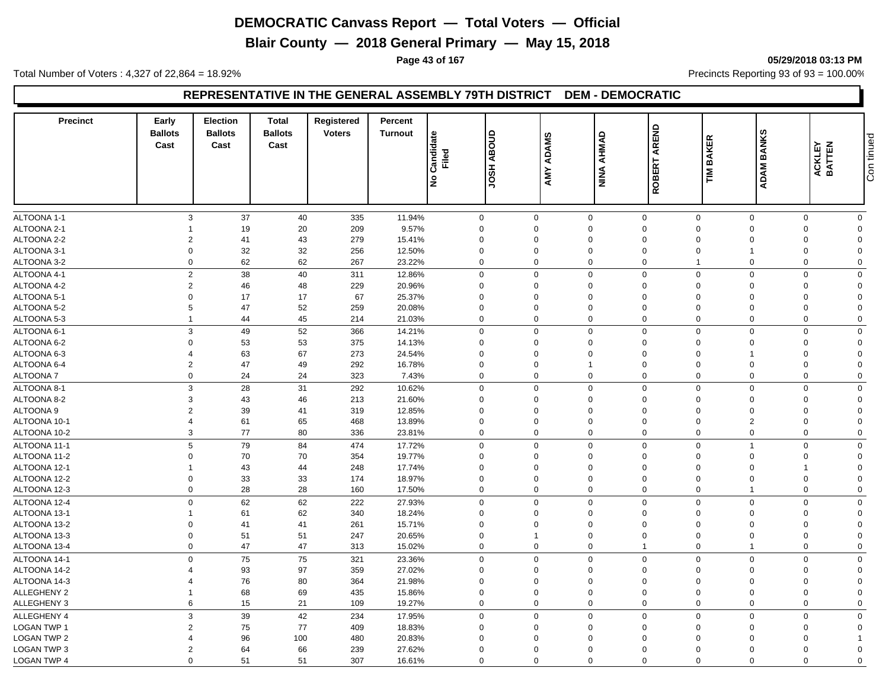**Blair County — 2018 General Primary — May 15, 2018**

**Page 43 of 167 05/29/2018 03:13 PM**

Total Number of Voters : 4,327 of 22,864 = 18.92% Precincts Reporting 93 of 93 = 100.00%

## **REPRESENTATIVE IN THE GENERAL ASSEMBLY 79TH DISTRICT DEM - DEMOCRATIC**

| <b>Precinct</b>      | Early<br><b>Ballots</b><br>Cast | Election<br><b>Ballots</b><br>Cast | <b>Total</b><br><b>Ballots</b><br>Cast | Registered<br><b>Voters</b> | Percent<br><b>Turnout</b> | Candidate<br>Filed<br>$\frac{1}{2}$ | <b>ABOUD</b><br><b>HSOL</b> | AMY ADAMS   | NINA AHMAD     | AREND<br>ROBERT | <b>BAKER</b><br>ΣĒ | <b>BANKS</b><br>ADAM I | ACKLEY<br>BATTEN | Con tinued  |
|----------------------|---------------------------------|------------------------------------|----------------------------------------|-----------------------------|---------------------------|-------------------------------------|-----------------------------|-------------|----------------|-----------------|--------------------|------------------------|------------------|-------------|
|                      |                                 |                                    |                                        |                             |                           |                                     |                             |             |                |                 |                    |                        |                  |             |
| ALTOONA 1-1          |                                 | 3<br>37                            | 40                                     | 335                         | 11.94%                    |                                     | $\mathbf 0$                 | $\mathbf 0$ | $\mathbf 0$    | $\mathbf 0$     | $\mathbf 0$        | $\mathbf 0$            | $\mathbf{0}$     | $\mathbf 0$ |
| ALTOONA 2-1          |                                 | 19                                 | 20                                     | 209                         | 9.57%                     |                                     | $\mathbf 0$                 | $\Omega$    | $\mathbf 0$    | $\Omega$        | $\Omega$           | $\Omega$               | $\Omega$         | $\Omega$    |
| ALTOONA 2-2          |                                 | 2<br>41                            | 43                                     | 279                         | 15.41%                    |                                     | $\mathbf 0$                 | $\Omega$    | $\Omega$       | $\Omega$        | $\Omega$           | $\Omega$               | $\Omega$         | $\Omega$    |
| ALTOONA 3-1          |                                 | 32<br>$\mathbf 0$                  | 32                                     | 256                         | 12.50%                    |                                     | $\mathbf 0$                 | $\mathbf 0$ | $\mathbf 0$    | $\mathbf 0$     | $\mathbf 0$        | 1                      | $\Omega$         | $\Omega$    |
| ALTOONA 3-2          |                                 | 62<br>$\mathbf 0$                  | 62                                     | 267                         | 23.22%                    |                                     | $\mathbf 0$                 | $\mathbf 0$ | $\mathbf 0$    | $\mathbf 0$     | $\mathbf{1}$       | $\mathbf 0$            | $\mathbf 0$      | $\mathbf 0$ |
| ALTOONA 4-1          |                                 | $\overline{2}$<br>38               | 40                                     | 311                         | 12.86%                    |                                     | $\mathbf 0$                 | $\mathbf 0$ | $\mathbf 0$    | $\mathbf 0$     | $\mathbf 0$        | $\mathbf 0$            | $\mathbf 0$      | 0           |
| ALTOONA 4-2          |                                 | $\overline{2}$<br>46               | 48                                     | 229                         | 20.96%                    |                                     | $\mathbf 0$                 | $\Omega$    | $\Omega$       | $\Omega$        | $\Omega$           | $\Omega$               | $\Omega$         | $\Omega$    |
| ALTOONA 5-1          |                                 | $\mathbf 0$<br>17                  | 17                                     | 67                          | 25.37%                    |                                     | $\mathbf 0$                 | $\Omega$    | $\Omega$       | $\Omega$        | $\Omega$           | $\Omega$               | $\Omega$         | $\Omega$    |
| ALTOONA 5-2          |                                 | 5<br>47                            | 52                                     | 259                         | 20.08%                    |                                     | $\mathbf 0$                 | $\Omega$    | $\Omega$       | $\Omega$        | $\mathbf 0$        | $\mathbf 0$            | $\Omega$         | $\Omega$    |
| ALTOONA 5-3          | $\mathbf{1}$                    | 44                                 | 45                                     | 214                         | 21.03%                    |                                     | $\mathbf 0$                 | $\mathbf 0$ | $\mathbf 0$    | $\Omega$        | $\Omega$           | $\pmb{0}$              | $\Omega$         | $\Omega$    |
| ALTOONA 6-1          |                                 | 3<br>49                            | 52                                     | 366                         | 14.21%                    |                                     | $\mathbf 0$                 | $\mathbf 0$ | $\mathbf 0$    | $\mathbf 0$     | $\mathbf 0$        | $\mathbf 0$            | $\mathbf 0$      | 0           |
| ALTOONA 6-2          |                                 | $\mathbf 0$<br>53                  | 53                                     | 375                         | 14.13%                    |                                     | $\mathbf 0$                 | $\Omega$    | $\mathbf 0$    | $\Omega$        | $\Omega$           | $\Omega$               | $\Omega$         | $\Omega$    |
| ALTOONA 6-3          | $\overline{4}$                  | 63                                 | 67                                     | 273                         | 24.54%                    |                                     | $\mathbf 0$                 | $\mathbf 0$ | $\mathbf 0$    | $\Omega$        | $\overline{0}$     | $\mathbf{1}$           | $\Omega$         | $\mathbf 0$ |
| ALTOONA 6-4          |                                 | $\overline{2}$<br>47               | 49                                     | 292                         | 16.78%                    |                                     | $\mathbf 0$                 | $\mathbf 0$ | $\overline{1}$ | $\mathbf 0$     | $\mathbf 0$        | $\mathbf 0$            | $\mathbf 0$      | $\mathbf 0$ |
| <b>ALTOONA7</b>      |                                 | $\mathbf 0$<br>24                  | 24                                     | 323                         | 7.43%                     |                                     | $\mathbf 0$                 | $\mathbf 0$ | $\mathbf 0$    | $\mathbf 0$     | $\mathbf 0$        | 0                      | $\mathbf 0$      | $\Omega$    |
| ALTOONA 8-1          |                                 | 3<br>28                            | 31                                     | 292                         | 10.62%                    |                                     | $\mathbf 0$                 | $\mathbf 0$ | $\Omega$       | $\Omega$        | $\Omega$           | $\mathbf 0$            | $\Omega$         | 0           |
| ALTOONA 8-2          |                                 | 3<br>43                            | 46                                     | 213                         | 21.60%                    |                                     | $\mathbf 0$                 | $\Omega$    | $\mathbf 0$    | $\mathbf 0$     | $\mathbf 0$        | 0                      | $\Omega$         | $\mathbf 0$ |
| ALTOONA <sub>9</sub> |                                 | $\overline{2}$<br>39               | 41                                     | 319                         | 12.85%                    |                                     | $\mathbf 0$                 | $\Omega$    | $\overline{0}$ | $\mathbf 0$     | $\mathbf 0$        | $\mathbf 0$            | $\Omega$         | $\mathbf 0$ |
| ALTOONA 10-1         | $\overline{4}$                  | 61                                 | 65                                     | 468                         | 13.89%                    |                                     | $\mathbf 0$                 | $\mathbf 0$ | $\mathbf 0$    | $\Omega$        | $\Omega$           | $\overline{2}$         | $\Omega$         | $\Omega$    |
| ALTOONA 10-2         |                                 | 3<br>77                            | 80                                     | 336                         | 23.81%                    |                                     | $\mathbf{0}$                | $\mathbf 0$ | $\mathbf 0$    | $\mathbf 0$     | $\mathbf 0$        | $\mathbf 0$            | $\Omega$         | $\mathbf 0$ |
| ALTOONA 11-1         |                                 | 5<br>79                            | 84                                     | 474                         | 17.72%                    |                                     | $\mathbf 0$                 | $\mathbf 0$ | $\mathbf 0$    | $\Omega$        | $\mathbf 0$        | $\mathbf{1}$           | $\Omega$         | $\mathbf 0$ |
| ALTOONA 11-2         |                                 | 70<br>$\mathbf 0$                  | 70                                     | 354                         | 19.77%                    |                                     | $\mathbf 0$                 | $\mathbf 0$ | $\mathbf 0$    | $\mathbf 0$     | $\mathbf 0$        | $\mathbf 0$            | $\mathbf 0$      | $\mathbf 0$ |
| ALTOONA 12-1         | 1                               | 43                                 | 44                                     | 248                         | 17.74%                    |                                     | $\mathbf 0$                 | $\Omega$    | $\mathbf 0$    | $\Omega$        | $\Omega$           | $\mathbf 0$            |                  | $\Omega$    |
| ALTOONA 12-2         |                                 | $\mathbf 0$<br>33                  | 33                                     | 174                         | 18.97%                    |                                     | $\mathbf 0$                 | $\Omega$    | $\Omega$       | $\mathbf 0$     | $\mathbf 0$        | $\mathbf 0$            | $\mathbf 0$      | $\mathbf 0$ |
| ALTOONA 12-3         |                                 | $\mathbf 0$<br>28                  | 28                                     | 160                         | 17.50%                    |                                     | $\mathbf 0$                 | $\mathbf 0$ | $\mathbf 0$    | $\overline{0}$  | $\mathbf 0$        | 1                      | $\mathbf 0$      | 0           |
| ALTOONA 12-4         |                                 | $\mathbf 0$<br>62                  | 62                                     | 222                         | 27.93%                    |                                     | $\mathbf 0$                 | $\mathbf 0$ | $\mathbf 0$    | $\Omega$        | $\Omega$           | $\mathbf 0$            | $\Omega$         | $\mathbf 0$ |
| ALTOONA 13-1         |                                 | 61                                 | 62                                     | 340                         | 18.24%                    |                                     | $\Omega$                    | $\Omega$    | $\Omega$       | $\Omega$        | $\mathbf 0$        | $\Omega$               | $\Omega$         | $\Omega$    |
| ALTOONA 13-2         |                                 | $\mathbf 0$<br>41                  | 41                                     | 261                         | 15.71%                    |                                     | $\mathbf 0$                 | $\Omega$    | $\Omega$       | $\Omega$        | $\Omega$           | $\Omega$               | $\Omega$         | $\Omega$    |
| ALTOONA 13-3         |                                 | $\mathbf 0$<br>51                  | 51                                     | 247                         | 20.65%                    |                                     | $\mathbf 0$                 |             | $\mathbf 0$    | $\mathbf 0$     | $\mathbf 0$        | $\mathbf 0$            | $\mathbf 0$      | $\mathbf 0$ |
| ALTOONA 13-4         |                                 | $\mathbf 0$<br>47                  | 47                                     | 313                         | 15.02%                    |                                     | $\mathbf 0$                 | $\mathbf 0$ | $\mathbf 0$    | $\mathbf 1$     | $\mathbf 0$        | $\mathbf{1}$           | $\Omega$         | 0           |
| ALTOONA 14-1         |                                 | $\mathbf 0$<br>75                  | 75                                     | 321                         | 23.36%                    |                                     | $\mathbf 0$                 | $\mathbf 0$ | $\mathbf 0$    | $\mathbf 0$     | $\mathbf 0$        | $\Omega$               | $\Omega$         | $\mathbf 0$ |
| ALTOONA 14-2         |                                 | 93                                 | 97                                     | 359                         | 27.02%                    |                                     | $\mathbf 0$                 | $\Omega$    | $\Omega$       | $\Omega$        | $\mathbf 0$        | $\mathbf 0$            | $\Omega$         | $\Omega$    |
| ALTOONA 14-3         | $\boldsymbol{\Delta}$           | 76                                 | 80                                     | 364                         | 21.98%                    |                                     | $\mathbf 0$                 | $\Omega$    | $\Omega$       | $\mathbf 0$     | $\mathbf 0$        | $\mathbf 0$            | $\Omega$         | $\Omega$    |
| <b>ALLEGHENY 2</b>   | 1                               | 68                                 | 69                                     | 435                         | 15.86%                    |                                     | $\mathbf 0$                 | $\Omega$    | $\Omega$       | $\Omega$        | $\Omega$           | $\Omega$               | $\Omega$         | $\Omega$    |
| <b>ALLEGHENY 3</b>   |                                 | 6<br>15                            | 21                                     | 109                         | 19.27%                    |                                     | $\mathbf 0$                 | $\mathbf 0$ | $\mathbf 0$    | $\mathbf 0$     | $\mathbf 0$        | $\mathbf 0$            | $\mathbf 0$      | 0           |
| <b>ALLEGHENY 4</b>   |                                 | 39<br>3                            | 42                                     | 234                         | 17.95%                    |                                     | $\mathbf 0$                 | $\mathbf 0$ | $\mathbf 0$    | $\mathbf 0$     | $\mathbf 0$        | $\mathbf 0$            | $\Omega$         | $\mathbf 0$ |
| <b>LOGAN TWP 1</b>   |                                 | $\overline{2}$<br>75               | 77                                     | 409                         | 18.83%                    |                                     | $\mathbf 0$                 | $\mathbf 0$ | $\mathbf 0$    | $\mathbf 0$     | $\mathbf 0$        | $\Omega$               | $\Omega$         | $\mathbf 0$ |
| <b>LOGAN TWP 2</b>   | $\overline{4}$                  | 96                                 | 100                                    | 480                         | 20.83%                    |                                     | $\mathbf 0$                 | $\Omega$    | $\Omega$       | $\Omega$        | $\Omega$           | $\Omega$               | $\Omega$         |             |
| <b>LOGAN TWP 3</b>   |                                 | $\overline{2}$<br>64               | 66                                     | 239                         | 27.62%                    |                                     | $\mathbf 0$                 | $\Omega$    | $\mathbf 0$    | $\Omega$        | $\Omega$           | $\Omega$               | $\Omega$         | $\Omega$    |
| LOGAN TWP 4          |                                 | $\mathbf 0$<br>51                  | 51                                     | 307                         | 16.61%                    |                                     | $\mathbf 0$                 | $\Omega$    | $\Omega$       | $\mathbf 0$     | $\Omega$           | $\mathbf 0$            | $\Omega$         | $\mathbf 0$ |
|                      |                                 |                                    |                                        |                             |                           |                                     |                             |             |                |                 |                    |                        |                  |             |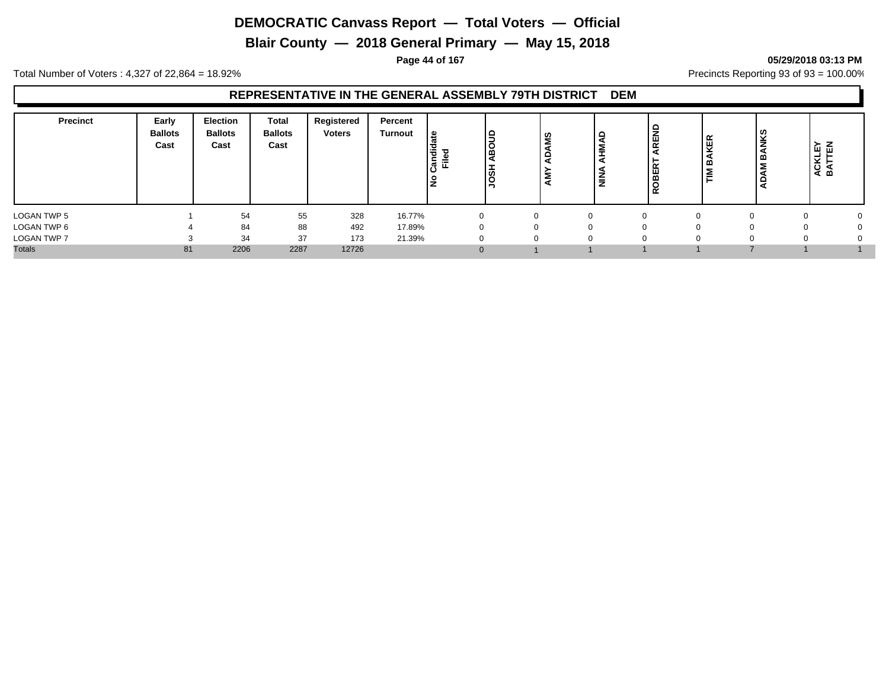**Blair County — 2018 General Primary — May 15, 2018**

**Page 44 of 167 05/29/2018 03:13 PM**

Total Number of Voters : 4,327 of 22,864 = 18.92% Precincts Reporting 93 of 93 = 100.00%

| <b>Precinct</b> | Early<br><b>Ballots</b><br>Cast | Election<br><b>Ballots</b><br>Cast | <b>Total</b><br><b>Ballots</b><br>Cast | Registered<br><b>Voters</b> | Percent<br>Turnout | ீ<br>$\equiv$<br>Ѣ<br>교 학 | ∣≘ | ທ<br><b>ADAM</b><br>Š | HMAD<br><b>NINA</b> | REND<br><b>BER</b><br>$\alpha$ | ு | ACKLEY<br>BATTEN |  |
|-----------------|---------------------------------|------------------------------------|----------------------------------------|-----------------------------|--------------------|---------------------------|----|-----------------------|---------------------|--------------------------------|---|------------------|--|
| LOGAN TWP 5     |                                 | 54                                 | 55                                     | 328                         | 16.77%             |                           |    |                       | $\Omega$            |                                |   |                  |  |
| LOGAN TWP 6     |                                 | 84                                 | 88                                     | 492                         | 17.89%             |                           |    |                       |                     | $^{\circ}$                     |   |                  |  |
| LOGAN TWP 7     |                                 | 34                                 | 37                                     | 173                         | 21.39%             |                           |    | 0                     |                     |                                |   |                  |  |
| <b>Totals</b>   | 81                              | 2206                               | 2287                                   | 12726                       |                    |                           |    |                       |                     |                                |   |                  |  |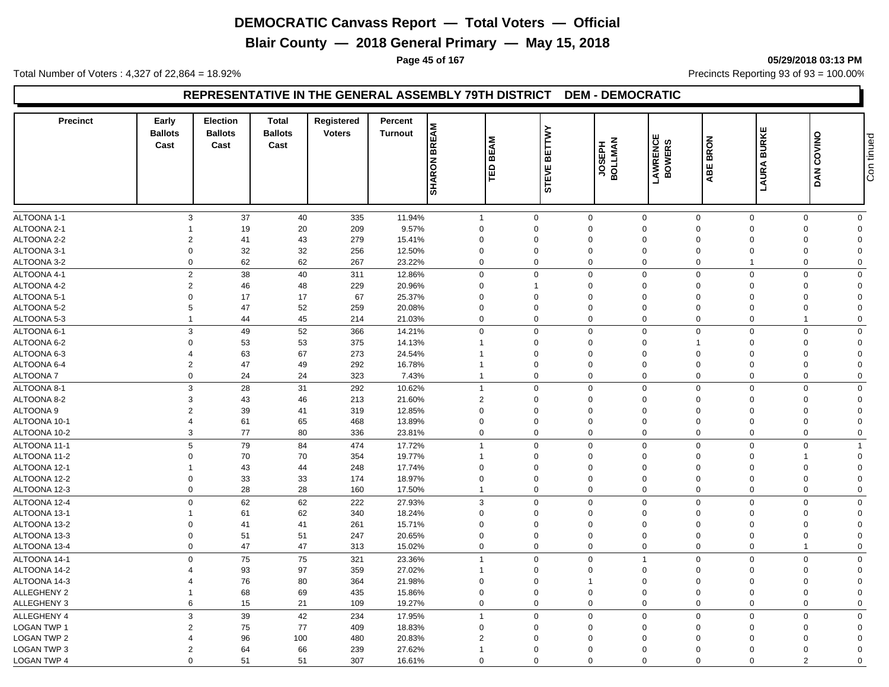**Blair County — 2018 General Primary — May 15, 2018**

**Page 45 of 167 05/29/2018 03:13 PM**

Total Number of Voters : 4,327 of 22,864 = 18.92% Precincts Reporting 93 of 93 = 100.00%

#### **REPRESENTATIVE IN THE GENERAL ASSEMBLY 79TH DISTRICT DEM - DEMOCRATIC**

| <b>Precinct</b>    | Early<br><b>Ballots</b><br>Cast | <b>Election</b><br><b>Ballots</b><br>Cast | <b>Total</b><br><b>Ballots</b><br>Cast | Registered<br><b>Voters</b> | Percent<br><b>Turnout</b> | <b>BREAM</b><br><b>SHARON</b> | <b>BEAM</b><br>١æ | ETTWY<br>ᄒ<br>STEVE     | <b>JOSEPH</b><br>BOLLMAN | LAWRENCE<br>BOWERS | <b>BRON</b><br>ABE | <b>BURKE</b><br>LAURA   | COVINO<br><b>DAN</b> | Con tinued              |
|--------------------|---------------------------------|-------------------------------------------|----------------------------------------|-----------------------------|---------------------------|-------------------------------|-------------------|-------------------------|--------------------------|--------------------|--------------------|-------------------------|----------------------|-------------------------|
|                    |                                 |                                           |                                        |                             |                           |                               |                   |                         |                          |                    |                    |                         |                      |                         |
|                    |                                 |                                           |                                        |                             |                           |                               |                   |                         |                          |                    |                    |                         |                      |                         |
| ALTOONA 1-1        | 3                               | 37                                        | 40                                     | 335                         | 11.94%                    | $\mathbf{1}$                  |                   | $\mathbf{0}$            | $\mathbf 0$              | $\mathbf{0}$       | $\mathbf 0$        | $\mathbf 0$<br>$\Omega$ | $\mathbf 0$          | $\mathbf 0$             |
| ALTOONA 2-1        | $\overline{2}$                  | 19                                        | 20                                     | 209                         | 9.57%                     | $\mathbf 0$<br>$\Omega$       |                   | $\mathbf 0$<br>$\Omega$ | $\mathbf 0$<br>$\Omega$  | $\mathbf 0$        | $\Omega$           | $\Omega$                | $\Omega$<br>$\Omega$ | $\mathbf 0$<br>$\Omega$ |
| ALTOONA 2-2        |                                 | 41                                        | 43                                     | 279                         | 15.41%                    |                               |                   |                         |                          | $\mathbf 0$        | $\Omega$           |                         | $\Omega$             | $\mathbf 0$             |
| ALTOONA 3-1        | $\mathbf 0$                     | 32                                        | 32                                     | 256                         | 12.50%                    | $\mathbf 0$                   |                   | $\mathbf 0$             | $\mathbf 0$              | $\mathbf 0$        | 0                  | $\mathbf 0$             |                      |                         |
| ALTOONA 3-2        | $\mathbf 0$                     | 62                                        | 62                                     | 267                         | 23.22%                    | $\mathbf 0$                   |                   | $\mathbf 0$             | $\mathbf 0$              | $\mathbf 0$        | $\mathbf 0$        | $\overline{1}$          | $\mathbf 0$          | $\mathbf 0$             |
| ALTOONA 4-1        | $\overline{2}$                  | 38                                        | 40                                     | 311                         | 12.86%                    | $\mathbf 0$                   |                   | $\mathbf 0$             | $\Omega$                 | $\mathbf 0$        | $\mathbf 0$        | $\mathbf 0$             | $\mathbf 0$          | $\mathbf 0$             |
| ALTOONA 4-2        | $\overline{2}$                  | 46                                        | 48                                     | 229                         | 20.96%                    | $\mathbf 0$                   |                   | 1                       | $\Omega$                 | $\Omega$           | $\Omega$           | $\Omega$                | $\Omega$             | $\mathbf 0$             |
| ALTOONA 5-1        | $\Omega$                        | 17                                        | 17                                     | 67                          | 25.37%                    | $\mathbf 0$                   |                   | $\Omega$                | $\Omega$                 | $\Omega$           | $\Omega$           | $\Omega$                | $\Omega$             | $\Omega$                |
| ALTOONA 5-2        | 5                               | 47                                        | 52                                     | 259                         | 20.08%                    | $\Omega$                      |                   | $\Omega$                | $\Omega$                 | $\mathbf 0$        | $\Omega$           | $\Omega$                | $\Omega$             | $\Omega$                |
| ALTOONA 5-3        | $\mathbf{1}$                    | 44                                        | 45                                     | 214                         | 21.03%                    | $\mathbf 0$                   |                   | $\Omega$                | $\Omega$                 | $\mathbf 0$        | $\mathbf 0$        | $\mathbf 0$             |                      | $\mathbf 0$             |
| ALTOONA 6-1        | 3                               | 49                                        | 52                                     | 366                         | 14.21%                    | $\mathbf 0$                   |                   | 0                       | $\Omega$                 | $\Omega$           | $\mathbf 0$        | $\mathbf 0$             | $\Omega$             | $\mathbf 0$             |
| ALTOONA 6-2        | $\Omega$                        | 53                                        | 53                                     | 375                         | 14.13%                    | $\overline{1}$                |                   | $\Omega$                | $\Omega$                 | $\mathbf 0$        | -1                 | $\Omega$                | $\Omega$             | $\mathbf 0$             |
| ALTOONA 6-3        | $\overline{4}$                  | 63                                        | 67                                     | 273                         | 24.54%                    | $\overline{1}$                |                   | $\Omega$                | $\Omega$                 | $\mathbf 0$        | $\Omega$           | $\Omega$                | $\Omega$             | $\mathbf 0$             |
| ALTOONA 6-4        | $\overline{2}$                  | 47                                        | 49                                     | 292                         | 16.78%                    | $\overline{1}$                |                   | $\Omega$                | $\Omega$                 | $\mathbf 0$        | $\Omega$           | $\Omega$                | $\Omega$             | $\Omega$                |
| <b>ALTOONA7</b>    | $\mathbf 0$                     | 24                                        | 24                                     | 323                         | 7.43%                     | $\overline{1}$                |                   | $\Omega$                | $\mathbf 0$              | $\mathbf 0$        | 0                  | $\mathbf 0$             | $\mathbf 0$          | $\mathbf 0$             |
| ALTOONA 8-1        | 3                               | 28                                        | 31                                     | 292                         | 10.62%                    | $\overline{1}$                |                   | $\Omega$                | $\Omega$                 | $\mathbf 0$        | $\mathbf 0$        | $\Omega$                | $\Omega$             | $\Omega$                |
| ALTOONA 8-2        | 3                               | 43                                        | 46                                     | 213                         | 21.60%                    | $\overline{2}$                |                   | $\mathbf 0$             | $\Omega$                 | $\mathbf 0$        | $\Omega$           | $\Omega$                | $\Omega$             | $\mathbf 0$             |
| ALTOONA 9          | $\overline{2}$                  | 39                                        | 41                                     | 319                         | 12.85%                    | $\mathbf 0$                   |                   | $\Omega$                | $\Omega$                 | $\mathbf 0$        | $\Omega$           | $\Omega$                | $\Omega$             | $\Omega$                |
| ALTOONA 10-1       | $\overline{4}$                  | 61                                        | 65                                     | 468                         | 13.89%                    | $\mathbf 0$                   |                   | $\Omega$                | $\Omega$                 | $\mathbf 0$        | $\mathbf 0$        | $\Omega$                | $\Omega$             | $\mathbf 0$             |
| ALTOONA 10-2       | 3                               | 77                                        | 80                                     | 336                         | 23.81%                    | $\mathbf 0$                   |                   | $\mathbf 0$             | $\mathbf 0$              | $\mathbf 0$        | $\mathbf 0$        | $\mathbf 0$             | $\Omega$             | $\mathbf 0$             |
| ALTOONA 11-1       | 5                               | 79                                        | 84                                     | 474                         | 17.72%                    | $\overline{1}$                |                   | $\mathbf 0$             | $\mathbf 0$              | $\mathbf 0$        | $\mathbf 0$        | $\mathbf 0$             | $\Omega$             | $\overline{1}$          |
| ALTOONA 11-2       | $\Omega$                        | 70                                        | 70                                     | 354                         | 19.77%                    | $\overline{1}$                |                   | $\Omega$                | $\Omega$                 | $\mathbf 0$        | $\Omega$           | $\Omega$                |                      | $\mathbf 0$             |
| ALTOONA 12-1       | $\mathbf{1}$                    | 43                                        | 44                                     | 248                         | 17.74%                    | $\mathbf 0$                   |                   | $\Omega$                | $\Omega$                 | $\mathbf 0$        | $\Omega$           | $\Omega$                | $\Omega$             | $\mathbf 0$             |
| ALTOONA 12-2       | $\mathbf 0$                     | 33                                        | 33                                     | 174                         | 18.97%                    | $\mathbf 0$                   |                   | $\mathbf 0$             | $\Omega$                 | $\mathbf 0$        | $\Omega$           | $\Omega$                | $\Omega$             | $\mathbf 0$             |
| ALTOONA 12-3       | $\mathbf 0$                     | 28                                        | 28                                     | 160                         | 17.50%                    | $\overline{1}$                |                   | $\Omega$                | $\Omega$                 | $\Omega$           | $\mathbf 0$        | $\Omega$                | $\Omega$             | $\mathbf 0$             |
| ALTOONA 12-4       | $\mathbf 0$                     | 62                                        | 62                                     | 222                         | 27.93%                    | 3                             |                   | $\Omega$                | $\mathbf 0$              | $\mathbf 0$        | $\Omega$           | $\mathbf 0$             | $\Omega$             | $\mathbf 0$             |
| ALTOONA 13-1       | -1                              | 61                                        | 62                                     | 340                         | 18.24%                    | $\mathbf 0$                   |                   | $\Omega$                | $\Omega$                 | $\mathbf 0$        | $\Omega$           | $\Omega$                | $\Omega$             | $\Omega$                |
| ALTOONA 13-2       | $\mathbf 0$                     | 41                                        | 41                                     | 261                         | 15.71%                    | $\Omega$                      |                   | $\Omega$                | $\Omega$                 | $\mathbf 0$        | $\Omega$           | $\Omega$                | $\Omega$             | $\Omega$                |
| ALTOONA 13-3       | $\mathbf 0$                     | 51                                        | 51                                     | 247                         | 20.65%                    | $\mathbf 0$                   |                   | $\Omega$                | $\Omega$                 | $\mathbf 0$        | $\Omega$           | $\Omega$                | $\Omega$             | $\Omega$                |
| ALTOONA 13-4       | $\mathbf 0$                     | 47                                        | 47                                     | 313                         | 15.02%                    | $\mathbf 0$                   |                   | $\mathbf 0$             | $\mathbf 0$              | $\mathbf 0$        | 0                  | $\mathbf 0$             |                      | $\mathbf 0$             |
|                    |                                 |                                           |                                        |                             |                           |                               |                   |                         |                          |                    |                    |                         |                      |                         |
| ALTOONA 14-1       | $\Omega$                        | 75                                        | 75                                     | 321                         | 23.36%                    | $\overline{1}$                |                   | $\Omega$                | $\mathbf 0$              | $\mathbf 1$        | $\mathbf 0$        | $\Omega$                | $\Omega$             | $\mathbf 0$             |
| ALTOONA 14-2       |                                 | 93                                        | 97                                     | 359                         | 27.02%                    |                               |                   | $\Omega$                | $\Omega$                 | $\Omega$           | $\Omega$           | $\Omega$                | $\Omega$             | $\mathbf 0$             |
| ALTOONA 14-3       |                                 | 76                                        | 80                                     | 364                         | 21.98%                    | $\Omega$                      |                   | $\Omega$                | -1                       | $\mathbf 0$        | $\Omega$           | $\Omega$                | $\Omega$             | $\Omega$                |
| <b>ALLEGHENY 2</b> | -1                              | 68                                        | 69                                     | 435                         | 15.86%                    | $\mathbf 0$                   |                   | $\Omega$                | $\Omega$                 | $\mathbf 0$        | $\Omega$           | $\Omega$                | $\Omega$             | $\Omega$                |
| <b>ALLEGHENY 3</b> | 6                               | 15                                        | 21                                     | 109                         | 19.27%                    | $\mathbf 0$                   |                   | $\Omega$                | $\Omega$                 | $\mathbf 0$        | $\mathbf 0$        | $\Omega$                | $\Omega$             | $\mathbf 0$             |
| ALLEGHENY 4        | 3                               | 39                                        | 42                                     | 234                         | 17.95%                    | $\overline{1}$                |                   | $\Omega$                | $\mathbf 0$              | $\mathbf 0$        | $\mathbf 0$        | $\mathbf 0$             | $\Omega$             | $\mathbf 0$             |
| <b>LOGAN TWP 1</b> | $\overline{2}$                  | 75                                        | 77                                     | 409                         | 18.83%                    | $\mathbf 0$                   |                   | $\Omega$                | $\mathbf 0$              | $\mathbf 0$        | $\Omega$           | $\Omega$                | $\Omega$             | $\mathbf 0$             |
| <b>LOGAN TWP 2</b> | $\overline{\mathbf{4}}$         | 96                                        | 100                                    | 480                         | 20.83%                    | $\overline{2}$                |                   | $\Omega$                | $\Omega$                 | $\mathbf 0$        | $\Omega$           | $\Omega$                | $\Omega$             | $\Omega$                |
| <b>LOGAN TWP 3</b> | $\overline{2}$                  | 64                                        | 66                                     | 239                         | 27.62%                    | $\overline{1}$                |                   | $\Omega$                | $\Omega$                 | $\mathbf 0$        | $\Omega$           | $\Omega$                | $\Omega$             | $\Omega$                |
| <b>LOGAN TWP 4</b> | $\Omega$                        | 51                                        | 51                                     | 307                         | 16.61%                    | $\mathbf 0$                   |                   | $\Omega$                | $\Omega$                 | $\Omega$           | $\Omega$           | $\Omega$                | $\overline{2}$       | $\mathbf 0$             |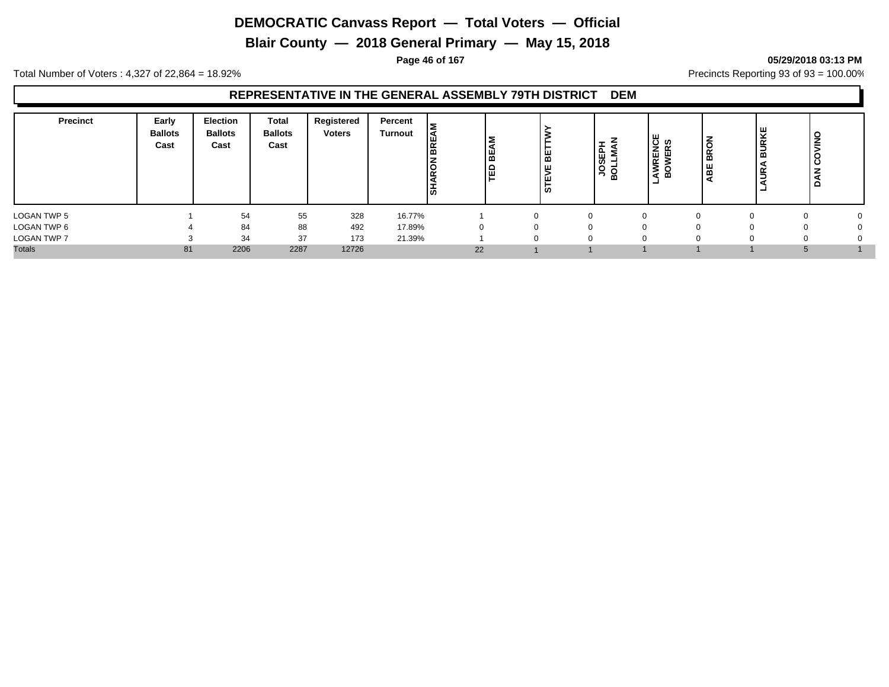**Blair County — 2018 General Primary — May 15, 2018**

**Page 46 of 167 05/29/2018 03:13 PM**

Total Number of Voters : 4,327 of 22,864 = 18.92% Precincts Reporting 93 of 93 = 100.00%

| Precinct           | Early<br><b>Ballots</b><br>Cast | <b>Election</b><br><b>Ballots</b><br>Cast | <b>Total</b><br><b>Ballots</b><br>Cast | Registered<br><b>Voters</b> | Percent<br><b>Turnout</b> | ৰ | 1 BC<br>똅 | ᄜ<br>¥<br><b>S</b> | <b>JOSEPH</b><br><b>Q</b> | <b>RENCE</b><br>WERS<br>5<br>മ<br>ــ | BROI<br>볾 | ΚĒ<br>鸟<br><b>_</b><br>മ<br>œ<br>- | š<br>C<br>$\Omega$ |  |
|--------------------|---------------------------------|-------------------------------------------|----------------------------------------|-----------------------------|---------------------------|---|-----------|--------------------|---------------------------|--------------------------------------|-----------|------------------------------------|--------------------|--|
| LOGAN TWP 5        |                                 | 54                                        | 55                                     | 328                         | 16.77%                    |   |           |                    | n                         | $\Omega$                             | ∩         |                                    |                    |  |
| LOGAN TWP 6        |                                 | 84                                        | 88                                     | 492                         | 17.89%                    |   |           |                    | $\Omega$                  | $\Omega$                             |           |                                    |                    |  |
| <b>LOGAN TWP 7</b> |                                 | 34                                        | 37                                     | 173                         | 21.39%                    |   |           |                    | 0                         | $\Omega$                             | 0         |                                    |                    |  |
| <b>Totals</b>      | 81                              | 2206                                      | 2287                                   | 12726                       |                           |   | 22        |                    |                           |                                      |           |                                    |                    |  |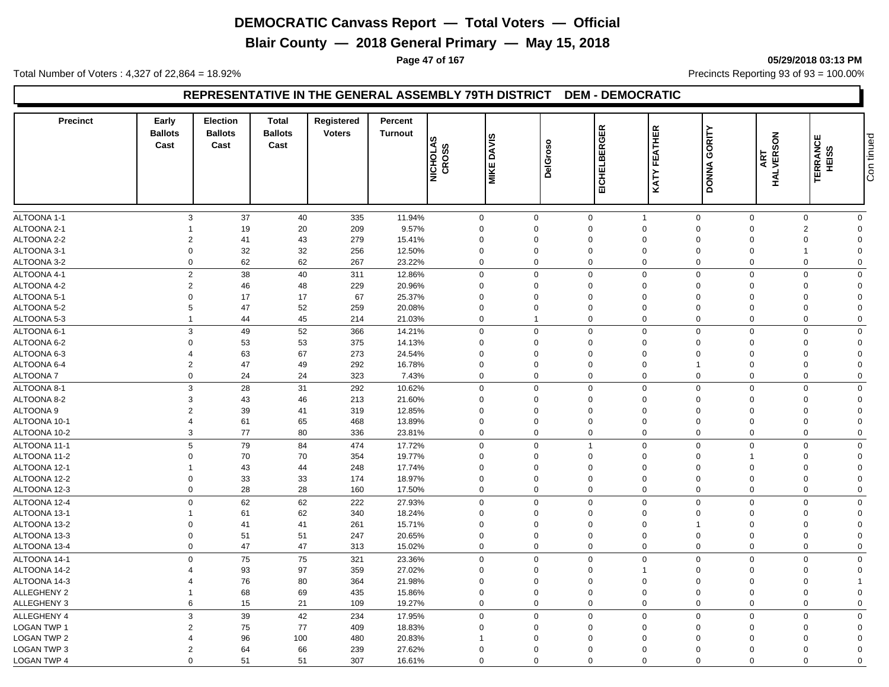**Blair County — 2018 General Primary — May 15, 2018**

**Page 47 of 167 05/29/2018 03:13 PM**

Total Number of Voters : 4,327 of 22,864 = 18.92% Precincts Reporting 93 of 93 = 100.00%

#### **REPRESENTATIVE IN THE GENERAL ASSEMBLY 79TH DISTRICT DEM - DEMOCRATIC**

| <b>Precinct</b>            | Early<br><b>Ballots</b><br>Cast | <b>Election</b><br><b>Ballots</b><br>Cast | <b>Total</b><br><b>Ballots</b><br>Cast | Registered<br><b>Voters</b> | Percent<br><b>Turnout</b> | <b>NICHOLAS</b><br><b>CROSS</b> | <b>DAVIS</b><br><b>MIKE</b> | <b>DelGroso</b> | EICHELBERGER            | EATHER<br>匹<br>KATY           | GORITY<br><b>DONNA</b>  | <b>HALVERSON</b><br>ART                                     | ш<br><b>TERRANC</b><br>HEISS | Con tinued |
|----------------------------|---------------------------------|-------------------------------------------|----------------------------------------|-----------------------------|---------------------------|---------------------------------|-----------------------------|-----------------|-------------------------|-------------------------------|-------------------------|-------------------------------------------------------------|------------------------------|------------|
|                            |                                 |                                           |                                        |                             |                           |                                 |                             |                 |                         |                               |                         |                                                             |                              |            |
| ALTOONA 1-1<br>ALTOONA 2-1 | 3                               | 37<br>19                                  | 40<br>20                               | 335                         | 11.94%<br>9.57%           | $\mathbf 0$<br>$\mathbf 0$      | $\mathbf 0$<br>$\Omega$     |                 | $\mathsf 0$<br>$\Omega$ | $\overline{1}$<br>$\Omega$    | $\mathbf 0$<br>$\Omega$ | $\mathbf 0$<br>$\mathbf 0$<br>$\mathbf 0$<br>$\overline{2}$ | $\mathbf 0$<br>$\mathbf 0$   |            |
| ALTOONA 2-2                | $\overline{2}$                  | 41                                        | 43                                     | 209<br>279                  | 15.41%                    | 0                               | $\Omega$                    |                 | $\Omega$                | 0                             | $\Omega$                | $\mathbf 0$<br>$\Omega$                                     | $\mathbf 0$                  |            |
| ALTOONA 3-1                | $\mathbf 0$                     | 32                                        | 32                                     | 256                         | 12.50%                    | 0                               | $\Omega$                    |                 | $\mathbf 0$             | $\mathbf 0$                   | $\mathbf 0$             | $\mathbf 0$                                                 | $\mathbf 0$                  |            |
|                            | $\Omega$                        | 62                                        | 62                                     |                             |                           | $\Omega$                        | $\Omega$                    |                 | $\mathbf 0$             | $\mathbf 0$                   | $\Omega$                | $\Omega$<br>$\Omega$                                        | $\mathbf 0$                  |            |
| ALTOONA 3-2                |                                 |                                           |                                        | 267                         | 23.22%                    |                                 |                             |                 |                         |                               |                         |                                                             |                              |            |
| ALTOONA 4-1                | 2                               | 38                                        | 40                                     | 311                         | 12.86%                    | $\Omega$                        | $\Omega$                    |                 | $\Omega$                | $\Omega$                      | $\Omega$                | $\Omega$<br>$\Omega$                                        | $\mathbf 0$                  |            |
| ALTOONA 4-2                | $\overline{2}$                  | 46                                        | 48                                     | 229                         | 20.96%                    | $\Omega$                        | $\Omega$                    |                 | $\Omega$                | $\Omega$                      | $\Omega$                | $\mathbf 0$<br>$\Omega$                                     | $\mathbf 0$                  |            |
| ALTOONA 5-1                | $\Omega$                        | 17                                        | 17                                     | 67                          | 25.37%                    | $\overline{0}$                  | $\Omega$                    |                 | $\Omega$                | $\mathbf 0$                   | $\Omega$<br>$\mathbf 0$ | $\Omega$                                                    | $\mathbf 0$                  |            |
| ALTOONA 5-2                | 5                               | 47                                        | 52                                     | 259                         | 20.08%                    | $\Omega$                        | $\Omega$                    |                 | $\Omega$                | $\Omega$                      | $\Omega$                | $\mathbf 0$<br>$\Omega$                                     | $\mathbf 0$                  |            |
| ALTOONA 5-3                | $\overline{1}$                  | 44                                        | 45                                     | 214                         | 21.03%                    | $\mathbf 0$                     | 1                           |                 | $\mathbf 0$             | $\mathbf 0$                   | $\Omega$                | $\mathbf 0$<br>$\mathbf 0$                                  | $\mathbf 0$                  |            |
| ALTOONA 6-1                | 3                               | 49                                        | 52                                     | 366                         | 14.21%                    | $\mathbf 0$                     | $\mathbf 0$                 |                 | $\mathbf 0$             | $\mathbf 0$                   | $\mathbf 0$             | $\mathbf 0$<br>$\mathbf 0$                                  | $\mathbf 0$                  |            |
| ALTOONA 6-2                | $\Omega$                        | 53                                        | 53                                     | 375                         | 14.13%                    | $\mathbf 0$                     | $\Omega$                    |                 | $\mathbf 0$             | $\mathbf 0$                   | $\mathbf 0$             | $\mathbf 0$<br>$\Omega$                                     | $\mathbf 0$                  |            |
| ALTOONA 6-3                |                                 | 63                                        | 67                                     | 273                         | 24.54%                    | $\Omega$                        | $\Omega$                    |                 | $\mathbf 0$             | $\Omega$                      | $\Omega$                | $\Omega$<br>$\Omega$                                        | $\Omega$                     |            |
| ALTOONA 6-4                | $\overline{2}$                  | 47                                        | 49                                     | 292                         | 16.78%                    | $\Omega$                        | $\Omega$                    |                 | $\Omega$                | $\mathbf 0$                   | 1                       | $\Omega$<br>$\Omega$                                        | $\mathbf 0$                  |            |
| ALTOONA 7                  | $\mathbf 0$                     | 24                                        | 24                                     | 323                         | 7.43%                     | $\Omega$                        | $\Omega$                    |                 | $\Omega$                | $\mathbf 0$                   | $\Omega$                | $\Omega$<br>$\Omega$                                        | $\mathbf 0$                  |            |
| ALTOONA 8-1                | 3                               | 28                                        | 31                                     | 292                         | 10.62%                    | $\mathbf 0$                     | $\mathbf 0$                 |                 | $\mathbf 0$             | $\mathbf 0$                   | $\Omega$                | $\mathbf 0$<br>$\mathbf 0$                                  | $\mathbf 0$                  |            |
| ALTOONA 8-2                | 3                               | 43                                        | 46                                     | 213                         | 21.60%                    | $\Omega$                        | $\Omega$                    |                 | $\mathbf 0$             | $\mathbf 0$                   | $\Omega$                | $\mathbf 0$<br>$\Omega$                                     | $\mathbf 0$                  |            |
| ALTOONA 9                  | $\overline{2}$                  | 39                                        | 41                                     | 319                         | 12.85%                    | $\mathbf 0$                     | $\Omega$                    |                 | $\Omega$                | $\mathbf 0$                   | $\Omega$                | $\mathbf 0$<br>$\Omega$                                     | $\mathbf 0$                  |            |
| ALTOONA 10-1               | $\Delta$                        | 61                                        | 65                                     | 468                         | 13.89%                    | $\Omega$                        | $\Omega$                    |                 | $\Omega$                | $\Omega$                      | $\Omega$                | $\Omega$<br>$\Omega$                                        | $\mathbf 0$                  |            |
| ALTOONA 10-2               | 3                               | 77                                        | 80                                     | 336                         | 23.81%                    | $\mathbf 0$                     | $\mathbf 0$                 |                 | $\mathbf 0$             | $\mathbf 0$                   | $\Omega$                | $\mathbf 0$<br>$\mathbf 0$                                  | $\mathbf 0$                  |            |
| ALTOONA 11-1               | 5                               | 79                                        | 84                                     | 474                         | 17.72%                    | $\mathbf 0$                     | $\mathbf 0$                 |                 | $\mathbf{1}$            | $\mathbf 0$                   | $\Omega$                | $\mathbf 0$<br>$\Omega$                                     | $\mathbf 0$                  |            |
| ALTOONA 11-2               | $\Omega$                        | 70                                        | 70                                     | 354                         | 19.77%                    | $\overline{0}$                  | $\Omega$                    |                 | $\Omega$                | $\mathbf 0$                   | $\Omega$                | $\Omega$                                                    | $\mathbf 0$                  |            |
| ALTOONA 12-1               | $\overline{1}$                  | 43                                        | 44                                     | 248                         | 17.74%                    | $\Omega$                        | $\Omega$                    |                 | $\mathbf 0$             | $\mathbf 0$                   | $\Omega$                | $\mathbf 0$<br>$\Omega$                                     | $\mathbf 0$                  |            |
| ALTOONA 12-2               | $\Omega$                        | 33                                        | 33                                     | 174                         | 18.97%                    | 0                               | $\Omega$                    |                 | $\Omega$                | $\mathbf 0$                   | $\Omega$                | $\mathbf 0$<br>$\Omega$                                     | $\overline{0}$               |            |
| ALTOONA 12-3               | $\mathbf 0$                     | 28                                        | 28                                     | 160                         | 17.50%                    | $\mathbf 0$                     | $\Omega$                    |                 | $\mathbf 0$             | $\mathbf 0$                   | $\Omega$                | $\mathbf 0$<br>$\Omega$                                     | $\mathbf 0$                  |            |
| ALTOONA 12-4               | $\mathbf 0$                     | 62                                        | 62                                     | 222                         | 27.93%                    | $\mathbf 0$                     | $\mathbf 0$                 |                 | $\mathbf 0$             | $\mathbf 0$                   | $\mathbf 0$             | $\mathbf 0$<br>$\Omega$                                     | $\mathbf 0$                  |            |
| ALTOONA 13-1               | 1                               | 61                                        | 62                                     | 340                         | 18.24%                    | $\Omega$                        | $\Omega$                    |                 | $\Omega$                | $\Omega$                      | $\Omega$                | $\mathbf 0$<br>$\Omega$                                     | $\mathbf 0$                  |            |
| ALTOONA 13-2               | $\mathbf 0$                     | 41                                        | 41                                     | 261                         | 15.71%                    | 0                               | $\Omega$                    |                 | $\Omega$                | $\mathbf 0$<br>$\overline{1}$ |                         | $\mathbf 0$<br>$\Omega$                                     | $\mathbf 0$                  |            |
| ALTOONA 13-3               | $\mathbf 0$                     | 51                                        | 51                                     | 247                         | 20.65%                    | $\mathbf 0$                     | $\mathbf 0$                 |                 | $\mathbf 0$             | $\mathbf 0$                   | $\mathbf 0$             | $\mathbf 0$<br>$\Omega$                                     | $\mathbf 0$                  |            |
| ALTOONA 13-4               | $\Omega$                        | 47                                        | 47                                     | 313                         | 15.02%                    | $\mathbf 0$                     | $\Omega$                    |                 | $\mathbf 0$             | $\mathbf 0$                   | $\Omega$                | $\mathbf 0$<br>$\Omega$                                     | $\mathbf 0$                  |            |
| ALTOONA 14-1               | $\Omega$                        | 75                                        | 75                                     | 321                         | 23.36%                    | $\Omega$                        | $\Omega$                    |                 | $\Omega$                | $\Omega$                      | $\Omega$                | $\Omega$<br>$\Omega$                                        | $\mathbf 0$                  |            |
| ALTOONA 14-2               |                                 | 93                                        | 97                                     | 359                         | 27.02%                    | $\Omega$                        | $\Omega$                    |                 | $\Omega$                | 1                             | $\Omega$                | $\Omega$<br>$\Omega$                                        | $\mathbf 0$                  |            |
| ALTOONA 14-3               |                                 | 76                                        | 80                                     | 364                         | 21.98%                    | $\overline{0}$                  | $\Omega$                    |                 | $\Omega$                | $\mathbf 0$                   | $\Omega$<br>$\mathbf 0$ | $\Omega$                                                    | -1                           |            |
| ALLEGHENY 2                |                                 | 68                                        | 69                                     | 435                         | 15.86%                    | $\Omega$                        | $\Omega$                    |                 | $\Omega$                | $\Omega$                      | $\Omega$                | $\mathbf 0$<br>$\Omega$                                     | $\mathbf 0$                  |            |
| <b>ALLEGHENY 3</b>         | 6                               | 15                                        | 21                                     | 109                         | 19.27%                    | $\Omega$                        | $\Omega$                    |                 | $\mathbf 0$             | $\Omega$                      | $\Omega$                | $\mathbf 0$<br>$\mathbf 0$                                  | $\mathbf 0$                  |            |
|                            |                                 |                                           |                                        |                             |                           |                                 |                             |                 |                         |                               |                         |                                                             |                              |            |
| ALLEGHENY 4                | 3                               | 39                                        | 42                                     | 234                         | 17.95%                    | $\mathbf 0$                     | $\mathbf 0$                 |                 | $\mathbf 0$             | $\mathbf 0$                   | $\mathbf 0$             | $\mathbf 0$<br>$\mathbf 0$<br>$\Omega$                      | $\mathbf 0$                  |            |
| <b>LOGAN TWP 1</b>         | $\overline{2}$                  | 75                                        | 77                                     | 409                         | 18.83%                    | $\mathbf 0$                     | $\Omega$                    |                 | $\mathbf 0$             | $\mathbf 0$                   | $\mathbf 0$             | $\mathbf 0$                                                 | $\mathbf 0$                  |            |
| <b>LOGAN TWP 2</b>         |                                 | 96                                        | 100                                    | 480                         | 20.83%                    |                                 | $\Omega$                    |                 | $\Omega$                | $\Omega$                      | $\Omega$<br>$\Omega$    | $\Omega$                                                    | $\mathbf 0$                  |            |
| <b>LOGAN TWP 3</b>         | $\overline{2}$                  | 64                                        | 66                                     | 239                         | 27.62%                    | $\Omega$                        | $\Omega$                    |                 | $\Omega$                | $\Omega$                      | $\Omega$                | $\Omega$<br>$\Omega$                                        | $\mathbf 0$                  |            |
| <b>LOGAN TWP 4</b>         | $\Omega$                        | 51                                        | 51                                     | 307                         | 16.61%                    | $\Omega$                        | $\Omega$                    |                 | $\Omega$                | $\Omega$                      | $\Omega$                | $\Omega$<br>$\Omega$                                        | $\Omega$                     |            |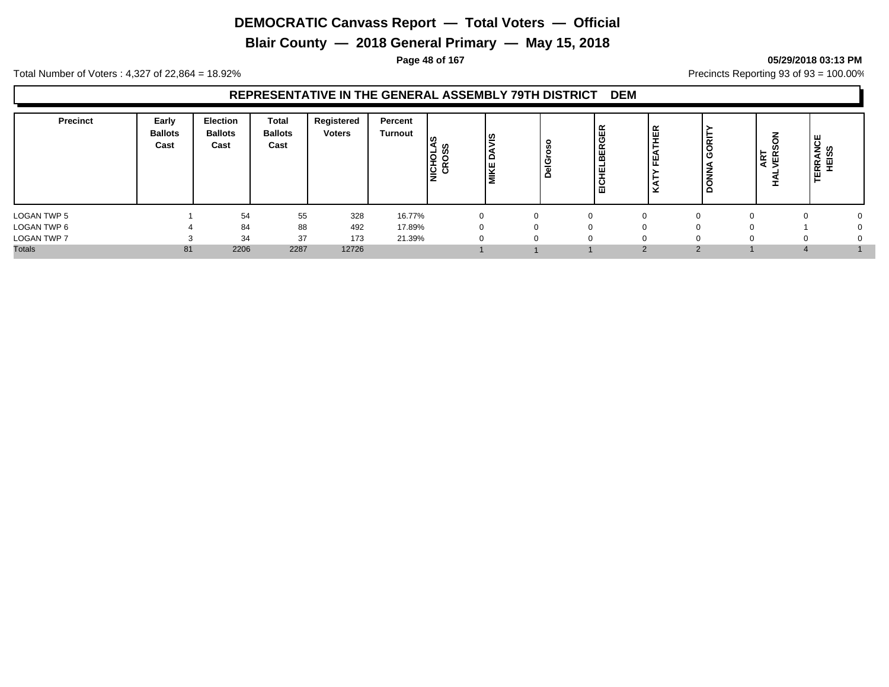**Blair County — 2018 General Primary — May 15, 2018**

**Page 48 of 167 05/29/2018 03:13 PM**

Total Number of Voters : 4,327 of 22,864 = 18.92% Precincts Reporting 93 of 93 = 100.00%

| <b>Precinct</b> | Early<br><b>Ballots</b><br>Cast | <b>Election</b><br><b>Ballots</b><br>Cast | Total<br><b>Ballots</b><br>Cast | Registered<br><b>Voters</b> | Percent<br>Turnout | −<br>NICHOI | ဖွ<br>ة<br><b>MIKE</b> | o<br>Č<br>nel<br>DelGr | œ<br>ш<br>ပ<br>Œ<br>ш<br>ш<br>ш<br>-<br>-<br>ш | 画      | ᄒ<br>◡<br>Ō<br>z | ART<br>VER: | <b>TERRANCE</b><br>HEISS |  |
|-----------------|---------------------------------|-------------------------------------------|---------------------------------|-----------------------------|--------------------|-------------|------------------------|------------------------|------------------------------------------------|--------|------------------|-------------|--------------------------|--|
| LOGAN TWP 5     |                                 | 54                                        | 55                              | 328                         | 16.77%             |             |                        | n                      |                                                |        |                  |             |                          |  |
| LOGAN TWP 6     |                                 | 84                                        | 88                              | 492                         | 17.89%             |             |                        | ∩                      |                                                |        |                  |             |                          |  |
| LOGAN TWP 7     |                                 | 34                                        | 37                              | 173                         | 21.39%             |             |                        |                        |                                                |        |                  |             |                          |  |
| <b>Totals</b>   | 81                              | 2206                                      | 2287                            | 12726                       |                    |             |                        |                        |                                                | $\sim$ |                  |             |                          |  |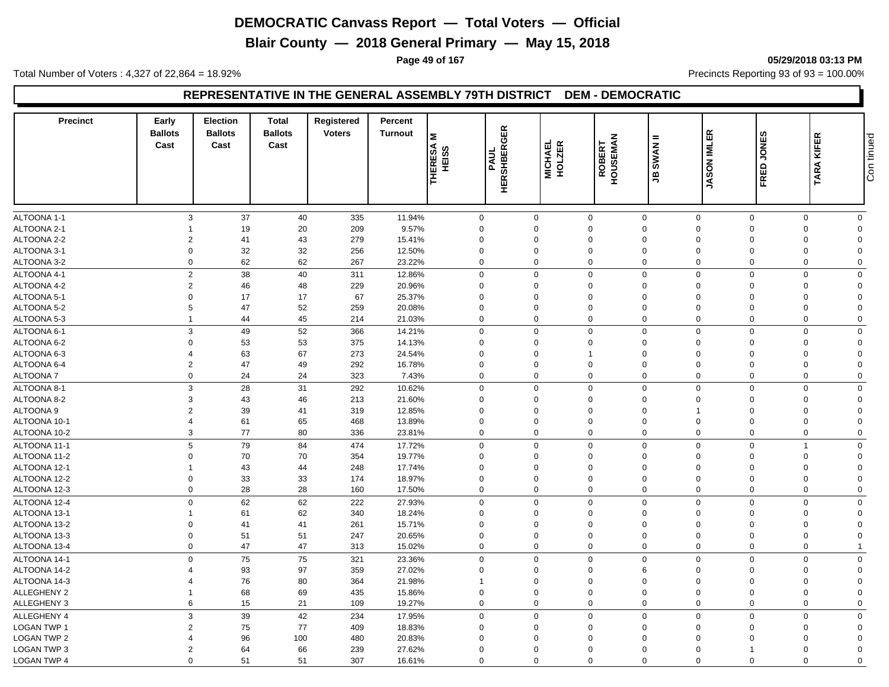**Blair County — 2018 General Primary — May 15, 2018**

**Page 49 of 167 05/29/2018 03:13 PM**

Total Number of Voters : 4,327 of 22,864 = 18.92% Precincts Reporting 93 of 93 = 100.00%

#### **REPRESENTATIVE IN THE GENERAL ASSEMBLY 79TH DISTRICT DEM - DEMOCRATIC**

| <b>Precinct</b>    | Early<br><b>Ballots</b><br>Cast | <b>Election</b><br><b>Ballots</b><br>Cast | <b>Total</b><br><b>Ballots</b><br>Cast | Registered<br><b>Voters</b> | Percent<br><b>Turnout</b> | Σ<br><b>THERESA</b><br>ဖ<br><b>SIBH</b> | 띥<br>O<br>≃<br>PAUL<br><b>HERSHBE</b> | MICHAEL<br>HOLZER | <b>ROBERT<br/>HOUSEMAN</b> | =<br><b>SWAN</b><br>த | <b>JASON IMLER</b> | ဖာ<br><b>JONE:</b><br>FRED | TARA KIFER                    | Con tinued |
|--------------------|---------------------------------|-------------------------------------------|----------------------------------------|-----------------------------|---------------------------|-----------------------------------------|---------------------------------------|-------------------|----------------------------|-----------------------|--------------------|----------------------------|-------------------------------|------------|
|                    |                                 |                                           |                                        |                             |                           |                                         |                                       |                   |                            |                       |                    |                            |                               |            |
| ALTOONA 1-1        | 3                               | 37                                        | 40                                     | 335                         | 11.94%                    |                                         | $\mathbf 0$                           | $\mathbf 0$       | $\mathbf 0$                | $\mathbf 0$           | $\mathbf 0$        | $\mathbf 0$                | $\mathbf 0$<br>$\mathbf 0$    |            |
| ALTOONA 2-1        |                                 | 19                                        | 20                                     | 209                         | 9.57%                     |                                         | $\mathsf 0$                           | $\Omega$          | $\Omega$                   | $\mathbf 0$           | $\Omega$           | $\Omega$                   | $\mathbf 0$<br>$\Omega$       |            |
| ALTOONA 2-2        | 2                               | 41                                        | 43                                     | 279                         | 15.41%                    |                                         | $\mathbf 0$                           | $\Omega$          | $\mathbf 0$                | $\Omega$              | $\Omega$           | $\Omega$                   | 0<br>$\Omega$                 |            |
| ALTOONA 3-1        | $\mathbf 0$                     | 32                                        | 32                                     | 256                         | 12.50%                    |                                         | $\mathbf 0$                           | 0                 | $\mathbf 0$                | $\mathbf 0$           | $\mathbf 0$        | $\mathbf 0$                | 0<br>$\mathbf 0$              |            |
| ALTOONA 3-2        | $\Omega$                        | 62                                        | 62                                     | 267                         | 23.22%                    |                                         | $\mathbf 0$                           | $\Omega$          | 0                          | $\mathbf 0$           | $\Omega$           | $\Omega$                   | 0<br>$\mathbf 0$              |            |
| ALTOONA 4-1        | $\overline{c}$                  | 38                                        | 40                                     | 311                         | 12.86%                    |                                         | $\mathbf 0$                           | $\Omega$          | $\Omega$                   | $\mathbf 0$           | $\Omega$           | $\Omega$                   | $\mathbf 0$<br>$\Omega$       |            |
| ALTOONA 4-2        | $\overline{2}$                  | 46                                        | 48                                     | 229                         | 20.96%                    |                                         | $\mathbf 0$                           | $\Omega$          | $\Omega$                   | $\Omega$              | $\Omega$           | $\Omega$                   | $\mathbf 0$<br>$\Omega$       |            |
| ALTOONA 5-1        | $\Omega$                        | 17                                        | 17                                     | 67                          | 25.37%                    |                                         | $\mathbf 0$                           | $\Omega$          | $\mathbf 0$                | $\Omega$              | $\Omega$           | $\Omega$                   | $\mathbf 0$<br>$\Omega$       |            |
| ALTOONA 5-2        | 5                               | 47                                        | 52                                     | 259                         | 20.08%                    |                                         | $\mathbf 0$                           | $\Omega$          | $\Omega$                   | $\Omega$              | $\Omega$           | $\Omega$                   | $\mathbf 0$<br>$\Omega$       |            |
| ALTOONA 5-3        | $\mathbf{1}$                    | 44                                        | 45                                     | 214                         | 21.03%                    |                                         | $\mathbf 0$                           | $\Omega$          | $\mathbf 0$                | $\mathbf 0$           | $\mathbf 0$        | $\Omega$                   | $\mathbf 0$<br>$\mathbf 0$    |            |
| ALTOONA 6-1        | 3                               | 49                                        | 52                                     | 366                         | 14.21%                    |                                         | $\mathbf 0$                           | $\Omega$          | $\mathbf 0$                | $\mathbf 0$           | $\Omega$           | $\Omega$                   | $\mathbf 0$<br>$\Omega$       |            |
| ALTOONA 6-2        | $\mathbf 0$                     | 53                                        | 53                                     | 375                         | 14.13%                    |                                         | $\mathbf 0$                           | $\mathbf 0$       | 0                          | $\mathbf 0$           | $\mathbf 0$        | $\Omega$                   | $\mathbf 0$<br>$\Omega$       |            |
| ALTOONA 6-3        | 4                               | 63                                        | 67                                     | 273                         | 24.54%                    |                                         | $\mathbf 0$                           | $\Omega$          | $\overline{1}$             | $\Omega$              | $\Omega$           | $\Omega$                   | $\mathbf 0$<br>$\Omega$       |            |
| ALTOONA 6-4        | $\overline{2}$                  | 47                                        | 49                                     | 292                         | 16.78%                    |                                         | $\mathbf 0$                           | $\Omega$          | $\mathbf 0$                | $\Omega$              | $\Omega$           | $\mathbf 0$                | $\mathbf 0$<br>$\Omega$       |            |
| <b>ALTOONA7</b>    | 0                               | 24                                        | 24                                     | 323                         | 7.43%                     |                                         | $\mathbf 0$                           | $\Omega$          | 0                          | $\mathbf 0$           | $\Omega$           | $\Omega$                   | $\mathbf 0$<br>$\mathbf 0$    |            |
| ALTOONA 8-1        | 3                               | 28                                        | 31                                     | 292                         | 10.62%                    |                                         | $\mathbf 0$                           | $\mathbf 0$       | $\mathbf 0$                | $\mathbf 0$           | $\mathbf 0$        | $\mathbf 0$                | $\mathbf 0$<br>$\Omega$       |            |
| ALTOONA 8-2        | 3                               |                                           |                                        |                             | 21.60%                    |                                         | $\mathbf 0$                           | $\Omega$          | $\mathbf 0$                | $\mathbf 0$           | $\Omega$           | $\Omega$                   | $\Omega$                      |            |
| <b>ALTOONA 9</b>   | $\overline{2}$                  | 43<br>39                                  | 46<br>41                               | 213<br>319                  | 12.85%                    |                                         | $\mathbf 0$                           | $\mathbf 0$       | $\mathbf 0$                | $\mathbf 0$           |                    | $\Omega$                   | 0<br>$\mathbf 0$<br>$\Omega$  |            |
|                    | $\overline{4}$                  |                                           |                                        |                             |                           |                                         |                                       | $\Omega$          |                            |                       | $\Omega$           | $\Omega$                   | $\Omega$                      |            |
| ALTOONA 10-1       |                                 | 61                                        | 65                                     | 468                         | 13.89%                    |                                         | $\mathbf 0$                           |                   | 0                          | $\mathbf 0$           |                    |                            | 0                             |            |
| ALTOONA 10-2       | 3                               | 77                                        | 80                                     | 336                         | 23.81%                    |                                         | $\mathbf 0$                           | $\Omega$          | 0                          | $\mathbf 0$           | $\mathbf 0$        | $\mathbf 0$                | 0<br>$\mathbf 0$              |            |
| ALTOONA 11-1       | 5                               | 79                                        | 84                                     | 474                         | 17.72%                    |                                         | $\mathbf 0$                           | $\Omega$          | 0                          | $\mathbf 0$           | $\Omega$           | $\Omega$                   | $\overline{1}$<br>$\mathbf 0$ |            |
| ALTOONA 11-2       | $\Omega$                        | 70                                        | 70                                     | 354                         | 19.77%                    |                                         | $\mathbf 0$                           | 0                 | $\mathbf 0$                | $\mathbf 0$           | $\Omega$           | $\mathbf 0$                | 0<br>$\Omega$                 |            |
| ALTOONA 12-1       | $\mathbf{1}$                    | 43                                        | 44                                     | 248                         | 17.74%                    |                                         | $\mathsf 0$                           | $\Omega$          | $\Omega$                   | $\Omega$              | $\Omega$           | $\Omega$                   | 0<br>$\Omega$                 |            |
| ALTOONA 12-2       | $\Omega$                        | 33                                        | 33                                     | 174                         | 18.97%                    |                                         | $\mathbf 0$                           | 0                 | $\Omega$                   | $\Omega$              | $\Omega$           | $\mathbf 0$                | $\mathbf 0$<br>$\Omega$       |            |
| ALTOONA 12-3       | $\Omega$                        | 28                                        | 28                                     | 160                         | 17.50%                    |                                         | $\mathbf 0$                           | $\Omega$          | $\mathbf 0$                | $\mathbf 0$           | $\Omega$           | $\Omega$                   | $\mathbf 0$<br>$\Omega$       |            |
| ALTOONA 12-4       | $\mathbf 0$                     | 62                                        | 62                                     | 222                         | 27.93%                    |                                         | $\mathbf 0$                           | $\mathbf 0$       | $\mathbf 0$                | $\mathbf 0$           | $\mathbf 0$        | $\Omega$                   | $\mathbf 0$<br>$\mathbf 0$    |            |
| ALTOONA 13-1       | 1                               | 61                                        | 62                                     | 340                         | 18.24%                    |                                         | $\mathbf 0$                           | $\Omega$          | $\Omega$                   | $\mathbf 0$           | $\Omega$           | $\Omega$                   | $\mathbf 0$<br>$\Omega$       |            |
| ALTOONA 13-2       | 0                               | 41                                        | 41                                     | 261                         | 15.71%                    |                                         | $\mathbf 0$                           | $\Omega$          | $\mathbf 0$                | $\Omega$              | $\Omega$           | $\Omega$                   | 0<br>$\Omega$                 |            |
| ALTOONA 13-3       | $\mathbf 0$                     | 51                                        | 51                                     | 247                         | 20.65%                    |                                         | $\mathsf 0$                           | $\mathbf 0$       | $\mathbf 0$                | $\mathbf 0$           | $\mathbf 0$        | $\mathbf 0$                | 0<br>$\mathbf 0$              |            |
| ALTOONA 13-4       | $\Omega$                        | 47                                        | 47                                     | 313                         | 15.02%                    |                                         | $\mathbf 0$                           | $\Omega$          | 0                          | $\mathbf 0$           | $\mathbf 0$        | $\mathbf 0$                | 0                             |            |
| ALTOONA 14-1       | $\mathbf 0$                     | 75                                        | 75                                     | 321                         | 23.36%                    |                                         | $\mathbf 0$                           | $\Omega$          | $\mathbf 0$                | $\mathbf 0$           | $\Omega$           | $\Omega$                   | $\mathbf 0$<br>$\mathbf 0$    |            |
| ALTOONA 14-2       | 4                               | 93                                        | 97                                     | 359                         | 27.02%                    |                                         | $\mathbf 0$                           | $\Omega$          | $\Omega$                   | 6                     | $\Omega$           | $\Omega$                   | $\mathbf 0$<br>$\Omega$       |            |
| ALTOONA 14-3       | Δ                               | 76                                        | 80                                     | 364                         | 21.98%                    |                                         | $\mathbf{1}$                          | $\Omega$          | $\mathbf 0$                | $\Omega$              | $\Omega$           | $\Omega$                   | $\mathbf 0$<br>$\Omega$       |            |
| ALLEGHENY 2        | -1                              | 68                                        | 69                                     | 435                         | 15.86%                    |                                         | $\mathbf 0$                           | $\Omega$          | $\Omega$                   | $\Omega$              | $\Omega$           | $\Omega$                   | $\mathbf 0$<br>$\Omega$       |            |
| ALLEGHENY 3        | 6                               | 15                                        | 21                                     | 109                         | 19.27%                    |                                         | $\mathbf 0$                           | $\Omega$          | $\mathbf 0$                | $\mathbf 0$           | $\Omega$           | $\Omega$                   | $\mathbf 0$<br>$\Omega$       |            |
| ALLEGHENY 4        | 3                               | 39                                        | 42                                     | 234                         | 17.95%                    |                                         | $\mathbf 0$                           | $\Omega$          | $\mathbf 0$                | $\mathbf 0$           | $\mathbf 0$        | $\Omega$                   | $\mathbf 0$<br>$\mathbf 0$    |            |
| <b>LOGAN TWP 1</b> | $\overline{2}$                  | 75                                        | 77                                     | 409                         | 18.83%                    |                                         | $\mathbf 0$                           | $\Omega$          | $\mathbf 0$                | $\mathbf 0$           | $\Omega$           | $\Omega$                   | 0<br>$\Omega$                 |            |
| <b>LOGAN TWP 2</b> | Δ                               | 96                                        | 100                                    | 480                         | 20.83%                    |                                         | $\Omega$                              | $\Omega$          | $\Omega$                   | $\Omega$              | $\Omega$           | $\Omega$                   | $\mathbf 0$<br>$\Omega$       |            |
| LOGAN TWP 3        | $\overline{2}$                  | 64                                        | 66                                     | 239                         | 27.62%                    |                                         | $\mathbf 0$                           | $\Omega$          | $\mathbf 0$                | $\Omega$              | $\Omega$           | 1                          | $\mathbf 0$<br>$\Omega$       |            |
|                    |                                 |                                           |                                        |                             |                           |                                         |                                       |                   |                            |                       |                    |                            |                               |            |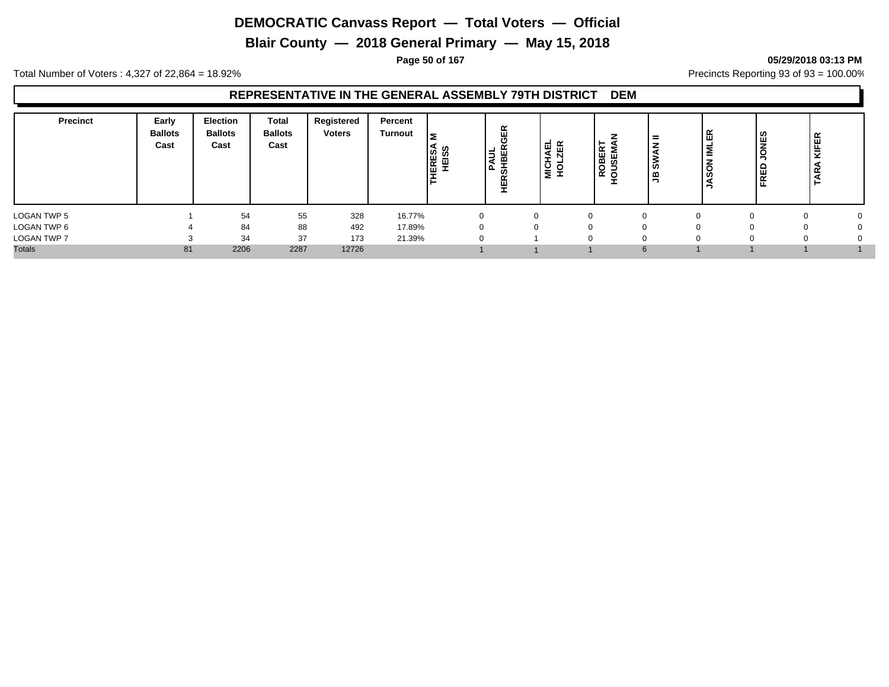**Blair County — 2018 General Primary — May 15, 2018**

#### **Page 50 of 167 05/29/2018 03:13 PM**

Total Number of Voters : 4,327 of 22,864 = 18.92% Precincts Reporting 93 of 93 = 100.00%

| <b>Precinct</b>    | Early<br><b>Ballots</b><br>Cast | <b>Election</b><br><b>Ballots</b><br>Cast | Total<br><b>Ballots</b><br>Cast | Registered<br><b>Voters</b> | Percent<br><b>Turnout</b> | 5<br>HERESA<br>HEISS | $\alpha$<br>।੩ ਲ | ய<br>ৰ<br>ᅩ<br>יפו<br>ז<br>ີ | ≃<br>யம<br>മ ശ<br>$\circ$<br>∍<br>$\alpha$<br>0 | $=$<br>ဖာ<br>≃<br>∍ | ER<br>іΣ<br>z<br>$\overline{c}$<br>U | ုပ္ပ<br>-<br>O<br>ᆸ<br>준 | <b>KIFER</b><br>g |  |
|--------------------|---------------------------------|-------------------------------------------|---------------------------------|-----------------------------|---------------------------|----------------------|------------------|------------------------------|-------------------------------------------------|---------------------|--------------------------------------|--------------------------|-------------------|--|
| LOGAN TWP 5        |                                 | 54                                        | 55                              | 328                         | 16.77%                    | $\Omega$             |                  |                              | <sup>0</sup>                                    | $\Omega$            |                                      |                          |                   |  |
| LOGAN TWP 6        |                                 | 84                                        | 88                              | 492                         | 17.89%                    |                      |                  |                              |                                                 | $\Omega$            |                                      |                          |                   |  |
| <b>LOGAN TWP 7</b> |                                 | 34                                        | 37                              | 173                         | 21.39%                    | 0                    |                  |                              |                                                 | $\Omega$            |                                      |                          |                   |  |
| <b>Totals</b>      | 81                              | 2206                                      | 2287                            | 12726                       |                           |                      |                  |                              |                                                 | 6                   |                                      |                          |                   |  |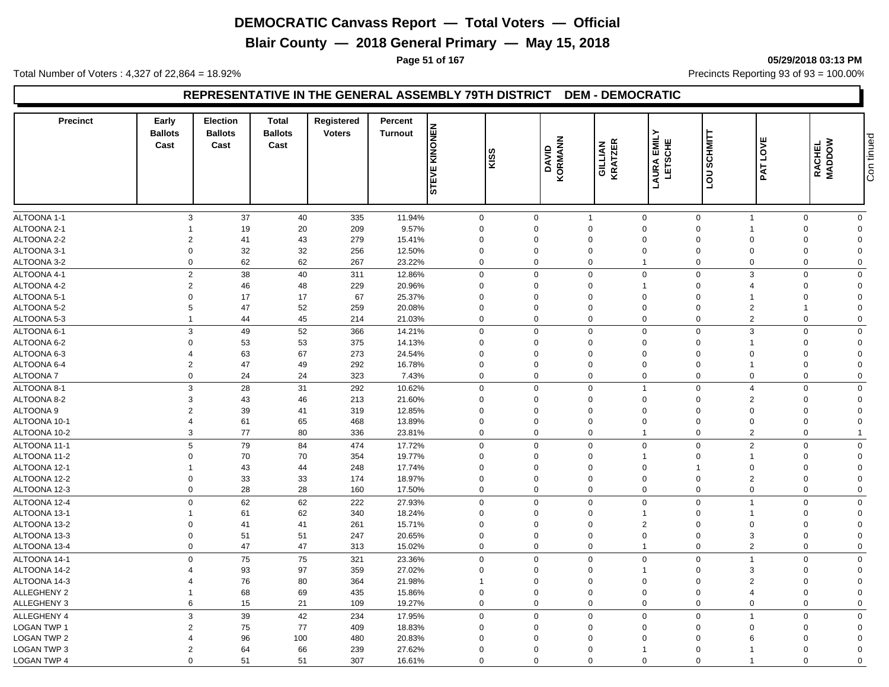**Blair County — 2018 General Primary — May 15, 2018**

**Page 51 of 167 05/29/2018 03:13 PM**

Total Number of Voters : 4,327 of 22,864 = 18.92% Precincts Reporting 93 of 93 = 100.00%

## **REPRESENTATIVE IN THE GENERAL ASSEMBLY 79TH DISTRICT DEM - DEMOCRATIC**

| <b>Precinct</b>            | Early<br><b>Ballots</b><br>Cast | <b>Election</b><br><b>Ballots</b><br>Cast | <b>Total</b><br><b>Ballots</b><br>Cast | Registered<br><b>Voters</b> | Percent<br><b>Turnout</b> | KINONEN<br>STEVE         | ဖာ<br>l≌    | <b>KORMANN</b><br>DAVID | <b>GILLIAN</b><br>KRATZER  | <b>EMILY</b><br>LAURA<br>LETSO | <b>SCHMITT</b><br>$\overline{\mathsf{c}}$ | LOVE<br>PAT                    | RACHEL<br>MADDOW        | Con tinued                  |
|----------------------------|---------------------------------|-------------------------------------------|----------------------------------------|-----------------------------|---------------------------|--------------------------|-------------|-------------------------|----------------------------|--------------------------------|-------------------------------------------|--------------------------------|-------------------------|-----------------------------|
|                            |                                 |                                           |                                        |                             |                           |                          |             |                         |                            |                                | ப                                         |                                |                         |                             |
|                            |                                 |                                           |                                        |                             |                           |                          |             |                         |                            |                                |                                           |                                |                         |                             |
| ALTOONA 1-1                | 3<br>1                          | 37                                        | 40                                     | 335                         | 11.94%                    | $\mathbf 0$              | $\Omega$    | $\mathbf 0$             | $\overline{1}$<br>$\Omega$ | $\mathbf 0$<br>$\Omega$        | $\mathbf 0$                               | $\mathbf{1}$<br>$\overline{1}$ | $\mathbf 0$<br>$\Omega$ | $\mathbf 0$                 |
| ALTOONA 2-1<br>ALTOONA 2-2 | $\overline{2}$                  | 19<br>41                                  | 20<br>43                               | 209<br>279                  | 9.57%<br>15.41%           | $\mathbf 0$<br>$\Omega$  | $\Omega$    |                         | $\Omega$                   | $\mathbf 0$                    | $\mathbf 0$<br>$\mathbf 0$                | $\mathbf 0$                    | $\Omega$                | $\mathbf 0$<br>$\mathbf{0}$ |
| ALTOONA 3-1                | 0                               | 32                                        | 32                                     | 256                         | 12.50%                    | $\mathbf 0$              | $\mathbf 0$ |                         | $\mathbf 0$                | $\mathbf 0$                    | $\mathbf 0$                               | $\mathbf 0$                    | $\mathbf 0$             | $\mathbf 0$                 |
| ALTOONA 3-2                | $\mathbf 0$                     | 62                                        | 62                                     |                             |                           | $\Omega$                 | $\Omega$    |                         | $\mathbf 0$                | $\overline{1}$                 | $\mathbf 0$                               | $\boldsymbol{0}$               | $\Omega$                |                             |
|                            |                                 |                                           |                                        | 267                         | 23.22%                    |                          |             |                         |                            |                                |                                           |                                |                         | $\mathbf 0$                 |
| ALTOONA 4-1                | $\overline{2}$                  | 38                                        | 40                                     | 311                         | 12.86%                    | $\Omega$                 | $\Omega$    |                         | $\Omega$                   | $\mathbf{0}$                   | $\mathbf 0$                               | 3                              | $\Omega$                | $\mathbf 0$                 |
| ALTOONA 4-2                | $\overline{2}$                  | 46                                        | 48                                     | 229                         | 20.96%                    | $\Omega$                 | $\Omega$    |                         | $\mathbf 0$                | 1                              | $\mathbf 0$                               | $\overline{4}$                 | $\Omega$                | $\mathbf 0$                 |
| ALTOONA 5-1                | $\Omega$                        | 17                                        | 17                                     | 67                          | 25.37%                    | $\Omega$                 | $\Omega$    |                         | $\Omega$                   | $\Omega$                       | $\mathbf 0$                               | $\overline{1}$                 | $\mathbf 0$             | $\mathbf 0$                 |
| ALTOONA 5-2                | 5                               | 47                                        | 52                                     | 259                         | 20.08%                    | $\Omega$                 | $\Omega$    |                         | $\Omega$                   | $\Omega$                       | $\mathbf 0$                               | $\overline{2}$                 | $\mathbf{1}$            | $\mathbf 0$                 |
| ALTOONA 5-3                | $\mathbf{1}$                    | 44                                        | 45                                     | 214                         | 21.03%                    | $\Omega$                 | $\Omega$    |                         | $\mathbf 0$                | $\Omega$                       | $\mathbf 0$                               | $\overline{2}$                 | $\mathbf 0$             | $\mathbf 0$                 |
| ALTOONA 6-1                | 3                               | 49                                        | 52                                     | 366                         | 14.21%                    | $\mathbf 0$              | $\mathbf 0$ |                         | $\Omega$                   | $\Omega$                       | $\mathbf 0$                               | 3                              | $\Omega$                | $\mathbf 0$                 |
| ALTOONA 6-2                | 0                               | 53                                        | 53                                     | 375                         | 14.13%                    | $\mathbf 0$              | $\mathbf 0$ |                         | $\mathbf 0$                | $\mathbf 0$                    | $\mathbf 0$                               | $\overline{1}$                 | $\mathbf 0$             | $\mathbf 0$                 |
| ALTOONA 6-3                | $\Delta$                        | 63                                        | 67                                     | 273                         | 24.54%                    | $\Omega$                 | $\Omega$    |                         | $\Omega$                   | $\Omega$                       | $\mathbf 0$                               | $\mathbf 0$                    | $\Omega$                | $\mathbf 0$                 |
| ALTOONA 6-4                | $\overline{2}$                  | 47                                        | 49                                     | 292                         | 16.78%                    | $\Omega$                 | $\mathbf 0$ |                         | $\Omega$                   | $\mathbf 0$                    | $\mathbf 0$                               | $\overline{1}$                 | $\mathbf 0$             | $\mathbf 0$                 |
| ALTOONA 7                  | $\mathbf 0$                     | 24                                        | 24                                     | 323                         | 7.43%                     | $\mathbf 0$              | $\Omega$    |                         | $\Omega$                   | $\Omega$                       | $\mathbf 0$                               | $\mathbf 0$                    | $\Omega$                | $\mathbf 0$                 |
| ALTOONA 8-1                | 3                               | 28                                        | 31                                     | 292                         | 10.62%                    | $\mathbf 0$              | $\Omega$    |                         | $\mathbf 0$                | 1                              | $\mathbf 0$                               | $\overline{4}$                 | $\mathbf 0$             | $\mathbf{0}$                |
| ALTOONA 8-2                | 3                               | 43                                        | 46                                     | 213                         | 21.60%                    | $\Omega$                 | $\Omega$    |                         | $\Omega$                   | $\Omega$                       | $\mathbf 0$                               | 2                              | $\Omega$                | $\mathbf 0$                 |
| ALTOONA <sub>9</sub>       | 2                               | 39                                        | 41                                     | 319                         | 12.85%                    | $\Omega$                 | $\mathbf 0$ |                         | $\mathbf 0$                | $\Omega$                       | $\mathbf 0$                               | $\mathbf 0$                    | $\Omega$                | $\mathbf{0}$                |
| ALTOONA 10-1               | $\overline{\mathbf{4}}$         | 61                                        | 65                                     | 468                         | 13.89%                    | $\Omega$                 | $\Omega$    |                         | $\Omega$                   | $\Omega$                       | $\mathbf 0$                               | $\mathbf 0$                    | $\Omega$                | $\mathbf 0$                 |
| ALTOONA 10-2               | 3                               | 77                                        | 80                                     | 336                         | 23.81%                    | $\mathbf 0$              |             | $\mathbf 0$             | $\mathbf 0$                | $\mathbf{1}$                   | $\mathbf 0$                               | $\overline{2}$                 | $\mathbf{0}$            | $\overline{1}$              |
| ALTOONA 11-1               | 5                               | 79                                        | 84                                     | 474                         | 17.72%                    | $\mathbf 0$              | $\mathbf 0$ |                         | $\Omega$                   | $\mathbf 0$                    | $\mathbf 0$                               | $\overline{2}$                 | $\mathbf 0$             | $\mathbf 0$                 |
| ALTOONA 11-2               | 0                               | 70                                        | 70                                     | 354                         | 19.77%                    | $\Omega$                 | $\mathbf 0$ |                         | $\mathbf 0$                | 1                              | $\mathbf 0$                               | $\overline{1}$                 | $\Omega$                | $\mathbf 0$                 |
| ALTOONA 12-1               | 1                               | 43                                        | 44                                     | 248                         | 17.74%                    | $\Omega$                 | $\Omega$    |                         | $\Omega$                   | $\Omega$                       | $\mathbf{1}$                              | $\boldsymbol{0}$               | $\Omega$                | $\mathbf 0$                 |
| ALTOONA 12-2               | $\Omega$                        | 33                                        | 33                                     | 174                         | 18.97%                    | $\Omega$                 | $\Omega$    |                         | $\Omega$                   | $\mathbf 0$                    | $\mathsf 0$                               | $\overline{2}$                 | $\Omega$                | $\mathbf 0$                 |
| ALTOONA 12-3               | $\mathbf 0$                     | 28                                        | 28                                     | 160                         | 17.50%                    | $\Omega$                 | $\Omega$    |                         | $\mathbf 0$                | $\Omega$                       | $\mathbf 0$                               | $\mathbf 0$                    | $\mathbf 0$             | $\mathbf 0$                 |
| ALTOONA 12-4               | $\mathbf 0$                     | 62                                        | 62                                     | 222                         | 27.93%                    | $\mathbf 0$              |             | $\mathbf 0$             | $\mathbf 0$                | $\Omega$                       | $\mathbf 0$                               | $\overline{1}$                 | $\mathbf{0}$            | $\mathbf 0$                 |
| ALTOONA 13-1               | 1                               | 61                                        | 62                                     | 340                         | 18.24%                    | $\Omega$                 | $\Omega$    |                         | $\Omega$                   | 1                              | $\mathbf 0$                               | $\overline{1}$                 | $\Omega$                | $\mathbf 0$                 |
| ALTOONA 13-2               | 0                               | 41                                        | 41                                     | 261                         | 15.71%                    | $\Omega$                 | $\Omega$    |                         | $\Omega$                   | $\overline{2}$                 | $\mathbf 0$                               | $\mathbf 0$                    | $\Omega$                | $\mathbf 0$                 |
| ALTOONA 13-3               | 0                               | 51                                        | 51                                     | 247                         | 20.65%                    | $\mathbf 0$              | $\mathbf 0$ |                         | $\mathbf 0$                | $\mathbf 0$                    | $\mathbf 0$                               | $\mathbf{3}$                   | $\mathbf 0$             | $\mathbf 0$                 |
| ALTOONA 13-4               | $\mathbf 0$                     | 47                                        | 47                                     | 313                         | 15.02%                    | $\Omega$                 | $\Omega$    |                         | $\mathbf 0$                | $\mathbf 1$                    | $\mathbf 0$                               | $\overline{2}$                 | $\Omega$                | $\mathbf 0$                 |
|                            |                                 |                                           |                                        |                             |                           |                          |             |                         |                            |                                |                                           | $\overline{1}$                 |                         |                             |
| ALTOONA 14-1               | $\mathbf{0}$                    | 75                                        | 75                                     | 321                         | 23.36%                    | $\mathbf 0$              | $\Omega$    |                         | $\Omega$                   | $\mathbf{0}$                   | $\mathbf 0$                               |                                | $\Omega$                | $\mathbf{0}$                |
| ALTOONA 14-2               | 4<br>$\Delta$                   | 93                                        | 97                                     | 359                         | 27.02%                    | $\Omega$                 | $\Omega$    |                         | $\Omega$                   |                                | $\mathbf 0$                               | 3                              | $\Omega$                | $\mathbf{0}$                |
| ALTOONA 14-3               |                                 | 76                                        | 80                                     | 364                         | 21.98%                    | $\mathbf{1}$<br>$\Omega$ | $\mathbf 0$ |                         | $\Omega$<br>$\Omega$       | $\Omega$<br>$\Omega$           | $\mathbf 0$                               | $\overline{2}$                 | $\Omega$                | $\mathbf 0$                 |
| ALLEGHENY 2                | 1                               | 68                                        | 69                                     | 435                         | 15.86%                    |                          | $\Omega$    |                         |                            |                                | $\mathbf 0$                               | $\overline{4}$                 | $\Omega$                | $\mathbf 0$                 |
| ALLEGHENY 3                | 6                               | 15                                        | 21                                     | 109                         | 19.27%                    | $\mathbf 0$              | $\Omega$    |                         | $\mathbf 0$                | $\Omega$                       | $\mathbf 0$                               | $\mathbf 0$                    | $\mathbf{0}$            | $\mathbf 0$                 |
| ALLEGHENY 4                | 3                               | 39                                        | 42                                     | 234                         | 17.95%                    | $\mathbf 0$              | $\Omega$    |                         | $\mathbf 0$                | $\Omega$                       | $\mathbf 0$                               | $\overline{1}$                 | $\mathbf 0$             | $\mathbf 0$                 |
| <b>LOGAN TWP 1</b>         | $\overline{2}$                  | 75                                        | 77                                     | 409                         | 18.83%                    | $\Omega$                 | $\mathbf 0$ |                         | $\mathbf 0$                | $\mathbf 0$                    | $\mathbf 0$                               | $\mathbf 0$                    | $\mathbf 0$             | $\mathbf 0$                 |
| <b>LOGAN TWP 2</b>         | $\overline{4}$                  | 96                                        | 100                                    | 480                         | 20.83%                    | $\Omega$                 | $\Omega$    |                         | $\Omega$                   | $\Omega$                       | $\mathbf 0$                               | 6                              | $\Omega$                | $\mathbf 0$                 |
| <b>LOGAN TWP 3</b>         | $\overline{2}$                  | 64                                        | 66                                     | 239                         | 27.62%                    | $\Omega$                 | $\mathbf 0$ |                         | $\Omega$                   | 1                              | $\mathbf 0$                               | $\overline{1}$                 | $\Omega$                | $\mathbf 0$                 |
| <b>LOGAN TWP 4</b>         | $\Omega$                        | 51                                        | 51                                     | 307                         | 16.61%                    | $\Omega$                 | $\Omega$    |                         | $\Omega$                   | $\Omega$                       | $\Omega$                                  | $\overline{1}$                 | $\Omega$                | $\Omega$                    |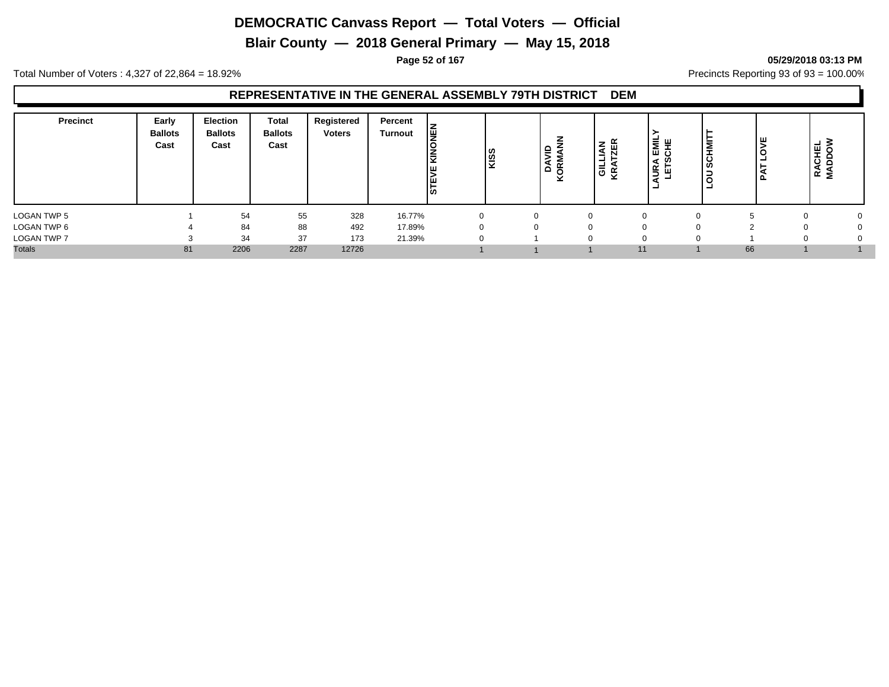**Blair County — 2018 General Primary — May 15, 2018**

#### **Page 52 of 167 05/29/2018 03:13 PM**

Total Number of Voters : 4,327 of 22,864 = 18.92% Precincts Reporting 93 of 93 = 100.00%

| <b>Precinct</b>    | Early<br><b>Ballots</b><br>Cast | Election<br><b>Ballots</b><br>Cast | <b>Total</b><br><b>Ballots</b><br>Cast | Registered<br><b>Voters</b> | Percent<br><b>Turnout</b> | ∥⊈<br>KIN<br>ıш<br><b>STE</b> | <b>KISS</b> | ξ<br>ă<br>$\alpha$<br>ē | <b>IAN</b><br>┙<br>।<br>ਕੁਲ੍ | ।ਘਟ<br><b>URA</b><br>۰ | ш<br>-<br>-<br>ட | - 3<br>پ<br>$\cdots$<br>₩<br>ㅎ<br>ō<br>⊲<br>≃<br>Σ |  |
|--------------------|---------------------------------|------------------------------------|----------------------------------------|-----------------------------|---------------------------|-------------------------------|-------------|-------------------------|------------------------------|------------------------|------------------|----------------------------------------------------|--|
| LOGAN TWP 5        |                                 | 54                                 | 55                                     | 328                         | 16.77%                    |                               |             |                         |                              |                        |                  |                                                    |  |
| LOGAN TWP 6        |                                 | 84                                 | 88                                     | 492                         | 17.89%                    |                               |             |                         |                              |                        |                  |                                                    |  |
| <b>LOGAN TWP 7</b> |                                 | 34                                 | 37                                     | 173                         | 21.39%                    |                               |             |                         |                              |                        |                  |                                                    |  |
| <b>Totals</b>      | 81                              | 2206                               | 2287                                   | 12726                       |                           |                               |             |                         |                              | 11                     | 66               |                                                    |  |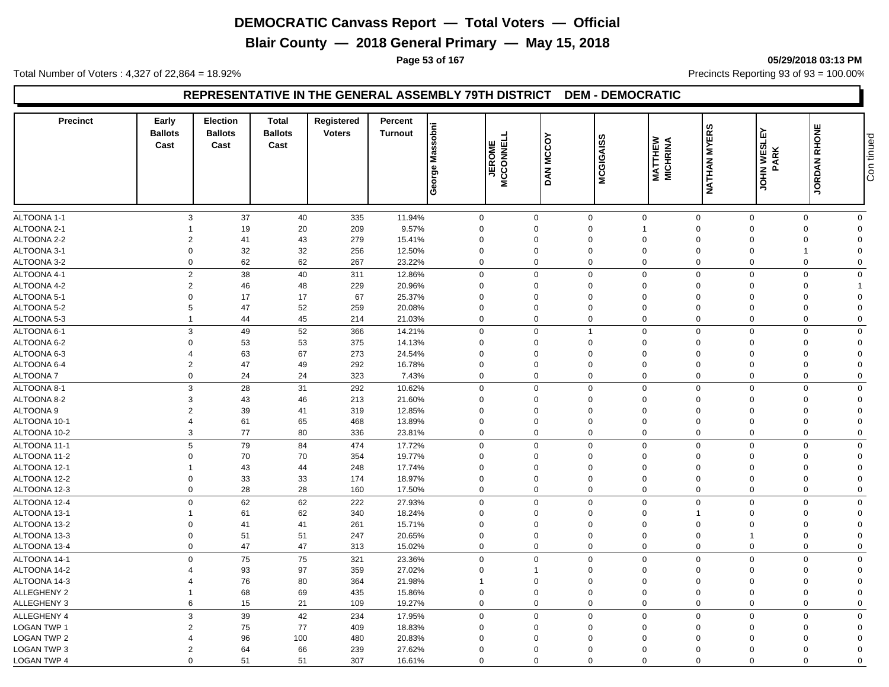**Blair County — 2018 General Primary — May 15, 2018**

**Page 53 of 167 05/29/2018 03:13 PM**

Total Number of Voters : 4,327 of 22,864 = 18.92% Precincts Reporting 93 of 93 = 100.00%

## **REPRESENTATIVE IN THE GENERAL ASSEMBLY 79TH DISTRICT DEM - DEMOCRATIC**

| <b>Precinct</b>    | Early<br><b>Ballots</b><br>Cast | <b>Election</b><br><b>Ballots</b><br>Cast | <b>Total</b><br><b>Ballots</b><br>Cast | Registered<br><b>Voters</b> | Percent<br><b>Turnout</b> | Massobni<br>George | <b>JEROME</b><br>MCCONNELL | <b>MCCOY</b><br><b>DAN</b> | <b>MCGIGAISS</b> | <b>MATTHEW</b><br>MICHRINA | <b>NATHAN MYERS</b>        | <b>JOHN WESLEY</b><br><b>PARK</b> | JORDAN RHONE               | Con tinued |
|--------------------|---------------------------------|-------------------------------------------|----------------------------------------|-----------------------------|---------------------------|--------------------|----------------------------|----------------------------|------------------|----------------------------|----------------------------|-----------------------------------|----------------------------|------------|
|                    |                                 |                                           |                                        |                             |                           |                    |                            |                            |                  |                            |                            |                                   |                            |            |
| ALTOONA 1-1        | 3                               | 37                                        | 40                                     | 335                         | 11.94%                    | $\mathbf 0$        | $\mathbf 0$                |                            | $\mathbf 0$      | $\mathbf 0$                | $\mathbf 0$<br>$\mathbf 0$ |                                   | $\mathbf 0$<br>$\mathbf 0$ |            |
| ALTOONA 2-1        | 1                               | 19                                        | 20                                     | 209                         | 9.57%                     | $\mathbf 0$        | $\Omega$                   |                            | $\Omega$<br>-1   |                            | $\Omega$<br>$\Omega$       |                                   | $\mathbf 0$<br>$\Omega$    |            |
| ALTOONA 2-2        | $\overline{2}$                  | 41                                        | 43                                     | 279                         | 15.41%                    | $\mathbf 0$        | $\Omega$                   |                            | $\Omega$         | $\Omega$                   | $\Omega$<br>$\Omega$       |                                   | $\mathbf 0$<br>$\Omega$    |            |
| ALTOONA 3-1        | $\mathbf 0$                     | 32                                        | 32                                     | 256                         | 12.50%                    | $\mathbf 0$        | $\mathbf 0$                |                            | $\mathbf 0$      | $\mathbf 0$                | $\Omega$<br>$\mathbf 0$    | $\mathbf 1$                       | $\Omega$                   |            |
| ALTOONA 3-2        | $\mathbf 0$                     | 62                                        | 62                                     | 267                         | 23.22%                    | $\mathbf 0$        | $\mathbf 0$                |                            | $\mathbf 0$      | $\mathbf 0$                | $\mathbf 0$<br>$\mathbf 0$ |                                   | $\mathbf 0$<br>$\mathbf 0$ |            |
| ALTOONA 4-1        |                                 | $\overline{2}$<br>38                      | 40                                     | 311                         | 12.86%                    | $\mathbf 0$        | $\Omega$                   |                            | $\mathbf 0$      | $\mathbf 0$                | $\Omega$<br>$\mathbf 0$    |                                   | $\mathbf 0$<br>$\mathbf 0$ |            |
| ALTOONA 4-2        | $\overline{2}$                  | 46                                        | 48                                     | 229                         | 20.96%                    | $\mathbf 0$        | $\Omega$                   |                            | 0                | $\Omega$                   | $\Omega$<br>$\Omega$       |                                   | 0                          |            |
| ALTOONA 5-1        | $\Omega$                        | 17                                        | 17                                     | 67                          | 25.37%                    | $\mathbf 0$        | $\Omega$                   |                            | $\Omega$         | $\Omega$                   | $\Omega$<br>$\Omega$       |                                   | 0<br>$\Omega$              |            |
| ALTOONA 5-2        | 5                               | 47                                        | 52                                     | 259                         | 20.08%                    | $\mathbf 0$        | $\Omega$                   |                            | $\Omega$         | $\Omega$                   | $\Omega$<br>$\Omega$       |                                   | 0<br>$\Omega$              |            |
| ALTOONA 5-3        | $\mathbf{1}$                    | 44                                        | 45                                     | 214                         | 21.03%                    | $\mathbf 0$        | $\Omega$                   |                            | 0                | $\mathbf 0$                | $\Omega$<br>$\Omega$       |                                   | $\mathbf 0$<br>$\mathbf 0$ |            |
| ALTOONA 6-1        |                                 | 3<br>49                                   | 52                                     | 366                         | 14.21%                    | $\mathbf 0$        | $\mathbf 0$                | $\overline{1}$             |                  | $\mathsf 0$                | $\mathbf 0$<br>$\mathbf 0$ |                                   | $\mathbf 0$<br>$\Omega$    |            |
| ALTOONA 6-2        | $\Omega$                        | 53                                        | 53                                     | 375                         | 14.13%                    | $\mathbf 0$        | $\Omega$                   |                            | $\Omega$         | $\Omega$                   | $\Omega$<br>$\Omega$       |                                   | $\mathbf 0$<br>$\Omega$    |            |
| ALTOONA 6-3        | $\overline{4}$                  | 63                                        | 67                                     | 273                         | 24.54%                    | $\mathbf 0$        | $\mathbf 0$                |                            | $\mathbf 0$      | $\mathbf 0$                | $\Omega$<br>$\mathbf 0$    |                                   | $\mathbf 0$<br>$\Omega$    |            |
| ALTOONA 6-4        | $\overline{2}$                  | 47                                        | 49                                     | 292                         | 16.78%                    | $\mathbf 0$        | $\mathbf 0$                |                            | $\mathbf 0$      | $\mathbf 0$                | $\mathbf 0$<br>$\mathbf 0$ |                                   | 0<br>$\Omega$              |            |
| <b>ALTOONA7</b>    |                                 | 24<br>0                                   | 24                                     | 323                         | 7.43%                     | $\mathbf 0$        | $\Omega$                   |                            | 0                | $\mathbf 0$                | $\Omega$<br>$\Omega$       |                                   | 0<br>$\Omega$              |            |
| ALTOONA 8-1        | 3                               | 28                                        | 31                                     | 292                         | 10.62%                    | $\mathbf 0$        | $\Omega$                   |                            | $\mathbf 0$      | $\mathbf 0$                | $\Omega$<br>$\Omega$       |                                   | $\mathbf 0$<br>$\mathbf 0$ |            |
| ALTOONA 8-2        | 3                               | 43                                        | 46                                     | 213                         | 21.60%                    | $\mathbf 0$        | 0                          |                            | $\mathbf 0$      | $\mathbf 0$                | $\Omega$<br>$\mathbf 0$    |                                   | $\mathbf 0$<br>$\Omega$    |            |
| <b>ALTOONA 9</b>   | $\overline{2}$                  | 39                                        | 41                                     | 319                         | 12.85%                    | $\mathbf 0$        | $\overline{0}$             |                            | $\mathbf 0$      | $\mathbf 0$                | $\mathbf 0$<br>$\mathbf 0$ |                                   | $\mathbf 0$<br>$\Omega$    |            |
| ALTOONA 10-1       | $\overline{4}$                  | 61                                        | 65                                     | 468                         | 13.89%                    | $\mathbf 0$        | $\Omega$                   |                            | $\mathbf 0$      | $\mathbf 0$                | $\Omega$<br>$\Omega$       |                                   | $\mathbf 0$<br>$\Omega$    |            |
| ALTOONA 10-2       | 3                               | 77                                        | 80                                     | 336                         | 23.81%                    | $\mathbf 0$        | $\Omega$                   |                            | $\mathbf 0$      | $\mathbf 0$                | $\mathbf 0$<br>$\Omega$    |                                   | $\mathbf 0$<br>$\Omega$    |            |
|                    | 5                               |                                           |                                        |                             |                           |                    |                            |                            |                  |                            | $\Omega$                   |                                   |                            |            |
| ALTOONA 11-1       |                                 | 79                                        | 84                                     | 474                         | 17.72%                    | $\mathbf 0$        | $\mathbf 0$                |                            | $\mathbf 0$      | $\mathbf 0$                | $\mathbf 0$                |                                   | $\mathbf 0$<br>$\mathbf 0$ |            |
| ALTOONA 11-2       | $\mathbf 0$                     | 70                                        | 70                                     | 354                         | 19.77%                    | $\mathbf 0$        | 0                          |                            | $\mathbf 0$      | $\mathbf 0$                | $\mathbf 0$<br>$\mathbf 0$ |                                   | 0<br>$\mathbf 0$           |            |
| ALTOONA 12-1       | $\mathbf{1}$                    | 43                                        | 44                                     | 248                         | 17.74%                    | $\mathbf 0$        | $\Omega$                   |                            | $\Omega$         | $\Omega$                   | $\Omega$<br>$\Omega$       |                                   | 0<br>$\Omega$              |            |
| ALTOONA 12-2       | $\mathbf 0$                     | 33                                        | 33                                     | 174                         | 18.97%                    | $\mathbf 0$        | $\Omega$                   |                            | $\mathbf 0$      | $\mathbf 0$                | $\Omega$<br>$\mathbf 0$    |                                   | $\mathbf 0$<br>$\Omega$    |            |
| ALTOONA 12-3       | $\mathbf 0$                     | 28                                        | 28                                     | 160                         | 17.50%                    | $\mathbf 0$        | $\overline{0}$             |                            | 0                | $\mathbf 0$                | $\mathbf 0$<br>$\mathbf 0$ |                                   | 0<br>$\mathbf 0$           |            |
| ALTOONA 12-4       |                                 | 62<br>0                                   | 62                                     | 222                         | 27.93%                    | $\mathbf 0$        | $\Omega$                   |                            | $\mathbf 0$      | $\mathbf 0$                | $\Omega$<br>$\Omega$       |                                   | $\mathbf 0$<br>$\mathbf 0$ |            |
| ALTOONA 13-1       | -1                              | 61                                        | 62                                     | 340                         | 18.24%                    | $\mathbf 0$        | $\Omega$                   |                            | 0                | $\mathbf 0$                | $\Omega$                   |                                   | $\mathbf 0$<br>$\Omega$    |            |
| ALTOONA 13-2       | $\Omega$                        | 41                                        | 41                                     | 261                         | 15.71%                    | $\mathbf 0$        | $\Omega$                   |                            | $\Omega$         | $\Omega$                   | $\Omega$<br>$\Omega$       |                                   | $\mathbf 0$<br>$\Omega$    |            |
| ALTOONA 13-3       | $\mathbf 0$                     | 51                                        | 51                                     | 247                         | 20.65%                    | $\mathbf 0$        | $\mathbf 0$                |                            | 0                | $\mathbf 0$                | $\mathbf 0$<br>1           |                                   | $\mathbf 0$<br>$\Omega$    |            |
| ALTOONA 13-4       | $\Omega$                        | 47                                        | 47                                     | 313                         | 15.02%                    | $\mathbf 0$        | $\Omega$                   |                            | 0                | $\mathbf 0$                | $\Omega$<br>$\Omega$       |                                   | 0<br>$\mathbf 0$           |            |
| ALTOONA 14-1       |                                 | $\mathbf 0$<br>75                         | 75                                     | 321                         | 23.36%                    | $\mathbf 0$        | $\Omega$                   |                            | $\mathbf 0$      | $\mathbf 0$                | $\Omega$<br>$\Omega$       |                                   | $\mathbf 0$<br>$\Omega$    |            |
| ALTOONA 14-2       | Δ                               | 93                                        | 97                                     | 359                         | 27.02%                    | $\mathbf 0$        | 1                          |                            | 0                | $\Omega$                   | $\Omega$<br>$\Omega$       |                                   | $\mathbf 0$<br>$\Omega$    |            |
| ALTOONA 14-3       | Δ                               | 76                                        | 80                                     | 364                         | 21.98%                    | $\mathbf{1}$       | $\Omega$                   |                            | $\mathbf 0$      | $\mathbf 0$                | $\Omega$<br>$\mathbf 0$    |                                   | 0<br>$\Omega$              |            |
| ALLEGHENY 2        | -1                              | 68                                        | 69                                     | 435                         | 15.86%                    | $\mathbf 0$        | $\Omega$                   |                            | $\Omega$         | $\Omega$                   | $\Omega$<br>$\Omega$       |                                   | $\mathbf 0$<br>$\Omega$    |            |
| ALLEGHENY 3        |                                 | 15<br>6                                   | 21                                     | 109                         | 19.27%                    | $\mathbf 0$        | $\Omega$                   |                            | $\mathbf 0$      | $\mathsf 0$                | $\Omega$<br>$\mathbf 0$    |                                   | $\mathbf 0$<br>$\Omega$    |            |
| ALLEGHENY 4        | 3                               | 39                                        | 42                                     | 234                         | 17.95%                    | $\mathbf 0$        | $\Omega$                   |                            | $\mathbf 0$      | $\mathbf 0$                | $\mathbf 0$<br>$\Omega$    |                                   | $\mathbf 0$<br>$\Omega$    |            |
| <b>LOGAN TWP 1</b> | $\overline{2}$                  | 75                                        | 77                                     | 409                         | 18.83%                    | $\mathbf 0$        | $\mathbf 0$                |                            | $\mathbf 0$      | $\mathbf 0$                | $\mathbf 0$<br>$\mathbf 0$ |                                   | $\mathbf 0$<br>$\Omega$    |            |
| <b>LOGAN TWP 2</b> | 4                               | 96                                        | 100                                    | 480                         | 20.83%                    | $\mathbf 0$        | $\Omega$                   |                            | $\Omega$         | $\Omega$                   | $\Omega$<br>$\Omega$       |                                   | $\mathbf 0$<br>$\Omega$    |            |
| LOGAN TWP 3        | $\overline{2}$                  | 64                                        | 66                                     | 239                         | 27.62%                    | $\mathbf 0$        | $\mathbf 0$                |                            | $\Omega$         | $\Omega$                   | $\Omega$<br>$\Omega$       |                                   | $\mathbf 0$<br>$\Omega$    |            |
| <b>LOGAN TWP 4</b> | $\Omega$                        | 51                                        | 51                                     | 307                         | 16.61%                    | $\mathbf 0$        | $\Omega$                   |                            | $\mathbf 0$      | $\mathbf 0$                | $\Omega$<br>$\Omega$       |                                   | 0<br>$\mathbf 0$           |            |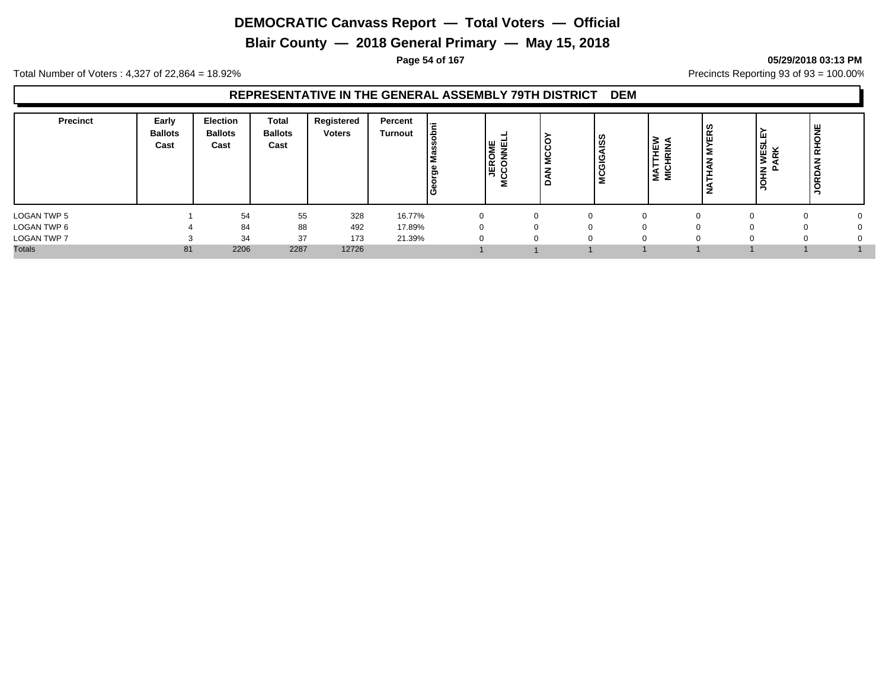**Blair County — 2018 General Primary — May 15, 2018**

**Page 54 of 167 05/29/2018 03:13 PM**

Total Number of Voters : 4,327 of 22,864 = 18.92% Precincts Reporting 93 of 93 = 100.00%

| <b>Precinct</b> | Early<br><b>Ballots</b><br>Cast | <b>Election</b><br><b>Ballots</b><br>Cast | Total<br><b>Ballots</b><br>Cast | Registered<br><b>Voters</b> | Percent<br><b>Turnout</b> | Έ<br>۱ē<br>සී<br>с | וש שו<br>Σ<br>۱o<br>les S | 'ဒ<br>ΙŠ<br>z | ဖွ<br>  ഇ<br>၊ ပ<br>ပ | <b>HEW</b><br>RINA<br>⊢<br>NAT<br>NICH | <b>YERS</b><br>İΣ<br><b>IAN</b><br>⊢<br>z | က္က<br>$\overline{\phantom{a}}$<br>÷<br>≍<br>><br>$\leq$<br>≍ | RHONE<br>z<br>JORD |  |
|-----------------|---------------------------------|-------------------------------------------|---------------------------------|-----------------------------|---------------------------|--------------------|---------------------------|---------------|-----------------------|----------------------------------------|-------------------------------------------|---------------------------------------------------------------|--------------------|--|
| LOGAN TWP 5     |                                 | 54                                        | 55                              | 328                         | 16.77%                    | 0                  |                           |               | $\Omega$              | $\Omega$                               |                                           |                                                               |                    |  |
| LOGAN TWP 6     |                                 | 84                                        | 88                              | 492                         | 17.89%                    |                    |                           |               |                       | $\Omega$                               |                                           |                                                               |                    |  |
| LOGAN TWP 7     |                                 | 34                                        | 37                              | 173                         | 21.39%                    | O                  |                           |               |                       | $\Omega$                               |                                           |                                                               | υ                  |  |
| <b>Totals</b>   | 81                              | 2206                                      | 2287                            | 12726                       |                           |                    |                           |               |                       |                                        |                                           |                                                               |                    |  |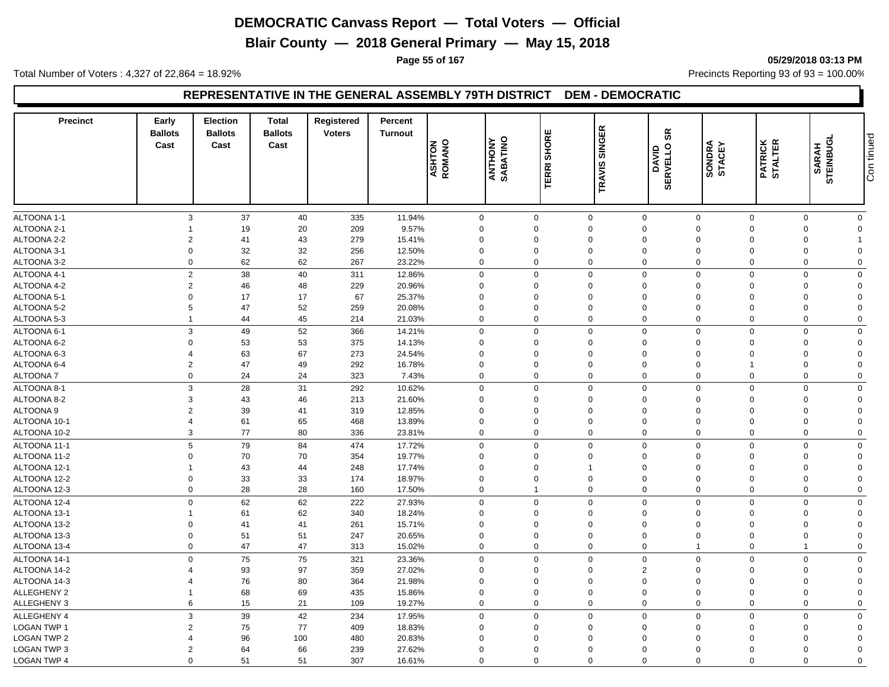**Blair County — 2018 General Primary — May 15, 2018**

**Page 55 of 167 05/29/2018 03:13 PM**

Total Number of Voters : 4,327 of 22,864 = 18.92% Precincts Reporting 93 of 93 = 100.00%

## **REPRESENTATIVE IN THE GENERAL ASSEMBLY 79TH DISTRICT DEM - DEMOCRATIC**

| <b>Precinct</b>    | Early<br><b>Ballots</b><br>Cast | <b>Election</b><br><b>Ballots</b><br>Cast | <b>Total</b><br><b>Ballots</b><br>Cast | Registered<br><b>Voters</b> | Percent<br><b>Turnout</b> | <b>ASHTON</b><br>ROMANO    | <b>ANTHONY</b><br>SABATINO | ш<br><b>SHORE</b><br>ERRI<br>ᆮ | <b>SINGER</b><br><b>TRAVIS</b> | 9S<br><b>SERVELLO</b><br>DAVID | SONDRA<br>STACEY | <b>PATRICK</b><br>STALTER | <b>STEINBUGL</b><br>SARAH  | Con tinued |
|--------------------|---------------------------------|-------------------------------------------|----------------------------------------|-----------------------------|---------------------------|----------------------------|----------------------------|--------------------------------|--------------------------------|--------------------------------|------------------|---------------------------|----------------------------|------------|
|                    |                                 |                                           |                                        |                             |                           |                            |                            |                                |                                |                                |                  |                           |                            |            |
| ALTOONA 1-1        |                                 | 37<br>3                                   | 40                                     | 335                         | 11.94%                    | $\mathbf 0$                | $\mathbf 0$                |                                | $\mathbf 0$                    | $\mathsf 0$<br>$\mathbf 0$     | $\mathsf 0$      |                           | $\mathbf 0$<br>$\mathbf 0$ |            |
| ALTOONA 2-1        |                                 | 19                                        | 20                                     | 209                         | 9.57%                     | $\mathbf 0$                |                            | $\Omega$                       | $\Omega$                       | $\mathbf 0$<br>$\Omega$        | $\mathbf 0$      |                           | $\mathbf 0$<br>$\Omega$    |            |
| ALTOONA 2-2        | $\overline{2}$                  | 41                                        | 43                                     | 279                         | 15.41%                    | $\mathbf 0$                |                            | $\Omega$                       | $\Omega$                       | $\Omega$<br>$\Omega$           | $\Omega$         |                           | $\mathbf 0$                |            |
| ALTOONA 3-1        |                                 | 32<br>$\mathbf 0$                         | 32                                     | 256                         | 12.50%                    | $\mathbf 0$                | $\mathbf 0$                |                                | $\mathbf 0$                    | $\mathbf 0$<br>$\mathbf 0$     | $\mathbf 0$      |                           | $\mathbf 0$<br>$\mathbf 0$ |            |
| ALTOONA 3-2        |                                 | 62<br>$\mathbf 0$                         | 62                                     | 267                         | 23.22%                    | $\mathbf 0$                | $\mathbf 0$                |                                | 0                              | $\mathbf 0$<br>$\mathbf 0$     | $\mathbf 0$      |                           | $\mathbf 0$<br>$\mathbf 0$ |            |
| ALTOONA 4-1        |                                 | $\overline{2}$<br>38                      | 40                                     | 311                         | 12.86%                    | $\mathbf 0$                | $\mathbf 0$                |                                | $\mathbf 0$                    | $\mathbf 0$<br>$\mathbf 0$     | $\mathbf 0$      |                           | $\mathbf 0$<br>$\mathbf 0$ |            |
| ALTOONA 4-2        |                                 | $\overline{2}$<br>46                      | 48                                     | 229                         | 20.96%                    | $\mathbf 0$                |                            | $\Omega$                       | 0                              | $\Omega$<br>$\Omega$           | $\Omega$         |                           | 0<br>$\Omega$              |            |
| ALTOONA 5-1        | $\Omega$                        | 17                                        | 17                                     | 67                          | 25.37%                    | $\mathbf 0$                |                            | $\Omega$                       | 0                              | $\Omega$<br>$\Omega$           | $\Omega$         |                           | $\mathbf 0$<br>$\Omega$    |            |
| ALTOONA 5-2        |                                 | 47<br>5                                   | 52                                     | 259                         | 20.08%                    | $\mathbf 0$                |                            | $\Omega$                       | 0                              | $\mathbf 0$<br>$\Omega$        | $\mathbf 0$      |                           | 0<br>$\Omega$              |            |
| ALTOONA 5-3        | $\mathbf{1}$                    | 44                                        | 45                                     | 214                         | 21.03%                    | $\mathbf 0$                | $\Omega$                   |                                | $\mathbf 0$                    | $\mathbf 0$<br>$\Omega$        | $\Omega$         |                           | $\mathbf 0$<br>$\mathbf 0$ |            |
|                    |                                 |                                           |                                        |                             |                           |                            |                            |                                |                                |                                |                  |                           |                            |            |
| ALTOONA 6-1        |                                 | 3<br>49                                   | 52                                     | 366                         | 14.21%                    | $\mathbf 0$                | $\Omega$                   |                                | $\mathbf 0$                    | $\mathbf 0$<br>$\mathbf 0$     | $\Omega$         |                           | $\mathbf 0$<br>$\Omega$    |            |
| ALTOONA 6-2        | $\Omega$                        | 53                                        | 53                                     | 375                         | 14.13%                    | $\mathbf 0$                |                            | $\overline{0}$                 | $\mathbf 0$                    | $\Omega$<br>$\Omega$           | $\Omega$         |                           | $\mathbf 0$<br>$\Omega$    |            |
| ALTOONA 6-3        | 4                               | 63                                        | 67                                     | 273                         | 24.54%                    | $\mathbf 0$                |                            | $\Omega$                       | $\Omega$                       | $\Omega$<br>$\Omega$           | $\Omega$         |                           | $\mathbf 0$<br>$\Omega$    |            |
| ALTOONA 6-4        | $\overline{2}$                  | 47                                        | 49                                     | 292                         | 16.78%                    | $\mathbf 0$                | $\Omega$                   |                                | $\mathbf 0$                    | $\Omega$<br>$\Omega$           | $\mathbf{1}$     |                           | 0<br>$\Omega$              |            |
| <b>ALTOONA7</b>    |                                 | 0<br>24                                   | 24                                     | 323                         | 7.43%                     | $\mathbf 0$                | $\mathbf 0$                |                                | $\mathbf 0$                    | $\mathbf 0$<br>$\mathbf 0$     | $\mathbf 0$      |                           | $\mathbf 0$<br>$\Omega$    |            |
| ALTOONA 8-1        |                                 | 28<br>3                                   | 31                                     | 292                         | 10.62%                    | $\mathbf 0$                | $\mathbf 0$                |                                | $\mathbf 0$                    | $\mathbf 0$<br>$\mathbf 0$     | $\mathbf 0$      |                           | $\mathbf 0$<br>$\mathbf 0$ |            |
| ALTOONA 8-2        | 3                               | 43                                        | 46                                     | 213                         | 21.60%                    | $\mathbf 0$                |                            | $\Omega$                       | $\mathbf 0$                    | $\mathbf 0$<br>$\Omega$        | $\Omega$         |                           | 0<br>$\Omega$              |            |
| ALTOONA 9          | $\overline{2}$                  | 39                                        | 41                                     | 319                         | 12.85%                    | $\mathbf 0$                |                            | 0                              | $\Omega$                       | $\Omega$<br>$\Omega$           | 0                |                           | 0<br>$\Omega$              |            |
| ALTOONA 10-1       | $\overline{4}$                  | 61                                        | 65                                     | 468                         | 13.89%                    | $\mathbf 0$                |                            | $\Omega$                       | $\mathbf 0$                    | $\mathbf 0$<br>$\Omega$        | $\mathbf 0$      |                           | $\mathbf 0$<br>$\Omega$    |            |
| ALTOONA 10-2       |                                 | 77<br>3                                   | 80                                     | 336                         | 23.81%                    | $\mathbf 0$                | $\mathbf 0$                |                                | $\Omega$                       | $\mathbf 0$<br>$\mathbf 0$     | $\Omega$         |                           | $\mathbf 0$<br>$\mathbf 0$ |            |
| ALTOONA 11-1       |                                 | 5<br>79                                   | 84                                     | 474                         | 17.72%                    | $\mathbf 0$                | $\Omega$                   |                                | $\mathbf 0$                    | $\mathbf 0$<br>$\Omega$        | $\Omega$         |                           | $\mathbf 0$<br>$\mathbf 0$ |            |
| ALTOONA 11-2       |                                 | 70<br>$\Omega$                            | 70                                     | 354                         | 19.77%                    | $\mathbf 0$                |                            | $\overline{0}$                 | 0                              | $\Omega$<br>$\Omega$           | $\Omega$         |                           | $\mathbf 0$<br>$\Omega$    |            |
| ALTOONA 12-1       | $\mathbf{1}$                    | 43                                        | 44                                     | 248                         | 17.74%                    | $\mathbf 0$                |                            | 0                              | $\overline{1}$                 | $\mathbf 0$<br>$\Omega$        | $\Omega$         |                           | $\mathbf 0$<br>$\Omega$    |            |
| ALTOONA 12-2       | $\Omega$                        | 33                                        | 33                                     | 174                         | 18.97%                    | $\mathbf 0$                | $\Omega$                   |                                | $\Omega$                       | $\Omega$<br>$\Omega$           | $\Omega$         |                           | $\mathbf 0$<br>$\Omega$    |            |
| ALTOONA 12-3       |                                 | 28<br>$\mathbf 0$                         | 28                                     | 160                         | 17.50%                    | $\mathbf 0$                | 1                          |                                | $\mathbf 0$                    | $\mathbf 0$<br>$\mathbf 0$     | $\mathbf 0$      |                           | $\mathbf 0$<br>$\mathbf 0$ |            |
| ALTOONA 12-4       |                                 | 62<br>$\mathbf 0$                         | 62                                     | 222                         | 27.93%                    | $\mathbf 0$                | $\Omega$                   |                                | $\mathbf 0$                    | $\mathbf 0$<br>$\Omega$        | $\Omega$         |                           | $\mathbf 0$<br>$\mathbf 0$ |            |
| ALTOONA 13-1       | 1                               | 61                                        | 62                                     | 340                         | 18.24%                    | $\mathbf 0$                |                            | $\Omega$                       | $\mathbf 0$                    | $\mathbf 0$<br>$\Omega$        | $\mathbf 0$      |                           | 0<br>$\Omega$              |            |
| ALTOONA 13-2       | $\Omega$                        | 41                                        | 41                                     | 261                         | 15.71%                    | $\mathbf 0$                |                            | $\Omega$                       | $\Omega$                       | $\Omega$<br>$\Omega$           | $\Omega$         | $\Omega$                  | $\Omega$                   |            |
| ALTOONA 13-3       | $\Omega$                        | 51                                        | 51                                     | 247                         | 20.65%                    | $\mathbf 0$                | $\Omega$                   |                                | $\mathbf 0$                    | $\mathbf 0$<br>$\Omega$        | $\Omega$         |                           | $\mathbf 0$<br>$\Omega$    |            |
| ALTOONA 13-4       |                                 | 47<br>$\Omega$                            | 47                                     | 313                         | 15.02%                    | $\mathbf 0$                | $\Omega$                   |                                | $\mathbf 0$                    | $\mathbf 0$                    | $\Omega$         | $\overline{1}$            | $\mathbf 0$                |            |
| ALTOONA 14-1       |                                 | $\mathsf{O}$<br>75                        | 75                                     | 321                         | 23.36%                    | $\mathbf 0$                | $\mathbf 0$                |                                | $\mathbf 0$                    | $\mathbf 0$<br>$\mathbf 0$     | $\mathbf 0$      |                           | $\mathbf 0$<br>$\Omega$    |            |
| ALTOONA 14-2       | 4                               | 93                                        | 97                                     | 359                         | 27.02%                    | $\mathbf 0$                |                            | $\Omega$                       | $\mathbf 0$                    | 2<br>$\Omega$                  | $\Omega$         |                           | 0<br>$\Omega$              |            |
| ALTOONA 14-3       | 4                               | 76                                        | 80                                     | 364                         | 21.98%                    | $\mathbf 0$                |                            | $\Omega$                       | $\mathbf 0$                    | $\mathbf 0$<br>$\Omega$        | $\Omega$         |                           | $\mathbf 0$<br>$\Omega$    |            |
| ALLEGHENY 2        | 1                               | 68                                        | 69                                     | 435                         | 15.86%                    | $\mathbf 0$                |                            | $\Omega$                       | $\Omega$                       | $\Omega$<br>$\Omega$           | $\Omega$         |                           | 0<br>$\Omega$              |            |
| ALLEGHENY 3        |                                 | 15<br>6                                   | 21                                     | 109                         | 19.27%                    | $\mathbf 0$                | $\Omega$                   |                                | 0                              | $\mathbf 0$<br>$\Omega$        | $\Omega$         |                           | 0<br>$\Omega$              |            |
| ALLEGHENY 4        | 3                               | 39                                        | 42                                     | 234                         | 17.95%                    | $\mathbf 0$                | $\Omega$                   |                                | $\Omega$                       | $\mathbf 0$<br>$\Omega$        | $\mathbf 0$      |                           | $\mathbf 0$<br>$\Omega$    |            |
| <b>LOGAN TWP 1</b> |                                 | 75<br>$\overline{2}$                      | 77                                     | 409                         | 18.83%                    | $\mathbf 0$                |                            | $\Omega$                       | $\Omega$                       | $\Omega$<br>$\Omega$           | $\Omega$         |                           | $\mathbf 0$<br>$\Omega$    |            |
|                    |                                 |                                           |                                        |                             |                           |                            |                            |                                |                                | $\Omega$                       |                  |                           | $\Omega$                   |            |
| <b>LOGAN TWP 2</b> |                                 | 96                                        | 100                                    | 480                         | 20.83%                    | $\mathbf 0$<br>$\mathbf 0$ | $\Omega$                   |                                | $\Omega$                       | $\Omega$                       | $\Omega$         | $\Omega$                  |                            |            |
| LOGAN TWP 3        | $\overline{2}$                  | 64                                        | 66                                     | 239                         | 27.62%                    |                            |                            | $\Omega$                       | $\Omega$                       | $\Omega$<br>$\Omega$           | $\Omega$         |                           | $\mathbf 0$<br>$\Omega$    |            |
| <b>LOGAN TWP 4</b> |                                 | $\Omega$<br>51                            | 51                                     | 307                         | 16.61%                    | $\mathbf 0$                |                            | $\Omega$                       | $\mathbf 0$                    | $\mathbf 0$<br>$\Omega$        | $\Omega$         |                           | $\mathbf 0$<br>$\mathbf 0$ |            |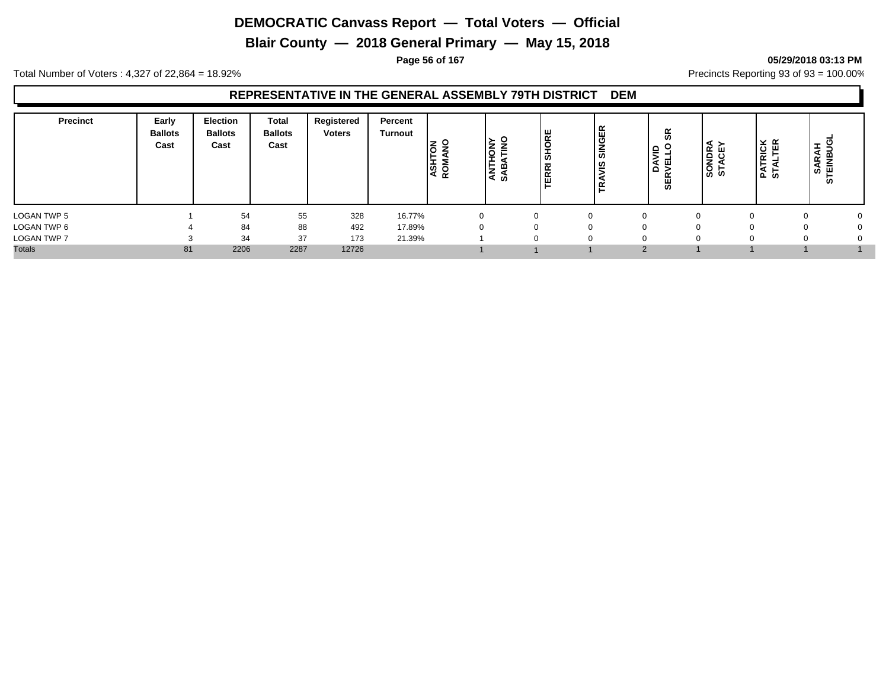**Blair County — 2018 General Primary — May 15, 2018**

**Page 56 of 167 05/29/2018 03:13 PM**

Total Number of Voters : 4,327 of 22,864 = 18.92% Precincts Reporting 93 of 93 = 100.00%

| <b>Precinct</b>    | Early<br><b>Ballots</b><br>Cast | <b>Election</b><br><b>Ballots</b><br>Cast | <b>Total</b><br><b>Ballots</b><br>Cast | Registered<br><b>Voters</b> | Percent<br>Turnout | <b>ASHTON</b><br>ROMANO | <b>ANTHONY</b><br>SABATINO | SHORE<br>귵<br>ᅙ<br>ш | <b>SINGER</b><br>  ဟ<br>-<br>۴ | 9S<br>$\circ$<br>DAVID<br>SERVELLO | SONDRA<br>STACEY | <b>PATRICK</b><br>STALTER | <b>I</b><br>я<br>罢<br>œ<br>-<br>ெ ் ய<br>ທ |  |
|--------------------|---------------------------------|-------------------------------------------|----------------------------------------|-----------------------------|--------------------|-------------------------|----------------------------|----------------------|--------------------------------|------------------------------------|------------------|---------------------------|--------------------------------------------|--|
| LOGAN TWP 5        |                                 | 54                                        | 55                                     | 328                         | 16.77%             | $\Omega$                |                            |                      | $\Omega$                       | $\Omega$                           |                  | $\Omega$                  | 0                                          |  |
| LOGAN TWP 6        |                                 | 84                                        | 88                                     | 492                         | 17.89%             | $\Omega$                |                            |                      |                                | $\Omega$                           |                  |                           |                                            |  |
| <b>LOGAN TWP 7</b> |                                 | 34                                        | 37                                     | 173                         | 21.39%             |                         |                            |                      | $\Omega$                       | $\Omega$                           |                  | O                         | 0                                          |  |
| <b>Totals</b>      | 81                              | 2206                                      | 2287                                   | 12726                       |                    |                         |                            |                      |                                | $\Omega$                           |                  |                           |                                            |  |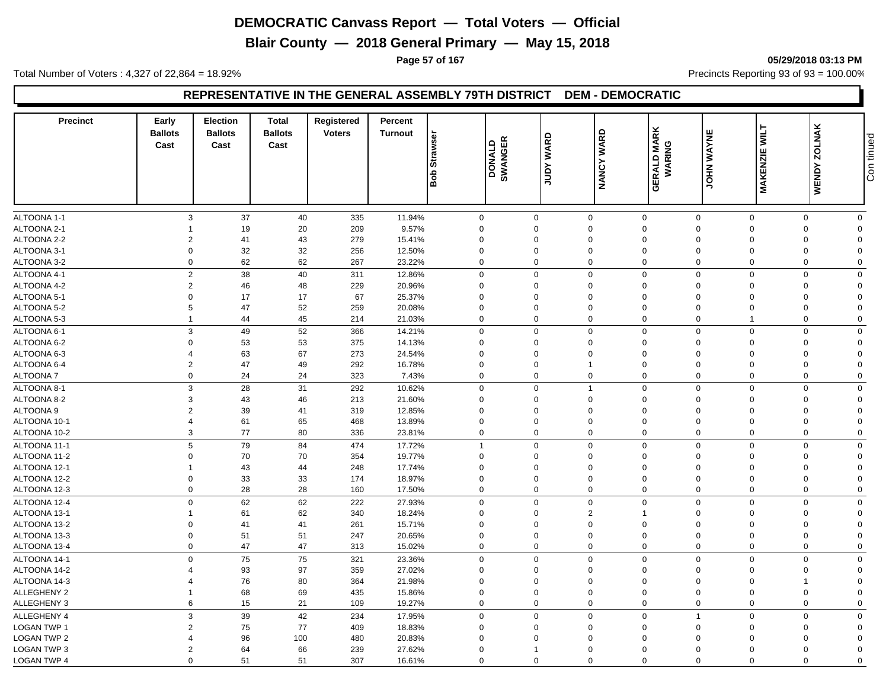**Blair County — 2018 General Primary — May 15, 2018**

**Page 57 of 167 05/29/2018 03:13 PM**

Total Number of Voters : 4,327 of 22,864 = 18.92% Precincts Reporting 93 of 93 = 100.00%

#### **REPRESENTATIVE IN THE GENERAL ASSEMBLY 79TH DISTRICT DEM - DEMOCRATIC**

| <b>Precinct</b>    | Early<br><b>Ballots</b><br>Cast | Election<br><b>Ballots</b><br>Cast | <b>Total</b><br><b>Ballots</b><br>Cast | Registered<br><b>Voters</b> | Percent<br><b>Turnout</b> | Strawser<br>aoa | DONALD<br>SWANGER | <b>WARD</b><br>Vann | <b>WARD</b><br><b>NANCY</b> | <b>GERALD MARK</b><br>WARING       | JOHN WAYNE     | <b>NILT</b><br>MAKENZIE | <b>WENDY ZOLNAK</b> | Con tinued |
|--------------------|---------------------------------|------------------------------------|----------------------------------------|-----------------------------|---------------------------|-----------------|-------------------|---------------------|-----------------------------|------------------------------------|----------------|-------------------------|---------------------|------------|
|                    |                                 |                                    |                                        |                             |                           |                 |                   |                     |                             |                                    |                |                         |                     |            |
| ALTOONA 1-1        | $\mathbf{3}$                    | 37                                 | 40                                     | 335                         | 11.94%                    | $\mathsf{O}$    |                   | $\mathbf 0$         | $\mathbf 0$                 | $\mathsf{O}\xspace$<br>$\mathsf 0$ | $\mathsf 0$    | $\mathsf{O}$            | $\mathbf 0$         |            |
| ALTOONA 2-1        |                                 | 19                                 | 20                                     | 209                         | 9.57%                     | $\mathbf 0$     | $\Omega$          |                     | $\Omega$                    | $\mathbf 0$<br>$\Omega$            | $\Omega$       | $\mathbf 0$             | $\Omega$            |            |
| ALTOONA 2-2        | $\overline{2}$                  | 41                                 | 43                                     | 279                         | 15.41%                    | $\mathbf 0$     | $\Omega$          |                     | $\mathbf 0$                 | $\mathbf 0$<br>$\Omega$            | $\mathbf 0$    | $\mathbf 0$             | $\Omega$            |            |
| ALTOONA 3-1        | $\Omega$                        | 32                                 | 32                                     | 256                         | 12.50%                    | $\mathbf 0$     | $\Omega$          |                     | $\Omega$                    | $\mathbf 0$<br>$\Omega$            | $\Omega$       | $\mathbf 0$             | $\Omega$            |            |
| ALTOONA 3-2        | $\Omega$                        | 62                                 | 62                                     | 267                         | 23.22%                    | $\mathbf 0$     | $\Omega$          |                     | $\mathbf 0$                 | $\mathbf 0$<br>$\Omega$            | $\mathbf{0}$   | $\mathbf 0$             | $\Omega$            |            |
| ALTOONA 4-1        |                                 | $\mathbf{2}$<br>38                 | 40                                     | 311                         | 12.86%                    | $\mathbf 0$     | $\Omega$          |                     | $\mathbf 0$                 | $\mathbf 0$<br>$\mathbf 0$         | $\mathbf 0$    | $\mathbf 0$             | $\mathbf 0$         |            |
| ALTOONA 4-2        | $\overline{2}$                  | 46                                 | 48                                     | 229                         | 20.96%                    | $\mathbf 0$     | $\Omega$          |                     | $\mathbf 0$                 | $\mathbf 0$<br>$\Omega$            | $\mathbf 0$    | $\mathbf 0$             | $\Omega$            |            |
| ALTOONA 5-1        | $\mathbf 0$                     | 17                                 | 17                                     | 67                          | 25.37%                    | $\mathbf 0$     | $\Omega$          |                     | $\mathbf 0$                 | $\mathbf 0$<br>$\Omega$            | $\mathbf 0$    | $\mathbf 0$             | $\Omega$            |            |
| ALTOONA 5-2        | 5                               | 47                                 | 52                                     | 259                         | 20.08%                    | $\mathbf 0$     | $\Omega$          |                     | $\Omega$                    | $\mathbf 0$<br>$\Omega$            | $\Omega$       | 0                       | $\Omega$            |            |
| ALTOONA 5-3        | -1                              | 44                                 | 45                                     | 214                         | 21.03%                    | $\mathbf 0$     | $\Omega$          |                     | 0                           | $\mathbf 0$<br>$\mathbf 0$         | $\mathbf 1$    | $\mathbf 0$             | $\mathbf 0$         |            |
| ALTOONA 6-1        | 3                               | 49                                 | 52                                     | 366                         | 14.21%                    | $\mathbf 0$     | $\Omega$          |                     | $\mathbf{0}$                | $\mathbf 0$<br>$\mathbf 0$         | $\mathbf 0$    | $\mathbf 0$             | $\Omega$            |            |
| ALTOONA 6-2        | $\overline{0}$                  | 53                                 | 53                                     | 375                         | 14.13%                    | $\mathbf 0$     | $\mathbf 0$       |                     | $\mathbf 0$                 | $\mathbf 0$<br>$\mathbf 0$         | $\mathbf 0$    | $\mathbf 0$             | $\Omega$            |            |
| ALTOONA 6-3        | 4                               | 63                                 | 67                                     | 273                         | 24.54%                    | $\mathbf 0$     | $\Omega$          |                     | $\Omega$                    | $\mathbf 0$<br>$\Omega$            | $\Omega$       | $\mathbf 0$             | $\Omega$            |            |
| ALTOONA 6-4        | $\overline{2}$                  | 47                                 | 49                                     | 292                         | 16.78%                    | $\mathbf 0$     | $\mathbf 0$       |                     | $\overline{1}$              | $\mathbf 0$<br>$\mathbf 0$         | $\overline{0}$ | $\mathbf 0$             | $\Omega$            |            |
| <b>ALTOONA7</b>    | $\mathbf 0$                     | 24                                 | 24                                     | 323                         | 7.43%                     | $\mathbf 0$     | $\mathbf 0$       |                     | $\mathbf 0$                 | $\mathbf 0$<br>$\mathbf 0$         | $\mathbf 0$    | $\mathbf 0$             | $\Omega$            |            |
| ALTOONA 8-1        | 3                               | 28                                 | 31                                     | 292                         | 10.62%                    | $\mathbf 0$     | $\mathbf 0$       |                     | $\overline{1}$              | $\mathbf 0$<br>$\mathbf 0$         | $\mathbf 0$    | $\mathbf 0$             | $\mathbf 0$         |            |
| ALTOONA 8-2        | 3                               | 43                                 | 46                                     | 213                         | 21.60%                    | $\mathbf 0$     | $\Omega$          |                     | $\Omega$                    | $\mathbf 0$<br>$\Omega$            | $\Omega$       | 0                       | $\Omega$            |            |
| <b>ALTOONA 9</b>   | $\overline{2}$                  | 39                                 | 41                                     | 319                         | 12.85%                    | $\mathbf 0$     | $\Omega$          |                     | $\Omega$                    | $\mathbf 0$<br>$\Omega$            | $\mathbf 0$    | 0                       | $\Omega$            |            |
| ALTOONA 10-1       | $\overline{4}$                  | 61                                 | 65                                     | 468                         | 13.89%                    | $\mathbf 0$     | $\Omega$          |                     | $\mathbf 0$                 | $\mathbf 0$<br>$\Omega$            | $\mathbf 0$    | $\mathbf 0$             | $\Omega$            |            |
| ALTOONA 10-2       | 3                               | 77                                 | 80                                     | 336                         | 23.81%                    | $\mathbf 0$     | $\mathbf 0$       |                     | $\mathbf 0$                 | $\mathbf 0$<br>$\mathbf 0$         | $\mathbf 0$    | $\mathbf 0$             | $\mathbf 0$         |            |
| ALTOONA 11-1       | 5                               | 79                                 | 84                                     | 474                         | 17.72%                    | $\overline{1}$  | $\mathbf 0$       |                     | $\mathbf 0$                 | $\mathbf 0$<br>$\mathbf 0$         | $\mathbf 0$    | $\mathbf 0$             | $\mathbf 0$         |            |
| ALTOONA 11-2       | $\Omega$                        | 70                                 | 70                                     | 354                         | 19.77%                    | $\mathbf 0$     | $\Omega$          |                     | $\mathbf 0$                 | $\mathbf 0$<br>$\Omega$            | $\Omega$       | 0                       | $\Omega$            |            |
| ALTOONA 12-1       | -1                              | 43                                 | 44                                     | 248                         | 17.74%                    | $\mathbf 0$     | $\mathbf 0$       |                     | $\mathbf 0$                 | $\mathbf 0$<br>$\Omega$            | $\Omega$       | $\mathbf 0$             | $\Omega$            |            |
| ALTOONA 12-2       | $\mathbf 0$                     |                                    |                                        |                             |                           | $\mathbf 0$     | $\mathbf 0$       |                     | $\mathbf 0$                 | $\mathbf 0$<br>$\mathbf 0$         | $\mathbf 0$    | $\mathbf 0$             | $\Omega$            |            |
| ALTOONA 12-3       | $\mathbf 0$                     | 33<br>28                           | 33<br>28                               | 174<br>160                  | 18.97%<br>17.50%          | $\mathbf 0$     | $\Omega$          |                     | 0                           | $\mathbf 0$<br>$\Omega$            | $\Omega$       | 0                       | $\Omega$            |            |
|                    |                                 |                                    |                                        |                             |                           |                 |                   |                     |                             |                                    |                |                         |                     |            |
| ALTOONA 12-4       | $\mathbf 0$                     | 62                                 | 62                                     | 222                         | 27.93%                    | $\mathbf 0$     | $\Omega$          |                     | $\Omega$                    | $\mathbf 0$<br>$\Omega$            | $\Omega$       | $\mathbf 0$             | $\mathbf 0$         |            |
| ALTOONA 13-1       |                                 | 61                                 | 62                                     | 340                         | 18.24%                    | $\mathbf 0$     | $\Omega$          |                     | $\overline{2}$              | $\Omega$<br>-1                     | $\Omega$       | $\mathbf 0$             | $\Omega$            |            |
| ALTOONA 13-2       | $\Omega$                        | 41                                 | 41                                     | 261                         | 15.71%                    | $\mathbf 0$     | $\Omega$          |                     | $\Omega$                    | $\mathbf 0$<br>$\Omega$            | $\Omega$       | $\Omega$                | $\Omega$            |            |
| ALTOONA 13-3       | $\Omega$                        | 51                                 | 51                                     | 247                         | 20.65%                    | $\mathbf 0$     | $\Omega$          |                     | $\Omega$                    | $\mathbf 0$<br>$\Omega$            | $\Omega$       | $\mathbf 0$             | $\Omega$            |            |
| ALTOONA 13-4       | $\mathbf 0$                     | 47                                 | 47                                     | 313                         | 15.02%                    | $\mathbf 0$     | $\Omega$          |                     | $\mathbf 0$                 | $\mathbf 0$<br>$\Omega$            | $\mathbf 0$    | $\mathbf 0$             | $\mathbf 0$         |            |
| ALTOONA 14-1       | $\Omega$                        | 75                                 | 75                                     | 321                         | 23.36%                    | $\mathbf 0$     | $\Omega$          |                     | $\mathbf 0$                 | $\mathbf 0$<br>$\mathbf 0$         | $\mathbf{0}$   | 0                       | $\Omega$            |            |
| ALTOONA 14-2       |                                 | 93                                 | 97                                     | 359                         | 27.02%                    | $\mathbf 0$     | $\Omega$          |                     | $\mathbf 0$                 | $\mathbf 0$<br>$\Omega$            | $\Omega$       | $\mathbf 0$             | $\Omega$            |            |
| ALTOONA 14-3       |                                 | 76                                 | 80                                     | 364                         | 21.98%                    | $\mathbf 0$     | $\Omega$          |                     | $\Omega$                    | $\mathbf 0$<br>$\Omega$            | $\Omega$       | 1                       | $\Omega$            |            |
| ALLEGHENY 2        |                                 | 68                                 | 69                                     | 435                         | 15.86%                    | $\mathbf 0$     | $\Omega$          |                     | $\mathbf 0$                 | $\mathbf 0$<br>$\Omega$            | $\Omega$       | $\mathbf 0$             | $\Omega$            |            |
| ALLEGHENY 3        | 6                               | 15                                 | 21                                     | 109                         | 19.27%                    | $\mathbf 0$     | $\Omega$          |                     | $\mathbf 0$                 | $\mathbf 0$<br>$\Omega$            | $\mathbf 0$    | $\mathbf 0$             | $\mathbf 0$         |            |
| <b>ALLEGHENY 4</b> | 3                               | 39                                 | 42                                     | 234                         | 17.95%                    | $\mathbf 0$     | $\Omega$          |                     | $\mathbf{0}$                | $\mathbf 0$                        | $\mathbf 0$    | $\mathbf 0$             | $\Omega$            |            |
| <b>LOGAN TWP 1</b> | $\overline{2}$                  | 75                                 | 77                                     | 409                         | 18.83%                    | $\mathbf 0$     | $\mathbf 0$       |                     | $\mathbf 0$                 | $\mathbf 0$<br>$\mathbf 0$         | $\mathbf 0$    | $\mathbf 0$             | $\Omega$            |            |
| <b>LOGAN TWP 2</b> | $\Delta$                        | 96                                 | 100                                    | 480                         | 20.83%                    | $\mathbf 0$     | $\Omega$          |                     | $\Omega$                    | $\mathbf 0$<br>$\Omega$            | $\Omega$       | $\mathbf 0$             | $\Omega$            |            |
| <b>LOGAN TWP 3</b> | $\overline{2}$                  | 64                                 | 66                                     | 239                         | 27.62%                    | $\mathbf 0$     | -1                |                     | $\Omega$                    | $\Omega$<br>$\Omega$               | $\Omega$       | $\mathbf 0$             | $\Omega$            |            |
| LOGAN TWP 4        | $\Omega$                        | 51                                 | 51                                     | 307                         | 16.61%                    | $\mathbf 0$     | $\Omega$          |                     | $\mathbf 0$                 | $\mathbf 0$<br>$\mathbf 0$         | $\mathbf{0}$   | 0                       | $\mathbf 0$         |            |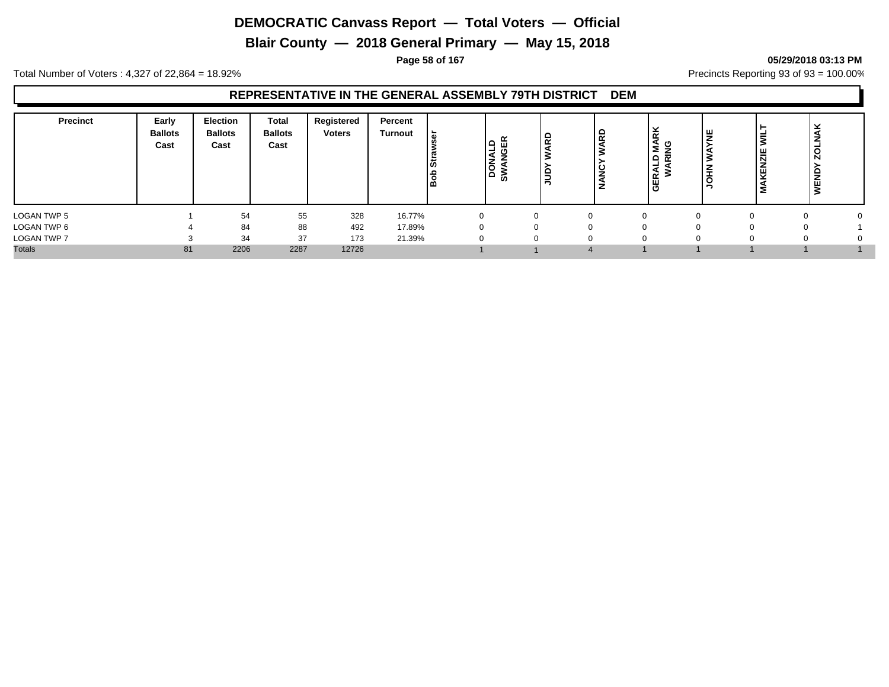**Blair County — 2018 General Primary — May 15, 2018**

**Page 58 of 167 05/29/2018 03:13 PM**

Total Number of Voters : 4,327 of 22,864 = 18.92% Precincts Reporting 93 of 93 = 100.00%

| <b>Precinct</b>    | Early<br><b>Ballots</b><br>Cast | <b>Election</b><br><b>Ballots</b><br>Cast | Total<br><b>Ballots</b><br>Cast | Registered<br><b>Voters</b> | Percent<br>Turnout | ' ৯<br>lະັ<br>ه ا | $\Omega$<br>z<br>$\circ$<br>$\circ$<br>><br><b>SC</b> | <b>ARD</b><br>-<br>l s<br>$-$ | 윤<br>ပ<br>- | RK<br>ိပ္စ<br>Ξ<br>$\alpha$<br>≏<br>-<br>◢<br>œ<br>₩ | ١¥<br>∣≩ | ≂<br>쁭<br>ίEΝ<br>Σ | $\overline{5}$<br><b>WEND</b> |  |
|--------------------|---------------------------------|-------------------------------------------|---------------------------------|-----------------------------|--------------------|-------------------|-------------------------------------------------------|-------------------------------|-------------|------------------------------------------------------|----------|--------------------|-------------------------------|--|
| LOGAN TWP 5        |                                 | 54                                        | 55                              | 328                         | 16.77%             | 0                 |                                                       |                               | $\Omega$    |                                                      |          |                    |                               |  |
| LOGAN TWP 6        |                                 | 84                                        | 88                              | 492                         | 17.89%             | $\Omega$          |                                                       |                               | $\Omega$    |                                                      |          |                    | 0                             |  |
| <b>LOGAN TWP 7</b> |                                 | 34                                        | 37                              | 173                         | 21.39%             | 0                 |                                                       |                               | $\mathbf 0$ |                                                      |          |                    | 0                             |  |
| <b>Totals</b>      | 81                              | 2206                                      | 2287                            | 12726                       |                    |                   |                                                       |                               |             |                                                      |          |                    |                               |  |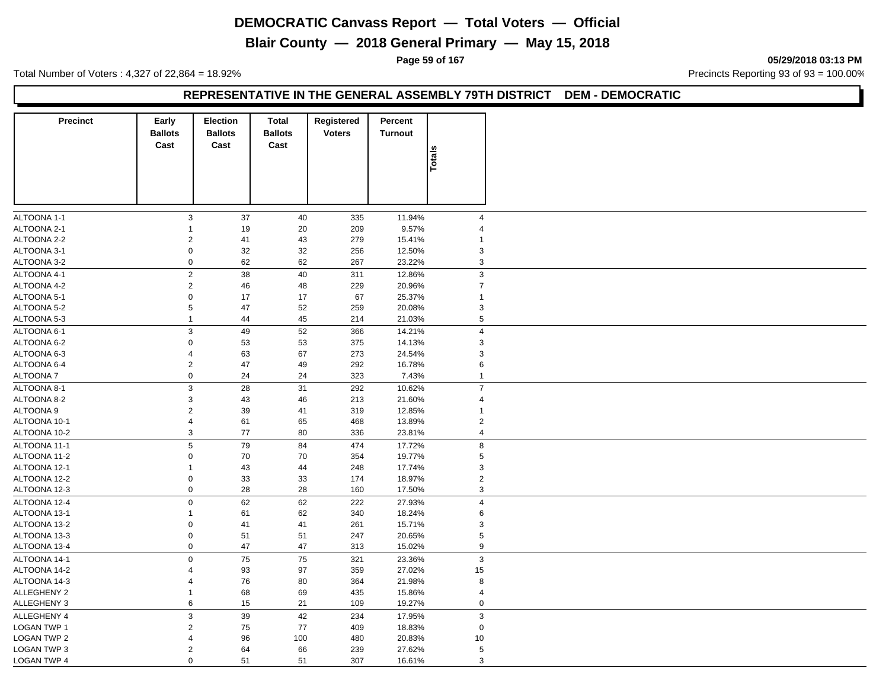**Blair County — 2018 General Primary — May 15, 2018**

**Page 59 of 167 05/29/2018 03:13 PM**

Total Number of Voters : 4,327 of 22,864 = 18.92% Precincts Reporting 93 of 93 = 100.00%

#### **REPRESENTATIVE IN THE GENERAL ASSEMBLY 79TH DISTRICT DEM - DEMOCRATIC**

| <b>Precinct</b>    | Early<br><b>Ballots</b><br>Cast | <b>Election</b><br><b>Ballots</b><br>Cast | Total<br><b>Ballots</b><br>Cast | <b>Registered</b><br><b>Voters</b> | Percent<br><b>Turnout</b> |                           |
|--------------------|---------------------------------|-------------------------------------------|---------------------------------|------------------------------------|---------------------------|---------------------------|
|                    |                                 |                                           |                                 |                                    |                           | Totals                    |
| ALTOONA 1-1        | $\mathbf{3}$                    | 37                                        | 40                              | 335                                | 11.94%                    | $\overline{\mathbf{4}}$   |
| ALTOONA 2-1        |                                 | 19                                        | 20                              | 209                                | 9.57%                     | $\overline{\mathbf{4}}$   |
| ALTOONA 2-2        | 2                               | 41                                        | 43                              | 279                                | 15.41%                    | $\mathbf{1}$              |
| ALTOONA 3-1        | $\boldsymbol{0}$                | 32                                        | 32                              | 256                                | 12.50%                    | 3                         |
| ALTOONA 3-2        | $\mathbf 0$                     | 62                                        | 62                              | 267                                | 23.22%                    | 3                         |
| ALTOONA 4-1        | $\mathbf 2$                     | 38                                        | 40                              | 311                                | 12.86%                    | $\mathbf{3}$              |
| ALTOONA 4-2        | $\overline{2}$                  | 46                                        | 48                              | 229                                | 20.96%                    | $\boldsymbol{7}$          |
| ALTOONA 5-1        | $\boldsymbol{0}$                | 17                                        | 17                              | 67                                 | 25.37%                    | $\mathbf{1}$              |
| ALTOONA 5-2        | $\,$ 5 $\,$                     | 47                                        | 52                              | 259                                | 20.08%                    | $\mathsf 3$               |
| ALTOONA 5-3        | $\overline{1}$                  | 44                                        | 45                              | 214                                | 21.03%                    | $\,$ 5 $\,$               |
|                    |                                 |                                           |                                 |                                    |                           |                           |
| ALTOONA 6-1        | $\mathbf{3}$                    | 49                                        | 52                              | 366                                | 14.21%                    | $\overline{4}$            |
| ALTOONA 6-2        | $\mathbf 0$                     | 53                                        | 53                              | 375                                | 14.13%                    | 3                         |
| ALTOONA 6-3        | 4                               | 63                                        | 67                              | 273                                | 24.54%                    | $\mathsf 3$               |
| ALTOONA 6-4        | $\sqrt{2}$                      | 47                                        | 49                              | 292                                | 16.78%                    | 6                         |
| ALTOONA 7          | $\mathbf 0$                     | 24                                        | 24                              | 323                                | 7.43%                     | $\mathbf{1}$              |
| ALTOONA 8-1        | 3                               | 28                                        | 31                              | 292                                | 10.62%                    | $\overline{7}$            |
| ALTOONA 8-2        | 3                               | 43                                        | 46                              | 213                                | 21.60%                    | $\overline{\mathbf{4}}$   |
| ALTOONA 9          | $\sqrt{2}$                      | 39                                        | 41                              | 319                                | 12.85%                    | $\mathbf{1}$              |
| ALTOONA 10-1       | 4                               | 61                                        | 65                              | 468                                | 13.89%                    | $\overline{2}$            |
| ALTOONA 10-2       | 3                               | 77                                        | 80                              | 336                                | 23.81%                    | 4                         |
| ALTOONA 11-1       | $\,$ 5 $\,$                     | 79                                        | 84                              | 474                                | 17.72%                    | $\bf 8$                   |
| ALTOONA 11-2       | $\mathbf 0$                     | 70                                        | 70                              | 354                                | 19.77%                    | $\,$ 5 $\,$               |
| ALTOONA 12-1       | 1                               | 43                                        | 44                              | 248                                | 17.74%                    | 3                         |
| ALTOONA 12-2       | $\mathbf 0$                     | 33                                        | 33                              | 174                                | 18.97%                    | $\overline{2}$            |
| ALTOONA 12-3       | $\boldsymbol{0}$                | 28                                        | 28                              | 160                                | 17.50%                    | 3                         |
| ALTOONA 12-4       | $\pmb{0}$                       | 62                                        | 62                              | 222                                | 27.93%                    | $\overline{\mathbf{4}}$   |
| ALTOONA 13-1       | 1                               | 61                                        | 62                              | 340                                | 18.24%                    | 6                         |
| ALTOONA 13-2       | 0                               | 41                                        | 41                              | 261                                | 15.71%                    | $\mathsf 3$               |
| ALTOONA 13-3       | 0                               | 51                                        | 51                              | 247                                | 20.65%                    | $\,$ 5 $\,$               |
| ALTOONA 13-4       | $\mathsf 0$                     | 47                                        | 47                              | 313                                | 15.02%                    | 9                         |
| ALTOONA 14-1       | $\mathsf 0$                     | 75                                        | 75                              | 321                                | 23.36%                    | $\ensuremath{\mathsf{3}}$ |
|                    | 4                               |                                           |                                 |                                    | 27.02%                    |                           |
| ALTOONA 14-2       |                                 | 93                                        | 97                              | 359                                |                           | 15                        |
| ALTOONA 14-3       | 4<br>$\mathbf{1}$               | 76                                        | 80                              | 364                                | 21.98%                    | 8                         |
| <b>ALLEGHENY 2</b> |                                 | 68                                        | 69                              | 435                                | 15.86%                    | $\overline{4}$            |
| <b>ALLEGHENY 3</b> | 6                               | 15                                        | 21                              | 109                                | 19.27%                    | $\mathbf 0$               |
| <b>ALLEGHENY 4</b> | $\mathbf{3}$                    | 39                                        | 42                              | 234                                | 17.95%                    | $\mathfrak{Z}$            |
| LOGAN TWP 1        | $\overline{c}$                  | 75                                        | 77                              | 409                                | 18.83%                    | $\mathbf 0$               |
| <b>LOGAN TWP 2</b> | 4                               | 96                                        | 100                             | 480                                | 20.83%                    | 10                        |
| LOGAN TWP 3        | $\overline{2}$                  | 64                                        | 66                              | 239                                | 27.62%                    | 5                         |
| LOGAN TWP 4        | $\Omega$                        | 51                                        | 51                              | 307                                | 16.61%                    | $\mathsf 3$               |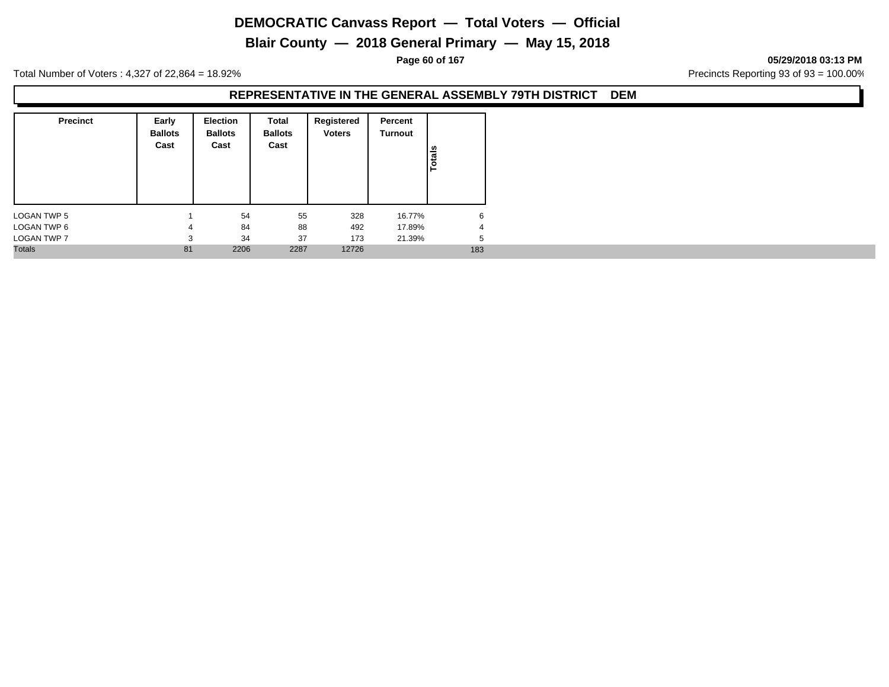**Blair County — 2018 General Primary — May 15, 2018**

**Page 60 of 167 05/29/2018 03:13 PM**

Total Number of Voters : 4,327 of 22,864 = 18.92% Precincts Reporting 93 of 93 = 100.00%

| <b>Precinct</b>    | Early<br><b>Ballots</b><br>Cast | Election<br><b>Ballots</b><br>Cast | <b>Total</b><br><b>Ballots</b><br>Cast | Registered<br><b>Voters</b> | Percent<br>Turnout | Totals |  |
|--------------------|---------------------------------|------------------------------------|----------------------------------------|-----------------------------|--------------------|--------|--|
| <b>LOGAN TWP 5</b> |                                 | 54                                 | 55                                     | 328                         | 16.77%             | 6      |  |
| LOGAN TWP 6        | 4                               | 84                                 | 88                                     | 492                         | 17.89%             | 4      |  |
| LOGAN TWP 7        | 3                               | 34                                 | 37                                     | 173                         | 21.39%             | 5      |  |
| <b>Totals</b>      | 81                              | 2206                               | 2287                                   | 12726                       |                    | 183    |  |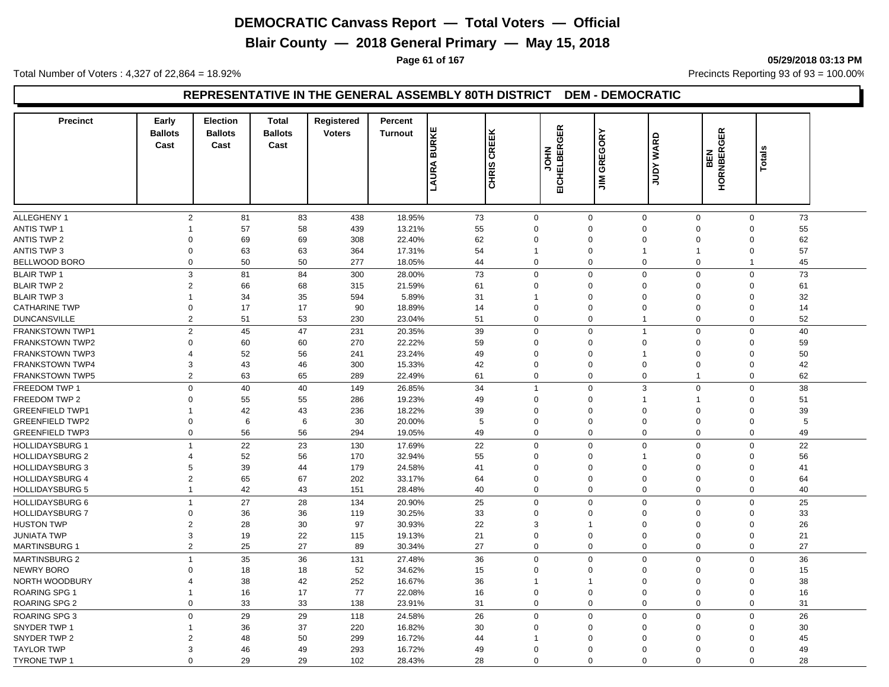**Blair County — 2018 General Primary — May 15, 2018**

**Page 61 of 167 05/29/2018 03:13 PM**

Total Number of Voters : 4,327 of 22,864 = 18.92% Precincts Reporting 93 of 93 = 100.00%

#### **REPRESENTATIVE IN THE GENERAL ASSEMBLY 80TH DISTRICT DEM - DEMOCRATIC**

| <b>Precinct</b>        | Early<br><b>Ballots</b><br>Cast | <b>Election</b><br><b>Ballots</b><br>Cast | <b>Total</b><br><b>Ballots</b><br>Cast | Registered<br><b>Voters</b> | Percent<br><b>Turnout</b> | <b>LAURA BURKE</b><br>CREEK<br>CHRIS <sup></sup> |                | <b>EICHELBERGER</b><br>NHOL | GREGORY<br>$\tilde{z}$  | <b>JUDY WARD</b> | <b>GER</b><br>HORNBER<br>BEN | <b>Totals</b>     |  |
|------------------------|---------------------------------|-------------------------------------------|----------------------------------------|-----------------------------|---------------------------|--------------------------------------------------|----------------|-----------------------------|-------------------------|------------------|------------------------------|-------------------|--|
|                        |                                 |                                           |                                        |                             |                           |                                                  |                |                             |                         |                  |                              |                   |  |
| ALLEGHENY 1            | $\overline{2}$                  | 81                                        | 83                                     | 438                         | 18.95%                    | 73                                               | $\mathbf 0$    | $\mathbf 0$                 | $\mathbf 0$             | 0                | $\mathbf 0$                  | 73                |  |
| <b>ANTIS TWP 1</b>     | $\overline{1}$                  | 57                                        | 58                                     | 439                         | 13.21%                    | 55                                               | $\mathbf 0$    | $\Omega$                    | $\Omega$                | $\Omega$         | $\Omega$                     | 55                |  |
| <b>ANTIS TWP 2</b>     | $\Omega$                        | 69                                        | 69                                     | 308                         | 22.40%                    | 62                                               | $\Omega$       | $\Omega$                    | $\Omega$                | $\Omega$         | $\Omega$                     | 62                |  |
| <b>ANTIS TWP 3</b>     | $\Omega$                        | 63                                        | 63                                     | 364                         | 17.31%                    | 54                                               | 1              | $\Omega$                    | -1                      | $\overline{1}$   | $\Omega$                     | 57                |  |
| BELLWOOD BORO          | $\mathbf 0$                     | 50                                        | 50                                     | 277                         | 18.05%                    | 44                                               | $\mathbf 0$    | $\Omega$                    | $\Omega$                | $\mathbf 0$      | $\overline{1}$               | 45                |  |
| <b>BLAIR TWP 1</b>     | 3                               | 81                                        | 84                                     | 300                         | 28.00%                    | 73                                               | 0              | $\mathbf 0$                 | $\overline{0}$          | $\mathbf 0$      | $\mathbf 0$                  | 73                |  |
| <b>BLAIR TWP 2</b>     | $\overline{2}$                  | 66                                        | 68                                     | 315                         | 21.59%                    | 61                                               | 0              | $\Omega$                    | $\mathbf 0$             | 0                | $\Omega$                     | 61                |  |
| <b>BLAIR TWP 3</b>     | $\overline{1}$                  | 34                                        | 35                                     | 594                         | 5.89%                     | 31                                               | 1              | $\Omega$                    | $\Omega$                | $\Omega$         | $\mathbf 0$                  | 32                |  |
| <b>CATHARINE TWP</b>   | $\mathbf 0$                     | 17                                        | 17                                     | 90                          | 18.89%                    | 14                                               | 0              | $\Omega$                    | $\Omega$                | $\mathbf 0$      | $\Omega$                     | 14                |  |
| <b>DUNCANSVILLE</b>    | $\overline{2}$                  | 51                                        | 53                                     | 230                         | 23.04%                    | 51                                               | 0              | $\mathbf 0$                 | $\overline{\mathbf{1}}$ | 0                |                              | 52<br>0           |  |
| <b>FRANKSTOWN TWP1</b> | $\overline{2}$                  | 45                                        | 47                                     | 231                         | 20.35%                    | 39                                               | $\mathbf 0$    | $\mathbf 0$                 | $\overline{1}$          | $\mathbf 0$      | $\mathbf 0$                  | 40                |  |
| <b>FRANKSTOWN TWP2</b> | $\Omega$                        | 60                                        | 60                                     | 270                         | 22.22%                    | 59                                               | 0              | $\Omega$                    | $\overline{0}$          | $\Omega$         | $\mathbf{0}$                 | 59                |  |
| <b>FRANKSTOWN TWP3</b> | $\overline{4}$                  | 52                                        | 56                                     | 241                         | 23.24%                    | 49                                               | $\mathbf 0$    | $\Omega$                    | $\overline{1}$          | $\Omega$         | $\Omega$                     | 50                |  |
| <b>FRANKSTOWN TWP4</b> | 3                               | 43                                        | 46                                     | 300                         | 15.33%                    | 42                                               | 0              | $\mathbf 0$                 | $\mathbf 0$             | $\mathbf 0$      | $\mathbf 0$                  | 42                |  |
| <b>FRANKSTOWN TWP5</b> | $\overline{2}$                  | 63                                        | 65                                     | 289                         | 22.49%                    | 61                                               | 0              | $\mathbf 0$                 | $\mathbf 0$             | $\mathbf{1}$     | $\mathbf 0$                  | 62                |  |
| FREEDOM TWP 1          | $\mathbf 0$                     | 40                                        | 40                                     | 149                         | 26.85%                    | 34                                               | $\overline{1}$ | $\Omega$                    | 3                       | 0                | $\mathbf 0$                  | 38                |  |
| FREEDOM TWP 2          | $\Omega$                        | 55                                        | 55                                     | 286                         | 19.23%                    | 49                                               | 0              | $\Omega$                    | $\overline{\mathbf{1}}$ | 1                | $\mathbf 0$                  | 51                |  |
| <b>GREENFIELD TWP1</b> | $\mathbf 1$                     | 42                                        | 43                                     | 236                         | 18.22%                    | 39                                               | $\mathbf 0$    | $\Omega$                    | $\mathbf 0$             | $\Omega$         | $\Omega$                     | 39                |  |
| <b>GREENFIELD TWP2</b> | $\Omega$                        | 6                                         | 6                                      | 30                          | 20.00%                    | 5                                                | 0              | $\Omega$                    | $\Omega$                | $\Omega$         | $\Omega$                     | 5                 |  |
| <b>GREENFIELD TWP3</b> | $\mathbf 0$                     | 56                                        | 56                                     | 294                         | 19.05%                    | 49                                               | $\mathbf 0$    | $\mathbf 0$                 | $\overline{0}$          | $\mathbf 0$      |                              | $\mathbf 0$<br>49 |  |
| <b>HOLLIDAYSBURG 1</b> | $\overline{1}$                  | 22                                        | 23                                     | 130                         | 17.69%                    | 22                                               | 0              | $\Omega$                    | $\mathbf 0$             | 0                | $\mathbf 0$                  | 22                |  |
| <b>HOLLIDAYSBURG 2</b> | $\overline{4}$                  | 52                                        | 56                                     | 170                         | 32.94%                    | 55                                               | 0              | $\Omega$                    | $\overline{\mathbf{1}}$ | $\Omega$         | $\Omega$                     | 56                |  |
| <b>HOLLIDAYSBURG 3</b> | 5                               | 39                                        | 44                                     | 179                         | 24.58%                    | 41                                               | $\mathbf 0$    | $\Omega$                    | $\mathbf 0$             | $\Omega$         | $\Omega$                     | 41                |  |
| <b>HOLLIDAYSBURG 4</b> | $\overline{2}$                  | 65                                        | 67                                     | 202                         | 33.17%                    | 64                                               | 0              | $\Omega$                    | $\overline{0}$          | $\Omega$         | $\mathbf 0$                  | 64                |  |
| <b>HOLLIDAYSBURG 5</b> | $\mathbf{1}$                    | 42                                        | 43                                     | 151                         | 28.48%                    | 40                                               | 0              | $\mathbf 0$                 | $\overline{0}$          | 0                | $\mathbf 0$                  | 40                |  |
| <b>HOLLIDAYSBURG 6</b> | $\mathbf{1}$                    | 27                                        | 28                                     | 134                         | 20.90%                    | 25                                               | $\mathbf 0$    | $\Omega$                    | $\Omega$                | $\mathbf 0$      | $\mathbf 0$                  | 25                |  |
| <b>HOLLIDAYSBURG 7</b> | $\Omega$                        | 36                                        | 36                                     | 119                         | 30.25%                    | 33                                               | $\Omega$       | $\Omega$                    | $\Omega$                | $\Omega$         | $\Omega$                     | 33                |  |
| <b>HUSTON TWP</b>      | $\overline{2}$                  | 28                                        | 30                                     | 97                          | 30.93%                    | 22                                               | 3              |                             | $\Omega$                | $\Omega$         | $\Omega$                     | 26                |  |
| <b>JUNIATA TWP</b>     | 3                               | 19                                        | 22                                     | 115                         | 19.13%                    | 21                                               | 0              | $\Omega$                    | $\overline{0}$          | 0                | $\mathbf 0$                  | 21                |  |
| <b>MARTINSBURG 1</b>   | $\overline{2}$                  | 25                                        | 27                                     | 89                          | 30.34%                    | 27                                               | 0              | $\Omega$                    | $\overline{0}$          | 0                |                              | 27<br>0           |  |
| <b>MARTINSBURG 2</b>   | $\mathbf{1}$                    | 35                                        | 36                                     | 131                         | 27.48%                    | 36                                               | 0              | $\mathbf 0$                 | $\overline{0}$          | 0                | $\mathbf 0$                  | 36                |  |
| <b>NEWRY BORO</b>      | $\Omega$                        | 18                                        | 18                                     | 52                          | 34.62%                    | 15                                               | 0              | $\Omega$                    | $\Omega$                | $\Omega$         | $\Omega$                     | 15                |  |
| NORTH WOODBURY         | 4                               | 38                                        | 42                                     | 252                         | 16.67%                    | 36                                               | -1             | -1                          | $\Omega$                | $\Omega$         | $\mathbf 0$                  | 38                |  |
| <b>ROARING SPG 1</b>   | $\mathbf{1}$                    | 16                                        | 17                                     | 77                          | 22.08%                    | 16                                               | $\mathbf 0$    | $\Omega$                    | $\overline{0}$          | $\Omega$         | $\mathbf 0$                  | 16                |  |
| <b>ROARING SPG 2</b>   | $\mathbf 0$                     | 33                                        | 33                                     | 138                         | 23.91%                    | 31                                               | 0              | $\Omega$                    | $\Omega$                | $\mathbf 0$      | $\Omega$                     | 31                |  |
| <b>ROARING SPG 3</b>   | $\mathbf 0$                     | 29                                        | 29                                     | 118                         | 24.58%                    | 26                                               | 0              | $\mathbf 0$                 | $\overline{0}$          | 0                | $\mathbf 0$                  | 26                |  |
| SNYDER TWP 1           | $\mathbf{1}$                    | 36                                        | 37                                     | 220                         | 16.82%                    | 30                                               | $\mathbf 0$    | $\Omega$                    | $\Omega$                | $\Omega$         | $\Omega$                     | 30                |  |
| SNYDER TWP 2           | $\overline{2}$                  | 48                                        | 50                                     | 299                         | 16.72%                    | 44                                               | 1              | $\Omega$                    | $\Omega$                | $\Omega$         | $\Omega$                     | 45                |  |
| <b>TAYLOR TWP</b>      | 3                               | 46                                        | 49                                     | 293                         | 16.72%                    | 49                                               | $\Omega$       | $\Omega$                    | $\Omega$                | $\Omega$         | $\Omega$                     | 49                |  |
| <b>TYRONE TWP 1</b>    | $\Omega$                        | 29                                        | 29                                     | 102                         | 28.43%                    | 28                                               | $\Omega$       | $\Omega$                    | $\Omega$                | $\Omega$         | $\Omega$                     | 28                |  |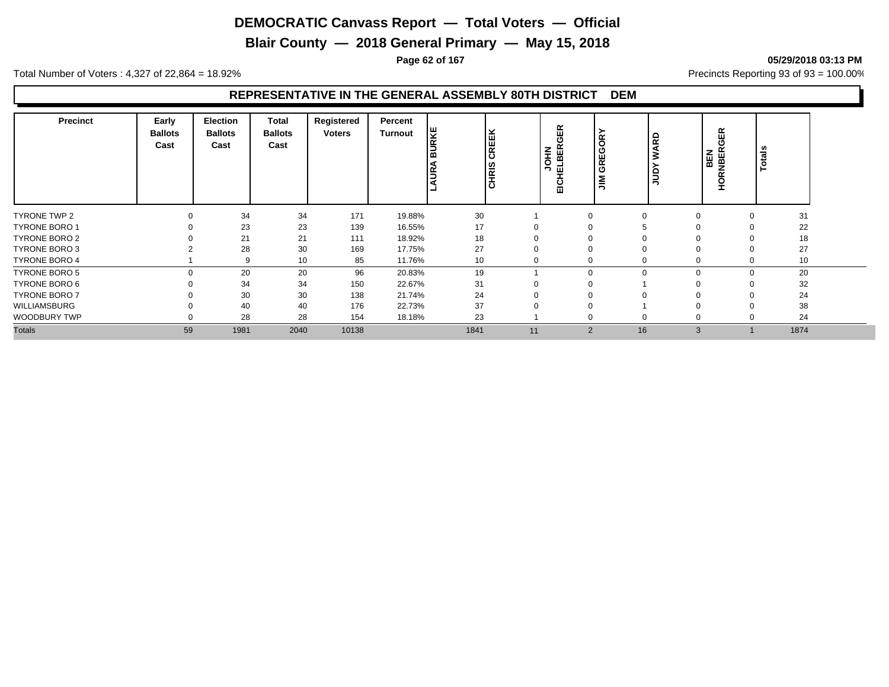**Blair County — 2018 General Primary — May 15, 2018**

**Page 62 of 167 05/29/2018 03:13 PM**

Total Number of Voters : 4,327 of 22,864 = 18.92% Precincts Reporting 93 of 93 = 100.00%

| <b>Precinct</b>      | Early<br><b>Ballots</b><br>Cast | Election<br><b>Ballots</b><br>Cast | Total<br><b>Ballots</b><br>Cast | Registered<br>Voters | Percent<br>Turnout | Iឝ<br>CREEK<br>CHRIS<br><b>UR</b> |    | <b>GER</b><br><b>JOHN</b><br>LBER<br>ш<br>EICI | $\tilde{g}$<br><b>REG</b><br>ಿ<br>$\leq$ | <b>WARD</b><br>È | <b>GER</b><br>BEN<br>NBER<br><b>RIDE</b> | <b>Totals</b> |  |
|----------------------|---------------------------------|------------------------------------|---------------------------------|----------------------|--------------------|-----------------------------------|----|------------------------------------------------|------------------------------------------|------------------|------------------------------------------|---------------|--|
| TYRONE TWP 2         |                                 | 34                                 | 34                              | 171                  | 19.88%             | 30                                |    |                                                | $\Omega$                                 | 0                |                                          | 31            |  |
| <b>TYRONE BORO 1</b> |                                 | 23                                 | 23                              | 139                  | 16.55%             | 17                                |    |                                                |                                          |                  |                                          | 22            |  |
| TYRONE BORO 2        |                                 | 21                                 | 21                              | 111                  | 18.92%             | 18                                |    |                                                |                                          |                  |                                          | 18            |  |
| <b>TYRONE BORO 3</b> |                                 | 28                                 | 30                              | 169                  | 17.75%             | 27                                | 0  |                                                | 0                                        | $\Omega$         |                                          | 27            |  |
| <b>TYRONE BORO 4</b> |                                 | 9                                  | 10                              | 85                   | 11.76%             | 10                                |    |                                                | 0                                        | 0                |                                          | 10            |  |
| TYRONE BORO 5        |                                 | 20                                 | 20                              | 96                   | 20.83%             | 19                                |    |                                                | $\Omega$                                 | $\mathbf 0$      | $\Omega$                                 | 20            |  |
| TYRONE BORO 6        |                                 | 34                                 | 34                              | 150                  | 22.67%             | 31                                |    |                                                |                                          |                  |                                          | 32            |  |
| <b>TYRONE BORO 7</b> |                                 | 30                                 | 30                              | 138                  | 21.74%             | 24                                | 0  |                                                | $\Omega$                                 |                  |                                          | 24            |  |
| WILLIAMSBURG         |                                 | 40                                 | 40                              | 176                  | 22.73%             | 37                                |    |                                                |                                          | 0                |                                          | 38            |  |
| <b>WOODBURY TWP</b>  |                                 | 28                                 | 28                              | 154                  | 18.18%             | 23                                |    |                                                | 0                                        | 0                |                                          | 24            |  |
| <b>Totals</b>        | 59                              | 1981                               | 2040                            | 10138                |                    | 1841                              | 11 | $\overline{2}$                                 | 16                                       | 3                |                                          | 1874          |  |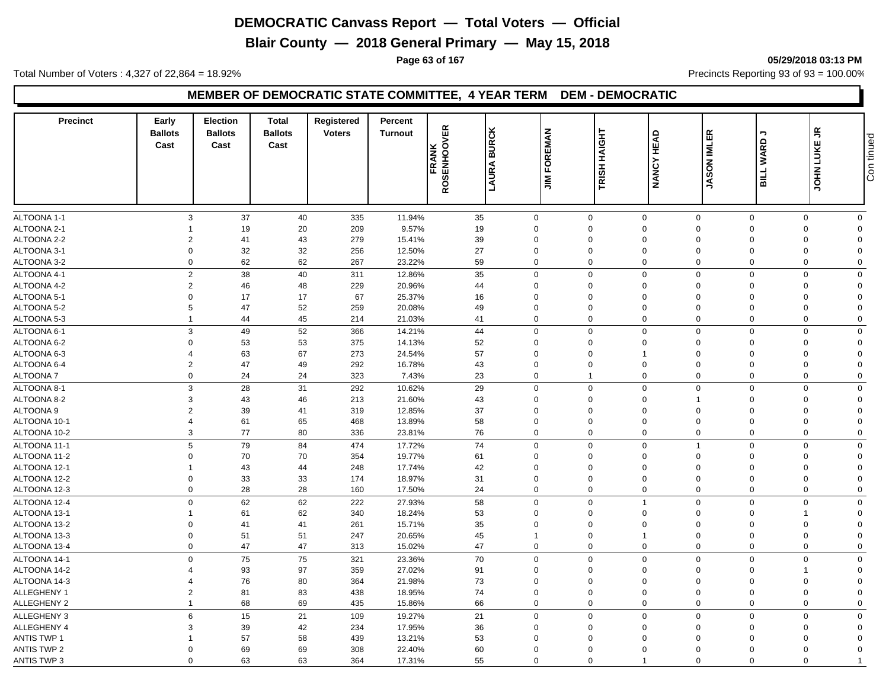**Blair County — 2018 General Primary — May 15, 2018**

**Page 63 of 167 05/29/2018 03:13 PM**

Total Number of Voters : 4,327 of 22,864 = 18.92% Precincts Reporting 93 of 93 = 100.00%

#### **MEMBER OF DEMOCRATIC STATE COMMITTEE, 4 YEAR TERM DEM - DEMOCRATIC**

| <b>Precinct</b>              | Early<br><b>Ballots</b><br>Cast | <b>Election</b><br><b>Ballots</b><br>Cast | <b>Total</b><br><b>Ballots</b><br>Cast | Registered<br><b>Voters</b> | Percent<br><b>Turnout</b> | <b>FRANK<br/>ROSENHOOVER</b> | <b>BURCK</b><br>LAURA | <b>FOREMAN</b><br>$\sum_{i=1}^{n}$ | TRISH HAIGHT | <b>HEAD</b><br><b>NANCY</b>                | <b>JASON IMLER</b>   | っ<br>BILL WARD             | £,<br><b>JOHN LUKE</b> | Con tinued |
|------------------------------|---------------------------------|-------------------------------------------|----------------------------------------|-----------------------------|---------------------------|------------------------------|-----------------------|------------------------------------|--------------|--------------------------------------------|----------------------|----------------------------|------------------------|------------|
|                              |                                 |                                           |                                        |                             |                           |                              |                       |                                    |              |                                            |                      |                            |                        |            |
| ALTOONA 1-1                  |                                 | 37<br>3                                   | 40                                     | 335                         | 11.94%                    | 35                           | $\mathbf 0$           |                                    | $\mathbf 0$  | $\mathbf 0$<br>$\mathbf 0$                 | $\mathbf 0$          | $\mathbf 0$                | $\mathbf 0$            |            |
| ALTOONA 2-1                  |                                 | 19                                        | 20                                     | 209                         | 9.57%                     | 19                           | $\Omega$              | $\Omega$                           |              | $\mathbf 0$<br>$\mathbf 0$                 | $\mathbf 0$          | $\mathbf 0$                | $\Omega$               |            |
| ALTOONA 2-2                  | $\overline{2}$                  | 41                                        | 43                                     | 279                         | 15.41%                    | 39                           | $\Omega$              | $\Omega$                           |              | $\mathbf 0$<br>$\Omega$                    | $\Omega$             | $\Omega$                   | $\Omega$               |            |
| ALTOONA 3-1                  | $\Omega$                        | 32                                        | 32                                     | 256                         | 12.50%                    | 27                           | $\Omega$              | $\Omega$                           |              | $\mathbf 0$<br>$\Omega$                    | $\Omega$             | $\mathbf 0$                | $\Omega$               |            |
| ALTOONA 3-2                  | $\mathbf 0$                     | 62                                        | 62                                     | 267                         | 23.22%                    | 59                           | $\Omega$              | $\Omega$                           |              | $\mathbf 0$<br>$\Omega$                    | $\mathbf 0$          | $\mathbf 0$                | $\Omega$               |            |
| ALTOONA 4-1                  | $\overline{2}$                  | 38                                        | 40                                     | 311                         | 12.86%                    | 35                           | $\mathbf 0$           |                                    | $\mathbf 0$  | $\mathbf 0$<br>$\mathbf 0$                 | $\mathbf 0$          | $\mathbf 0$                | $\Omega$               |            |
| ALTOONA 4-2                  | $\overline{2}$                  | 46                                        | 48                                     | 229                         | 20.96%                    | 44                           | $\mathbf 0$           | $\mathbf 0$                        |              | $\mathbf 0$<br>$\mathbf 0$                 | $\mathbf 0$          | 0                          | $\Omega$               |            |
| ALTOONA 5-1                  | $\Omega$                        | 17                                        | 17                                     | 67                          | 25.37%                    | 16                           | $\Omega$              | $\Omega$                           |              | $\mathbf 0$<br>$\Omega$                    | $\Omega$             | $\mathbf 0$                | $\Omega$               |            |
| ALTOONA 5-2                  | 5                               | 47                                        | 52                                     | 259                         | 20.08%                    | 49                           | $\Omega$              | 0                                  |              | $\mathbf 0$<br>$\Omega$                    | $\Omega$             | $\mathbf 0$                | $\Omega$               |            |
| ALTOONA 5-3                  | $\mathbf{1}$                    | 44                                        | 45                                     | 214                         | 21.03%                    | 41                           | $\Omega$              |                                    | 0            | $\mathbf 0$<br>$\mathbf 0$                 | $\mathbf 0$          | 0                          | $\Omega$               |            |
| ALTOONA 6-1                  | 3                               | 49                                        | 52                                     | 366                         | 14.21%                    | 44                           | $\Omega$              |                                    | $\mathbf 0$  | $\mathbf 0$<br>$\mathbf 0$                 | $\mathbf 0$          | $\mathbf 0$                | $\Omega$               |            |
| ALTOONA 6-2                  | $\mathbf 0$                     | 53                                        | 53                                     | 375                         | 14.13%                    | 52                           | $\mathbf 0$           | $\mathbf 0$                        |              | $\mathbf 0$<br>$\mathbf 0$                 | $\mathbf 0$          | 0                          | $\Omega$               |            |
| ALTOONA 6-3                  | 4                               | 63                                        | 67                                     | 273                         | 24.54%                    | 57                           | $\Omega$              | $\mathbf 0$                        |              | $\Omega$<br>$\mathbf{1}$                   | $\mathbf 0$          | 0                          | $\Omega$               |            |
| ALTOONA 6-4                  | $\overline{2}$                  | 47                                        | 49                                     | 292                         | 16.78%                    | 43                           | $\mathbf 0$           | $\mathbf 0$                        |              | $\mathbf 0$<br>$\mathbf 0$                 | $\mathbf 0$          | $\mathbf 0$                | $\Omega$               |            |
| ALTOONA 7                    | $\mathbf 0$                     | 24                                        | 24                                     | 323                         | 7.43%                     | 23                           | $\mathbf 0$           | $\mathbf{1}$                       |              | $\mathbf 0$<br>$\mathbf 0$                 | $\mathbf 0$          | $\mathbf 0$                | $\Omega$               |            |
| ALTOONA 8-1                  | 3                               | 28                                        | 31                                     | 292                         | 10.62%                    | 29                           | $\mathbf 0$           | $\mathbf 0$                        |              | $\mathbf 0$<br>$\mathbf 0$                 | $\overline{0}$       | $\mathbf 0$                | $\mathbf 0$            |            |
| ALTOONA 8-2                  | 3                               | 43                                        | 46                                     | 213                         | 21.60%                    | 43                           | $\mathbf 0$           | $\mathbf 0$                        |              | $\mathbf 0$                                | $\mathbf 0$          | 0                          | $\Omega$               |            |
| <b>ALTOONA 9</b>             | $\overline{2}$                  | 39                                        | 41                                     | 319                         | 12.85%                    | 37                           | $\mathbf 0$           | $\Omega$                           |              | $\mathbf 0$<br>$\Omega$                    | $\mathbf 0$          | 0                          | $\Omega$               |            |
| ALTOONA 10-1                 | $\overline{4}$                  | 61                                        | 65                                     | 468                         | 13.89%                    | 58                           | $\Omega$              | $\mathbf 0$                        |              | $\mathbf 0$<br>$\Omega$                    | $\Omega$             | $\mathbf 0$                | $\Omega$               |            |
| ALTOONA 10-2                 | 3                               | 77                                        | 80                                     | 336                         | 23.81%                    | 76                           | $\mathbf 0$           | $\Omega$                           |              | $\mathbf 0$<br>$\mathbf 0$                 | $\overline{0}$       | $\mathbf 0$                | $\Omega$               |            |
| ALTOONA 11-1                 | 5                               | 79                                        | 84                                     | 474                         | 17.72%                    | 74                           | $\mathbf 0$           |                                    | $\mathbf 0$  | $\mathbf 0$                                | $\overline{0}$       | $\mathbf 0$                | $\mathbf 0$            |            |
| ALTOONA 11-2                 | $\Omega$                        | 70                                        | 70                                     | 354                         | 19.77%                    | 61                           | $\Omega$              | $\Omega$                           |              | $\mathbf 0$<br>$\Omega$                    | $\Omega$             | 0                          | $\Omega$               |            |
| ALTOONA 12-1                 | -1                              | 43                                        | 44                                     | 248                         | 17.74%                    | 42                           | $\mathbf 0$           | $\mathbf 0$                        |              | $\mathbf 0$<br>$\Omega$                    | $\Omega$             | 0                          | $\Omega$               |            |
| ALTOONA 12-2                 | $\mathbf 0$                     | 33                                        | 33                                     | 174                         | 18.97%                    | 31                           | $\mathbf 0$           | $\mathbf 0$                        |              | $\mathbf 0$<br>$\mathbf 0$                 | $\overline{0}$       | $\mathbf 0$                | $\Omega$               |            |
| ALTOONA 12-3                 | $\mathbf 0$                     | 28                                        | 28                                     | 160                         | 17.50%                    | 24                           | $\mathbf 0$           | $\mathbf 0$                        |              | $\mathbf 0$<br>$\mathbf 0$                 | $\overline{0}$       | 0                          | $\mathbf 0$            |            |
|                              | $\mathbf 0$                     |                                           |                                        |                             |                           |                              | $\Omega$              |                                    |              | $\mathbf{1}$                               |                      |                            |                        |            |
| ALTOONA 12-4                 |                                 | 62                                        | 62                                     | 222                         | 27.93%                    | 58                           |                       | $\Omega$                           |              | $\mathbf 0$                                | $\mathbf 0$          | $\mathbf 0$                | $\mathbf 0$            |            |
| ALTOONA 13-1                 | 1<br>$\Omega$                   | 61                                        | 62                                     | 340                         | 18.24%                    | 53                           | $\Omega$<br>$\Omega$  | $\Omega$                           |              | $\mathbf 0$<br>$\Omega$<br>$\Omega$        | $\Omega$<br>$\Omega$ | $\overline{1}$             | $\Omega$               |            |
| ALTOONA 13-2<br>ALTOONA 13-3 | $\mathbf 0$                     | 41                                        | 41<br>51                               | 261<br>247                  | 15.71%<br>20.65%          | 35                           |                       | $\Omega$<br>$\mathbf 0$            |              | $\mathbf 0$<br>$\mathbf{1}$<br>$\mathbf 0$ | $\overline{0}$       | $\mathbf 0$<br>$\mathbf 0$ | $\Omega$<br>$\Omega$   |            |
| ALTOONA 13-4                 | $\mathbf 0$                     | 51<br>47                                  | 47                                     | 313                         | 15.02%                    | 45<br>47                     | $\mathbf 0$           |                                    | 0            | $\mathbf 0$<br>$\mathbf 0$                 | $\mathbf 0$          | $\mathbf 0$                | $\mathbf 0$            |            |
|                              |                                 |                                           |                                        |                             |                           |                              |                       |                                    |              |                                            |                      |                            |                        |            |
| ALTOONA 14-1                 | $\mathbf 0$                     | 75                                        | 75                                     | 321                         | 23.36%                    | 70                           | $\mathbf 0$           |                                    | $\mathbf 0$  | $\mathbf 0$<br>$\mathbf 0$                 | $\mathbf 0$          | $\mathbf 0$                | $\mathbf 0$            |            |
| ALTOONA 14-2                 | $\Delta$                        | 93                                        | 97                                     | 359                         | 27.02%                    | 91                           | $\Omega$              | $\Omega$                           |              | $\mathbf 0$<br>$\Omega$                    | $\Omega$             | $\overline{1}$             | $\Omega$               |            |
| ALTOONA 14-3                 | 4                               | 76                                        | 80                                     | 364                         | 21.98%                    | 73                           | $\Omega$              | $\Omega$                           |              | $\mathbf 0$<br>$\Omega$                    | $\Omega$             | $\mathbf 0$                | $\Omega$               |            |
| ALLEGHENY 1                  | $\overline{2}$                  | 81                                        | 83                                     | 438                         | 18.95%                    | 74                           | $\Omega$              | $\mathbf 0$                        |              | $\mathbf 0$<br>$\Omega$                    | $\Omega$             | $\mathbf 0$                | $\Omega$               |            |
| ALLEGHENY 2                  | $\mathbf{1}$                    | 68                                        | 69                                     | 435                         | 15.86%                    | 66                           | $\Omega$              |                                    | $\mathbf 0$  | $\mathbf 0$<br>$\mathbf 0$                 | $\mathbf 0$          | $\mathbf 0$                | $\Omega$               |            |
| <b>ALLEGHENY 3</b>           | 6                               | 15                                        | 21                                     | 109                         | 19.27%                    | 21                           | $\mathbf 0$           |                                    | $\mathbf 0$  | $\mathbf 0$<br>$\mathbf 0$                 | $\mathbf 0$          | $\mathbf 0$                | $\Omega$               |            |
| ALLEGHENY 4                  | 3                               | 39                                        | 42                                     | 234                         | 17.95%                    | 36                           | $\Omega$              | $\Omega$                           |              | $\mathbf 0$<br>$\Omega$                    | $\Omega$             | $\mathbf 0$                | $\Omega$               |            |
| <b>ANTIS TWP 1</b>           |                                 | 57                                        | 58                                     | 439                         | 13.21%                    | 53                           | $\Omega$              | $\Omega$                           |              | $\mathbf 0$<br>$\Omega$                    | $\Omega$             | 0                          | $\Omega$               |            |
| <b>ANTIS TWP 2</b>           | $\Omega$                        | 69                                        | 69                                     | 308                         | 22.40%                    | 60                           | $\Omega$              | $\mathbf 0$                        |              | $\mathbf 0$<br>$\Omega$                    | $\Omega$             | 0                          | $\Omega$               |            |
| <b>ANTIS TWP 3</b>           | $\Omega$                        | 63                                        | 63                                     | 364                         | 17.31%                    | 55                           | $\Omega$              |                                    | 0            | $\Omega$<br>$\overline{1}$                 | $\Omega$             | 0                          |                        |            |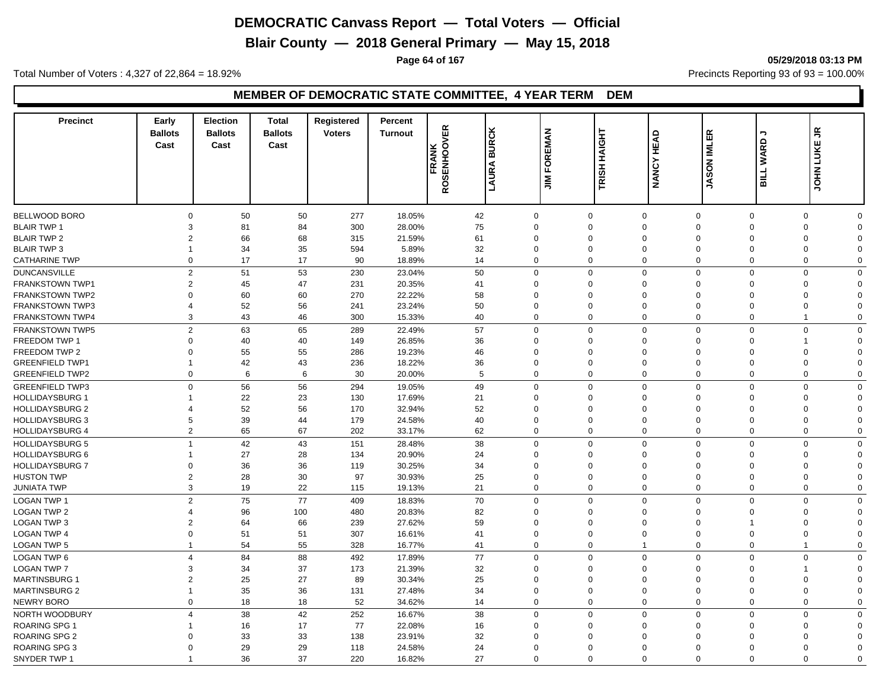**Blair County — 2018 General Primary — May 15, 2018**

**Page 64 of 167 05/29/2018 03:13 PM**

Total Number of Voters : 4,327 of 22,864 = 18.92% Precincts Reporting 93 of 93 = 100.00%

## **MEMBER OF DEMOCRATIC STATE COMMITTEE, 4 YEAR TERM DEM**

| <b>Precinct</b>        | Early<br><b>Ballots</b><br>Cast | <b>Election</b><br><b>Ballots</b><br>Cast | <b>Total</b><br><b>Ballots</b><br>Cast | Registered<br><b>Voters</b> | Percent<br><b>Turnout</b> | <b>ROSENHOOVER</b><br>FRANK | <b>BURCK</b><br>LAURA | <b>FOREMAN</b><br>$\sum_{i=1}^{n}$ | HAIGHT<br>TRISH | <b>HEAD</b><br><b>NANCY</b> | <b>JASON IMLER</b> | っ<br><b>WARD</b><br><b>BILL</b> | £,<br><b>JOHN LUKE</b> |  |
|------------------------|---------------------------------|-------------------------------------------|----------------------------------------|-----------------------------|---------------------------|-----------------------------|-----------------------|------------------------------------|-----------------|-----------------------------|--------------------|---------------------------------|------------------------|--|
|                        |                                 |                                           |                                        |                             |                           |                             |                       |                                    |                 |                             |                    |                                 |                        |  |
| BELLWOOD BORO          | $\mathbf 0$                     | 50                                        | 50                                     | 277                         | 18.05%                    | 42                          | $\Omega$              |                                    | $\mathbf 0$     | $\mathbf 0$<br>$\mathbf 0$  | $\mathbf 0$        | $\mathbf 0$                     | $\Omega$               |  |
| <b>BLAIR TWP 1</b>     | 3                               | 81                                        | 84                                     | 300                         | 28.00%                    | 75                          | $\Omega$              | $\Omega$                           |                 | $\mathbf 0$<br>$\Omega$     | $\Omega$           | $\mathbf 0$                     | $\Omega$               |  |
| <b>BLAIR TWP 2</b>     | $\overline{2}$                  | 66                                        | 68                                     | 315                         | 21.59%                    | 61                          | $\Omega$              | $\Omega$                           |                 | $\mathbf 0$<br>$\Omega$     | $\Omega$           | $\mathbf 0$                     | $\Omega$               |  |
| <b>BLAIR TWP 3</b>     | $\mathbf 1$                     | 34                                        | 35                                     | 594                         | 5.89%                     | 32                          | $\mathbf 0$           | $\mathbf 0$                        |                 | $\mathbf 0$<br>$\mathbf 0$  | $\mathbf 0$        | 0                               | $\mathbf 0$            |  |
| <b>CATHARINE TWP</b>   | $\Omega$                        | 17                                        | 17                                     | 90                          | 18.89%                    | 14                          | $\Omega$              |                                    | $\mathbf 0$     | $\mathbf 0$<br>$\Omega$     | $\mathbf 0$        | $\mathbf 0$                     | $\Omega$               |  |
| <b>DUNCANSVILLE</b>    | $\overline{2}$                  | 51                                        | 53                                     | 230                         | 23.04%                    | 50                          | $\Omega$              |                                    | $\mathbf 0$     | $\mathbf 0$<br>$\mathbf 0$  | $\mathbf 0$        | $\mathbf 0$                     | $\Omega$               |  |
| <b>FRANKSTOWN TWP1</b> | $\overline{2}$                  | 45                                        | 47                                     | 231                         | 20.35%                    | 41                          | $\Omega$              | $\Omega$                           |                 | $\Omega$<br>$\mathbf 0$     | $\Omega$           | $\mathbf 0$                     | $\Omega$               |  |
| <b>FRANKSTOWN TWP2</b> | $\Omega$                        | 60                                        | 60                                     | 270                         | 22.22%                    | 58                          | $\Omega$              | $\Omega$                           |                 | $\mathbf 0$<br>$\Omega$     | $\Omega$           | 0                               | $\Omega$               |  |
| <b>FRANKSTOWN TWP3</b> | $\overline{4}$                  | 52                                        | 56                                     | 241                         | 23.24%                    | 50                          | $\Omega$              | $\Omega$                           |                 | $\mathbf 0$<br>$\Omega$     | $\Omega$           | $\mathbf 0$                     | $\Omega$               |  |
| FRANKSTOWN TWP4        | 3                               | 43                                        | 46                                     | 300                         | 15.33%                    | 40                          | $\Omega$              |                                    | $\mathbf 0$     | $\mathbf 0$<br>$\mathbf 0$  | $\mathbf 0$        | 1                               | $\Omega$               |  |
| <b>FRANKSTOWN TWP5</b> | $\overline{2}$                  | 63                                        | 65                                     | 289                         | 22.49%                    | 57                          | $\mathbf 0$           |                                    | $\mathbf 0$     | $\mathbf 0$<br>$\mathbf 0$  | $\mathbf 0$        | $\mathbf 0$                     | $\Omega$               |  |
| <b>FREEDOM TWP 1</b>   | $\Omega$                        | 40                                        | 40                                     | 149                         | 26.85%                    | 36                          | $\Omega$              | $\Omega$                           |                 | $\mathbf 0$<br>$\mathbf 0$  | $\Omega$           | $\overline{1}$                  | $\Omega$               |  |
| FREEDOM TWP 2          | $\Omega$                        | 55                                        | 55                                     | 286                         | 19.23%                    | 46                          | $\Omega$              | $\mathbf 0$                        |                 | $\mathbf 0$<br>$\Omega$     | $\Omega$           | $\mathbf 0$                     | $\Omega$               |  |
| <b>GREENFIELD TWP1</b> | 1                               | 42                                        | 43                                     | 236                         | 18.22%                    | 36                          | $\mathbf 0$           | $\mathbf 0$                        |                 | $\mathbf 0$<br>$\mathbf 0$  | $\mathbf 0$        | 0                               | $\Omega$               |  |
| <b>GREENFIELD TWP2</b> | 0                               | 6                                         | 6                                      | 30                          | 20.00%                    | 5                           | $\Omega$              |                                    | 0               | $\mathbf 0$<br>$\mathbf 0$  | $\mathbf 0$        | 0                               | $\Omega$               |  |
| <b>GREENFIELD TWP3</b> | $\Omega$                        | 56                                        | 56                                     | 294                         | 19.05%                    | 49                          | $\Omega$              | $\Omega$                           |                 | $\mathbf 0$<br>$\mathbf 0$  | $\Omega$           | 0                               | $\Omega$               |  |
| <b>HOLLIDAYSBURG 1</b> |                                 | 22                                        | 23                                     | 130                         | 17.69%                    | 21                          | $\Omega$              | $\mathbf 0$                        |                 | $\mathbf 0$<br>$\Omega$     | $\mathbf 0$        | 0                               | $\Omega$               |  |
| <b>HOLLIDAYSBURG 2</b> | 4                               | 52                                        | 56                                     | 170                         | 32.94%                    | 52                          | $\Omega$              | $\Omega$                           |                 | $\mathbf 0$<br>$\Omega$     | $\Omega$           | $\Omega$                        | $\Omega$               |  |
| <b>HOLLIDAYSBURG 3</b> | 5                               | 39                                        | 44                                     | 179                         | 24.58%                    | 40                          | $\Omega$              | $\Omega$                           |                 | $\mathbf 0$<br>$\Omega$     | $\Omega$           | $\mathbf 0$                     | $\Omega$               |  |
| <b>HOLLIDAYSBURG 4</b> | $\overline{2}$                  | 65                                        | 67                                     | 202                         | 33.17%                    | 62                          | $\Omega$              |                                    | $\mathbf 0$     | $\mathbf 0$<br>$\mathbf 0$  | $\mathbf 0$        | $\mathbf 0$                     | $\Omega$               |  |
| <b>HOLLIDAYSBURG 5</b> | $\overline{1}$                  | 42                                        | 43                                     | 151                         | 28.48%                    | 38                          | $\mathbf 0$           |                                    | $\mathbf 0$     | $\mathbf 0$<br>$\mathbf 0$  | $\mathbf 0$        | $\mathbf 0$                     | $\mathbf 0$            |  |
| <b>HOLLIDAYSBURG 6</b> | 1                               | 27                                        | 28                                     | 134                         | 20.90%                    | 24                          | $\Omega$              | $\Omega$                           |                 | $\mathbf 0$<br>$\Omega$     | $\Omega$           | $\mathbf 0$                     | $\Omega$               |  |
| <b>HOLLIDAYSBURG 7</b> | $\Omega$                        | 36                                        | 36                                     | 119                         | 30.25%                    | 34                          | $\Omega$              | $\Omega$                           |                 | $\mathbf 0$<br>$\Omega$     | $\Omega$           | 0                               | $\Omega$               |  |
| <b>HUSTON TWP</b>      | $\overline{2}$                  | 28                                        | 30                                     | 97                          | 30.93%                    | 25                          | $\mathbf 0$           | $\mathbf 0$                        |                 | $\mathbf 0$<br>$\mathbf 0$  | $\mathbf 0$        | $\mathbf 0$                     | $\Omega$               |  |
| <b>JUNIATA TWP</b>     | 3                               | 19                                        | 22                                     | 115                         | 19.13%                    | 21                          | $\Omega$              |                                    | 0               | $\mathbf 0$<br>$\Omega$     | $\Omega$           | $\mathbf 0$                     | $\Omega$               |  |
| <b>LOGAN TWP 1</b>     | $\overline{2}$                  | 75                                        | 77                                     | 409                         | 18.83%                    | 70                          | $\Omega$              | $\Omega$                           |                 | $\mathbf{0}$<br>$\Omega$    | $\Omega$           | $\mathbf 0$                     | $\Omega$               |  |
| <b>LOGAN TWP 2</b>     | 4                               | 96                                        | 100                                    | 480                         | 20.83%                    |                             | $\Omega$              | $\mathbf 0$                        |                 | $\mathbf 0$<br>$\Omega$     | $\Omega$           | $\mathbf 0$                     | $\Omega$               |  |
| <b>LOGAN TWP 3</b>     | $\overline{2}$                  | 64                                        | 66                                     | 239                         | 27.62%                    | 82<br>59                    | $\Omega$              | $\Omega$                           |                 | $\mathbf 0$<br>$\Omega$     |                    | $\Omega$                        | $\Omega$               |  |
| <b>LOGAN TWP 4</b>     | $\Omega$                        | 51                                        | 51                                     | 307                         | 16.61%                    | 41                          | $\Omega$              | $\Omega$                           |                 | $\mathbf 0$<br>$\Omega$     | $\Omega$           | $\mathbf 0$                     | $\Omega$               |  |
| <b>LOGAN TWP 5</b>     | 1                               | 54                                        | 55                                     | 328                         | 16.77%                    | 41                          | $\mathbf 0$           |                                    | $\mathbf 0$     | $\mathbf 0$<br>$\mathbf{1}$ | $\mathbf 0$        | $\overline{1}$                  | $\Omega$               |  |
|                        |                                 |                                           |                                        |                             |                           |                             |                       |                                    |                 |                             |                    |                                 |                        |  |
| LOGAN TWP 6            | $\overline{4}$                  | 84                                        | 88                                     | 492                         | 17.89%                    | 77                          | $\mathbf 0$           |                                    | $\mathbf 0$     | $\mathbf 0$<br>$\mathbf 0$  | $\mathbf 0$        | $\mathbf 0$                     | $\Omega$               |  |
| <b>LOGAN TWP 7</b>     | 3                               | 34                                        | 37                                     | 173                         | 21.39%                    | 32                          | $\Omega$              | $\Omega$                           |                 | $\mathbf 0$<br>$\Omega$     | $\Omega$           | $\overline{1}$                  | $\Omega$               |  |
| <b>MARTINSBURG 1</b>   | $\overline{2}$                  | 25                                        | 27                                     | 89                          | 30.34%                    | 25                          | $\Omega$              | $\Omega$                           |                 | 0<br>$\mathbf 0$            | $\Omega$           | $\mathbf 0$                     | $\Omega$               |  |
| <b>MARTINSBURG 2</b>   | 1                               | 35                                        | 36                                     | 131                         | 27.48%                    | 34                          | $\Omega$              | $\mathbf 0$                        |                 | $\mathbf 0$<br>$\Omega$     | $\Omega$           | 0                               | $\Omega$               |  |
| <b>NEWRY BORO</b>      | $\mathbf 0$                     | 18                                        | 18                                     | 52                          | 34.62%                    | 14                          | $\Omega$              |                                    | $\mathbf 0$     | $\mathbf 0$<br>$\mathbf 0$  | $\mathbf{0}$       | $\mathbf 0$                     | $\Omega$               |  |
| NORTH WOODBURY         | $\overline{4}$                  | 38                                        | 42                                     | 252                         | 16.67%                    | 38                          | $\Omega$              | $\Omega$                           |                 | $\mathbf 0$<br>$\Omega$     | $\Omega$           | $\mathbf 0$                     | $\Omega$               |  |
| ROARING SPG 1          |                                 | 16                                        | 17                                     | 77                          | 22.08%                    | 16                          | $\Omega$              | $\Omega$                           |                 | $\mathbf 0$<br>$\Omega$     | $\Omega$           | $\mathbf 0$                     | $\Omega$               |  |
| <b>ROARING SPG 2</b>   | C                               | 33                                        | 33                                     | 138                         | 23.91%                    | 32                          | $\Omega$              | $\Omega$                           |                 | $\mathbf 0$<br>$\Omega$     | $\mathbf 0$        | $\mathbf 0$                     | $\Omega$               |  |
| <b>ROARING SPG 3</b>   | $\Omega$                        | 29                                        | 29                                     | 118                         | 24.58%                    | 24                          | $\Omega$              | $\Omega$                           |                 | $\Omega$<br>$\Omega$        | $\Omega$           | $\mathbf 0$                     | $\Omega$               |  |
| SNYDER TWP 1           | $\overline{1}$                  | 36                                        | 37                                     | 220                         | 16.82%                    | 27                          | $\Omega$              |                                    | $\mathbf 0$     | $\mathbf 0$<br>$\mathbf 0$  | $\mathbf 0$        | $\mathbf 0$                     | $\Omega$               |  |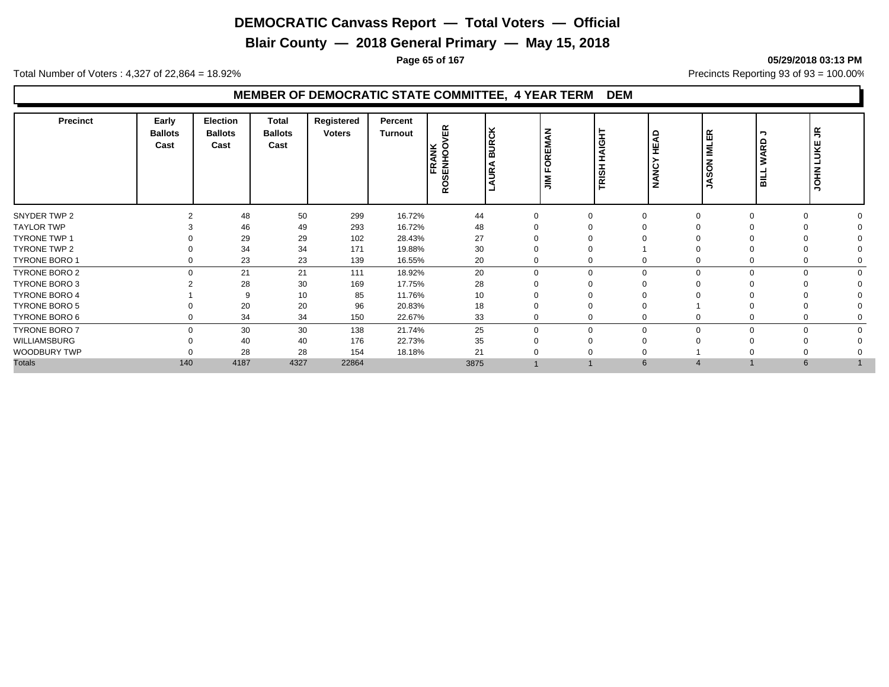**Blair County — 2018 General Primary — May 15, 2018**

**Page 65 of 167 05/29/2018 03:13 PM**

Total Number of Voters : 4,327 of 22,864 = 18.92% Precincts Reporting 93 of 93 = 100.00%

## **MEMBER OF DEMOCRATIC STATE COMMITTEE, 4 YEAR TERM DEM**

| <b>Precinct</b>      | Early<br><b>Ballots</b><br>Cast | <b>Election</b><br><b>Ballots</b><br>Cast | <b>Total</b><br><b>Ballots</b><br>Cast | Registered<br><b>Voters</b> | Percent<br><b>Turnout</b> | 띥<br>FRANK<br>ROSENHOON | ∣⊻<br>$\overline{\mathsf{BUC}}$<br>⋖<br>lg | MAN<br>ш<br>$\overline{\mathbf{r}}$<br>ш<br>$\leq$ | HAIGHT<br><b>RISH</b><br>ᄐ | $\Box$<br>◢<br>ш<br>Ŧ | ER<br><b>IML</b><br>$\overline{6}$<br>ဖ<br>Ŝ | ∍<br>읎<br>⋖<br>℥<br>$\overline{a}$ | $\propto$<br>∍<br><b>UKE</b><br>ᆜ<br><b>NHOL</b> |  |
|----------------------|---------------------------------|-------------------------------------------|----------------------------------------|-----------------------------|---------------------------|-------------------------|--------------------------------------------|----------------------------------------------------|----------------------------|-----------------------|----------------------------------------------|------------------------------------|--------------------------------------------------|--|
| SNYDER TWP 2         |                                 | 48                                        | 50                                     | 299                         | 16.72%                    | 44                      |                                            | $\Omega$                                           |                            |                       |                                              | $\Omega$                           |                                                  |  |
| <b>TAYLOR TWP</b>    |                                 | 46                                        | 49                                     | 293                         | 16.72%                    | 48                      |                                            |                                                    |                            |                       |                                              |                                    |                                                  |  |
| <b>TYRONE TWP 1</b>  |                                 | 29                                        | 29                                     | 102                         | 28.43%                    | 27                      |                                            |                                                    |                            |                       |                                              |                                    |                                                  |  |
| TYRONE TWP 2         |                                 | 34                                        | 34                                     | 171                         | 19.88%                    | 30                      |                                            |                                                    |                            |                       |                                              |                                    |                                                  |  |
| <b>TYRONE BORO 1</b> | 0                               | 23                                        | 23                                     | 139                         | 16.55%                    | 20                      |                                            | 0                                                  | 0                          |                       |                                              | 0                                  |                                                  |  |
| TYRONE BORO 2        | $\Omega$                        | 21                                        | 21                                     | 111                         | 18.92%                    | 20                      |                                            | $\Omega$                                           | 0<br>$\Omega$              |                       |                                              | $\Omega$                           |                                                  |  |
| <b>TYRONE BORO 3</b> |                                 | 28                                        | 30                                     | 169                         | 17.75%                    | 28                      |                                            |                                                    |                            |                       |                                              |                                    |                                                  |  |
| <b>TYRONE BORO 4</b> |                                 | 9                                         | 10                                     | 85                          | 11.76%                    | 10                      |                                            |                                                    |                            |                       |                                              |                                    |                                                  |  |
| <b>TYRONE BORO 5</b> |                                 | 20                                        | 20                                     | 96                          | 20.83%                    | 18                      |                                            |                                                    |                            |                       |                                              |                                    |                                                  |  |
| TYRONE BORO 6        | 0                               | 34                                        | 34                                     | 150                         | 22.67%                    | 33                      |                                            | 0                                                  | 0                          |                       |                                              | 0                                  |                                                  |  |
| <b>TYRONE BORO 7</b> | $\Omega$                        | 30                                        | 30                                     | 138                         | 21.74%                    | 25                      |                                            | $\Omega$                                           | $\Omega$<br>$\Omega$       |                       | U                                            | $\Omega$                           |                                                  |  |
| <b>WILLIAMSBURG</b>  |                                 | 40                                        | 40                                     | 176                         | 22.73%                    | 35                      |                                            | ∩                                                  |                            |                       |                                              |                                    |                                                  |  |
| WOODBURY TWP         |                                 | 28                                        | 28                                     | 154                         | 18.18%                    | 21                      |                                            |                                                    |                            |                       |                                              |                                    |                                                  |  |
| <b>Totals</b>        | 140                             | 4187                                      | 4327                                   | 22864                       |                           | 3875                    |                                            |                                                    | 6                          |                       |                                              | $6\phantom{1}$                     |                                                  |  |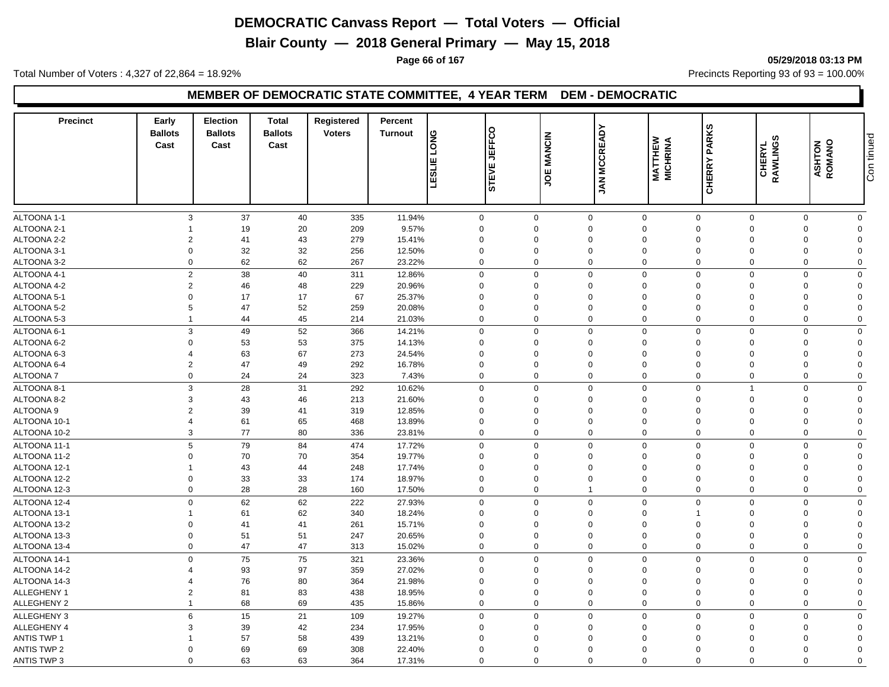**Blair County — 2018 General Primary — May 15, 2018**

**Page 66 of 167 05/29/2018 03:13 PM**

Total Number of Voters : 4,327 of 22,864 = 18.92% Precincts Reporting 93 of 93 = 100.00%

#### **MEMBER OF DEMOCRATIC STATE COMMITTEE, 4 YEAR TERM DEM - DEMOCRATIC**

| <b>Precinct</b>              | Early<br><b>Ballots</b><br>Cast | <b>Election</b><br><b>Ballots</b><br>Cast | <b>Total</b><br><b>Ballots</b><br>Cast | Registered<br><b>Voters</b> | Percent<br><b>Turnout</b> | <b>LONG</b><br>ш           | STEVE JEFFCO         | <b>JOE MANCIN</b> | <b>JAN MCCREADY</b> | <b>MATTHEW</b><br>MICHRINA | <b>CHERRY PARKS</b>                    | CHERYL<br>RAWLINGS         | <b>ASHTON</b><br>ROMANO | Con tinued |
|------------------------------|---------------------------------|-------------------------------------------|----------------------------------------|-----------------------------|---------------------------|----------------------------|----------------------|-------------------|---------------------|----------------------------|----------------------------------------|----------------------------|-------------------------|------------|
|                              |                                 |                                           |                                        |                             |                           | <b>ITSE</b><br>ц           |                      |                   |                     |                            |                                        |                            |                         |            |
| ALTOONA 1-1                  | 3                               | 37                                        | 40                                     | 335                         | 11.94%                    | $\mathbf 0$                | $\overline{0}$       | $\mathbf{0}$      |                     | $\mathbf 0$                | $\mathbf 0$<br>$\mathbf 0$             | $\mathbf 0$                | $\Omega$                |            |
| ALTOONA 2-1                  |                                 | 19                                        | 20                                     | 209                         | 9.57%                     | $\mathbf 0$                | $\Omega$             | $\Omega$          |                     | $\Omega$                   | $\Omega$<br>$\Omega$                   | $\mathbf 0$                | $\Omega$                |            |
| ALTOONA 2-2                  | $\overline{2}$                  | 41                                        | 43                                     | 279                         | 15.41%                    | $\mathbf 0$                | $\mathbf 0$          | $\overline{0}$    |                     | 0                          | $\overline{0}$<br>$\Omega$             | $\mathbf 0$                | $\Omega$                |            |
| ALTOONA 3-1                  | $\Omega$                        | 32                                        | 32                                     | 256                         | 12.50%                    | $\mathbf 0$                | $\Omega$             | $\Omega$          |                     | 0                          | $\Omega$<br>$\Omega$                   | $\mathbf 0$                | $\Omega$                |            |
| ALTOONA 3-2                  | $\Omega$                        | 62                                        | 62                                     | 267                         | 23.22%                    | $\mathbf 0$                | $\Omega$             | $\Omega$          |                     | $\mathbf 0$                | $\mathbf 0$<br>$\mathbf 0$             | $\mathbf 0$                | $\mathbf 0$             |            |
| ALTOONA 4-1                  | $\overline{2}$                  | 38                                        | 40                                     | 311                         | 12.86%                    | $\mathbf 0$                | $\mathbf 0$          | $\mathbf 0$       |                     | $\Omega$                   | $\mathbf 0$<br>$\mathbf 0$             | $\mathbf 0$                | $\mathbf 0$             |            |
| ALTOONA 4-2                  | $\overline{2}$                  | 46                                        | 48                                     | 229                         | 20.96%                    | $\mathbf 0$                | $\Omega$             | $\Omega$          |                     | $\Omega$                   | $\mathbf{0}$<br>$\Omega$               | $\mathbf 0$                | $\Omega$                |            |
| ALTOONA 5-1                  | $\Omega$                        | 17                                        | 17                                     | 67                          | 25.37%                    | $\mathbf 0$                | $\Omega$             | $\Omega$          |                     | $\Omega$                   | $\mathbf{0}$<br>$\Omega$               | $\mathbf 0$                | $\Omega$                |            |
| ALTOONA 5-2                  | 5                               | 47                                        | 52                                     | 259                         | 20.08%                    | $\mathbf 0$                | $\Omega$             | $\Omega$          |                     | $\Omega$                   | $\mathbf{0}$<br>$\Omega$               | $\mathbf 0$                | $\Omega$                |            |
| ALTOONA 5-3                  |                                 | 44                                        | 45                                     | 214                         | 21.03%                    | $\mathbf 0$                | $\mathbf 0$          | $\Omega$          |                     | $\Omega$                   | $\mathbf 0$<br>$\Omega$                | $\mathbf 0$                | $\mathbf 0$             |            |
| ALTOONA 6-1                  | 3                               | 49                                        | 52                                     | 366                         | 14.21%                    | $\mathbf 0$                | $\mathbf 0$          | $\mathbf 0$       | $\mathbf 0$         |                            | $\mathbf 0$<br>$\Omega$                | $\mathbf 0$                | $\mathbf 0$             |            |
| ALTOONA 6-2                  | $\mathbf 0$                     | 53                                        | 53                                     | 375                         | 14.13%                    | $\mathbf 0$                | $\mathbf 0$          | $\mathbf 0$       |                     | $\overline{0}$             | $\mathbf 0$<br>$\Omega$                | $\mathbf 0$                | $\Omega$                |            |
| ALTOONA 6-3                  | $\Delta$                        | 63                                        | 67                                     | 273                         | 24.54%                    | $\mathbf 0$                | $\Omega$             | $\Omega$          |                     | $\Omega$                   | $\mathbf 0$<br>$\Omega$                | $\mathbf 0$                | $\Omega$                |            |
| ALTOONA 6-4                  | $\overline{2}$                  | 47                                        | 49                                     | 292                         | 16.78%                    | $\mathbf 0$                | $\Omega$             | $\Omega$          |                     | $\Omega$                   | $\mathbf 0$<br>$\Omega$                | $\mathbf 0$                | $\Omega$                |            |
| ALTOONA 7                    | $\mathbf 0$                     | 24                                        | 24                                     | 323                         | 7.43%                     | $\mathbf 0$                | $\mathbf 0$          | $\mathbf 0$       |                     | $\mathbf 0$                | $\mathbf 0$<br>$\mathbf 0$             | $\mathbf 0$                | $\mathbf 0$             |            |
| ALTOONA 8-1                  | 3                               | 28                                        | 31                                     | 292                         | 10.62%                    | $\mathbf 0$                | $\mathbf 0$          | $\overline{0}$    |                     | $\overline{0}$             | $\mathbf 0$<br>$\overline{\mathbf{1}}$ | $\mathsf 0$                | $\mathbf 0$             |            |
| ALTOONA 8-2                  | 3                               | 43                                        | 46                                     | 213                         | 21.60%                    | $\mathbf 0$                | $\Omega$             | $\Omega$          |                     | $\Omega$                   | $\mathbf 0$<br>$\Omega$                | $\mathbf 0$                | $\Omega$                |            |
| ALTOONA 9                    | $\overline{2}$                  | 39                                        | 41                                     | 319                         | 12.85%                    | $\mathbf 0$                | $\Omega$             | $\Omega$          |                     | $\Omega$                   | $\mathbf 0$<br>$\Omega$                | $\mathbf 0$                | $\Omega$                |            |
| ALTOONA 10-1                 | $\Delta$                        | 61                                        | 65                                     | 468                         | 13.89%                    | $\mathbf 0$                | $\mathbf 0$          | $\mathbf 0$       |                     | $\overline{0}$             | $\mathbf 0$<br>$\Omega$                | $\mathbf 0$                | $\mathbf 0$             |            |
| ALTOONA 10-2                 | 3                               | 77                                        | 80                                     | 336                         | 23.81%                    | $\mathbf 0$                | $\mathbf 0$          | $\mathbf 0$       |                     | $\Omega$                   | $\mathbf 0$<br>$\Omega$                | $\mathbf 0$                | $\mathbf 0$             |            |
|                              | 5                               |                                           |                                        |                             |                           |                            | $\Omega$             | $\Omega$          |                     |                            | $\Omega$                               |                            |                         |            |
| ALTOONA 11-1                 | $\Omega$                        | 79                                        | 84<br>70                               | 474                         | 17.72%                    | $\mathbf 0$<br>$\mathbf 0$ | $\Omega$             | $\Omega$          | $\mathbf 0$         | $\Omega$                   | $\mathbf 0$<br>$\mathbf 0$<br>$\Omega$ | $\mathbf 0$                | $\mathbf 0$<br>$\Omega$ |            |
| ALTOONA 11-2                 |                                 | 70                                        |                                        | 354<br>248                  | 19.77%<br>17.74%          | $\mathbf 0$                | $\Omega$             | $\Omega$          |                     | 0                          | $\overline{0}$<br>$\Omega$             | $\mathbf 0$<br>$\mathbf 0$ |                         |            |
| ALTOONA 12-1                 | $\Omega$                        | 43<br>33                                  | 44<br>33                               | 174                         |                           | $\mathbf 0$                | $\mathbf 0$          | $\mathbf 0$       |                     | 0                          | $\mathbf 0$<br>$\Omega$                | $\mathbf 0$                | $\mathbf 0$<br>$\Omega$ |            |
| ALTOONA 12-2<br>ALTOONA 12-3 | $\Omega$                        | 28                                        | 28                                     | 160                         | 18.97%<br>17.50%          | $\mathbf 0$                | $\Omega$             | $\overline{1}$    |                     | $\Omega$                   | $\mathbf 0$<br>$\Omega$                | $\mathbf 0$                | $\Omega$                |            |
|                              |                                 | 62                                        |                                        | 222                         | 27.93%                    |                            |                      | $\Omega$          |                     | $\Omega$                   |                                        |                            |                         |            |
| ALTOONA 12-4                 | $\mathbf 0$                     |                                           | 62                                     |                             |                           | $\mathbf 0$                | $\mathbf 0$          | $\Omega$          |                     | $\Omega$                   | $\mathbf 0$<br>$\mathbf 0$             | $\mathbf 0$                | $\mathbf 0$             |            |
| ALTOONA 13-1                 | $\Omega$                        | 61                                        | 62                                     | 340                         | 18.24%                    | $\mathbf 0$                | $\Omega$<br>$\Omega$ | $\overline{0}$    |                     | $\overline{0}$             | $\Omega$<br>$\overline{0}$<br>$\Omega$ | $\mathbf 0$                | $\Omega$                |            |
| ALTOONA 13-2                 | $\Omega$                        | 41<br>51                                  | 41<br>51                               | 261                         | 15.71%                    | $\mathbf 0$                | $\Omega$             | $\Omega$          |                     | 0                          | $\mathbf 0$<br>$\Omega$                | $\mathbf 0$<br>$\mathbf 0$ | $\mathbf 0$<br>$\Omega$ |            |
| ALTOONA 13-3<br>ALTOONA 13-4 | $\mathbf 0$                     | 47                                        | 47                                     | 247<br>313                  | 20.65%<br>15.02%          | $\mathbf 0$<br>$\mathbf 0$ | $\mathbf 0$          | $\overline{0}$    |                     | $\mathbf 0$                | $\mathbf 0$<br>$\mathbf 0$             | $\mathbf 0$                | $\mathbf 0$             |            |
|                              |                                 |                                           |                                        |                             |                           |                            |                      |                   |                     |                            |                                        |                            |                         |            |
| ALTOONA 14-1                 | $\Omega$                        | 75                                        | 75                                     | 321                         | 23.36%                    | $\mathbf 0$                | $\Omega$             | $\Omega$          |                     | $\Omega$                   | $\mathbf 0$<br>$\Omega$                | $\mathbf 0$                | $\mathbf{0}$            |            |
| ALTOONA 14-2                 |                                 | 93                                        | 97                                     | 359                         | 27.02%                    | $\mathbf 0$                | $\Omega$             | $\Omega$          |                     | $\Omega$                   | $\mathbf 0$<br>$\Omega$                | $\mathbf 0$                | $\Omega$                |            |
| ALTOONA 14-3                 |                                 | 76                                        | 80                                     | 364                         | 21.98%                    | $\mathbf 0$                | $\Omega$             | $\Omega$          |                     | $\Omega$                   | $\mathbf 0$<br>$\Omega$<br>$\Omega$    | $\mathbf 0$                | $\Omega$                |            |
| ALLEGHENY 1                  | $\overline{2}$                  | 81                                        | 83                                     | 438                         | 18.95%                    | $\mathbf 0$                | $\Omega$             | $\Omega$          |                     | $\Omega$                   | $\Omega$                               | $\mathbf 0$                | $\Omega$                |            |
| <b>ALLEGHENY 2</b>           |                                 | 68                                        | 69                                     | 435                         | 15.86%                    | $\mathbf 0$                | $\Omega$             | $\Omega$          |                     | $\Omega$                   | $\mathbf 0$<br>$\Omega$                | $\mathbf 0$                | $\Omega$                |            |
| <b>ALLEGHENY 3</b>           | 6                               | 15                                        | 21                                     | 109                         | 19.27%                    | $\mathbf 0$                | $\mathbf 0$          | $\overline{0}$    | $\mathbf 0$         |                            | $\mathbf 0$<br>$\Omega$                | $\mathbf 0$                | $\mathbf 0$             |            |
| ALLEGHENY 4                  | 3                               | 39                                        | 42                                     | 234                         | 17.95%                    | $\mathbf 0$                | $\Omega$             | $\Omega$          |                     | $\Omega$                   | $\mathbf 0$<br>$\Omega$                | $\mathbf 0$                | $\Omega$                |            |
| <b>ANTIS TWP 1</b>           |                                 | 57                                        | 58                                     | 439                         | 13.21%                    | $\Omega$                   | $\Omega$             | $\Omega$          |                     | $\Omega$                   | $\Omega$<br>$\Omega$                   | $\mathbf 0$                | $\Omega$                |            |
| <b>ANTIS TWP 2</b>           | $\Omega$                        | 69                                        | 69                                     | 308                         | 22.40%                    | $\Omega$                   | $\Omega$             | $\Omega$          |                     | $\Omega$                   | $\mathbf 0$<br>$\Omega$                | $\mathbf 0$                | $\Omega$                |            |
| <b>ANTIS TWP 3</b>           | $\Omega$                        | 63                                        | 63                                     | 364                         | 17.31%                    | $\Omega$                   | $\Omega$             | $\Omega$          |                     | $\Omega$                   | $\Omega$<br>$\Omega$                   | $\Omega$                   | $\Omega$                |            |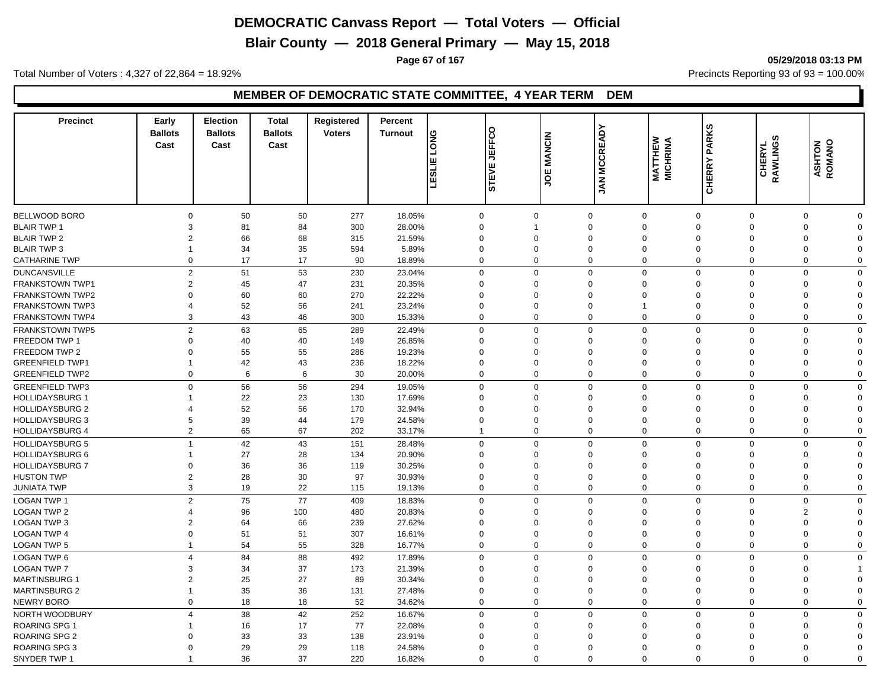**Blair County — 2018 General Primary — May 15, 2018**

**Page 67 of 167 05/29/2018 03:13 PM**

Total Number of Voters : 4,327 of 22,864 = 18.92% Precincts Reporting 93 of 93 = 100.00%

## **MEMBER OF DEMOCRATIC STATE COMMITTEE, 4 YEAR TERM DEM**

| CHERRY I<br>51<br>Ŵ<br>⊐<br>BELLWOOD BORO<br>$\mathbf 0$<br>50<br>50<br>277<br>18.05%<br>$\mathbf 0$<br>$\mathbf 0$<br>$\mathbf 0$<br>$\mathbf 0$<br>$\mathbf 0$<br>$\mathbf 0$<br>$\mathbf 0$<br>$\Omega$<br>84<br>300<br>28.00%<br>$\mathbf 0$<br>$\Omega$<br><b>BLAIR TWP 1</b><br>3<br>81<br>$\Omega$<br>$\Omega$<br>$\Omega$<br>$\Omega$<br>$\Omega$<br>68<br><b>BLAIR TWP 2</b><br>66<br>315<br>21.59%<br>$\Omega$<br>$\Omega$<br>$\Omega$<br>2<br>$\Omega$<br>$\Omega$<br>$\Omega$<br>$\Omega$<br>$\Omega$<br>35<br>34<br>594<br>5.89%<br>$\mathbf 0$<br>$\overline{0}$<br>$\mathbf 0$<br><b>BLAIR TWP 3</b><br>$\mathbf 0$<br>$\mathbf 0$<br>$\mathbf 0$<br>0<br>$\Omega$<br>17<br><b>CATHARINE TWP</b><br>17<br>90<br>$\mathbf 0$<br>$\Omega$<br>$\mathbf 0$<br>$\mathbf 0$<br>$\mathbf 0$<br>18.89%<br>0<br>$\Omega$<br>$\Omega$<br>$\Omega$<br>53<br><b>DUNCANSVILLE</b><br>$\overline{2}$<br>51<br>230<br>23.04%<br>$\mathbf 0$<br>$\Omega$<br>$\Omega$<br>$\Omega$<br>$\mathbf 0$<br>$\mathbf 0$<br>$\mathbf 0$<br>$\Omega$<br>FRANKSTOWN TWP1<br>$\overline{2}$<br>45<br>47<br>231<br>20.35%<br>$\mathbf 0$<br>$\overline{0}$<br>$\mathbf 0$<br>$\mathbf 0$<br>$\Omega$<br>$\Omega$<br>$\Omega$<br>$\Omega$<br>60<br>60<br>270<br>22.22%<br>$\mathbf 0$<br>$\mathbf 0$<br><b>FRANKSTOWN TWP2</b><br>$\Omega$<br>$\Omega$<br>$\Omega$<br>$\Omega$<br>$\Omega$<br>$\Omega$<br>$\Omega$<br><b>FRANKSTOWN TWP3</b><br>52<br>56<br>241<br>23.24%<br>$\mathbf 0$<br>$\Omega$<br>$\Omega$<br>$\Omega$<br>$\mathbf 0$<br>$\Omega$<br>$\Omega$<br>4<br>43<br>46<br>$\mathbf 0$<br>$\Omega$<br>$\Omega$<br>$\mathbf 0$<br>FRANKSTOWN TWP4<br>3<br>300<br>15.33%<br>$\Omega$<br>$\Omega$<br>$\Omega$<br>$\mathbf 0$<br>$\overline{2}$<br>65<br>63<br>289<br>$\mathbf 0$<br>$\Omega$<br>$\Omega$<br>$\Omega$<br>$\mathbf 0$<br>$\Omega$<br><b>FRANKSTOWN TWP5</b><br>22.49%<br>$\Omega$<br>$\Omega$<br>FREEDOM TWP 1<br>$\Omega$<br>40<br>40<br>149<br>26.85%<br>$\mathbf 0$<br>$\mathbf 0$<br>$\mathbf 0$<br>$\Omega$<br>$\Omega$<br>$\Omega$<br>$\Omega$<br>$\Omega$<br>55<br>FREEDOM TWP 2<br>55<br>19.23%<br>$\Omega$<br>286<br>$\Omega$<br>$\Omega$<br>$\Omega$<br>$\mathbf 0$<br>$\Omega$<br>$\Omega$<br>$\Omega$<br>$\Omega$<br>42<br>43<br><b>GREENFIELD TWP1</b><br>236<br>18.22%<br>$\mathbf 0$<br>$\Omega$<br>$\overline{0}$<br>$\Omega$<br>$\Omega$<br>$\Omega$<br>$\Omega$<br>$\Omega$<br><b>GREENFIELD TWP2</b><br>$\mathbf 0$<br>6<br>30<br>20.00%<br>$\mathbf 0$<br>$\mathbf 0$<br>$\overline{0}$<br>$\mathbf 0$<br>$\mathbf 0$<br>6<br>$\mathbf 0$<br>$\mathbf 0$<br>$\mathbf 0$<br><b>GREENFIELD TWP3</b><br>$\mathbf 0$<br>56<br>56<br>$\mathbf 0$<br>$\mathbf 0$<br>$\Omega$<br>$\overline{0}$<br>$\mathbf 0$<br>294<br>19.05%<br>$\mathbf 0$<br>$\Omega$<br>$\mathbf 0$<br><b>HOLLIDAYSBURG 1</b><br>22<br>23<br>$\mathbf 0$<br>130<br>17.69%<br>$\mathbf 0$<br>$\Omega$<br>$\Omega$<br>$\Omega$<br>$\mathbf 0$<br>$\Omega$<br>$\Omega$<br>52<br>56<br><b>HOLLIDAYSBURG 2</b><br>170<br>32.94%<br>$\mathbf 0$<br>$\Omega$<br>$\overline{0}$<br>$\mathbf 0$<br>$\mathbf 0$<br>$\Omega$<br>$\Omega$<br>$\Omega$<br>4<br>39<br>179<br><b>HOLLIDAYSBURG 3</b><br>5<br>44<br>24.58%<br>$\mathbf 0$<br>$\Omega$<br>$\Omega$<br>$\Omega$<br>$\mathbf 0$<br>$\Omega$<br>$\mathbf 0$<br>$\Omega$<br>67<br><b>HOLLIDAYSBURG 4</b><br>2<br>65<br>202<br>33.17%<br>$\mathbf 0$<br>$\mathbf 0$<br>$\Omega$<br>$\mathbf 0$<br>$\Omega$<br>$\mathbf 0$<br>$\mathbf 0$<br>$\overline{1}$<br><b>HOLLIDAYSBURG 5</b><br>42<br>43<br>151<br>28.48%<br>$\mathbf 0$<br>$\mathbf 0$<br>$\overline{0}$<br>$\mathbf 0$<br>$\mathbf 0$<br>$\mathbf 0$<br>$\mathbf 0$<br>$\Omega$<br>27<br>28<br><b>HOLLIDAYSBURG 6</b><br>134<br>20.90%<br>$\mathbf 0$<br>$\mathbf{0}$<br>$\mathbf 0$<br>$\Omega$<br>$\Omega$<br>$\Omega$<br>$\Omega$<br>$\Omega$<br>36<br>36<br><b>HOLLIDAYSBURG 7</b><br>119<br>30.25%<br>$\mathbf 0$<br>$\mathbf 0$<br>$\mathbf 0$<br>$\Omega$<br>$\Omega$<br>$\Omega$<br>0<br>$\Omega$<br>$\Omega$<br>30<br>28<br>97<br>$\mathbf 0$<br>$\mathbf 0$<br>$\mathbf 0$<br><b>HUSTON TWP</b><br>$\overline{2}$<br>30.93%<br>$\Omega$<br>$\Omega$<br>$\Omega$<br>$\Omega$<br>$\Omega$<br>3<br>19<br>22<br>$\mathbf 0$<br>$\Omega$<br>$\Omega$<br>$\Omega$<br>$\mathbf 0$<br>19.13%<br>$\Omega$<br>$\Omega$<br>$\Omega$<br><b>JUNIATA TWP</b><br>115<br>75<br>77<br><b>LOGAN TWP 1</b><br>$\overline{2}$<br>409<br>18.83%<br>$\mathbf 0$<br>$\mathbf 0$<br>$\Omega$<br>$\Omega$<br>$\mathbf 0$<br>$\mathbf 0$<br>$\mathbf 0$<br>$\Omega$<br><b>LOGAN TWP 2</b><br>$\overline{2}$<br>96<br>100<br>480<br>20.83%<br>$\mathbf 0$<br>$\Omega$<br>$\Omega$<br>$\Omega$<br>$\Omega$<br>$\Omega$<br>$\Omega$<br>LOGAN TWP 3<br>66<br>239<br>27.62%<br>$\mathbf 0$<br>$\Omega$<br>$\mathbf 0$<br>$\overline{2}$<br>64<br>$\Omega$<br>$\Omega$<br>$\Omega$<br>$\Omega$<br>$\Omega$<br><b>LOGAN TWP 4</b><br>$\Omega$<br>51<br>51<br>307<br>16.61%<br>$\mathbf 0$<br>$\mathbf 0$<br>$\overline{0}$<br>$\overline{0}$<br>$\mathbf 0$<br>$\mathbf 0$<br>$\Omega$<br>$\mathbf 0$<br>54<br>55<br>$\mathbf 0$<br>$\mathbf 0$<br><b>LOGAN TWP 5</b><br>328<br>16.77%<br>$\mathbf 0$<br>$\Omega$<br>$\Omega$<br>$\mathbf 0$<br>$\mathbf 0$<br>$\mathbf 0$<br>LOGAN TWP 6<br>84<br>88<br>17.89%<br>$\mathbf 0$<br>$\mathbf 0$<br>$\Omega$<br>$\mathbf 0$<br>$\overline{4}$<br>492<br>$\Omega$<br>$\mathbf 0$<br>$\Omega$<br>$\mathbf 0$<br><b>LOGAN TWP 7</b><br>3<br>34<br>37<br>173<br>21.39%<br>$\mathbf 0$<br>$\mathbf 0$<br>$\mathbf 0$<br>$\Omega$<br>$\Omega$<br>$\Omega$<br>$\Omega$<br>1<br>MARTINSBURG 1<br>25<br>27<br>89<br>$\overline{2}$<br>30.34%<br>$\mathbf 0$<br>$\Omega$<br>$\Omega$<br>$\Omega$<br>$\mathbf 0$<br>$\Omega$<br>$\Omega$<br>$\Omega$<br>36<br><b>MARTINSBURG 2</b><br>35<br>131<br>$\mathbf 0$<br>$\Omega$<br>$\mathbf 0$<br>$\mathbf 0$<br>27.48%<br>$\Omega$<br>$\Omega$<br>$\Omega$<br>$\Omega$<br>NEWRY BORO<br>$\mathbf 0$<br>18<br>18<br>52<br>34.62%<br>$\mathbf 0$<br>$\mathbf 0$<br>$\mathbf 0$<br>$\mathbf 0$<br>$\mathbf 0$<br>$\Omega$<br>$\Omega$<br>$\mathbf 0$<br>38<br>42<br>252<br>NORTH WOODBURY<br>16.67%<br>$\mathbf 0$<br>$\Omega$<br>$\Omega$<br>$\Omega$<br>$\mathbf 0$<br>$\mathbf 0$<br>$\mathbf 0$<br>$\boldsymbol{\Delta}$<br>$\Omega$<br>ROARING SPG 1<br>17<br>77<br>16<br>22.08%<br>$\mathbf 0$<br>$\Omega$<br>$\Omega$<br>$\mathbf 0$<br>$\mathbf 0$<br>$\Omega$<br>$\Omega$<br>$\Omega$<br><b>ROARING SPG 2</b><br>33<br>33<br>$\mathbf 0$<br>138<br>23.91%<br>$\Omega$<br>$\Omega$<br>$\Omega$<br>0<br>$\overline{0}$<br>$\Omega$<br>$\Omega$<br>$\Omega$<br><b>ROARING SPG 3</b><br>29<br>29<br>$\mathbf 0$<br>$\Omega$<br>118<br>24.58%<br>$\Omega$<br>$\Omega$<br>$\Omega$<br>$\mathbf 0$<br>$\mathbf 0$<br>$\Omega$<br>$\Omega$<br>$\Omega$ | <b>Precinct</b> | Early<br><b>Ballots</b><br>Cast | <b>Election</b><br><b>Ballots</b><br>Cast | <b>Total</b><br><b>Ballots</b><br>Cast | Registered<br><b>Voters</b> | Percent<br><b>Turnout</b> | <b>DNG</b><br>ш | STEVE JEFFCO | <b>JOE MANCIN</b> | <b>JAN MCCREADY</b> | <b>MATTHEW</b><br>MICHRINA | <b>PARKS</b> | CHERYL<br>RAWLINGS | <b>ASHTON</b><br>ROMANO |
|------------------------------------------------------------------------------------------------------------------------------------------------------------------------------------------------------------------------------------------------------------------------------------------------------------------------------------------------------------------------------------------------------------------------------------------------------------------------------------------------------------------------------------------------------------------------------------------------------------------------------------------------------------------------------------------------------------------------------------------------------------------------------------------------------------------------------------------------------------------------------------------------------------------------------------------------------------------------------------------------------------------------------------------------------------------------------------------------------------------------------------------------------------------------------------------------------------------------------------------------------------------------------------------------------------------------------------------------------------------------------------------------------------------------------------------------------------------------------------------------------------------------------------------------------------------------------------------------------------------------------------------------------------------------------------------------------------------------------------------------------------------------------------------------------------------------------------------------------------------------------------------------------------------------------------------------------------------------------------------------------------------------------------------------------------------------------------------------------------------------------------------------------------------------------------------------------------------------------------------------------------------------------------------------------------------------------------------------------------------------------------------------------------------------------------------------------------------------------------------------------------------------------------------------------------------------------------------------------------------------------------------------------------------------------------------------------------------------------------------------------------------------------------------------------------------------------------------------------------------------------------------------------------------------------------------------------------------------------------------------------------------------------------------------------------------------------------------------------------------------------------------------------------------------------------------------------------------------------------------------------------------------------------------------------------------------------------------------------------------------------------------------------------------------------------------------------------------------------------------------------------------------------------------------------------------------------------------------------------------------------------------------------------------------------------------------------------------------------------------------------------------------------------------------------------------------------------------------------------------------------------------------------------------------------------------------------------------------------------------------------------------------------------------------------------------------------------------------------------------------------------------------------------------------------------------------------------------------------------------------------------------------------------------------------------------------------------------------------------------------------------------------------------------------------------------------------------------------------------------------------------------------------------------------------------------------------------------------------------------------------------------------------------------------------------------------------------------------------------------------------------------------------------------------------------------------------------------------------------------------------------------------------------------------------------------------------------------------------------------------------------------------------------------------------------------------------------------------------------------------------------------------------------------------------------------------------------------------------------------------------------------------------------------------------------------------------------------------------------------------------------------------------------------------------------------------------------------------------------------------------------------------------------------------------------------------------------------------------------------------------------------------------------------------------------------------------------------------------------------------------------------------------------------------------------------------------------------------------------------------------------------------------------------------------------------------------------------------------------------------------------------------------------------------------------------------------------------------------------------------------------------------------------------------------------------------------------------------------------------------------------------------------------------------------------------------------------------------------------------------------------------------------------------------------------------------------------------------------------------------------------------------------------------------------------------------------------------------------------------------------------------------------------------------------------------------------------------------------------------------------------------------------------------------------------|-----------------|---------------------------------|-------------------------------------------|----------------------------------------|-----------------------------|---------------------------|-----------------|--------------|-------------------|---------------------|----------------------------|--------------|--------------------|-------------------------|
|                                                                                                                                                                                                                                                                                                                                                                                                                                                                                                                                                                                                                                                                                                                                                                                                                                                                                                                                                                                                                                                                                                                                                                                                                                                                                                                                                                                                                                                                                                                                                                                                                                                                                                                                                                                                                                                                                                                                                                                                                                                                                                                                                                                                                                                                                                                                                                                                                                                                                                                                                                                                                                                                                                                                                                                                                                                                                                                                                                                                                                                                                                                                                                                                                                                                                                                                                                                                                                                                                                                                                                                                                                                                                                                                                                                                                                                                                                                                                                                                                                                                                                                                                                                                                                                                                                                                                                                                                                                                                                                                                                                                                                                                                                                                                                                                                                                                                                                                                                                                                                                                                                                                                                                                                                                                                                                                                                                                                                                                                                                                                                                                                                                                                                                                                                                                                                                                                                                                                                                                                                                                                                                                                                                                                                                                                                                                                                                                                                                                                                                                                                                                                                                                                                                                                                                                            |                 |                                 |                                           |                                        |                             |                           |                 |              |                   |                     |                            |              |                    |                         |
|                                                                                                                                                                                                                                                                                                                                                                                                                                                                                                                                                                                                                                                                                                                                                                                                                                                                                                                                                                                                                                                                                                                                                                                                                                                                                                                                                                                                                                                                                                                                                                                                                                                                                                                                                                                                                                                                                                                                                                                                                                                                                                                                                                                                                                                                                                                                                                                                                                                                                                                                                                                                                                                                                                                                                                                                                                                                                                                                                                                                                                                                                                                                                                                                                                                                                                                                                                                                                                                                                                                                                                                                                                                                                                                                                                                                                                                                                                                                                                                                                                                                                                                                                                                                                                                                                                                                                                                                                                                                                                                                                                                                                                                                                                                                                                                                                                                                                                                                                                                                                                                                                                                                                                                                                                                                                                                                                                                                                                                                                                                                                                                                                                                                                                                                                                                                                                                                                                                                                                                                                                                                                                                                                                                                                                                                                                                                                                                                                                                                                                                                                                                                                                                                                                                                                                                                            |                 |                                 |                                           |                                        |                             |                           |                 |              |                   |                     |                            |              |                    |                         |
|                                                                                                                                                                                                                                                                                                                                                                                                                                                                                                                                                                                                                                                                                                                                                                                                                                                                                                                                                                                                                                                                                                                                                                                                                                                                                                                                                                                                                                                                                                                                                                                                                                                                                                                                                                                                                                                                                                                                                                                                                                                                                                                                                                                                                                                                                                                                                                                                                                                                                                                                                                                                                                                                                                                                                                                                                                                                                                                                                                                                                                                                                                                                                                                                                                                                                                                                                                                                                                                                                                                                                                                                                                                                                                                                                                                                                                                                                                                                                                                                                                                                                                                                                                                                                                                                                                                                                                                                                                                                                                                                                                                                                                                                                                                                                                                                                                                                                                                                                                                                                                                                                                                                                                                                                                                                                                                                                                                                                                                                                                                                                                                                                                                                                                                                                                                                                                                                                                                                                                                                                                                                                                                                                                                                                                                                                                                                                                                                                                                                                                                                                                                                                                                                                                                                                                                                            |                 |                                 |                                           |                                        |                             |                           |                 |              |                   |                     |                            |              |                    |                         |
|                                                                                                                                                                                                                                                                                                                                                                                                                                                                                                                                                                                                                                                                                                                                                                                                                                                                                                                                                                                                                                                                                                                                                                                                                                                                                                                                                                                                                                                                                                                                                                                                                                                                                                                                                                                                                                                                                                                                                                                                                                                                                                                                                                                                                                                                                                                                                                                                                                                                                                                                                                                                                                                                                                                                                                                                                                                                                                                                                                                                                                                                                                                                                                                                                                                                                                                                                                                                                                                                                                                                                                                                                                                                                                                                                                                                                                                                                                                                                                                                                                                                                                                                                                                                                                                                                                                                                                                                                                                                                                                                                                                                                                                                                                                                                                                                                                                                                                                                                                                                                                                                                                                                                                                                                                                                                                                                                                                                                                                                                                                                                                                                                                                                                                                                                                                                                                                                                                                                                                                                                                                                                                                                                                                                                                                                                                                                                                                                                                                                                                                                                                                                                                                                                                                                                                                                            |                 |                                 |                                           |                                        |                             |                           |                 |              |                   |                     |                            |              |                    |                         |
|                                                                                                                                                                                                                                                                                                                                                                                                                                                                                                                                                                                                                                                                                                                                                                                                                                                                                                                                                                                                                                                                                                                                                                                                                                                                                                                                                                                                                                                                                                                                                                                                                                                                                                                                                                                                                                                                                                                                                                                                                                                                                                                                                                                                                                                                                                                                                                                                                                                                                                                                                                                                                                                                                                                                                                                                                                                                                                                                                                                                                                                                                                                                                                                                                                                                                                                                                                                                                                                                                                                                                                                                                                                                                                                                                                                                                                                                                                                                                                                                                                                                                                                                                                                                                                                                                                                                                                                                                                                                                                                                                                                                                                                                                                                                                                                                                                                                                                                                                                                                                                                                                                                                                                                                                                                                                                                                                                                                                                                                                                                                                                                                                                                                                                                                                                                                                                                                                                                                                                                                                                                                                                                                                                                                                                                                                                                                                                                                                                                                                                                                                                                                                                                                                                                                                                                                            |                 |                                 |                                           |                                        |                             |                           |                 |              |                   |                     |                            |              |                    |                         |
|                                                                                                                                                                                                                                                                                                                                                                                                                                                                                                                                                                                                                                                                                                                                                                                                                                                                                                                                                                                                                                                                                                                                                                                                                                                                                                                                                                                                                                                                                                                                                                                                                                                                                                                                                                                                                                                                                                                                                                                                                                                                                                                                                                                                                                                                                                                                                                                                                                                                                                                                                                                                                                                                                                                                                                                                                                                                                                                                                                                                                                                                                                                                                                                                                                                                                                                                                                                                                                                                                                                                                                                                                                                                                                                                                                                                                                                                                                                                                                                                                                                                                                                                                                                                                                                                                                                                                                                                                                                                                                                                                                                                                                                                                                                                                                                                                                                                                                                                                                                                                                                                                                                                                                                                                                                                                                                                                                                                                                                                                                                                                                                                                                                                                                                                                                                                                                                                                                                                                                                                                                                                                                                                                                                                                                                                                                                                                                                                                                                                                                                                                                                                                                                                                                                                                                                                            |                 |                                 |                                           |                                        |                             |                           |                 |              |                   |                     |                            |              |                    |                         |
|                                                                                                                                                                                                                                                                                                                                                                                                                                                                                                                                                                                                                                                                                                                                                                                                                                                                                                                                                                                                                                                                                                                                                                                                                                                                                                                                                                                                                                                                                                                                                                                                                                                                                                                                                                                                                                                                                                                                                                                                                                                                                                                                                                                                                                                                                                                                                                                                                                                                                                                                                                                                                                                                                                                                                                                                                                                                                                                                                                                                                                                                                                                                                                                                                                                                                                                                                                                                                                                                                                                                                                                                                                                                                                                                                                                                                                                                                                                                                                                                                                                                                                                                                                                                                                                                                                                                                                                                                                                                                                                                                                                                                                                                                                                                                                                                                                                                                                                                                                                                                                                                                                                                                                                                                                                                                                                                                                                                                                                                                                                                                                                                                                                                                                                                                                                                                                                                                                                                                                                                                                                                                                                                                                                                                                                                                                                                                                                                                                                                                                                                                                                                                                                                                                                                                                                                            |                 |                                 |                                           |                                        |                             |                           |                 |              |                   |                     |                            |              |                    |                         |
|                                                                                                                                                                                                                                                                                                                                                                                                                                                                                                                                                                                                                                                                                                                                                                                                                                                                                                                                                                                                                                                                                                                                                                                                                                                                                                                                                                                                                                                                                                                                                                                                                                                                                                                                                                                                                                                                                                                                                                                                                                                                                                                                                                                                                                                                                                                                                                                                                                                                                                                                                                                                                                                                                                                                                                                                                                                                                                                                                                                                                                                                                                                                                                                                                                                                                                                                                                                                                                                                                                                                                                                                                                                                                                                                                                                                                                                                                                                                                                                                                                                                                                                                                                                                                                                                                                                                                                                                                                                                                                                                                                                                                                                                                                                                                                                                                                                                                                                                                                                                                                                                                                                                                                                                                                                                                                                                                                                                                                                                                                                                                                                                                                                                                                                                                                                                                                                                                                                                                                                                                                                                                                                                                                                                                                                                                                                                                                                                                                                                                                                                                                                                                                                                                                                                                                                                            |                 |                                 |                                           |                                        |                             |                           |                 |              |                   |                     |                            |              |                    |                         |
|                                                                                                                                                                                                                                                                                                                                                                                                                                                                                                                                                                                                                                                                                                                                                                                                                                                                                                                                                                                                                                                                                                                                                                                                                                                                                                                                                                                                                                                                                                                                                                                                                                                                                                                                                                                                                                                                                                                                                                                                                                                                                                                                                                                                                                                                                                                                                                                                                                                                                                                                                                                                                                                                                                                                                                                                                                                                                                                                                                                                                                                                                                                                                                                                                                                                                                                                                                                                                                                                                                                                                                                                                                                                                                                                                                                                                                                                                                                                                                                                                                                                                                                                                                                                                                                                                                                                                                                                                                                                                                                                                                                                                                                                                                                                                                                                                                                                                                                                                                                                                                                                                                                                                                                                                                                                                                                                                                                                                                                                                                                                                                                                                                                                                                                                                                                                                                                                                                                                                                                                                                                                                                                                                                                                                                                                                                                                                                                                                                                                                                                                                                                                                                                                                                                                                                                                            |                 |                                 |                                           |                                        |                             |                           |                 |              |                   |                     |                            |              |                    |                         |
|                                                                                                                                                                                                                                                                                                                                                                                                                                                                                                                                                                                                                                                                                                                                                                                                                                                                                                                                                                                                                                                                                                                                                                                                                                                                                                                                                                                                                                                                                                                                                                                                                                                                                                                                                                                                                                                                                                                                                                                                                                                                                                                                                                                                                                                                                                                                                                                                                                                                                                                                                                                                                                                                                                                                                                                                                                                                                                                                                                                                                                                                                                                                                                                                                                                                                                                                                                                                                                                                                                                                                                                                                                                                                                                                                                                                                                                                                                                                                                                                                                                                                                                                                                                                                                                                                                                                                                                                                                                                                                                                                                                                                                                                                                                                                                                                                                                                                                                                                                                                                                                                                                                                                                                                                                                                                                                                                                                                                                                                                                                                                                                                                                                                                                                                                                                                                                                                                                                                                                                                                                                                                                                                                                                                                                                                                                                                                                                                                                                                                                                                                                                                                                                                                                                                                                                                            |                 |                                 |                                           |                                        |                             |                           |                 |              |                   |                     |                            |              |                    |                         |
|                                                                                                                                                                                                                                                                                                                                                                                                                                                                                                                                                                                                                                                                                                                                                                                                                                                                                                                                                                                                                                                                                                                                                                                                                                                                                                                                                                                                                                                                                                                                                                                                                                                                                                                                                                                                                                                                                                                                                                                                                                                                                                                                                                                                                                                                                                                                                                                                                                                                                                                                                                                                                                                                                                                                                                                                                                                                                                                                                                                                                                                                                                                                                                                                                                                                                                                                                                                                                                                                                                                                                                                                                                                                                                                                                                                                                                                                                                                                                                                                                                                                                                                                                                                                                                                                                                                                                                                                                                                                                                                                                                                                                                                                                                                                                                                                                                                                                                                                                                                                                                                                                                                                                                                                                                                                                                                                                                                                                                                                                                                                                                                                                                                                                                                                                                                                                                                                                                                                                                                                                                                                                                                                                                                                                                                                                                                                                                                                                                                                                                                                                                                                                                                                                                                                                                                                            |                 |                                 |                                           |                                        |                             |                           |                 |              |                   |                     |                            |              |                    |                         |
|                                                                                                                                                                                                                                                                                                                                                                                                                                                                                                                                                                                                                                                                                                                                                                                                                                                                                                                                                                                                                                                                                                                                                                                                                                                                                                                                                                                                                                                                                                                                                                                                                                                                                                                                                                                                                                                                                                                                                                                                                                                                                                                                                                                                                                                                                                                                                                                                                                                                                                                                                                                                                                                                                                                                                                                                                                                                                                                                                                                                                                                                                                                                                                                                                                                                                                                                                                                                                                                                                                                                                                                                                                                                                                                                                                                                                                                                                                                                                                                                                                                                                                                                                                                                                                                                                                                                                                                                                                                                                                                                                                                                                                                                                                                                                                                                                                                                                                                                                                                                                                                                                                                                                                                                                                                                                                                                                                                                                                                                                                                                                                                                                                                                                                                                                                                                                                                                                                                                                                                                                                                                                                                                                                                                                                                                                                                                                                                                                                                                                                                                                                                                                                                                                                                                                                                                            |                 |                                 |                                           |                                        |                             |                           |                 |              |                   |                     |                            |              |                    |                         |
|                                                                                                                                                                                                                                                                                                                                                                                                                                                                                                                                                                                                                                                                                                                                                                                                                                                                                                                                                                                                                                                                                                                                                                                                                                                                                                                                                                                                                                                                                                                                                                                                                                                                                                                                                                                                                                                                                                                                                                                                                                                                                                                                                                                                                                                                                                                                                                                                                                                                                                                                                                                                                                                                                                                                                                                                                                                                                                                                                                                                                                                                                                                                                                                                                                                                                                                                                                                                                                                                                                                                                                                                                                                                                                                                                                                                                                                                                                                                                                                                                                                                                                                                                                                                                                                                                                                                                                                                                                                                                                                                                                                                                                                                                                                                                                                                                                                                                                                                                                                                                                                                                                                                                                                                                                                                                                                                                                                                                                                                                                                                                                                                                                                                                                                                                                                                                                                                                                                                                                                                                                                                                                                                                                                                                                                                                                                                                                                                                                                                                                                                                                                                                                                                                                                                                                                                            |                 |                                 |                                           |                                        |                             |                           |                 |              |                   |                     |                            |              |                    |                         |
|                                                                                                                                                                                                                                                                                                                                                                                                                                                                                                                                                                                                                                                                                                                                                                                                                                                                                                                                                                                                                                                                                                                                                                                                                                                                                                                                                                                                                                                                                                                                                                                                                                                                                                                                                                                                                                                                                                                                                                                                                                                                                                                                                                                                                                                                                                                                                                                                                                                                                                                                                                                                                                                                                                                                                                                                                                                                                                                                                                                                                                                                                                                                                                                                                                                                                                                                                                                                                                                                                                                                                                                                                                                                                                                                                                                                                                                                                                                                                                                                                                                                                                                                                                                                                                                                                                                                                                                                                                                                                                                                                                                                                                                                                                                                                                                                                                                                                                                                                                                                                                                                                                                                                                                                                                                                                                                                                                                                                                                                                                                                                                                                                                                                                                                                                                                                                                                                                                                                                                                                                                                                                                                                                                                                                                                                                                                                                                                                                                                                                                                                                                                                                                                                                                                                                                                                            |                 |                                 |                                           |                                        |                             |                           |                 |              |                   |                     |                            |              |                    |                         |
|                                                                                                                                                                                                                                                                                                                                                                                                                                                                                                                                                                                                                                                                                                                                                                                                                                                                                                                                                                                                                                                                                                                                                                                                                                                                                                                                                                                                                                                                                                                                                                                                                                                                                                                                                                                                                                                                                                                                                                                                                                                                                                                                                                                                                                                                                                                                                                                                                                                                                                                                                                                                                                                                                                                                                                                                                                                                                                                                                                                                                                                                                                                                                                                                                                                                                                                                                                                                                                                                                                                                                                                                                                                                                                                                                                                                                                                                                                                                                                                                                                                                                                                                                                                                                                                                                                                                                                                                                                                                                                                                                                                                                                                                                                                                                                                                                                                                                                                                                                                                                                                                                                                                                                                                                                                                                                                                                                                                                                                                                                                                                                                                                                                                                                                                                                                                                                                                                                                                                                                                                                                                                                                                                                                                                                                                                                                                                                                                                                                                                                                                                                                                                                                                                                                                                                                                            |                 |                                 |                                           |                                        |                             |                           |                 |              |                   |                     |                            |              |                    |                         |
|                                                                                                                                                                                                                                                                                                                                                                                                                                                                                                                                                                                                                                                                                                                                                                                                                                                                                                                                                                                                                                                                                                                                                                                                                                                                                                                                                                                                                                                                                                                                                                                                                                                                                                                                                                                                                                                                                                                                                                                                                                                                                                                                                                                                                                                                                                                                                                                                                                                                                                                                                                                                                                                                                                                                                                                                                                                                                                                                                                                                                                                                                                                                                                                                                                                                                                                                                                                                                                                                                                                                                                                                                                                                                                                                                                                                                                                                                                                                                                                                                                                                                                                                                                                                                                                                                                                                                                                                                                                                                                                                                                                                                                                                                                                                                                                                                                                                                                                                                                                                                                                                                                                                                                                                                                                                                                                                                                                                                                                                                                                                                                                                                                                                                                                                                                                                                                                                                                                                                                                                                                                                                                                                                                                                                                                                                                                                                                                                                                                                                                                                                                                                                                                                                                                                                                                                            |                 |                                 |                                           |                                        |                             |                           |                 |              |                   |                     |                            |              |                    |                         |
|                                                                                                                                                                                                                                                                                                                                                                                                                                                                                                                                                                                                                                                                                                                                                                                                                                                                                                                                                                                                                                                                                                                                                                                                                                                                                                                                                                                                                                                                                                                                                                                                                                                                                                                                                                                                                                                                                                                                                                                                                                                                                                                                                                                                                                                                                                                                                                                                                                                                                                                                                                                                                                                                                                                                                                                                                                                                                                                                                                                                                                                                                                                                                                                                                                                                                                                                                                                                                                                                                                                                                                                                                                                                                                                                                                                                                                                                                                                                                                                                                                                                                                                                                                                                                                                                                                                                                                                                                                                                                                                                                                                                                                                                                                                                                                                                                                                                                                                                                                                                                                                                                                                                                                                                                                                                                                                                                                                                                                                                                                                                                                                                                                                                                                                                                                                                                                                                                                                                                                                                                                                                                                                                                                                                                                                                                                                                                                                                                                                                                                                                                                                                                                                                                                                                                                                                            |                 |                                 |                                           |                                        |                             |                           |                 |              |                   |                     |                            |              |                    |                         |
|                                                                                                                                                                                                                                                                                                                                                                                                                                                                                                                                                                                                                                                                                                                                                                                                                                                                                                                                                                                                                                                                                                                                                                                                                                                                                                                                                                                                                                                                                                                                                                                                                                                                                                                                                                                                                                                                                                                                                                                                                                                                                                                                                                                                                                                                                                                                                                                                                                                                                                                                                                                                                                                                                                                                                                                                                                                                                                                                                                                                                                                                                                                                                                                                                                                                                                                                                                                                                                                                                                                                                                                                                                                                                                                                                                                                                                                                                                                                                                                                                                                                                                                                                                                                                                                                                                                                                                                                                                                                                                                                                                                                                                                                                                                                                                                                                                                                                                                                                                                                                                                                                                                                                                                                                                                                                                                                                                                                                                                                                                                                                                                                                                                                                                                                                                                                                                                                                                                                                                                                                                                                                                                                                                                                                                                                                                                                                                                                                                                                                                                                                                                                                                                                                                                                                                                                            |                 |                                 |                                           |                                        |                             |                           |                 |              |                   |                     |                            |              |                    |                         |
|                                                                                                                                                                                                                                                                                                                                                                                                                                                                                                                                                                                                                                                                                                                                                                                                                                                                                                                                                                                                                                                                                                                                                                                                                                                                                                                                                                                                                                                                                                                                                                                                                                                                                                                                                                                                                                                                                                                                                                                                                                                                                                                                                                                                                                                                                                                                                                                                                                                                                                                                                                                                                                                                                                                                                                                                                                                                                                                                                                                                                                                                                                                                                                                                                                                                                                                                                                                                                                                                                                                                                                                                                                                                                                                                                                                                                                                                                                                                                                                                                                                                                                                                                                                                                                                                                                                                                                                                                                                                                                                                                                                                                                                                                                                                                                                                                                                                                                                                                                                                                                                                                                                                                                                                                                                                                                                                                                                                                                                                                                                                                                                                                                                                                                                                                                                                                                                                                                                                                                                                                                                                                                                                                                                                                                                                                                                                                                                                                                                                                                                                                                                                                                                                                                                                                                                                            |                 |                                 |                                           |                                        |                             |                           |                 |              |                   |                     |                            |              |                    |                         |
|                                                                                                                                                                                                                                                                                                                                                                                                                                                                                                                                                                                                                                                                                                                                                                                                                                                                                                                                                                                                                                                                                                                                                                                                                                                                                                                                                                                                                                                                                                                                                                                                                                                                                                                                                                                                                                                                                                                                                                                                                                                                                                                                                                                                                                                                                                                                                                                                                                                                                                                                                                                                                                                                                                                                                                                                                                                                                                                                                                                                                                                                                                                                                                                                                                                                                                                                                                                                                                                                                                                                                                                                                                                                                                                                                                                                                                                                                                                                                                                                                                                                                                                                                                                                                                                                                                                                                                                                                                                                                                                                                                                                                                                                                                                                                                                                                                                                                                                                                                                                                                                                                                                                                                                                                                                                                                                                                                                                                                                                                                                                                                                                                                                                                                                                                                                                                                                                                                                                                                                                                                                                                                                                                                                                                                                                                                                                                                                                                                                                                                                                                                                                                                                                                                                                                                                                            |                 |                                 |                                           |                                        |                             |                           |                 |              |                   |                     |                            |              |                    |                         |
|                                                                                                                                                                                                                                                                                                                                                                                                                                                                                                                                                                                                                                                                                                                                                                                                                                                                                                                                                                                                                                                                                                                                                                                                                                                                                                                                                                                                                                                                                                                                                                                                                                                                                                                                                                                                                                                                                                                                                                                                                                                                                                                                                                                                                                                                                                                                                                                                                                                                                                                                                                                                                                                                                                                                                                                                                                                                                                                                                                                                                                                                                                                                                                                                                                                                                                                                                                                                                                                                                                                                                                                                                                                                                                                                                                                                                                                                                                                                                                                                                                                                                                                                                                                                                                                                                                                                                                                                                                                                                                                                                                                                                                                                                                                                                                                                                                                                                                                                                                                                                                                                                                                                                                                                                                                                                                                                                                                                                                                                                                                                                                                                                                                                                                                                                                                                                                                                                                                                                                                                                                                                                                                                                                                                                                                                                                                                                                                                                                                                                                                                                                                                                                                                                                                                                                                                            |                 |                                 |                                           |                                        |                             |                           |                 |              |                   |                     |                            |              |                    |                         |
|                                                                                                                                                                                                                                                                                                                                                                                                                                                                                                                                                                                                                                                                                                                                                                                                                                                                                                                                                                                                                                                                                                                                                                                                                                                                                                                                                                                                                                                                                                                                                                                                                                                                                                                                                                                                                                                                                                                                                                                                                                                                                                                                                                                                                                                                                                                                                                                                                                                                                                                                                                                                                                                                                                                                                                                                                                                                                                                                                                                                                                                                                                                                                                                                                                                                                                                                                                                                                                                                                                                                                                                                                                                                                                                                                                                                                                                                                                                                                                                                                                                                                                                                                                                                                                                                                                                                                                                                                                                                                                                                                                                                                                                                                                                                                                                                                                                                                                                                                                                                                                                                                                                                                                                                                                                                                                                                                                                                                                                                                                                                                                                                                                                                                                                                                                                                                                                                                                                                                                                                                                                                                                                                                                                                                                                                                                                                                                                                                                                                                                                                                                                                                                                                                                                                                                                                            |                 |                                 |                                           |                                        |                             |                           |                 |              |                   |                     |                            |              |                    |                         |
|                                                                                                                                                                                                                                                                                                                                                                                                                                                                                                                                                                                                                                                                                                                                                                                                                                                                                                                                                                                                                                                                                                                                                                                                                                                                                                                                                                                                                                                                                                                                                                                                                                                                                                                                                                                                                                                                                                                                                                                                                                                                                                                                                                                                                                                                                                                                                                                                                                                                                                                                                                                                                                                                                                                                                                                                                                                                                                                                                                                                                                                                                                                                                                                                                                                                                                                                                                                                                                                                                                                                                                                                                                                                                                                                                                                                                                                                                                                                                                                                                                                                                                                                                                                                                                                                                                                                                                                                                                                                                                                                                                                                                                                                                                                                                                                                                                                                                                                                                                                                                                                                                                                                                                                                                                                                                                                                                                                                                                                                                                                                                                                                                                                                                                                                                                                                                                                                                                                                                                                                                                                                                                                                                                                                                                                                                                                                                                                                                                                                                                                                                                                                                                                                                                                                                                                                            |                 |                                 |                                           |                                        |                             |                           |                 |              |                   |                     |                            |              |                    |                         |
|                                                                                                                                                                                                                                                                                                                                                                                                                                                                                                                                                                                                                                                                                                                                                                                                                                                                                                                                                                                                                                                                                                                                                                                                                                                                                                                                                                                                                                                                                                                                                                                                                                                                                                                                                                                                                                                                                                                                                                                                                                                                                                                                                                                                                                                                                                                                                                                                                                                                                                                                                                                                                                                                                                                                                                                                                                                                                                                                                                                                                                                                                                                                                                                                                                                                                                                                                                                                                                                                                                                                                                                                                                                                                                                                                                                                                                                                                                                                                                                                                                                                                                                                                                                                                                                                                                                                                                                                                                                                                                                                                                                                                                                                                                                                                                                                                                                                                                                                                                                                                                                                                                                                                                                                                                                                                                                                                                                                                                                                                                                                                                                                                                                                                                                                                                                                                                                                                                                                                                                                                                                                                                                                                                                                                                                                                                                                                                                                                                                                                                                                                                                                                                                                                                                                                                                                            |                 |                                 |                                           |                                        |                             |                           |                 |              |                   |                     |                            |              |                    |                         |
|                                                                                                                                                                                                                                                                                                                                                                                                                                                                                                                                                                                                                                                                                                                                                                                                                                                                                                                                                                                                                                                                                                                                                                                                                                                                                                                                                                                                                                                                                                                                                                                                                                                                                                                                                                                                                                                                                                                                                                                                                                                                                                                                                                                                                                                                                                                                                                                                                                                                                                                                                                                                                                                                                                                                                                                                                                                                                                                                                                                                                                                                                                                                                                                                                                                                                                                                                                                                                                                                                                                                                                                                                                                                                                                                                                                                                                                                                                                                                                                                                                                                                                                                                                                                                                                                                                                                                                                                                                                                                                                                                                                                                                                                                                                                                                                                                                                                                                                                                                                                                                                                                                                                                                                                                                                                                                                                                                                                                                                                                                                                                                                                                                                                                                                                                                                                                                                                                                                                                                                                                                                                                                                                                                                                                                                                                                                                                                                                                                                                                                                                                                                                                                                                                                                                                                                                            |                 |                                 |                                           |                                        |                             |                           |                 |              |                   |                     |                            |              |                    |                         |
|                                                                                                                                                                                                                                                                                                                                                                                                                                                                                                                                                                                                                                                                                                                                                                                                                                                                                                                                                                                                                                                                                                                                                                                                                                                                                                                                                                                                                                                                                                                                                                                                                                                                                                                                                                                                                                                                                                                                                                                                                                                                                                                                                                                                                                                                                                                                                                                                                                                                                                                                                                                                                                                                                                                                                                                                                                                                                                                                                                                                                                                                                                                                                                                                                                                                                                                                                                                                                                                                                                                                                                                                                                                                                                                                                                                                                                                                                                                                                                                                                                                                                                                                                                                                                                                                                                                                                                                                                                                                                                                                                                                                                                                                                                                                                                                                                                                                                                                                                                                                                                                                                                                                                                                                                                                                                                                                                                                                                                                                                                                                                                                                                                                                                                                                                                                                                                                                                                                                                                                                                                                                                                                                                                                                                                                                                                                                                                                                                                                                                                                                                                                                                                                                                                                                                                                                            |                 |                                 |                                           |                                        |                             |                           |                 |              |                   |                     |                            |              |                    |                         |
|                                                                                                                                                                                                                                                                                                                                                                                                                                                                                                                                                                                                                                                                                                                                                                                                                                                                                                                                                                                                                                                                                                                                                                                                                                                                                                                                                                                                                                                                                                                                                                                                                                                                                                                                                                                                                                                                                                                                                                                                                                                                                                                                                                                                                                                                                                                                                                                                                                                                                                                                                                                                                                                                                                                                                                                                                                                                                                                                                                                                                                                                                                                                                                                                                                                                                                                                                                                                                                                                                                                                                                                                                                                                                                                                                                                                                                                                                                                                                                                                                                                                                                                                                                                                                                                                                                                                                                                                                                                                                                                                                                                                                                                                                                                                                                                                                                                                                                                                                                                                                                                                                                                                                                                                                                                                                                                                                                                                                                                                                                                                                                                                                                                                                                                                                                                                                                                                                                                                                                                                                                                                                                                                                                                                                                                                                                                                                                                                                                                                                                                                                                                                                                                                                                                                                                                                            |                 |                                 |                                           |                                        |                             |                           |                 |              |                   |                     |                            |              |                    |                         |
|                                                                                                                                                                                                                                                                                                                                                                                                                                                                                                                                                                                                                                                                                                                                                                                                                                                                                                                                                                                                                                                                                                                                                                                                                                                                                                                                                                                                                                                                                                                                                                                                                                                                                                                                                                                                                                                                                                                                                                                                                                                                                                                                                                                                                                                                                                                                                                                                                                                                                                                                                                                                                                                                                                                                                                                                                                                                                                                                                                                                                                                                                                                                                                                                                                                                                                                                                                                                                                                                                                                                                                                                                                                                                                                                                                                                                                                                                                                                                                                                                                                                                                                                                                                                                                                                                                                                                                                                                                                                                                                                                                                                                                                                                                                                                                                                                                                                                                                                                                                                                                                                                                                                                                                                                                                                                                                                                                                                                                                                                                                                                                                                                                                                                                                                                                                                                                                                                                                                                                                                                                                                                                                                                                                                                                                                                                                                                                                                                                                                                                                                                                                                                                                                                                                                                                                                            |                 |                                 |                                           |                                        |                             |                           |                 |              |                   |                     |                            |              |                    |                         |
|                                                                                                                                                                                                                                                                                                                                                                                                                                                                                                                                                                                                                                                                                                                                                                                                                                                                                                                                                                                                                                                                                                                                                                                                                                                                                                                                                                                                                                                                                                                                                                                                                                                                                                                                                                                                                                                                                                                                                                                                                                                                                                                                                                                                                                                                                                                                                                                                                                                                                                                                                                                                                                                                                                                                                                                                                                                                                                                                                                                                                                                                                                                                                                                                                                                                                                                                                                                                                                                                                                                                                                                                                                                                                                                                                                                                                                                                                                                                                                                                                                                                                                                                                                                                                                                                                                                                                                                                                                                                                                                                                                                                                                                                                                                                                                                                                                                                                                                                                                                                                                                                                                                                                                                                                                                                                                                                                                                                                                                                                                                                                                                                                                                                                                                                                                                                                                                                                                                                                                                                                                                                                                                                                                                                                                                                                                                                                                                                                                                                                                                                                                                                                                                                                                                                                                                                            |                 |                                 |                                           |                                        |                             |                           |                 |              |                   |                     |                            |              |                    |                         |
|                                                                                                                                                                                                                                                                                                                                                                                                                                                                                                                                                                                                                                                                                                                                                                                                                                                                                                                                                                                                                                                                                                                                                                                                                                                                                                                                                                                                                                                                                                                                                                                                                                                                                                                                                                                                                                                                                                                                                                                                                                                                                                                                                                                                                                                                                                                                                                                                                                                                                                                                                                                                                                                                                                                                                                                                                                                                                                                                                                                                                                                                                                                                                                                                                                                                                                                                                                                                                                                                                                                                                                                                                                                                                                                                                                                                                                                                                                                                                                                                                                                                                                                                                                                                                                                                                                                                                                                                                                                                                                                                                                                                                                                                                                                                                                                                                                                                                                                                                                                                                                                                                                                                                                                                                                                                                                                                                                                                                                                                                                                                                                                                                                                                                                                                                                                                                                                                                                                                                                                                                                                                                                                                                                                                                                                                                                                                                                                                                                                                                                                                                                                                                                                                                                                                                                                                            |                 |                                 |                                           |                                        |                             |                           |                 |              |                   |                     |                            |              |                    |                         |
|                                                                                                                                                                                                                                                                                                                                                                                                                                                                                                                                                                                                                                                                                                                                                                                                                                                                                                                                                                                                                                                                                                                                                                                                                                                                                                                                                                                                                                                                                                                                                                                                                                                                                                                                                                                                                                                                                                                                                                                                                                                                                                                                                                                                                                                                                                                                                                                                                                                                                                                                                                                                                                                                                                                                                                                                                                                                                                                                                                                                                                                                                                                                                                                                                                                                                                                                                                                                                                                                                                                                                                                                                                                                                                                                                                                                                                                                                                                                                                                                                                                                                                                                                                                                                                                                                                                                                                                                                                                                                                                                                                                                                                                                                                                                                                                                                                                                                                                                                                                                                                                                                                                                                                                                                                                                                                                                                                                                                                                                                                                                                                                                                                                                                                                                                                                                                                                                                                                                                                                                                                                                                                                                                                                                                                                                                                                                                                                                                                                                                                                                                                                                                                                                                                                                                                                                            |                 |                                 |                                           |                                        |                             |                           |                 |              |                   |                     |                            |              |                    |                         |
|                                                                                                                                                                                                                                                                                                                                                                                                                                                                                                                                                                                                                                                                                                                                                                                                                                                                                                                                                                                                                                                                                                                                                                                                                                                                                                                                                                                                                                                                                                                                                                                                                                                                                                                                                                                                                                                                                                                                                                                                                                                                                                                                                                                                                                                                                                                                                                                                                                                                                                                                                                                                                                                                                                                                                                                                                                                                                                                                                                                                                                                                                                                                                                                                                                                                                                                                                                                                                                                                                                                                                                                                                                                                                                                                                                                                                                                                                                                                                                                                                                                                                                                                                                                                                                                                                                                                                                                                                                                                                                                                                                                                                                                                                                                                                                                                                                                                                                                                                                                                                                                                                                                                                                                                                                                                                                                                                                                                                                                                                                                                                                                                                                                                                                                                                                                                                                                                                                                                                                                                                                                                                                                                                                                                                                                                                                                                                                                                                                                                                                                                                                                                                                                                                                                                                                                                            |                 |                                 |                                           |                                        |                             |                           |                 |              |                   |                     |                            |              |                    |                         |
|                                                                                                                                                                                                                                                                                                                                                                                                                                                                                                                                                                                                                                                                                                                                                                                                                                                                                                                                                                                                                                                                                                                                                                                                                                                                                                                                                                                                                                                                                                                                                                                                                                                                                                                                                                                                                                                                                                                                                                                                                                                                                                                                                                                                                                                                                                                                                                                                                                                                                                                                                                                                                                                                                                                                                                                                                                                                                                                                                                                                                                                                                                                                                                                                                                                                                                                                                                                                                                                                                                                                                                                                                                                                                                                                                                                                                                                                                                                                                                                                                                                                                                                                                                                                                                                                                                                                                                                                                                                                                                                                                                                                                                                                                                                                                                                                                                                                                                                                                                                                                                                                                                                                                                                                                                                                                                                                                                                                                                                                                                                                                                                                                                                                                                                                                                                                                                                                                                                                                                                                                                                                                                                                                                                                                                                                                                                                                                                                                                                                                                                                                                                                                                                                                                                                                                                                            |                 |                                 |                                           |                                        |                             |                           |                 |              |                   |                     |                            |              |                    |                         |
|                                                                                                                                                                                                                                                                                                                                                                                                                                                                                                                                                                                                                                                                                                                                                                                                                                                                                                                                                                                                                                                                                                                                                                                                                                                                                                                                                                                                                                                                                                                                                                                                                                                                                                                                                                                                                                                                                                                                                                                                                                                                                                                                                                                                                                                                                                                                                                                                                                                                                                                                                                                                                                                                                                                                                                                                                                                                                                                                                                                                                                                                                                                                                                                                                                                                                                                                                                                                                                                                                                                                                                                                                                                                                                                                                                                                                                                                                                                                                                                                                                                                                                                                                                                                                                                                                                                                                                                                                                                                                                                                                                                                                                                                                                                                                                                                                                                                                                                                                                                                                                                                                                                                                                                                                                                                                                                                                                                                                                                                                                                                                                                                                                                                                                                                                                                                                                                                                                                                                                                                                                                                                                                                                                                                                                                                                                                                                                                                                                                                                                                                                                                                                                                                                                                                                                                                            |                 |                                 |                                           |                                        |                             |                           |                 |              |                   |                     |                            |              |                    |                         |
|                                                                                                                                                                                                                                                                                                                                                                                                                                                                                                                                                                                                                                                                                                                                                                                                                                                                                                                                                                                                                                                                                                                                                                                                                                                                                                                                                                                                                                                                                                                                                                                                                                                                                                                                                                                                                                                                                                                                                                                                                                                                                                                                                                                                                                                                                                                                                                                                                                                                                                                                                                                                                                                                                                                                                                                                                                                                                                                                                                                                                                                                                                                                                                                                                                                                                                                                                                                                                                                                                                                                                                                                                                                                                                                                                                                                                                                                                                                                                                                                                                                                                                                                                                                                                                                                                                                                                                                                                                                                                                                                                                                                                                                                                                                                                                                                                                                                                                                                                                                                                                                                                                                                                                                                                                                                                                                                                                                                                                                                                                                                                                                                                                                                                                                                                                                                                                                                                                                                                                                                                                                                                                                                                                                                                                                                                                                                                                                                                                                                                                                                                                                                                                                                                                                                                                                                            |                 |                                 |                                           |                                        |                             |                           |                 |              |                   |                     |                            |              |                    |                         |
|                                                                                                                                                                                                                                                                                                                                                                                                                                                                                                                                                                                                                                                                                                                                                                                                                                                                                                                                                                                                                                                                                                                                                                                                                                                                                                                                                                                                                                                                                                                                                                                                                                                                                                                                                                                                                                                                                                                                                                                                                                                                                                                                                                                                                                                                                                                                                                                                                                                                                                                                                                                                                                                                                                                                                                                                                                                                                                                                                                                                                                                                                                                                                                                                                                                                                                                                                                                                                                                                                                                                                                                                                                                                                                                                                                                                                                                                                                                                                                                                                                                                                                                                                                                                                                                                                                                                                                                                                                                                                                                                                                                                                                                                                                                                                                                                                                                                                                                                                                                                                                                                                                                                                                                                                                                                                                                                                                                                                                                                                                                                                                                                                                                                                                                                                                                                                                                                                                                                                                                                                                                                                                                                                                                                                                                                                                                                                                                                                                                                                                                                                                                                                                                                                                                                                                                                            |                 |                                 |                                           |                                        |                             |                           |                 |              |                   |                     |                            |              |                    |                         |
|                                                                                                                                                                                                                                                                                                                                                                                                                                                                                                                                                                                                                                                                                                                                                                                                                                                                                                                                                                                                                                                                                                                                                                                                                                                                                                                                                                                                                                                                                                                                                                                                                                                                                                                                                                                                                                                                                                                                                                                                                                                                                                                                                                                                                                                                                                                                                                                                                                                                                                                                                                                                                                                                                                                                                                                                                                                                                                                                                                                                                                                                                                                                                                                                                                                                                                                                                                                                                                                                                                                                                                                                                                                                                                                                                                                                                                                                                                                                                                                                                                                                                                                                                                                                                                                                                                                                                                                                                                                                                                                                                                                                                                                                                                                                                                                                                                                                                                                                                                                                                                                                                                                                                                                                                                                                                                                                                                                                                                                                                                                                                                                                                                                                                                                                                                                                                                                                                                                                                                                                                                                                                                                                                                                                                                                                                                                                                                                                                                                                                                                                                                                                                                                                                                                                                                                                            |                 |                                 |                                           |                                        |                             |                           |                 |              |                   |                     |                            |              |                    |                         |
|                                                                                                                                                                                                                                                                                                                                                                                                                                                                                                                                                                                                                                                                                                                                                                                                                                                                                                                                                                                                                                                                                                                                                                                                                                                                                                                                                                                                                                                                                                                                                                                                                                                                                                                                                                                                                                                                                                                                                                                                                                                                                                                                                                                                                                                                                                                                                                                                                                                                                                                                                                                                                                                                                                                                                                                                                                                                                                                                                                                                                                                                                                                                                                                                                                                                                                                                                                                                                                                                                                                                                                                                                                                                                                                                                                                                                                                                                                                                                                                                                                                                                                                                                                                                                                                                                                                                                                                                                                                                                                                                                                                                                                                                                                                                                                                                                                                                                                                                                                                                                                                                                                                                                                                                                                                                                                                                                                                                                                                                                                                                                                                                                                                                                                                                                                                                                                                                                                                                                                                                                                                                                                                                                                                                                                                                                                                                                                                                                                                                                                                                                                                                                                                                                                                                                                                                            |                 |                                 |                                           |                                        |                             |                           |                 |              |                   |                     |                            |              |                    |                         |
|                                                                                                                                                                                                                                                                                                                                                                                                                                                                                                                                                                                                                                                                                                                                                                                                                                                                                                                                                                                                                                                                                                                                                                                                                                                                                                                                                                                                                                                                                                                                                                                                                                                                                                                                                                                                                                                                                                                                                                                                                                                                                                                                                                                                                                                                                                                                                                                                                                                                                                                                                                                                                                                                                                                                                                                                                                                                                                                                                                                                                                                                                                                                                                                                                                                                                                                                                                                                                                                                                                                                                                                                                                                                                                                                                                                                                                                                                                                                                                                                                                                                                                                                                                                                                                                                                                                                                                                                                                                                                                                                                                                                                                                                                                                                                                                                                                                                                                                                                                                                                                                                                                                                                                                                                                                                                                                                                                                                                                                                                                                                                                                                                                                                                                                                                                                                                                                                                                                                                                                                                                                                                                                                                                                                                                                                                                                                                                                                                                                                                                                                                                                                                                                                                                                                                                                                            |                 |                                 |                                           |                                        |                             |                           |                 |              |                   |                     |                            |              |                    |                         |
|                                                                                                                                                                                                                                                                                                                                                                                                                                                                                                                                                                                                                                                                                                                                                                                                                                                                                                                                                                                                                                                                                                                                                                                                                                                                                                                                                                                                                                                                                                                                                                                                                                                                                                                                                                                                                                                                                                                                                                                                                                                                                                                                                                                                                                                                                                                                                                                                                                                                                                                                                                                                                                                                                                                                                                                                                                                                                                                                                                                                                                                                                                                                                                                                                                                                                                                                                                                                                                                                                                                                                                                                                                                                                                                                                                                                                                                                                                                                                                                                                                                                                                                                                                                                                                                                                                                                                                                                                                                                                                                                                                                                                                                                                                                                                                                                                                                                                                                                                                                                                                                                                                                                                                                                                                                                                                                                                                                                                                                                                                                                                                                                                                                                                                                                                                                                                                                                                                                                                                                                                                                                                                                                                                                                                                                                                                                                                                                                                                                                                                                                                                                                                                                                                                                                                                                                            |                 |                                 |                                           |                                        |                             |                           |                 |              |                   |                     |                            |              |                    |                         |
|                                                                                                                                                                                                                                                                                                                                                                                                                                                                                                                                                                                                                                                                                                                                                                                                                                                                                                                                                                                                                                                                                                                                                                                                                                                                                                                                                                                                                                                                                                                                                                                                                                                                                                                                                                                                                                                                                                                                                                                                                                                                                                                                                                                                                                                                                                                                                                                                                                                                                                                                                                                                                                                                                                                                                                                                                                                                                                                                                                                                                                                                                                                                                                                                                                                                                                                                                                                                                                                                                                                                                                                                                                                                                                                                                                                                                                                                                                                                                                                                                                                                                                                                                                                                                                                                                                                                                                                                                                                                                                                                                                                                                                                                                                                                                                                                                                                                                                                                                                                                                                                                                                                                                                                                                                                                                                                                                                                                                                                                                                                                                                                                                                                                                                                                                                                                                                                                                                                                                                                                                                                                                                                                                                                                                                                                                                                                                                                                                                                                                                                                                                                                                                                                                                                                                                                                            |                 |                                 |                                           |                                        |                             |                           |                 |              |                   |                     |                            |              |                    |                         |
| $\mathbf 0$                                                                                                                                                                                                                                                                                                                                                                                                                                                                                                                                                                                                                                                                                                                                                                                                                                                                                                                                                                                                                                                                                                                                                                                                                                                                                                                                                                                                                                                                                                                                                                                                                                                                                                                                                                                                                                                                                                                                                                                                                                                                                                                                                                                                                                                                                                                                                                                                                                                                                                                                                                                                                                                                                                                                                                                                                                                                                                                                                                                                                                                                                                                                                                                                                                                                                                                                                                                                                                                                                                                                                                                                                                                                                                                                                                                                                                                                                                                                                                                                                                                                                                                                                                                                                                                                                                                                                                                                                                                                                                                                                                                                                                                                                                                                                                                                                                                                                                                                                                                                                                                                                                                                                                                                                                                                                                                                                                                                                                                                                                                                                                                                                                                                                                                                                                                                                                                                                                                                                                                                                                                                                                                                                                                                                                                                                                                                                                                                                                                                                                                                                                                                                                                                                                                                                                                                | SNYDER TWP 1    | -1                              | 36                                        | 37                                     | 220                         | 16.82%                    | $\mathbf 0$     |              |                   | $\mathbf 0$         | $\Omega$                   | $\mathbf 0$  |                    | $\mathbf 0$<br>$\Omega$ |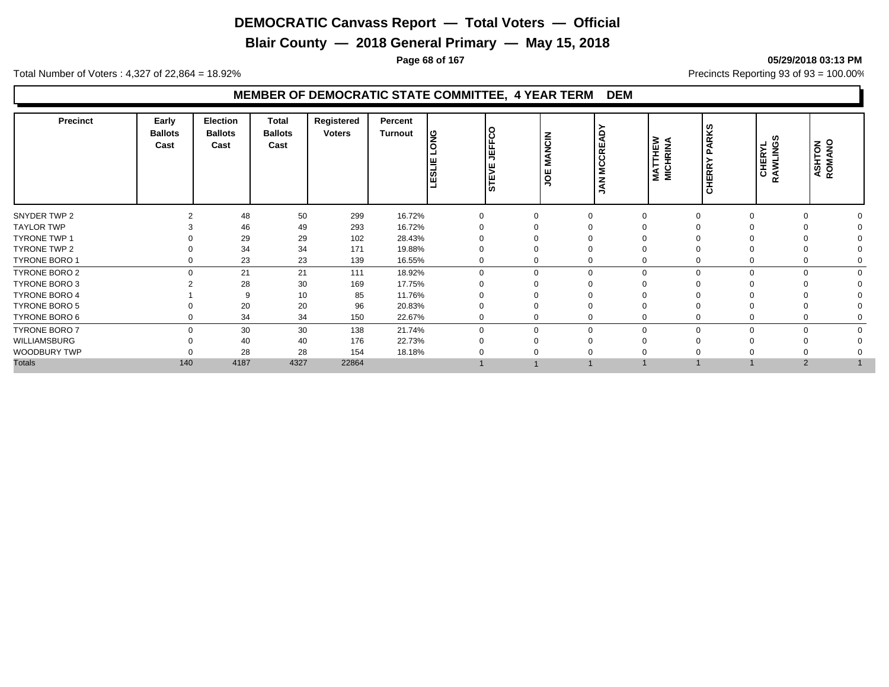**Blair County — 2018 General Primary — May 15, 2018**

**Page 68 of 167 05/29/2018 03:13 PM**

Total Number of Voters : 4,327 of 22,864 = 18.92% Precincts Reporting 93 of 93 = 100.00%

## **MEMBER OF DEMOCRATIC STATE COMMITTEE, 4 YEAR TERM DEM**

| 299<br>16.72%<br>48<br>50<br>$\Omega$<br>46<br>293<br>16.72%<br>49<br>29<br>29<br>28.43%<br>102<br>34<br>34<br>19.88%<br>171<br>23<br>23<br>139<br>16.55%<br>0<br>21<br>21<br>18.92%<br>$\Omega$<br>$\Omega$<br>$\mathbf 0$<br>111<br>$\Omega$<br>$\Omega$<br>28<br>30<br>169<br>17.75%<br>$\Omega$<br>11.76%<br>10<br>85<br>-9<br>20<br>20<br>96<br>20.83%<br>0<br>34<br>34<br>22.67%<br>150<br>0<br>30<br>30<br>138<br>21.74%<br>$\Omega$<br>$\mathbf 0$<br>$\Omega$<br>$\Omega$<br>0<br>40<br>176<br>22.73%<br>40<br>$\Omega$<br>28<br>28<br>18.18%<br>154<br>140<br>4187<br>4327<br>22864<br>$\overline{2}$ | <b>Precinct</b>      | Early<br><b>Ballots</b><br>Cast | <b>Election</b><br><b>Ballots</b><br>Cast | <b>Total</b><br><b>Ballots</b><br>Cast | Registered<br><b>Voters</b> | Percent<br><b>Turnout</b> | ျဖွ<br><b>TESLIE</b> | ΙO<br>ن ا<br>IF<br>EF<br>⋝<br>Ш<br>5 | NCIN<br>Σ | ≻<br>Q<br><b>MCCRE</b><br>Š | <b>MATTHEW</b><br>MICHRINA | <b>PARKS</b><br><b>HERRY</b><br>ပ | ທ<br><b>CHERYL</b><br>RAWLINGS | <b>ASHTON</b><br>ROMANO |
|-----------------------------------------------------------------------------------------------------------------------------------------------------------------------------------------------------------------------------------------------------------------------------------------------------------------------------------------------------------------------------------------------------------------------------------------------------------------------------------------------------------------------------------------------------------------------------------------------------------------|----------------------|---------------------------------|-------------------------------------------|----------------------------------------|-----------------------------|---------------------------|----------------------|--------------------------------------|-----------|-----------------------------|----------------------------|-----------------------------------|--------------------------------|-------------------------|
|                                                                                                                                                                                                                                                                                                                                                                                                                                                                                                                                                                                                                 | SNYDER TWP 2         |                                 |                                           |                                        |                             |                           |                      |                                      |           |                             |                            |                                   |                                |                         |
|                                                                                                                                                                                                                                                                                                                                                                                                                                                                                                                                                                                                                 | <b>TAYLOR TWP</b>    |                                 |                                           |                                        |                             |                           |                      |                                      |           |                             |                            |                                   |                                |                         |
|                                                                                                                                                                                                                                                                                                                                                                                                                                                                                                                                                                                                                 | <b>TYRONE TWP 1</b>  |                                 |                                           |                                        |                             |                           |                      |                                      |           |                             |                            |                                   |                                |                         |
|                                                                                                                                                                                                                                                                                                                                                                                                                                                                                                                                                                                                                 | TYRONE TWP 2         |                                 |                                           |                                        |                             |                           |                      |                                      |           |                             |                            |                                   |                                |                         |
|                                                                                                                                                                                                                                                                                                                                                                                                                                                                                                                                                                                                                 | <b>TYRONE BORO 1</b> |                                 |                                           |                                        |                             |                           |                      |                                      |           |                             |                            |                                   |                                |                         |
|                                                                                                                                                                                                                                                                                                                                                                                                                                                                                                                                                                                                                 | TYRONE BORO 2        |                                 |                                           |                                        |                             |                           |                      |                                      |           |                             |                            |                                   |                                | $\Omega$                |
|                                                                                                                                                                                                                                                                                                                                                                                                                                                                                                                                                                                                                 | TYRONE BORO 3        |                                 |                                           |                                        |                             |                           |                      |                                      |           |                             |                            |                                   |                                |                         |
|                                                                                                                                                                                                                                                                                                                                                                                                                                                                                                                                                                                                                 | <b>TYRONE BORO 4</b> |                                 |                                           |                                        |                             |                           |                      |                                      |           |                             |                            |                                   |                                |                         |
|                                                                                                                                                                                                                                                                                                                                                                                                                                                                                                                                                                                                                 | <b>TYRONE BORO 5</b> |                                 |                                           |                                        |                             |                           |                      |                                      |           |                             |                            |                                   |                                |                         |
|                                                                                                                                                                                                                                                                                                                                                                                                                                                                                                                                                                                                                 | TYRONE BORO 6        |                                 |                                           |                                        |                             |                           |                      |                                      |           |                             |                            |                                   |                                |                         |
|                                                                                                                                                                                                                                                                                                                                                                                                                                                                                                                                                                                                                 | <b>TYRONE BORO 7</b> |                                 |                                           |                                        |                             |                           |                      |                                      |           |                             |                            |                                   |                                | $\Omega$                |
|                                                                                                                                                                                                                                                                                                                                                                                                                                                                                                                                                                                                                 | WILLIAMSBURG         |                                 |                                           |                                        |                             |                           |                      |                                      |           |                             |                            |                                   |                                |                         |
|                                                                                                                                                                                                                                                                                                                                                                                                                                                                                                                                                                                                                 | WOODBURY TWP         |                                 |                                           |                                        |                             |                           |                      |                                      |           |                             |                            |                                   |                                |                         |
|                                                                                                                                                                                                                                                                                                                                                                                                                                                                                                                                                                                                                 | <b>Totals</b>        |                                 |                                           |                                        |                             |                           |                      |                                      |           |                             |                            |                                   |                                |                         |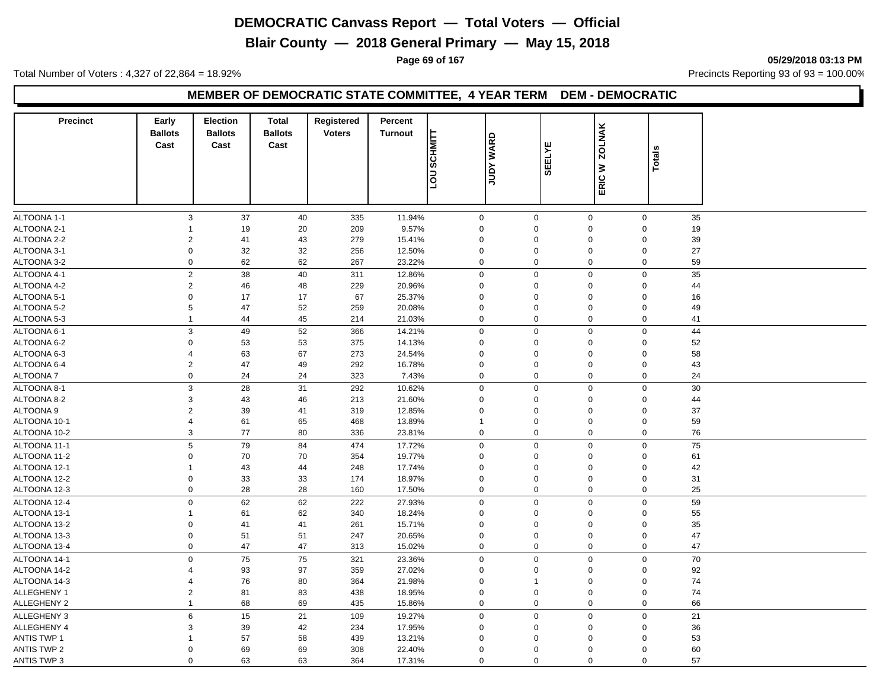**Blair County — 2018 General Primary — May 15, 2018**

**Page 69 of 167 05/29/2018 03:13 PM**

Total Number of Voters : 4,327 of 22,864 = 18.92% Precincts Reporting 93 of 93 = 100.00%

#### **MEMBER OF DEMOCRATIC STATE COMMITTEE, 4 YEAR TERM DEM - DEMOCRATIC**

| <b>Precinct</b>    | Early<br><b>Ballots</b><br>Cast | <b>Election</b><br><b>Ballots</b><br>Cast | <b>Total</b><br><b>Ballots</b><br>Cast | Registered<br><b>Voters</b> | Percent<br><b>Turnout</b> | <b>SCHMITT</b><br>non | <b>JUDY WARD</b> | <b>SEELYE</b> | <b>ZOLNAK</b><br>₹         | Totals |    |
|--------------------|---------------------------------|-------------------------------------------|----------------------------------------|-----------------------------|---------------------------|-----------------------|------------------|---------------|----------------------------|--------|----|
|                    |                                 |                                           |                                        |                             |                           |                       |                  |               | ERIC                       |        |    |
| ALTOONA 1-1        | $\mathsf 3$                     | 37                                        | 40                                     | 335                         | 11.94%                    | $\mathbf 0$           | $\mathbf 0$      |               | $\mathbf 0$<br>$\mathbf 0$ |        | 35 |
| ALTOONA 2-1        | 1                               | 19                                        | 20                                     | 209                         | 9.57%                     | $\Omega$              | $\Omega$         |               | 0<br>$\mathbf 0$           |        | 19 |
| ALTOONA 2-2        | 2                               | 41                                        | 43                                     | 279                         | 15.41%                    | $\mathbf 0$           | $\mathbf 0$      |               | 0<br>$\mathbf 0$           |        | 39 |
| ALTOONA 3-1        | $\mathbf 0$                     | 32                                        | 32                                     | 256                         | 12.50%                    | $\mathbf 0$           | $\mathbf 0$      |               | $\mathbf 0$<br>$\mathbf 0$ |        | 27 |
| ALTOONA 3-2        | $\mathbf 0$                     | 62                                        | 62                                     | 267                         | 23.22%                    | 0                     | $\mathbf 0$      |               | $\mathbf 0$<br>$\mathbf 0$ |        | 59 |
| ALTOONA 4-1        | $\sqrt{2}$                      | 38                                        | 40                                     | 311                         | 12.86%                    | 0                     | $\overline{0}$   |               | $\mathbf 0$<br>$\mathbf 0$ |        | 35 |
| ALTOONA 4-2        | $\sqrt{2}$                      | 46                                        | 48                                     | 229                         | 20.96%                    | 0                     | $\mathbf 0$      |               | $\mathbf 0$<br>$\mathbf 0$ |        | 44 |
| ALTOONA 5-1        | $\mathbf 0$                     | 17                                        | 17                                     | 67                          | 25.37%                    | $\mathbf 0$           | $\mathbf 0$      |               | 0<br>$\mathbf 0$           |        | 16 |
| ALTOONA 5-2        | $\,$ 5 $\,$                     | 47                                        | 52                                     | 259                         | 20.08%                    | 0                     | $\mathbf 0$      |               | $\mathbf 0$<br>0           |        | 49 |
| ALTOONA 5-3        | 1                               | 44                                        | 45                                     | 214                         | 21.03%                    | 0                     | $\mathbf 0$      |               | $\mathbf 0$<br>$\mathbf 0$ |        | 41 |
| ALTOONA 6-1        | $\mathbf{3}$                    | 49                                        | 52                                     | 366                         | 14.21%                    | $\mathbf 0$           | $\mathbf 0$      |               | $\mathsf 0$<br>$\mathbf 0$ |        | 44 |
| ALTOONA 6-2        | $\mathbf 0$                     | 53                                        | 53                                     | 375                         | 14.13%                    | $\mathbf 0$           | $\mathbf 0$      |               | $\mathbf 0$<br>$\mathbf 0$ |        | 52 |
| ALTOONA 6-3        | 4                               | 63                                        | 67                                     | 273                         | 24.54%                    | $\mathbf 0$           | $\mathbf 0$      |               | 0<br>$\mathbf 0$           |        | 58 |
| ALTOONA 6-4        | $\overline{2}$                  | 47                                        | 49                                     | 292                         | 16.78%                    | $\mathbf 0$           | $\mathbf 0$      |               | 0<br>$\mathbf 0$           |        | 43 |
| ALTOONA 7          | $\boldsymbol{0}$                | 24                                        | 24                                     | 323                         | 7.43%                     | 0                     | $\mathbf 0$      |               | $\pmb{0}$<br>$\mathbf 0$   |        | 24 |
| ALTOONA 8-1        | $\mathsf 3$                     | 28                                        | 31                                     | 292                         | 10.62%                    | $\mathbf 0$           | $\mathbf 0$      |               | $\mathbf 0$<br>$\mathbf 0$ |        | 30 |
| ALTOONA 8-2        | 3                               | 43                                        | 46                                     | 213                         | 21.60%                    | 0                     | $\Omega$         |               | 0<br>$\mathbf 0$           |        | 44 |
| ALTOONA 9          | $\overline{2}$                  | 39                                        | 41                                     | 319                         | 12.85%                    | 0                     | $\mathbf 0$      |               | 0<br>$\mathbf 0$           |        | 37 |
| ALTOONA 10-1       | 4                               | 61                                        | 65                                     | 468                         | 13.89%                    | $\overline{1}$        | $\mathbf 0$      |               | $\mathbf 0$<br>$\mathbf 0$ |        | 59 |
| ALTOONA 10-2       | 3                               | 77                                        | 80                                     | 336                         | 23.81%                    | $\mathbf 0$           | 0                |               | $\mathbf 0$<br>$\mathbf 0$ |        | 76 |
| ALTOONA 11-1       | $\mathbf 5$                     | 79                                        | 84                                     | 474                         | 17.72%                    | $\pmb{0}$             | $\pmb{0}$        |               | $\mathbf 0$<br>$\mathbf 0$ |        | 75 |
| ALTOONA 11-2       | 0                               | 70                                        | 70                                     | 354                         | 19.77%                    | $\mathbf 0$           | $\mathbf 0$      |               | 0<br>$\mathbf 0$           |        | 61 |
| ALTOONA 12-1       | 1                               | 43                                        | 44                                     | 248                         | 17.74%                    | $\mathbf 0$           | $\mathbf 0$      |               | $\mathbf 0$<br>$\mathbf 0$ |        | 42 |
| ALTOONA 12-2       | $\mathbf 0$                     | 33                                        | 33                                     | 174                         | 18.97%                    | 0                     | $\mathbf 0$      |               | $\mathbf 0$<br>0           |        | 31 |
| ALTOONA 12-3       | $\mathbf 0$                     | 28                                        | 28                                     | 160                         | 17.50%                    | $\mathbf 0$           | $\mathbf 0$      |               | $\mathbf 0$<br>$\mathbf 0$ |        | 25 |
| ALTOONA 12-4       | $\mathbf 0$                     | 62                                        | 62                                     | 222                         | 27.93%                    | $\mathsf 0$           | $\mathbf 0$      |               | $\mathbf 0$<br>$\mathbf 0$ |        | 59 |
| ALTOONA 13-1       | $\mathbf{1}$                    | 61                                        | 62                                     | 340                         | 18.24%                    | $\mathbf 0$           | $\mathbf 0$      |               | $\mathbf 0$<br>$\mathbf 0$ |        | 55 |
| ALTOONA 13-2       | $\mathbf 0$                     | 41                                        | 41                                     | 261                         | 15.71%                    | $\mathbf 0$           | $\mathbf 0$      |               | 0<br>$\mathbf 0$           |        | 35 |
| ALTOONA 13-3       | $\pmb{0}$                       | 51                                        | 51                                     | 247                         | 20.65%                    | $\mathbf 0$           | $\mathbf 0$      |               | $\mathbf 0$<br>$\mathbf 0$ |        | 47 |
| ALTOONA 13-4       | $\mathbf 0$                     | 47                                        | 47                                     | 313                         | 15.02%                    | 0                     | $\mathbf 0$      |               | $\mathbf 0$<br>$\pmb{0}$   |        | 47 |
| ALTOONA 14-1       | $\mathsf 0$                     | 75                                        | 75                                     | 321                         | 23.36%                    | 0                     | $\mathbf 0$      |               | $\mathbf 0$<br>$\mathbf 0$ |        | 70 |
| ALTOONA 14-2       | $\overline{\mathbf{4}}$         | 93                                        | 97                                     | 359                         | 27.02%                    | $\mathbf 0$           | $\Omega$         |               | $\mathbf 0$<br>$\mathbf 0$ |        | 92 |
| ALTOONA 14-3       | 4                               | 76                                        | 80                                     | 364                         | 21.98%                    | $\mathbf 0$           | $\overline{1}$   |               | 0<br>$\mathbf 0$           |        | 74 |
| <b>ALLEGHENY 1</b> | $\overline{c}$                  | 81                                        | 83                                     | 438                         | 18.95%                    | 0                     | $\pmb{0}$        |               | 0<br>$\mathbf 0$           |        | 74 |
| <b>ALLEGHENY 2</b> | 1                               | 68                                        | 69                                     | 435                         | 15.86%                    | 0                     | $\Omega$         |               | 0<br>$\mathbf 0$           |        | 66 |
| ALLEGHENY 3        | $\,6$                           | 15                                        | 21                                     | 109                         | 19.27%                    | 0                     | $\mathbf 0$      |               | $\mathsf 0$<br>$\mathbf 0$ |        | 21 |
| ALLEGHENY 4        | 3                               | 39                                        | 42                                     | 234                         | 17.95%                    | $\mathbf 0$           | $\Omega$         |               | 0<br>$\mathbf 0$           |        | 36 |
| <b>ANTIS TWP 1</b> | 1                               | 57                                        | 58                                     | 439                         | 13.21%                    | $\overline{0}$        | $\mathbf 0$      |               | $\mathbf 0$<br>0           |        | 53 |
| <b>ANTIS TWP 2</b> | $\mathbf 0$                     | 69                                        | 69                                     | 308                         | 22.40%                    | $\mathbf 0$           | $\mathbf 0$      |               | $\mathbf 0$<br>0           |        | 60 |
| <b>ANTIS TWP 3</b> | $\mathbf 0$                     | 63                                        | 63                                     | 364                         | 17.31%                    | $\mathbf 0$           | $\mathbf 0$      |               | $\mathbf 0$<br>$\mathbf 0$ |        | 57 |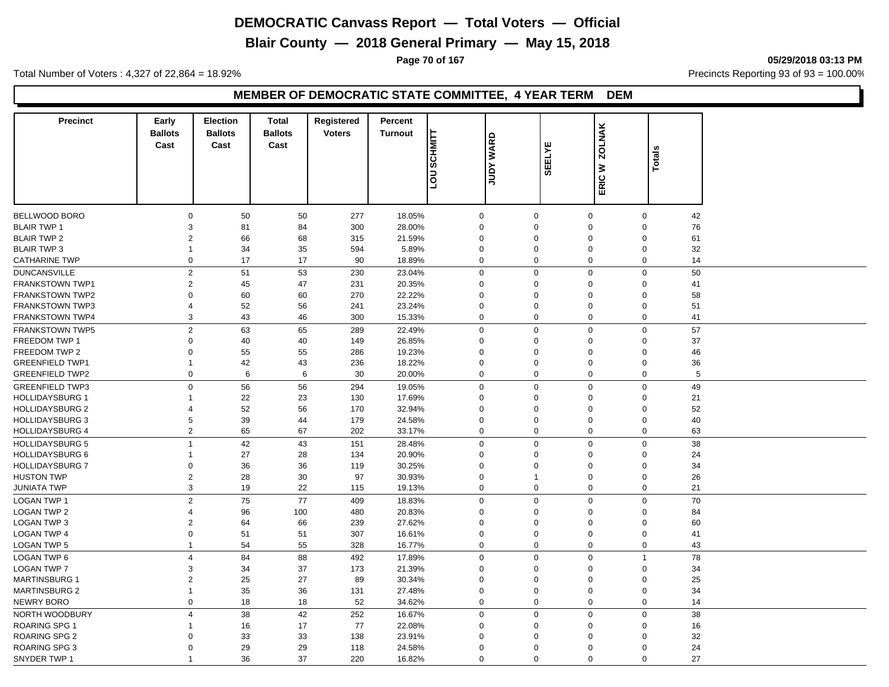**Blair County — 2018 General Primary — May 15, 2018**

**Page 70 of 167 05/29/2018 03:13 PM**

Total Number of Voters : 4,327 of 22,864 = 18.92% Precincts Reporting 93 of 93 = 100.00%

#### **MEMBER OF DEMOCRATIC STATE COMMITTEE, 4 YEAR TERM DEM**

| <b>Precinct</b>        | Early                  | <b>Election</b>        | <b>Total</b>           | Registered    | Percent        |             |                  |               |                               |                        |
|------------------------|------------------------|------------------------|------------------------|---------------|----------------|-------------|------------------|---------------|-------------------------------|------------------------|
|                        | <b>Ballots</b><br>Cast | <b>Ballots</b><br>Cast | <b>Ballots</b><br>Cast | <b>Voters</b> | <b>Turnout</b> | SCHMITT     |                  |               | <b>ZOLNAK</b>                 |                        |
|                        |                        |                        |                        |               |                |             | <b>JUDY WARD</b> | <b>SEELYE</b> |                               | <b>Totals</b>          |
|                        |                        |                        |                        |               |                |             |                  |               | $\geq$                        |                        |
|                        |                        |                        |                        |               |                | non         |                  |               | ERIC                          |                        |
|                        |                        |                        |                        |               |                |             |                  |               |                               |                        |
| <b>BELLWOOD BORO</b>   | 0                      | 50                     | 50                     | 277           | 18.05%         | $\mathbf 0$ | $\mathbf 0$      |               | $\mathbf 0$                   | $\boldsymbol{0}$<br>42 |
| <b>BLAIR TWP 1</b>     | 3                      | 81                     | 84                     | 300           | 28.00%         | $\mathbf 0$ | $\Omega$         |               | $\Omega$                      | 76<br>$\mathbf 0$      |
| <b>BLAIR TWP 2</b>     | $\overline{2}$         | 66                     | 68                     | 315           | 21.59%         | $\Omega$    | $\Omega$         |               | $\Omega$                      | $\mathbf 0$<br>61      |
| <b>BLAIR TWP 3</b>     | $\mathbf{1}$           | 34                     | 35                     | 594           | 5.89%          | $\mathbf 0$ | $\Omega$         |               | $\mathbf 0$                   | $\mathbf 0$<br>32      |
| <b>CATHARINE TWP</b>   | $\mathbf 0$            | 17                     | 17                     | 90            | 18.89%         | $\mathbf 0$ | $\mathbf 0$      |               | $\mathbf 0$                   | $\mathbf 0$<br>14      |
| <b>DUNCANSVILLE</b>    | 2                      | 51                     | 53                     | 230           | 23.04%         | $\mathbf 0$ | $\mathbf 0$      |               | $\mathbf 0$                   | $\mathbf 0$<br>50      |
| FRANKSTOWN TWP1        | 2                      | 45                     | 47                     | 231           | 20.35%         | $\Omega$    | $\Omega$         |               | $\mathbf 0$                   | $\mathbf 0$<br>41      |
| <b>FRANKSTOWN TWP2</b> | 0                      | 60                     | 60                     | 270           | 22.22%         | $\Omega$    | $\Omega$         |               | $\Omega$                      | 58<br>$\mathbf 0$      |
| <b>FRANKSTOWN TWP3</b> | 4                      | 52                     | 56                     | 241           | 23.24%         | $\Omega$    | $\Omega$         |               | $\Omega$                      | $\mathbf 0$<br>51      |
| <b>FRANKSTOWN TWP4</b> | 3                      | 43                     | 46                     | 300           | 15.33%         | $\mathbf 0$ | $\mathbf 0$      |               | $\mathbf 0$                   | $\mathbf 0$<br>41      |
| <b>FRANKSTOWN TWP5</b> | $\overline{c}$         | 63                     | 65                     | 289           | 22.49%         | $\mathbf 0$ | $\Omega$         |               | $\mathbf 0$                   | 57<br>$\mathbf 0$      |
| FREEDOM TWP 1          | 0                      | 40                     | 40                     | 149           | 26.85%         | $\Omega$    | $\Omega$         |               | $\mathbf 0$                   | 37<br>$\mathbf 0$      |
| FREEDOM TWP 2          | $\Omega$               | 55                     | 55                     | 286           | 19.23%         | $\Omega$    | $\Omega$         |               | $\Omega$                      | $\mathbf 0$<br>46      |
| <b>GREENFIELD TWP1</b> |                        | 42                     | 43                     | 236           | 18.22%         | $\Omega$    | $\Omega$         |               | $\mathbf 0$                   | $\mathbf 0$<br>36      |
| <b>GREENFIELD TWP2</b> | 0                      | 6                      | 6                      | 30            | 20.00%         | $\mathbf 0$ | $\mathbf 0$      |               | $\mathbf 0$                   | 5<br>$\mathbf 0$       |
| <b>GREENFIELD TWP3</b> | 0                      | 56                     | 56                     | 294           | 19.05%         | $\mathbf 0$ | $\mathbf 0$      |               | $\mathbf 0$                   | 49<br>$\mathbf 0$      |
| <b>HOLLIDAYSBURG 1</b> | 1                      | 22                     | 23                     | 130           | 17.69%         | $\Omega$    | $\Omega$         |               | 0                             | 21<br>$\mathbf 0$      |
| <b>HOLLIDAYSBURG 2</b> | 4                      | 52                     | 56                     | 170           | 32.94%         | $\Omega$    | $\Omega$         |               | $\Omega$                      | $\mathbf 0$<br>52      |
| <b>HOLLIDAYSBURG 3</b> | 5                      | 39                     | 44                     | 179           | 24.58%         | $\Omega$    | $\Omega$         |               | 0                             | $\mathbf 0$<br>40      |
| <b>HOLLIDAYSBURG 4</b> | 2                      | 65                     | 67                     | 202           | 33.17%         | $\mathbf 0$ | $\mathbf 0$      |               | $\mathbf 0$                   | $\mathbf 0$<br>63      |
| <b>HOLLIDAYSBURG 5</b> | $\overline{1}$         | 42                     | 43                     | 151           | 28.48%         | $\mathbf 0$ | $\mathbf 0$      |               | $\mathbf 0$                   | $\mathbf 0$<br>38      |
| <b>HOLLIDAYSBURG 6</b> | 1                      | 27                     | 28                     | 134           | 20.90%         | $\Omega$    | $\Omega$         |               | $\Omega$                      | $\mathbf 0$<br>24      |
| <b>HOLLIDAYSBURG 7</b> | 0                      | 36                     | 36                     | 119           | 30.25%         | $\Omega$    | $\Omega$         |               | $\Omega$                      | $\mathbf 0$<br>34      |
| <b>HUSTON TWP</b>      | $\overline{2}$         | 28                     | 30                     | 97            | 30.93%         | $\mathbf 0$ | $\mathbf{1}$     |               | $\mathbf 0$                   | $\mathbf 0$<br>26      |
| <b>JUNIATA TWP</b>     | 3                      | 19                     | 22                     | 115           | 19.13%         | $\mathbf 0$ | $\mathbf 0$      |               | $\mathbf 0$                   | $\mathbf 0$<br>21      |
| LOGAN TWP 1            | $\overline{2}$         | 75                     | 77                     | 409           | 18.83%         | $\mathbf 0$ | $\mathbf 0$      |               | $\mathbf 0$                   | $\mathbf 0$<br>70      |
| <b>LOGAN TWP 2</b>     | 4                      | 96                     | 100                    | 480           | 20.83%         | $\Omega$    | $\Omega$         |               | $\Omega$                      | $\mathbf 0$<br>84      |
| <b>LOGAN TWP 3</b>     | 2                      | 64                     | 66                     | 239           | 27.62%         | $\mathbf 0$ | $\Omega$         |               | $\mathbf 0$                   | $\mathbf 0$<br>60      |
| <b>LOGAN TWP 4</b>     | 0                      | 51                     | 51                     | 307           | 16.61%         | $\Omega$    | $\Omega$         |               | $\mathbf 0$                   | $\mathbf 0$<br>41      |
| <b>LOGAN TWP 5</b>     | $\mathbf{1}$           | 54                     | 55                     | 328           | 16.77%         | $\mathbf 0$ | $\mathbf 0$      |               | $\mathbf 0$                   | 43<br>$\mathbf 0$      |
| <b>LOGAN TWP 6</b>     | $\overline{4}$         | 84                     | 88                     | 492           | 17.89%         | $\mathbf 0$ | $\Omega$         |               | $\mathbf 0$<br>$\overline{1}$ | 78                     |
| <b>LOGAN TWP 7</b>     | 3                      | 34                     | 37                     | 173           | 21.39%         | $\Omega$    | $\Omega$         |               | $\Omega$                      | $\mathbf 0$<br>34      |
| <b>MARTINSBURG 1</b>   | $\overline{2}$         | 25                     | 27                     | 89            | 30.34%         | $\Omega$    | $\Omega$         |               | $\Omega$                      | 25<br>$\mathbf 0$      |
| <b>MARTINSBURG 2</b>   | $\overline{1}$         | 35                     | 36                     | 131           | 27.48%         | $\mathbf 0$ | $\Omega$         |               | 0                             | $\mathbf 0$<br>34      |
| <b>NEWRY BORO</b>      | $\mathbf 0$            | 18                     | 18                     | 52            | 34.62%         | $\mathbf 0$ | $\Omega$         |               | $\mathbf 0$                   | $\mathbf 0$<br>14      |
| NORTH WOODBURY         | $\overline{4}$         | 38                     | 42                     | 252           | 16.67%         | $\mathbf 0$ | $\mathbf 0$      |               | $\mathbf 0$                   | $\mathbf 0$<br>38      |
| <b>ROARING SPG 1</b>   | 1                      | 16                     | 17                     | 77            | 22.08%         | $\mathbf 0$ | $\Omega$         |               | $\mathbf 0$                   | 16<br>$\mathbf 0$      |
| ROARING SPG 2          | 0                      | 33                     | 33                     | 138           | 23.91%         | $\Omega$    | $\Omega$         |               | 0                             | 32<br>$\mathbf 0$      |
| ROARING SPG 3          | 0                      | 29                     | 29                     | 118           | 24.58%         | $\mathbf 0$ | $\Omega$         |               | 0                             | $\mathbf 0$<br>24      |
| SNYDER TWP 1           | $\mathbf 1$            | 36                     | 37                     | 220           | 16.82%         | $\mathbf 0$ | $\Omega$         |               | $\mathbf 0$                   | $\mathbf 0$<br>27      |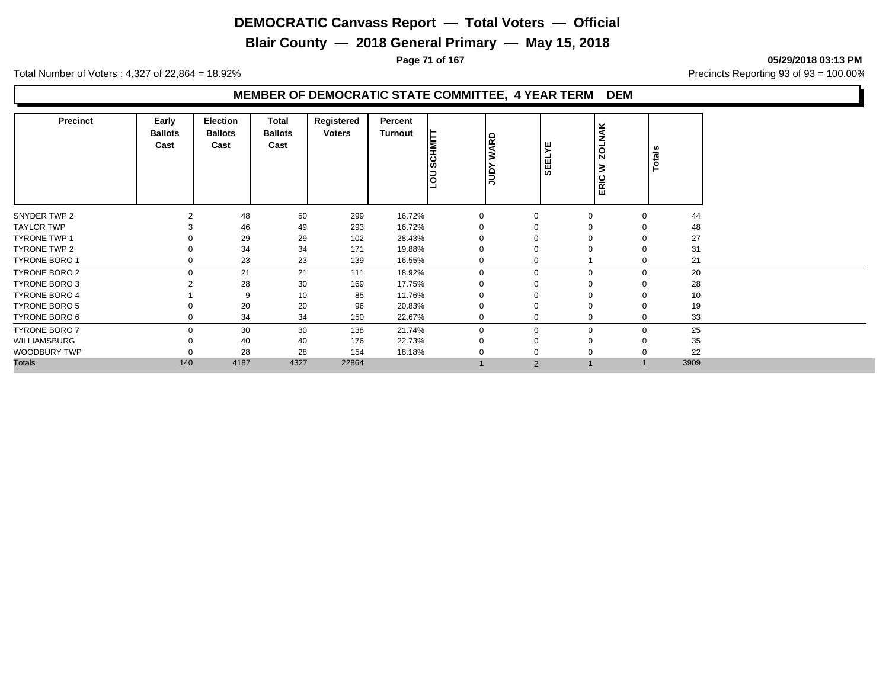**Blair County — 2018 General Primary — May 15, 2018**

**Page 71 of 167 05/29/2018 03:13 PM**

Total Number of Voters : 4,327 of 22,864 = 18.92% Precincts Reporting 93 of 93 = 100.00%

## **MEMBER OF DEMOCRATIC STATE COMMITTEE, 4 YEAR TERM DEM**

| <b>Precinct</b>      | Early<br><b>Ballots</b><br>Cast | Election<br><b>Ballots</b><br>Cast | Total<br><b>Ballots</b><br>Cast | Registered<br><b>Voters</b> | Percent<br><b>Turnout</b> | <b>SCHMITT</b><br>non | <b>WARD</b><br>β | <b>SEELYE</b> | <b>ZOLNAK</b><br>⋧<br>ERIC | Totals |    |
|----------------------|---------------------------------|------------------------------------|---------------------------------|-----------------------------|---------------------------|-----------------------|------------------|---------------|----------------------------|--------|----|
| SNYDER TWP 2         | 2                               | 48                                 | 50                              | 299                         | 16.72%                    | $\Omega$              | O                | $\Omega$      | $\Omega$                   |        | 44 |
| <b>TAYLOR TWP</b>    |                                 | 46                                 | 49                              | 293                         | 16.72%                    |                       |                  |               |                            |        | 48 |
| <b>TYRONE TWP 1</b>  |                                 | 29                                 | 29                              | 102                         | 28.43%                    |                       |                  |               |                            |        | 27 |
| TYRONE TWP 2         |                                 | 34                                 | 34                              | 171                         | 19.88%                    |                       |                  |               |                            |        | 31 |
| <b>TYRONE BORO 1</b> |                                 | 23                                 | 23                              | 139                         | 16.55%                    |                       |                  |               |                            |        | 21 |
| <b>TYRONE BORO 2</b> | $\Omega$                        | 21                                 | 21                              | 111                         | 18.92%                    | $\Omega$              | $\Omega$         | $\mathbf 0$   | $\Omega$                   |        | 20 |
| TYRONE BORO 3        |                                 | 28                                 | 30                              | 169                         | 17.75%                    |                       |                  |               |                            |        | 28 |
| <b>TYRONE BORO 4</b> |                                 | 9                                  | 10                              | 85                          | 11.76%                    |                       |                  |               |                            |        | 10 |
| <b>TYRONE BORO 5</b> |                                 | 20                                 | 20                              | 96                          | 20.83%                    |                       |                  |               |                            |        | 19 |
| TYRONE BORO 6        |                                 | 34                                 | 34                              | 150                         | 22.67%                    |                       |                  | $\mathbf 0$   |                            |        | 33 |
| <b>TYRONE BORO 7</b> | $\Omega$                        | 30                                 | 30                              | 138                         | 21.74%                    | $\Omega$              | $\Omega$         | $\mathbf 0$   | $\Omega$                   |        | 25 |
| WILLIAMSBURG         |                                 | 40                                 | 40                              | 176                         | 22.73%                    |                       |                  |               |                            |        | 35 |
| <b>WOODBURY TWP</b>  |                                 | 28                                 | 28                              | 154                         | 18.18%                    |                       |                  | $\Omega$      |                            |        | 22 |
| <b>Totals</b>        | 140                             | 4187                               | 4327                            | 22864                       |                           |                       | $\overline{2}$   |               |                            | 3909   |    |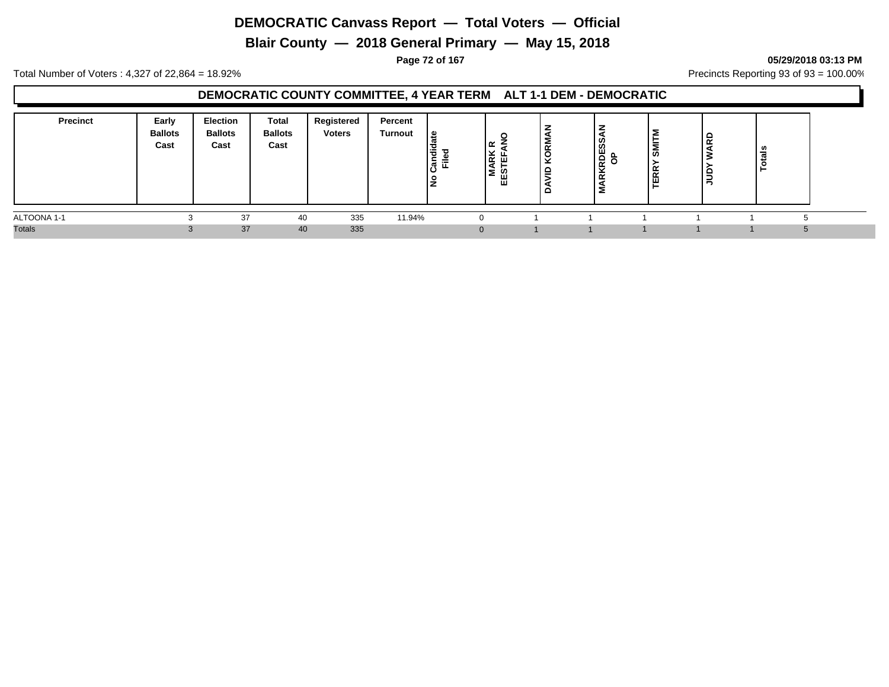**Blair County — 2018 General Primary — May 15, 2018**

**Page 72 of 167 05/29/2018 03:13 PM**

Total Number of Voters : 4,327 of 22,864 = 18.92% Precincts Reporting 93 of 93 = 100.00%

## **DEMOCRATIC COUNTY COMMITTEE, 4 YEAR TERM ALT 1-1 DEM - DEMOCRATIC**

| <b>Precinct</b> | Early<br><b>Ballots</b><br>Cast | Election<br><b>Ballots</b><br>Cast | <b>Total</b><br><b>Ballots</b><br>Cast | Registered<br><b>Voters</b> | Percent<br>Turnout | ு<br>っ<br>Ē<br>ট় | ౹≃<br> 뜻 巴<br>lΣ<br>₩ | $\propto$<br>ັ<br>◡<br>-<br>$\overline{\phantom{0}}$<br>▃ | Ø)<br><b>S</b><br>RKRDES<br>OP<br>Σ | SMITM<br><b>TERR</b> | ≏<br>$\sim$ | - |  |
|-----------------|---------------------------------|------------------------------------|----------------------------------------|-----------------------------|--------------------|-------------------|-----------------------|-----------------------------------------------------------|-------------------------------------|----------------------|-------------|---|--|
| ALTOONA 1-1     |                                 | 37                                 | 40                                     | 335                         | 11.94%             |                   |                       |                                                           |                                     |                      |             |   |  |
| <b>Totals</b>   |                                 | 37                                 | 40                                     | 335                         |                    |                   |                       |                                                           |                                     |                      |             |   |  |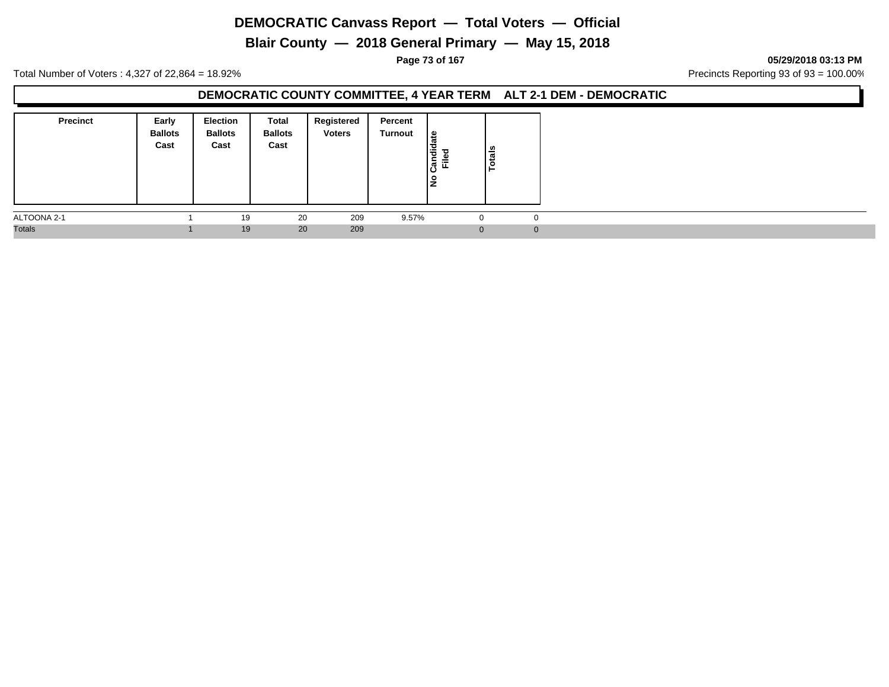**Blair County — 2018 General Primary — May 15, 2018**

**Page 73 of 167 05/29/2018 03:13 PM**

Total Number of Voters : 4,327 of 22,864 = 18.92% Precincts Reporting 93 of 93 = 100.00%

#### **DEMOCRATIC COUNTY COMMITTEE, 4 YEAR TERM ALT 2-1 DEM - DEMOCRATIC**

| <b>Precinct</b> | Early<br><b>Ballots</b><br>Cast | <b>Election</b><br><b>Ballots</b><br>Cast | Total<br><b>Ballots</b><br>Cast | Registered<br><b>Voters</b> | Percent<br>Turnout | ہ  <br>Candid<br>$=$<br>щ<br>١ş | Totals |              |
|-----------------|---------------------------------|-------------------------------------------|---------------------------------|-----------------------------|--------------------|---------------------------------|--------|--------------|
| ALTOONA 2-1     |                                 | 19                                        | 20                              | 209                         | 9.57%              | 0                               |        | 0            |
| <b>Totals</b>   |                                 | 19                                        | 20                              | 209                         |                    | $\Omega$                        |        | $\mathbf{0}$ |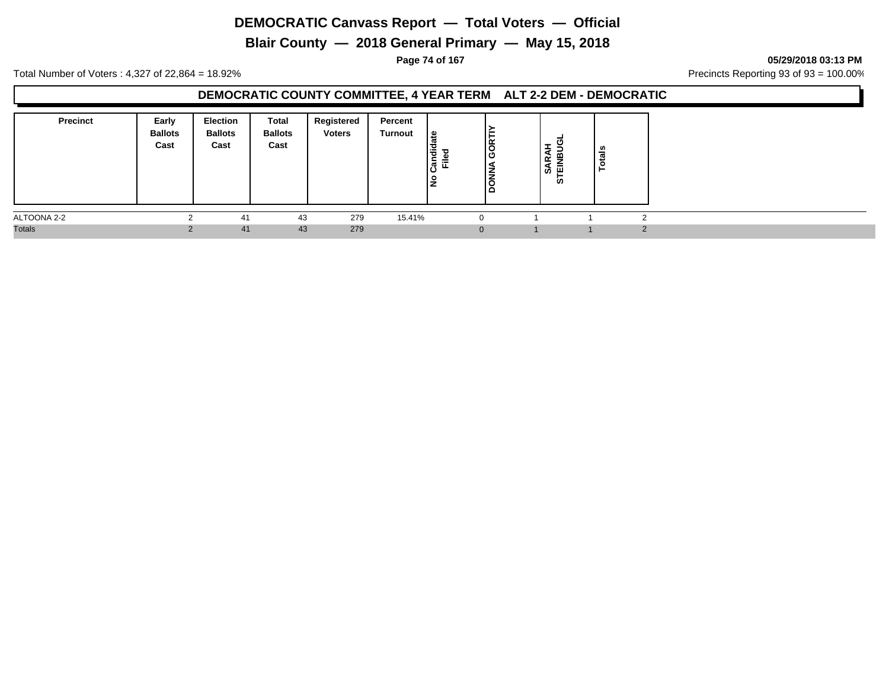**Blair County — 2018 General Primary — May 15, 2018**

**Page 74 of 167 05/29/2018 03:13 PM**

Total Number of Voters : 4,327 of 22,864 = 18.92% Precincts Reporting 93 of 93 = 100.00%

#### **DEMOCRATIC COUNTY COMMITTEE, 4 YEAR TERM ALT 2-2 DEM - DEMOCRATIC**

| <b>Precinct</b> | Early<br><b>Ballots</b><br>Cast | <b>Election</b><br><b>Ballots</b><br>Cast | Total<br><b>Ballots</b><br>Cast | Registered<br><b>Voters</b> | Percent<br>Turnout | ہ ا<br>Candid<br>Filed<br>۽ | F<br>İξ<br>פֿו<br>۱ś<br>▫ | ທ<br>- 11<br>ທ | ឹ |  |
|-----------------|---------------------------------|-------------------------------------------|---------------------------------|-----------------------------|--------------------|-----------------------------|---------------------------|----------------|---|--|
| ALTOONA 2-2     |                                 | 41                                        | 43                              | 279                         | 15.41%             |                             |                           |                |   |  |
| <b>Totals</b>   |                                 | 41                                        | 43                              | 279                         |                    |                             | $\Omega$                  |                |   |  |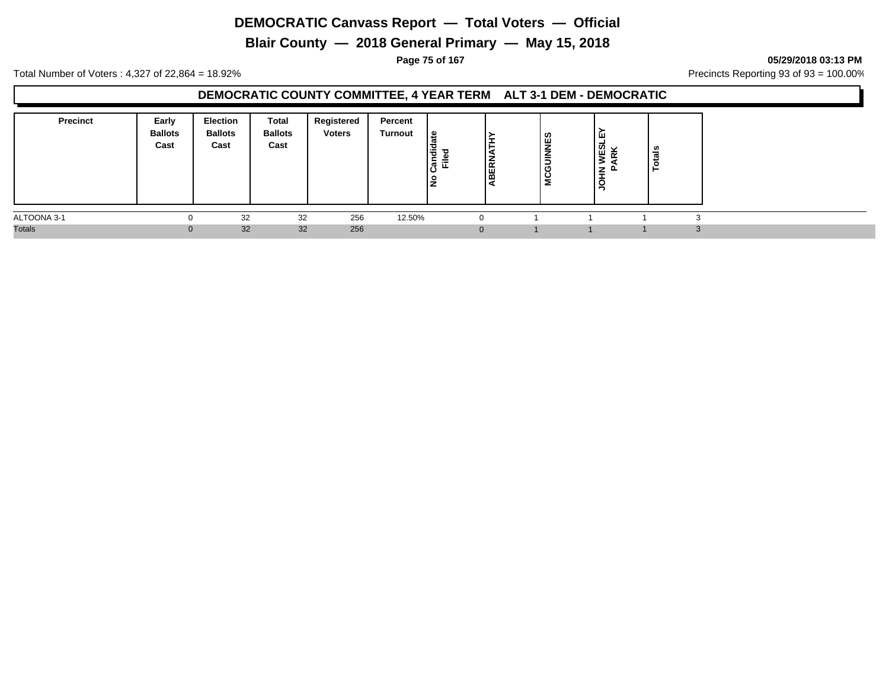**Blair County — 2018 General Primary — May 15, 2018**

**Page 75 of 167 05/29/2018 03:13 PM**

Total Number of Voters : 4,327 of 22,864 = 18.92% Precincts Reporting 93 of 93 = 100.00%

### **DEMOCRATIC COUNTY COMMITTEE, 4 YEAR TERM ALT 3-1 DEM - DEMOCRATIC**

| <b>Precinct</b> | Early<br><b>Ballots</b><br>Cast | <b>Election</b><br><b>Ballots</b><br>Cast | Total<br><b>Ballots</b><br>Cast | Registered<br><b>Voters</b> | Percent<br>Turnout | ہ ا<br>등<br>ᇃ<br>⋍<br>ட<br>O<br>۽.<br>- | <b>BERN</b> | <b>MCGUINNES</b> | ш<br>ທ<br>$\checkmark$<br>훈<br>ш<br>z<br>ш.<br>O<br>- | tals<br>$\circ$<br>- |  |
|-----------------|---------------------------------|-------------------------------------------|---------------------------------|-----------------------------|--------------------|-----------------------------------------|-------------|------------------|-------------------------------------------------------|----------------------|--|
| ALTOONA 3-1     |                                 | 32                                        | 32                              | 256                         | 12.50%             |                                         |             |                  |                                                       |                      |  |
| <b>Totals</b>   | $\Omega$                        | 32                                        | 32                              | 256                         |                    |                                         | $\Omega$    |                  |                                                       |                      |  |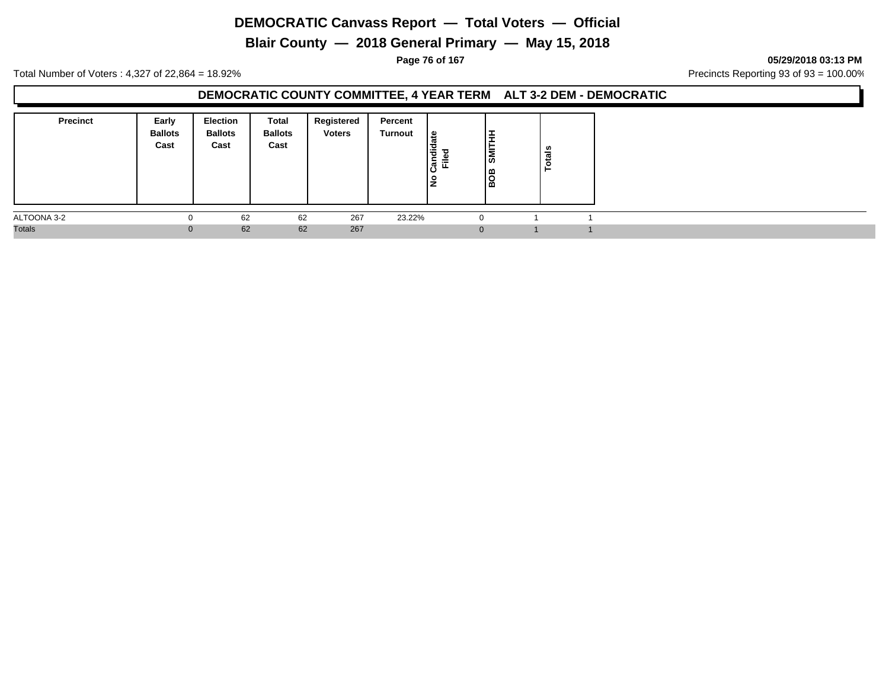**Blair County — 2018 General Primary — May 15, 2018**

**Page 76 of 167 05/29/2018 03:13 PM**

Total Number of Voters : 4,327 of 22,864 = 18.92% Precincts Reporting 93 of 93 = 100.00%

#### **DEMOCRATIC COUNTY COMMITTEE, 4 YEAR TERM ALT 3-2 DEM - DEMOCRATIC**

| <b>Precinct</b> | Early<br><b>Ballots</b><br>Cast | <b>Election</b><br><b>Ballots</b><br>Cast | Total<br><b>Ballots</b><br>Cast | Registered<br><b>Voters</b> | Percent<br><b>Turnout</b> | ூ<br>Candid<br>ு<br>⋍<br>١ş | ॱ≐<br>'≒<br>∣೫<br>ıш<br>$\overline{\mathbf{o}}$<br>00. ا | otals |
|-----------------|---------------------------------|-------------------------------------------|---------------------------------|-----------------------------|---------------------------|-----------------------------|----------------------------------------------------------|-------|
| ALTOONA 3-2     |                                 | 62                                        | 62                              | 267                         | 23.22%                    |                             |                                                          |       |
| <b>Totals</b>   | $\Omega$                        | 62                                        | 62                              | 267                         |                           |                             |                                                          |       |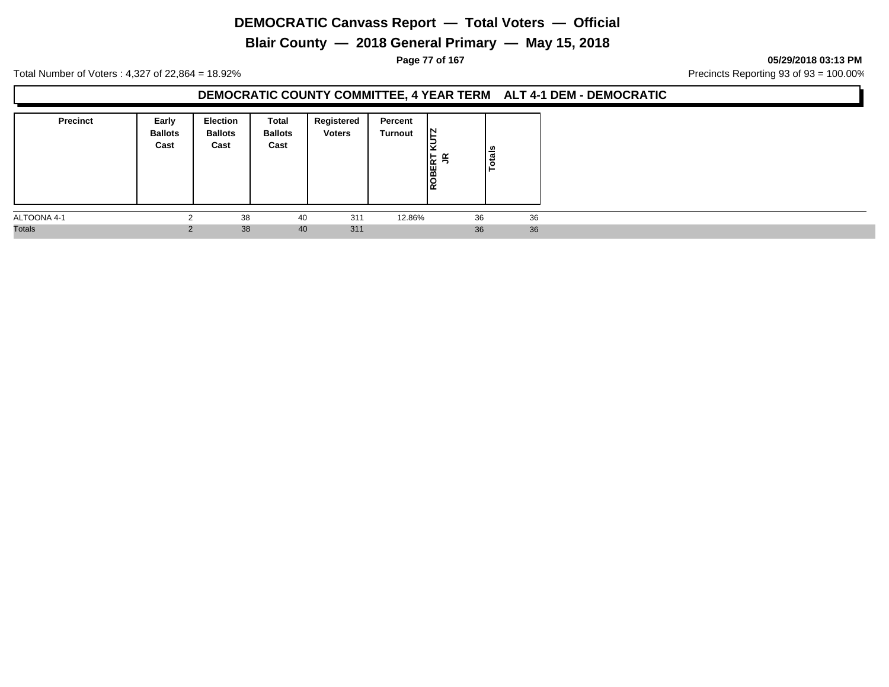**Blair County — 2018 General Primary — May 15, 2018**

**Page 77 of 167 05/29/2018 03:13 PM**

Total Number of Voters : 4,327 of 22,864 = 18.92% Precincts Reporting 93 of 93 = 100.00%

#### **DEMOCRATIC COUNTY COMMITTEE, 4 YEAR TERM ALT 4-1 DEM - DEMOCRATIC**

| <b>Precinct</b> | Early<br><b>Ballots</b><br>Cast | <b>Election</b><br><b>Ballots</b><br>Cast | Total<br><b>Ballots</b><br>Cast | Registered<br><b>Voters</b> | Percent<br><b>Turnout</b> | IN.<br>×<br>ROBERT<br>JR | tals<br>$\bullet$ |  |
|-----------------|---------------------------------|-------------------------------------------|---------------------------------|-----------------------------|---------------------------|--------------------------|-------------------|--|
| ALTOONA 4-1     |                                 | 38                                        | 40                              | 311                         | 12.86%                    | 36                       | 36                |  |
| <b>Totals</b>   | $\Omega$                        | 38                                        | 40                              | 311                         |                           | 36                       | 36                |  |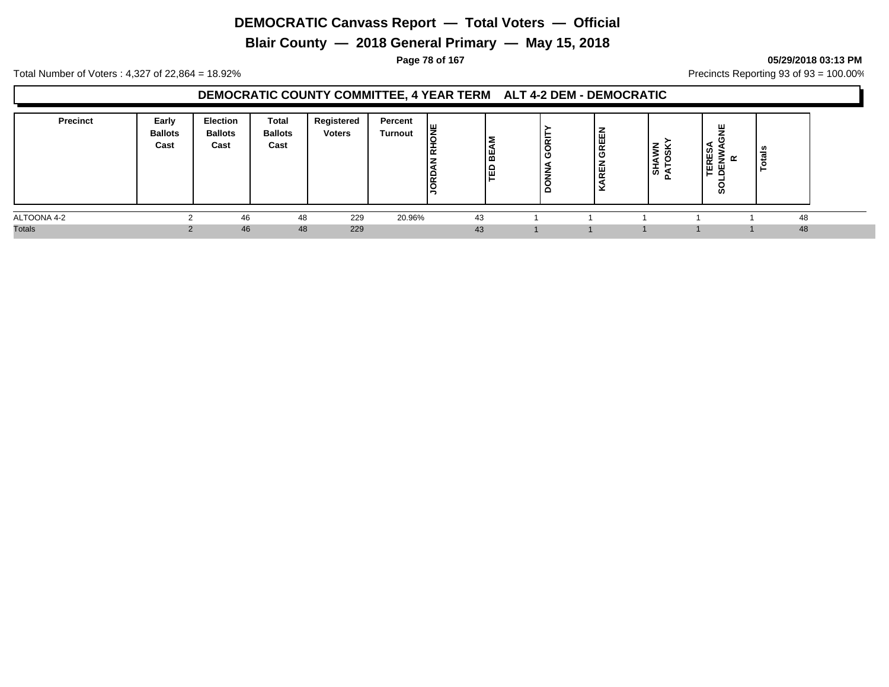**Blair County — 2018 General Primary — May 15, 2018**

**Page 78 of 167 05/29/2018 03:13 PM**

Total Number of Voters : 4,327 of 22,864 = 18.92% Precincts Reporting 93 of 93 = 100.00%

### **DEMOCRATIC COUNTY COMMITTEE, 4 YEAR TERM ALT 4-2 DEM - DEMOCRATIC**

| <b>Precinct</b> | Early<br><b>Ballots</b><br>Cast | Election<br><b>Ballots</b><br>Cast | Total<br><b>Ballots</b><br>Cast | Registered<br><b>Voters</b> | Percent<br><b>Turnout</b> | । ய<br>Ιē<br>' =<br>١v | <b>BEAM</b><br>la<br>I | ᄒ<br>פ<br>- | щ<br>GREI<br>z<br>! | ξ<br>↽<br>∣ਨੋ | ш<br>Ø<br>₩<br>$\alpha$<br>ш<br>뿡<br>ທ | - |    |
|-----------------|---------------------------------|------------------------------------|---------------------------------|-----------------------------|---------------------------|------------------------|------------------------|-------------|---------------------|---------------|----------------------------------------|---|----|
| ALTOONA 4-2     |                                 | 46                                 | 48                              | 229                         | 20.96%                    |                        | 43                     |             |                     |               |                                        |   | 48 |
| <b>Totals</b>   |                                 | 46                                 | 48                              | 229                         |                           |                        | 43                     |             |                     |               |                                        |   | 48 |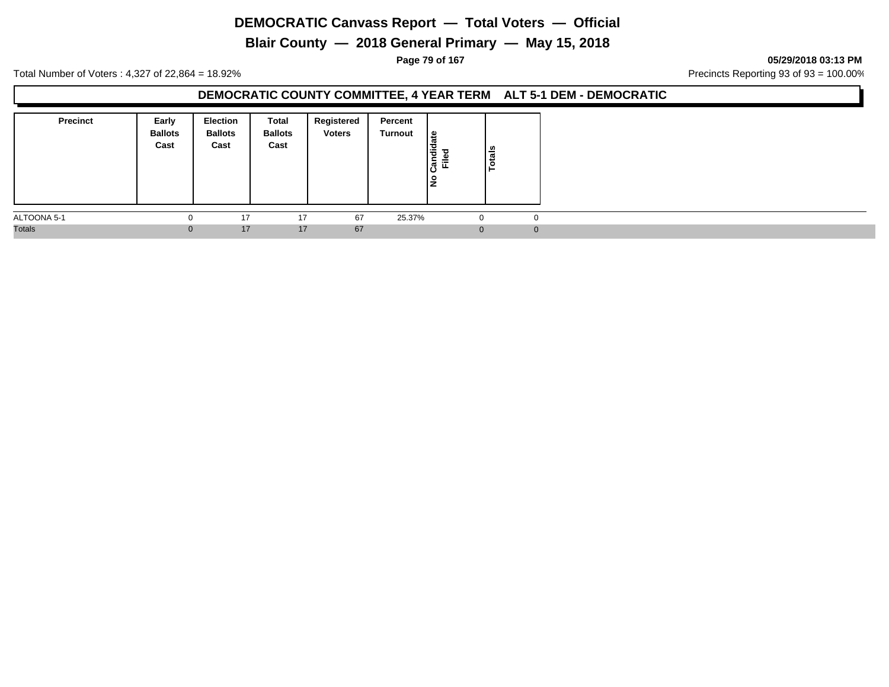**Blair County — 2018 General Primary — May 15, 2018**

**Page 79 of 167 05/29/2018 03:13 PM**

Total Number of Voters : 4,327 of 22,864 = 18.92% Precincts Reporting 93 of 93 = 100.00%

#### **DEMOCRATIC COUNTY COMMITTEE, 4 YEAR TERM ALT 5-1 DEM - DEMOCRATIC**

| <b>Precinct</b> | Early<br><b>Ballots</b><br>Cast | <b>Election</b><br><b>Ballots</b><br>Cast | Total<br><b>Ballots</b><br>Cast | Registered<br><b>Voters</b> | Percent<br>Turnout | ہ  <br>Candid<br>$=$<br>щ<br>١ş | Totals       |  |
|-----------------|---------------------------------|-------------------------------------------|---------------------------------|-----------------------------|--------------------|---------------------------------|--------------|--|
| ALTOONA 5-1     |                                 | 17                                        | 17                              | 67                          | 25.37%             | 0                               | 0            |  |
| <b>Totals</b>   | $\Omega$                        | 17                                        | 17                              | 67                          |                    | $\Omega$                        | $\mathbf{0}$ |  |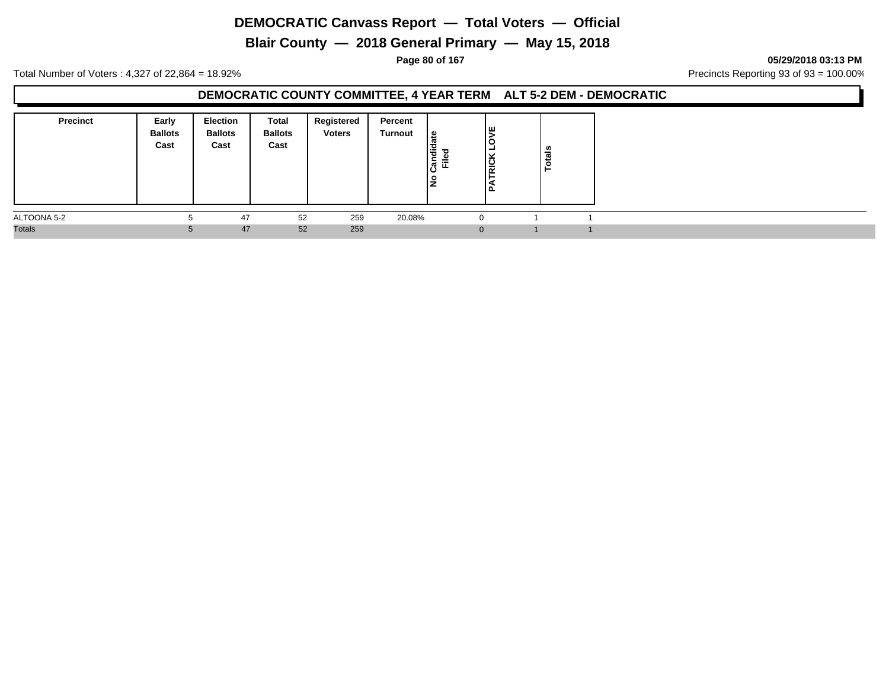**Blair County — 2018 General Primary — May 15, 2018**

**Page 80 of 167 05/29/2018 03:13 PM**

Total Number of Voters : 4,327 of 22,864 = 18.92% Precincts Reporting 93 of 93 = 100.00%

#### **DEMOCRATIC COUNTY COMMITTEE, 4 YEAR TERM ALT 5-2 DEM - DEMOCRATIC**

| <b>Precinct</b> | Early<br><b>Ballots</b><br>Cast | <b>Election</b><br><b>Ballots</b><br>Cast | Total<br><b>Ballots</b><br>Cast | Registered<br><b>Voters</b> | Percent<br>Turnout | ூ<br>andid<br>⋍<br>щ.<br>ıΟ<br>١ş | ۱ш<br><b>RICK</b><br>. p | v.<br>ಕ<br>تب<br>ဥ |  |
|-----------------|---------------------------------|-------------------------------------------|---------------------------------|-----------------------------|--------------------|-----------------------------------|--------------------------|--------------------|--|
| ALTOONA 5-2     |                                 | 47                                        | 52                              | 259                         | 20.08%             |                                   |                          |                    |  |
| <b>Totals</b>   |                                 | 47                                        | 52                              | 259                         |                    |                                   |                          |                    |  |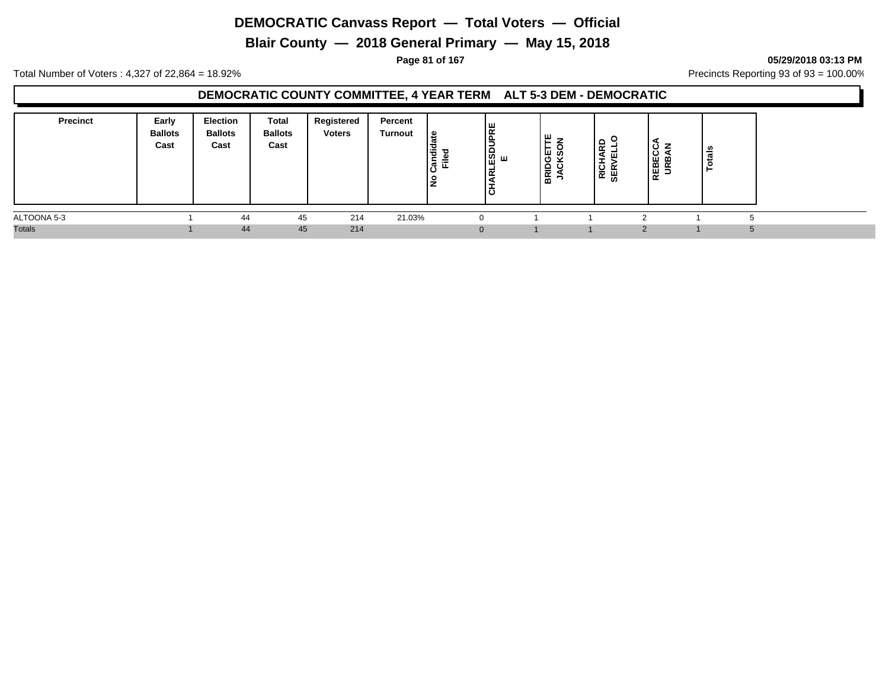**Blair County — 2018 General Primary — May 15, 2018**

**Page 81 of 167 05/29/2018 03:13 PM**

Total Number of Voters : 4,327 of 22,864 = 18.92% Precincts Reporting 93 of 93 = 100.00%

### **DEMOCRATIC COUNTY COMMITTEE, 4 YEAR TERM ALT 5-3 DEM - DEMOCRATIC**

| <b>Precinct</b> | Early<br><b>Ballots</b><br>Cast | <b>Election</b><br><b>Ballots</b><br>Cast | Total<br><b>Ballots</b><br>Cast | Registered<br><b>Voters</b> | Percent<br>Turnout | ஐ<br>Candid<br>≔<br>щ<br>ັ<br><u>ੁ</u> | <b>PRE</b><br>ᆙᅃᆠᇡᇜ<br>ں ا | ш<br>யம<br>O<br>≏<br><b>NE</b> | ≏<br><u>്</u><br>ш.<br>$\propto$<br>ᄴ<br>U, | <b>REBECCA</b><br>URBAN | នឹ<br>تت       |  |
|-----------------|---------------------------------|-------------------------------------------|---------------------------------|-----------------------------|--------------------|----------------------------------------|----------------------------|--------------------------------|---------------------------------------------|-------------------------|----------------|--|
| ALTOONA 5-3     |                                 | 44                                        | 45                              | 214                         | 21.03%             | $\Omega$                               |                            |                                |                                             |                         |                |  |
| <b>Totals</b>   |                                 | 44                                        | 45                              | 214                         |                    | $\Omega$                               |                            |                                |                                             |                         | $\overline{5}$ |  |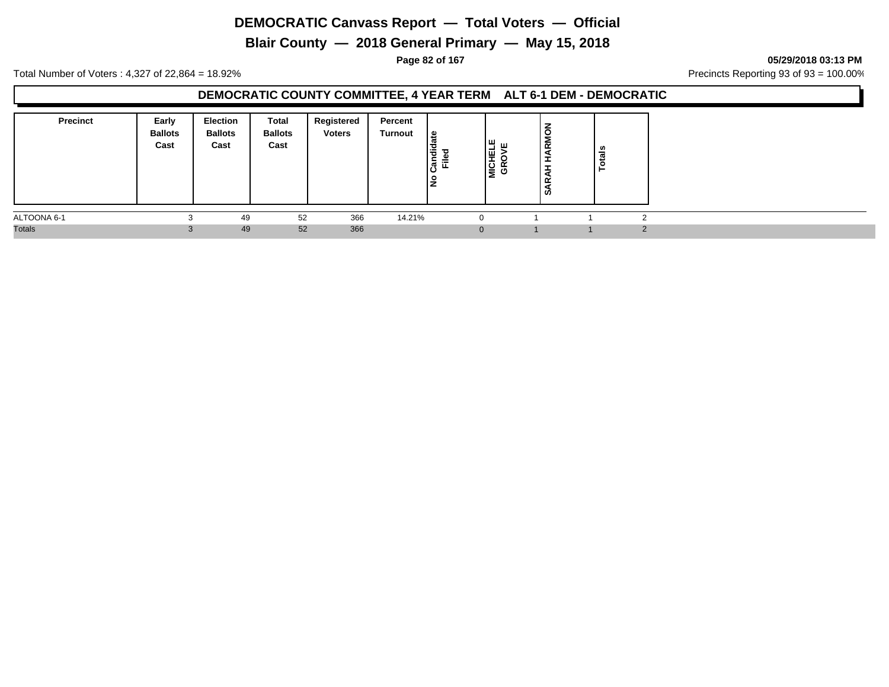**Blair County — 2018 General Primary — May 15, 2018**

**Page 82 of 167 05/29/2018 03:13 PM**

Total Number of Voters : 4,327 of 22,864 = 18.92% Precincts Reporting 93 of 93 = 100.00%

#### **DEMOCRATIC COUNTY COMMITTEE, 4 YEAR TERM ALT 6-1 DEM - DEMOCRATIC**

| <b>Precinct</b> | Early<br><b>Ballots</b><br>Cast | Election<br><b>Ballots</b><br>Cast | Total<br><b>Ballots</b><br>Cast | Registered<br><b>Voters</b> | Percent<br>Turnout | ہ  <br>Candid<br>Eiled<br>Ē<br>١ş | MICHELE<br>GROVE | $\overline{ }$<br>∣Ĕ<br>$\overline{f}$<br>ᆂ<br>Ω<br>ທ | 쓺<br>- |  |
|-----------------|---------------------------------|------------------------------------|---------------------------------|-----------------------------|--------------------|-----------------------------------|------------------|-------------------------------------------------------|--------|--|
| ALTOONA 6-1     |                                 | 49                                 | 52                              | 366                         | 14.21%             | $\Omega$                          |                  |                                                       |        |  |
| <b>Totals</b>   |                                 | 49                                 | 52                              | 366                         |                    |                                   | $\Omega$         |                                                       |        |  |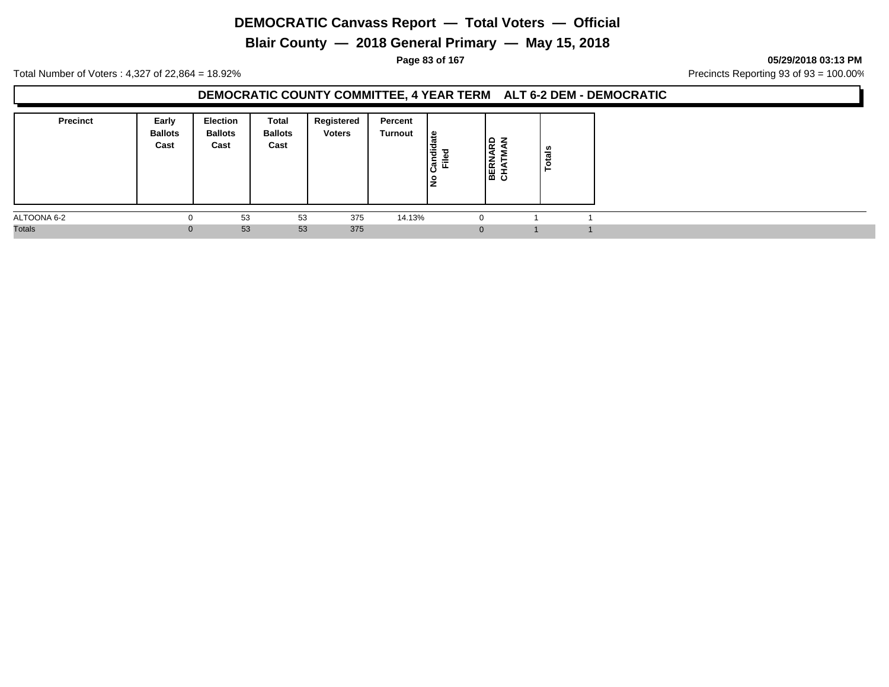**Blair County — 2018 General Primary — May 15, 2018**

**Page 83 of 167 05/29/2018 03:13 PM**

Total Number of Voters : 4,327 of 22,864 = 18.92% Precincts Reporting 93 of 93 = 100.00%

#### **DEMOCRATIC COUNTY COMMITTEE, 4 YEAR TERM ALT 6-2 DEM - DEMOCRATIC**

| <b>Precinct</b> | Early<br><b>Ballots</b><br>Cast | <b>Election</b><br><b>Ballots</b><br>Cast | Total<br><b>Ballots</b><br>Cast | Registered<br><b>Voters</b> | Percent<br>Turnout | ¦ ⊕<br>Candid<br>ு<br>$=$<br>١ş | ۱۵<br>ے ا<br>∣≃<br> 圌 또 | ៖<br>تسه<br>o |  |
|-----------------|---------------------------------|-------------------------------------------|---------------------------------|-----------------------------|--------------------|---------------------------------|-------------------------|---------------|--|
| ALTOONA 6-2     | $\Omega$                        | 53                                        | 53                              | 375                         | 14.13%             |                                 |                         |               |  |
| <b>Totals</b>   | $\mathbf{0}$                    | 53                                        | 53                              | 375                         |                    |                                 |                         |               |  |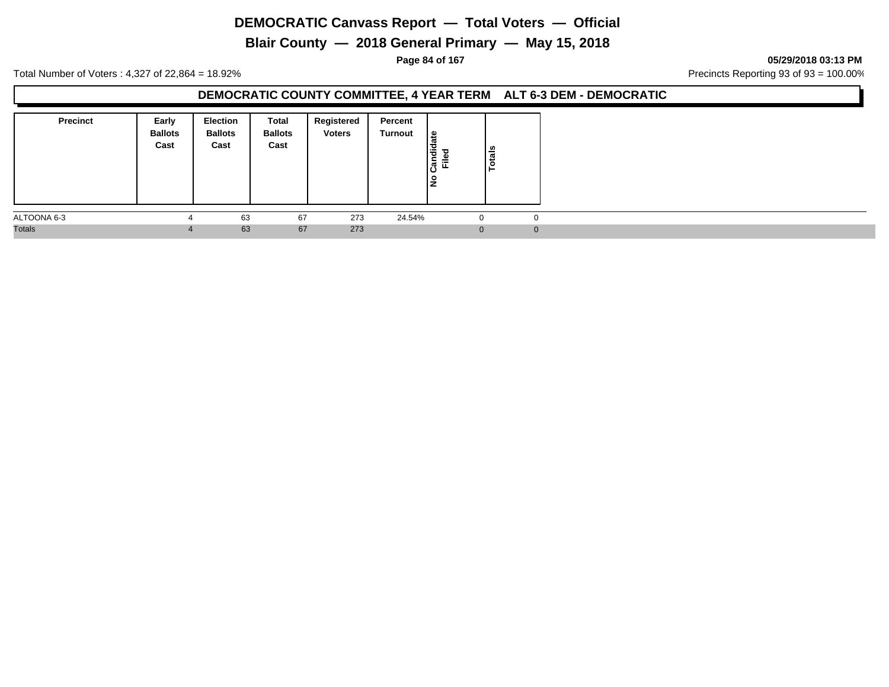**Blair County — 2018 General Primary — May 15, 2018**

**Page 84 of 167 05/29/2018 03:13 PM**

Total Number of Voters : 4,327 of 22,864 = 18.92% Precincts Reporting 93 of 93 = 100.00%

#### **DEMOCRATIC COUNTY COMMITTEE, 4 YEAR TERM ALT 6-3 DEM - DEMOCRATIC**

| <b>Precinct</b> | Early<br><b>Ballots</b><br>Cast | <b>Election</b><br><b>Ballots</b><br>Cast | Total<br><b>Ballots</b><br>Cast | Registered<br><b>Voters</b> | Percent<br>Turnout | ہ  <br>Candid<br>$=$<br>١ş | <b>Totals</b> |
|-----------------|---------------------------------|-------------------------------------------|---------------------------------|-----------------------------|--------------------|----------------------------|---------------|
| ALTOONA 6-3     |                                 | 63                                        | 67                              | 273                         | 24.54%             | $\Omega$                   | 0             |
| <b>Totals</b>   | $\overline{4}$                  | 63                                        | 67                              | 273                         |                    | $\Omega$                   |               |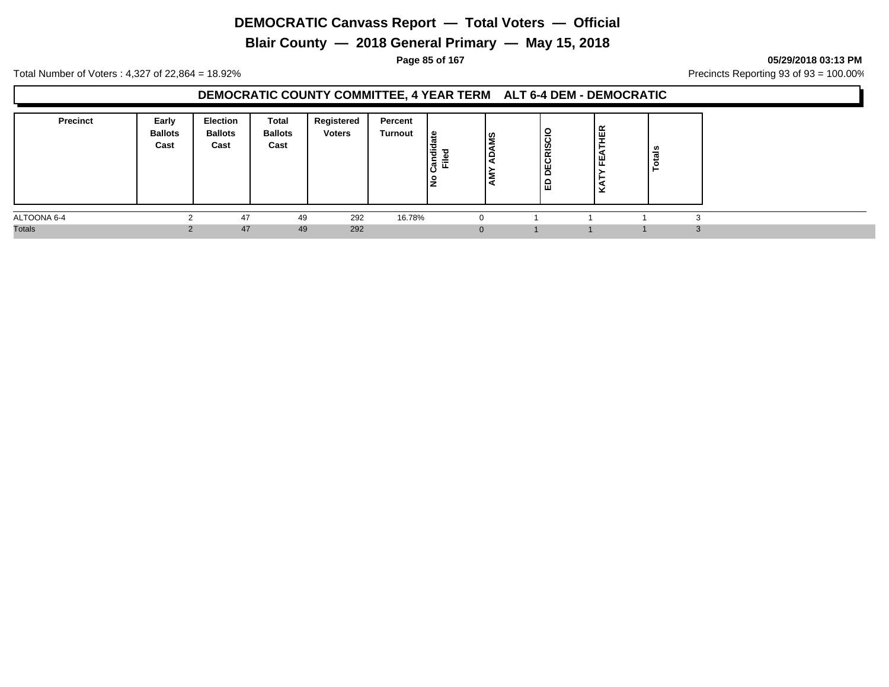**Blair County — 2018 General Primary — May 15, 2018**

**Page 85 of 167 05/29/2018 03:13 PM**

Total Number of Voters : 4,327 of 22,864 = 18.92% Precincts Reporting 93 of 93 = 100.00%

### **DEMOCRATIC COUNTY COMMITTEE, 4 YEAR TERM ALT 6-4 DEM - DEMOCRATIC**

| <b>Precinct</b> | Early<br><b>Ballots</b><br>Cast | <b>Election</b><br><b>Ballots</b><br>Cast | Total<br><b>Ballots</b><br>Cast | Registered<br><b>Voters</b> | Percent<br>Turnout | ي  <br>◡<br>Candi<br>T<br>⋍<br>ட<br>۽ | ဟ္ဘ<br>. . | DECRISCIC<br>'읍 | fΕ<br>୴<br>ட | tais<br>c |  |
|-----------------|---------------------------------|-------------------------------------------|---------------------------------|-----------------------------|--------------------|---------------------------------------|------------|-----------------|--------------|-----------|--|
| ALTOONA 6-4     |                                 | 47                                        | 49                              | 292                         | 16.78%             |                                       |            |                 |              |           |  |
| <b>Totals</b>   |                                 | 47                                        | 49                              | 292                         |                    |                                       | $\Omega$   |                 |              |           |  |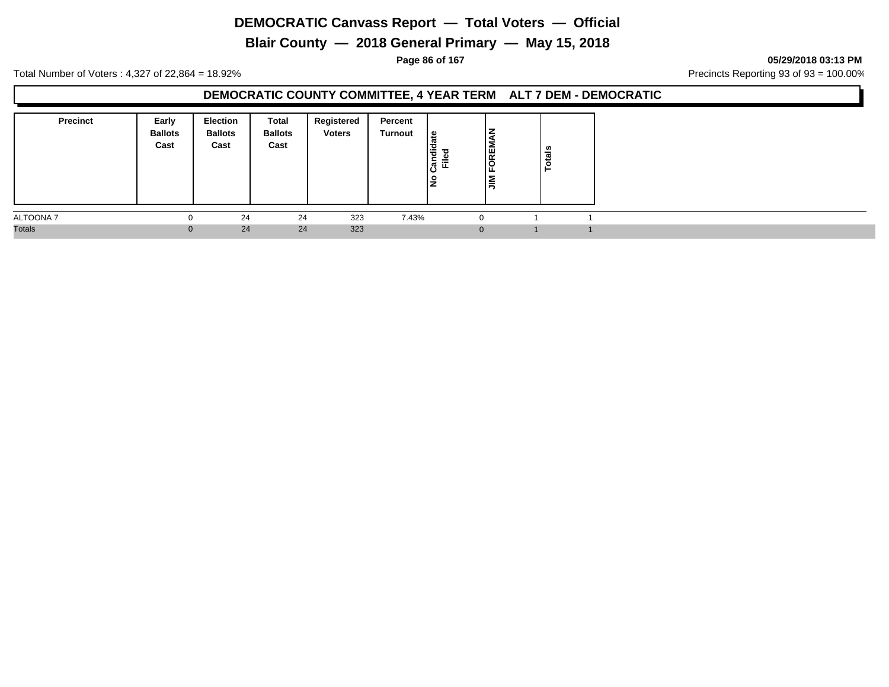**Blair County — 2018 General Primary — May 15, 2018**

**Page 86 of 167 05/29/2018 03:13 PM**

Total Number of Voters : 4,327 of 22,864 = 18.92% Precincts Reporting 93 of 93 = 100.00%

### **DEMOCRATIC COUNTY COMMITTEE, 4 YEAR TERM ALT 7 DEM - DEMOCRATIC**

| <b>Precinct</b> | Early<br><b>Ballots</b><br>Cast | Election<br><b>Ballots</b><br>Cast | Total<br><b>Ballots</b><br>Cast | Registered<br><b>Voters</b> | Percent<br><b>Turnout</b> | ு<br>andic<br>⋍<br><u>н.</u><br>ıΟ<br>١ş | FOREM<br>ıś | ឹ<br>°. |  |
|-----------------|---------------------------------|------------------------------------|---------------------------------|-----------------------------|---------------------------|------------------------------------------|-------------|---------|--|
| ALTOONA 7       |                                 | 24                                 | 24                              | 323                         | 7.43%                     |                                          |             |         |  |
| <b>Totals</b>   | 0                               | 24                                 | 24                              | 323                         |                           |                                          |             |         |  |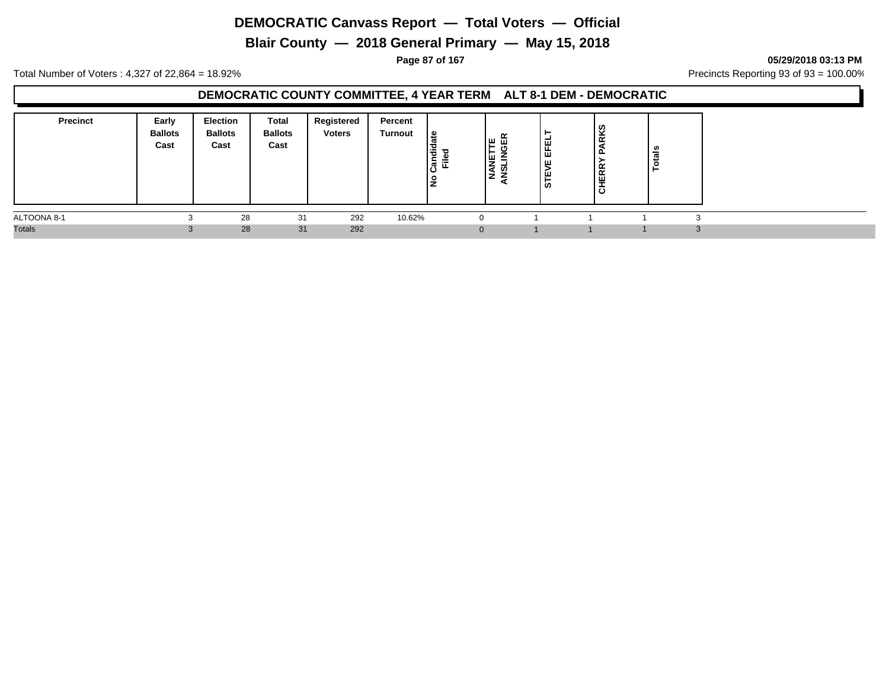**Blair County — 2018 General Primary — May 15, 2018**

**Page 87 of 167 05/29/2018 03:13 PM**

Total Number of Voters : 4,327 of 22,864 = 18.92% Precincts Reporting 93 of 93 = 100.00%

### **DEMOCRATIC COUNTY COMMITTEE, 4 YEAR TERM ALT 8-1 DEM - DEMOCRATIC**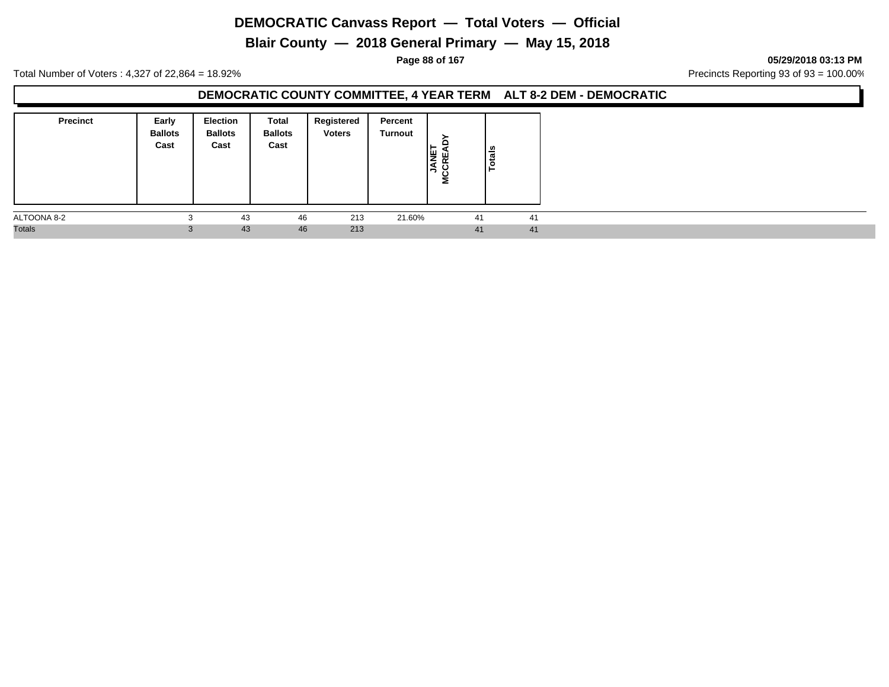**Blair County — 2018 General Primary — May 15, 2018**

**Page 88 of 167 05/29/2018 03:13 PM**

Total Number of Voters : 4,327 of 22,864 = 18.92% Precincts Reporting 93 of 93 = 100.00%

#### **DEMOCRATIC COUNTY COMMITTEE, 4 YEAR TERM ALT 8-2 DEM - DEMOCRATIC**

| <b>Precinct</b> | Early<br><b>Ballots</b><br>Cast | <b>Election</b><br><b>Ballots</b><br>Cast | Total<br><b>Ballots</b><br>Cast | Registered<br><b>Voters</b> | Percent<br>Turnout | 똏<br>١Ş<br>Σ | $\frac{1}{2}$<br>$\ddot{\mathbf{c}}$ |    |
|-----------------|---------------------------------|-------------------------------------------|---------------------------------|-----------------------------|--------------------|--------------|--------------------------------------|----|
| ALTOONA 8-2     | ۰J                              | 43                                        | 46                              | 213                         | 21.60%             |              | 41                                   | 41 |
| <b>Totals</b>   | 3                               | 43                                        | 46                              | 213                         |                    |              | 41                                   | 41 |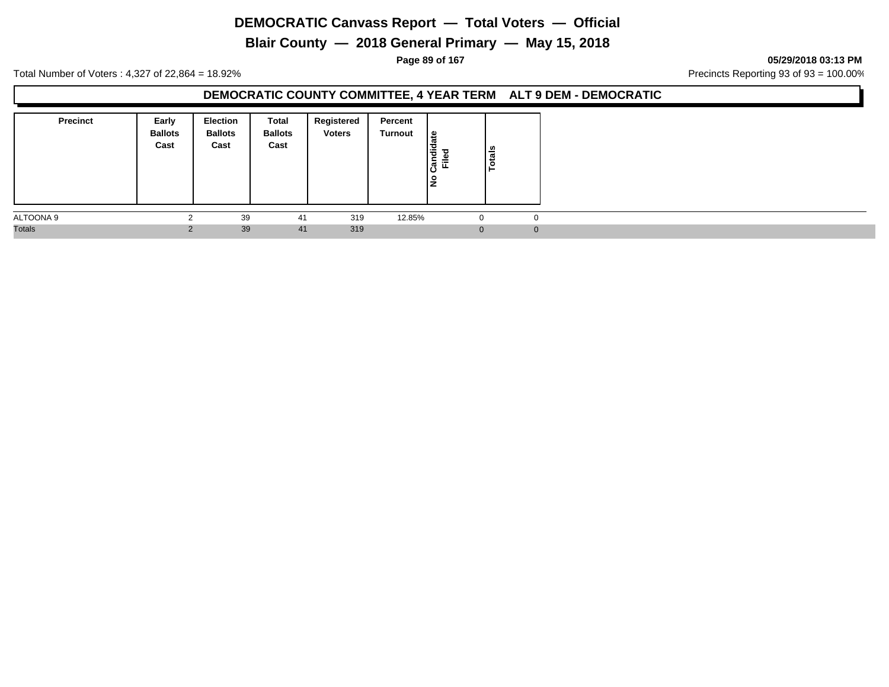**Blair County — 2018 General Primary — May 15, 2018**

**Page 89 of 167 05/29/2018 03:13 PM**

Total Number of Voters : 4,327 of 22,864 = 18.92% Precincts Reporting 93 of 93 = 100.00%

#### **DEMOCRATIC COUNTY COMMITTEE, 4 YEAR TERM ALT 9 DEM - DEMOCRATIC**

| <b>Precinct</b> | Early<br><b>Ballots</b><br>Cast | <b>Election</b><br><b>Ballots</b><br>Cast | Total<br><b>Ballots</b><br>Cast | Registered<br><b>Voters</b> | Percent<br>Turnout | ہ  <br>Candid<br>$=$<br>щ<br>١ş | Totals |              |
|-----------------|---------------------------------|-------------------------------------------|---------------------------------|-----------------------------|--------------------|---------------------------------|--------|--------------|
| ALTOONA 9       |                                 | 39                                        | 41                              | 319                         | 12.85%             | 0                               | 0      |              |
| <b>Totals</b>   |                                 | 39                                        | 41                              | 319                         |                    | $\Omega$                        |        | $\mathbf{0}$ |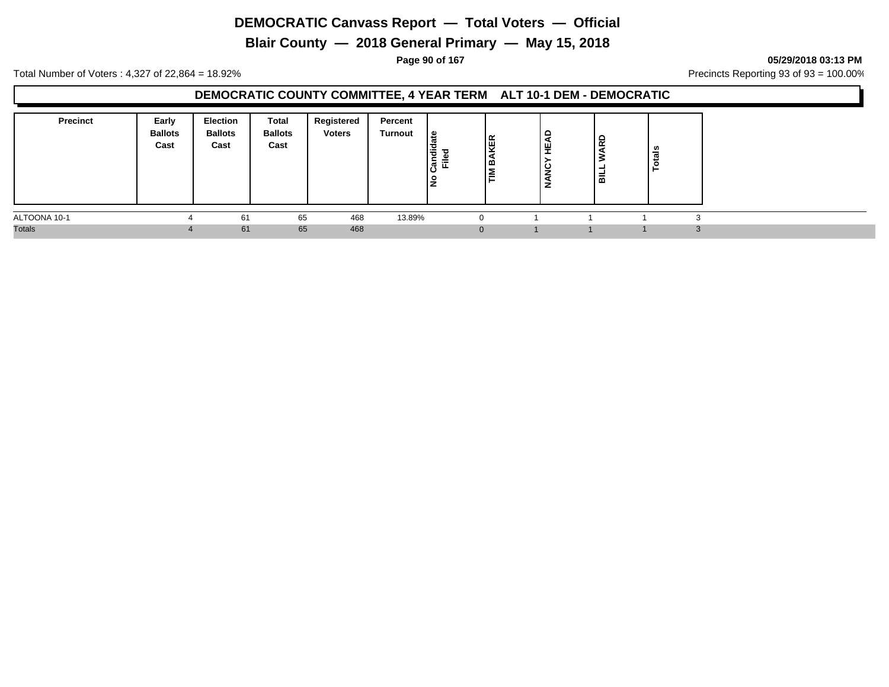**Blair County — 2018 General Primary — May 15, 2018**

**Page 90 of 167 05/29/2018 03:13 PM**

Total Number of Voters : 4,327 of 22,864 = 18.92% Precincts Reporting 93 of 93 = 100.00%

### **DEMOCRATIC COUNTY COMMITTEE, 4 YEAR TERM ALT 10-1 DEM - DEMOCRATIC**

| <b>Precinct</b> | Early<br><b>Ballots</b><br>Cast | Election<br><b>Ballots</b><br>Cast | Total<br><b>Ballots</b><br>Cast | Registered<br><b>Voters</b> | Percent<br>Turnout | ீ<br>$\ddot{\vec{v}}$<br>ℸ<br>-<br>≔<br> ಔ<br>ш.<br>Ιă | le<br>≃  | HEAD<br><b>NANC</b> | 윤<br>룲 | tals<br>$\circ$ |  |
|-----------------|---------------------------------|------------------------------------|---------------------------------|-----------------------------|--------------------|--------------------------------------------------------|----------|---------------------|--------|-----------------|--|
| ALTOONA 10-1    |                                 | 61                                 | 65                              | 468                         | 13.89%             |                                                        |          |                     |        |                 |  |
| <b>Totals</b>   |                                 | 61                                 | 65                              | 468                         |                    |                                                        | $\Omega$ |                     |        |                 |  |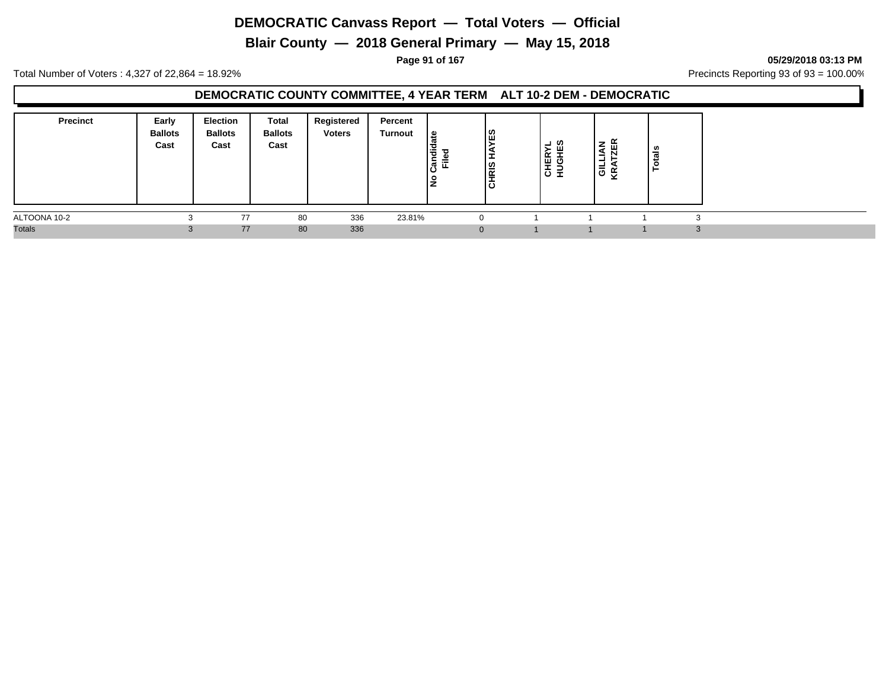**Blair County — 2018 General Primary — May 15, 2018**

**Page 91 of 167 05/29/2018 03:13 PM**

Total Number of Voters : 4,327 of 22,864 = 18.92% Precincts Reporting 93 of 93 = 100.00%

### **DEMOCRATIC COUNTY COMMITTEE, 4 YEAR TERM ALT 10-2 DEM - DEMOCRATIC**

| <b>Precinct</b> | Early<br><b>Ballots</b><br>Cast | Election<br><b>Ballots</b><br>Cast | Total<br><b>Ballots</b><br>Cast | Registered<br><b>Voters</b> | Percent<br><b>Turnout</b> | ீ<br>idic<br>ъ<br>≔<br>ြီ<br>щ<br>Ιă | ಙ<br>l≌<br>-<br>l ÷<br>ပ | ┙<br>- 01<br>CHER<br>HUGHI | –<br>-<br>-<br>'ಹ ಆ | $\tilde{\phantom{a}}$<br> | ឹ<br>ت<br>$\circ$<br>- |
|-----------------|---------------------------------|------------------------------------|---------------------------------|-----------------------------|---------------------------|--------------------------------------|--------------------------|----------------------------|---------------------|---------------------------|------------------------|
| ALTOONA 10-2    |                                 | 77                                 | 80                              | 336                         | 23.81%                    |                                      |                          |                            |                     |                           |                        |
| <b>Totals</b>   | $\cdot$                         | 77                                 | 80                              | 336                         |                           |                                      | 0                        |                            |                     |                           | $\Omega$<br>-5         |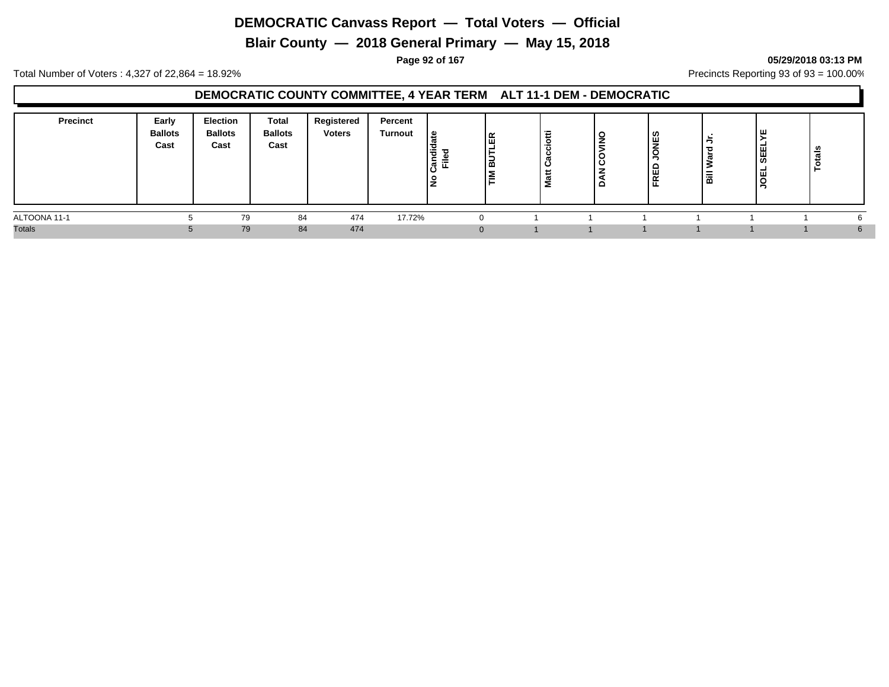**Blair County — 2018 General Primary — May 15, 2018**

**Page 92 of 167 05/29/2018 03:13 PM**

Total Number of Voters : 4,327 of 22,864 = 18.92% Precincts Reporting 93 of 93 = 100.00%

### **DEMOCRATIC COUNTY COMMITTEE, 4 YEAR TERM ALT 11-1 DEM - DEMOCRATIC**

| <b>Precinct</b> | Early<br><b>Ballots</b><br>Cast | <b>Election</b><br><b>Ballots</b><br>Cast | <b>Total</b><br><b>Ballots</b><br>Cast | Registered<br><b>Voters</b> | Percent<br><b>Turnout</b> | ی ا<br>'ਰ<br><u>—</u><br> 통 로<br>O | l呡<br>-<br>¦≌<br>l≣ | Ξ<br>2 | $\circ$<br>-<br>Ë<br>ပ<br>e | ၊ ဟ<br>ய<br>ш<br>$\tilde{\phantom{a}}$<br>ட<br>ட | ۱ä | 뿝<br>຺<br>ш<br>ີ | ౼ౢౢ<br>تسه |  |
|-----------------|---------------------------------|-------------------------------------------|----------------------------------------|-----------------------------|---------------------------|------------------------------------|---------------------|--------|-----------------------------|--------------------------------------------------|----|------------------|------------|--|
| ALTOONA 11-1    |                                 | 79                                        | 84                                     | 474                         | 17.72%                    |                                    |                     |        |                             |                                                  |    |                  |            |  |
| <b>Totals</b>   |                                 | 79                                        | 84                                     | 474                         |                           |                                    |                     |        |                             |                                                  |    |                  |            |  |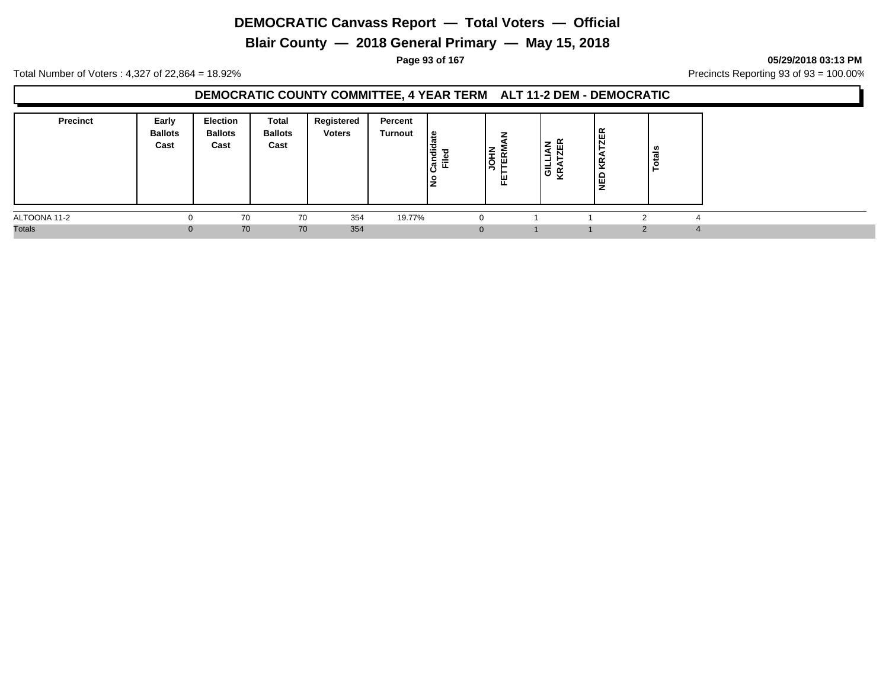**Blair County — 2018 General Primary — May 15, 2018**

**Page 93 of 167 05/29/2018 03:13 PM**

Total Number of Voters : 4,327 of 22,864 = 18.92% Precincts Reporting 93 of 93 = 100.00%

### **DEMOCRATIC COUNTY COMMITTEE, 4 YEAR TERM ALT 11-2 DEM - DEMOCRATIC**

| <b>Precinct</b> | Early<br><b>Ballots</b><br>Cast | <b>Election</b><br><b>Ballots</b><br>Cast | Total<br><b>Ballots</b><br>Cast | Registered<br><b>Voters</b> | Percent<br>Turnout | et.<br>Candid<br>Filed<br>$\circ$<br>÷<br>- | . –<br>$\epsilon$<br>岛<br>ļğ<br>뿐 | z<br>Ē<br> 을 또 | ≃<br>ш<br>ι<br>ш<br>z | <b>S</b><br>-<br>$\pi$ |  |
|-----------------|---------------------------------|-------------------------------------------|---------------------------------|-----------------------------|--------------------|---------------------------------------------|-----------------------------------|----------------|-----------------------|------------------------|--|
| ALTOONA 11-2    |                                 | 70                                        | 70                              | 354                         | 19.77%             |                                             | 0                                 |                |                       |                        |  |
| <b>Totals</b>   | U                               | 70                                        | 70                              | 354                         |                    |                                             | $\Omega$                          |                |                       |                        |  |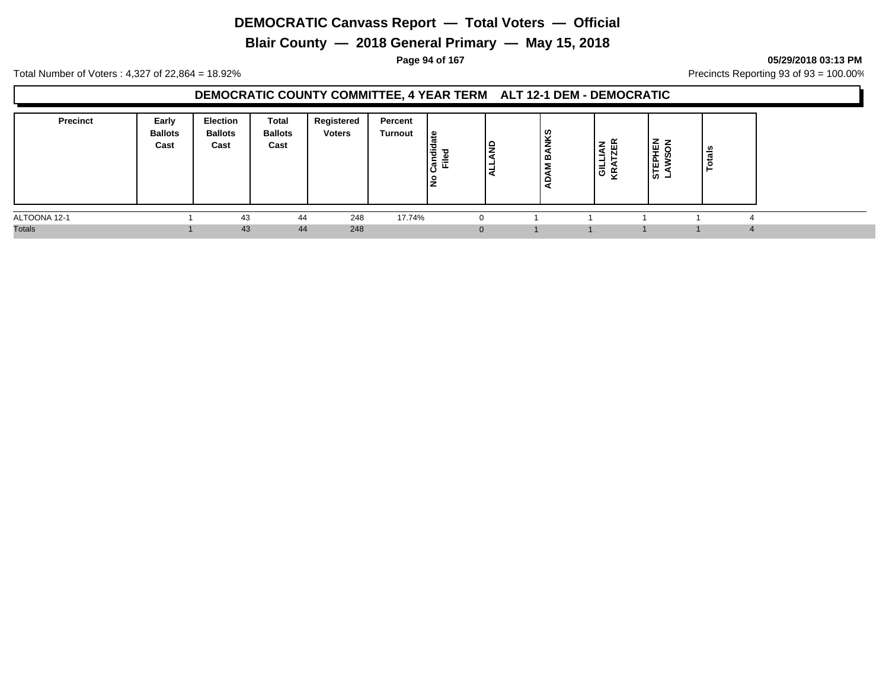**Blair County — 2018 General Primary — May 15, 2018**

**Page 94 of 167 05/29/2018 03:13 PM**

Total Number of Voters : 4,327 of 22,864 = 18.92% Precincts Reporting 93 of 93 = 100.00%

### **DEMOCRATIC COUNTY COMMITTEE, 4 YEAR TERM ALT 12-1 DEM - DEMOCRATIC**

| <b>Precinct</b> | Early<br><b>Ballots</b><br>Cast | <b>Election</b><br><b>Ballots</b><br>Cast | Total<br><b>Ballots</b><br>Cast | Registered<br><b>Voters</b> | Percent<br>Turnout | ہ ا<br>F<br>έ<br>≔<br>ပိ<br>ட<br><u>ي</u><br>∠ | ١e | ഗ<br>۱š<br>≃<br>Σ | ⇁<br>ш<br>∼<br>- 61<br>-<br>⊣<br>-<br>∣ಠ ಆ | ! 및 오<br>ທ<br>STEPH<br>LAWS | त्त<br>$\circ$<br>− |
|-----------------|---------------------------------|-------------------------------------------|---------------------------------|-----------------------------|--------------------|------------------------------------------------|----|-------------------|--------------------------------------------|-----------------------------|---------------------|
| ALTOONA 12-1    |                                 | 43                                        | 44                              | 248                         | 17.74%             |                                                |    |                   |                                            |                             |                     |
| <b>Totals</b>   |                                 | 43                                        | 44                              | 248                         |                    |                                                |    |                   |                                            |                             |                     |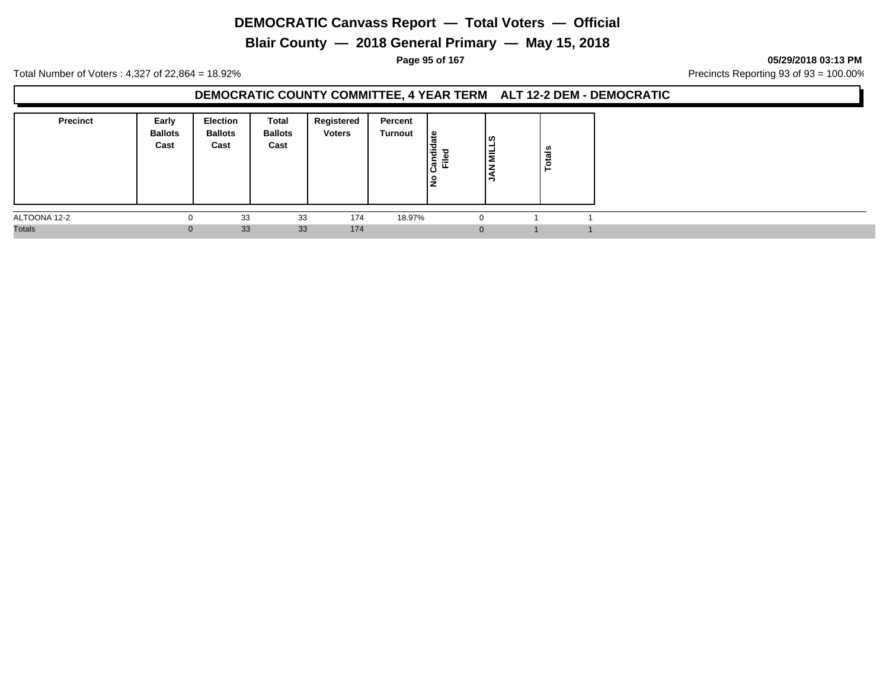**Blair County — 2018 General Primary — May 15, 2018**

**Page 95 of 167 05/29/2018 03:13 PM**

Total Number of Voters : 4,327 of 22,864 = 18.92% Precincts Reporting 93 of 93 = 100.00%

### **DEMOCRATIC COUNTY COMMITTEE, 4 YEAR TERM ALT 12-2 DEM - DEMOCRATIC**

| <b>Precinct</b> | Early<br><b>Ballots</b><br>Cast | <b>Election</b><br><b>Ballots</b><br>Cast | Total<br><b>Ballots</b><br>Cast | Registered<br><b>Voters</b> | Percent<br>Turnout | ١e<br>Candid<br>ு<br>≓<br><u>ع</u> | ၊ ဟ<br>⋍ | ៖<br>تب<br>.o<br>- |  |
|-----------------|---------------------------------|-------------------------------------------|---------------------------------|-----------------------------|--------------------|------------------------------------|----------|--------------------|--|
| ALTOONA 12-2    | 0                               | 33                                        | 33                              | 174                         | 18.97%             |                                    |          |                    |  |
| <b>Totals</b>   | $\mathbf{0}$                    | 33                                        | 33                              | 174                         |                    |                                    |          |                    |  |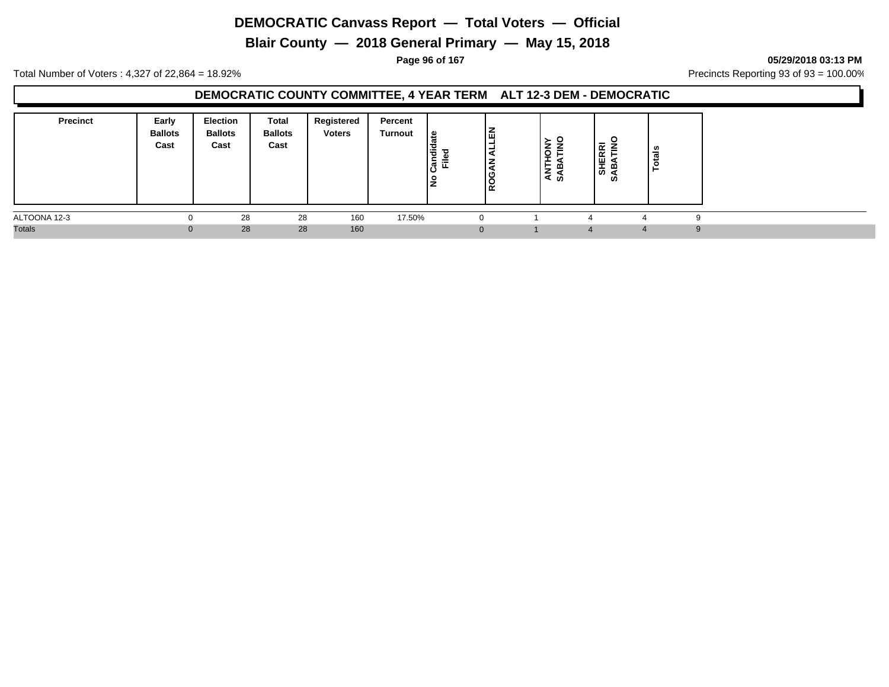**Blair County — 2018 General Primary — May 15, 2018**

**Page 96 of 167 05/29/2018 03:13 PM**

Total Number of Voters : 4,327 of 22,864 = 18.92% Precincts Reporting 93 of 93 = 100.00%

### **DEMOCRATIC COUNTY COMMITTEE, 4 YEAR TERM ALT 12-3 DEM - DEMOCRATIC**

| <b>Precinct</b> | Early<br><b>Ballots</b><br>Cast | Election<br><b>Ballots</b><br>Cast | Total<br><b>Ballots</b><br>Cast | Registered<br><b>Voters</b> | Percent<br><b>Turnout</b> | late<br>Candid<br>≔<br>ட<br>lş | 高<br>-<br>-<br>$\overline{\phantom{a}}$<br>ט ו<br> ĝ | o<br>-<br>m<br>⇁<br>ৰ ৯ |              | -<br>$\propto$<br>=<br>$\propto$<br>ш<br>I.<br>മ<br>ທ<br>⋖<br>ທ | <b>U)</b><br>- |  |
|-----------------|---------------------------------|------------------------------------|---------------------------------|-----------------------------|---------------------------|--------------------------------|------------------------------------------------------|-------------------------|--------------|-----------------------------------------------------------------|----------------|--|
| ALTOONA 12-3    |                                 | 28                                 | 28                              | 160                         | 17.50%                    |                                | $\Omega$                                             |                         |              |                                                                 |                |  |
| <b>Totals</b>   |                                 | 28                                 | 28                              | 160                         |                           |                                | $\mathbf{0}$                                         |                         | $\mathbf{a}$ | $\overline{4}$                                                  |                |  |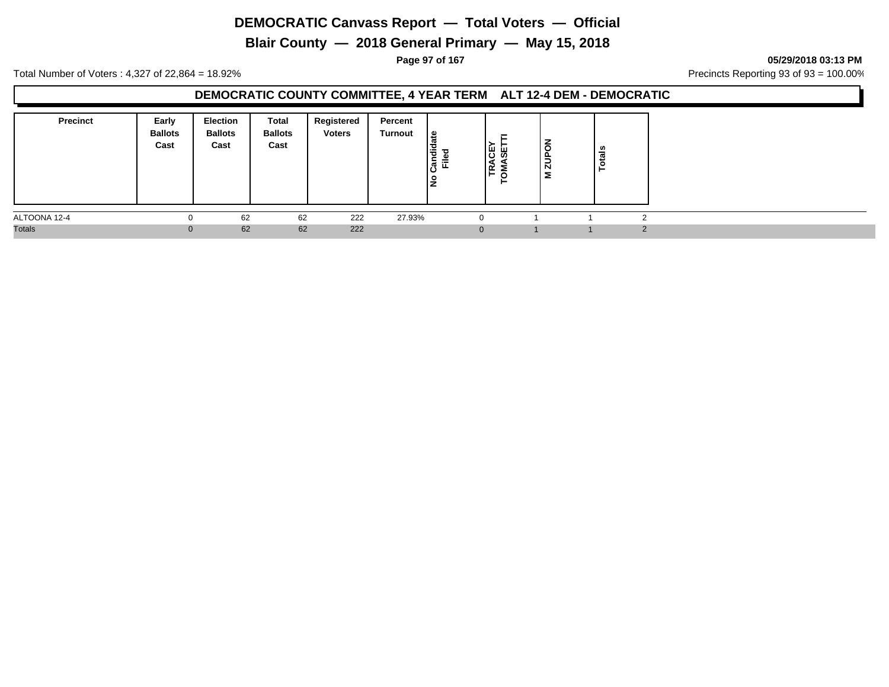**Blair County — 2018 General Primary — May 15, 2018**

**Page 97 of 167 05/29/2018 03:13 PM**

Total Number of Voters : 4,327 of 22,864 = 18.92% Precincts Reporting 93 of 93 = 100.00%

#### **DEMOCRATIC COUNTY COMMITTEE, 4 YEAR TERM ALT 12-4 DEM - DEMOCRATIC**

| <b>Precinct</b> | Early<br><b>Ballots</b><br>Cast | <b>Election</b><br><b>Ballots</b><br>Cast | Total<br><b>Ballots</b><br>Cast | Registered<br><b>Voters</b> | Percent<br>Turnout | ہ ا<br>ੌਰ<br>ಕ<br>≂<br>ျပဳ<br>ட<br>ış | -<br>19 A<br>∣i⊄ ∑<br>⊢<br>$\circ$<br>► | $\overline{6}$<br>$\frac{1}{2}$<br>Σ | ≝ |        |
|-----------------|---------------------------------|-------------------------------------------|---------------------------------|-----------------------------|--------------------|---------------------------------------|-----------------------------------------|--------------------------------------|---|--------|
| ALTOONA 12-4    |                                 | 62                                        | 62                              | 222                         | 27.93%             |                                       |                                         |                                      |   |        |
| <b>Totals</b>   | 0                               | 62                                        | 62                              | 222                         |                    |                                       | 0                                       |                                      |   | $\sim$ |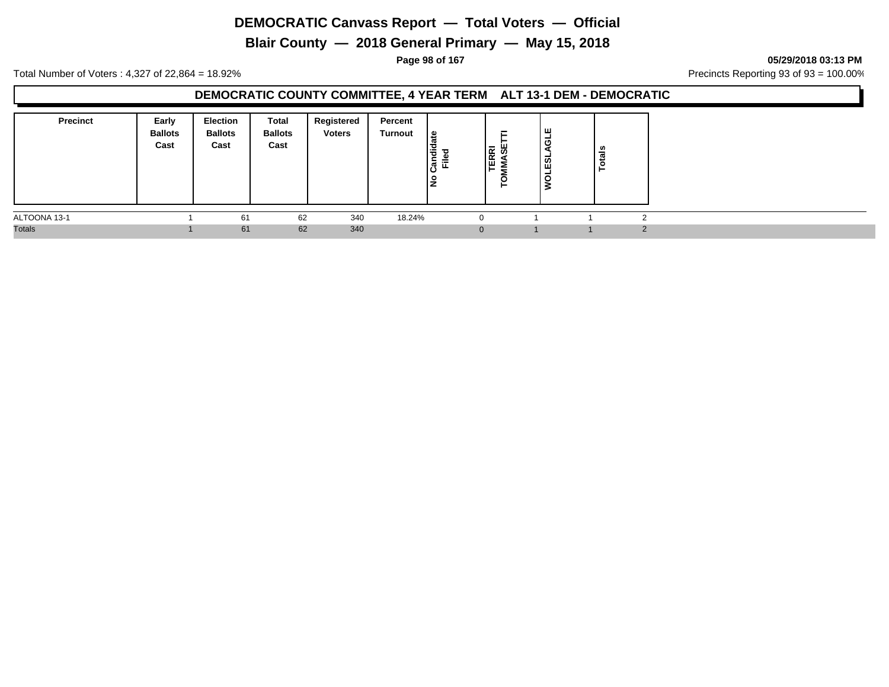**Blair County — 2018 General Primary — May 15, 2018**

**Page 98 of 167 05/29/2018 03:13 PM**

Total Number of Voters : 4,327 of 22,864 = 18.92% Precincts Reporting 93 of 93 = 100.00%

#### **DEMOCRATIC COUNTY COMMITTEE, 4 YEAR TERM ALT 13-1 DEM - DEMOCRATIC**

| <b>Precinct</b> | Early<br><b>Ballots</b><br>Cast | <b>Election</b><br><b>Ballots</b><br>Cast | Total<br><b>Ballots</b><br>Cast | Registered<br><b>Voters</b> | Percent<br>Turnout | . 29<br>も<br>ᇃ<br>⋍<br>ျပဳ<br>ட<br>١£ | ᆮ<br>ш<br>ER SE<br>MM<br>O<br>► | ш<br>ಠ<br><b>OLESL</b> | U,<br>∸ |                |
|-----------------|---------------------------------|-------------------------------------------|---------------------------------|-----------------------------|--------------------|---------------------------------------|---------------------------------|------------------------|---------|----------------|
| ALTOONA 13-1    |                                 | 61                                        | 62                              | 340                         | 18.24%             |                                       |                                 |                        |         | $\sim$         |
| <b>Totals</b>   |                                 | 61                                        | 62                              | 340                         |                    |                                       | $\Omega$                        |                        |         | $\overline{2}$ |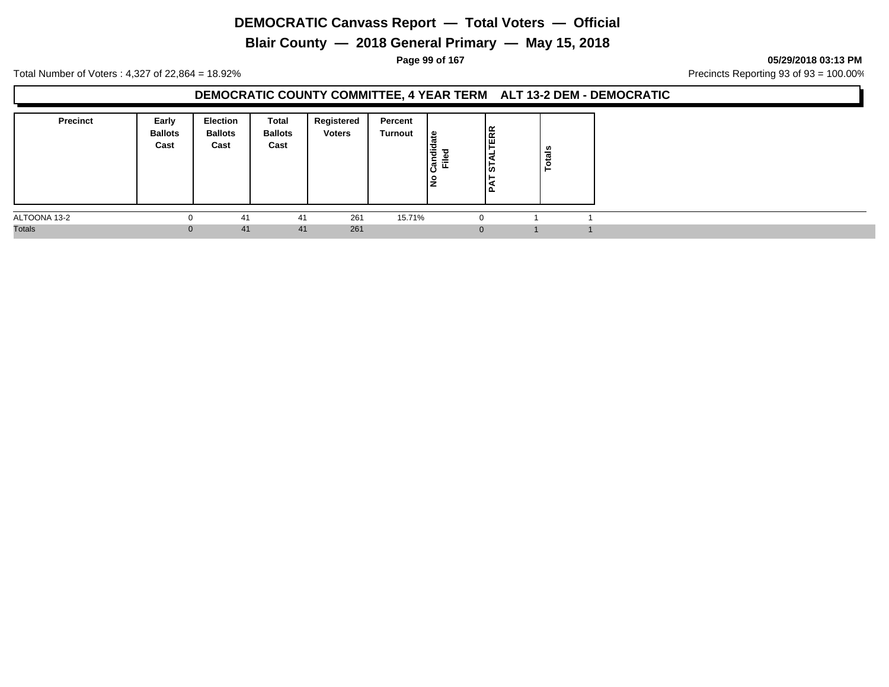**Blair County — 2018 General Primary — May 15, 2018**

**Page 99 of 167 05/29/2018 03:13 PM**

Total Number of Voters : 4,327 of 22,864 = 18.92% Precincts Reporting 93 of 93 = 100.00%

### **DEMOCRATIC COUNTY COMMITTEE, 4 YEAR TERM ALT 13-2 DEM - DEMOCRATIC**

| <b>Precinct</b> | Early<br><b>Ballots</b><br>Cast | <b>Election</b><br><b>Ballots</b><br>Cast | Total<br><b>Ballots</b><br>Cast | Registered<br><b>Voters</b> | Percent<br>Turnout | ூ<br>Candid<br>≓<br>١z | ERR<br>נט ו<br>ם ו | ៖<br>°. |  |
|-----------------|---------------------------------|-------------------------------------------|---------------------------------|-----------------------------|--------------------|------------------------|--------------------|---------|--|
| ALTOONA 13-2    | $\Omega$                        | 41                                        | 41                              | 261                         | 15.71%             |                        |                    |         |  |
| <b>Totals</b>   | $\overline{0}$                  | 41                                        | 41                              | 261                         |                    |                        |                    |         |  |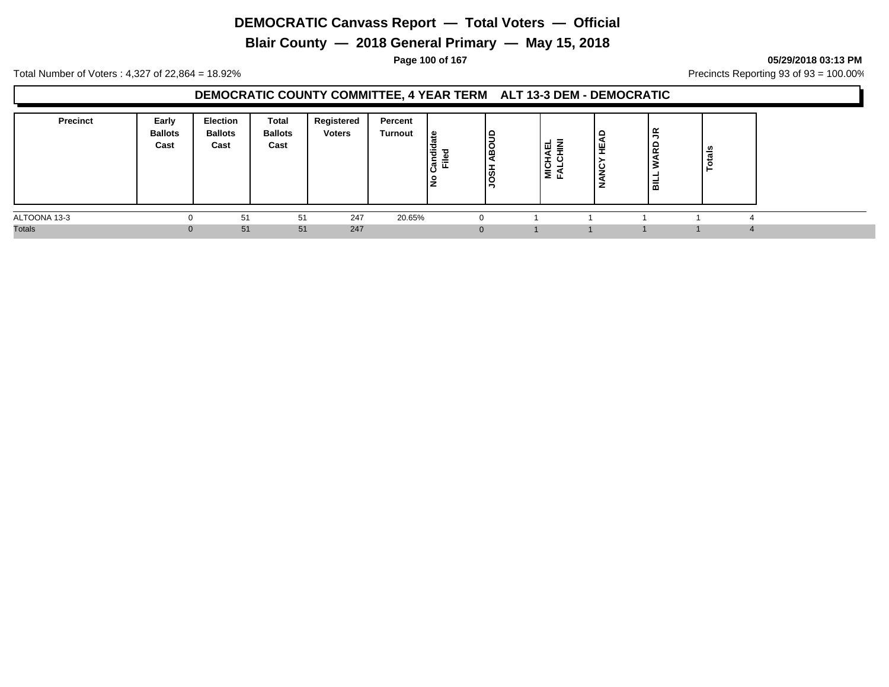**Blair County — 2018 General Primary — May 15, 2018**

**Page 100 of 167 05/29/2018 03:13 PM**

Total Number of Voters : 4,327 of 22,864 = 18.92% Precincts Reporting 93 of 93 = 100.00%

### **DEMOCRATIC COUNTY COMMITTEE, 4 YEAR TERM ALT 13-3 DEM - DEMOCRATIC**

| <b>Precinct</b> | Early<br><b>Ballots</b><br>Cast | Election<br><b>Ballots</b><br>Cast | Total<br><b>Ballots</b><br>Cast | Registered<br><b>Voters</b> | Percent<br>Turnout | ہ  <br>'ਚ<br>ᇃ<br>$=$<br>اڻ<br>ட<br>$\circ$<br>- | I٩<br>O<br>۱œ<br>ခြီ | 을 준 | ₩<br>ັ<br>- | $\tilde{z}$<br>윤<br>-<br>룲 | ਨ<br>o<br>− |
|-----------------|---------------------------------|------------------------------------|---------------------------------|-----------------------------|--------------------|--------------------------------------------------|----------------------|-----|-------------|----------------------------|-------------|
| ALTOONA 13-3    |                                 | 51                                 | 51                              | 247                         | 20.65%             |                                                  |                      |     |             |                            |             |
| <b>Totals</b>   |                                 | 51                                 | 51                              | 247                         |                    |                                                  |                      |     |             |                            |             |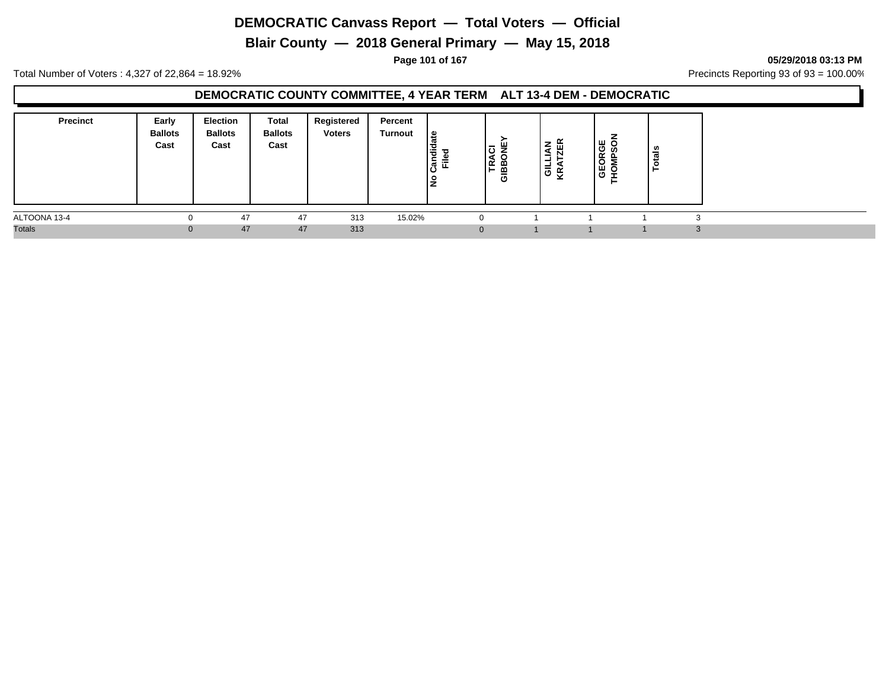**Blair County — 2018 General Primary — May 15, 2018**

**Page 101 of 167 05/29/2018 03:13 PM**

Total Number of Voters : 4,327 of 22,864 = 18.92% Precincts Reporting 93 of 93 = 100.00%

### **DEMOCRATIC COUNTY COMMITTEE, 4 YEAR TERM ALT 13-4 DEM - DEMOCRATIC**

| <b>Precinct</b> | Early<br><b>Ballots</b><br>Cast | <b>Election</b><br><b>Ballots</b><br>Cast | Total<br><b>Ballots</b><br>Cast | Registered<br><b>Voters</b> | Percent<br>Turnout | ہ  <br>Candid<br>Filed<br>Ιă | ш.<br>١ō<br>$\frac{1}{2}$ | z #<br>-<br>┙<br> 을 또 | ™ ō<br>O<br>ഗ<br>ட<br>ັ<br>ш<br>$\circ$ | U)<br>- |  |
|-----------------|---------------------------------|-------------------------------------------|---------------------------------|-----------------------------|--------------------|------------------------------|---------------------------|-----------------------|-----------------------------------------|---------|--|
| ALTOONA 13-4    |                                 | 47                                        | 47                              | 313                         | 15.02%             |                              | - 0                       |                       |                                         |         |  |
| <b>Totals</b>   | $\Omega$                        | 47                                        | 47                              | 313                         |                    |                              | $\mathbf{0}$              |                       |                                         |         |  |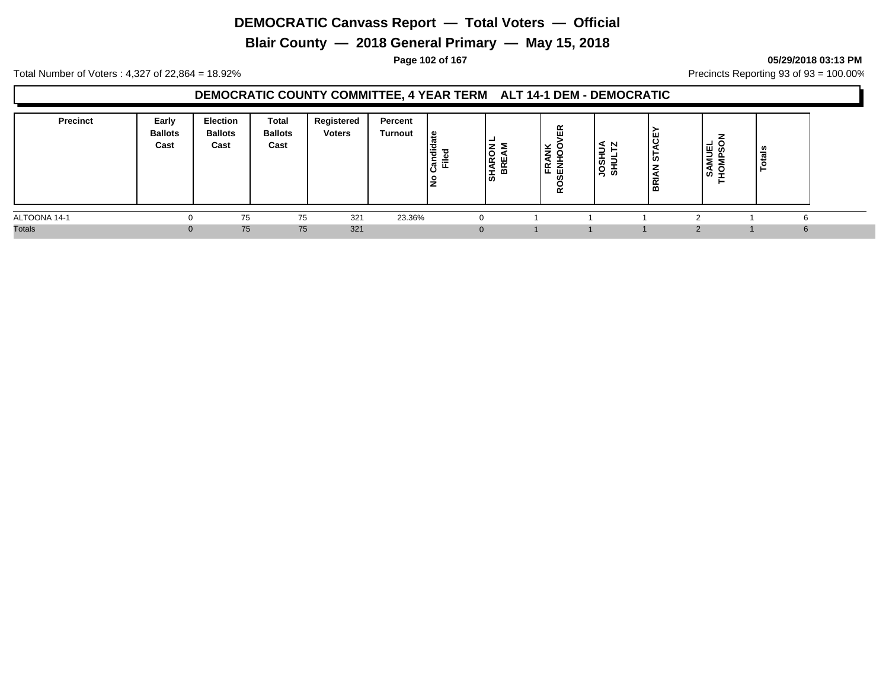**Blair County — 2018 General Primary — May 15, 2018**

#### **Page 102 of 167 05/29/2018 03:13 PM**

Total Number of Voters : 4,327 of 22,864 = 18.92% Precincts Reporting 93 of 93 = 100.00%

### **DEMOCRATIC COUNTY COMMITTEE, 4 YEAR TERM ALT 14-1 DEM - DEMOCRATIC**

| <b>Precinct</b> | Early<br><b>Ballots</b><br>Cast | <b>Election</b><br><b>Ballots</b><br>Cast | Total<br><b>Ballots</b><br>Cast | Registered<br><b>Voters</b> | Percent<br>Turnout | ூ<br>$\overline{\phantom{0}}$<br>ᄻ | ◡<br>1ĀR<br>œ<br><b>ທ</b> | 띥<br>≚<br> EË 譶<br>∝ | N<br>⊋<br>あ<br>ぁ<br>≍ | შ<br>∣ চ<br>⇁<br>▴<br>BRI. | មី ន័<br>Σ<br>-<br>ທ | U.<br>-<br>$\mathbf{r}$ |  |
|-----------------|---------------------------------|-------------------------------------------|---------------------------------|-----------------------------|--------------------|------------------------------------|---------------------------|----------------------|-----------------------|----------------------------|----------------------|-------------------------|--|
| ALTOONA 14-1    | 0                               | 75                                        | 75                              | 321                         | 23.36%             |                                    |                           |                      |                       |                            |                      |                         |  |
| <b>Totals</b>   |                                 | 75                                        | 75                              | 321                         |                    |                                    |                           |                      |                       | ာ                          |                      | ĥ                       |  |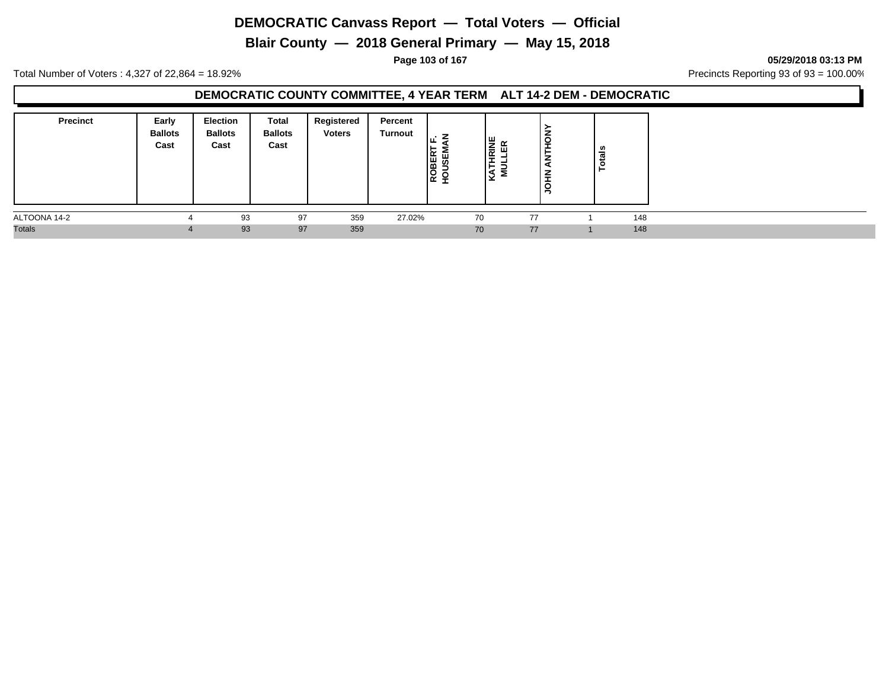**Blair County — 2018 General Primary — May 15, 2018**

**Page 103 of 167 05/29/2018 03:13 PM**

Total Number of Voters : 4,327 of 22,864 = 18.92% Precincts Reporting 93 of 93 = 100.00%

#### **DEMOCRATIC COUNTY COMMITTEE, 4 YEAR TERM ALT 14-2 DEM - DEMOCRATIC**

| <b>Precinct</b> | Early<br><b>Ballots</b><br>Cast | <b>Election</b><br><b>Ballots</b><br>Cast | Total<br><b>Ballots</b><br>Cast | Registered<br><b>Voters</b> | Percent<br><b>Turnout</b> | ╹╙<br>ROBERT | । ਦੁ ∝<br>I≣<br>ш<br>- | ្ទ្<br>–<br>-<br>ㅎ<br>∍ | ័ត  |
|-----------------|---------------------------------|-------------------------------------------|---------------------------------|-----------------------------|---------------------------|--------------|------------------------|-------------------------|-----|
| ALTOONA 14-2    |                                 | 93                                        | 97                              | 359                         | 27.02%                    |              | 70                     | 77                      | 148 |
| <b>Totals</b>   |                                 | 93                                        | 97                              | 359                         |                           |              | 70                     | 77                      | 148 |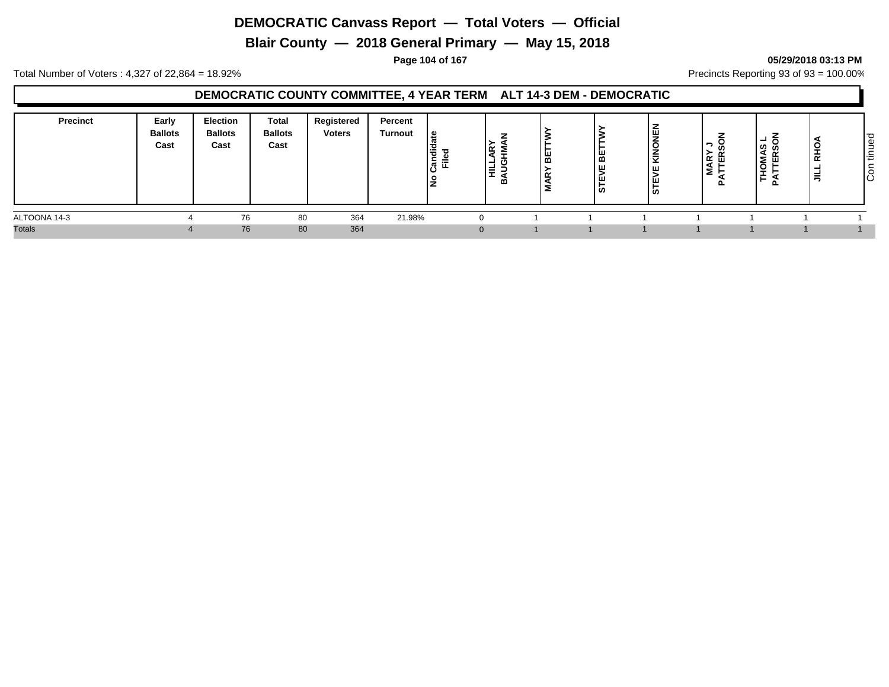**Blair County — 2018 General Primary — May 15, 2018**

#### **Page 104 of 167 05/29/2018 03:13 PM**

Total Number of Voters : 4,327 of 22,864 = 18.92% Precincts Reporting 93 of 93 = 100.00%

### **DEMOCRATIC COUNTY COMMITTEE, 4 YEAR TERM ALT 14-3 DEM - DEMOCRATIC**

| Precinct      | Early<br><b>Ballots</b><br>Cast | Election<br><b>Ballots</b><br>Cast | Total<br><b>Ballots</b><br>Cast | Registered<br><b>Voters</b> | Percent<br>Turnout | ate<br>Candid<br>Filed<br>으 | ∣≃<br>-<br>E | ш,<br>മ<br>$\alpha$ | ا ≝ا<br>ιю | ' ہا<br>÷.<br>ж.<br>╹╙<br>ப<br>رن∣ | -<br>ທ<br>≻<br>岛<br><b>MAR</b><br>−<br>−<br>௨ | -<br><b>HOMAS</b><br>TTERSO<br><b>_</b><br>௨ | ≚<br>ᄒ<br>$\equiv$ | ס ו<br>Φ<br>-<br>-<br><b>_</b><br>ا ≓<br>┶<br>lē |
|---------------|---------------------------------|------------------------------------|---------------------------------|-----------------------------|--------------------|-----------------------------|--------------|---------------------|------------|------------------------------------|-----------------------------------------------|----------------------------------------------|--------------------|--------------------------------------------------|
| ALTOONA 14-3  |                                 | 76                                 | 80                              | 364                         | 21.98%             |                             |              |                     |            |                                    |                                               |                                              |                    |                                                  |
| <b>Totals</b> |                                 | 76                                 | 80                              | 364                         |                    |                             | $\Omega$     |                     |            |                                    |                                               |                                              |                    |                                                  |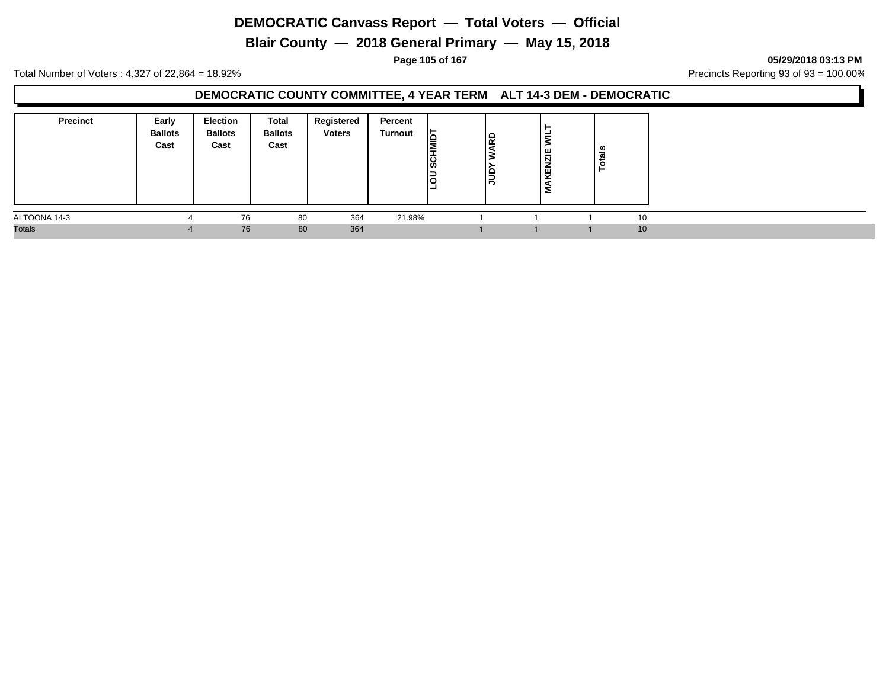**Blair County — 2018 General Primary — May 15, 2018**

**Page 105 of 167 05/29/2018 03:13 PM**

Total Number of Voters : 4,327 of 22,864 = 18.92% Precincts Reporting 93 of 93 = 100.00%

#### **DEMOCRATIC COUNTY COMMITTEE, 4 YEAR TERM ALT 14-3 DEM - DEMOCRATIC**

| <b>Precinct</b> | Early<br><b>Ballots</b><br>Cast | <b>Election</b><br><b>Ballots</b><br>Cast | Total<br><b>Ballots</b><br>Cast | Registered<br><b>Voters</b> | Percent<br>Turnout | lБ<br><b>SCHN</b><br>lЗ | lg<br>1 Q | KENZIE<br>Σ | ័ត<br>► |    |  |
|-----------------|---------------------------------|-------------------------------------------|---------------------------------|-----------------------------|--------------------|-------------------------|-----------|-------------|---------|----|--|
| ALTOONA 14-3    |                                 | 76                                        | 80                              | 364                         | 21.98%             |                         |           |             |         | 10 |  |
| <b>Totals</b>   | 4                               | 76                                        | 80                              | 364                         |                    |                         |           |             |         | 10 |  |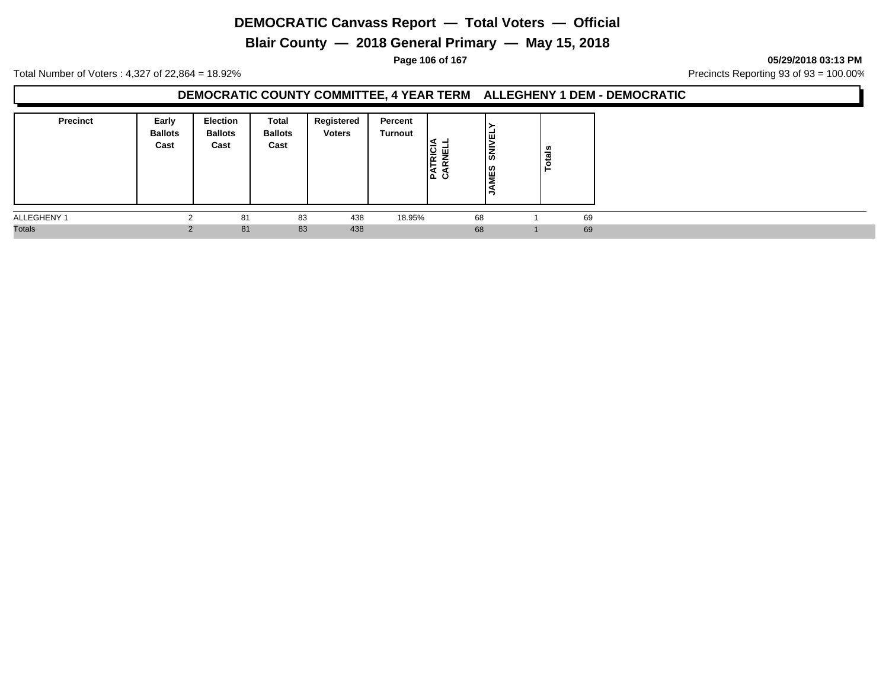**Blair County — 2018 General Primary — May 15, 2018**

**Page 106 of 167 05/29/2018 03:13 PM**

Total Number of Voters : 4,327 of 22,864 = 18.92% Precincts Reporting 93 of 93 = 100.00%

#### **DEMOCRATIC COUNTY COMMITTEE, 4 YEAR TERM ALLEGHENY 1 DEM - DEMOCRATIC**

| <b>Precinct</b> | Early<br><b>Ballots</b><br>Cast | <b>Election</b><br><b>Ballots</b><br>Cast | Total<br><b>Ballots</b><br>Cast | Registered<br><b>Voters</b> | Percent<br>Turnout | RICI<br>ш<br>ن ۱ב | l፱<br>İā<br><b>NES</b> | <b>otals</b> |    |
|-----------------|---------------------------------|-------------------------------------------|---------------------------------|-----------------------------|--------------------|-------------------|------------------------|--------------|----|
| ALLEGHENY 1     |                                 | 81                                        | 83                              | 438                         | 18.95%             | 68                |                        |              | 69 |
| <b>Totals</b>   |                                 | 81                                        | 83                              | 438                         |                    | 68                |                        |              | 69 |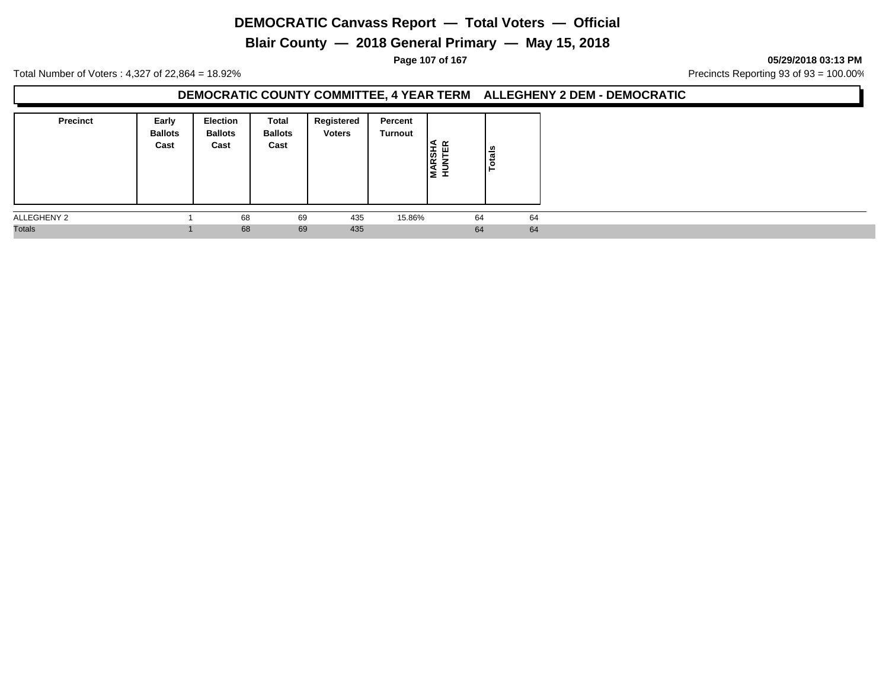**Blair County — 2018 General Primary — May 15, 2018**

**Page 107 of 167 05/29/2018 03:13 PM**

Total Number of Voters : 4,327 of 22,864 = 18.92% Precincts Reporting 93 of 93 = 100.00%

#### **DEMOCRATIC COUNTY COMMITTEE, 4 YEAR TERM ALLEGHENY 2 DEM - DEMOCRATIC**

| <b>Precinct</b> | Early<br><b>Ballots</b><br>Cast | <b>Election</b><br><b>Ballots</b><br>Cast | Total<br><b>Ballots</b><br>Cast | Registered<br><b>Voters</b> | Percent<br>Turnout | ન<br><b>ARSH</b><br>lz I | $\frac{1}{\sin \theta}$ |  |  |
|-----------------|---------------------------------|-------------------------------------------|---------------------------------|-----------------------------|--------------------|--------------------------|-------------------------|--|--|
| ALLEGHENY 2     |                                 | 68                                        | 69                              | 435                         | 15.86%             | 64                       | 64                      |  |  |
| <b>Totals</b>   |                                 | 68                                        | 69                              | 435                         |                    | 64                       | 64                      |  |  |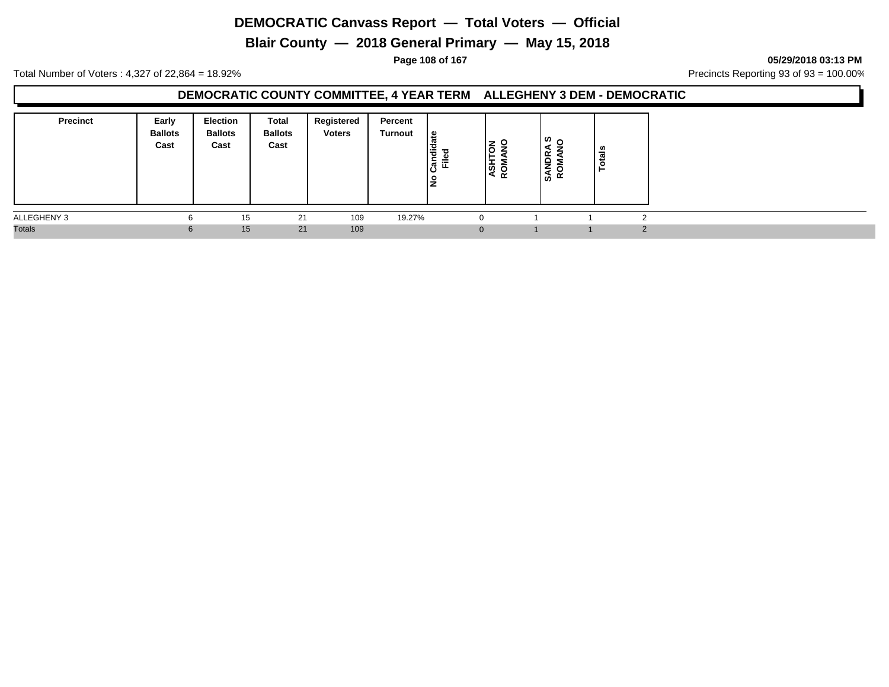**Blair County — 2018 General Primary — May 15, 2018**

**Page 108 of 167 05/29/2018 03:13 PM**

Total Number of Voters : 4,327 of 22,864 = 18.92% Precincts Reporting 93 of 93 = 100.00%

#### **DEMOCRATIC COUNTY COMMITTEE, 4 YEAR TERM ALLEGHENY 3 DEM - DEMOCRATIC**

| <b>Precinct</b> | Early<br><b>Ballots</b><br>Cast | <b>Election</b><br><b>Ballots</b><br>Cast | <b>Total</b><br><b>Ballots</b><br>Cast | Registered<br><b>Voters</b> | Percent<br>Turnout | ate<br>andid<br>Ē<br>۽ا | $\frac{2}{5}$ $\frac{2}{5}$<br><b>ASH</b><br>ROM | ທ .<br>◀<br>SANDR.<br>ROMAN | ais |                |
|-----------------|---------------------------------|-------------------------------------------|----------------------------------------|-----------------------------|--------------------|-------------------------|--------------------------------------------------|-----------------------------|-----|----------------|
| ALLEGHENY 3     |                                 | 15                                        | 21                                     | 109                         | 19.27%             | 0                       |                                                  |                             |     | $\sqrt{2}$     |
| <b>Totals</b>   | 6                               | 15 <sub>1</sub>                           | 21                                     | 109                         |                    | $\mathbf{0}$            |                                                  |                             |     | $\overline{2}$ |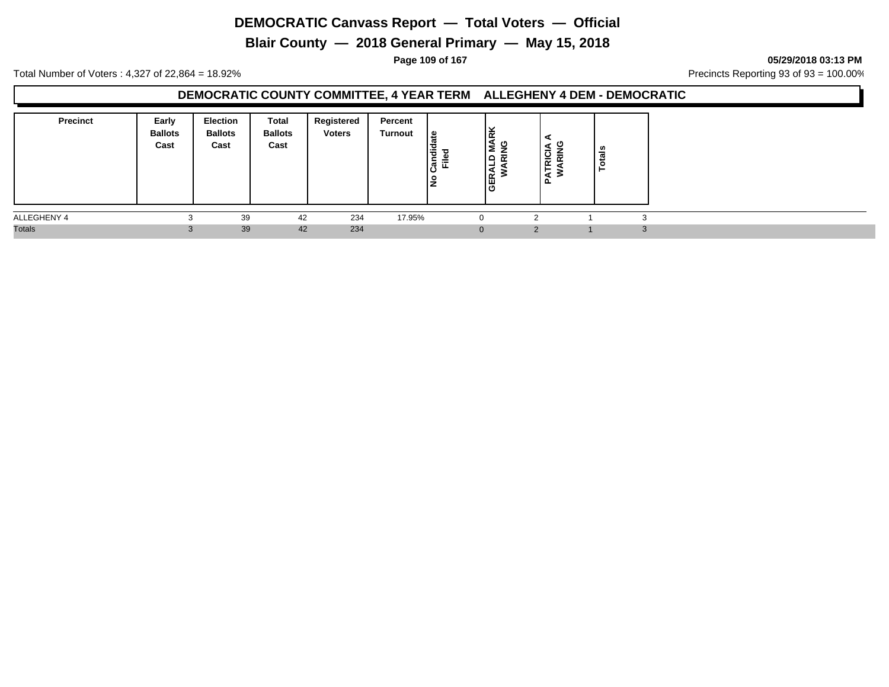**Blair County — 2018 General Primary — May 15, 2018**

**Page 109 of 167 05/29/2018 03:13 PM**

Total Number of Voters : 4,327 of 22,864 = 18.92% Precincts Reporting 93 of 93 = 100.00%

#### **DEMOCRATIC COUNTY COMMITTEE, 4 YEAR TERM ALLEGHENY 4 DEM - DEMOCRATIC**

| <b>Precinct</b> | Early<br><b>Ballots</b><br>Cast | <b>Election</b><br><b>Ballots</b><br>Cast | Total<br><b>Ballots</b><br>Cast | Registered<br><b>Voters</b> | Percent<br>Turnout | ate<br>$\frac{1}{2}$<br>ಕ<br>ြွပြီ<br>⋍<br>ட<br>ءِ<br>▴ | Iš<br>ᅙ<br>ہ∟<br>-<br><b>GER</b> | ပ<br>$\overline{\phantom{0}}$<br>$\alpha$<br>►<br>ৰ<br>௳ | ≝ |    |
|-----------------|---------------------------------|-------------------------------------------|---------------------------------|-----------------------------|--------------------|---------------------------------------------------------|----------------------------------|----------------------------------------------------------|---|----|
| ALLEGHENY 4     | ◠                               | 39                                        | 42                              | 234                         | 17.95%             | 0                                                       |                                  |                                                          |   |    |
| <b>Totals</b>   | $\sim$<br>C.                    | 39                                        | 42                              | 234                         |                    | $\mathbf{0}$                                            |                                  | $\mathcal{P}$                                            |   | -0 |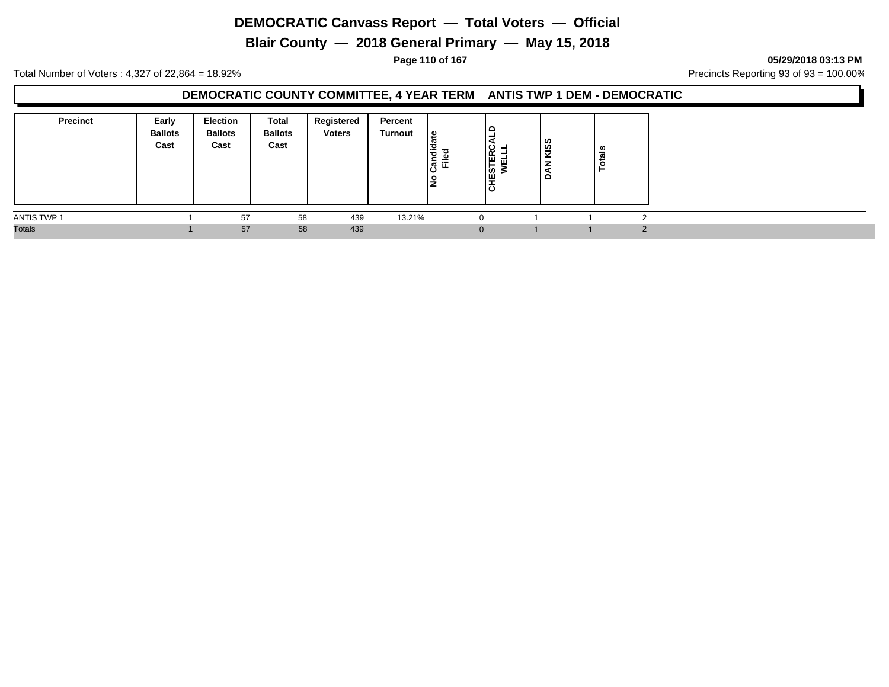**Blair County — 2018 General Primary — May 15, 2018**

**Page 110 of 167 05/29/2018 03:13 PM**

Total Number of Voters : 4,327 of 22,864 = 18.92% Precincts Reporting 93 of 93 = 100.00%

### **DEMOCRATIC COUNTY COMMITTEE, 4 YEAR TERM ANTIS TWP 1 DEM - DEMOCRATIC**

| <b>Precinct</b> | Early<br><b>Ballots</b><br>Cast | Election<br><b>Ballots</b><br>Cast | <b>Total</b><br><b>Ballots</b><br>Cast | Registered<br><b>Voters</b> | Percent<br><b>Turnout</b> | $\frac{1}{a}$<br>Candid<br>Ē<br>l是 | ∣ ല<br>-<br>Eg<br>$\overline{\cdots}$<br>l≋<br>١ö | KISS<br>–<br>á | u<br>- |  |
|-----------------|---------------------------------|------------------------------------|----------------------------------------|-----------------------------|---------------------------|------------------------------------|---------------------------------------------------|----------------|--------|--|
| ANTIS TWP 1     |                                 | 57                                 | 58                                     | 439                         | 13.21%                    | $\mathbf 0$                        |                                                   |                |        |  |
| <b>Totals</b>   |                                 | 57                                 | 58                                     | 439                         |                           |                                    | $\mathbf{0}$                                      |                |        |  |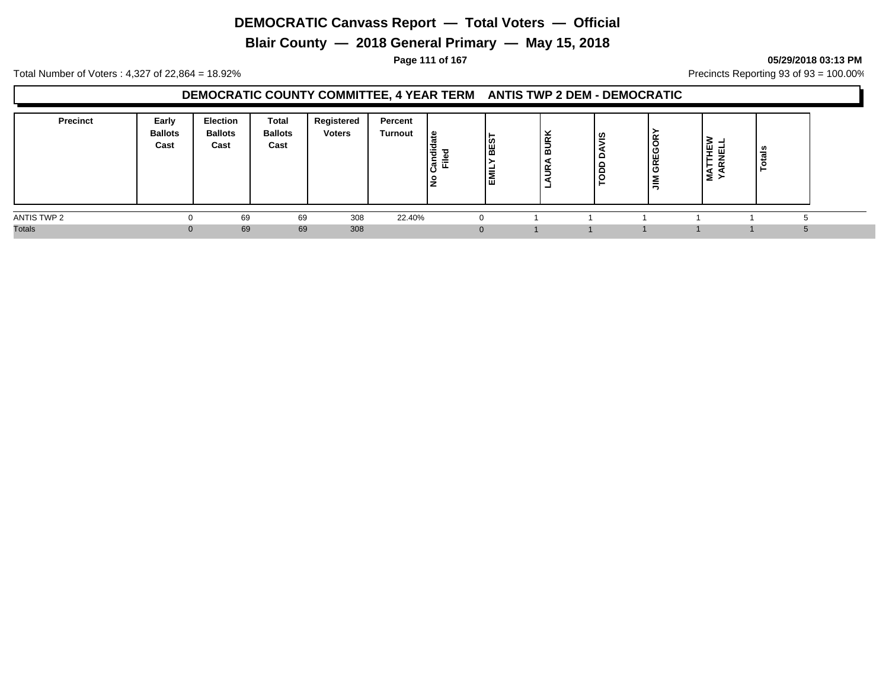**Blair County — 2018 General Primary — May 15, 2018**

**Page 111 of 167 05/29/2018 03:13 PM**

Total Number of Voters : 4,327 of 22,864 = 18.92% Precincts Reporting 93 of 93 = 100.00%

### **DEMOCRATIC COUNTY COMMITTEE, 4 YEAR TERM ANTIS TWP 2 DEM - DEMOCRATIC**

| <b>Precinct</b> | Early<br><b>Ballots</b><br>Cast | <b>Election</b><br><b>Ballots</b><br>Cast | Total<br><b>Ballots</b><br>Cast | Registered<br><b>Voters</b> | Percent<br>Turnout | ூ<br>ᄻ | BES<br>EMI | ⊻<br>≅<br>-<br>' മ<br>≃<br>- | ഇ<br>- | GREGORY<br>ا≦ا | -<br>-<br>⋖<br>Σ | ÷ |  |
|-----------------|---------------------------------|-------------------------------------------|---------------------------------|-----------------------------|--------------------|--------|------------|------------------------------|--------|----------------|------------------|---|--|
| ANTIS TWP 2     | 0                               | 69                                        | 69                              | 308                         | 22.40%             |        |            |                              |        |                |                  |   |  |
| <b>Totals</b>   |                                 | 69                                        | 69                              | 308                         |                    |        |            |                              |        |                |                  |   |  |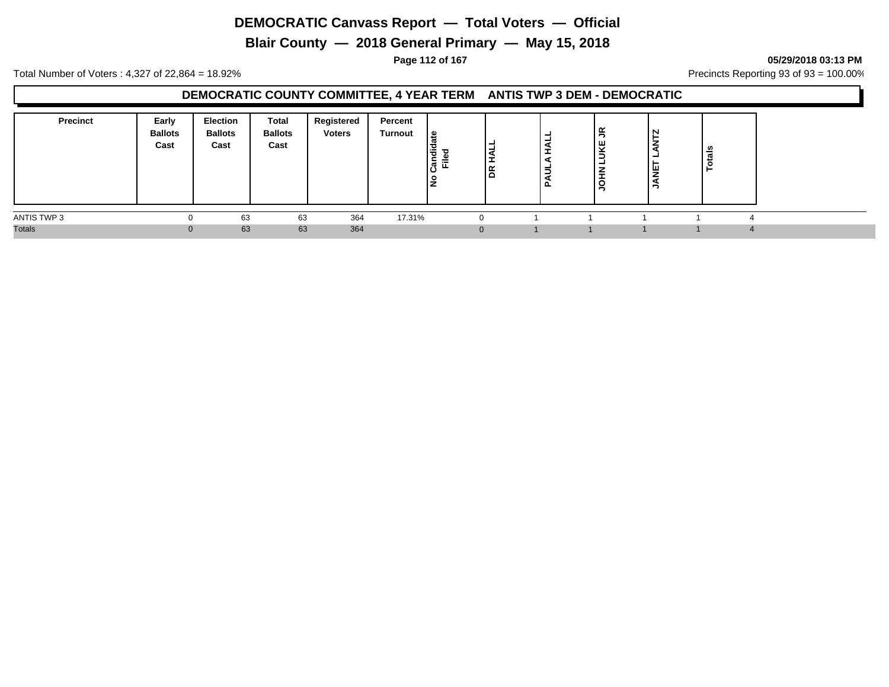**Blair County — 2018 General Primary — May 15, 2018**

**Page 112 of 167 05/29/2018 03:13 PM**

Total Number of Voters : 4,327 of 22,864 = 18.92% Precincts Reporting 93 of 93 = 100.00%

### **DEMOCRATIC COUNTY COMMITTEE, 4 YEAR TERM ANTIS TWP 3 DEM - DEMOCRATIC**

| <b>Precinct</b> | Early<br><b>Ballots</b><br>Cast | <b>Election</b><br><b>Ballots</b><br>Cast | Total<br><b>Ballots</b><br>Cast | Registered<br><b>Voters</b> | Percent<br>Turnout | ی ا<br>١÷<br>⊆<br>≔<br>m.<br>ட<br>۽ | ١g | -<br><b>.</b><br>Ξ<br>ու | $\tilde{\mathbf{r}}$<br>Ψ<br>-<br>-<br>-<br>-<br>о | N<br>١Ψ<br>∸ | त्तं<br>ت<br>Ö |  |
|-----------------|---------------------------------|-------------------------------------------|---------------------------------|-----------------------------|--------------------|-------------------------------------|----|--------------------------|----------------------------------------------------|--------------|----------------|--|
| ANTIS TWP 3     |                                 | 63                                        | 63                              | 364                         | 17.31%             |                                     |    |                          |                                                    |              |                |  |
| <b>Totals</b>   |                                 | 63                                        | 63                              | 364                         |                    |                                     |    |                          |                                                    |              |                |  |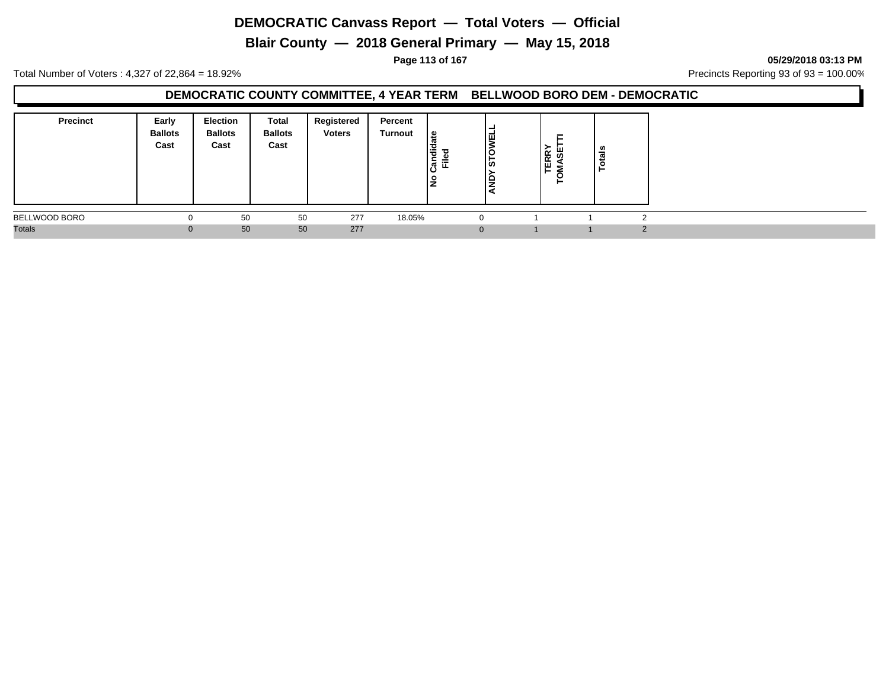**Blair County — 2018 General Primary — May 15, 2018**

**Page 113 of 167 05/29/2018 03:13 PM**

Total Number of Voters : 4,327 of 22,864 = 18.92% Precincts Reporting 93 of 93 = 100.00%

#### **DEMOCRATIC COUNTY COMMITTEE, 4 YEAR TERM BELLWOOD BORO DEM - DEMOCRATIC**

| <b>Precinct</b> | Early<br><b>Ballots</b><br>Cast | <b>Election</b><br><b>Ballots</b><br>Cast | Total<br><b>Ballots</b><br>Cast | Registered<br><b>Voters</b> | Percent<br>Turnout | ீ<br>ਚਿੱ<br>Ѣ<br>≐<br>ြီ<br>ш.<br>Ιă | , ш<br> ඍ | ≻<br><b>TERR</b><br>MASE | ≝ |  |
|-----------------|---------------------------------|-------------------------------------------|---------------------------------|-----------------------------|--------------------|--------------------------------------|-----------|--------------------------|---|--|
| BELLWOOD BORO   | υ                               | 50                                        | 50                              | 277                         | 18.05%             |                                      |           |                          |   |  |
| <b>Totals</b>   | U                               | 50                                        | 50                              | 277                         |                    | 0                                    |           |                          |   |  |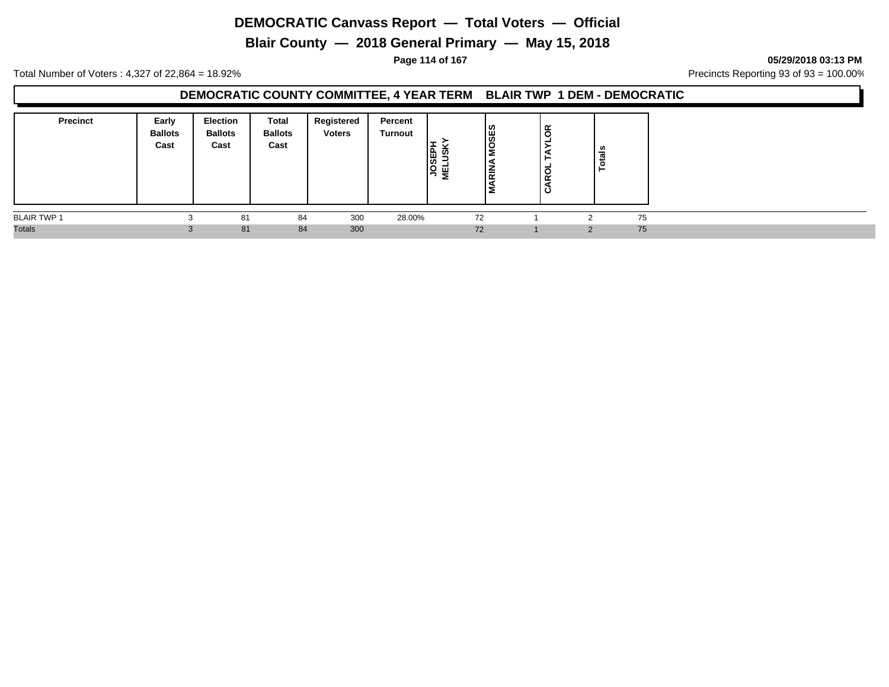**Blair County — 2018 General Primary — May 15, 2018**

**Page 114 of 167 05/29/2018 03:13 PM**

Total Number of Voters : 4,327 of 22,864 = 18.92% Precincts Reporting 93 of 93 = 100.00%

#### **DEMOCRATIC COUNTY COMMITTEE, 4 YEAR TERM BLAIR TWP 1 DEM - DEMOCRATIC**

| <b>Precinct</b>    | Early<br><b>Ballots</b><br>Cast | <b>Election</b><br><b>Ballots</b><br>Cast | Total<br><b>Ballots</b><br>Cast | Registered<br><b>Voters</b> | Percent<br>Turnout | <b>JOSEPH</b><br>MELUSK | <b>OSES</b><br>-<br>ιœ | ≃<br>$\epsilon$<br>$\circ$<br>œ<br>ం | - |    |
|--------------------|---------------------------------|-------------------------------------------|---------------------------------|-----------------------------|--------------------|-------------------------|------------------------|--------------------------------------|---|----|
| <b>BLAIR TWP 1</b> |                                 | 81                                        | 84                              | 300                         | 28.00%             |                         | 72                     |                                      | ົ | 75 |
| <b>Totals</b>      |                                 | 81                                        | 84                              | 300                         |                    |                         | 72                     |                                      | ົ | 75 |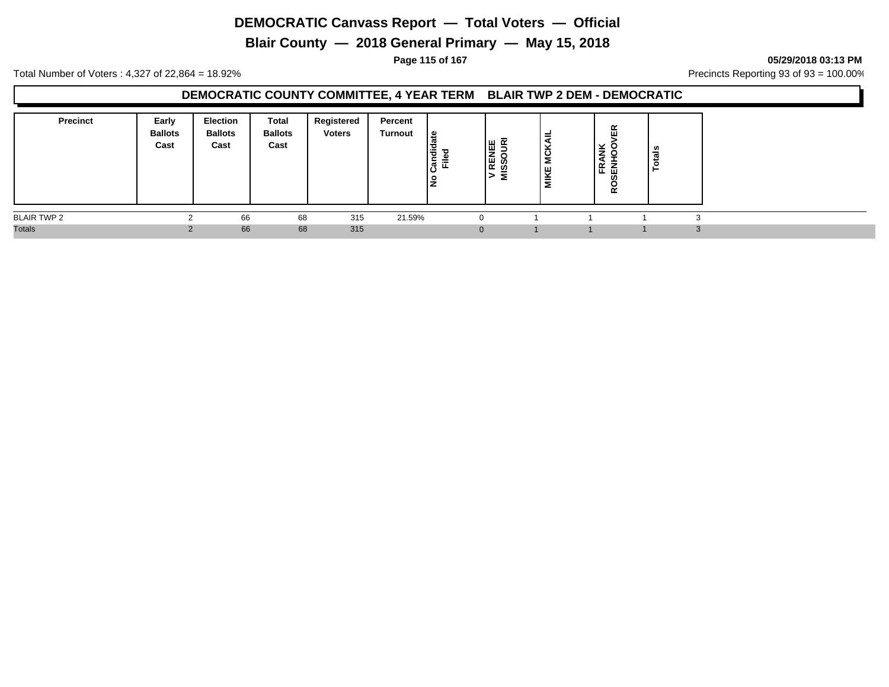**Blair County — 2018 General Primary — May 15, 2018**

**Page 115 of 167 05/29/2018 03:13 PM**

Total Number of Voters : 4,327 of 22,864 = 18.92% Precincts Reporting 93 of 93 = 100.00%

### **DEMOCRATIC COUNTY COMMITTEE, 4 YEAR TERM BLAIR TWP 2 DEM - DEMOCRATIC**

| <b>Precinct</b>    | Early<br><b>Ballots</b><br>Cast | Election<br><b>Ballots</b><br>Cast | Total<br><b>Ballots</b><br>Cast | Registered<br><b>Voters</b> | Percent<br><b>Turnout</b> | late<br>l을<br>၊ဇဵ<br>Ē<br><u>۾</u> | le g<br>V REN | s<br>$\checkmark$<br>$\overline{O}$<br>MIKE | ∝<br>ш<br>×<br>z<br>⇁<br>≃<br>ᄠᅖ<br>$\alpha$ | - |  |
|--------------------|---------------------------------|------------------------------------|---------------------------------|-----------------------------|---------------------------|------------------------------------|---------------|---------------------------------------------|----------------------------------------------|---|--|
| <b>BLAIR TWP 2</b> |                                 | 66                                 | 68                              | 315                         | 21.59%                    |                                    | $\Omega$      |                                             |                                              |   |  |
| <b>Totals</b>      |                                 | 66                                 | 68                              | 315                         |                           |                                    | $\mathbf{0}$  |                                             |                                              |   |  |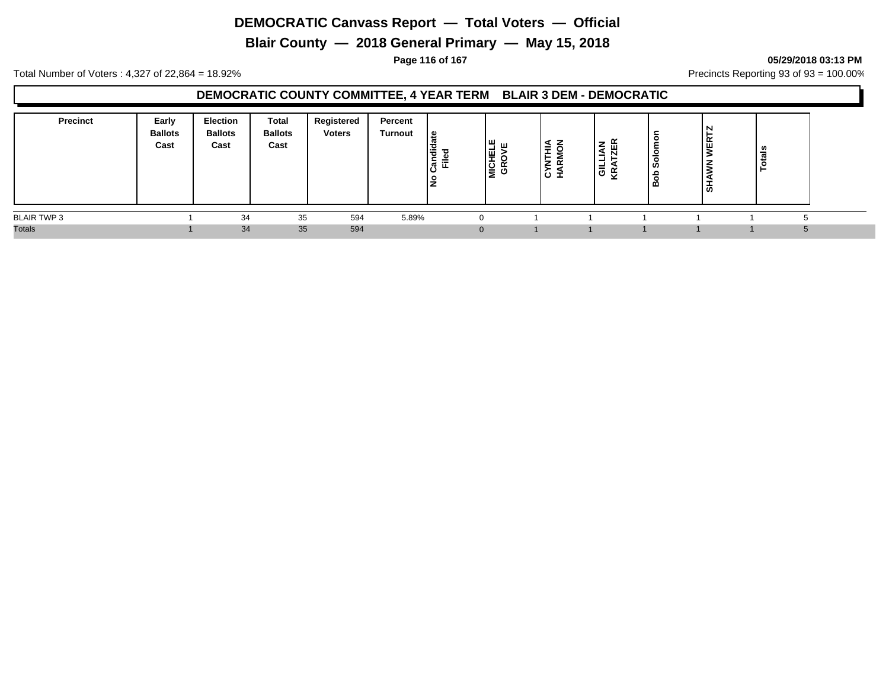**Blair County — 2018 General Primary — May 15, 2018**

**Page 116 of 167 05/29/2018 03:13 PM**

Total Number of Voters : 4,327 of 22,864 = 18.92% Precincts Reporting 93 of 93 = 100.00%

### **DEMOCRATIC COUNTY COMMITTEE, 4 YEAR TERM BLAIR 3 DEM - DEMOCRATIC**

| <b>Precinct</b>    | Early<br><b>Ballots</b><br>Cast | Election<br><b>Ballots</b><br>Cast | Total<br><b>Ballots</b><br>Cast | Registered<br><b>Voters</b> | Percent<br><b>Turnout</b> | 으<br>ㅎ<br>-<br>辵<br>ਨ | ıш<br><b>MICHEL</b> | <b>∢ z</b><br>≕<br><b>CYNTH</b><br>HARM | そ歯<br>Ē<br>,ਛੋ ਣੂ | ທ<br>മ | ຑ | - |  |
|--------------------|---------------------------------|------------------------------------|---------------------------------|-----------------------------|---------------------------|-----------------------|---------------------|-----------------------------------------|-------------------|--------|---|---|--|
| <b>BLAIR TWP 3</b> |                                 | 34                                 | 35                              | 594                         | 5.89%                     |                       |                     |                                         |                   |        |   |   |  |
| <b>Totals</b>      |                                 | 34                                 | 35                              | 594                         |                           |                       |                     |                                         |                   |        |   |   |  |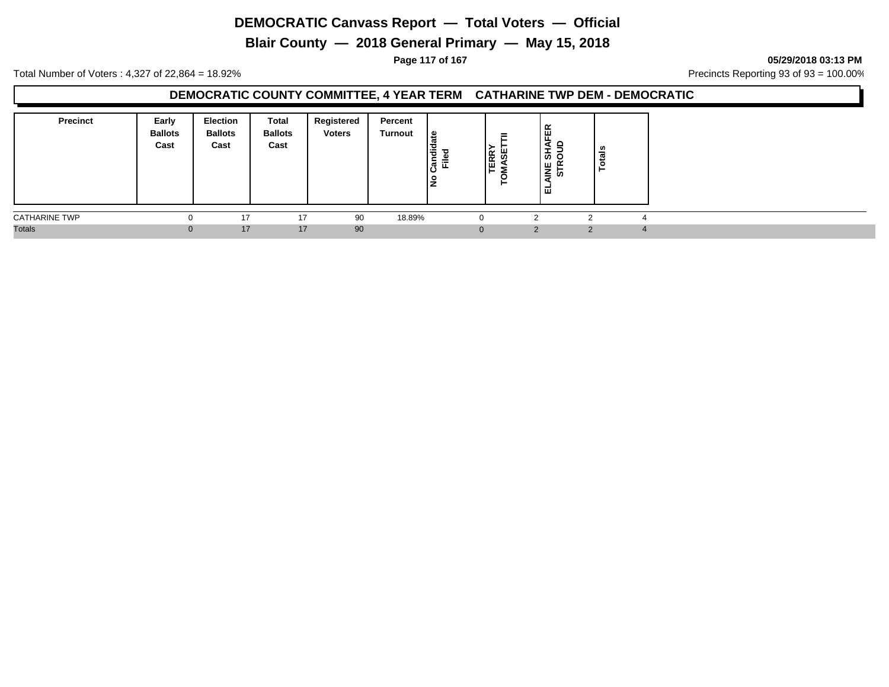**Blair County — 2018 General Primary — May 15, 2018**

**Page 117 of 167 05/29/2018 03:13 PM**

Total Number of Voters : 4,327 of 22,864 = 18.92% Precincts Reporting 93 of 93 = 100.00%

#### **DEMOCRATIC COUNTY COMMITTEE, 4 YEAR TERM CATHARINE TWP DEM - DEMOCRATIC**

| <b>Precinct</b>      | Early<br><b>Ballots</b><br>Cast | Election<br><b>Ballots</b><br>Cast | <b>Total</b><br><b>Ballots</b><br>Cast | Registered<br><b>Voters</b> | Percent<br><b>Turnout</b> | ீ<br>andid<br>⋍<br>ட<br>۽ | =<br>ш<br>ERR <sup>-</sup><br>៳<br>⊢ | ш<br>d<br>-<br>ぁぁ<br>불빛<br>-<br>面 | នឹ |                |
|----------------------|---------------------------------|------------------------------------|----------------------------------------|-----------------------------|---------------------------|---------------------------|--------------------------------------|-----------------------------------|----|----------------|
| <b>CATHARINE TWP</b> |                                 | 17                                 | 17                                     | 90                          | 18.89%                    |                           | 0                                    | າ                                 |    |                |
| <b>Totals</b>        |                                 | 17                                 | 17                                     | 90                          |                           |                           | $\mathbf{0}$                         | C                                 | ◠  | $\overline{4}$ |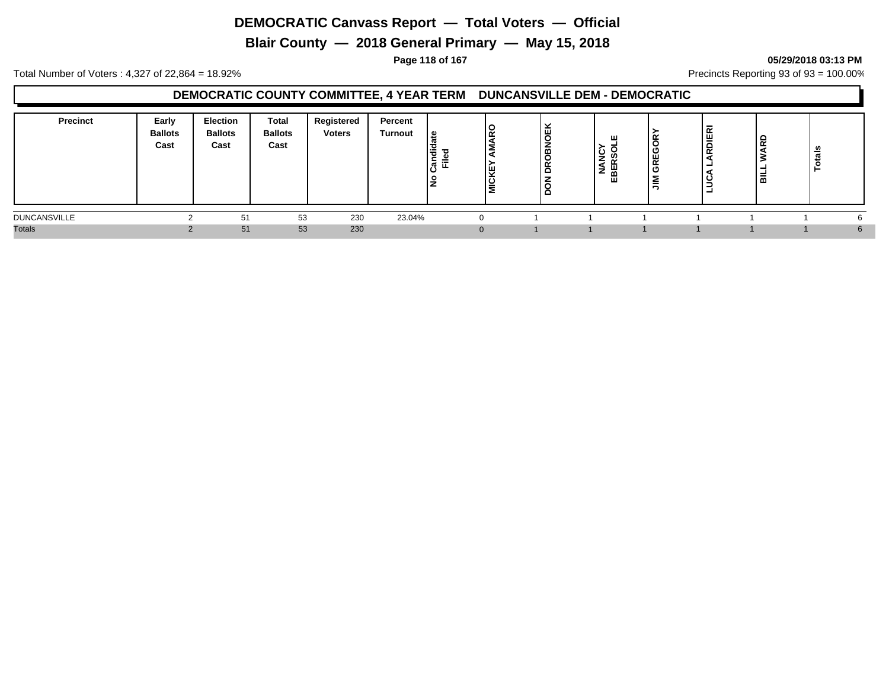**Blair County — 2018 General Primary — May 15, 2018**

**Page 118 of 167 05/29/2018 03:13 PM**

Total Number of Voters : 4,327 of 22,864 = 18.92% Precincts Reporting 93 of 93 = 100.00%

#### **DEMOCRATIC COUNTY COMMITTEE, 4 YEAR TERM DUNCANSVILLE DEM - DEMOCRATIC**

| <b>Precinct</b>     | Early<br><b>Ballots</b><br>Cast | <b>Election</b><br><b>Ballots</b><br>Cast | <b>Total</b><br><b>Ballots</b><br>Cast | Registered<br><b>Voters</b> | Percent<br><b>Turnout</b> | ي  <br>$\sim$<br>ᅙ<br>$=$ | 15<br><b>AICKE</b><br>⋍ | z<br>g<br>۴ | ш<br>َ پَ<br>ഗ<br><u>_</u><br>q<br>ш<br>⇁<br>ᅎᆱ | ш<br>$\alpha$ | <b>JERI</b><br>. C<br>$\alpha$ | $\alpha$<br>룲 | ៖<br>تعد |  |
|---------------------|---------------------------------|-------------------------------------------|----------------------------------------|-----------------------------|---------------------------|---------------------------|-------------------------|-------------|-------------------------------------------------|---------------|--------------------------------|---------------|----------|--|
| <b>DUNCANSVILLE</b> |                                 | 51                                        | 53                                     | 230                         | 23.04%                    |                           |                         |             |                                                 |               |                                |               |          |  |
| <b>Totals</b>       |                                 | 51                                        | 53                                     | 230                         |                           |                           |                         |             |                                                 |               |                                |               | $\sim$   |  |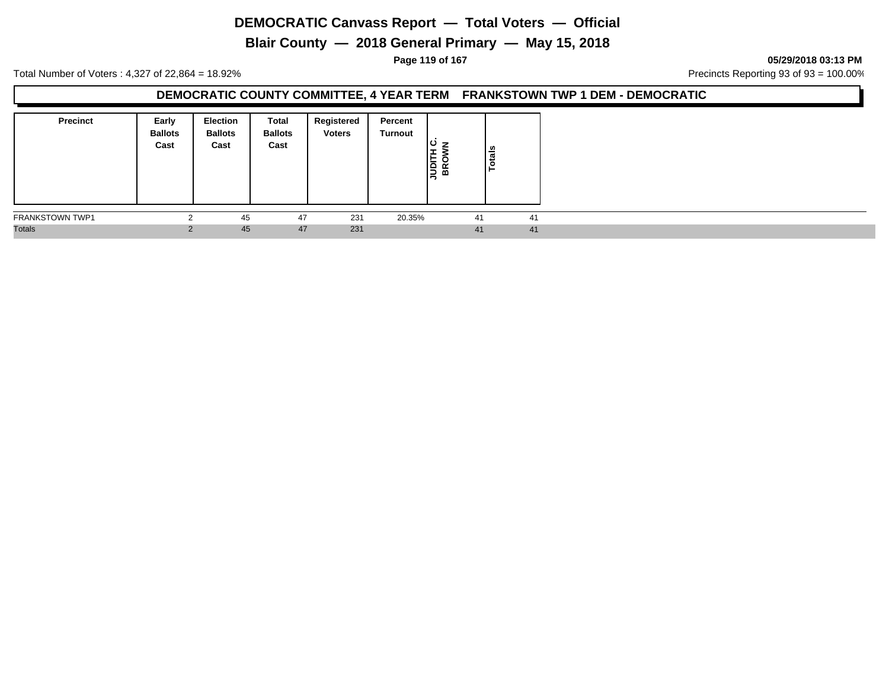**Blair County — 2018 General Primary — May 15, 2018**

**Page 119 of 167 05/29/2018 03:13 PM**

Total Number of Voters : 4,327 of 22,864 = 18.92% Precincts Reporting 93 of 93 = 100.00%

### **DEMOCRATIC COUNTY COMMITTEE, 4 YEAR TERM FRANKSTOWN TWP 1 DEM - DEMOCRATIC**

| <b>Precinct</b>        | Early<br><b>Ballots</b><br>Cast | <b>Election</b><br><b>Ballots</b><br>Cast | Total<br><b>Ballots</b><br>Cast | Registered<br><b>Voters</b> | Percent<br>Turnout | ပ<br><b>NORTH</b><br>BROW<br>മ | $\overline{\mathsf{t}}$ als<br>٩ |    |
|------------------------|---------------------------------|-------------------------------------------|---------------------------------|-----------------------------|--------------------|--------------------------------|----------------------------------|----|
| <b>FRANKSTOWN TWP1</b> | $\sim$                          | 45                                        | 47                              | 231                         | 20.35%             |                                | 41                               | 41 |
| <b>Totals</b>          | $\sim$                          | 45                                        | 47                              | 231                         |                    |                                | 41                               | 41 |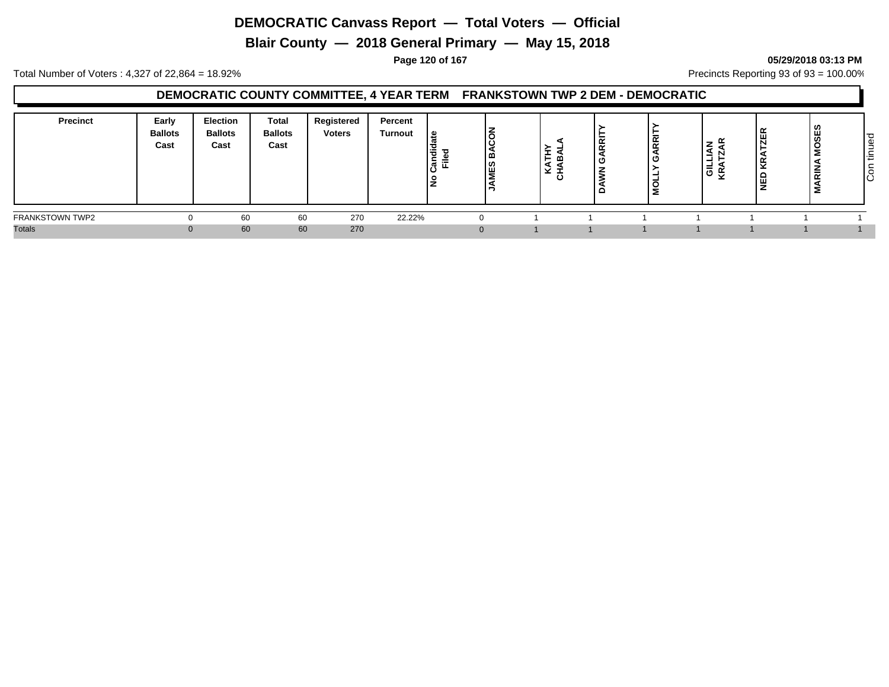**Blair County — 2018 General Primary — May 15, 2018**

### **Page 120 of 167 05/29/2018 03:13 PM**

Total Number of Voters : 4,327 of 22,864 = 18.92% Precincts Reporting 93 of 93 = 100.00%

#### **DEMOCRATIC COUNTY COMMITTEE, 4 YEAR TERM FRANKSTOWN TWP 2 DEM - DEMOCRATIC**

| <b>Precinct</b>        | Early<br><b>Ballots</b><br>Cast | Election<br><b>Ballots</b><br>Cast | Total<br><b>Ballots</b><br>Cast | Registered<br><b>Voters</b> | Percent<br>Turnout | . م<br>. ਚ<br>-<br>. ल<br>≂<br>. | $\sim$<br>≃ | ⊢<br>ີ | $\overline{R}$<br>0) ا | ≃<br>≊<br>N<br>┙<br>ା<br>ଜୁ | α<br>щ<br>Ñ<br>$\sim$<br>٣<br>핒 | 2<br>$\overline{ }$<br>-<br>$\sim$<br>2 | ס'<br>Φ<br>$\overline{\phantom{0}}$<br>۰<br>$\overline{\phantom{a}}$<br>l÷<br>∼<br> g |
|------------------------|---------------------------------|------------------------------------|---------------------------------|-----------------------------|--------------------|----------------------------------|-------------|--------|------------------------|-----------------------------|---------------------------------|-----------------------------------------|---------------------------------------------------------------------------------------|
| <b>FRANKSTOWN TWP2</b> |                                 | 60                                 | 60                              | 270                         | 22.22%             |                                  |             |        |                        |                             |                                 |                                         |                                                                                       |
| <b>Totals</b>          |                                 | 60                                 | 60                              | 270                         |                    |                                  |             |        |                        |                             |                                 |                                         |                                                                                       |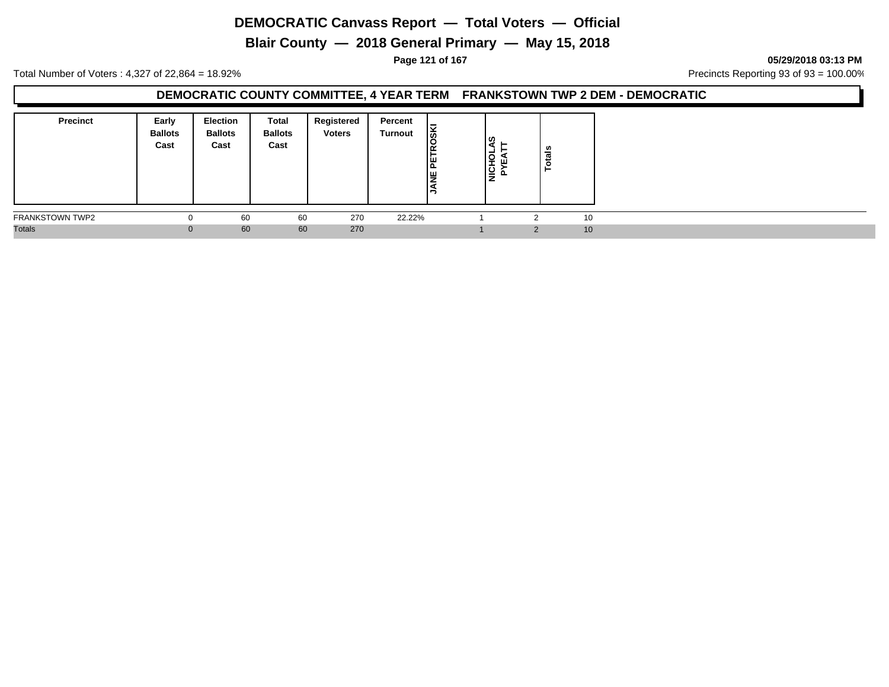**Blair County — 2018 General Primary — May 15, 2018**

**Page 121 of 167 05/29/2018 03:13 PM**

Total Number of Voters : 4,327 of 22,864 = 18.92% Precincts Reporting 93 of 93 = 100.00%

#### **DEMOCRATIC COUNTY COMMITTEE, 4 YEAR TERM FRANKSTOWN TWP 2 DEM - DEMOCRATIC**

| <b>Precinct</b>        | Early<br><b>Ballots</b><br>Cast | <b>Election</b><br><b>Ballots</b><br>Cast | Total<br><b>Ballots</b><br>Cast | Registered<br><b>Voters</b> | Percent<br>Turnout | ∣§k<br>PETR<br><b>E</b> | ဟ<br>∣≚<br>١ġ<br>- | tais<br>c |    |  |
|------------------------|---------------------------------|-------------------------------------------|---------------------------------|-----------------------------|--------------------|-------------------------|--------------------|-----------|----|--|
| <b>FRANKSTOWN TWP2</b> | υ                               | 60                                        | 60                              | 270                         | 22.22%             |                         |                    |           | 10 |  |
| <b>Totals</b>          |                                 | 60                                        | 60                              | 270                         |                    |                         |                    |           | 10 |  |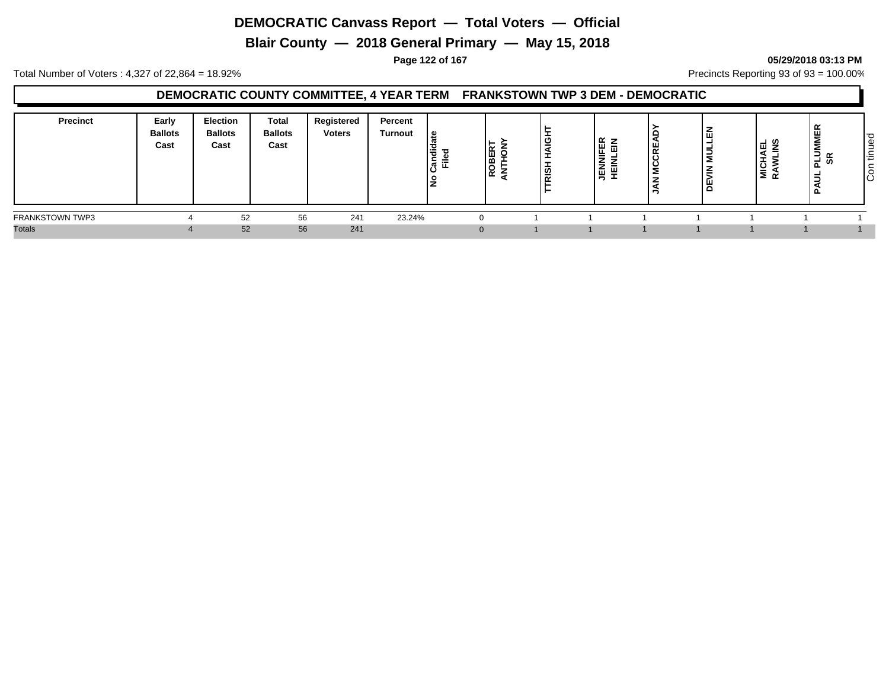**Blair County — 2018 General Primary — May 15, 2018**

#### **Page 122 of 167 05/29/2018 03:13 PM**

Total Number of Voters : 4,327 of 22,864 = 18.92% Precincts Reporting 93 of 93 = 100.00%

#### **DEMOCRATIC COUNTY COMMITTEE, 4 YEAR TERM FRANKSTOWN TWP 3 DEM - DEMOCRATIC**

| <b>Precinct</b> | Early<br><b>Ballots</b><br>Cast | Election<br><b>Ballots</b><br>Cast | Total<br><b>Ballots</b><br>Cast | Registered<br><b>Voters</b> | Percent<br>Turnout | . م<br>, ਚੌ<br>-<br>$=$<br>र्ह, | $\tilde{\phantom{a}}$ | ט<br>  ഇ<br>$\propto$ | $\alpha$ $\alpha$<br>更易<br>Ë<br>高量 | 또<br>ن ا | m<br>-<br>ш<br>- | _ ഗ<br>₹Ë<br>÷<br>NICH<br>RAW | =<br>2<br>Σ<br><b>PLU</b><br>SR | ס י<br>Φ<br>Ι÷Ξ<br>$\circ$<br>ΙÖ |
|-----------------|---------------------------------|------------------------------------|---------------------------------|-----------------------------|--------------------|---------------------------------|-----------------------|-----------------------|------------------------------------|----------|------------------|-------------------------------|---------------------------------|----------------------------------|
| FRANKSTOWN TWP3 |                                 | 52                                 | 56                              | 241                         | 23.24%             |                                 |                       |                       |                                    |          |                  |                               |                                 |                                  |
| <b>Totals</b>   |                                 | 52                                 | 56                              | 241                         |                    |                                 |                       |                       |                                    |          |                  |                               |                                 |                                  |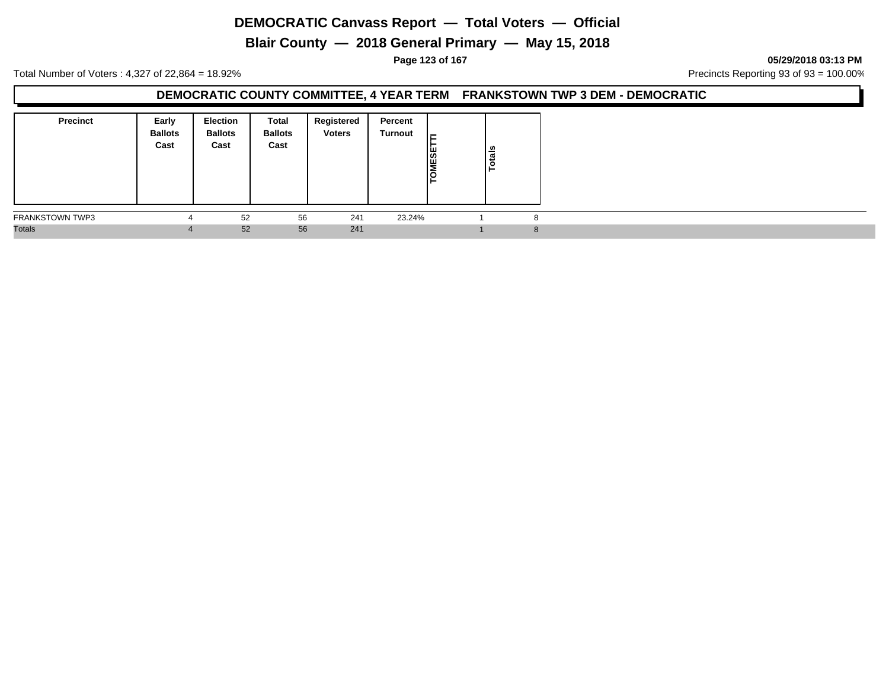**Blair County — 2018 General Primary — May 15, 2018**

**Page 123 of 167 05/29/2018 03:13 PM**

Total Number of Voters : 4,327 of 22,864 = 18.92% Precincts Reporting 93 of 93 = 100.00%

### **DEMOCRATIC COUNTY COMMITTEE, 4 YEAR TERM FRANKSTOWN TWP 3 DEM - DEMOCRATIC**

| <b>Precinct</b>        | Early<br><b>Ballots</b><br>Cast | <b>Election</b><br><b>Ballots</b><br>Cast | Total<br><b>Ballots</b><br>Cast | Registered<br><b>Voters</b> | Percent<br>Turnout | l⊏<br>TOMESET | Totals |   |
|------------------------|---------------------------------|-------------------------------------------|---------------------------------|-----------------------------|--------------------|---------------|--------|---|
| <b>FRANKSTOWN TWP3</b> |                                 | 52                                        | 56                              | 241                         | 23.24%             |               |        | o |
| <b>Totals</b>          |                                 | 52                                        | 56                              | 241                         |                    |               |        | 8 |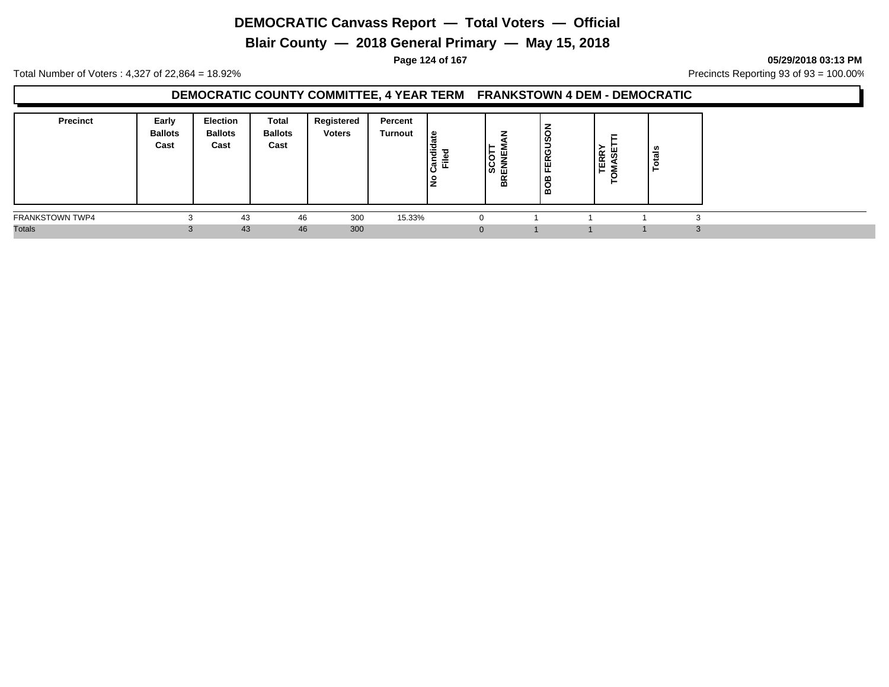**Blair County — 2018 General Primary — May 15, 2018**

**Page 124 of 167 05/29/2018 03:13 PM**

Total Number of Voters : 4,327 of 22,864 = 18.92% Precincts Reporting 93 of 93 = 100.00%

#### **DEMOCRATIC COUNTY COMMITTEE, 4 YEAR TERM FRANKSTOWN 4 DEM - DEMOCRATIC**

| <b>Precinct</b>        | Early<br><b>Ballots</b><br>Cast | Election<br>Ballots<br>Cast | Total<br><b>Ballots</b><br>Cast | Registered<br><b>Voters</b> | Percent<br>Turnout | ீ<br>$\ddot{a}$<br>$\mathbf{z}$<br>-<br>-<br>►<br>≔<br>ြီ<br>щ.<br>پ<br>∼ | -<br>ш<br>-<br>ັ<br>≂<br>ັ<br>  ဟ<br>BREI | <b>FERGUSO</b><br>BOB | $\alpha$<br>- 73<br>$\propto$<br>ш | $\frac{1}{2}$<br>$\circ$<br>- |                |
|------------------------|---------------------------------|-----------------------------|---------------------------------|-----------------------------|--------------------|---------------------------------------------------------------------------|-------------------------------------------|-----------------------|------------------------------------|-------------------------------|----------------|
| <b>FRANKSTOWN TWP4</b> | $\overline{ }$                  | 43                          | 46                              | 300                         | 15.33%             |                                                                           |                                           |                       |                                    |                               |                |
| <b>Totals</b>          |                                 | 43                          | 46                              | 300                         |                    | U                                                                         |                                           |                       |                                    |                               | $\Omega$<br>۰. |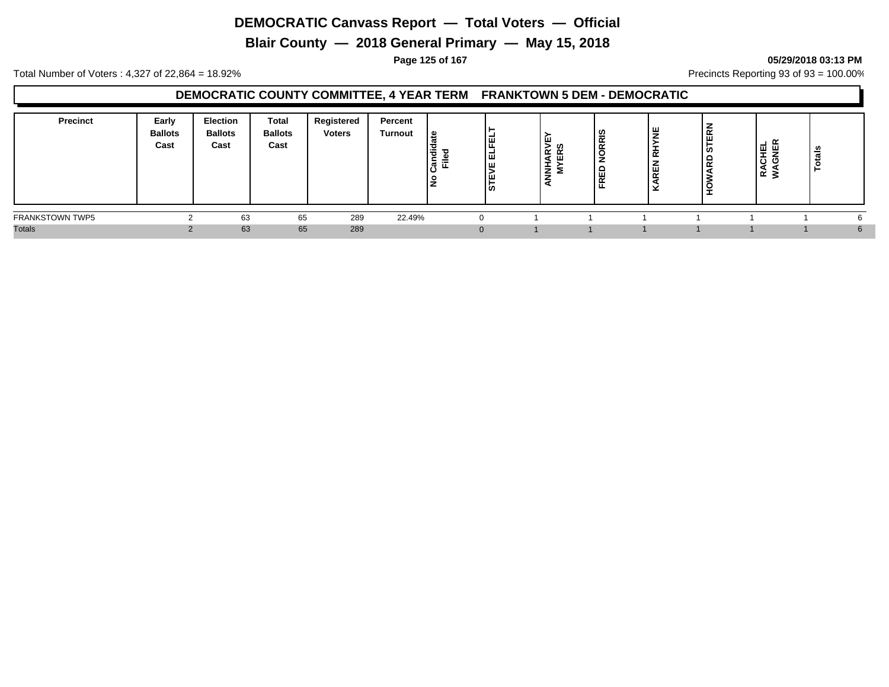**Blair County — 2018 General Primary — May 15, 2018**

#### **Page 125 of 167 05/29/2018 03:13 PM**

Total Number of Voters : 4,327 of 22,864 = 18.92% Precincts Reporting 93 of 93 = 100.00%

### **DEMOCRATIC COUNTY COMMITTEE, 4 YEAR TERM FRANKTOWN 5 DEM - DEMOCRATIC**

| <b>Precinct</b>        | Early<br><b>Ballots</b><br>Cast | <b>Election</b><br><b>Ballots</b><br>Cast | <b>Total</b><br><b>Ballots</b><br>Cast | Registered<br><b>Voters</b> | Percent<br><b>Turnout</b> | <u> യ</u><br>.<br>Car | 匣<br>ا¤ا<br>∣ш<br>ıш<br> ඍ | ≃<br>÷<br>z<br>- | ທ<br>-<br>$\sim$<br>$\alpha$<br>C<br>e<br>ш<br>$\sim$<br>ш | ய<br>$\overline{\phantom{a}}$<br>ш.<br>$\sim$ | 띥<br><b>SC</b><br>. .<br>$\overline{\alpha}$ | ᆜ<br>꽃<br>୴<br>-<br>ō<br>O<br>≃ ≳ | ≝ |  |
|------------------------|---------------------------------|-------------------------------------------|----------------------------------------|-----------------------------|---------------------------|-----------------------|----------------------------|------------------|------------------------------------------------------------|-----------------------------------------------|----------------------------------------------|-----------------------------------|---|--|
| <b>FRANKSTOWN TWP5</b> |                                 | 63                                        | 65                                     | 289                         | 22.49%                    |                       | 0                          |                  |                                                            |                                               |                                              |                                   |   |  |
| <b>Totals</b>          |                                 | 63                                        | 65                                     | 289                         |                           |                       | $\Omega$                   |                  |                                                            |                                               |                                              |                                   |   |  |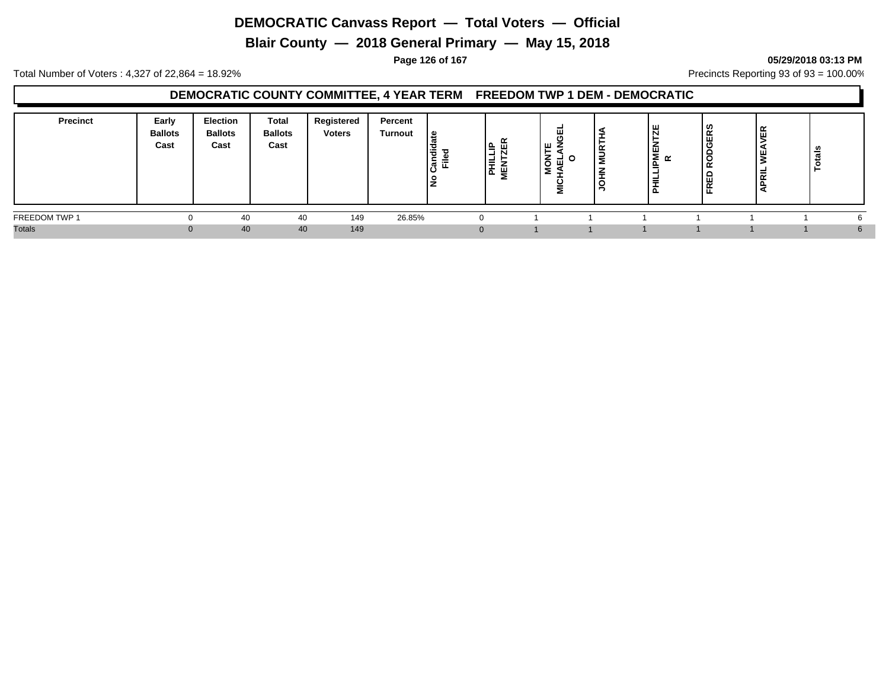**Blair County — 2018 General Primary — May 15, 2018**

#### **Page 126 of 167 05/29/2018 03:13 PM**

Total Number of Voters : 4,327 of 22,864 = 18.92% Precincts Reporting 93 of 93 = 100.00%

#### **DEMOCRATIC COUNTY COMMITTEE, 4 YEAR TERM FREEDOM TWP 1 DEM - DEMOCRATIC**

| <b>Precinct</b> | Early<br><b>Ballots</b><br>Cast | <b>Election</b><br><b>Ballots</b><br>Cast | <b>Total</b><br><b>Ballots</b><br>Cast | Registered<br><b>Voters</b> | Percent<br><b>Turnout</b> | <u> യ</u><br>--<br>P<br>-<br>.<br>5 도 | -<br>텵   | ш | $\tilde{ }$<br>₹<br>-<br>C | ш<br>ш<br>_ | ဟ<br>$\propto$<br>, ய<br>O<br>. .<br>-<br>¦ ⊞ | $\alpha$<br>$\overline{1}$<br>ᄒ | ៖<br>تسه |    |
|-----------------|---------------------------------|-------------------------------------------|----------------------------------------|-----------------------------|---------------------------|---------------------------------------|----------|---|----------------------------|-------------|-----------------------------------------------|---------------------------------|----------|----|
| FREEDOM TWP 1   |                                 | 40                                        | 40                                     | 149                         | 26.85%                    |                                       | $\Omega$ |   |                            |             |                                               |                                 |          |    |
| <b>Totals</b>   | $\Omega$                        | 40                                        | 40                                     | 149                         |                           |                                       | $\Omega$ |   |                            |             |                                               |                                 |          | h. |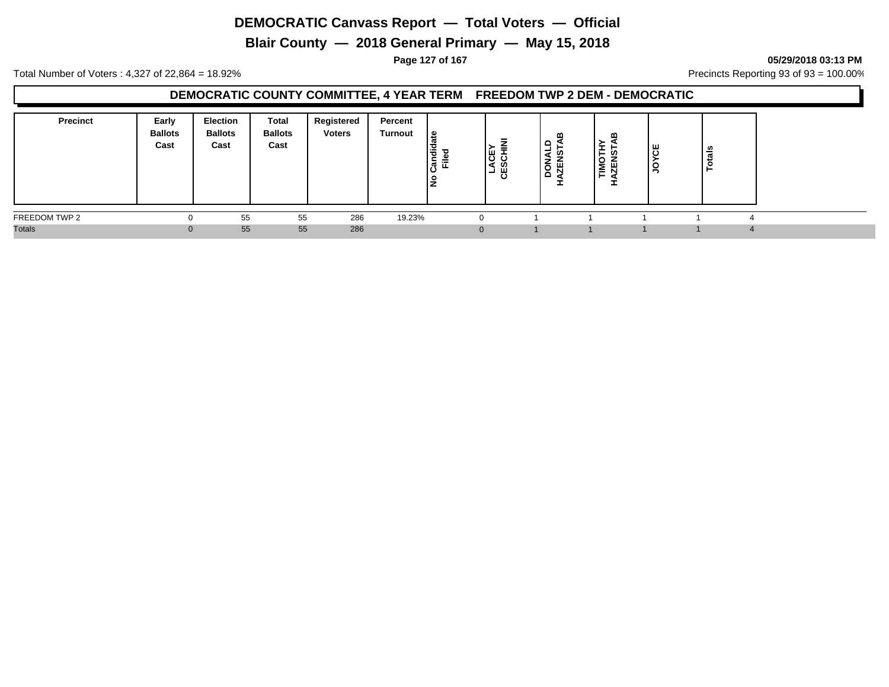**Blair County — 2018 General Primary — May 15, 2018**

**Page 127 of 167 05/29/2018 03:13 PM**

Total Number of Voters : 4,327 of 22,864 = 18.92% Precincts Reporting 93 of 93 = 100.00%

#### **DEMOCRATIC COUNTY COMMITTEE, 4 YEAR TERM FREEDOM TWP 2 DEM - DEMOCRATIC**

| <b>Precinct</b> | Early<br><b>Ballots</b><br>Cast | <b>Election</b><br><b>Ballots</b><br>Cast | Total<br><b>Ballots</b><br>Cast | Registered<br><b>Voters</b> | Percent<br>Turnout | ی  <br>$\overline{\phantom{0}}$<br>۱ō<br>≔<br><b>LL</b><br>ပဳ<br>٠ | ∍<br>≑<br>LACEN<br>CESCHI | ≃<br>-<br>$\vec{6}$<br>ш<br>۰ | മ<br>-<br>−<br>O<br>-<br>≧<br>− | ႕<br>g | त्त<br>ت<br>$\ddot{\mathbf{c}}$ |
|-----------------|---------------------------------|-------------------------------------------|---------------------------------|-----------------------------|--------------------|--------------------------------------------------------------------|---------------------------|-------------------------------|---------------------------------|--------|---------------------------------|
| FREEDOM TWP 2   |                                 | 55                                        | 55                              | 286                         | 19.23%             |                                                                    |                           |                               |                                 |        |                                 |
| <b>Totals</b>   |                                 | 55                                        | 55                              | 286                         |                    |                                                                    |                           |                               |                                 |        |                                 |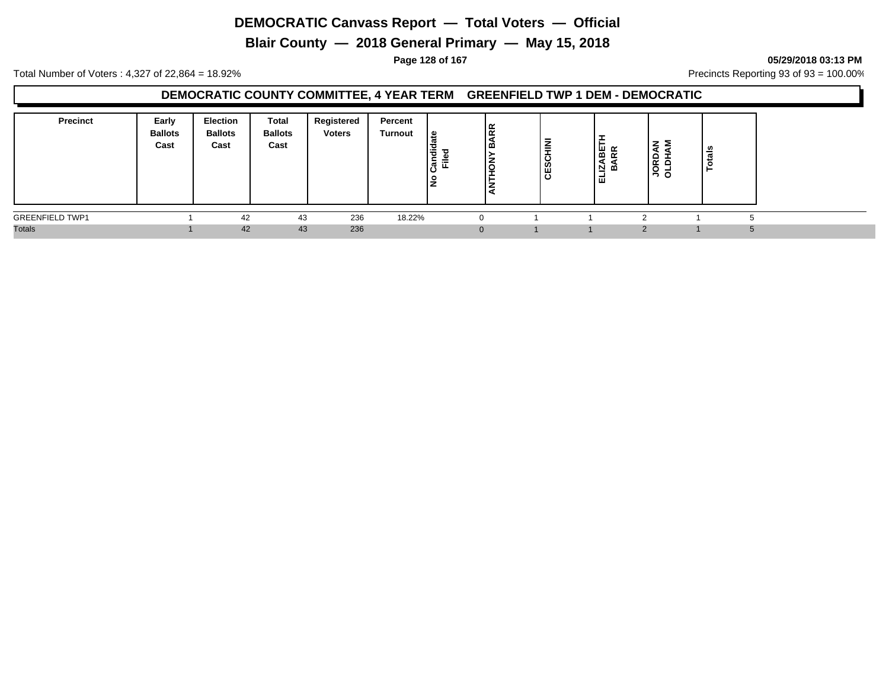**Blair County — 2018 General Primary — May 15, 2018**

**Page 128 of 167 05/29/2018 03:13 PM**

Total Number of Voters : 4,327 of 22,864 = 18.92% Precincts Reporting 93 of 93 = 100.00%

### **DEMOCRATIC COUNTY COMMITTEE, 4 YEAR TERM GREENFIELD TWP 1 DEM - DEMOCRATIC**

| <b>Precinct</b>        | Early<br><b>Ballots</b><br>Cast | <b>Election</b><br><b>Ballots</b><br>Cast | Total<br><b>Ballots</b><br>Cast | Registered<br><b>Voters</b> | Percent<br>Turnout | ு<br>١÷<br>$=$<br>►<br>ட<br>Σ.<br>o | lg<br>K<br>l m | -<br>롷<br>ــ<br>ပ<br>ທ<br>قا | ۰<br>►<br>゠<br>ਫ਼<br>⊵<br>മ<br>-<br>ш | zΣ<br>요 로<br>'후 긍 | ' ಹೆ<br>ت<br>$\circ$ |
|------------------------|---------------------------------|-------------------------------------------|---------------------------------|-----------------------------|--------------------|-------------------------------------|----------------|------------------------------|---------------------------------------|-------------------|----------------------|
| <b>GREENFIELD TWP1</b> |                                 | 42                                        | 43                              | 236                         | 18.22%             |                                     |                |                              |                                       |                   |                      |
| <b>Totals</b>          |                                 | 42                                        | 43                              | 236                         |                    |                                     |                |                              |                                       |                   | 5                    |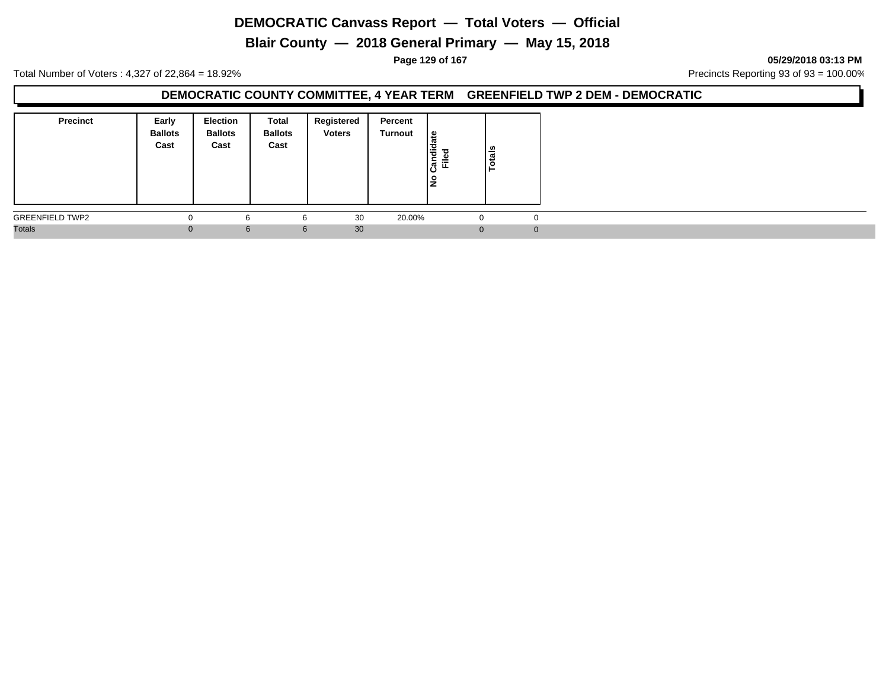**Blair County — 2018 General Primary — May 15, 2018**

**Page 129 of 167 05/29/2018 03:13 PM**

Total Number of Voters : 4,327 of 22,864 = 18.92% Precincts Reporting 93 of 93 = 100.00%

#### **DEMOCRATIC COUNTY COMMITTEE, 4 YEAR TERM GREENFIELD TWP 2 DEM - DEMOCRATIC**

| <b>Precinct</b>        | Early<br><b>Ballots</b><br>Cast | Election<br><b>Ballots</b><br>Cast | Total<br><b>Ballots</b><br>Cast | Registered<br><b>Voters</b> | Percent<br>Turnout | le<br>Candida<br>≔<br>щ<br>١ş | tais<br>∣ج |
|------------------------|---------------------------------|------------------------------------|---------------------------------|-----------------------------|--------------------|-------------------------------|------------|
| <b>GREENFIELD TWP2</b> | v                               |                                    |                                 | 30                          | 20.00%             |                               | 0          |
| <b>Totals</b>          | $\Omega$                        | 6                                  | 6                               | 30                          |                    | $\Omega$                      | $\Omega$   |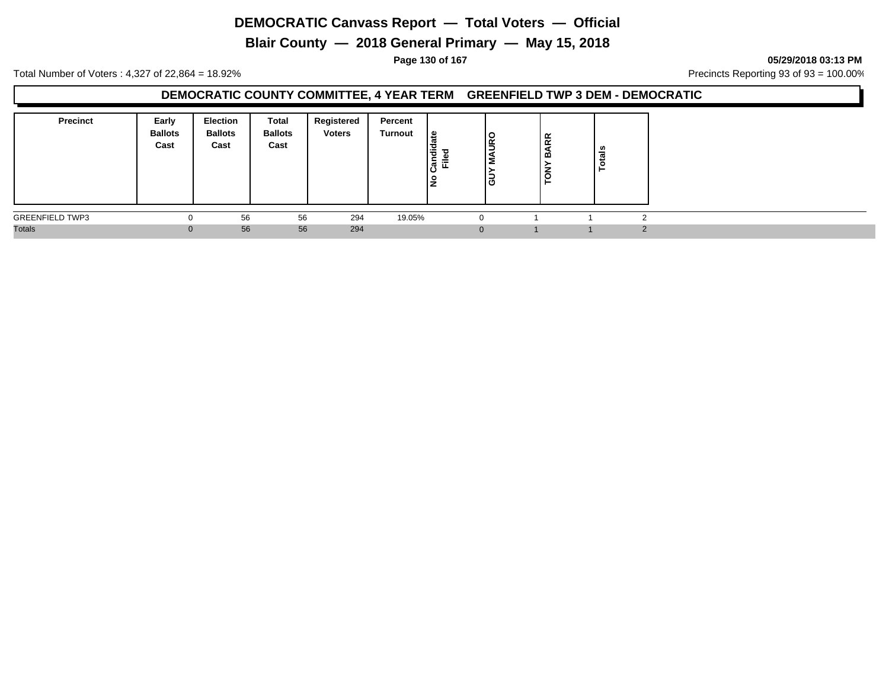**Blair County — 2018 General Primary — May 15, 2018**

**Page 130 of 167 05/29/2018 03:13 PM**

Total Number of Voters : 4,327 of 22,864 = 18.92% Precincts Reporting 93 of 93 = 100.00%

#### **DEMOCRATIC COUNTY COMMITTEE, 4 YEAR TERM GREENFIELD TWP 3 DEM - DEMOCRATIC**

| <b>Precinct</b><br>Early<br><b>Ballots</b><br>Cast | Election<br><b>Ballots</b><br>Cast | <b>Total</b><br><b>Ballots</b><br>Cast | Registered<br><b>Voters</b> | Percent<br>Turnout | 읊<br>Candid<br>Ē<br>lŁ | lg<br>-<br>ر ا | <b>ARR</b><br>മ<br>$\overline{6}$ | - 97<br>∸ |  |
|----------------------------------------------------|------------------------------------|----------------------------------------|-----------------------------|--------------------|------------------------|----------------|-----------------------------------|-----------|--|
| <b>GREENFIELD TWP3</b>                             | 56                                 | 56                                     | 294                         | 19.05%             | $\Omega$               |                |                                   |           |  |
| <b>Totals</b>                                      | 56                                 | 56                                     | 294                         |                    | $\mathbf{0}$           |                |                                   |           |  |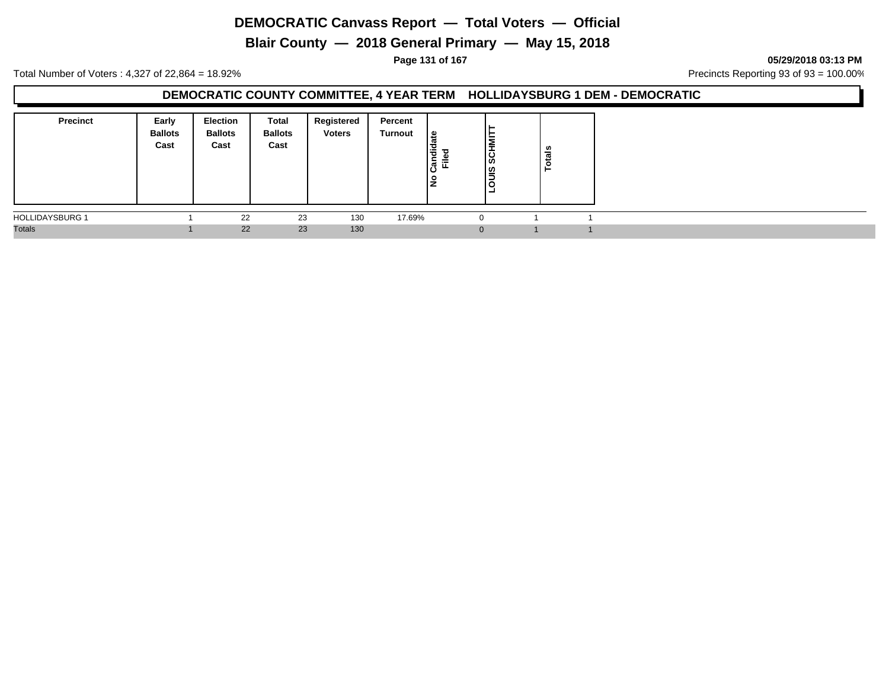**Blair County — 2018 General Primary — May 15, 2018**

**Page 131 of 167 05/29/2018 03:13 PM**

Total Number of Voters : 4,327 of 22,864 = 18.92% Precincts Reporting 93 of 93 = 100.00%

#### **DEMOCRATIC COUNTY COMMITTEE, 4 YEAR TERM HOLLIDAYSBURG 1 DEM - DEMOCRATIC**

| <b>Precinct</b>        | Early<br><b>Ballots</b><br>Cast | <b>Election</b><br><b>Ballots</b><br>Cast | Total<br><b>Ballots</b><br>Cast | Registered<br><b>Voters</b> | Percent<br>Turnout | ہ  <br>Candid<br>≔<br>щ<br>١ş | ►<br>Ī<br>۱Ø<br> ഇ<br>Ξ | <b>Totals</b> |  |
|------------------------|---------------------------------|-------------------------------------------|---------------------------------|-----------------------------|--------------------|-------------------------------|-------------------------|---------------|--|
| <b>HOLLIDAYSBURG 1</b> |                                 | 22                                        | 23                              | 130                         | 17.69%             | $\Omega$                      |                         |               |  |
| <b>Totals</b>          |                                 | 22                                        | 23                              | 130                         |                    | $\Omega$                      |                         |               |  |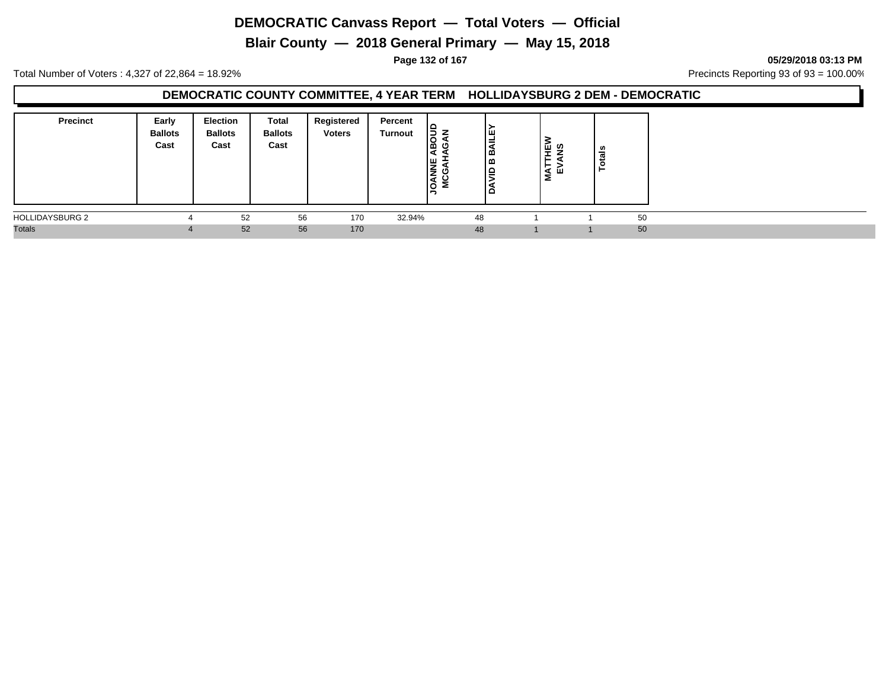**Blair County — 2018 General Primary — May 15, 2018**

**Page 132 of 167 05/29/2018 03:13 PM**

Total Number of Voters : 4,327 of 22,864 = 18.92% Precincts Reporting 93 of 93 = 100.00%

### **DEMOCRATIC COUNTY COMMITTEE, 4 YEAR TERM HOLLIDAYSBURG 2 DEM - DEMOCRATIC**

| <b>Precinct</b><br>Early<br><b>Ballots</b><br>Cast | Election<br><b>Ballots</b><br>Cast | Total<br><b>Ballots</b><br>Cast | Registered<br><b>Voters</b> | Percent<br><b>Turnout</b> | $\frac{16}{5}$ $\frac{2}{5}$<br>Ico<br><b>E</b><br>١ò<br>2 | Iш<br>=<br>∣∞<br>۱œ<br>∣≏<br>▫ | ົ⊔ ທ<br>-<br>≺ш<br>Σ | ≗  |
|----------------------------------------------------|------------------------------------|---------------------------------|-----------------------------|---------------------------|------------------------------------------------------------|--------------------------------|----------------------|----|
| <b>HOLLIDAYSBURG 2</b>                             | 52                                 | 56                              | 170                         | 32.94%                    | 48                                                         |                                |                      | 50 |
| <b>Totals</b>                                      | 52                                 | 56                              | 170                         |                           | 48                                                         |                                |                      | 50 |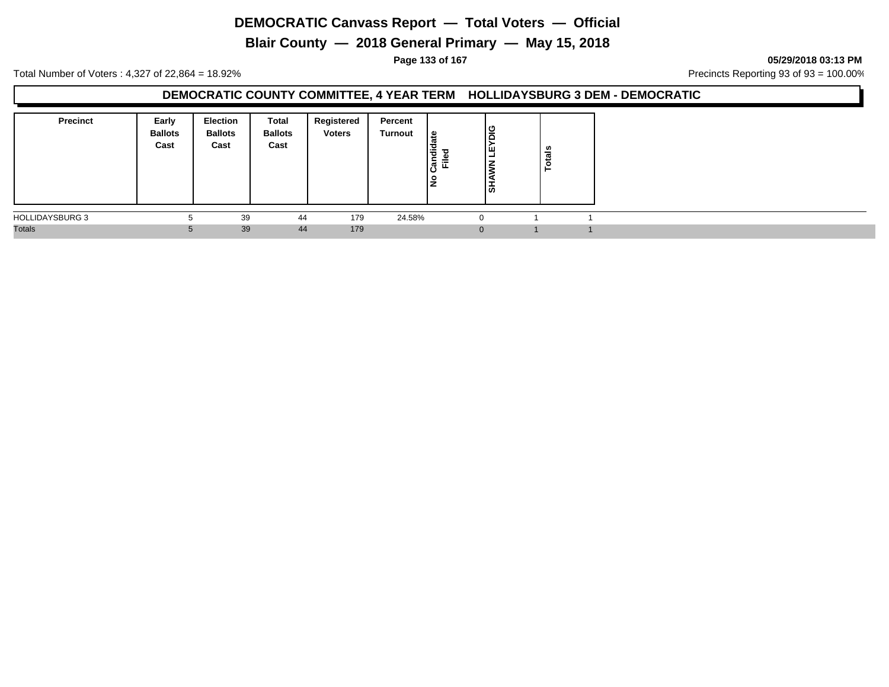**Blair County — 2018 General Primary — May 15, 2018**

**Page 133 of 167 05/29/2018 03:13 PM**

Total Number of Voters : 4,327 of 22,864 = 18.92% Precincts Reporting 93 of 93 = 100.00%

#### **DEMOCRATIC COUNTY COMMITTEE, 4 YEAR TERM HOLLIDAYSBURG 3 DEM - DEMOCRATIC**

| <b>Precinct</b>        | Early<br><b>Ballots</b><br>Cast | <b>Election</b><br><b>Ballots</b><br>Cast | Total<br><b>Ballots</b><br>Cast | Registered<br><b>Voters</b> | Percent<br>Turnout | ہ ا<br>ত<br><b>Candi</b><br>≔<br>щ<br>ັ<br>١ş | $\frac{1}{2}$<br>Iш<br>-<br>۱ऊं | Totals |  |
|------------------------|---------------------------------|-------------------------------------------|---------------------------------|-----------------------------|--------------------|-----------------------------------------------|---------------------------------|--------|--|
| <b>HOLLIDAYSBURG 3</b> | Ð                               | 39                                        | 44                              | 179                         | 24.58%             | $\Omega$                                      |                                 |        |  |
| <b>Totals</b>          | $\mathbf{b}$                    | 39                                        | 44                              | 179                         |                    | $\Omega$                                      |                                 |        |  |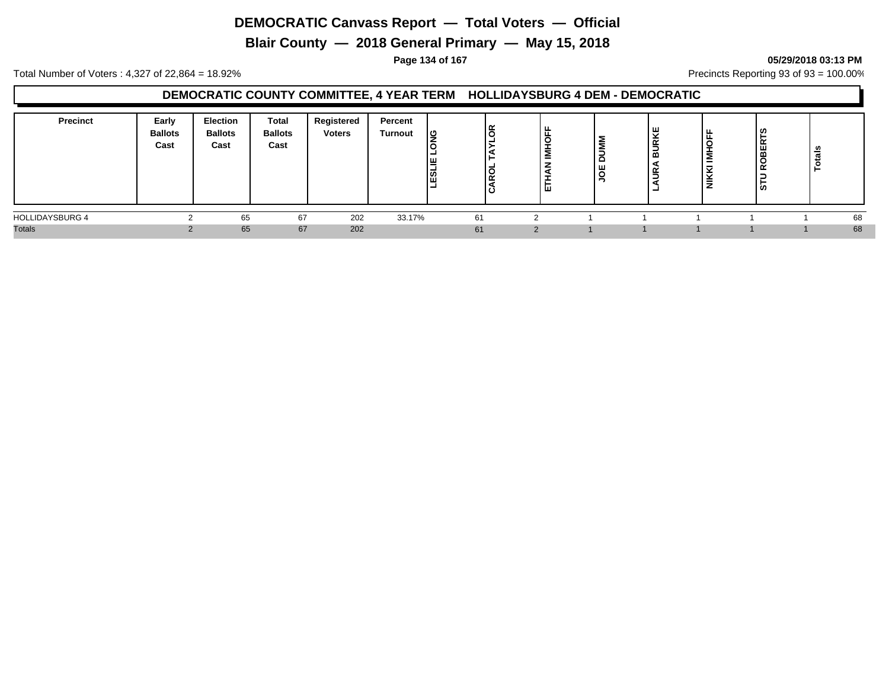**Blair County — 2018 General Primary — May 15, 2018**

**Page 134 of 167 05/29/2018 03:13 PM**

Total Number of Voters : 4,327 of 22,864 = 18.92% Precincts Reporting 93 of 93 = 100.00%

### **DEMOCRATIC COUNTY COMMITTEE, 4 YEAR TERM HOLLIDAYSBURG 4 DEM - DEMOCRATIC**

| <b>Precinct</b>        | Early<br><b>Ballots</b><br>Cast | <b>Election</b><br><b>Ballots</b><br>Cast | <b>Total</b><br><b>Ballots</b><br>Cast | Registered<br><b>Voters</b> | Percent<br><b>Turnout</b> | ပ္ခ<br>쁘<br>ESL | lg<br>lğ<br>10 | -<br>٠<br>_<br>2<br>=<br>z<br>щ | -<br>c<br>ш<br>$\overline{\phantom{0}}$<br>Ë | ய | . L<br>_<br>$\sim$<br>  ≒ | $\alpha$<br>ш<br>$\overline{\phantom{a}}$<br>≃<br>ູ່ທ | ័ត<br>ت |  |
|------------------------|---------------------------------|-------------------------------------------|----------------------------------------|-----------------------------|---------------------------|-----------------|----------------|---------------------------------|----------------------------------------------|---|---------------------------|-------------------------------------------------------|---------|--|
| <b>HOLLIDAYSBURG 4</b> |                                 | 65                                        | 67                                     | 202                         | 33.17%                    | 61              |                |                                 |                                              |   |                           |                                                       | 68      |  |
| <b>Totals</b>          |                                 | 65                                        | 67                                     | 202                         |                           | 61              |                |                                 |                                              |   |                           |                                                       | 68      |  |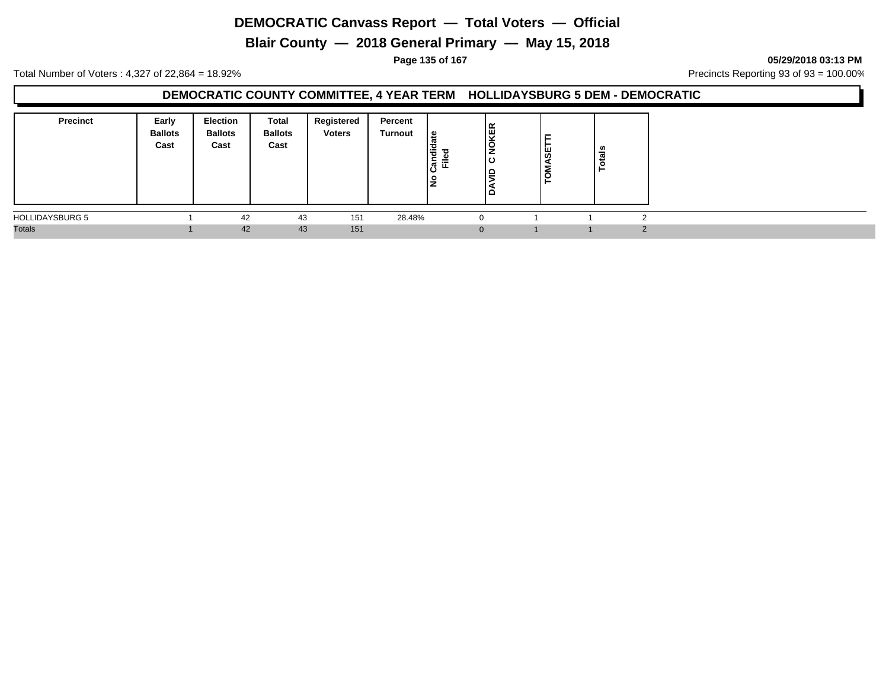**Blair County — 2018 General Primary — May 15, 2018**

**Page 135 of 167 05/29/2018 03:13 PM**

Total Number of Voters : 4,327 of 22,864 = 18.92% Precincts Reporting 93 of 93 = 100.00%

#### **DEMOCRATIC COUNTY COMMITTEE, 4 YEAR TERM HOLLIDAYSBURG 5 DEM - DEMOCRATIC**

| <b>Precinct</b><br>Early<br><b>Ballots</b><br>Cast | <b>Election</b><br><b>Ballots</b><br>Cast | Total<br><b>Ballots</b><br>Cast | Registered<br><b>Voters</b> | Percent<br>Turnout | ၊ ဗ<br>$\ddot{a}$<br>ᇃ<br>≓<br>. ም.<br>ட<br>ıΟ<br>- 9<br>∼ | KER<br>١ō<br>▭ | ASE<br>δ | ≝ |
|----------------------------------------------------|-------------------------------------------|---------------------------------|-----------------------------|--------------------|------------------------------------------------------------|----------------|----------|---|
| <b>HOLLIDAYSBURG 5</b>                             |                                           | 43<br>42                        | 151                         | 28.48%             |                                                            |                |          |   |
| <b>Totals</b>                                      |                                           | 42                              | 43<br>151                   |                    | $\Omega$                                                   |                |          |   |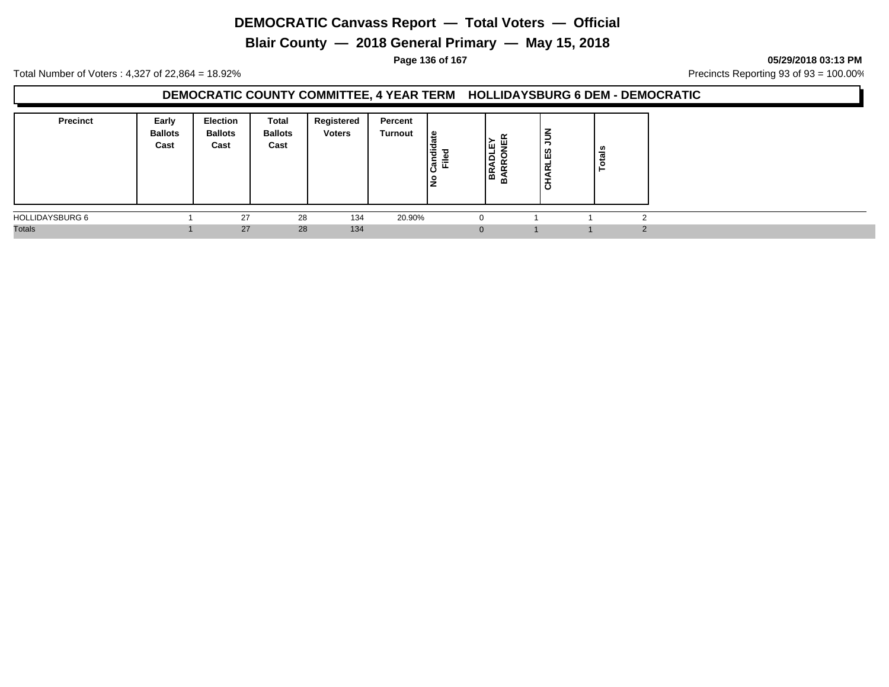**Blair County — 2018 General Primary — May 15, 2018**

**Page 136 of 167 05/29/2018 03:13 PM**

Total Number of Voters : 4,327 of 22,864 = 18.92% Precincts Reporting 93 of 93 = 100.00%

#### **DEMOCRATIC COUNTY COMMITTEE, 4 YEAR TERM HOLLIDAYSBURG 6 DEM - DEMOCRATIC**

| <b>Precinct</b> | Early<br><b>Ballots</b><br>Cast | <b>Election</b><br><b>Ballots</b><br>Cast | Total<br><b>Ballots</b><br>Cast | Registered<br><b>Voters</b> | Percent<br>Turnout | ہ ا<br>$\ddot{\vec{v}}$<br>ᇃ<br>-<br>≐<br> ಕ<br>≖<br>Ρs | ÊΚ<br>ш<br>∝<br>≃<br>ΩÓ | $\leq$<br><b>CHARLES</b> | .,<br>- |  |  |
|-----------------|---------------------------------|-------------------------------------------|---------------------------------|-----------------------------|--------------------|---------------------------------------------------------|-------------------------|--------------------------|---------|--|--|
| HOLLIDAYSBURG 6 |                                 | 27                                        | 28                              | 134                         | 20.90%             |                                                         |                         |                          |         |  |  |
| <b>Totals</b>   |                                 | 27                                        | 28                              | 134                         |                    | $\Omega$                                                |                         |                          |         |  |  |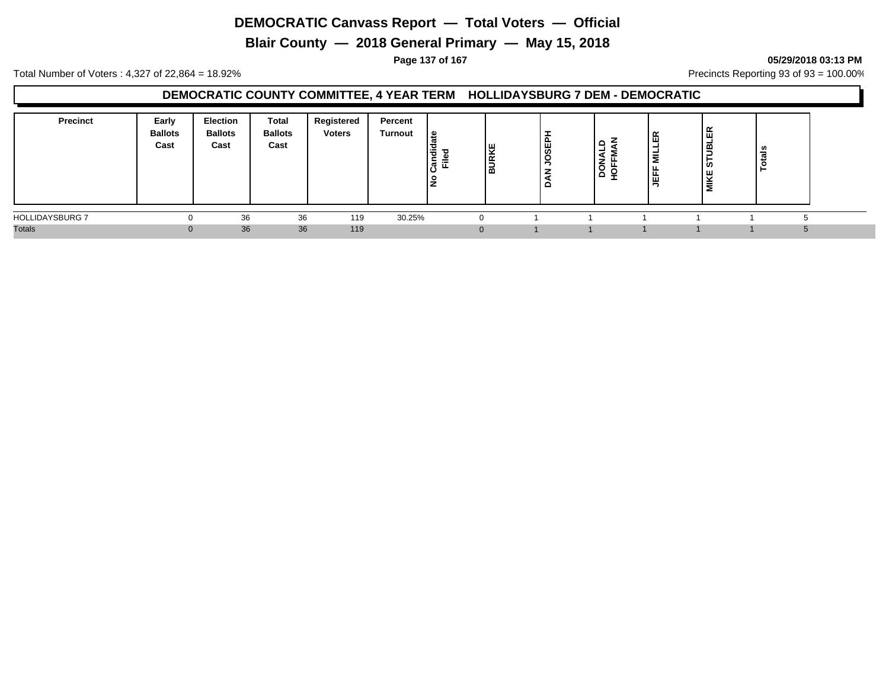**Blair County — 2018 General Primary — May 15, 2018**

#### **Page 137 of 167 05/29/2018 03:13 PM**

Total Number of Voters : 4,327 of 22,864 = 18.92% Precincts Reporting 93 of 93 = 100.00%

### **DEMOCRATIC COUNTY COMMITTEE, 4 YEAR TERM HOLLIDAYSBURG 7 DEM - DEMOCRATIC**

| <b>Precinct</b>        | Early<br><b>Ballots</b><br>Cast | Election<br><b>Ballots</b><br>Cast | Total<br><b>Ballots</b><br>Cast | Registered<br><b>Voters</b> | Percent<br><b>Turnout</b> | <b>g</b><br>ㅎ<br>$\epsilon$<br>≂<br>়লু | <b>BURKE</b> | SEF | -<br>ব<br><b>DON</b><br>POFF | ᅵᄄᅠᇤ<br>릏<br>JEFF | $\overline{\phantom{a}}$<br>w<br>$\overline{ }$ | - |  |
|------------------------|---------------------------------|------------------------------------|---------------------------------|-----------------------------|---------------------------|-----------------------------------------|--------------|-----|------------------------------|-------------------|-------------------------------------------------|---|--|
| <b>HOLLIDAYSBURG 7</b> |                                 | 36                                 | 36                              | 119                         | 30.25%                    |                                         |              |     |                              |                   |                                                 |   |  |
| <b>Totals</b>          |                                 | 36                                 | 36                              | 119                         |                           |                                         |              |     |                              |                   |                                                 |   |  |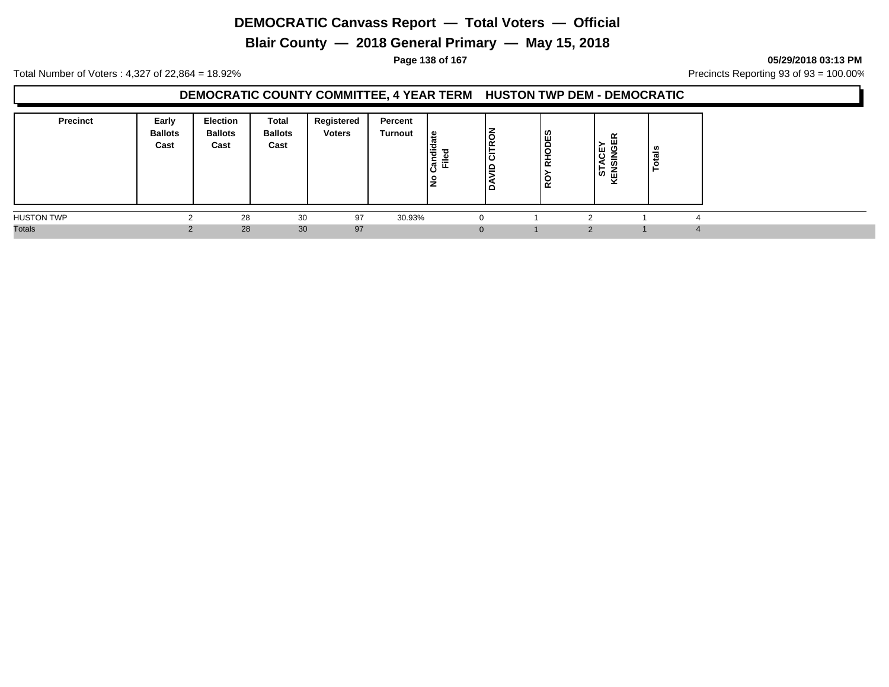**Blair County — 2018 General Primary — May 15, 2018**

**Page 138 of 167 05/29/2018 03:13 PM**

Total Number of Voters : 4,327 of 22,864 = 18.92% Precincts Reporting 93 of 93 = 100.00%

### **DEMOCRATIC COUNTY COMMITTEE, 4 YEAR TERM HUSTON TWP DEM - DEMOCRATIC**

| <b>Precinct</b>   | Early<br><b>Ballots</b><br>Cast | <b>Election</b><br><b>Ballots</b><br>Cast | Total<br><b>Ballots</b><br>Cast | Registered<br><b>Voters</b> | Percent<br>Turnout | ீ<br>$\ddot{a}$<br>ъ<br>-<br>≓<br>ျဖိဳ<br>щ<br>읔<br>▴ | $\overline{\phantom{a}}$<br>lõ<br>١œ<br>-<br>$\overline{\phantom{a}}$<br>10.<br>∣≏<br>-<br>▫ | ဖာ<br>$rac{1}{2}$<br>÷<br>ᄒ<br>o<br>$\alpha$ | œ<br>ш<br>. ><br><b>ED</b><br>∠<br>-<br>ഗ<br>ဖ် ကြ<br>◡ | ∸ |  |
|-------------------|---------------------------------|-------------------------------------------|---------------------------------|-----------------------------|--------------------|-------------------------------------------------------|----------------------------------------------------------------------------------------------|----------------------------------------------|---------------------------------------------------------|---|--|
| <b>HUSTON TWP</b> |                                 | 28                                        | 30                              | 97                          | 30.93%             |                                                       | $\Omega$                                                                                     |                                              |                                                         |   |  |
| <b>Totals</b>     |                                 | 28                                        | 30                              | 97                          |                    |                                                       | $\mathbf{0}$                                                                                 |                                              |                                                         |   |  |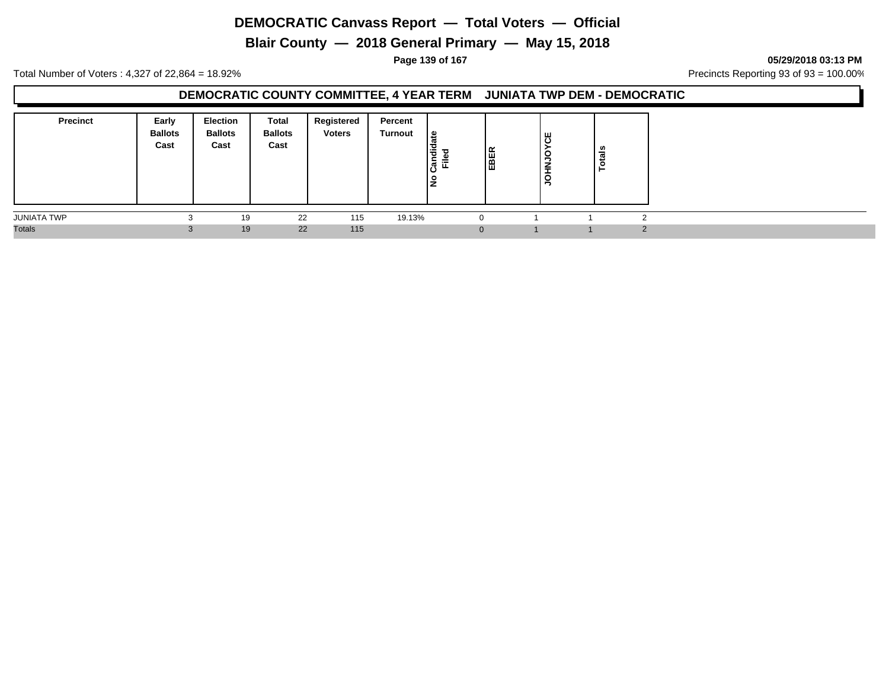**Blair County — 2018 General Primary — May 15, 2018**

**Page 139 of 167 05/29/2018 03:13 PM**

Total Number of Voters : 4,327 of 22,864 = 18.92% Precincts Reporting 93 of 93 = 100.00%

#### **DEMOCRATIC COUNTY COMMITTEE, 4 YEAR TERM JUNIATA TWP DEM - DEMOCRATIC**

| <b>Precinct</b>    | Early<br><b>Ballots</b><br>Cast | <b>Election</b><br><b>Ballots</b><br>Cast | Total<br><b>Ballots</b><br>Cast | Registered<br><b>Voters</b> | Percent<br>Turnout | ہ ا<br>ੌਰ<br>. ㅎ<br>⋍<br>اڻ<br>ட<br>١ş | EBER | უ<br>ს<br><b>OCNHOC</b> | ≝ |        |
|--------------------|---------------------------------|-------------------------------------------|---------------------------------|-----------------------------|--------------------|----------------------------------------|------|-------------------------|---|--------|
| <b>JUNIATA TWP</b> | $\sqrt{2}$                      | 19                                        | 22                              | 115                         | 19.13%             |                                        |      |                         |   |        |
| <b>Totals</b>      | $\sim$<br>.C                    | 19                                        | 22                              | 115                         |                    | 0                                      |      |                         |   | $\sim$ |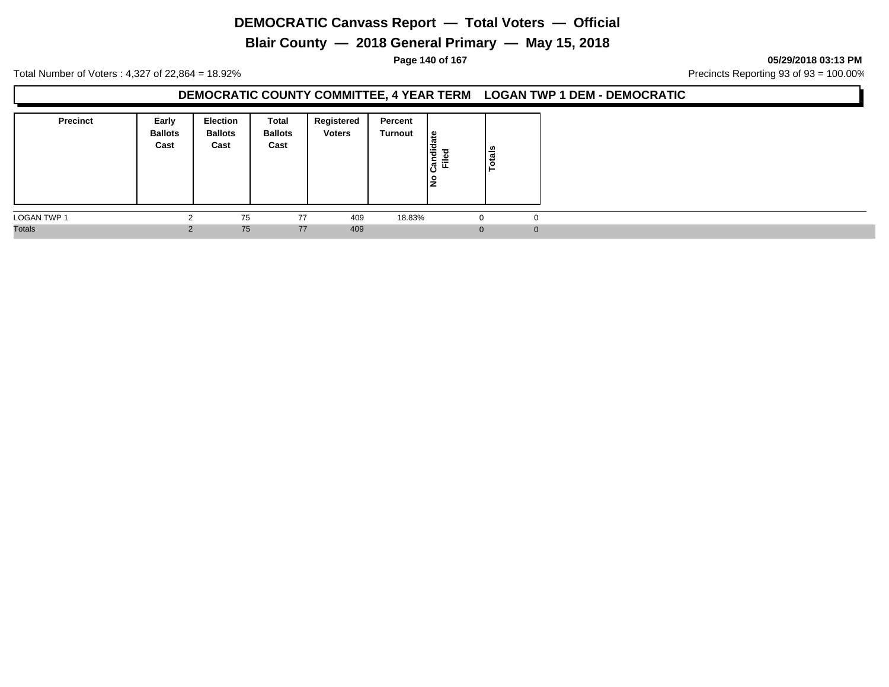**Blair County — 2018 General Primary — May 15, 2018**

**Page 140 of 167 05/29/2018 03:13 PM**

Total Number of Voters : 4,327 of 22,864 = 18.92% Precincts Reporting 93 of 93 = 100.00%

#### **DEMOCRATIC COUNTY COMMITTEE, 4 YEAR TERM LOGAN TWP 1 DEM - DEMOCRATIC**

| <b>Precinct</b>    | Early<br><b>Ballots</b><br>Cast | <b>Election</b><br><b>Ballots</b><br>Cast | Total<br><b>Ballots</b><br>Cast | Registered<br><b>Voters</b> | Percent<br>Turnout | Candidate<br>$=$<br>щ.<br>lş | tais<br>ق   |
|--------------------|---------------------------------|-------------------------------------------|---------------------------------|-----------------------------|--------------------|------------------------------|-------------|
| <b>LOGAN TWP 1</b> |                                 | 75                                        | 77                              | 409                         | 18.83%             | -0                           | $\mathbf 0$ |
| <b>Totals</b>      | $\sim$                          | 75                                        | 77                              | 409                         |                    | $\Omega$                     | $\Omega$    |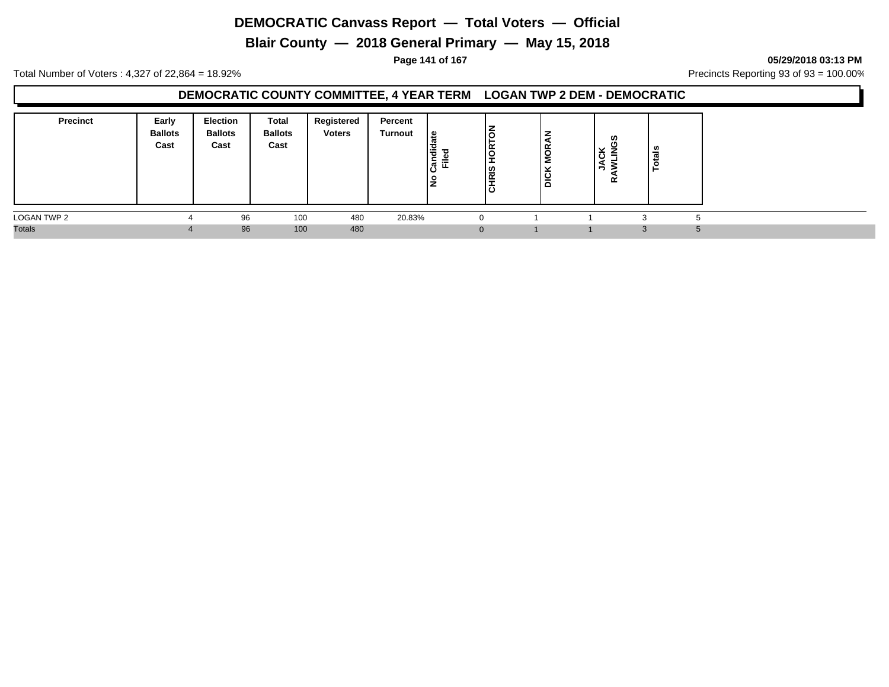**Blair County — 2018 General Primary — May 15, 2018**

**Page 141 of 167 05/29/2018 03:13 PM**

Total Number of Voters : 4,327 of 22,864 = 18.92% Precincts Reporting 93 of 93 = 100.00%

### **DEMOCRATIC COUNTY COMMITTEE, 4 YEAR TERM LOGAN TWP 2 DEM - DEMOCRATIC**

| <b>Precinct</b> | Early<br><b>Ballots</b><br>Cast | <b>Election</b><br><b>Ballots</b><br>Cast | <b>Total</b><br><b>Ballots</b><br>Cast | Registered<br><b>Voters</b> | Percent<br><b>Turnout</b> | e<br>Candid<br>Ě<br>١ş | ١ā<br>∣∝<br>o<br>-<br>-<br>l≌<br>$\overline{\phantom{0}}$<br>ا ة | ŏ<br>Σ<br>◡<br>ig<br>Dio | ဖာ<br>×<br>உ<br>$\overline{\cdot}$<br>-<br>∼<br>-<br>α | -  |  |
|-----------------|---------------------------------|-------------------------------------------|----------------------------------------|-----------------------------|---------------------------|------------------------|------------------------------------------------------------------|--------------------------|--------------------------------------------------------|----|--|
| LOGAN TWP 2     |                                 | 96                                        | 100                                    | 480                         | 20.83%                    |                        | $\Omega$                                                         |                          |                                                        |    |  |
| <b>Totals</b>   |                                 | 96                                        | 100                                    | 480                         |                           |                        | $\mathbf{0}$                                                     |                          |                                                        | -0 |  |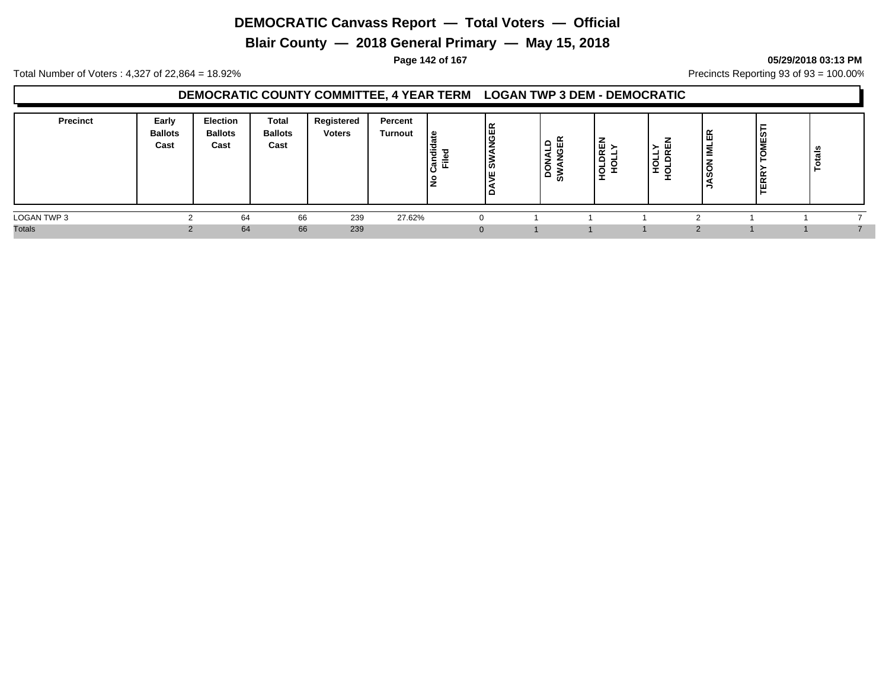**Blair County — 2018 General Primary — May 15, 2018**

#### **Page 142 of 167 05/29/2018 03:13 PM**

Total Number of Voters : 4,327 of 22,864 = 18.92% Precincts Reporting 93 of 93 = 100.00%

#### **DEMOCRATIC COUNTY COMMITTEE, 4 YEAR TERM LOGAN TWP 3 DEM - DEMOCRATIC**

| <b>Precinct</b> | Early<br><b>Ballots</b><br>Cast | <b>Election</b><br><b>Ballots</b><br>Cast | <b>Total</b><br><b>Ballots</b><br>Cast | Registered<br><b>Voters</b> | Percent<br><b>Turnout</b> | ی ا<br><br>ਰ<br>ចិ<br>≂<br>ட | <b>JGER</b><br>ျဖ<br>Iш<br>10 | - | 画<br>$\tilde{}$<br>c<br>-<br>$\circ$<br>- | ш<br>$\sim$<br>-<br>-<br>_ | 画<br>$\sim$<br>-C | Σ<br>$\alpha$<br>$\alpha$<br>$\ddot{\phantom{0}}$ | ឹ<br>-<br>− |  |
|-----------------|---------------------------------|-------------------------------------------|----------------------------------------|-----------------------------|---------------------------|------------------------------|-------------------------------|---|-------------------------------------------|----------------------------|-------------------|---------------------------------------------------|-------------|--|
| LOGAN TWP 3     |                                 | 64                                        | 66                                     | 239                         | 27.62%                    |                              |                               |   |                                           |                            |                   |                                                   |             |  |
| <b>Totals</b>   |                                 | 64                                        | 66                                     | 239                         |                           |                              |                               |   |                                           |                            |                   |                                                   |             |  |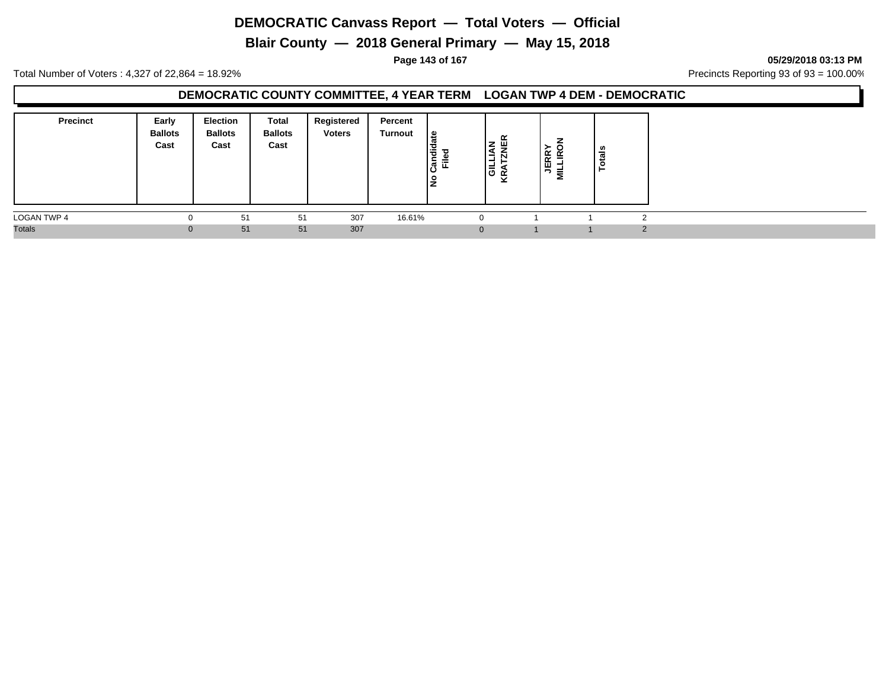**Blair County — 2018 General Primary — May 15, 2018**

**Page 143 of 167 05/29/2018 03:13 PM**

Total Number of Voters : 4,327 of 22,864 = 18.92% Precincts Reporting 93 of 93 = 100.00%

#### **DEMOCRATIC COUNTY COMMITTEE, 4 YEAR TERM LOGAN TWP 4 DEM - DEMOCRATIC**

| <b>Precinct</b> | Early<br><b>Ballots</b><br>Cast | <b>Election</b><br><b>Ballots</b><br>Cast | <b>Total</b><br><b>Ballots</b><br>Cast | Registered<br><b>Voters</b> | Percent<br>Turnout | ہ ا<br>۱ë<br>$\mathbf{L}$<br>∣ອໍ້ ≖ື<br>١ş | $\alpha$<br>$\mathbf{z}$<br>ш<br>$\overline{\phantom{0}}$<br>א טו<br>⊻ | <b>JERR</b><br>n<br>-<br>Σ | ឹ<br><b>.</b> |               |
|-----------------|---------------------------------|-------------------------------------------|----------------------------------------|-----------------------------|--------------------|--------------------------------------------|------------------------------------------------------------------------|----------------------------|---------------|---------------|
| LOGAN TWP 4     |                                 | 51                                        | 51                                     | 307                         | 16.61%             |                                            | 0                                                                      |                            |               | $\sqrt{2}$    |
| <b>Totals</b>   |                                 | 51                                        | 51                                     | 307                         |                    |                                            | $\mathbf{0}$                                                           |                            |               | $\Omega$<br>L |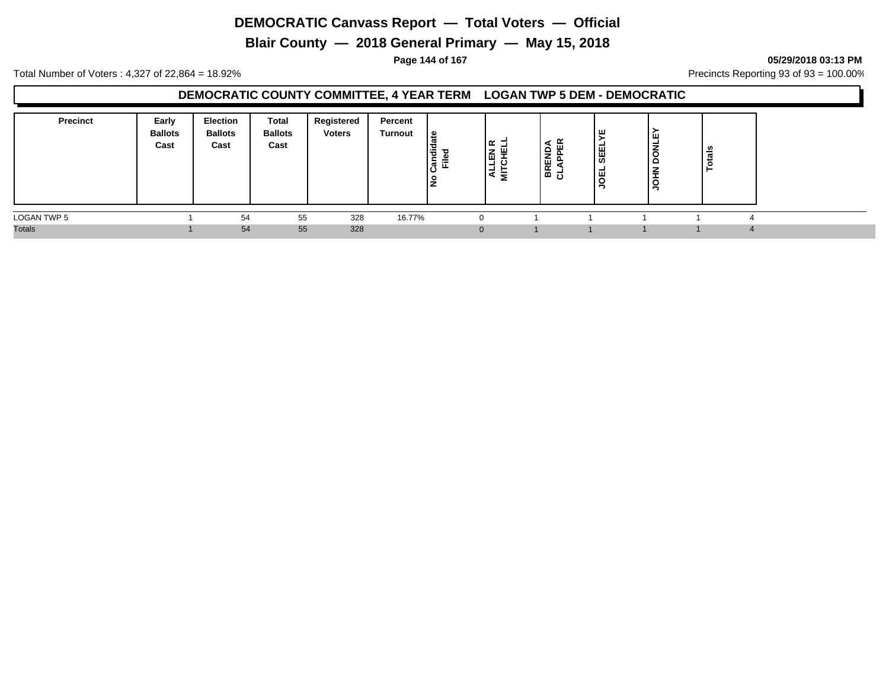**Blair County — 2018 General Primary — May 15, 2018**

**Page 144 of 167 05/29/2018 03:13 PM**

Total Number of Voters : 4,327 of 22,864 = 18.92% Precincts Reporting 93 of 93 = 100.00%

### **DEMOCRATIC COUNTY COMMITTEE, 4 YEAR TERM LOGAN TWP 5 DEM - DEMOCRATIC**

| <b>Precinct</b> | Early<br><b>Ballots</b><br>Cast | Election<br><b>Ballots</b><br>Cast | Total<br><b>Ballots</b><br>Cast | Registered<br><b>Voters</b> | Percent<br>Turnout | ہ ا<br>も<br>ᇃ<br>≔<br>$\mathbf{r}$<br>ட<br>ıΟ<br>-<br>- | œ<br>⇁<br>쁘<br>ا ت<br>-<br>ᄛ<br>a. | -<br>z<br>ш<br>15 명 | ۱ш.<br><b>SEEL</b><br>ا ⊑ا<br>. U | Lщ<br>¥<br>c<br>≏<br>≑<br>$\vec{S}$ | ਨੌਂ<br>تو |  |
|-----------------|---------------------------------|------------------------------------|---------------------------------|-----------------------------|--------------------|---------------------------------------------------------|------------------------------------|---------------------|-----------------------------------|-------------------------------------|-----------|--|
| LOGAN TWP 5     |                                 | 54                                 | 55                              | 328                         | 16.77%             |                                                         |                                    |                     |                                   |                                     |           |  |
| <b>Totals</b>   |                                 | 54                                 | 55                              | 328                         |                    |                                                         | $\Omega$                           |                     |                                   |                                     |           |  |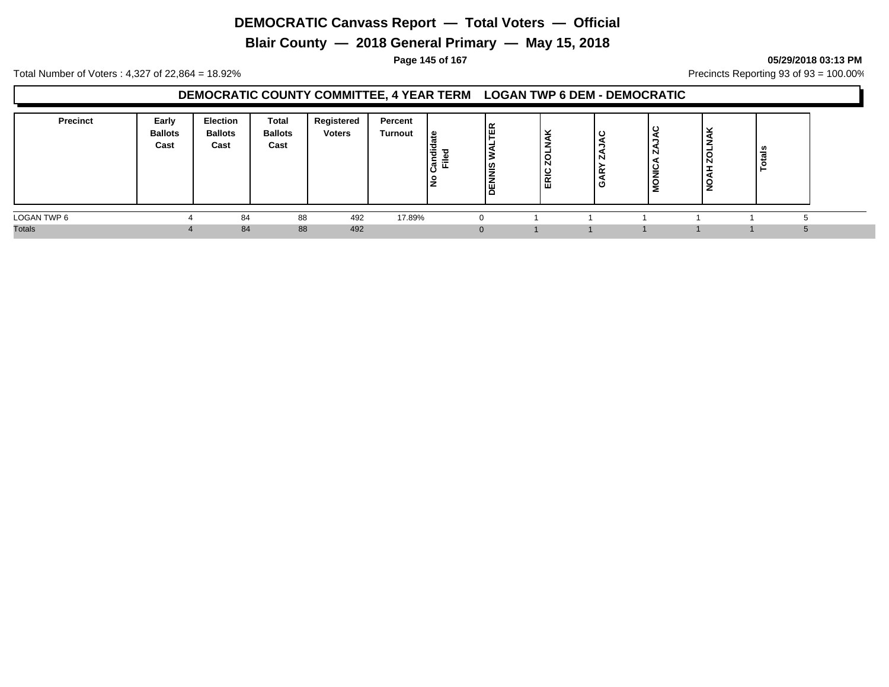**Blair County — 2018 General Primary — May 15, 2018**

**Page 145 of 167 05/29/2018 03:13 PM**

Total Number of Voters : 4,327 of 22,864 = 18.92% Precincts Reporting 93 of 93 = 100.00%

### **DEMOCRATIC COUNTY COMMITTEE, 4 YEAR TERM LOGAN TWP 6 DEM - DEMOCRATIC**

| <b>Precinct</b> | Early<br><b>Ballots</b><br>Cast | Election<br><b>Ballots</b><br>Cast | <b>Total</b><br><b>Ballots</b><br>Cast | Registered<br><b>Voters</b> | Percent<br><b>Turnout</b> | உ<br>ibus:<br>辵 | <b>TER</b><br><b>DENNIS</b> | $\checkmark$<br>- 35<br>N<br>ີ<br>-<br>띥 | N<br>≃<br>' ပ | c<br>N<br>MONIC, | ີ<br>⊾<br>Ñ | - |  |
|-----------------|---------------------------------|------------------------------------|----------------------------------------|-----------------------------|---------------------------|-----------------|-----------------------------|------------------------------------------|---------------|------------------|-------------|---|--|
| LOGAN TWP 6     |                                 | 84                                 | 88                                     | 492                         | 17.89%                    |                 |                             |                                          |               |                  |             |   |  |
| <b>Totals</b>   |                                 | 84                                 | 88                                     | 492                         |                           |                 |                             |                                          |               |                  |             |   |  |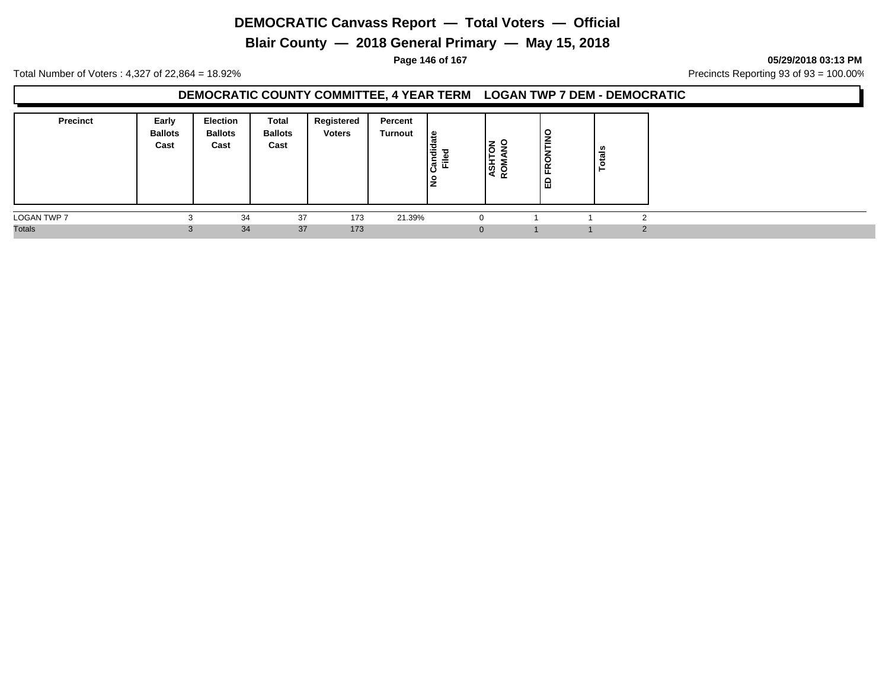**Blair County — 2018 General Primary — May 15, 2018**

**Page 146 of 167 05/29/2018 03:13 PM**

Total Number of Voters : 4,327 of 22,864 = 18.92% Precincts Reporting 93 of 93 = 100.00%

### **DEMOCRATIC COUNTY COMMITTEE, 4 YEAR TERM LOGAN TWP 7 DEM - DEMOCRATIC**

| <b>Precinct</b>    | Early<br><b>Ballots</b><br>Cast | Election<br><b>Ballots</b><br>Cast | <b>Total</b><br><b>Ballots</b><br>Cast | Registered<br><b>Voters</b> | Percent<br>Turnout | $\mathbf{e}$<br>Candi<br>Filed<br>ے | I롱 용<br>इं है | $\frac{8}{10}$<br><b>RON</b><br>品 | ឹ |          |
|--------------------|---------------------------------|------------------------------------|----------------------------------------|-----------------------------|--------------------|-------------------------------------|---------------|-----------------------------------|---|----------|
| <b>LOGAN TWP 7</b> |                                 | 34                                 | 37                                     | 173                         | 21.39%             | 0                                   |               |                                   |   |          |
| <b>Totals</b>      |                                 | 34                                 | 37                                     | 173                         |                    | $\mathbf{0}$                        |               |                                   |   | $\Omega$ |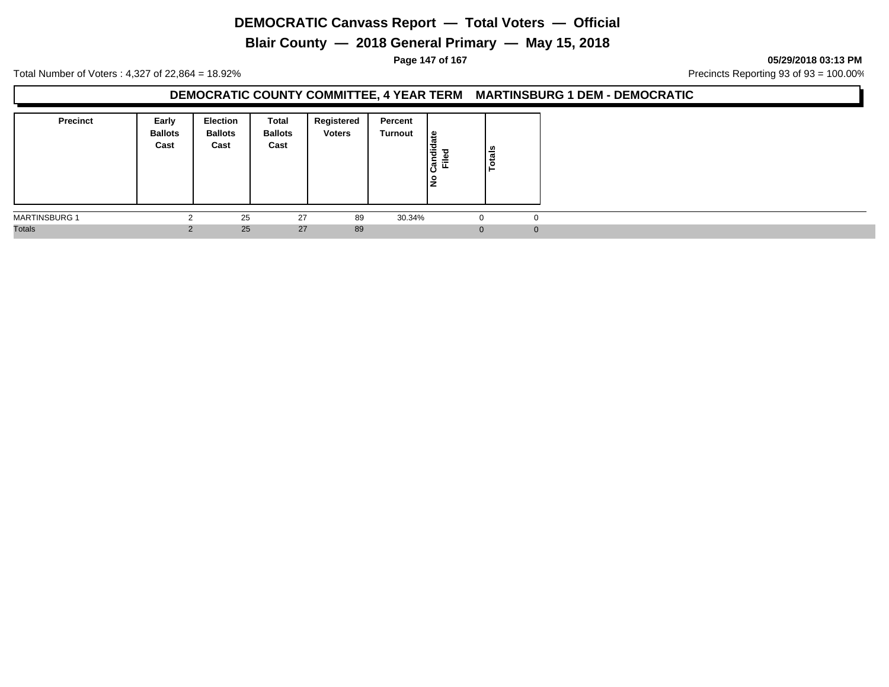**Blair County — 2018 General Primary — May 15, 2018**

**Page 147 of 167 05/29/2018 03:13 PM**

Total Number of Voters : 4,327 of 22,864 = 18.92% Precincts Reporting 93 of 93 = 100.00%

### **DEMOCRATIC COUNTY COMMITTEE, 4 YEAR TERM MARTINSBURG 1 DEM - DEMOCRATIC**

| <b>Precinct</b>      | Early<br><b>Ballots</b><br>Cast | Election<br><b>Ballots</b><br>Cast | Total<br><b>Ballots</b><br>Cast | Registered<br><b>Voters</b> | Percent<br>Turnout | ی ا<br>Candida<br>ு<br>≔<br><u>ع</u> | Totals |  |
|----------------------|---------------------------------|------------------------------------|---------------------------------|-----------------------------|--------------------|--------------------------------------|--------|--|
| <b>MARTINSBURG 1</b> |                                 | 25                                 | 27                              | 89                          | 30.34%             |                                      |        |  |
| <b>Totals</b>        |                                 | 25                                 | 27                              | 89                          |                    |                                      |        |  |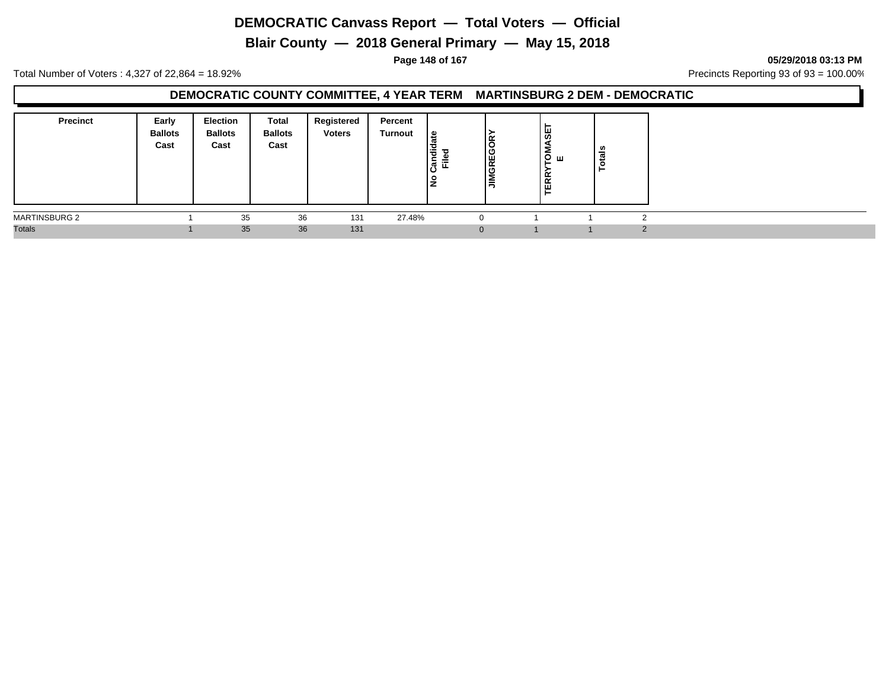**Blair County — 2018 General Primary — May 15, 2018**

**Page 148 of 167 05/29/2018 03:13 PM**

Total Number of Voters : 4,327 of 22,864 = 18.92% Precincts Reporting 93 of 93 = 100.00%

### **DEMOCRATIC COUNTY COMMITTEE, 4 YEAR TERM MARTINSBURG 2 DEM - DEMOCRATIC**

| <b>Precinct</b>      | Early<br><b>Ballots</b><br>Cast | <b>Election</b><br><b>Ballots</b><br>Cast | Total<br><b>Ballots</b><br>Cast | Registered<br><b>Voters</b> | Percent<br>Turnout | ہ  <br>も<br>ъ<br>≓<br>. ო.<br>ட<br>ıΟ<br>. 우<br>▴ | Ιš<br>GREG<br>lΞ | <b>OMASE<br/>E</b><br><b>ERR</b> | ៉ូទី |  |
|----------------------|---------------------------------|-------------------------------------------|---------------------------------|-----------------------------|--------------------|---------------------------------------------------|------------------|----------------------------------|------|--|
| <b>MARTINSBURG 2</b> |                                 | 35                                        | 36                              | 131                         | 27.48%             |                                                   |                  |                                  |      |  |
| <b>Totals</b>        |                                 | 35                                        | 36                              | 131                         |                    |                                                   | $\Omega$         |                                  |      |  |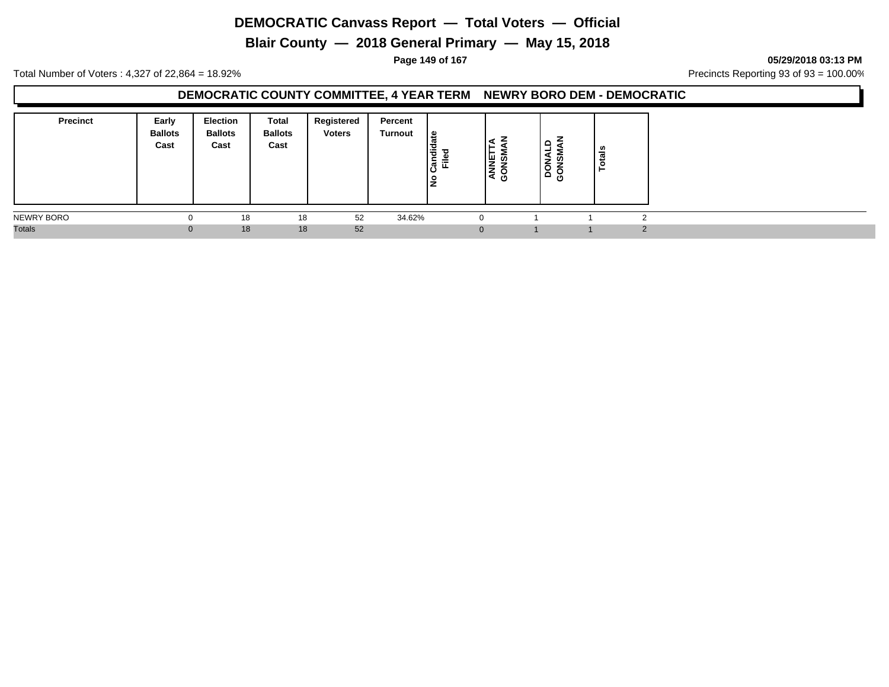**Blair County — 2018 General Primary — May 15, 2018**

**Page 149 of 167 05/29/2018 03:13 PM**

Total Number of Voters : 4,327 of 22,864 = 18.92% Precincts Reporting 93 of 93 = 100.00%

### **DEMOCRATIC COUNTY COMMITTEE, 4 YEAR TERM NEWRY BORO DEM - DEMOCRATIC**

| <b>Precinct</b> | Early<br><b>Ballots</b><br>Cast | <b>Election</b><br><b>Ballots</b><br>Cast | <b>Total</b><br><b>Ballots</b><br>Cast | Registered<br><b>Voters</b> | Percent<br>Turnout | ate<br>ibna;<br>Ē.<br>۽ | <b>ISNO</b><br>$\mathbf{A}$<br>ט | $\Omega$<br>ᆜ<br><b>SOLUTE</b> | ៖<br>- 11 |            |
|-----------------|---------------------------------|-------------------------------------------|----------------------------------------|-----------------------------|--------------------|-------------------------|----------------------------------|--------------------------------|-----------|------------|
| NEWRY BORO      |                                 | 18                                        | 18                                     | 52                          | 34.62%             | 0                       |                                  |                                |           | $\sqrt{2}$ |
| <b>Totals</b>   | υ                               | 18                                        | 18                                     | 52                          |                    | $\mathbf{0}$            |                                  |                                |           | 2          |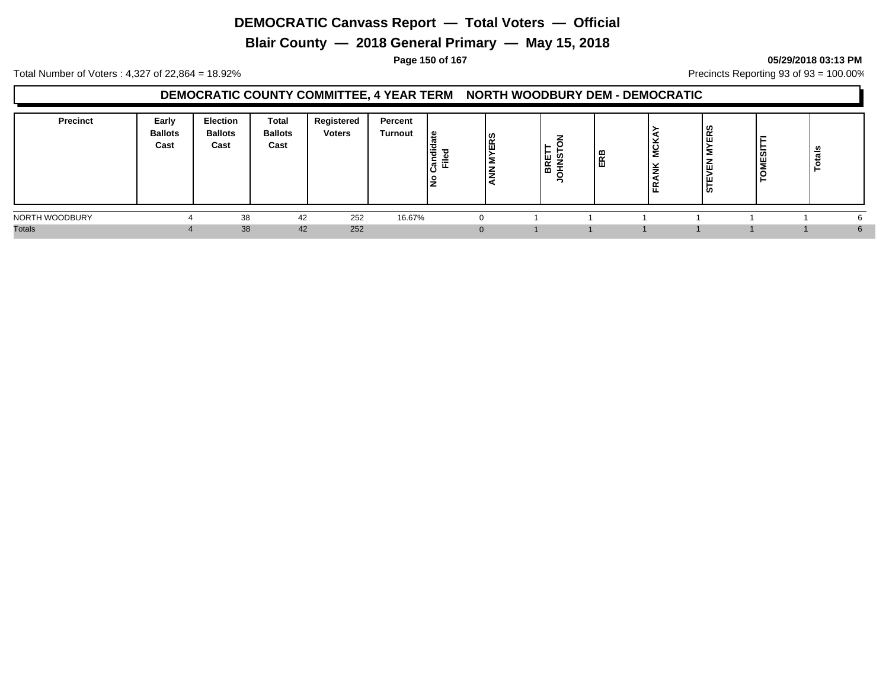**Blair County — 2018 General Primary — May 15, 2018**

### **Page 150 of 167 05/29/2018 03:13 PM**

Total Number of Voters : 4,327 of 22,864 = 18.92% Precincts Reporting 93 of 93 = 100.00%

### **DEMOCRATIC COUNTY COMMITTEE, 4 YEAR TERM NORTH WOODBURY DEM - DEMOCRATIC**

| <b>Precinct</b><br><b>Total</b><br><b>Election</b><br>Early<br><b>Ballots</b><br><b>Ballots</b><br><b>Ballots</b><br>Cast<br>Cast<br>Cast | Registered<br>Percent<br><b>Voters</b><br><b>Turnout</b> | ی ا<br>ERS<br>١÷<br>-<br><u>—</u><br>ı 2<br>ΙŠ | മ<br>띲<br>$\propto$<br>. a | ဟ<br>$\overline{\phantom{a}}$<br>ட<br>ப<br>, ய<br>αن≀ | ៖<br>ø<br>تسه<br>뿓<br>ှို<br>ີ |  |
|-------------------------------------------------------------------------------------------------------------------------------------------|----------------------------------------------------------|------------------------------------------------|----------------------------|-------------------------------------------------------|--------------------------------|--|
| NORTH WOODBURY<br>38                                                                                                                      | 42<br>252<br>16.67%                                      |                                                |                            |                                                       |                                |  |
| <b>Totals</b><br>38                                                                                                                       | 252<br>42                                                |                                                |                            |                                                       |                                |  |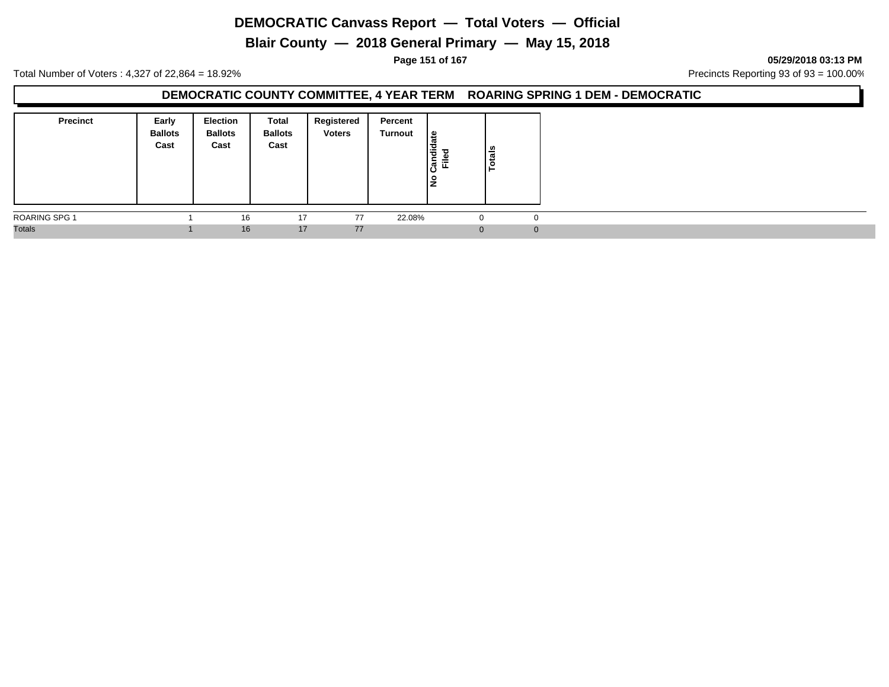**Blair County — 2018 General Primary — May 15, 2018**

**Page 151 of 167 05/29/2018 03:13 PM**

Total Number of Voters : 4,327 of 22,864 = 18.92% Precincts Reporting 93 of 93 = 100.00%

### **DEMOCRATIC COUNTY COMMITTEE, 4 YEAR TERM ROARING SPRING 1 DEM - DEMOCRATIC**

| <b>Precinct</b> | Early<br><b>Ballots</b><br>Cast | <b>Election</b><br><b>Ballots</b><br>Cast | Total<br><b>Ballots</b><br>Cast | Registered<br><b>Voters</b> | Percent<br>Turnout | ١e<br>Candida<br>$=$<br><u>ع</u> | $\frac{1}{2}$<br>$\ddot{\mathbf{c}}$ |  |
|-----------------|---------------------------------|-------------------------------------------|---------------------------------|-----------------------------|--------------------|----------------------------------|--------------------------------------|--|
| ROARING SPG 1   |                                 | 16                                        | 17                              | 77                          | 22.08%             |                                  |                                      |  |
| <b>Totals</b>   |                                 | 16                                        | 17                              | 77                          |                    |                                  |                                      |  |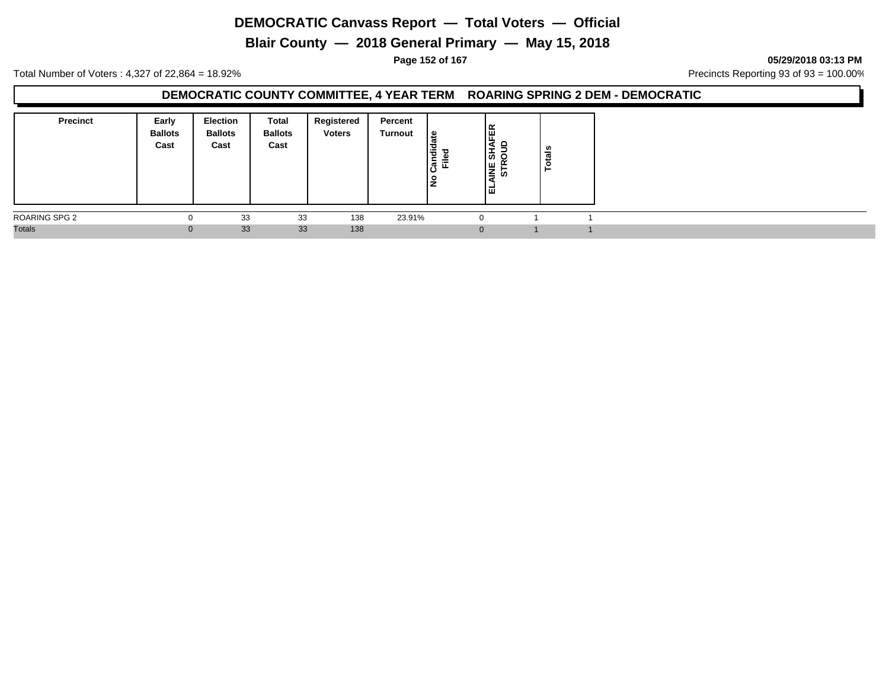**Blair County — 2018 General Primary — May 15, 2018**

**Page 152 of 167 05/29/2018 03:13 PM**

Total Number of Voters : 4,327 of 22,864 = 18.92% Precincts Reporting 93 of 93 = 100.00%

### **DEMOCRATIC COUNTY COMMITTEE, 4 YEAR TERM ROARING SPRING 2 DEM - DEMOCRATIC**

| <b>Precinct</b> | Early<br><b>Ballots</b><br>Cast | <b>Election</b><br><b>Ballots</b><br>Cast | Total<br><b>Ballots</b><br>Cast | Registered<br><b>Voters</b> | Percent<br>Turnout | ہ  <br>Candid<br>≔<br>ட<br>$\frac{1}{2}$ | SHAFER<br><b>SOUD</b><br>일발<br>ا تتا | ំខេ<br>$\circ$ |  |
|-----------------|---------------------------------|-------------------------------------------|---------------------------------|-----------------------------|--------------------|------------------------------------------|--------------------------------------|----------------|--|
| ROARING SPG 2   | 0                               | 33                                        | 33                              | 138                         | 23.91%             |                                          | $\Omega$                             |                |  |
| <b>Totals</b>   | $\bf{0}$                        | 33                                        | 33                              | 138                         |                    |                                          | $\Omega$                             |                |  |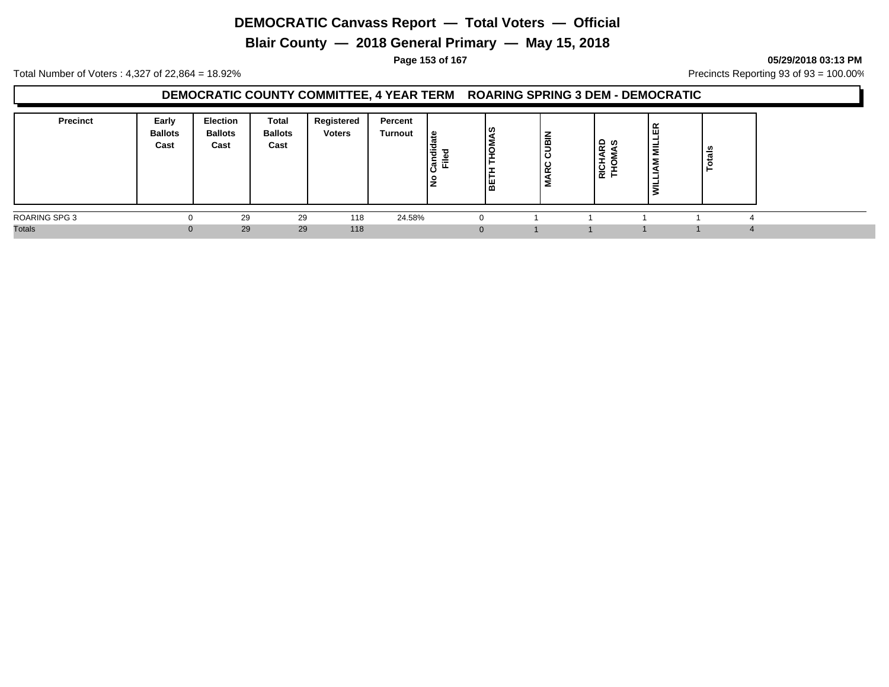**Blair County — 2018 General Primary — May 15, 2018**

**Page 153 of 167 05/29/2018 03:13 PM**

Total Number of Voters : 4,327 of 22,864 = 18.92% Precincts Reporting 93 of 93 = 100.00%

### **DEMOCRATIC COUNTY COMMITTEE, 4 YEAR TERM ROARING SPRING 3 DEM - DEMOCRATIC**

| <b>Precinct</b>      | Early<br><b>Ballots</b><br>Cast | Election<br><b>Ballots</b><br>Cast | Total<br><b>Ballots</b><br>Cast | Registered<br><b>Voters</b> | Percent<br>Turnout | ≅ ا<br>亏<br>᠇<br>⋍<br>∽<br>ட | ၊ ဟ<br>آ≅ا | CUBIN<br>L<br>œ<br>Σ | <b>Q 2</b><br>-<br>로 중 | 띥<br>-<br>≡ | ਨ<br>− |
|----------------------|---------------------------------|------------------------------------|---------------------------------|-----------------------------|--------------------|------------------------------|------------|----------------------|------------------------|-------------|--------|
| <b>ROARING SPG 3</b> |                                 | 29                                 | 29                              | 118                         | 24.58%             |                              |            |                      |                        |             |        |
| <b>Totals</b>        |                                 | 29                                 | 29                              | 118                         |                    |                              |            |                      |                        |             |        |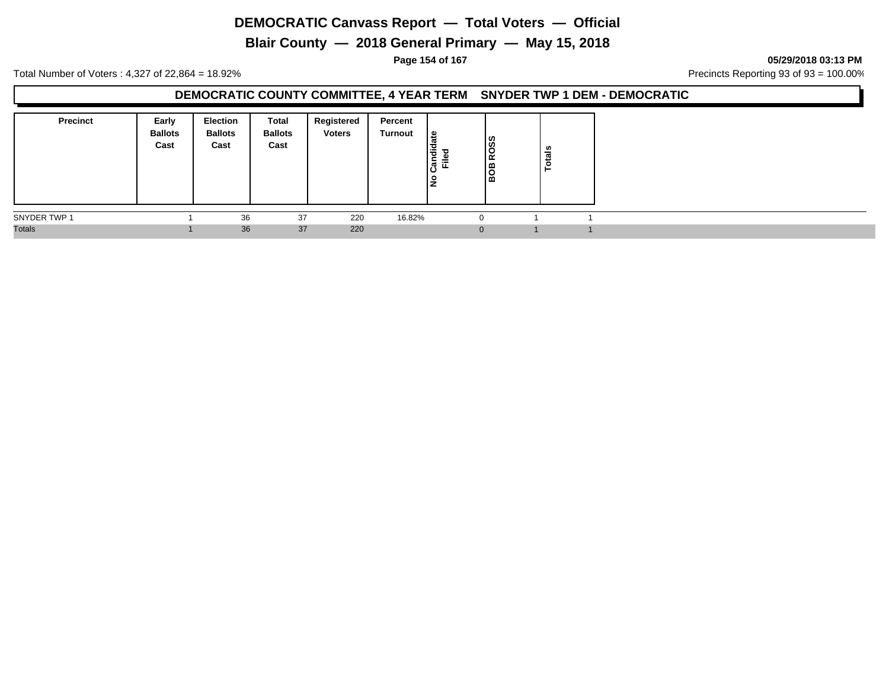**Blair County — 2018 General Primary — May 15, 2018**

**Page 154 of 167 05/29/2018 03:13 PM**

Total Number of Voters : 4,327 of 22,864 = 18.92% Precincts Reporting 93 of 93 = 100.00%

### **DEMOCRATIC COUNTY COMMITTEE, 4 YEAR TERM SNYDER TWP 1 DEM - DEMOCRATIC**

| <b>Precinct</b> | Early<br><b>Ballots</b><br>Cast | <b>Election</b><br><b>Ballots</b><br>Cast | Total<br><b>Ballots</b><br>Cast | Registered<br><b>Voters</b> | Percent<br>Turnout | ١e<br>Candid<br>ு<br>≓<br><u>ع</u> | 880<br>I≃<br>18 | ៖<br>تسه<br>္ဝ<br>- |  |
|-----------------|---------------------------------|-------------------------------------------|---------------------------------|-----------------------------|--------------------|------------------------------------|-----------------|---------------------|--|
| SNYDER TWP 1    |                                 | 36                                        | 37                              | 220                         | 16.82%             |                                    |                 |                     |  |
| <b>Totals</b>   |                                 | 36                                        | 37                              | 220                         |                    |                                    |                 |                     |  |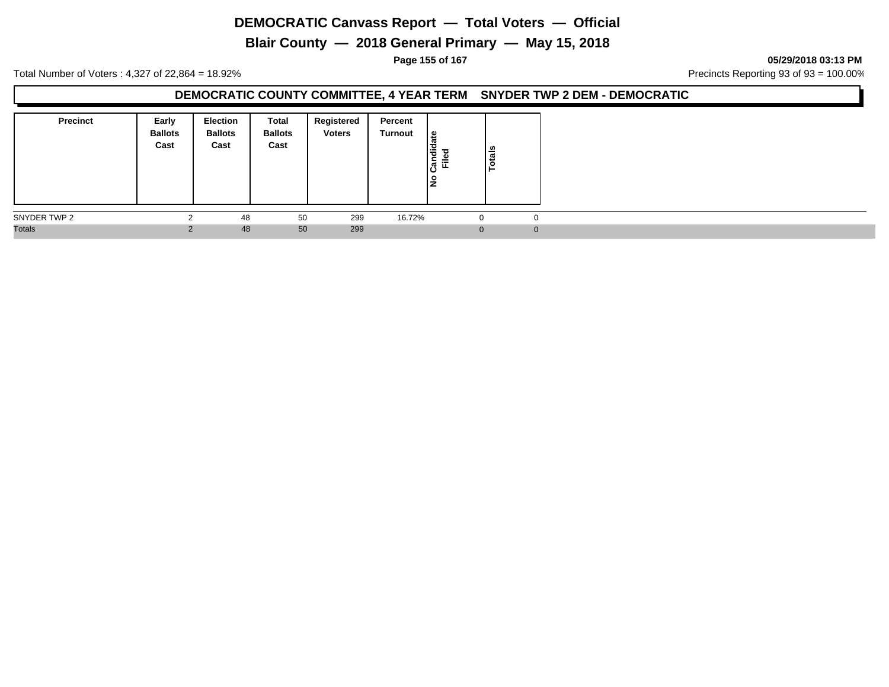**Blair County — 2018 General Primary — May 15, 2018**

**Page 155 of 167 05/29/2018 03:13 PM**

Total Number of Voters : 4,327 of 22,864 = 18.92% Precincts Reporting 93 of 93 = 100.00%

### **DEMOCRATIC COUNTY COMMITTEE, 4 YEAR TERM SNYDER TWP 2 DEM - DEMOCRATIC**

| <b>Precinct</b> | Early<br><b>Ballots</b><br>Cast | <b>Election</b><br><b>Ballots</b><br>Cast | Total<br><b>Ballots</b><br>Cast | Registered<br><b>Voters</b> | Percent<br>Turnout | Candidate<br>$=$<br>щ<br>١ş | tais<br>ق |   |
|-----------------|---------------------------------|-------------------------------------------|---------------------------------|-----------------------------|--------------------|-----------------------------|-----------|---|
| SNYDER TWP 2    | $\sim$                          | 48                                        | 50                              | 299                         | 16.72%             | -0                          | $\Omega$  |   |
| <b>Totals</b>   |                                 | 48                                        | 50                              | 299                         |                    | 0                           |           | 0 |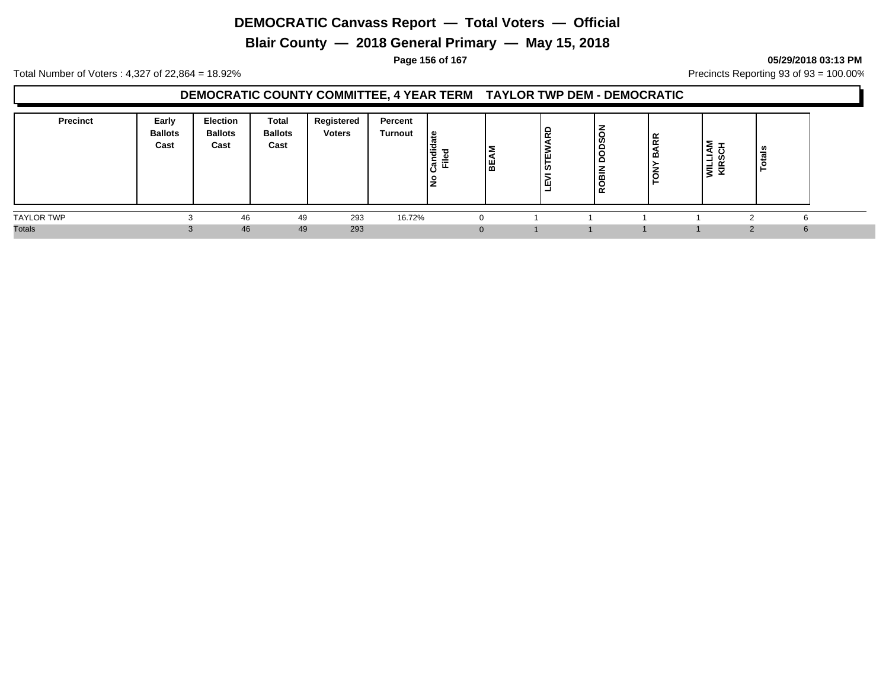**Blair County — 2018 General Primary — May 15, 2018**

**Page 156 of 167 05/29/2018 03:13 PM**

Total Number of Voters : 4,327 of 22,864 = 18.92% Precincts Reporting 93 of 93 = 100.00%

### **DEMOCRATIC COUNTY COMMITTEE, 4 YEAR TERM TAYLOR TWP DEM - DEMOCRATIC**

| <b>Precinct</b>   | Early<br><b>Ballots</b><br>Cast | <b>Election</b><br><b>Ballots</b><br>Cast | Total<br><b>Ballots</b><br>Cast | Registered<br><b>Voters</b> | Percent<br>Turnout | ூ<br><br>᠊ᠣ<br>횫뿐 | ∣≥<br>$\overline{\phantom{a}}$<br>١¥ | -<br>$\sim$<br>் ப<br>ທ<br>ш<br>- | U)<br>-<br>-<br>흚<br>∼<br>≃ | <b>BARR</b><br>$\overline{\tilde{e}}$ | -<br>┙<br>- 93<br>-<br>ξ<br>$\overline{\phantom{a}}$ | ᆽ |  |
|-------------------|---------------------------------|-------------------------------------------|---------------------------------|-----------------------------|--------------------|-------------------|--------------------------------------|-----------------------------------|-----------------------------|---------------------------------------|------------------------------------------------------|---|--|
| <b>TAYLOR TWP</b> |                                 | 46                                        | 49                              | 293                         | 16.72%             |                   |                                      |                                   |                             |                                       |                                                      |   |  |
| <b>Totals</b>     |                                 | 46                                        | 49                              | 293                         |                    |                   |                                      |                                   |                             |                                       |                                                      | ĥ |  |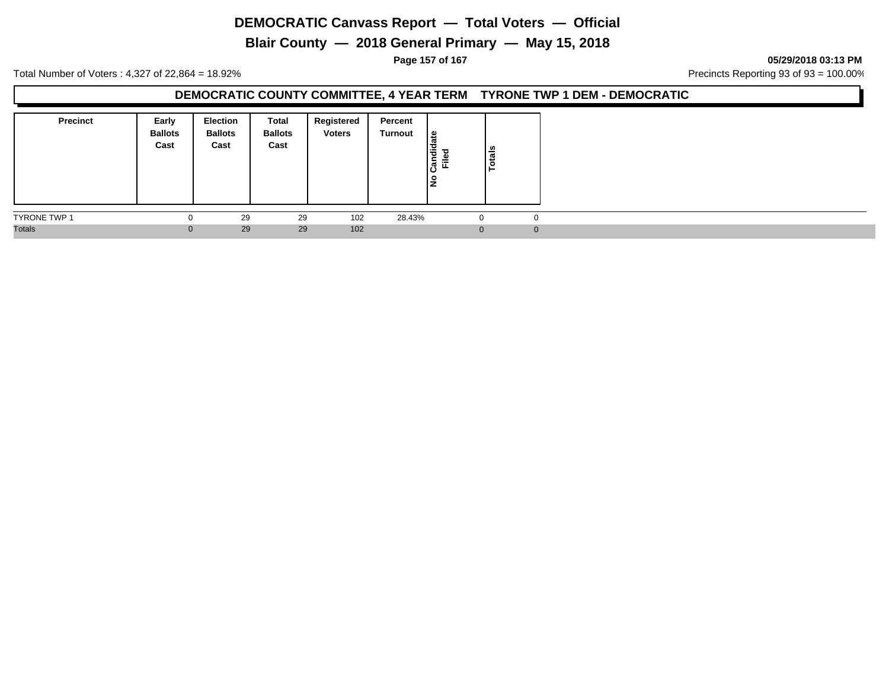**Blair County — 2018 General Primary — May 15, 2018**

**Page 157 of 167 05/29/2018 03:13 PM**

Total Number of Voters : 4,327 of 22,864 = 18.92% Precincts Reporting 93 of 93 = 100.00%

### **DEMOCRATIC COUNTY COMMITTEE, 4 YEAR TERM TYRONE TWP 1 DEM - DEMOCRATIC**

| <b>Precinct</b>     | Early<br><b>Ballots</b><br>Cast | <b>Election</b><br><b>Ballots</b><br>Cast | Total<br><b>Ballots</b><br>Cast | Registered<br><b>Voters</b> | Percent<br>Turnout | ي ا<br>Candid<br>ᇃ<br>≓<br>١ş | $\overline{\mathsf{hs}}$<br>Ğ |          |
|---------------------|---------------------------------|-------------------------------------------|---------------------------------|-----------------------------|--------------------|-------------------------------|-------------------------------|----------|
| <b>TYRONE TWP 1</b> | $\Omega$                        | 29                                        | 29                              | 102                         | 28.43%             |                               |                               |          |
| <b>Totals</b>       | $\Omega$                        | 29                                        | 29                              | 102                         |                    |                               |                               | $\Omega$ |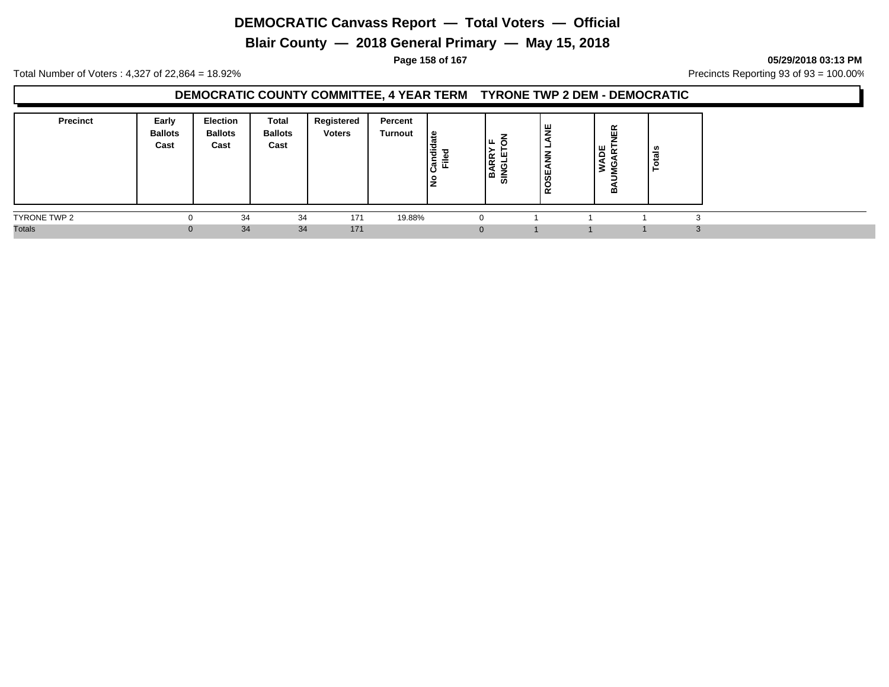**Blair County — 2018 General Primary — May 15, 2018**

**Page 158 of 167 05/29/2018 03:13 PM**

Total Number of Voters : 4,327 of 22,864 = 18.92% Precincts Reporting 93 of 93 = 100.00%

### **DEMOCRATIC COUNTY COMMITTEE, 4 YEAR TERM TYRONE TWP 2 DEM - DEMOCRATIC**

| <b>Precinct</b> | Early<br><b>Ballots</b><br>Cast | Election<br><b>Ballots</b><br>Cast | <b>Total</b><br><b>Ballots</b><br>Cast | Registered<br><b>Voters</b> | Percent<br>Turnout | e<br>Ι¥<br>្ថិត្ត<br>Ē<br>١£ | Iщ.<br>∣≃<br>∣≃<br>ادα<br>듮 | ဖိ<br>$\alpha$ | ≃<br>ш<br>۳<br><b>A</b><br>മ | - |  |
|-----------------|---------------------------------|------------------------------------|----------------------------------------|-----------------------------|--------------------|------------------------------|-----------------------------|----------------|------------------------------|---|--|
| TYRONE TWP 2    |                                 | 34                                 | 34                                     | 171                         | 19.88%             |                              | 0                           |                |                              |   |  |
| <b>Totals</b>   | O                               | 34                                 | 34                                     | 171                         |                    |                              | $\mathbf{0}$                |                |                              |   |  |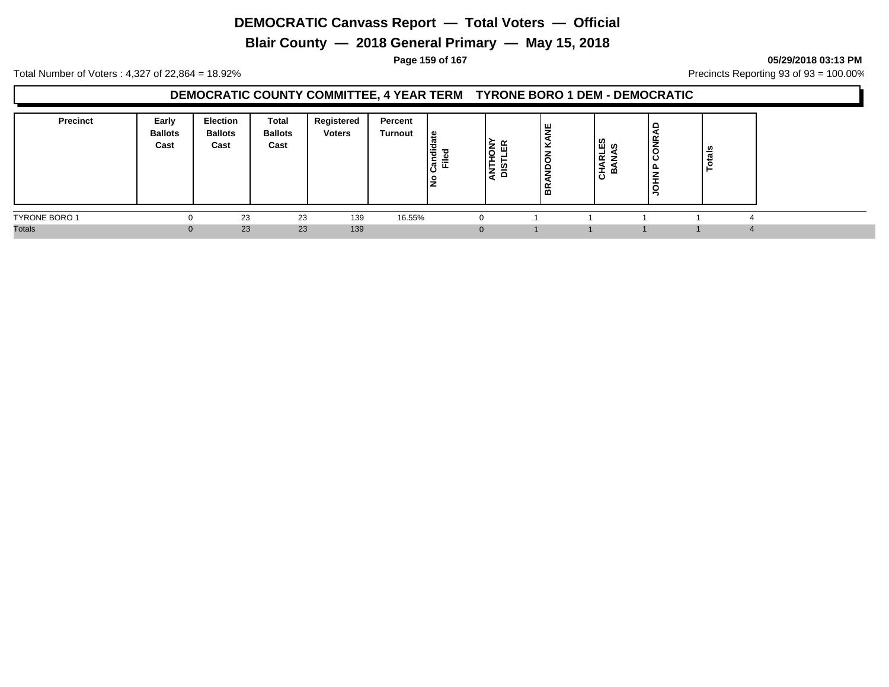**Blair County — 2018 General Primary — May 15, 2018**

**Page 159 of 167 05/29/2018 03:13 PM**

Total Number of Voters : 4,327 of 22,864 = 18.92% Precincts Reporting 93 of 93 = 100.00%

### **DEMOCRATIC COUNTY COMMITTEE, 4 YEAR TERM TYRONE BORO 1 DEM - DEMOCRATIC**

| <b>Precinct</b>      | Early<br><b>Ballots</b><br>Cast | <b>Election</b><br><b>Ballots</b><br>Cast | Total<br><b>Ballots</b><br>Cast | Registered<br><b>Voters</b> | Percent<br><b>Turnout</b> | ு உ<br>Candie<br>辵<br>$\circ$ | ≿<br>∣₫<br>as<br>이후 | щ<br>-<br>æ<br>-<br>m | <u>ကိ</u><br>-<br>œ<br>-<br>മ<br><b>ـــ</b><br>ပ | 屶<br>ó<br>ပ | Ë<br>o,<br>- |
|----------------------|---------------------------------|-------------------------------------------|---------------------------------|-----------------------------|---------------------------|-------------------------------|---------------------|-----------------------|--------------------------------------------------|-------------|--------------|
| <b>TYRONE BORO 1</b> |                                 | 23                                        | 23                              | 139                         | 16.55%                    |                               |                     |                       |                                                  |             |              |
| <b>Totals</b>        |                                 | 23                                        | 23                              | 139                         |                           |                               |                     |                       |                                                  |             |              |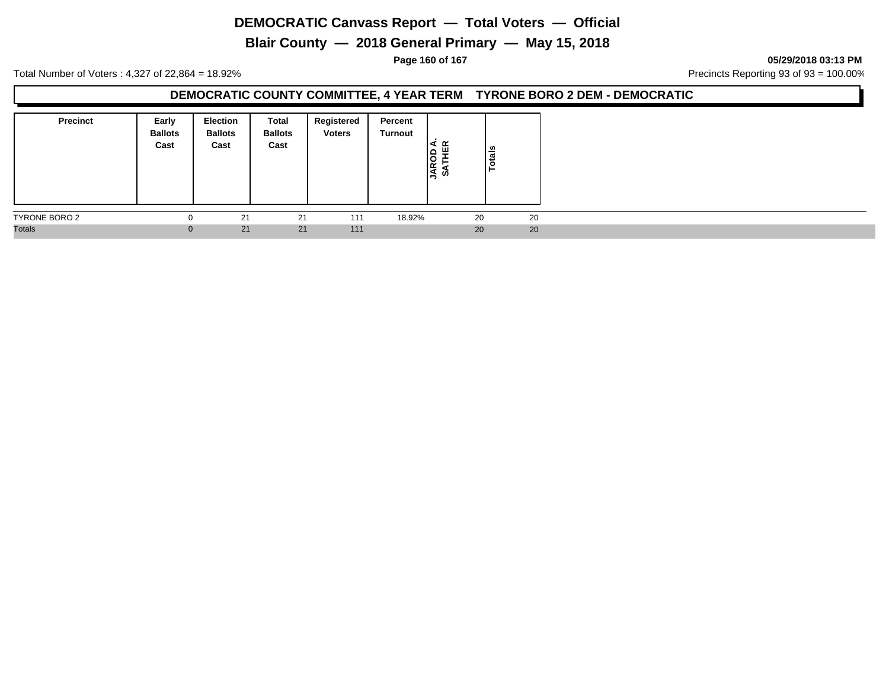**Blair County — 2018 General Primary — May 15, 2018**

**Page 160 of 167 05/29/2018 03:13 PM**

Total Number of Voters : 4,327 of 22,864 = 18.92% Precincts Reporting 93 of 93 = 100.00%

### **DEMOCRATIC COUNTY COMMITTEE, 4 YEAR TERM TYRONE BORO 2 DEM - DEMOCRATIC**

| <b>Precinct</b> | Early<br><b>Ballots</b><br>Cast | <b>Election</b><br><b>Ballots</b><br>Cast | Total<br><b>Ballots</b><br>Cast | Registered<br><b>Voters</b> | Percent<br>Turnout | <b>JAROD</b><br>SATHE | Totals |
|-----------------|---------------------------------|-------------------------------------------|---------------------------------|-----------------------------|--------------------|-----------------------|--------|
| TYRONE BORO 2   | U                               | 21                                        | 21                              | 111                         | 18.92%             | 20                    | 20     |
| <b>Totals</b>   | $\mathbf{0}$                    | 21                                        | 21                              | 111                         |                    | 20                    | 20     |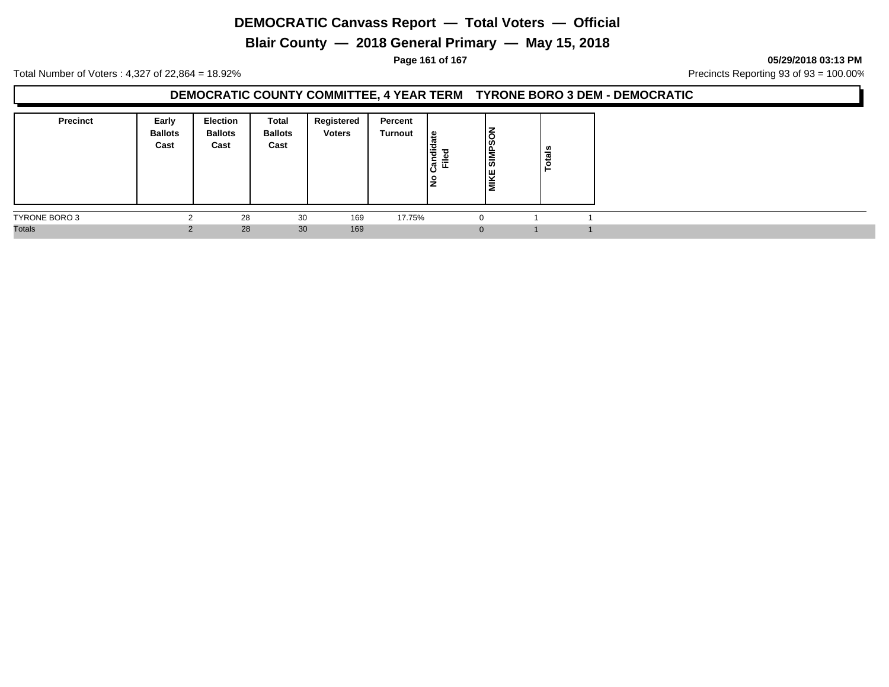**Blair County — 2018 General Primary — May 15, 2018**

**Page 161 of 167 05/29/2018 03:13 PM**

Total Number of Voters : 4,327 of 22,864 = 18.92% Precincts Reporting 93 of 93 = 100.00%

### **DEMOCRATIC COUNTY COMMITTEE, 4 YEAR TERM TYRONE BORO 3 DEM - DEMOCRATIC**

| <b>Precinct</b> | Early<br><b>Ballots</b><br>Cast | <b>Election</b><br><b>Ballots</b><br>Cast | Total<br><b>Ballots</b><br>Cast | Registered<br><b>Voters</b> | Percent<br>Turnout | ہ  <br>Candid<br>≔<br>ட<br>l是 | NOS <sup>I</sup><br><b>SIMB</b><br>Ik<br>lΣ | ៖<br>ت<br>ō, |
|-----------------|---------------------------------|-------------------------------------------|---------------------------------|-----------------------------|--------------------|-------------------------------|---------------------------------------------|--------------|
| TYRONE BORO 3   |                                 | 28                                        | 30                              | 169                         | 17.75%             |                               |                                             |              |
| <b>Totals</b>   |                                 | 28                                        | 30                              | 169                         |                    |                               | $\Omega$                                    |              |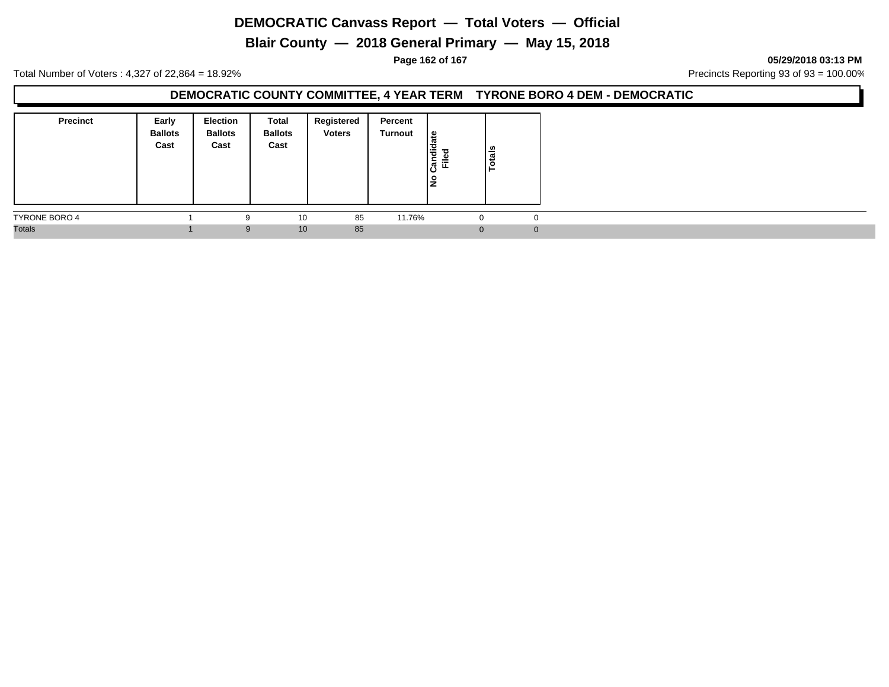**Blair County — 2018 General Primary — May 15, 2018**

**Page 162 of 167 05/29/2018 03:13 PM**

Total Number of Voters : 4,327 of 22,864 = 18.92% Precincts Reporting 93 of 93 = 100.00%

### **DEMOCRATIC COUNTY COMMITTEE, 4 YEAR TERM TYRONE BORO 4 DEM - DEMOCRATIC**

| <b>Precinct</b>      | Early<br><b>Ballots</b><br>Cast | <b>Election</b><br><b>Ballots</b><br>Cast | Total<br><b>Ballots</b><br>Cast | Registered<br><b>Voters</b> | Percent<br><b>Turnout</b> | ீ<br>Candid<br>$\equiv$<br>щ.<br>١z | Totals |  |
|----------------------|---------------------------------|-------------------------------------------|---------------------------------|-----------------------------|---------------------------|-------------------------------------|--------|--|
| <b>TYRONE BORO 4</b> |                                 | 9                                         | 10                              | 85                          | 11.76%                    | ∪                                   |        |  |
| <b>Totals</b>        |                                 | 9                                         | 10                              | 85                          |                           | $\Omega$                            |        |  |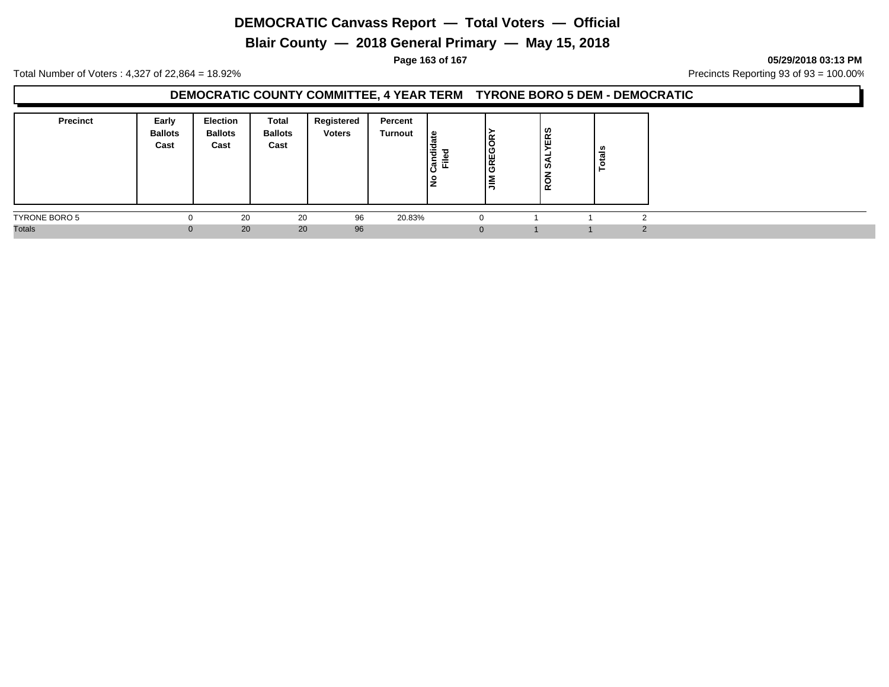**Blair County — 2018 General Primary — May 15, 2018**

**Page 163 of 167 05/29/2018 03:13 PM**

Total Number of Voters : 4,327 of 22,864 = 18.92% Precincts Reporting 93 of 93 = 100.00%

### **DEMOCRATIC COUNTY COMMITTEE, 4 YEAR TERM TYRONE BORO 5 DEM - DEMOCRATIC**

| <b>Precinct</b>      | Early<br><b>Ballots</b><br>Cast | <b>Election</b><br><b>Ballots</b><br>Cast | <b>Total</b><br><b>Ballots</b><br>Cast | Registered<br><b>Voters</b> | Percent<br>Turnout | ate<br>흉<br>᠊ᠣ<br>-<br>≓<br>ျွန္ပြ<br>ш.<br>۽ | ≃<br>। ပ<br>∣ی<br>Ο<br>= | <b>ERS</b><br>-<br>۵ă<br><b>RON</b> | .,<br>- |  |
|----------------------|---------------------------------|-------------------------------------------|----------------------------------------|-----------------------------|--------------------|-----------------------------------------------|--------------------------|-------------------------------------|---------|--|
| <b>TYRONE BORO 5</b> |                                 | 20                                        | 20                                     | 96                          | 20.83%             | -0                                            |                          |                                     |         |  |
| <b>Totals</b>        |                                 | 20                                        | 20                                     | 96                          |                    | $\Omega$                                      |                          |                                     |         |  |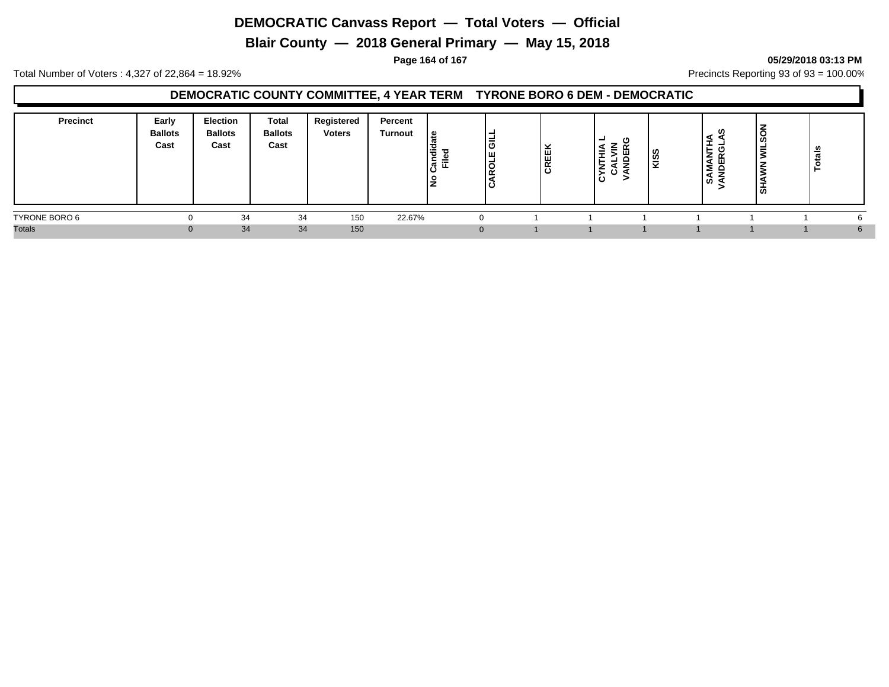**Blair County — 2018 General Primary — May 15, 2018**

#### **Page 164 of 167 05/29/2018 03:13 PM**

Total Number of Voters : 4,327 of 22,864 = 18.92% Precincts Reporting 93 of 93 = 100.00%

### **DEMOCRATIC COUNTY COMMITTEE, 4 YEAR TERM TYRONE BORO 6 DEM - DEMOCRATIC**

| <b>Precinct</b> | Early<br><b>Ballots</b><br>Cast | <b>Election</b><br><b>Ballots</b><br>Cast | <b>Total</b><br><b>Ballots</b><br>Cast | Registered<br><b>Voters</b> | Percent<br><b>Turnout</b> | <u> യ</u><br>ือื่ ⊏ิ | l៑<br>Iш<br>1학<br>ں ا | ×<br><b>CREE</b> | œ<br>≨<br>۰.<br>∼<br>ن ≳<br>$\mathbf c$ | <b>ISS</b> | ທ<br>-<br>z<br>n<br>ΙÃ<br>$\epsilon$<br>່ທ່ | -<br>៳ | ៖<br>تعد |  |
|-----------------|---------------------------------|-------------------------------------------|----------------------------------------|-----------------------------|---------------------------|----------------------|-----------------------|------------------|-----------------------------------------|------------|---------------------------------------------|--------|----------|--|
| TYRONE BORO 6   |                                 | 34                                        | 34                                     | 150                         | 22.67%                    |                      | $\Omega$              |                  |                                         |            |                                             |        |          |  |
| <b>Totals</b>   | $\Omega$                        | 34                                        | 34                                     | 150                         |                           |                      | $\Omega$              |                  |                                         |            |                                             |        |          |  |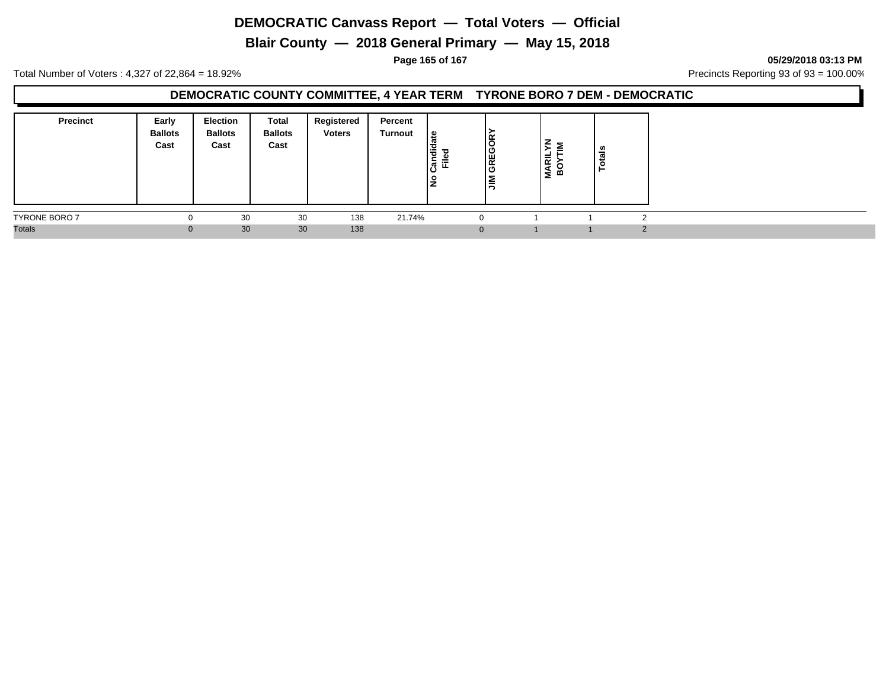**Blair County — 2018 General Primary — May 15, 2018**

**Page 165 of 167 05/29/2018 03:13 PM**

Total Number of Voters : 4,327 of 22,864 = 18.92% Precincts Reporting 93 of 93 = 100.00%

### **DEMOCRATIC COUNTY COMMITTEE, 4 YEAR TERM TYRONE BORO 7 DEM - DEMOCRATIC**

| <b>Precinct</b>      | Early<br><b>Ballots</b><br>Cast | Election<br><b>Ballots</b><br>Cast | <b>Total</b><br><b>Ballots</b><br>Cast | Registered<br><b>Voters</b> | Percent<br>Turnout | 읊<br>Ι¥<br>ne:<br>≈<br>正<br>١ş | <b>REGOR</b><br>ا ت<br>≧<br>∽ | 晨<br>Σ ∞ | ≝ |  |
|----------------------|---------------------------------|------------------------------------|----------------------------------------|-----------------------------|--------------------|--------------------------------|-------------------------------|----------|---|--|
| <b>TYRONE BORO 7</b> |                                 | 30                                 | 30                                     | 138                         | 21.74%             |                                | $\Omega$                      |          |   |  |
| <b>Totals</b>        |                                 | 30                                 | 30                                     | 138                         |                    |                                | $\mathbf{0}$                  |          |   |  |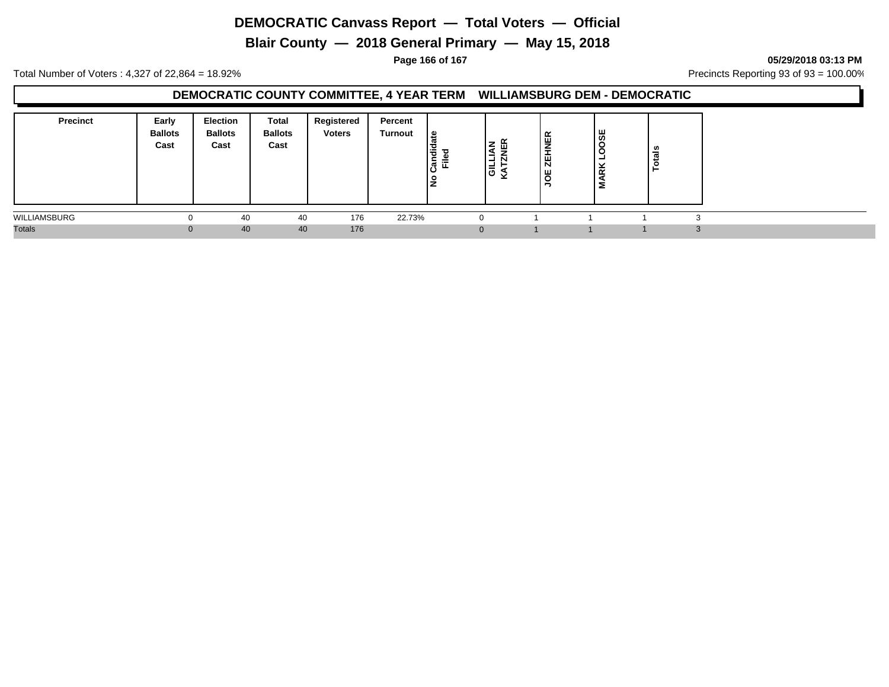**Blair County — 2018 General Primary — May 15, 2018**

**Page 166 of 167 05/29/2018 03:13 PM**

Total Number of Voters : 4,327 of 22,864 = 18.92% Precincts Reporting 93 of 93 = 100.00%

### **DEMOCRATIC COUNTY COMMITTEE, 4 YEAR TERM WILLIAMSBURG DEM - DEMOCRATIC**

| <b>Precinct</b> | Early<br><b>Ballots</b><br>Cast | <b>Election</b><br><b>Ballots</b><br>Cast | Total<br><b>Ballots</b><br>Cast | Registered<br><b>Voters</b> | Percent<br>Turnout | ீ<br>$\ddot{a}$<br>$\overline{\phantom{a}}$<br>-<br>≐<br>ြီ<br>ш.<br>š | $\alpha$<br>ш<br>ା≌୍ > | <b>ZEHNER</b><br>ŏ<br>е | ္တမ္ဘ<br>Ö<br>$\alpha$ | ឹ<br>تن<br>$\circ$ |          |
|-----------------|---------------------------------|-------------------------------------------|---------------------------------|-----------------------------|--------------------|------------------------------------------------------------------------|------------------------|-------------------------|------------------------|--------------------|----------|
| WILLIAMSBURG    |                                 | 40                                        | 40                              | 176                         | 22.73%             |                                                                        |                        |                         |                        |                    |          |
| <b>Totals</b>   | $\Omega$                        | 40                                        | 40                              | 176                         |                    |                                                                        |                        |                         |                        |                    | $\Omega$ |